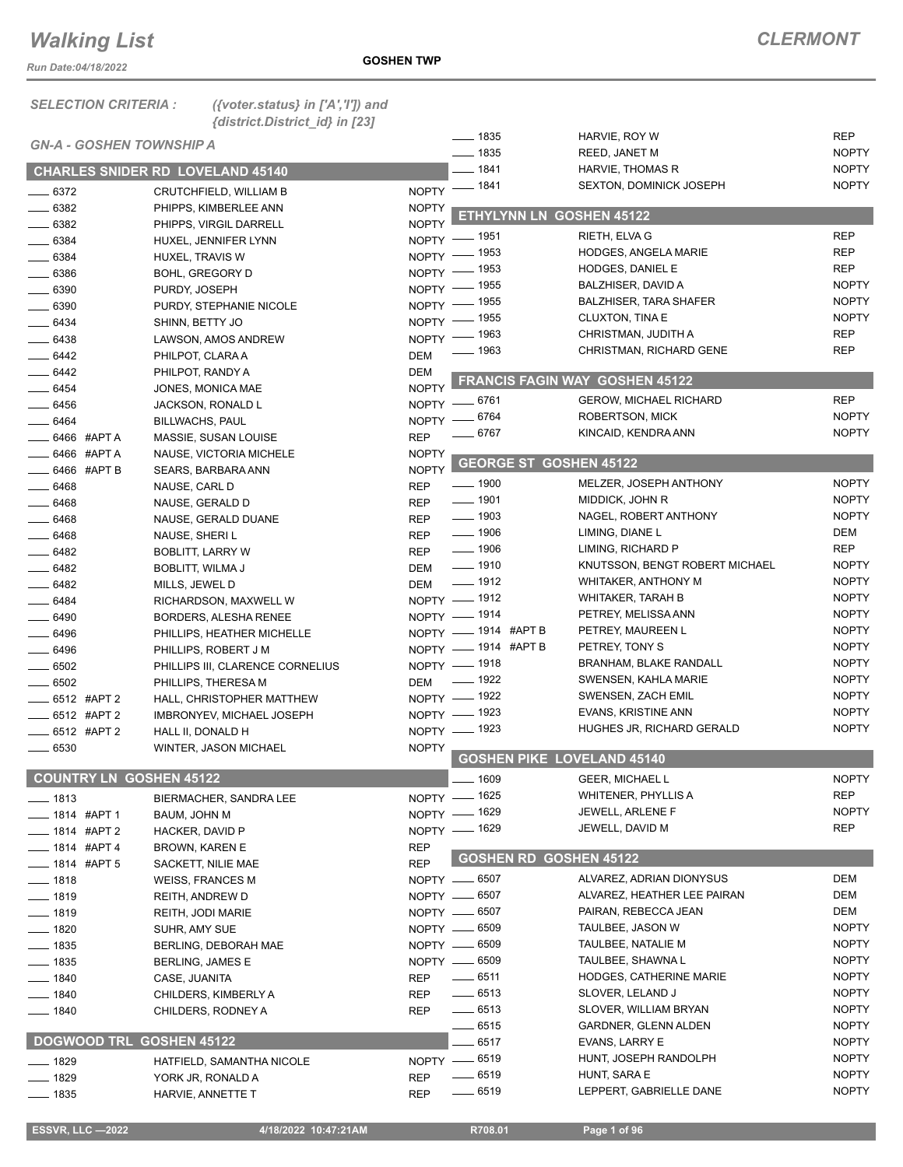*Run Date:04/18/2022*

**GOSHEN TWP**

| <b>SELECTION CRITERIA:</b> | ({voter.status} in $['A', 'T']$ ) and |
|----------------------------|---------------------------------------|
|                            | {district.District_id} in [23]        |

| <b>GN-A - GOSHEN TOWNSHIP A</b> |                                                 |              | $\frac{1}{2}$ 1835 |                               | HARVIE, ROY W                         | REP          |
|---------------------------------|-------------------------------------------------|--------------|--------------------|-------------------------------|---------------------------------------|--------------|
|                                 |                                                 |              | $\frac{1}{2}$ 1835 |                               | REED, JANET M                         | <b>NOPTY</b> |
|                                 | <b>CHARLES SNIDER RD LOVELAND 45140</b>         |              | $-1841$            |                               | HARVIE, THOMAS R                      | <b>NOPTY</b> |
| $-6372$                         | CRUTCHFIELD, WILLIAM B                          |              | NOPTY - 1841       |                               | <b>SEXTON, DOMINICK JOSEPH</b>        | <b>NOPTY</b> |
| $- 6382$                        | PHIPPS, KIMBERLEE ANN                           | <b>NOPTY</b> |                    |                               |                                       |              |
| $- 6382$                        | PHIPPS, VIRGIL DARRELL                          | <b>NOPTY</b> |                    |                               | ETHYLYNN LN GOSHEN 45122              |              |
| $- 6384$                        | HUXEL, JENNIFER LYNN                            | $NOPTY$ -    | __ 1951            |                               | RIETH, ELVA G                         | <b>REP</b>   |
| $- 6384$                        | HUXEL, TRAVIS W                                 |              | NOPTY - 1953       |                               | <b>HODGES, ANGELA MARIE</b>           | <b>REP</b>   |
| $-6386$                         | <b>BOHL, GREGORY D</b>                          |              | NOPTY - 1953       |                               | HODGES, DANIEL E                      | REP          |
| $\frac{1}{2}$ 6390              | PURDY, JOSEPH                                   | NOPTY =      | _ 1955             |                               | BALZHISER, DAVID A                    | <b>NOPTY</b> |
| $- 6390$                        | PURDY, STEPHANIE NICOLE                         | NOPTY -      | _ 1955             |                               | <b>BALZHISER, TARA SHAFER</b>         | <b>NOPTY</b> |
| $- 6434$                        | SHINN, BETTY JO                                 | NOPTY -      | _ 1955             |                               | CLUXTON, TINA E                       | <b>NOPTY</b> |
| $- 6438$                        | LAWSON, AMOS ANDREW                             | NOPTY -      | _ 1963             |                               | CHRISTMAN, JUDITH A                   | <b>REP</b>   |
| $- 6442$                        | PHILPOT, CLARA A                                | <b>DEM</b>   | _ 1963             |                               | CHRISTMAN, RICHARD GENE               | <b>REP</b>   |
| $-6442$                         | PHILPOT, RANDY A                                | <b>DEM</b>   |                    |                               |                                       |              |
| $- 6454$                        | JONES, MONICA MAE                               | <b>NOPTY</b> |                    |                               | <b>FRANCIS FAGIN WAY GOSHEN 45122</b> |              |
| $- 6456$                        | JACKSON, RONALD L                               |              | NOPTY -6761        |                               | <b>GEROW, MICHAEL RICHARD</b>         | REP          |
| $- 6464$                        | <b>BILLWACHS, PAUL</b>                          |              | NOPTY -6764        |                               | <b>ROBERTSON, MICK</b>                | <b>NOPTY</b> |
| $\equiv$ 6466 #APTA             |                                                 | <b>REP</b>   | _ 6767             |                               | KINCAID, KENDRA ANN                   | <b>NOPTY</b> |
| $\_\_\$ 6466 #APTA              | MASSIE, SUSAN LOUISE<br>NAUSE, VICTORIA MICHELE | <b>NOPTY</b> |                    |                               |                                       |              |
| 6466 #APT B                     | SEARS, BARBARA ANN                              | <b>NOPTY</b> |                    | <b>GEORGE ST GOSHEN 45122</b> |                                       |              |
| $- 6468$                        | NAUSE, CARL D                                   | <b>REP</b>   | $\frac{1}{2}$ 1900 |                               | MELZER, JOSEPH ANTHONY                | <b>NOPTY</b> |
| $- 6468$                        | NAUSE, GERALD D                                 | <b>REP</b>   | $- 1901$           |                               | MIDDICK, JOHN R                       | <b>NOPTY</b> |
| $- 6468$                        | NAUSE, GERALD DUANE                             | <b>REP</b>   | $\frac{1}{2}$ 1903 |                               | NAGEL, ROBERT ANTHONY                 | <b>NOPTY</b> |
| $- 6468$                        | NAUSE, SHERI L                                  | <b>REP</b>   | $- 1906$           |                               | LIMING, DIANE L                       | DEM          |
| $- 6482$                        | <b>BOBLITT, LARRY W</b>                         | <b>REP</b>   | $\frac{1}{2}$ 1906 |                               | LIMING, RICHARD P                     | REP          |
| $-6482$                         | BOBLITT, WILMA J                                | <b>DEM</b>   | $- 1910$           |                               | KNUTSSON, BENGT ROBERT MICHAEL        | <b>NOPTY</b> |
| $- 6482$                        | MILLS, JEWEL D                                  | <b>DEM</b>   | $- 1912$           |                               | <b>WHITAKER, ANTHONY M</b>            | <b>NOPTY</b> |
| $-6484$                         | RICHARDSON, MAXWELL W                           |              | NOPTY - 1912       |                               | WHITAKER, TARAH B                     | <b>NOPTY</b> |
| $- 6490$                        | BORDERS, ALESHA RENEE                           |              | NOPTY - 1914       |                               | PETREY, MELISSA ANN                   | <b>NOPTY</b> |
| $- 6496$                        | PHILLIPS, HEATHER MICHELLE                      |              |                    | NOPTY - 1914 #APT B           | PETREY, MAUREEN L                     | <b>NOPTY</b> |
| $- 6496$                        | PHILLIPS, ROBERT J M                            |              |                    | NOPTY - 1914 #APT B           | PETREY, TONY S                        | <b>NOPTY</b> |
| $\frac{1}{2}$ 6502              | PHILLIPS III, CLARENCE CORNELIUS                |              | NOPTY - 1918       |                               | BRANHAM, BLAKE RANDALL                | <b>NOPTY</b> |
| $- 6502$                        | PHILLIPS, THERESA M                             | <b>DEM</b>   | $- 1922$           |                               | SWENSEN, KAHLA MARIE                  | <b>NOPTY</b> |
| $-6512$ #APT 2                  | HALL, CHRISTOPHER MATTHEW                       |              | NOPTY - 1922       |                               | SWENSEN, ZACH EMIL                    | <b>NOPTY</b> |
| _6512 #APT 2                    | IMBRONYEV, MICHAEL JOSEPH                       |              | NOPTY - 1923       |                               | EVANS, KRISTINE ANN                   | <b>NOPTY</b> |
| $\frac{1}{2}$ 6512 #APT 2       | HALL II, DONALD H                               |              | NOPTY - 1923       |                               | HUGHES JR, RICHARD GERALD             | <b>NOPTY</b> |
| $- 6530$                        | WINTER, JASON MICHAEL                           | <b>NOPTY</b> |                    |                               |                                       |              |
|                                 |                                                 |              |                    |                               | <b>GOSHEN PIKE LOVELAND 45140</b>     |              |
| <b>COUNTRY LN GOSHEN 45122</b>  |                                                 |              | $-1609$            |                               | <b>GEER, MICHAEL L</b>                | <b>NOPTY</b> |
| $- 1813$                        | BIERMACHER, SANDRA LEE                          |              | NOPTY - 1625       |                               | WHITENER, PHYLLIS A                   | <b>REP</b>   |
| $\frac{1}{2}$ 1814 #APT 1       | BAUM, JOHN M                                    |              | NOPTY - 1629       |                               | JEWELL, ARLENE F                      | <b>NOPTY</b> |
| $- 1814$ #APT 2                 | HACKER, DAVID P                                 |              | NOPTY - 1629       |                               | JEWELL, DAVID M                       | REP          |
| $- 1814$ #APT 4                 | <b>BROWN, KAREN E</b>                           | <b>REP</b>   |                    |                               |                                       |              |
| $\frac{1}{2}$ 1814 #APT 5       | SACKETT, NILIE MAE                              | <b>REP</b>   |                    | <b>GOSHEN RD GOSHEN 45122</b> |                                       |              |
| $- 1818$                        | <b>WEISS, FRANCES M</b>                         |              | NOPTY -6507        |                               | ALVAREZ, ADRIAN DIONYSUS              | DEM          |
| $- 1819$                        | REITH, ANDREW D                                 |              | NOPTY __ 6507      |                               | ALVAREZ, HEATHER LEE PAIRAN           | DEM          |
| $- 1819$                        | REITH, JODI MARIE                               |              | NOPTY -6507        |                               | PAIRAN, REBECCA JEAN                  | DEM          |
| $- 1820$                        | SUHR, AMY SUE                                   |              | NOPTY -6509        |                               | TAULBEE, JASON W                      | <b>NOPTY</b> |
| $-1835$                         | BERLING, DEBORAH MAE                            |              | NOPTY -6509        |                               | TAULBEE, NATALIE M                    | <b>NOPTY</b> |
| $- 1835$                        | <b>BERLING, JAMES E</b>                         |              | NOPTY -6509        |                               | TAULBEE, SHAWNA L                     | <b>NOPTY</b> |
| $-1840$                         | CASE, JUANITA                                   | <b>REP</b>   | $\frac{1}{2}$ 6511 |                               | HODGES, CATHERINE MARIE               | <b>NOPTY</b> |
| $- 1840$                        | CHILDERS, KIMBERLY A                            | <b>REP</b>   | $- 6513$           |                               | SLOVER, LELAND J                      | <b>NOPTY</b> |
| $- 1840$                        | CHILDERS, RODNEY A                              | <b>REP</b>   | $- 6513$           |                               | SLOVER, WILLIAM BRYAN                 | <b>NOPTY</b> |
|                                 |                                                 |              | - 6515             |                               | GARDNER, GLENN ALDEN                  | <b>NOPTY</b> |
| DOGWOOD TRL GOSHEN 45122        |                                                 |              | 6517               |                               | EVANS, LARRY E                        | <b>NOPTY</b> |
| $- 1829$                        | HATFIELD, SAMANTHA NICOLE                       |              | NOPTY - 6519       |                               | HUNT, JOSEPH RANDOLPH                 | <b>NOPTY</b> |
| $- 1829$                        | YORK JR, RONALD A                               | <b>REP</b>   | $- 6519$           |                               | HUNT, SARA E                          | <b>NOPTY</b> |
| _ 1835                          | HARVIE, ANNETTE T                               | <b>REP</b>   | $- 6519$           |                               | LEPPERT, GABRIELLE DANE               | <b>NOPTY</b> |
|                                 |                                                 |              |                    |                               |                                       |              |

**ESSVR, LLC -2022 4/18/2022 10:47:21AM** R708.01 **Page 1 of 96**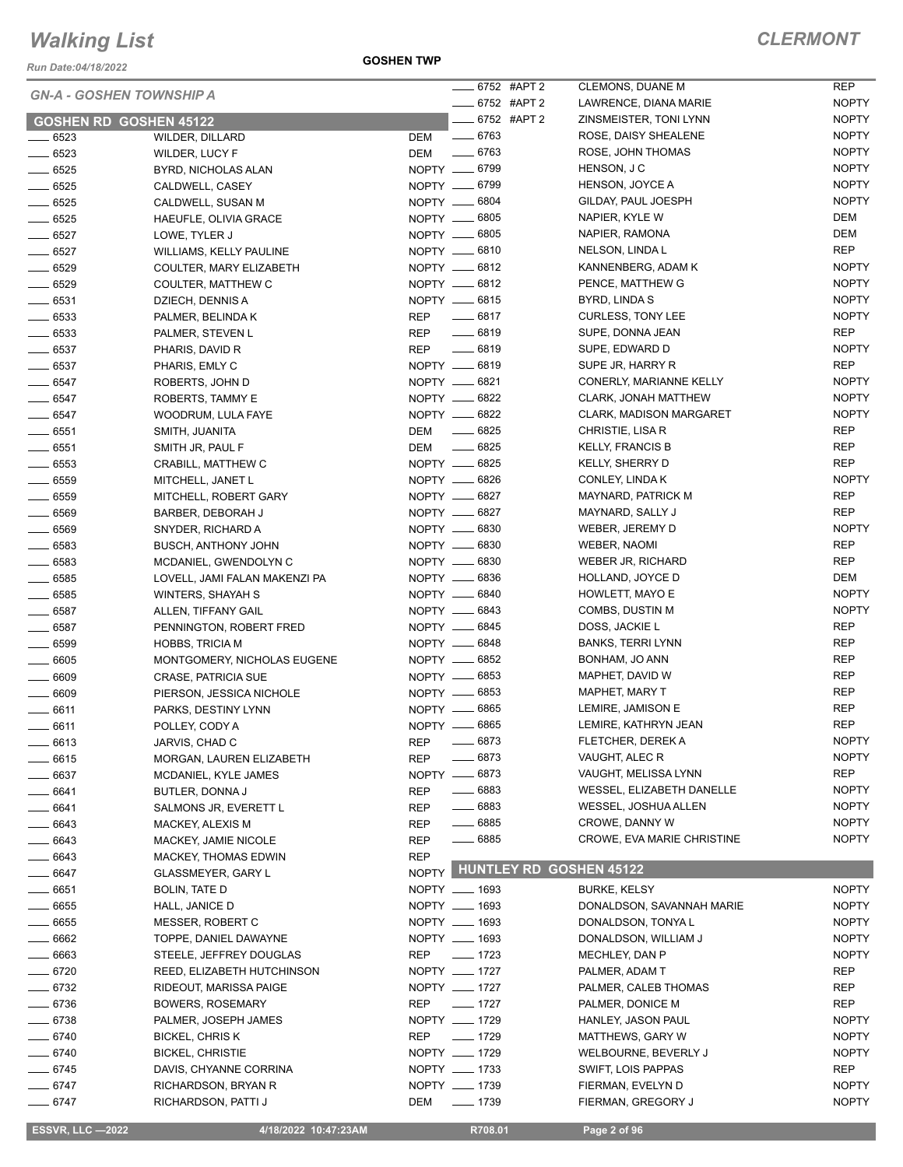*Run Date:04/18/2022*

#### *GN-A - GOSHEN TOWNSHIP A*

| KUII DAIC.04/10/ZUZZ |                                 |               | ____ 6752 #APT 2              | <b>CLEMONS, DUANE M</b>           | <b>REP</b>   |
|----------------------|---------------------------------|---------------|-------------------------------|-----------------------------------|--------------|
|                      | <b>GN-A - GOSHEN TOWNSHIP A</b> |               | ____ 6752 #APT 2              | LAWRENCE, DIANA MARIE             | <b>NOPTY</b> |
|                      | <b>GOSHEN RD GOSHEN 45122</b>   |               | -6752 #APT 2                  | ZINSMEISTER, TONI LYNN            | <b>NOPTY</b> |
| $\frac{1}{2}$ 6523   | <b>WILDER, DILLARD</b>          |               |                               | ROSE, DAISY SHEALENE              | <b>NOPTY</b> |
| $- 6523$             | <b>WILDER, LUCY F</b>           | DEM -6763     |                               | ROSE, JOHN THOMAS                 | <b>NOPTY</b> |
| $\frac{1}{2}$ 6525   | BYRD, NICHOLAS ALAN             | NOPTY __ 6799 |                               | HENSON, J C                       | <b>NOPTY</b> |
| $- 6525$             | CALDWELL, CASEY                 | NOPTY __ 6799 |                               | HENSON, JOYCE A                   | <b>NOPTY</b> |
| $- 6525$             | CALDWELL, SUSAN M               | NOPTY __ 6804 |                               | GILDAY, PAUL JOESPH               | <b>NOPTY</b> |
| $- 6525$             | HAEUFLE, OLIVIA GRACE           | NOPTY __ 6805 |                               | NAPIER, KYLE W                    | DEM          |
| $- 6527$             | LOWE, TYLER J                   | NOPTY __ 6805 |                               | NAPIER, RAMONA                    | DEM          |
| $- 6527$             | WILLIAMS, KELLY PAULINE         | NOPTY __ 6810 |                               | NELSON, LINDA L                   | <b>REP</b>   |
| $-6529$              | COULTER, MARY ELIZABETH         | NOPTY -6812   |                               | KANNENBERG, ADAM K                | <b>NOPTY</b> |
| $- 6529$             | COULTER, MATTHEW C              | NOPTY -6812   |                               | PENCE, MATTHEW G                  | <b>NOPTY</b> |
| $-6531$              | DZIECH, DENNIS A                | NOPTY __ 6815 |                               | BYRD, LINDA S                     | <b>NOPTY</b> |
| $\frac{1}{2}$ 6533   | PALMER, BELINDA K               | REP           | $-6817$                       | <b>CURLESS, TONY LEE</b>          | <b>NOPTY</b> |
| $\frac{1}{2}$ 6533   | PALMER, STEVEN L                | REP           | $-6819$                       | SUPE, DONNA JEAN                  | <b>REP</b>   |
| $- 6537$             | PHARIS, DAVID R                 | REP           | $-6819$                       | SUPE, EDWARD D                    | <b>NOPTY</b> |
| $\frac{1}{2}$ 6537   | PHARIS, EMLY C                  | NOPTY __ 6819 |                               | SUPE JR, HARRY R                  | <b>REP</b>   |
| $- 6547$             | ROBERTS, JOHN D                 | NOPTY __ 6821 |                               | CONERLY, MARIANNE KELLY           | <b>NOPTY</b> |
| $- 6547$             | ROBERTS, TAMMY E                | NOPTY -6822   |                               | <b>CLARK, JONAH MATTHEW</b>       | <b>NOPTY</b> |
| $\frac{1}{2}$ 6547   | WOODRUM, LULA FAYE              | NOPTY __ 6822 |                               | <b>CLARK, MADISON MARGARET</b>    | <b>NOPTY</b> |
| $- 6551$             | SMITH, JUANITA                  | DEM           | ______ 6825                   | CHRISTIE, LISA R                  | <b>REP</b>   |
| $\frac{1}{2}6551$    | SMITH JR, PAUL F                | DEM           | $\frac{1}{2}$ 6825            | <b>KELLY, FRANCIS B</b>           | <b>REP</b>   |
| $- 6553$             | CRABILL, MATTHEW C              | NOPTY -6825   |                               | KELLY, SHERRY D                   | <b>REP</b>   |
| $- 6559$             | MITCHELL, JANET L               | NOPTY -6826   |                               | CONLEY, LINDA K                   | <b>NOPTY</b> |
| $\frac{1}{2}$ 6559   | MITCHELL, ROBERT GARY           | NOPTY __ 6827 |                               | MAYNARD, PATRICK M                | <b>REP</b>   |
| $- 6569$             | BARBER, DEBORAH J               | NOPTY __ 6827 |                               | MAYNARD, SALLY J                  | <b>REP</b>   |
| $- 6569$             | SNYDER, RICHARD A               | NOPTY -6830   |                               | WEBER, JEREMY D                   | <b>NOPTY</b> |
| $- 6583$             | <b>BUSCH, ANTHONY JOHN</b>      | NOPTY __ 6830 |                               | WEBER, NAOMI                      | <b>REP</b>   |
| $\frac{1}{2}$ 6583   | MCDANIEL, GWENDOLYN C           | NOPTY -6830   |                               | WEBER JR, RICHARD                 | <b>REP</b>   |
| $\frac{1}{2}$ 6585   | LOVELL, JAMI FALAN MAKENZI PA   | NOPTY __ 6836 |                               | HOLLAND, JOYCE D                  | DEM          |
| $\frac{1}{2}$ 6585   | WINTERS, SHAYAH S               | NOPTY -6840   |                               | HOWLETT, MAYO E                   | <b>NOPTY</b> |
| $\frac{1}{2}$ 6587   | ALLEN, TIFFANY GAIL             | NOPTY -6843   |                               | COMBS, DUSTIN M                   | <b>NOPTY</b> |
| $- 6587$             | PENNINGTON, ROBERT FRED         | NOPTY __ 6845 |                               | DOSS, JACKIE L                    | <b>REP</b>   |
| $\frac{1}{2}$ 6599   | <b>HOBBS, TRICIA M</b>          | NOPTY -6848   |                               | <b>BANKS, TERRI LYNN</b>          | <b>REP</b>   |
| $\frac{1}{2}$ 6605   | MONTGOMERY, NICHOLAS EUGENE     | NOPTY __ 6852 |                               | BONHAM, JO ANN                    | <b>REP</b>   |
| $\frac{1}{2}$ 6609   | <b>CRASE, PATRICIA SUE</b>      | NOPTY __ 6853 |                               | MAPHET, DAVID W                   | <b>REP</b>   |
| $- 6609$             | PIERSON, JESSICA NICHOLE        | NOPTY __ 6853 |                               | MAPHET, MARY T                    | <b>REP</b>   |
| $- 6611$             | PARKS, DESTINY LYNN             | NOPTY __ 6865 |                               | LEMIRE, JAMISON E                 | <b>REP</b>   |
| $- 6611$             | POLLEY, CODY A                  | NOPTY __ 6865 |                               | LEMIRE, KATHRYN JEAN              | <b>REP</b>   |
| $\frac{1}{2}$ 6613   | JARVIS, CHAD C                  | REP           | $- 6873$                      | FLETCHER, DEREK A                 | <b>NOPTY</b> |
| $- 6615$             | MORGAN, LAUREN ELIZABETH        | <b>REP</b>    | $-6873$                       | VAUGHT, ALEC R                    | <b>NOPTY</b> |
| $- 6637$             | MCDANIEL, KYLE JAMES            | NOPTY __ 6873 |                               | VAUGHT, MELISSA LYNN              | REP          |
| $-6641$              | BUTLER, DONNA J                 | <b>REP</b>    | $- 6883$                      | WESSEL, ELIZABETH DANELLE         | <b>NOPTY</b> |
| $- 6641$             | SALMONS JR, EVERETT L           | <b>REP</b>    | $- 6883$                      | WESSEL, JOSHUA ALLEN              | <b>NOPTY</b> |
| $- 6643$             | MACKEY, ALEXIS M                | <b>REP</b>    | $\frac{1}{2}$ 6885            | CROWE, DANNY W                    | <b>NOPTY</b> |
| $- 6643$             | MACKEY, JAMIE NICOLE            | <b>REP</b>    | $- 6885$                      | <b>CROWE, EVA MARIE CHRISTINE</b> | <b>NOPTY</b> |
| $- 6643$             | MACKEY, THOMAS EDWIN            | <b>REP</b>    | NOPTY HUNTLEY RD GOSHEN 45122 |                                   |              |
| $- 6647$             | <b>GLASSMEYER, GARY L</b>       |               |                               |                                   |              |
| $- 6651$             | <b>BOLIN, TATE D</b>            | NOPTY __ 1693 |                               | <b>BURKE, KELSY</b>               | <b>NOPTY</b> |
| $\frac{1}{2}$ 6655   | HALL, JANICE D                  | NOPTY __ 1693 |                               | DONALDSON, SAVANNAH MARIE         | <b>NOPTY</b> |
| $\frac{1}{2}$ 6655   | MESSER, ROBERT C                | NOPTY __ 1693 |                               | DONALDSON, TONYA L                | <b>NOPTY</b> |
| $- 6662$             | TOPPE, DANIEL DAWAYNE           | NOPTY __ 1693 |                               | DONALDSON, WILLIAM J              | <b>NOPTY</b> |
| $- 6663$             | STEELE, JEFFREY DOUGLAS         | REP           | $\frac{1}{2}$ 1723            | MECHLEY, DAN P                    | <b>NOPTY</b> |
| $- 6720$             | REED, ELIZABETH HUTCHINSON      | NOPTY __ 1727 |                               | PALMER, ADAM T                    | REP          |
| $- 6732$             | RIDEOUT, MARISSA PAIGE          | NOPTY __ 1727 |                               | PALMER, CALEB THOMAS              | REP          |
| $- 6736$             | <b>BOWERS, ROSEMARY</b>         | REP           | $- 1727$                      | PALMER, DONICE M                  | <b>REP</b>   |
| $- 6738$             | PALMER, JOSEPH JAMES            | NOPTY __ 1729 |                               | HANLEY, JASON PAUL                | <b>NOPTY</b> |
| $- 6740$             | <b>BICKEL, CHRIS K</b>          | <b>REP</b>    | $- 1729$                      | MATTHEWS, GARY W                  | <b>NOPTY</b> |
| $- 6740$             | <b>BICKEL, CHRISTIE</b>         | NOPTY __ 1729 |                               | WELBOURNE, BEVERLY J              | <b>NOPTY</b> |
| $- 6745$             | DAVIS, CHYANNE CORRINA          | NOPTY __ 1733 |                               | SWIFT, LOIS PAPPAS                | <b>REP</b>   |
| $- 6747$             | RICHARDSON, BRYAN R             | NOPTY __ 1739 |                               | FIERMAN, EVELYN D                 | <b>NOPTY</b> |
| $-6747$              | RICHARDSON, PATTI J             | DEM           | $\frac{1}{2}$ 1739            | FIERMAN, GREGORY J                | <b>NOPTY</b> |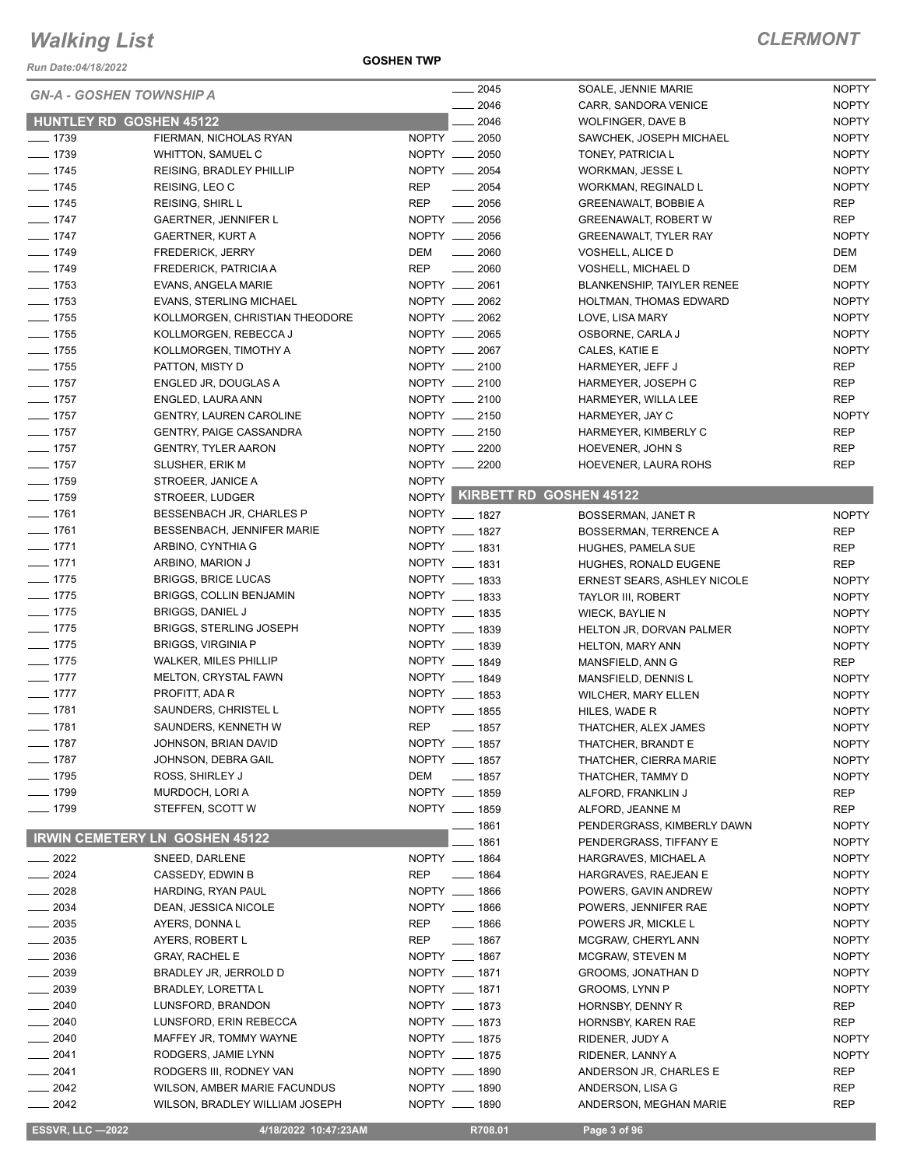*Run Date:04/18/2022*

|                  |                                       | $-2045$                        | SOALE, JENNIE MARIE                | <b>NOPTY</b> |
|------------------|---------------------------------------|--------------------------------|------------------------------------|--------------|
|                  | <b>GN-A - GOSHEN TOWNSHIP A</b>       | 2046                           | CARR, SANDORA VENICE               | <b>NOPTY</b> |
|                  | <b>HUNTLEY RD GOSHEN 45122</b>        | 2046                           | <b>WOLFINGER, DAVE B</b>           | <b>NOPTY</b> |
| $- 1739$         | FIERMAN, NICHOLAS RYAN                | NOPTY __ 2050                  | SAWCHEK, JOSEPH MICHAEL            | <b>NOPTY</b> |
| $- 1739$         | WHITTON, SAMUEL C                     | NOPTY __ 2050                  | TONEY, PATRICIA L                  | <b>NOPTY</b> |
|                  |                                       | NOPTY __ 2054                  |                                    | <b>NOPTY</b> |
| $- 1745$         | <b>REISING, BRADLEY PHILLIP</b>       |                                | WORKMAN, JESSE L                   |              |
| $- 1745$         | REISING, LEO C                        | <b>REP</b><br>$\frac{1}{2054}$ | WORKMAN, REGINALD L                | <b>NOPTY</b> |
| $- 1745$         | <b>REISING, SHIRL L</b>               | <b>REP</b><br>$\frac{1}{2056}$ | GREENAWALT, BOBBIE A               | <b>REP</b>   |
| $- 1747$         | <b>GAERTNER, JENNIFER L</b>           | NOPTY __ 2056                  | <b>GREENAWALT, ROBERT W</b>        | <b>REP</b>   |
| $- 1747$         | <b>GAERTNER, KURT A</b>               | NOPTY __ 2056                  | <b>GREENAWALT, TYLER RAY</b>       | <b>NOPTY</b> |
| $- 1749$         | FREDERICK, JERRY                      | DEM<br>$\frac{1}{2060}$        | VOSHELL, ALICE D                   | DEM          |
| $- 1749$         | FREDERICK, PATRICIA A                 | <b>REP</b><br>$\frac{1}{2060}$ | VOSHELL, MICHAEL D                 | DEM          |
| $- 1753$         | EVANS, ANGELA MARIE                   | NOPTY __ 2061                  | <b>BLANKENSHIP, TAIYLER RENEE</b>  | <b>NOPTY</b> |
| $- 1753$         | <b>EVANS, STERLING MICHAEL</b>        | NOPTY __ 2062                  | HOLTMAN, THOMAS EDWARD             | <b>NOPTY</b> |
| $- 1755$         | KOLLMORGEN, CHRISTIAN THEODORE        | NOPTY __ 2062                  | LOVE, LISA MARY                    | <b>NOPTY</b> |
| $- 1755$         | KOLLMORGEN, REBECCA J                 | NOPTY __ 2065                  | OSBORNE, CARLA J                   | <b>NOPTY</b> |
| $- 1755$         | KOLLMORGEN, TIMOTHY A                 | NOPTY __ 2067                  | CALES, KATIE E                     | <b>NOPTY</b> |
| $- 1755$         | PATTON, MISTY D                       | NOPTY __ 2100                  | HARMEYER, JEFF J                   | <b>REP</b>   |
| $- 1757$         | ENGLED JR, DOUGLAS A                  | NOPTY __ 2100                  | HARMEYER, JOSEPH C                 | <b>REP</b>   |
| $- 1757$         | ENGLED, LAURA ANN                     | NOPTY __ 2100                  | HARMEYER, WILLA LEE                | <b>REP</b>   |
| $- 1757$         | <b>GENTRY, LAUREN CAROLINE</b>        | NOPTY __ 2150                  | HARMEYER, JAY C                    | <b>NOPTY</b> |
| $- 1757$         | <b>GENTRY, PAIGE CASSANDRA</b>        | NOPTY __ 2150                  |                                    | <b>REP</b>   |
|                  |                                       |                                | HARMEYER, KIMBERLY C               |              |
| $- 1757$         | <b>GENTRY, TYLER AARON</b>            | NOPTY __ 2200                  | HOEVENER, JOHN S                   | <b>REP</b>   |
| $- 1757$         | <b>SLUSHER, ERIK M</b>                | NOPTY __ 2200                  | HOEVENER, LAURA ROHS               | <b>REP</b>   |
| $- 1759$         | STROEER, JANICE A                     | <b>NOPTY</b>                   |                                    |              |
| $- 1759$         | STROEER, LUDGER                       |                                | NOPTY KIRBETT RD GOSHEN 45122      |              |
| $- 1761$         | BESSENBACH JR, CHARLES P              | NOPTY __ 1827                  | <b>BOSSERMAN, JANET R</b>          | <b>NOPTY</b> |
| $- 1761$         | BESSENBACH, JENNIFER MARIE            | NOPTY __ 1827                  | <b>BOSSERMAN, TERRENCE A</b>       | <b>REP</b>   |
| $- 1771$         | ARBINO, CYNTHIA G                     | NOPTY __ 1831                  | <b>HUGHES, PAMELA SUE</b>          | <b>REP</b>   |
| $- 1771$         | ARBINO, MARION J                      | NOPTY __ 1831                  | HUGHES, RONALD EUGENE              | <b>REP</b>   |
| $- 1775$         | <b>BRIGGS, BRICE LUCAS</b>            | NOPTY __ 1833                  | <b>ERNEST SEARS, ASHLEY NICOLE</b> | <b>NOPTY</b> |
| $- 1775$         | BRIGGS, COLLIN BENJAMIN               | NOPTY __ 1833                  | TAYLOR III, ROBERT                 | <b>NOPTY</b> |
| $- 1775$         | <b>BRIGGS, DANIEL J</b>               | NOPTY __ 1835                  | <b>WIECK, BAYLIE N</b>             | <b>NOPTY</b> |
| $- 1775$         | <b>BRIGGS, STERLING JOSEPH</b>        | NOPTY __ 1839                  | HELTON JR, DORVAN PALMER           | <b>NOPTY</b> |
| $- 1775$         | <b>BRIGGS, VIRGINIA P</b>             | NOPTY __ 1839                  | <b>HELTON, MARY ANN</b>            | <b>NOPTY</b> |
| $- 1775$         | <b>WALKER, MILES PHILLIP</b>          | NOPTY __ 1849                  | MANSFIELD, ANN G                   | REP          |
| $- 1777$         | MELTON, CRYSTAL FAWN                  | NOPTY __ 1849                  |                                    |              |
|                  |                                       | NOPTY __ 1853                  | MANSFIELD, DENNIS L                | <b>NOPTY</b> |
| $- 1777$         | PROFITT, ADA R                        |                                | <b>WILCHER, MARY ELLEN</b>         | <b>NOPTY</b> |
| $- 1781$         | SAUNDERS, CHRISTEL L                  | NOPTY __ 1855                  | HILES, WADE R                      | <b>NOPTY</b> |
| $- 1781$         | SAUNDERS, KENNETH W                   | <b>REP</b><br>$- 1857$         | THATCHER, ALEX JAMES               | <b>NOPTY</b> |
| $- 1787$         | JOHNSON, BRIAN DAVID                  | NOPTY __ 1857                  | THATCHER, BRANDT E                 | <b>NOPTY</b> |
| $- 1787$         | JOHNSON, DEBRA GAIL                   | NOPTY __ 1857                  | THATCHER, CIERRA MARIE             | <b>NOPTY</b> |
| $- 1795$         | ROSS, SHIRLEY J                       | DEM<br>$\frac{1}{2}$ 1857      | THATCHER, TAMMY D                  | <b>NOPTY</b> |
| $- 1799$         | MURDOCH, LORI A                       | NOPTY __ 1859                  | ALFORD, FRANKLIN J                 | REP          |
| $- 1799$         | STEFFEN, SCOTT W                      | NOPTY __ 1859                  | ALFORD, JEANNE M                   | REP          |
|                  |                                       | ___ 1861                       | PENDERGRASS, KIMBERLY DAWN         | <b>NOPTY</b> |
|                  | <b>IRWIN CEMETERY LN GOSHEN 45122</b> | $- 1861$                       | PENDERGRASS, TIFFANY E             | <b>NOPTY</b> |
| $- 2022$         | SNEED, DARLENE                        | NOPTY __ 1864                  | HARGRAVES, MICHAEL A               | <b>NOPTY</b> |
| $- 2024$         | CASSEDY, EDWIN B                      | REP<br>$- 1864$                | HARGRAVES, RAEJEAN E               | <b>NOPTY</b> |
| $-2028$          | HARDING, RYAN PAUL                    | NOPTY __ 1866                  | POWERS, GAVIN ANDREW               | <b>NOPTY</b> |
|                  |                                       |                                |                                    |              |
| $\frac{1}{2034}$ | DEAN, JESSICA NICOLE                  | NOPTY __ 1866                  | POWERS, JENNIFER RAE               | <b>NOPTY</b> |
| $\frac{1}{2035}$ | AYERS, DONNA L                        | $\frac{1}{2}$ 1866<br>REP      | POWERS JR, MICKLE L                | <b>NOPTY</b> |
| $\frac{1}{2035}$ | AYERS, ROBERT L                       | <b>REP</b><br>$- 1867$         | MCGRAW, CHERYL ANN                 | <b>NOPTY</b> |
| $-2036$          | <b>GRAY, RACHEL E</b>                 | NOPTY __ 1867                  | MCGRAW, STEVEN M                   | <b>NOPTY</b> |
| $\frac{1}{2039}$ | BRADLEY JR, JERROLD D                 | NOPTY __ 1871                  | GROOMS, JONATHAN D                 | <b>NOPTY</b> |
| $\frac{1}{2039}$ | <b>BRADLEY, LORETTA L</b>             | NOPTY __ 1871                  | <b>GROOMS, LYNN P</b>              | <b>NOPTY</b> |
| $\frac{1}{2040}$ | LUNSFORD, BRANDON                     | NOPTY __ 1873                  | HORNSBY, DENNY R                   | <b>REP</b>   |
| $-2040$          | LUNSFORD, ERIN REBECCA                | NOPTY __ 1873                  | HORNSBY, KAREN RAE                 | <b>REP</b>   |
| $= 2040$         | MAFFEY JR, TOMMY WAYNE                | NOPTY __ 1875                  | RIDENER, JUDY A                    | <b>NOPTY</b> |
| $-2041$          | RODGERS, JAMIE LYNN                   | NOPTY __ 1875                  | RIDENER, LANNY A                   | <b>NOPTY</b> |
| $-2041$          | RODGERS III, RODNEY VAN               | NOPTY __ 1890                  | ANDERSON JR, CHARLES E             | REP          |
| $- 2042$         | WILSON, AMBER MARIE FACUNDUS          | NOPTY __ 1890                  | ANDERSON, LISA G                   | REP          |
| $\frac{1}{2042}$ | WILSON, BRADLEY WILLIAM JOSEPH        | NOPTY __ 1890                  | ANDERSON, MEGHAN MARIE             | <b>REP</b>   |
|                  |                                       |                                |                                    |              |

**ESSVR, LLC -2022 4/18/2022 10:47:23AM R708.01 Page 3 of 96**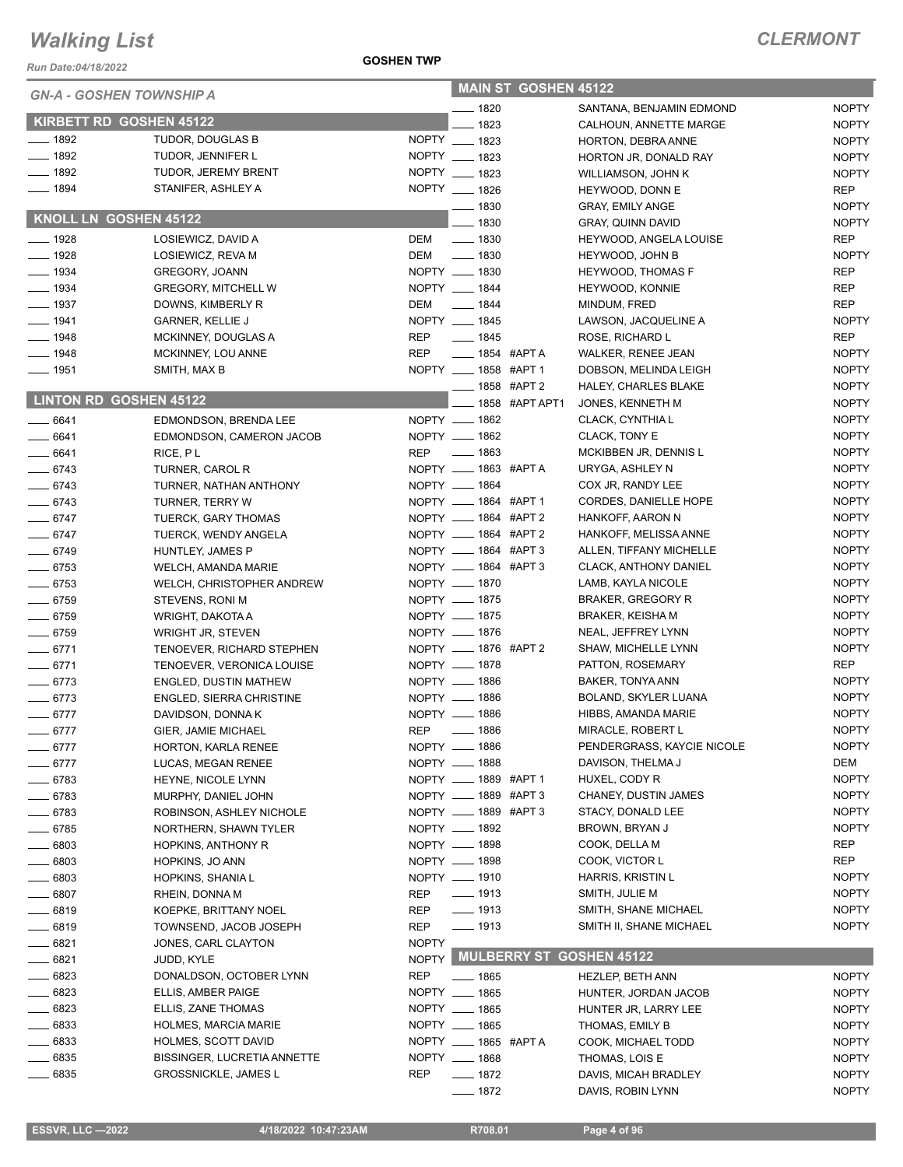*Run Date:04/18/2022*

#### **GOSHEN TWP**

| <b>GN-A - GOSHEN TOWNSHIP A</b> |                                                        |              |                                | <b>MAIN ST GOSHEN 45122</b> |                                           |                              |
|---------------------------------|--------------------------------------------------------|--------------|--------------------------------|-----------------------------|-------------------------------------------|------------------------------|
|                                 |                                                        |              | $- 1820$                       |                             | SANTANA, BENJAMIN EDMOND                  | <b>NOPTY</b>                 |
| KIRBETT RD GOSHEN 45122         |                                                        |              | $-1823$                        |                             | CALHOUN, ANNETTE MARGE                    | <b>NOPTY</b>                 |
| $- 1892$                        | TUDOR, DOUGLAS B                                       |              | NOPTY __ 1823                  |                             | HORTON, DEBRA ANNE                        | <b>NOPTY</b>                 |
| $- 1892$                        | TUDOR, JENNIFER L                                      |              | NOPTY __ 1823                  |                             | HORTON JR, DONALD RAY                     | <b>NOPTY</b>                 |
| $- 1892$                        | TUDOR, JEREMY BRENT                                    |              | NOPTY __ 1823                  |                             | WILLIAMSON, JOHN K                        | <b>NOPTY</b>                 |
| $- 1894$                        | STANIFER, ASHLEY A                                     |              | NOPTY __ 1826                  |                             | HEYWOOD, DONN E                           | <b>REP</b>                   |
| KNOLL LN GOSHEN 45122           |                                                        |              | __ 1830                        |                             | <b>GRAY, EMILY ANGE</b>                   | <b>NOPTY</b>                 |
|                                 |                                                        |              | $- 1830$                       |                             | <b>GRAY, QUINN DAVID</b>                  | <b>NOPTY</b>                 |
| $- 1928$                        | LOSIEWICZ, DAVID A                                     | DEM          | $\frac{1}{2}$ 1830             |                             | HEYWOOD, ANGELA LOUISE                    | REP                          |
| $\frac{1}{2}$ 1928              | LOSIEWICZ, REVA M                                      |              | DEM __ 1830                    |                             | HEYWOOD, JOHN B                           | <b>NOPTY</b>                 |
| $\frac{1}{2}$ 1934              | <b>GREGORY, JOANN</b>                                  |              | NOPTY __ 1830                  |                             | <b>HEYWOOD, THOMAS F</b>                  | <b>REP</b>                   |
| $- 1934$                        | <b>GREGORY, MITCHELL W</b>                             |              | NOPTY __ 1844                  |                             | HEYWOOD, KONNIE                           | <b>REP</b>                   |
| $\frac{1}{2}$ 1937              | DOWNS, KIMBERLY R                                      | DEM          | $\frac{1}{2}$ 1844             |                             | MINDUM, FRED                              | <b>REP</b>                   |
| $- 1941$                        | <b>GARNER, KELLIE J</b>                                |              | NOPTY __ 1845                  |                             | LAWSON, JACQUELINE A                      | <b>NOPTY</b>                 |
| $- 1948$                        | MCKINNEY, DOUGLAS A                                    | REP          | $- 1845$                       |                             | ROSE, RICHARD L                           | <b>REP</b>                   |
| $- 1948$                        | MCKINNEY, LOU ANNE                                     | <b>REP</b>   | $\frac{1}{2}$ 1854 #APT A      |                             | <b>WALKER, RENEE JEAN</b>                 | <b>NOPTY</b>                 |
| $\frac{1}{2}$ 1951              | SMITH, MAX B                                           |              | NOPTY __ 1858 #APT 1           |                             | DOBSON, MELINDA LEIGH                     | <b>NOPTY</b>                 |
| LINTON RD GOSHEN 45122          |                                                        |              | -858 #APT 2                    |                             | HALEY, CHARLES BLAKE                      | <b>NOPTY</b>                 |
|                                 |                                                        |              |                                | 1858 #APTAPT1               | JONES, KENNETH M                          | <b>NOPTY</b>                 |
| $- 6641$                        | EDMONDSON, BRENDA LEE                                  |              | NOPTY __ 1862                  |                             | CLACK, CYNTHIA L                          | <b>NOPTY</b>                 |
| $-6641$                         | EDMONDSON, CAMERON JACOB                               |              | NOPTY __ 1862                  |                             | CLACK, TONY E                             | <b>NOPTY</b>                 |
| $- 6641$                        | RICE, PL                                               |              | REP __ 1863                    |                             | MCKIBBEN JR, DENNIS L                     | <b>NOPTY</b>                 |
| $- 6743$                        | TURNER, CAROL R                                        |              | NOPTY __ 1863 #APTA            |                             | URYGA, ASHLEY N                           | <b>NOPTY</b>                 |
| $- 6743$                        | TURNER, NATHAN ANTHONY                                 |              | NOPTY __ 1864                  |                             | COX JR, RANDY LEE                         | <b>NOPTY</b>                 |
| $- 6743$                        | TURNER, TERRY W                                        |              | NOPTY __ 1864 #APT 1           |                             | CORDES, DANIELLE HOPE                     | <b>NOPTY</b>                 |
| $-6747$                         | TUERCK, GARY THOMAS                                    |              | NOPTY __ 1864 #APT 2           |                             | HANKOFF, AARON N                          | <b>NOPTY</b>                 |
| $- 6747$                        | TUERCK, WENDY ANGELA                                   |              | NOPTY __ 1864 #APT 2           |                             | HANKOFF, MELISSA ANNE                     | <b>NOPTY</b>                 |
| $- 6749$                        | HUNTLEY, JAMES P                                       |              | NOPTY __ 1864 #APT 3           |                             | ALLEN, TIFFANY MICHELLE                   | <b>NOPTY</b>                 |
| $- 6753$                        | WELCH, AMANDA MARIE                                    |              | NOPTY __ 1864 #APT 3           |                             | <b>CLACK, ANTHONY DANIEL</b>              | <b>NOPTY</b>                 |
| $- 6753$                        | WELCH, CHRISTOPHER ANDREW                              |              | NOPTY __ 1870                  |                             | LAMB, KAYLA NICOLE                        | <b>NOPTY</b>                 |
| $- 6759$                        | STEVENS, RONI M                                        |              | NOPTY __ 1875                  |                             | <b>BRAKER, GREGORY R</b>                  | <b>NOPTY</b>                 |
| $- 6759$                        | WRIGHT, DAKOTA A                                       |              | NOPTY __ 1875<br>NOPTY __ 1876 |                             | <b>BRAKER, KEISHA M</b>                   | <b>NOPTY</b><br><b>NOPTY</b> |
| $- 6759$                        | <b>WRIGHT JR, STEVEN</b>                               |              | NOPTY __ 1876 #APT 2           |                             | NEAL, JEFFREY LYNN<br>SHAW, MICHELLE LYNN | <b>NOPTY</b>                 |
| $-6771$<br>$- 6771$             | TENOEVER, RICHARD STEPHEN<br>TENOEVER, VERONICA LOUISE |              | NOPTY __ 1878                  |                             | PATTON, ROSEMARY                          | <b>REP</b>                   |
| $-6773$                         | <b>ENGLED, DUSTIN MATHEW</b>                           |              | NOPTY __ 1886                  |                             | <b>BAKER, TONYA ANN</b>                   | <b>NOPTY</b>                 |
| $- 6773$                        | ENGLED, SIERRA CHRISTINE                               |              | NOPTY __ 1886                  |                             | BOLAND, SKYLER LUANA                      | <b>NOPTY</b>                 |
| $- 6777$                        | DAVIDSON, DONNA K                                      |              | NOPTY __ 1886                  |                             | HIBBS, AMANDA MARIE                       | <b>NOPTY</b>                 |
| $- 6777$                        | GIER, JAMIE MICHAEL                                    | REP          | _____ 1886                     |                             | MIRACLE, ROBERT L                         | <b>NOPTY</b>                 |
| $-6777$                         | HORTON, KARLA RENEE                                    |              | NOPTY __ 1886                  |                             | PENDERGRASS, KAYCIE NICOLE                | <b>NOPTY</b>                 |
| $-6777$                         | LUCAS, MEGAN RENEE                                     |              | NOPTY __ 1888                  |                             | DAVISON, THELMA J                         | DEM                          |
| $-6783$                         | HEYNE, NICOLE LYNN                                     |              | NOPTY __ 1889 #APT 1           |                             | HUXEL, CODY R                             | <b>NOPTY</b>                 |
| $-6783$                         | MURPHY, DANIEL JOHN                                    |              | NOPTY __ 1889 #APT 3           |                             | CHANEY, DUSTIN JAMES                      | <b>NOPTY</b>                 |
| $- 6783$                        | ROBINSON, ASHLEY NICHOLE                               |              | NOPTY __ 1889 #APT 3           |                             | STACY, DONALD LEE                         | <b>NOPTY</b>                 |
| $-6785$                         | NORTHERN, SHAWN TYLER                                  |              | NOPTY __ 1892                  |                             | BROWN, BRYAN J                            | <b>NOPTY</b>                 |
| __ 6803                         | HOPKINS, ANTHONY R                                     |              | NOPTY __ 1898                  |                             | COOK, DELLA M                             | REP                          |
| 6803                            | HOPKINS, JO ANN                                        |              | NOPTY __ 1898                  |                             | COOK, VICTOR L                            | REP                          |
| 6803                            | HOPKINS, SHANIA L                                      |              | NOPTY __ 1910                  |                             | HARRIS, KRISTIN L                         | <b>NOPTY</b>                 |
| $-6807$                         | RHEIN, DONNA M                                         | REP          | $\frac{1}{2}$ 1913             |                             | SMITH, JULIE M                            | <b>NOPTY</b>                 |
| 6819                            | KOEPKE, BRITTANY NOEL                                  | REP          | $- 1913$                       |                             | SMITH, SHANE MICHAEL                      | <b>NOPTY</b>                 |
| __ 6819                         | TOWNSEND, JACOB JOSEPH                                 | REP          | $- 1913$                       |                             | SMITH II, SHANE MICHAEL                   | <b>NOPTY</b>                 |
| 6821                            | JONES, CARL CLAYTON                                    | <b>NOPTY</b> |                                |                             |                                           |                              |
| 6821                            | JUDD, KYLE                                             |              |                                |                             | NOPTY MULBERRY ST GOSHEN 45122            |                              |
| $- 6823$                        | DONALDSON, OCTOBER LYNN                                | <b>REP</b>   | ___ 1865                       |                             | <b>HEZLEP, BETH ANN</b>                   | <b>NOPTY</b>                 |
| $-6823$                         | ELLIS, AMBER PAIGE                                     |              | NOPTY __ 1865                  |                             | HUNTER, JORDAN JACOB                      | <b>NOPTY</b>                 |
| __ 6823                         | ELLIS, ZANE THOMAS                                     |              | NOPTY __ 1865                  |                             | HUNTER JR, LARRY LEE                      | <b>NOPTY</b>                 |
| $-6833$                         | <b>HOLMES, MARCIA MARIE</b>                            |              | NOPTY __ 1865                  |                             | THOMAS, EMILY B                           | <b>NOPTY</b>                 |
| 6833                            | <b>HOLMES, SCOTT DAVID</b>                             |              | NOPTY __ 1865 #APTA            |                             | COOK, MICHAEL TODD                        | <b>NOPTY</b>                 |
| 6835                            | <b>BISSINGER, LUCRETIA ANNETTE</b>                     |              | NOPTY __ 1868                  |                             | THOMAS, LOIS E                            | <b>NOPTY</b>                 |
| 6835                            | <b>GROSSNICKLE, JAMES L</b>                            | <b>REP</b>   | $- 1872$                       |                             | DAVIS, MICAH BRADLEY                      | <b>NOPTY</b>                 |
|                                 |                                                        |              | $- 1872$                       |                             | DAVIS, ROBIN LYNN                         | <b>NOPTY</b>                 |
|                                 |                                                        |              |                                |                             |                                           |                              |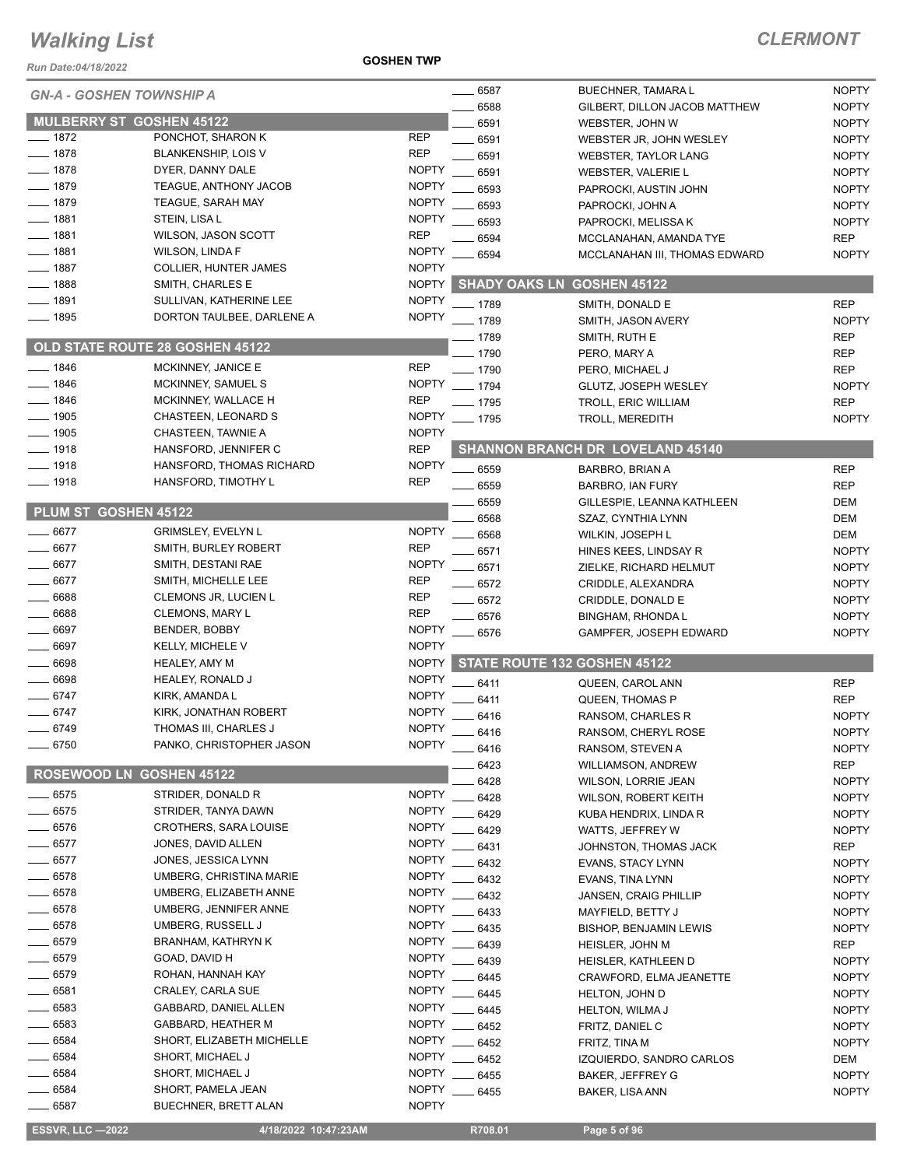*Run Date:04/18/2022*

**GOSHEN TWP**

#### *CLERMONT*

|                      | <b>GN-A - GOSHEN TOWNSHIP A</b>                   |                              | $- 6587$ | BUECHNER, TAMARA L                      | <b>NOPTY</b> |
|----------------------|---------------------------------------------------|------------------------------|----------|-----------------------------------------|--------------|
|                      |                                                   |                              | 6588     | GILBERT, DILLON JACOB MATTHEW           | <b>NOPTY</b> |
|                      | <b>MULBERRY ST GOSHEN 45122</b>                   |                              | 6591     | WEBSTER, JOHN W                         | <b>NOPTY</b> |
| $-1872$              | PONCHOT, SHARON K                                 | <b>REP</b>                   | 6591     | WEBSTER JR, JOHN WESLEY                 | <b>NOPTY</b> |
| $-1878$              | <b>BLANKENSHIP, LOIS V</b>                        | <b>REP</b>                   | 6591     | <b>WEBSTER, TAYLOR LANG</b>             | <b>NOPTY</b> |
| $-1878$              | DYER, DANNY DALE                                  | <b>NOPTY</b>                 | 6591     | WEBSTER, VALERIE L                      | <b>NOPTY</b> |
| $-1879$              | TEAGUE, ANTHONY JACOB                             | <b>NOPTY</b>                 | 6593     | PAPROCKI, AUSTIN JOHN                   | <b>NOPTY</b> |
| $-1879$              | <b>TEAGUE, SARAH MAY</b>                          | <b>NOPTY</b>                 | 6593     | PAPROCKI, JOHN A                        | <b>NOPTY</b> |
| $- 1881$             | STEIN, LISA L                                     | <b>NOPTY</b>                 | 6593     | PAPROCKI, MELISSA K                     | <b>NOPTY</b> |
| $-1881$              | <b>WILSON, JASON SCOTT</b>                        | <b>REP</b>                   | 6594     | MCCLANAHAN, AMANDA TYE                  | <b>REP</b>   |
| $-1881$              | <b>WILSON, LINDA F</b>                            | <b>NOPTY</b>                 | 6594     | MCCLANAHAN III, THOMAS EDWARD           | <b>NOPTY</b> |
| $-1887$              | <b>COLLIER, HUNTER JAMES</b>                      | <b>NOPTY</b>                 |          |                                         |              |
| $-1888$              | SMITH, CHARLES E                                  | <b>NOPTY</b>                 |          | <b>SHADY OAKS LN GOSHEN 45122</b>       |              |
| __ 1891              | SULLIVAN, KATHERINE LEE                           | <b>NOPTY</b>                 | $-1789$  | SMITH, DONALD E                         | <b>REP</b>   |
| $- 1895$             | DORTON TAULBEE, DARLENE A                         | <b>NOPTY</b>                 | $-1789$  |                                         | <b>NOPTY</b> |
|                      |                                                   |                              |          | SMITH, JASON AVERY                      |              |
|                      | <b>OLD STATE ROUTE 28 GOSHEN 45122</b>            |                              | _ 1789   | SMITH, RUTH E                           | <b>REP</b>   |
| $-1846$              | MCKINNEY, JANICE E                                | <b>REP</b>                   | $-1790$  | PERO, MARY A                            | <b>REP</b>   |
| 1846                 | MCKINNEY, SAMUEL S                                | <b>NOPTY</b>                 | $- 1790$ | PERO, MICHAEL J                         | <b>REP</b>   |
|                      |                                                   |                              | $- 1794$ | GLUTZ, JOSEPH WESLEY                    | <b>NOPTY</b> |
| $-1846$              | MCKINNEY, WALLACE H                               | <b>REP</b>                   | $- 1795$ | TROLL, ERIC WILLIAM                     | <b>REP</b>   |
| $-1905$              | CHASTEEN, LEONARD S                               | <b>NOPTY</b>                 | $- 1795$ | <b>TROLL, MEREDITH</b>                  | <b>NOPTY</b> |
| $-1905$              | CHASTEEN, TAWNIE A                                | <b>NOPTY</b>                 |          |                                         |              |
| $- 1918$             | HANSFORD, JENNIFER C                              | <b>REP</b>                   |          | <b>SHANNON BRANCH DR LOVELAND 45140</b> |              |
| $-1918$              | HANSFORD, THOMAS RICHARD                          | <b>NOPTY</b>                 | 6559     | BARBRO, BRIAN A                         | <b>REP</b>   |
| $-1918$              | HANSFORD, TIMOTHY L                               | <b>REP</b>                   | 6559     | BARBRO, IAN FURY                        | <b>REP</b>   |
|                      |                                                   |                              | 6559     | GILLESPIE, LEANNA KATHLEEN              | <b>DEM</b>   |
| PLUM ST GOSHEN 45122 |                                                   |                              | 6568     | SZAZ, CYNTHIA LYNN                      | <b>DEM</b>   |
| $-6677$              | <b>GRIMSLEY, EVELYN L</b>                         | <b>NOPTY</b>                 | 6568     | WILKIN, JOSEPH L                        | <b>DEM</b>   |
| $-6677$              | SMITH, BURLEY ROBERT                              | <b>REP</b>                   | 6571     | HINES KEES, LINDSAY R                   | <b>NOPTY</b> |
| $-6677$              | SMITH, DESTANI RAE                                | <b>NOPTY</b>                 | $-6571$  | ZIELKE, RICHARD HELMUT                  | <b>NOPTY</b> |
| 6677                 | SMITH, MICHELLE LEE                               | <b>REP</b>                   | $-6572$  | CRIDDLE, ALEXANDRA                      | <b>NOPTY</b> |
| 6688                 | CLEMONS JR, LUCIEN L                              | <b>REP</b>                   | .6572    | CRIDDLE, DONALD E                       | <b>NOPTY</b> |
| 6688                 | <b>CLEMONS, MARY L</b>                            | <b>REP</b>                   | . 6576   | BINGHAM, RHONDA L                       | <b>NOPTY</b> |
| 6697                 | BENDER, BOBBY                                     | <b>NOPTY</b>                 | 6576     | GAMPFER, JOSEPH EDWARD                  | <b>NOPTY</b> |
| 6697                 | KELLY, MICHELE V                                  | <b>NOPTY</b>                 |          |                                         |              |
| 6698                 | <b>HEALEY, AMY M</b>                              | <b>NOPTY</b>                 |          | STATE ROUTE 132 GOSHEN 45122            |              |
| 6698                 | <b>HEALEY, RONALD J</b>                           | <b>NOPTY</b>                 |          |                                         |              |
| $-6747$              | KIRK, AMANDA L                                    | <b>NOPTY</b>                 | $-6411$  | QUEEN, CAROL ANN                        | <b>REP</b>   |
| $-6747$              | KIRK, JONATHAN ROBERT                             | <b>NOPTY</b>                 | 6411     | QUEEN, THOMAS P                         | <b>REP</b>   |
| $-6749$              | THOMAS III, CHARLES J                             | <b>NOPTY</b>                 | 6416     | RANSOM, CHARLES R                       | <b>NOPTY</b> |
| $-6750$              | PANKO, CHRISTOPHER JASON                          | <b>NOPTY</b>                 | 6416     | RANSOM, CHERYL ROSE                     | <b>NOPTY</b> |
|                      |                                                   |                              | 6416     | RANSOM, STEVEN A                        | <b>NOPTY</b> |
|                      |                                                   |                              | 6423     | <b>WILLIAMSON, ANDREW</b>               |              |
|                      |                                                   |                              |          |                                         | <b>REP</b>   |
|                      | ROSEWOOD LN GOSHEN 45122                          |                              | 6428     | WILSON, LORRIE JEAN                     | <b>NOPTY</b> |
| $-6575$              | STRIDER, DONALD R                                 | <b>NOPTY</b>                 | 6428     | WILSON, ROBERT KEITH                    | <b>NOPTY</b> |
| 6575                 | STRIDER, TANYA DAWN                               | <b>NOPTY</b>                 | 6429     | KUBA HENDRIX, LINDA R                   | <b>NOPTY</b> |
| 6576                 | <b>CROTHERS, SARA LOUISE</b>                      | <b>NOPTY</b>                 | 6429     | WATTS, JEFFREY W                        | <b>NOPTY</b> |
| $-6577$              | JONES, DAVID ALLEN                                | <b>NOPTY</b>                 | 6431     | JOHNSTON, THOMAS JACK                   | <b>REP</b>   |
| $-6577$              | JONES, JESSICA LYNN                               | <b>NOPTY</b>                 | 6432     | <b>EVANS, STACY LYNN</b>                | <b>NOPTY</b> |
| $-6578$              | UMBERG, CHRISTINA MARIE                           | <b>NOPTY</b>                 | 6432     | EVANS, TINA LYNN                        | <b>NOPTY</b> |
| $-6578$              | UMBERG, ELIZABETH ANNE                            | <b>NOPTY</b>                 | 6432     | <b>JANSEN, CRAIG PHILLIP</b>            | <b>NOPTY</b> |
| $-6578$              | UMBERG, JENNIFER ANNE                             | <b>NOPTY</b>                 | 6433     | MAYFIELD, BETTY J                       | <b>NOPTY</b> |
| 6578                 | UMBERG, RUSSELL J                                 | <b>NOPTY</b>                 | 6435     | <b>BISHOP, BENJAMIN LEWIS</b>           | <b>NOPTY</b> |
| 6579                 | BRANHAM, KATHRYN K                                | <b>NOPTY</b>                 | 6439     |                                         |              |
| 6579                 | GOAD, DAVID H                                     | <b>NOPTY</b>                 |          | <b>HEISLER, JOHN M</b>                  | <b>REP</b>   |
| _ 6579               |                                                   | <b>NOPTY</b>                 | 6439     | HEISLER, KATHLEEN D                     | <b>NOPTY</b> |
|                      | ROHAN, HANNAH KAY                                 |                              | 6445     | CRAWFORD, ELMA JEANETTE                 | <b>NOPTY</b> |
| 6581                 | CRALEY, CARLA SUE                                 | <b>NOPTY</b>                 | 6445     | <b>HELTON, JOHN D</b>                   | <b>NOPTY</b> |
| 6583                 | GABBARD, DANIEL ALLEN                             | <b>NOPTY</b>                 | 6445     | HELTON, WILMA J                         | <b>NOPTY</b> |
| 6583                 | GABBARD, HEATHER M                                | <b>NOPTY</b>                 | 6452     | FRITZ, DANIEL C                         | <b>NOPTY</b> |
| 6584                 | SHORT, ELIZABETH MICHELLE                         | <b>NOPTY</b>                 | 6452     | FRITZ, TINA M                           | <b>NOPTY</b> |
| $-6584$              | SHORT, MICHAEL J                                  | <b>NOPTY</b>                 | 6452     | IZQUIERDO, SANDRO CARLOS                | DEM          |
| - 6584               | SHORT, MICHAEL J                                  | <b>NOPTY</b>                 | 6455     | <b>BAKER, JEFFREY G</b>                 | <b>NOPTY</b> |
| $-6584$<br>$-6587$   | SHORT, PAMELA JEAN<br><b>BUECHNER, BRETT ALAN</b> | <b>NOPTY</b><br><b>NOPTY</b> | 6455     | <b>BAKER, LISA ANN</b>                  | <b>NOPTY</b> |

**ESSVR, LLC -2022 4/18/2022 10:47:23AM** R708.01 **Page 5 of 96**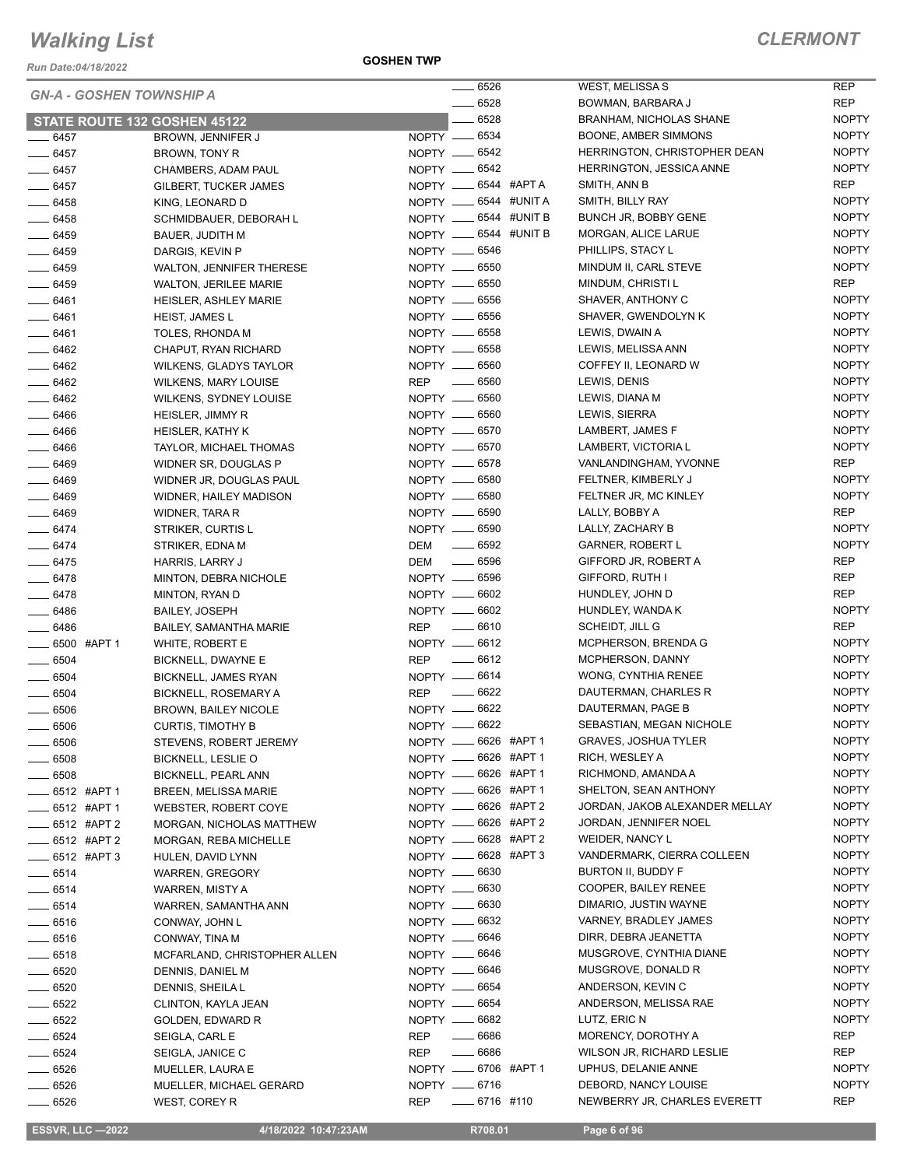*Run Date:04/18/2022*

**GOSHEN TWP**

|                         | <b>GN-A - GOSHEN TOWNSHIP A</b> |                               |                                            | $-6526$  |             |
|-------------------------|---------------------------------|-------------------------------|--------------------------------------------|----------|-------------|
|                         |                                 |                               |                                            | $-6528$  |             |
|                         |                                 | STATE ROUTE 132 GOSHEN 45122  |                                            | ___ 6528 |             |
| $- 6457$                |                                 | BROWN, JENNIFER J             | NOPTY __ 6534                              |          |             |
| $-6457$                 |                                 | BROWN, TONY R                 | NOPTY -6542                                |          |             |
| $- 6457$                |                                 | CHAMBERS, ADAM PAUL           | NOPTY __ 6542                              |          |             |
| $-6457$                 |                                 | GILBERT, TUCKER JAMES         | NOPTY __ 6544 #APTA                        |          |             |
| _____ 6458              |                                 | KING, LEONARD D               | NOPTY __ 6544 #UNIT A                      |          |             |
| $- 6458$                |                                 | SCHMIDBAUER, DEBORAH L        | NOPTY __ 6544 #UNIT B                      |          |             |
| $\frac{1}{2}$ 6459      |                                 | <b>BAUER, JUDITH M</b>        | NOPTY __ 6544 #UNIT B                      |          |             |
| $- 6459$                |                                 | DARGIS, KEVIN P               | NOPTY __ 6546                              |          |             |
| $- 6459$                |                                 | WALTON, JENNIFER THERESE      | NOPTY -6550                                |          |             |
| $-6459$                 |                                 | <b>WALTON, JERILEE MARIE</b>  | NOPTY -6550                                |          |             |
| $- 6461$                |                                 |                               | NOPTY __ 6556                              |          |             |
|                         |                                 | HEISLER, ASHLEY MARIE         | NOPTY -6556                                |          |             |
| $- 6461$                |                                 | HEIST, JAMES L                |                                            |          |             |
| $-6461$                 |                                 | TOLES, RHONDA M               | NOPTY __ 6558                              |          |             |
| $- 6462$                |                                 | CHAPUT, RYAN RICHARD          | NOPTY <u>_</u> 6558                        |          |             |
| $- 6462$                |                                 | WILKENS, GLADYS TAYLOR        | NOPTY <u>__</u> 6560                       |          |             |
| $-6462$                 |                                 | <b>WILKENS, MARY LOUISE</b>   | REP $-6560$                                |          |             |
| _ 6462                  |                                 | <b>WILKENS, SYDNEY LOUISE</b> | NOPTY __ 6560                              |          |             |
| $- 6466$                |                                 | <b>HEISLER, JIMMY R</b>       | NOPTY __ 6560                              |          |             |
| $- 6466$                |                                 | HEISLER, KATHY K              | NOPTY __ 6570                              |          |             |
| $- 6466$                |                                 | TAYLOR, MICHAEL THOMAS        | NOPTY __ 6570                              |          |             |
| $- 6469$                |                                 | WIDNER SR, DOUGLAS P          | NOPTY __ 6578                              |          |             |
| $- 6469$                |                                 | WIDNER JR, DOUGLAS PAUL       | NOPTY __ 6580                              |          |             |
| ____ 6469               |                                 | WIDNER, HAILEY MADISON        | NOPTY __ 6580                              |          |             |
| $- 6469$                |                                 | WIDNER, TARA R                | NOPTY __ 6590                              |          |             |
| $-6474$                 |                                 | STRIKER, CURTIS L             | NOPTY __ 6590                              |          |             |
| $-6474$                 |                                 | STRIKER, EDNA M               | DEM __ 6592                                |          |             |
| $-6475$                 |                                 | HARRIS, LARRY J               | DEM 	— 6596                                |          |             |
| $- 6478$                |                                 | MINTON, DEBRA NICHOLE         | NOPTY __ 6596                              |          |             |
| $- 6478$                |                                 | MINTON, RYAN D                | NOPTY <u>__</u> 6602                       |          |             |
| _ 6486                  |                                 | <b>BAILEY, JOSEPH</b>         | NOPTY __ 6602                              |          |             |
| $- 6486$                |                                 | BAILEY, SAMANTHA MARIE        | REP __ 6610                                |          |             |
| <b>6500 #APT1</b>       |                                 | WHITE, ROBERT E               | NOPTY -6612                                |          |             |
| $\frac{1}{2}$ 6504      |                                 | BICKNELL, DWAYNE E            | REP __ 6612                                |          |             |
| $\frac{1}{2}$ 6504      |                                 | BICKNELL, JAMES RYAN          | NOPTY __ 6614                              |          |             |
| $- 6504$                |                                 | <b>BICKNELL, ROSEMARY A</b>   | REP                                        | $- 6622$ |             |
| ____ 6506               |                                 | <b>BROWN, BAILEY NICOLE</b>   | NOPTY __ 6622                              |          |             |
| $-6506$                 |                                 | <b>CURTIS, TIMOTHY B</b>      | NOPTY -6622                                |          |             |
|                         |                                 |                               |                                            |          | 6626 #APT 1 |
| - 6506                  |                                 | STEVENS, ROBERT JEREMY        | NOPTY __<br>NOPTY __ 6626 #APT 1           |          |             |
| $\frac{1}{2}$ 6508      |                                 | BICKNELL, LESLIE O            |                                            |          |             |
| $- 6508$                |                                 | BICKNELL, PEARL ANN           | NOPTY __ 6626 #APT 1                       |          |             |
| <b>____ 6512 #APT 1</b> |                                 | BREEN, MELISSA MARIE          | NOPTY __ 6626 #APT 1                       |          |             |
| <b>____ 6512 #APT 1</b> |                                 | WEBSTER, ROBERT COYE          | NOPTY __ 6626 #APT 2                       |          |             |
| ____ 6512 #APT 2        |                                 | MORGAN, NICHOLAS MATTHEW      | NOPTY __ 6626 #APT 2<br>NOPTY -6628 #APT 2 |          |             |
| $-6512$ #APT 2          |                                 | MORGAN, REBA MICHELLE         |                                            |          |             |
| ____ 6512 #APT 3        |                                 | HULEN, DAVID LYNN             | NOPTY -6628 #APT 3                         |          |             |
| $- 6514$                |                                 | WARREN, GREGORY               | NOPTY __ 6630                              |          |             |
| $- 6514$                |                                 | WARREN, MISTY A               | NOPTY __ 6630                              |          |             |
| $-6514$                 |                                 | WARREN, SAMANTHA ANN          | NOPTY __ 6630                              |          |             |
| $- 6516$                |                                 | CONWAY, JOHN L                | NOPTY -6632                                |          |             |
| ____ 6516               |                                 | CONWAY, TINA M                | NOPTY __ 6646                              |          |             |
| $\_\_6518$              |                                 | MCFARLAND, CHRISTOPHER ALLEN  | NOPTY __ 6646                              |          |             |
| $-6520$                 |                                 | DENNIS, DANIEL M              | NOPTY __ 6646                              |          |             |
| $- 6520$                |                                 | DENNIS, SHEILA L              | NOPTY __ 6654                              |          |             |
| $- 6522$                |                                 | CLINTON, KAYLA JEAN           | NOPTY __ 6654                              |          |             |
| $- 6522$                |                                 | GOLDEN, EDWARD R              | NOPTY -6682                                |          |             |
| ____ 6524               |                                 | SEIGLA, CARL E                | REP __ 6686                                |          |             |
| $-6524$                 |                                 | SEIGLA, JANICE C              | REP __ 6686                                |          |             |
| $-6526$                 |                                 | MUELLER, LAURA E              | NOPTY __ 6706 #APT 1                       |          |             |
| $-6526$                 |                                 | MUELLER, MICHAEL GERARD       | NOPTY -6716                                |          |             |
| $- 6526$                |                                 | WEST, COREY R                 | REP _______ 6716 #110                      |          |             |

| 6526 |              | WEST, MELISSA S                     | <b>REP</b>                   |
|------|--------------|-------------------------------------|------------------------------|
| 6528 |              | BOWMAN, BARBARA J                   | REP                          |
| 6528 |              | <b>BRANHAM, NICHOLAS SHANE</b>      | <b>NOPTY</b>                 |
| 6534 |              | BOONE, AMBER SIMMONS                | <b>NOPTY</b>                 |
| 6542 |              | HERRINGTON, CHRISTOPHER DEAN        | <b>NOPTY</b>                 |
| 6542 |              | <b>HERRINGTON, JESSICA ANNE</b>     | <b>NOPTY</b>                 |
| 6544 | #APT A       | SMITH, ANN B                        | REP                          |
| 6544 | #UNIT A      | SMITH, BILLY RAY                    | <b>NOPTY</b>                 |
|      | 6544 #UNIT B | BUNCH JR, BOBBY GENE                | <b>NOPTY</b>                 |
|      | 6544 #UNIT B | MORGAN, ALICE LARUE                 | <b>NOPTY</b>                 |
| 6546 |              | PHILLIPS, STACY L                   | <b>NOPTY</b>                 |
| 6550 |              | MINDUM II, CARL STEVE               | <b>NOPTY</b>                 |
| 6550 |              | MINDUM. CHRISTI L                   | REP                          |
| 6556 |              | SHAVER, ANTHONY C                   | <b>NOPTY</b>                 |
| 6556 |              | SHAVER, GWENDOLYN K                 | <b>NOPTY</b>                 |
| 6558 |              | LEWIS, DWAIN A                      | <b>NOPTY</b>                 |
| 6558 |              | LEWIS, MELISSA ANN                  | <b>NOPTY</b>                 |
| 6560 |              | COFFEY II, LEONARD W                | <b>NOPTY</b>                 |
| 6560 |              | LEWIS, DENIS                        | <b>NOPTY</b>                 |
| 6560 |              | LEWIS, DIANA M                      | <b>NOPTY</b>                 |
| 6560 |              | LEWIS, SIERRA                       | <b>NOPTY</b>                 |
| 6570 |              | LAMBERT, JAMES F                    | <b>NOPTY</b>                 |
| 6570 |              | LAMBERT, VICTORIA L                 | <b>NOPTY</b>                 |
| 6578 |              | VANLANDINGHAM, YVONNE               | REP                          |
| 6580 |              | FELTNER, KIMBERLY J                 | <b>NOPTY</b>                 |
| 6580 |              | FELTNER JR, MC KINLEY               | <b>NOPTY</b>                 |
| 6590 |              | LALLY, BOBBY A                      | REP                          |
| 6590 |              | LALLY, ZACHARY B                    | <b>NOPTY</b>                 |
| 6592 |              | <b>GARNER, ROBERT L</b>             | <b>NOPTY</b>                 |
| 6596 |              | GIFFORD JR, ROBERT A                | <b>REP</b>                   |
| 6596 |              | GIFFORD, RUTH I                     | REP                          |
| 6602 |              | HUNDLEY, JOHN D                     | <b>REP</b>                   |
| 6602 |              |                                     | <b>NOPTY</b>                 |
| 6610 |              | HUNDLEY, WANDA K<br>SCHEIDT, JILL G | REP                          |
|      |              | MCPHERSON, BRENDA G                 |                              |
| 6612 |              |                                     | <b>NOPTY</b><br><b>NOPTY</b> |
| 6612 |              | MCPHERSON, DANNY                    |                              |
| 6614 |              | <b>WONG, CYNTHIA RENEE</b>          | <b>NOPTY</b>                 |
| 6622 |              | DAUTERMAN, CHARLES R                | <b>NOPTY</b>                 |
| 6622 |              | DAUTERMAN, PAGE B                   | <b>NOPTY</b>                 |
| 6622 |              | <b>SEBASTIAN, MEGAN NICHOLE</b>     | <b>NOPTY</b>                 |
|      | 6626 #APT1   | <b>GRAVES, JOSHUA TYLER</b>         | NOPTY                        |
|      | 6626 #APT1   | RICH, WESLEY A                      | NOPTY                        |
|      | 6626 #APT 1  | RICHMOND, AMANDA A                  | <b>NOPTY</b>                 |
|      | 6626 #APT 1  | SHELTON, SEAN ANTHONY               | <b>NOPTY</b>                 |
|      | 6626 #APT 2  | JORDAN, JAKOB ALEXANDER MELLAY      | <b>NOPTY</b>                 |
|      | 6626 #APT 2  | JORDAN, JENNIFER NOEL               | <b>NOPTY</b>                 |
|      | 6628 #APT 2  | <b>WEIDER, NANCY L</b>              | <b>NOPTY</b>                 |
| 6628 | #APT 3       | VANDERMARK, CIERRA COLLEEN          | NOPTY                        |
| 6630 |              | BURTON II, BUDDY F                  | <b>NOPTY</b>                 |
| 6630 |              | COOPER, BAILEY RENEE                | <b>NOPTY</b>                 |
| 6630 |              | DIMARIO, JUSTIN WAYNE               | <b>NOPTY</b>                 |
| 6632 |              | VARNEY, BRADLEY JAMES               | <b>NOPTY</b>                 |
| 6646 |              | DIRR, DEBRA JEANETTA                | <b>NOPTY</b>                 |
| 6646 |              | MUSGROVE, CYNTHIA DIANE             | <b>NOPTY</b>                 |
| 6646 |              | MUSGROVE, DONALD R                  | NOPTY                        |
| 6654 |              | ANDERSON, KEVIN C                   | <b>NOPTY</b>                 |
| 6654 |              | ANDERSON, MELISSA RAE               | <b>NOPTY</b>                 |
| 6682 |              | LUTZ, ERIC N                        | <b>NOPTY</b>                 |
| 6686 |              | MORENCY, DOROTHY A                  | REP                          |
| 6686 |              | WILSON JR, RICHARD LESLIE           | REP                          |
| 6706 | #APT 1       | UPHUS, DELANIE ANNE                 | <b>NOPTY</b>                 |
| 6716 |              | DEBORD, NANCY LOUISE                | NOPTY                        |
|      | 6716 #110    | NEWBERRY JR, CHARLES EVERETT        | REP                          |

 **ESSVR, LLC —2022 4/18/2022 10:47:23AM R708.01 Page 6 of 96**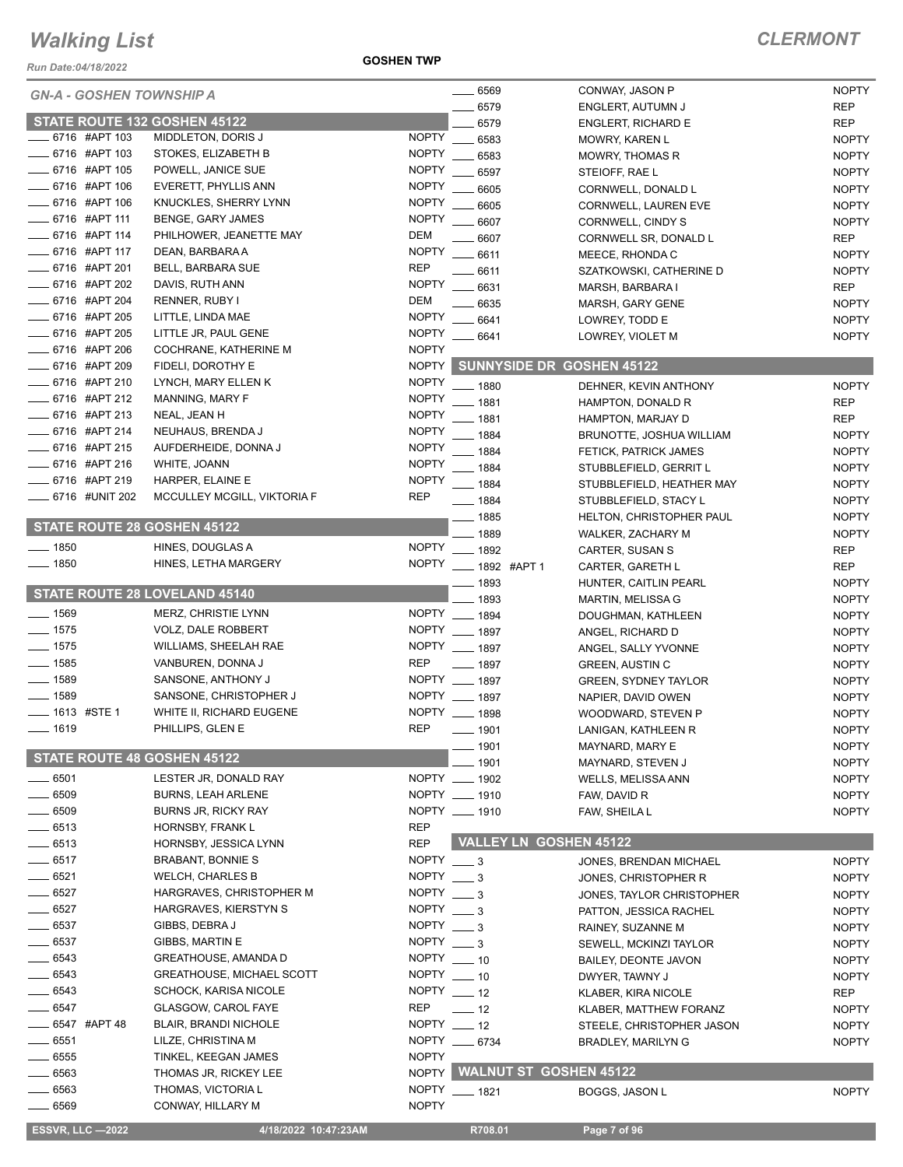*Run Date:04/18/2022*

**GOSHEN TWP**

| <b>GN-A - GOSHEN TOWNSHIP A</b>      |                                  |                   | 6569                             | CONWAY, JASON P             | <b>NOPTY</b> |
|--------------------------------------|----------------------------------|-------------------|----------------------------------|-----------------------------|--------------|
|                                      |                                  |                   | 6579                             | ENGLERT, AUTUMN J           | <b>REP</b>   |
| STATE ROUTE 132 GOSHEN 45122         |                                  |                   | 6579                             | <b>ENGLERT, RICHARD E</b>   | <b>REP</b>   |
| 6716 #APT 103                        | MIDDLETON, DORIS J               | <b>NOPTY</b>      | 6583                             | <b>MOWRY, KAREN L</b>       | <b>NOPTY</b> |
| _ 6716 #APT 103                      | STOKES, ELIZABETH B              | <b>NOPTY</b>      | 6583                             | <b>MOWRY, THOMAS R</b>      | <b>NOPTY</b> |
| 6716 #APT 105                        | POWELL, JANICE SUE               | <b>NOPTY</b>      | 6597                             | STEIOFF, RAE L              | <b>NOPTY</b> |
| 6716 #APT 106                        | EVERETT, PHYLLIS ANN             | <b>NOPTY</b>      | 6605                             | CORNWELL, DONALD L          | <b>NOPTY</b> |
| _ 6716 #APT 106                      | KNUCKLES, SHERRY LYNN            | <b>NOPTY</b>      | 6605                             | CORNWELL, LAUREN EVE        | <b>NOPTY</b> |
| 6716 #APT 111                        | <b>BENGE, GARY JAMES</b>         | <b>NOPTY</b>      | 6607                             | <b>CORNWELL, CINDY S</b>    | <b>NOPTY</b> |
| 6716 #APT 114                        | PHILHOWER, JEANETTE MAY          | <b>DEM</b>        | 6607                             | CORNWELL SR, DONALD L       | <b>REP</b>   |
| 6716 #APT 117                        | DEAN, BARBARA A                  | <b>NOPTY</b>      | 6611                             | MEECE, RHONDA C             | <b>NOPTY</b> |
| 6716 #APT 201                        | <b>BELL, BARBARA SUE</b>         | <b>REP</b>        | $-6611$                          | SZATKOWSKI, CATHERINE D     | <b>NOPTY</b> |
| 6716 #APT 202                        | DAVIS, RUTH ANN                  | <b>NOPTY</b>      | 6631                             | MARSH, BARBARA I            | <b>REP</b>   |
| 6716 #APT 204                        | RENNER, RUBY I                   | <b>DEM</b>        | 6635                             | MARSH, GARY GENE            | <b>NOPTY</b> |
| _6716 #APT 205                       | LITTLE, LINDA MAE                | <b>NOPTY</b>      | 6641                             | LOWREY, TODD E              | <b>NOPTY</b> |
| 6716 #APT 205                        | LITTLE JR, PAUL GENE             | <b>NOPTY</b>      | $-6641$                          | LOWREY, VIOLET M            | <b>NOPTY</b> |
| 6716 #APT 206                        | COCHRANE, KATHERINE M            | <b>NOPTY</b>      |                                  |                             |              |
| 6716 #APT 209                        | FIDELI, DOROTHY E                | NOPTY             | <b>SUNNYSIDE DR GOSHEN 45122</b> |                             |              |
| 6716 #APT 210                        | LYNCH, MARY ELLEN K              | <b>NOPTY</b>      | $-1880$                          | DEHNER, KEVIN ANTHONY       | <b>NOPTY</b> |
| 6716 #APT 212                        | MANNING, MARY F                  | <b>NOPTY</b>      | 1881                             | HAMPTON, DONALD R           | <b>REP</b>   |
| 6716 #APT 213                        | NEAL, JEAN H                     | <b>NOPTY</b>      | 1881                             | HAMPTON, MARJAY D           | <b>REP</b>   |
| 6716 #APT 214                        | NEUHAUS, BRENDA J                | <b>NOPTY</b>      | 1884                             | BRUNOTTE, JOSHUA WILLIAM    | <b>NOPTY</b> |
| $-6716$ #APT 215                     | AUFDERHEIDE, DONNA J             | <b>NOPTY</b>      | 1884                             |                             |              |
| 6716 #APT 216                        | WHITE, JOANN                     | <b>NOPTY</b>      |                                  | FETICK, PATRICK JAMES       | <b>NOPTY</b> |
| 6716 #APT 219                        | HARPER, ELAINE E                 | <b>NOPTY</b>      | 1884                             | STUBBLEFIELD, GERRIT L      | <b>NOPTY</b> |
| 6716 #UNIT 202                       | MCCULLEY MCGILL, VIKTORIA F      | <b>REP</b>        | $-1884$                          | STUBBLEFIELD, HEATHER MAY   | <b>NOPTY</b> |
|                                      |                                  |                   | $- 1884$                         | STUBBLEFIELD, STACY L       | <b>NOPTY</b> |
| STATE ROUTE 28 GOSHEN 45122          |                                  |                   | $- 1885$                         | HELTON, CHRISTOPHER PAUL    | <b>NOPTY</b> |
|                                      |                                  |                   | 1889                             | WALKER, ZACHARY M           | <b>NOPTY</b> |
| $- 1850$                             | HINES, DOUGLAS A                 | NOPTY             | 1892                             | CARTER, SUSAN S             | <b>REP</b>   |
| $\frac{1}{2}$ 1850                   | HINES, LETHA MARGERY             | <b>NOPTY</b>      | -892 #APT 1                      | CARTER, GARETH L            | <b>REP</b>   |
|                                      |                                  |                   | 1893                             | HUNTER, CAITLIN PEARL       | <b>NOPTY</b> |
| <b>STATE ROUTE 28 LOVELAND 45140</b> |                                  |                   | 1893                             | MARTIN, MELISSA G           | <b>NOPTY</b> |
| $- 1569$                             | MERZ, CHRISTIE LYNN              |                   | NOPTY __ 1894                    | DOUGHMAN, KATHLEEN          | <b>NOPTY</b> |
| $- 1575$                             | VOLZ, DALE ROBBERT               |                   | NOPTY __ 1897                    | ANGEL, RICHARD D            | <b>NOPTY</b> |
| $- 1575$                             | <b>WILLIAMS, SHEELAH RAE</b>     |                   | NOPTY __ 1897                    | ANGEL, SALLY YVONNE         | <b>NOPTY</b> |
| $- 1585$                             | VANBUREN, DONNA J                | <b>REP</b>        | $- 1897$                         | <b>GREEN, AUSTIN C</b>      | <b>NOPTY</b> |
| $- 1589$                             | SANSONE, ANTHONY J               |                   | NOPTY __ 1897                    | GREEN, SYDNEY TAYLOR        | <b>NOPTY</b> |
| $- 1589$                             | SANSONE, CHRISTOPHER J           |                   | NOPTY __ 1897                    | NAPIER, DAVID OWEN          | <b>NOPTY</b> |
| $\frac{1}{2}$ 1613 #STE 1            | WHITE II, RICHARD EUGENE         |                   | NOPTY __ 1898                    | WOODWARD, STEVEN P          | <b>NOPTY</b> |
| $\frac{1}{1619}$                     | PHILLIPS, GLEN E                 | <b>REP</b>        | 1901                             | LANIGAN, KATHLEEN R         | <b>NOPTY</b> |
|                                      |                                  |                   | 1901                             | MAYNARD, MARY E             | <b>NOPTY</b> |
| STATE ROUTE 48 GOSHEN 45122          |                                  |                   | 1901                             | MAYNARD, STEVEN J           | <b>NOPTY</b> |
| $-6501$                              | LESTER JR, DONALD RAY            |                   | NOPTY __ 1902                    | WELLS, MELISSA ANN          | <b>NOPTY</b> |
| 6509                                 | <b>BURNS, LEAH ARLENE</b>        |                   | NOPTY __ 1910                    | FAW, DAVID R                | <b>NOPTY</b> |
| 6509                                 | <b>BURNS JR, RICKY RAY</b>       |                   | NOPTY __ 1910                    | FAW, SHEILA L               | <b>NOPTY</b> |
| $-6513$                              | HORNSBY, FRANK L                 | <b>REP</b>        |                                  |                             |              |
| $-6513$                              | HORNSBY, JESSICA LYNN            | <b>REP</b>        | <b>VALLEY LN GOSHEN 45122</b>    |                             |              |
| $-6517$                              |                                  |                   |                                  |                             |              |
|                                      | BRABANT, BONNIE S                | $NOPTY$ ___ 3     |                                  | JONES, BRENDAN MICHAEL      | <b>NOPTY</b> |
| $- 6521$                             | <b>WELCH, CHARLES B</b>          | NOPTY $-3$        |                                  | JONES, CHRISTOPHER R        | <b>NOPTY</b> |
| $-6527$                              | HARGRAVES, CHRISTOPHER M         | $NOPTY = 3$       |                                  | JONES, TAYLOR CHRISTOPHER   | <b>NOPTY</b> |
| $- 6527$                             | HARGRAVES, KIERSTYN S            | NOPTY $\_\_3$     |                                  | PATTON, JESSICA RACHEL      | <b>NOPTY</b> |
| $- 6537$                             | GIBBS, DEBRA J                   | $NOPTY$ $\_\_3$   |                                  | RAINEY, SUZANNE M           | <b>NOPTY</b> |
| $\frac{1}{2}$ 6537                   | GIBBS, MARTIN E                  | NOPTY $\_\_\$ 3   |                                  | SEWELL, MCKINZI TAYLOR      | <b>NOPTY</b> |
| $- 6543$                             | <b>GREATHOUSE, AMANDA D</b>      | NOPTY $-10$       |                                  | <b>BAILEY, DEONTE JAVON</b> | <b>NOPTY</b> |
| 6543                                 | <b>GREATHOUSE, MICHAEL SCOTT</b> | $NOPTY$ $\_\_$ 10 |                                  | DWYER, TAWNY J              | <b>NOPTY</b> |
| 6543                                 | SCHOCK, KARISA NICOLE            | NOPTY $-12$       |                                  | KLABER, KIRA NICOLE         | REP          |
| $-6547$                              | GLASGOW, CAROL FAYE              | REP               | $\frac{1}{2}$ 12                 | KLABER, MATTHEW FORANZ      | <b>NOPTY</b> |
| _ 6547   #APT 48                     | <b>BLAIR, BRANDI NICHOLE</b>     | NOPTY $-12$       |                                  | STEELE, CHRISTOPHER JASON   | <b>NOPTY</b> |
| $-6551$                              | LILZE, CHRISTINA M               |                   | NOPTY __ 6734                    | <b>BRADLEY, MARILYN G</b>   | <b>NOPTY</b> |
| 6555                                 | TINKEL, KEEGAN JAMES             | <b>NOPTY</b>      |                                  |                             |              |
| $= 6563$                             | THOMAS JR, RICKEY LEE            | <b>NOPTY</b>      | <b>WALNUT ST GOSHEN 45122</b>    |                             |              |
| 6563                                 | THOMAS, VICTORIA L               | <b>NOPTY</b>      | $- 1821$                         | BOGGS, JASON L              | <b>NOPTY</b> |
| $-6569$                              | CONWAY, HILLARY M                | <b>NOPTY</b>      |                                  |                             |              |
|                                      |                                  |                   |                                  |                             |              |
| <b>ESSVR, LLC -2022</b>              | 4/18/2022 10:47:23AM             |                   | R708.01                          | Page 7 of 96                |              |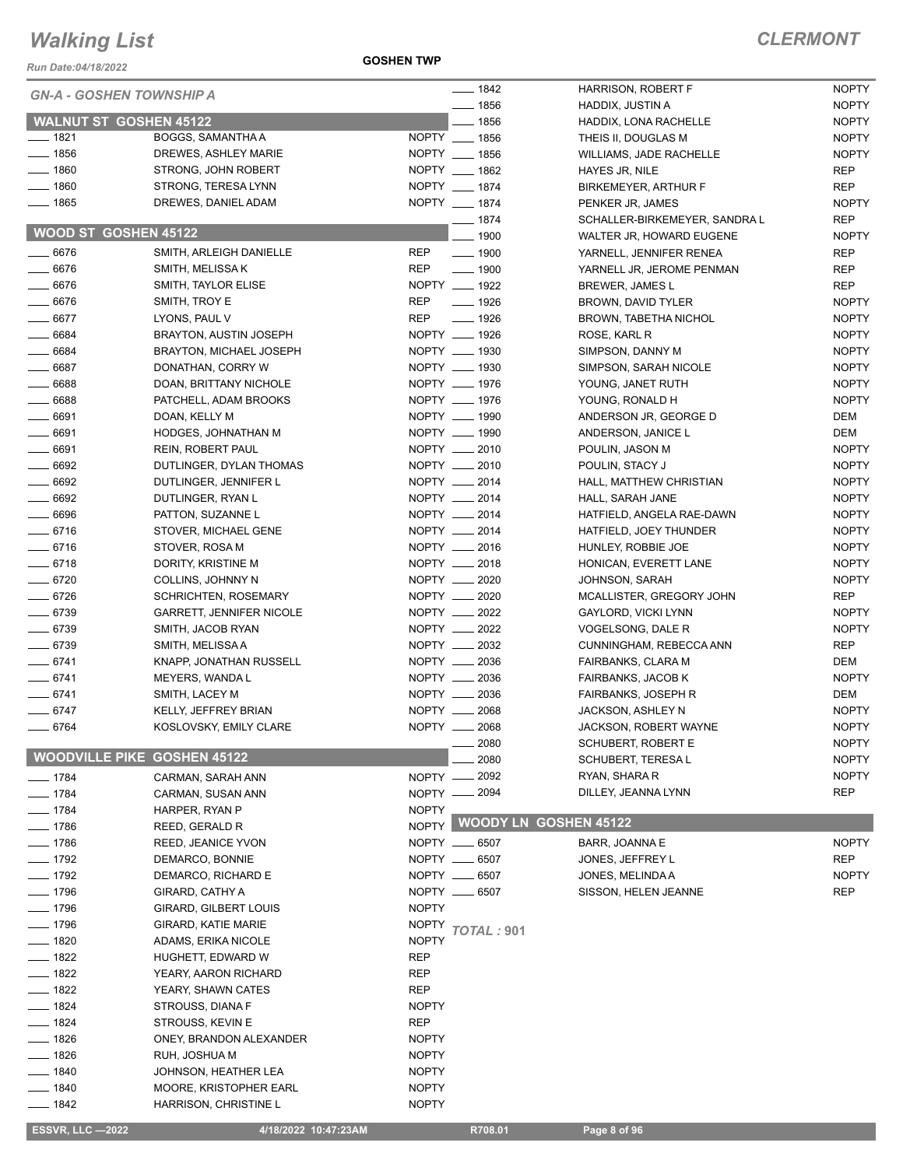*Run Date:04/18/2022*

**GOSHEN TWP**

| run Dale.04/10/∠022                |                                 |              |                              |                                           |                              |
|------------------------------------|---------------------------------|--------------|------------------------------|-------------------------------------------|------------------------------|
| <b>GN-A - GOSHEN TOWNSHIP A</b>    |                                 |              | $- 1842$                     | <b>HARRISON, ROBERT F</b>                 | <b>NOPTY</b>                 |
| <b>WALNUT ST GOSHEN 45122</b>      |                                 |              | $- 1856$<br>$-1856$          | HADDIX, JUSTIN A<br>HADDIX, LONA RACHELLE | <b>NOPTY</b><br><b>NOPTY</b> |
| $- 1821$                           | BOGGS, SAMANTHA A               |              | NOPTY __ 1856                | THEIS II, DOUGLAS M                       | <b>NOPTY</b>                 |
| $- 1856$                           | DREWES, ASHLEY MARIE            |              | NOPTY __ 1856                | WILLIAMS, JADE RACHELLE                   | <b>NOPTY</b>                 |
| $- 1860$                           | STRONG, JOHN ROBERT             |              | NOPTY __ 1862                | HAYES JR, NILE                            | <b>REP</b>                   |
| $- 1860$                           | STRONG, TERESA LYNN             |              | NOPTY __ 1874                | BIRKEMEYER, ARTHUR F                      | <b>REP</b>                   |
| $- 1865$                           | DREWES, DANIEL ADAM             |              | NOPTY __ 1874                | PENKER JR, JAMES                          | <b>NOPTY</b>                 |
|                                    |                                 |              | $- 1874$                     | SCHALLER-BIRKEMEYER, SANDRA L             | <b>REP</b>                   |
| WOOD ST GOSHEN 45122               |                                 |              | $-1900$                      | WALTER JR, HOWARD EUGENE                  | <b>NOPTY</b>                 |
| $- 6676$                           | SMITH, ARLEIGH DANIELLE         | <b>REP</b>   | $\frac{1}{2}$ 1900           | YARNELL, JENNIFER RENEA                   | <b>REP</b>                   |
| $- 6676$                           | SMITH, MELISSA K                | <b>REP</b>   | $- 1900$                     | YARNELL JR, JEROME PENMAN                 | <b>REP</b>                   |
| $- 6676$                           | SMITH, TAYLOR ELISE             |              | NOPTY __ 1922                | <b>BREWER, JAMES L</b>                    | <b>REP</b>                   |
| 6676                               | SMITH, TROY E                   | <b>REP</b>   | $- 1926$                     | BROWN, DAVID TYLER                        | <b>NOPTY</b>                 |
| $- 6677$                           | LYONS, PAUL V                   | <b>REP</b>   | <u>______</u> 1926           | <b>BROWN, TABETHA NICHOL</b>              | <b>NOPTY</b>                 |
| 6684                               | BRAYTON, AUSTIN JOSEPH          |              | NOPTY __ 1926                | ROSE, KARL R                              | <b>NOPTY</b>                 |
| $- 6684$                           | <b>BRAYTON, MICHAEL JOSEPH</b>  |              | NOPTY __ 1930                | SIMPSON, DANNY M                          | <b>NOPTY</b>                 |
| $- 6687$                           | DONATHAN, CORRY W               |              | NOPTY __ 1930                | SIMPSON, SARAH NICOLE                     | <b>NOPTY</b>                 |
| 6688                               | DOAN, BRITTANY NICHOLE          |              | NOPTY __ 1976                | YOUNG, JANET RUTH                         | <b>NOPTY</b>                 |
| $- 6688$                           | PATCHELL, ADAM BROOKS           |              | NOPTY __ 1976                | YOUNG, RONALD H                           | <b>NOPTY</b>                 |
| $- 6691$                           | DOAN, KELLY M                   |              | NOPTY __ 1990                | ANDERSON JR, GEORGE D                     | DEM                          |
| $- 6691$                           | HODGES, JOHNATHAN M             |              | NOPTY __ 1990                | ANDERSON, JANICE L                        | DEM                          |
| $- 6691$                           | <b>REIN, ROBERT PAUL</b>        |              | NOPTY __ 2010                | POULIN, JASON M                           | <b>NOPTY</b>                 |
| 6692                               | DUTLINGER, DYLAN THOMAS         |              | NOPTY __ 2010                | POULIN, STACY J                           | <b>NOPTY</b>                 |
| $- 6692$                           | DUTLINGER, JENNIFER L           |              | NOPTY __ 2014                | HALL, MATTHEW CHRISTIAN                   | <b>NOPTY</b>                 |
| $- 6692$                           | DUTLINGER, RYAN L               |              | NOPTY __ 2014                | HALL, SARAH JANE                          | <b>NOPTY</b>                 |
| $\frac{1}{2}$ 6696                 | PATTON, SUZANNE L               |              | NOPTY __ 2014                | HATFIELD, ANGELA RAE-DAWN                 | <b>NOPTY</b>                 |
| $- 6716$                           | STOVER, MICHAEL GENE            |              | NOPTY __ 2014                | HATFIELD, JOEY THUNDER                    | <b>NOPTY</b>                 |
| $- 6716$                           | STOVER, ROSA M                  |              | NOPTY __ 2016                | HUNLEY, ROBBIE JOE                        | <b>NOPTY</b>                 |
| $-6718$                            | DORITY, KRISTINE M              |              | NOPTY __ 2018                | HONICAN, EVERETT LANE                     | <b>NOPTY</b>                 |
| $- 6720$                           | COLLINS, JOHNNY N               |              | NOPTY __ 2020                | <b>JOHNSON, SARAH</b>                     | <b>NOPTY</b>                 |
| $- 6726$                           | <b>SCHRICHTEN, ROSEMARY</b>     |              | NOPTY __ 2020                | MCALLISTER, GREGORY JOHN                  | REP                          |
| $- 6739$                           | <b>GARRETT, JENNIFER NICOLE</b> |              | NOPTY __ 2022                | GAYLORD, VICKI LYNN                       | <b>NOPTY</b>                 |
| $- 6739$                           | SMITH, JACOB RYAN               |              | NOPTY __ 2022                | VOGELSONG, DALE R                         | <b>NOPTY</b>                 |
| $- 6739$                           | SMITH, MELISSA A                |              | NOPTY __ 2032                | CUNNINGHAM, REBECCA ANN                   | <b>REP</b>                   |
| $-6741$                            | KNAPP, JONATHAN RUSSELL         |              | NOPTY __ 2036                | FAIRBANKS, CLARA M                        | DEM                          |
| $-6741$                            | MEYERS, WANDA L                 |              | NOPTY __ 2036                | FAIRBANKS, JACOB K                        | <b>NOPTY</b>                 |
| $- 6741$                           | SMITH, LACEY M                  |              | NOPTY __ 2036                | FAIRBANKS, JOSEPH R                       | DEM                          |
| $-6747$                            | KELLY, JEFFREY BRIAN            | NOPTY __     | 2068                         | JACKSON, ASHLEY N                         | <b>NOPTY</b>                 |
| 6764                               | KOSLOVSKY, EMILY CLARE          | $N$ OPTY $-$ | 2068                         | JACKSON, ROBERT WAYNE                     | <b>NOPTY</b>                 |
|                                    |                                 |              | 2080                         | <b>SCHUBERT, ROBERT E</b>                 | <b>NOPTY</b>                 |
| <b>WOODVILLE PIKE GOSHEN 45122</b> |                                 |              | 2080                         | SCHUBERT, TERESA L                        | <b>NOPTY</b>                 |
| $- 1784$                           | CARMAN, SARAH ANN               | NOPTY -      | $-2092$                      | RYAN, SHARA R                             | <b>NOPTY</b>                 |
| $- 1784$                           | CARMAN, SUSAN ANN               |              | NOPTY __ 2094                | DILLEY, JEANNA LYNN                       | <b>REP</b>                   |
| $-1784$                            | HARPER, RYAN P                  | <b>NOPTY</b> |                              |                                           |                              |
| $- 1786$                           | REED, GERALD R                  | <b>NOPTY</b> | <b>WOODY LN GOSHEN 45122</b> |                                           |                              |
| $- 1786$                           | REED, JEANICE YVON              |              | NOPTY __ 6507                | BARR, JOANNA E                            | <b>NOPTY</b>                 |
| $- 1792$                           | DEMARCO, BONNIE                 |              | NOPTY __ 6507                | JONES, JEFFREY L                          | <b>REP</b>                   |
| $- 1792$                           | DEMARCO, RICHARD E              |              | NOPTY __ 6507                | JONES, MELINDA A                          | <b>NOPTY</b>                 |
| ___ 1796                           | GIRARD, CATHY A                 |              | NOPTY __ 6507                | SISSON, HELEN JEANNE                      | REP                          |
| $- 1796$                           | <b>GIRARD, GILBERT LOUIS</b>    | <b>NOPTY</b> |                              |                                           |                              |
| $- 1796$                           | GIRARD, KATIE MARIE             | <b>NOPTY</b> | <b>TOTAL: 901</b>            |                                           |                              |
| __ 1820                            | ADAMS, ERIKA NICOLE             | <b>NOPTY</b> |                              |                                           |                              |
| $- 1822$                           | HUGHETT, EDWARD W               | <b>REP</b>   |                              |                                           |                              |
| $- 1822$                           | YEARY, AARON RICHARD            | <b>REP</b>   |                              |                                           |                              |
| $- 1822$                           | YEARY, SHAWN CATES              | REP          |                              |                                           |                              |
| $-1824$                            | STROUSS, DIANA F                | <b>NOPTY</b> |                              |                                           |                              |
| _ 1824                             | STROUSS, KEVIN E                | REP          |                              |                                           |                              |
| $-1826$                            | ONEY, BRANDON ALEXANDER         | <b>NOPTY</b> |                              |                                           |                              |
| $-1826$                            | RUH, JOSHUA M                   | <b>NOPTY</b> |                              |                                           |                              |
| $-1840$                            | JOHNSON, HEATHER LEA            | <b>NOPTY</b> |                              |                                           |                              |
| $- 1840$                           | MOORE, KRISTOPHER EARL          | <b>NOPTY</b> |                              |                                           |                              |
| —— 1842                            | HARRISON, CHRISTINE L           | <b>NOPTY</b> |                              |                                           |                              |
| <b>ESSVR, LLC -2022</b>            | 4/18/2022 10:47:23AM            |              | R708.01                      | Page 8 of 96                              |                              |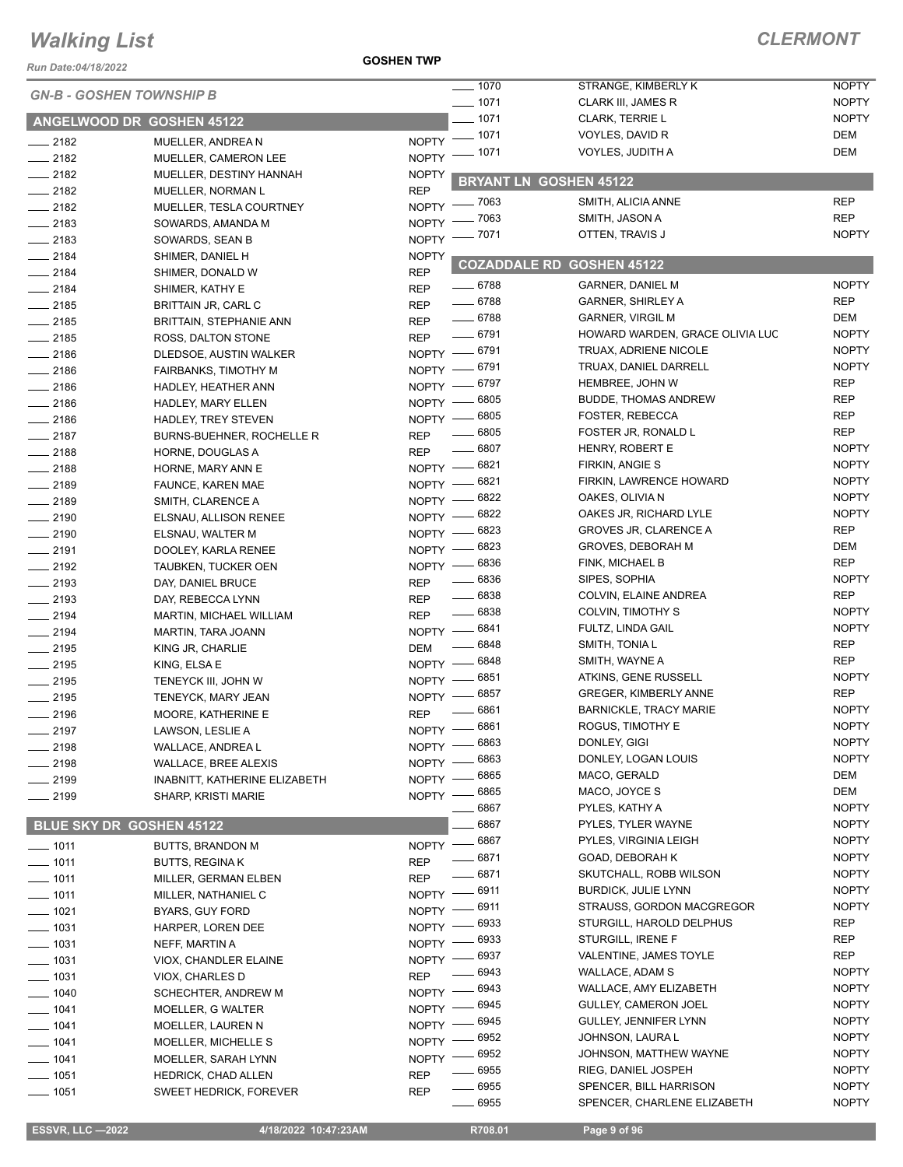*Run Date:04/18/2022*

**GOSHEN TWP**

| NUII DAIC.VY 10/4024 |                                              |                          | $- 1070$                     | STRANGE, KIMBERLY K              | <b>NOPTY</b> |
|----------------------|----------------------------------------------|--------------------------|------------------------------|----------------------------------|--------------|
|                      | <b>GN-B - GOSHEN TOWNSHIP B</b>              |                          | $- 1071$                     | CLARK III, JAMES R               | <b>NOPTY</b> |
|                      | ANGELWOOD DR GOSHEN 45122                    |                          | $-1071$                      | CLARK, TERRIE L                  | <b>NOPTY</b> |
|                      |                                              |                          |                              | VOYLES, DAVID R                  | <b>DEM</b>   |
| $\frac{1}{2182}$     | MUELLER, ANDREA N                            |                          | NOPTY - 1071<br>NOPTY - 1071 | VOYLES, JUDITH A                 | <b>DEM</b>   |
| $-2182$              | MUELLER, CAMERON LEE                         |                          |                              |                                  |              |
| $-2182$              | MUELLER, DESTINY HANNAH                      | <b>NOPTY</b>             |                              | <b>BRYANT LN GOSHEN 45122</b>    |              |
| $\frac{1}{2182}$     | MUELLER, NORMAN L                            | <b>REP</b>               | NOPTY - 7063                 | SMITH, ALICIA ANNE               | <b>REP</b>   |
| $-2182$              | MUELLER, TESLA COURTNEY                      | NOPTY <sup>-</sup>       | 7063                         | SMITH, JASON A                   | <b>REP</b>   |
| $\frac{1}{2183}$     | SOWARDS, AMANDA M                            |                          | NOPTY - 7071                 | OTTEN, TRAVIS J                  | <b>NOPTY</b> |
| $-2183$              | SOWARDS, SEAN B                              |                          |                              |                                  |              |
| $-2184$              | SHIMER, DANIEL H                             | <b>NOPTY</b>             |                              | <b>COZADDALE RD GOSHEN 45122</b> |              |
| $-2184$<br>$-2184$   | SHIMER, DONALD W                             | <b>REP</b><br><b>REP</b> | $- 6788$                     | <b>GARNER, DANIEL M</b>          | <b>NOPTY</b> |
|                      | SHIMER, KATHY E                              |                          | $- 6788$                     | <b>GARNER, SHIRLEY A</b>         | <b>REP</b>   |
| $-2185$<br>$-2185$   | BRITTAIN JR, CARL C                          | <b>REP</b><br><b>REP</b> | $- 6788$                     | <b>GARNER, VIRGIL M</b>          | <b>DEM</b>   |
|                      | <b>BRITTAIN, STEPHANIE ANN</b>               | <b>REP</b>               | $- 6791$                     | HOWARD WARDEN, GRACE OLIVIA LUC  | <b>NOPTY</b> |
| $-2185$<br>$-2186$   | ROSS, DALTON STONE<br>DLEDSOE, AUSTIN WALKER |                          | NOPTY - 6791                 | TRUAX, ADRIENE NICOLE            | <b>NOPTY</b> |
| $-2186$              | <b>FAIRBANKS, TIMOTHY M</b>                  |                          | NOPTY -8791                  | TRUAX, DANIEL DARRELL            | <b>NOPTY</b> |
| $-2186$              |                                              |                          | NOPTY - 6797                 | <b>HEMBREE, JOHN W</b>           | <b>REP</b>   |
| $-2186$              | HADLEY, HEATHER ANN<br>HADLEY, MARY ELLEN    | $NOPTY$ -                | 6805                         | <b>BUDDE, THOMAS ANDREW</b>      | <b>REP</b>   |
| $-2186$              | HADLEY, TREY STEVEN                          | $NOPTY$ –                | 6805                         | FOSTER, REBECCA                  | REP          |
| $-2187$              | <b>BURNS-BUEHNER, ROCHELLE R</b>             | <b>REP</b>               | 6805                         | FOSTER JR, RONALD L              | <b>REP</b>   |
| $-2188$              |                                              | <b>REP</b>               | $- 6807$                     | HENRY, ROBERT E                  | <b>NOPTY</b> |
| $-2188$              | HORNE, DOUGLAS A                             |                          | NOPTY -8821                  | FIRKIN, ANGIE S                  | <b>NOPTY</b> |
| $-2189$              | HORNE, MARY ANN E                            | $NOPTY$ –                | 6821                         | FIRKIN, LAWRENCE HOWARD          | <b>NOPTY</b> |
| $-2189$              | FAUNCE, KAREN MAE<br>SMITH, CLARENCE A       | $NOPTY$ —                | 6822                         | OAKES, OLIVIA N                  | <b>NOPTY</b> |
| $-2190$              | ELSNAU, ALLISON RENEE                        | $NOPTY$ -                | 6822                         | OAKES JR, RICHARD LYLE           | <b>NOPTY</b> |
| $-2190$              | ELSNAU, WALTER M                             | NOPTY -                  | 6823                         | <b>GROVES JR, CLARENCE A</b>     | <b>REP</b>   |
| $-2191$              | DOOLEY, KARLA RENEE                          | $N$ OPTY $-$             | 6823                         | <b>GROVES, DEBORAH M</b>         | <b>DEM</b>   |
| $-2192$              | <b>TAUBKEN, TUCKER OEN</b>                   |                          | NOPTY -8836                  | FINK, MICHAEL B                  | <b>REP</b>   |
| $-2193$              | DAY, DANIEL BRUCE                            | <b>REP</b>               | $\frac{1}{2}$ 6836           | SIPES, SOPHIA                    | <b>NOPTY</b> |
| $\frac{1}{2193}$     | DAY, REBECCA LYNN                            | <b>REP</b>               | $\frac{1}{2}$ 6838           | COLVIN, ELAINE ANDREA            | <b>REP</b>   |
| $-2194$              | <b>MARTIN, MICHAEL WILLIAM</b>               | <b>REP</b>               | $- 6838$                     | COLVIN, TIMOTHY S                | <b>NOPTY</b> |
| $-2194$              | MARTIN, TARA JOANN                           | $NOPTY$ -                | 6841                         | FULTZ, LINDA GAIL                | <b>NOPTY</b> |
| $\frac{1}{2195}$     | KING JR, CHARLIE                             | <b>DEM</b>               | 6848                         | SMITH, TONIA L                   | <b>REP</b>   |
| $-2195$              | KING, ELSA E                                 | $N$ OPTY $-$             | 6848                         | SMITH, WAYNE A                   | <b>REP</b>   |
| $\frac{1}{2195}$     | TENEYCK III, JOHN W                          |                          | NOPTY -8851                  | ATKINS, GENE RUSSELL             | <b>NOPTY</b> |
| $-2195$              | TENEYCK, MARY JEAN                           | $NOPTY -$                | 6857                         | <b>GREGER, KIMBERLY ANNE</b>     | <b>REP</b>   |
| $-2196$              | MOORE, KATHERINE E                           | <b>REP</b>               | 6861                         | <b>BARNICKLE, TRACY MARIE</b>    | <b>NOPTY</b> |
| $-2197$              | LAWSON, LESLIE A                             | $N$ OPTY $-$             | 6861                         | ROGUS, TIMOTHY E                 | <b>NOPTY</b> |
| $- 2198$             | WALLACE, ANDREA L                            |                          | NOPTY -8863                  | DONLEY, GIGI                     | <b>NOPTY</b> |
| $-2198$              | WALLACE, BREE ALEXIS                         | $N$ OPTY $-$             | 6863                         | DONLEY, LOGAN LOUIS              | <b>NOPTY</b> |
| $-2199$              | INABNITT, KATHERINE ELIZABETH                | $N$ OPTY $-$             | - 6865                       | MACO, GERALD                     | <b>DEM</b>   |
| $-2199$              | <b>SHARP, KRISTI MARIE</b>                   |                          | NOPTY -8865                  | MACO, JOYCE S                    | <b>DEM</b>   |
|                      |                                              |                          | 6867                         | PYLES, KATHY A                   | <b>NOPTY</b> |
|                      | BLUE SKY DR GOSHEN 45122                     |                          | 6867                         | PYLES, TYLER WAYNE               | <b>NOPTY</b> |
| $- 1011$             | <b>BUTTS, BRANDON M</b>                      | $N$ OPTY $-$             | 6867                         | PYLES, VIRGINIA LEIGH            | <b>NOPTY</b> |
| $- 1011$             | <b>BUTTS, REGINAK</b>                        | <b>REP</b>               | 6871                         | GOAD, DEBORAH K                  | <b>NOPTY</b> |
| $- 1011$             | MILLER, GERMAN ELBEN                         | <b>REP</b>               | 6871                         | SKUTCHALL, ROBB WILSON           | <b>NOPTY</b> |
| $- 1011$             | MILLER, NATHANIEL C                          | NOPTY -                  | 6911                         | <b>BURDICK, JULIE LYNN</b>       | <b>NOPTY</b> |
| $- 1021$             | <b>BYARS, GUY FORD</b>                       | NOPTY -                  | 6911                         | STRAUSS, GORDON MACGREGOR        | <b>NOPTY</b> |
| $- 1031$             | HARPER, LOREN DEE                            | NOPTY -                  | 6933                         | STURGILL, HAROLD DELPHUS         | <b>REP</b>   |
| $- 1031$             | NEFF, MARTIN A                               | NOPTY -                  | 6933                         | STURGILL, IRENE F                | REP          |
| $- 1031$             | VIOX, CHANDLER ELAINE                        | NOPTY -                  | 6937                         | VALENTINE, JAMES TOYLE           | REP          |
| $- 1031$             | VIOX, CHARLES D                              | <b>REP</b>               | 6943                         | WALLACE, ADAM S                  | <b>NOPTY</b> |
| $- 1040$             | SCHECHTER, ANDREW M                          | NOPTY -                  | 6943                         | WALLACE, AMY ELIZABETH           | <b>NOPTY</b> |
| $- 1041$             | MOELLER, G WALTER                            | NOPTY -                  | 6945                         | GULLEY, CAMERON JOEL             | <b>NOPTY</b> |
| $- 1041$             | MOELLER, LAUREN N                            | <b>NOPTY</b>             | 6945                         | GULLEY, JENNIFER LYNN            | <b>NOPTY</b> |
| $- 1041$             | MOELLER, MICHELLE S                          | NOPTY -                  | 6952                         | JOHNSON, LAURA L                 | <b>NOPTY</b> |
| $- 1041$             | MOELLER, SARAH LYNN                          | NOPTY -                  | 6952                         | JOHNSON, MATTHEW WAYNE           | <b>NOPTY</b> |
| $- 1051$             | HEDRICK, CHAD ALLEN                          | <b>REP</b>               | 6955                         | RIEG, DANIEL JOSPEH              | <b>NOPTY</b> |
| $- 1051$             | <b>SWEET HEDRICK, FOREVER</b>                | <b>REP</b>               | 6955                         | SPENCER, BILL HARRISON           | <b>NOPTY</b> |
|                      |                                              |                          | 6955                         | SPENCER, CHARLENE ELIZABETH      | <b>NOPTY</b> |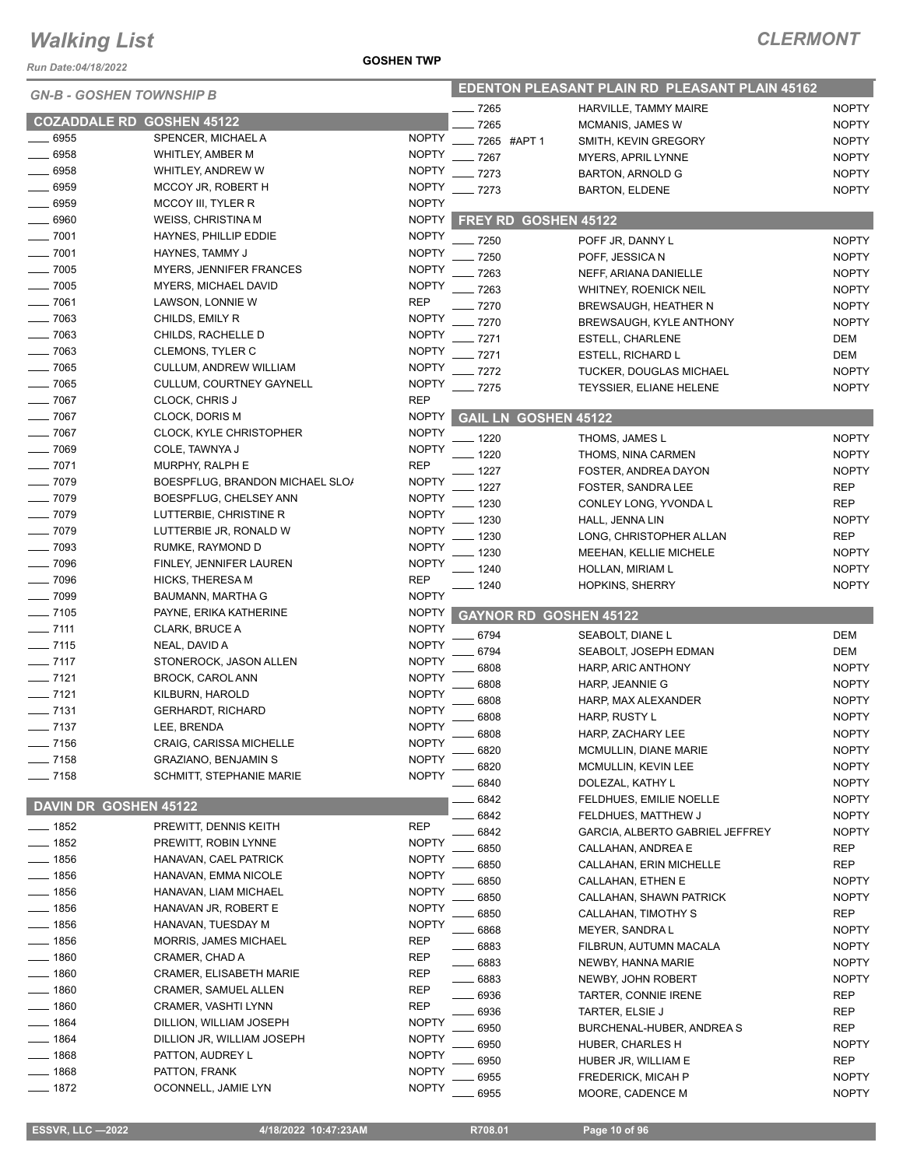*Run Date:04/18/2022*

#### **GOSHEN TWP**

| <b>GN-B - GOSHEN TOWNSHIP B</b>  |                                      |                              |                               | <b>EDENTON PLEASANT PLAIN RD PLEASANT PLAIN 45162</b> |                              |
|----------------------------------|--------------------------------------|------------------------------|-------------------------------|-------------------------------------------------------|------------------------------|
|                                  |                                      |                              | _ 7265                        | HARVILLE, TAMMY MAIRE                                 | <b>NOPTY</b>                 |
| <b>COZADDALE RD GOSHEN 45122</b> |                                      |                              | 7265                          | <b>MCMANIS, JAMES W</b>                               | <b>NOPTY</b>                 |
| 6955                             | SPENCER, MICHAEL A                   | <b>NOPTY</b>                 | 7265 #APT 1                   | SMITH, KEVIN GREGORY                                  | <b>NOPTY</b>                 |
| 6958                             | WHITLEY, AMBER M                     | <b>NOPTY</b>                 | 7267                          | <b>MYERS, APRIL LYNNE</b>                             | <b>NOPTY</b>                 |
| $- 6958$                         | WHITLEY, ANDREW W                    | <b>NOPTY</b>                 | $-7273$                       | <b>BARTON, ARNOLD G</b>                               | <b>NOPTY</b>                 |
| 6959                             | MCCOY JR, ROBERT H                   | <b>NOPTY</b>                 | $-7273$                       | <b>BARTON, ELDENE</b>                                 | <b>NOPTY</b>                 |
| $-6959$                          | MCCOY III, TYLER R                   | <b>NOPTY</b>                 |                               |                                                       |                              |
| 6960                             | <b>WEISS, CHRISTINA M</b>            | <b>NOPTY</b>                 | FREY RD GOSHEN 45122          |                                                       |                              |
| $-7001$                          | HAYNES, PHILLIP EDDIE                | <b>NOPTY</b>                 | - 7250                        | POFF JR, DANNY L                                      | <b>NOPTY</b>                 |
| $- 7001$                         | HAYNES, TAMMY J                      | <b>NOPTY</b>                 | 7250                          | POFF, JESSICA N                                       | <b>NOPTY</b>                 |
| $-7005$                          | <b>MYERS, JENNIFER FRANCES</b>       | <b>NOPTY</b>                 | 7263                          | NEFF, ARIANA DANIELLE                                 | <b>NOPTY</b>                 |
| 7005                             | MYERS, MICHAEL DAVID                 | <b>NOPTY</b>                 | 7263                          | WHITNEY, ROENICK NEIL                                 | <b>NOPTY</b>                 |
| 7061                             | LAWSON, LONNIE W                     | <b>REP</b>                   | 7270                          | BREWSAUGH, HEATHER N                                  | <b>NOPTY</b>                 |
| $-7063$                          | CHILDS, EMILY R                      | <b>NOPTY</b>                 | 7270                          | <b>BREWSAUGH, KYLE ANTHONY</b>                        | <b>NOPTY</b>                 |
| $-7063$                          | CHILDS, RACHELLE D                   | <b>NOPTY</b>                 | 7271                          | ESTELL, CHARLENE                                      | <b>DEM</b>                   |
| $-7063$                          | <b>CLEMONS, TYLER C</b>              | <b>NOPTY</b>                 | 7271                          | <b>ESTELL, RICHARD L</b>                              | DEM                          |
| $- 7065$                         | <b>CULLUM, ANDREW WILLIAM</b>        | <b>NOPTY</b>                 | 7272                          | <b>TUCKER, DOUGLAS MICHAEL</b>                        | <b>NOPTY</b>                 |
| $-7065$                          | CULLUM, COURTNEY GAYNELL             | <b>NOPTY</b>                 | - 7275                        | TEYSSIER, ELIANE HELENE                               | <b>NOPTY</b>                 |
| $-7067$                          | CLOCK, CHRIS J                       | <b>REP</b>                   |                               |                                                       |                              |
| $-7067$                          | CLOCK, DORIS M                       | <b>NOPTY</b>                 | <b>GAIL LN GOSHEN 45122</b>   |                                                       |                              |
| $- 7067$                         | <b>CLOCK, KYLE CHRISTOPHER</b>       | <b>NOPTY</b>                 | _ 1220                        | THOMS, JAMES L                                        | <b>NOPTY</b>                 |
| $- 7069$                         | COLE, TAWNYA J                       | <b>NOPTY</b>                 | 1220                          | THOMS, NINA CARMEN                                    | <b>NOPTY</b>                 |
| $- 7071$                         | MURPHY, RALPH E                      | <b>REP</b>                   | 1227                          | FOSTER, ANDREA DAYON                                  | <b>NOPTY</b>                 |
| $- 7079$                         | BOESPFLUG, BRANDON MICHAEL SLO/      | <b>NOPTY</b>                 | 1227                          | FOSTER, SANDRA LEE                                    | <b>REP</b>                   |
| $-7079$                          | BOESPFLUG, CHELSEY ANN               | <b>NOPTY</b>                 | 1230                          | CONLEY LONG, YVONDA L                                 | <b>REP</b>                   |
| 7079                             | LUTTERBIE, CHRISTINE R               | <b>NOPTY</b>                 | . 1230                        | HALL, JENNA LIN                                       | <b>NOPTY</b>                 |
| $-7079$                          | LUTTERBIE JR, RONALD W               | <b>NOPTY</b>                 | 1230                          | LONG, CHRISTOPHER ALLAN                               | <b>REP</b>                   |
| $-7093$                          | RUMKE, RAYMOND D                     | <b>NOPTY</b>                 | $-1230$                       | <b>MEEHAN, KELLIE MICHELE</b>                         | <b>NOPTY</b>                 |
| $- 7096$                         | FINLEY, JENNIFER LAUREN              | <b>NOPTY</b>                 | $-1240$                       | HOLLAN, MIRIAM L                                      | <b>NOPTY</b>                 |
| $- 7096$                         | <b>HICKS, THERESA M</b>              | <b>REP</b>                   | . 1240                        | <b>HOPKINS, SHERRY</b>                                | <b>NOPTY</b>                 |
| $- 7099$                         | BAUMANN, MARTHA G                    | <b>NOPTY</b>                 |                               |                                                       |                              |
| $- 7105$                         | PAYNE, ERIKA KATHERINE               | <b>NOPTY</b>                 | <b>GAYNOR RD GOSHEN 45122</b> |                                                       |                              |
|                                  |                                      |                              |                               |                                                       |                              |
| $- 7111$                         | CLARK, BRUCE A                       | <b>NOPTY</b>                 | 6794                          | SEABOLT, DIANE L                                      | <b>DEM</b>                   |
| $- 7115$                         | NEAL, DAVID A                        | <b>NOPTY</b>                 | 6794                          | SEABOLT, JOSEPH EDMAN                                 | <b>DEM</b>                   |
| $\frac{1}{2}$ 7117               | STONEROCK, JASON ALLEN               | <b>NOPTY</b>                 | 6808                          | HARP, ARIC ANTHONY                                    | <b>NOPTY</b>                 |
| $- 7121$                         | <b>BROCK, CAROL ANN</b>              | <b>NOPTY</b>                 | 6808                          | HARP, JEANNIE G                                       | <b>NOPTY</b>                 |
| $- 7121$                         | KILBURN, HAROLD                      | <b>NOPTY</b>                 | 6808                          | HARP, MAX ALEXANDER                                   | <b>NOPTY</b>                 |
| $- 7131$                         | <b>GERHARDT, RICHARD</b>             | <b>NOPTY</b>                 | 6808                          | HARP, RUSTY L                                         | <b>NOPTY</b>                 |
| $-7137$                          | LEE, BRENDA                          | <b>NOPTY</b>                 | 6808                          | HARP, ZACHARY LEE                                     | <b>NOPTY</b>                 |
| $-7156$                          | CRAIG, CARISSA MICHELLE              | <b>NOPTY</b>                 | 6820                          | MCMULLIN, DIANE MARIE                                 | <b>NOPTY</b>                 |
| __ 7158                          | <b>GRAZIANO, BENJAMIN S</b>          | <b>NOPTY</b>                 | 6820                          | MCMULLIN, KEVIN LEE                                   | <b>NOPTY</b>                 |
| $- 7158$                         | <b>SCHMITT, STEPHANIE MARIE</b>      | <b>NOPTY</b>                 | 6840                          | DOLEZAL, KATHY L                                      | <b>NOPTY</b>                 |
|                                  |                                      |                              | 6842                          | FELDHUES, EMILIE NOELLE                               | <b>NOPTY</b>                 |
| <b>DAVIN DR</b>                  | <b>GOSHEN 45122</b>                  |                              | 6842                          | FELDHUES, MATTHEW J                                   | <b>NOPTY</b>                 |
| — 1852                           | PREWITT, DENNIS KEITH                | REP                          | 6842                          | GARCIA, ALBERTO GABRIEL JEFFREY                       | <b>NOPTY</b>                 |
| 1852                             | PREWITT, ROBIN LYNNE                 | <b>NOPTY</b>                 | 6850                          | CALLAHAN, ANDREA E                                    | REP                          |
| 1856                             | HANAVAN, CAEL PATRICK                | <b>NOPTY</b>                 | 6850                          | CALLAHAN, ERIN MICHELLE                               | REP                          |
| _ 1856                           | HANAVAN, EMMA NICOLE                 | <b>NOPTY</b>                 | 6850                          | CALLAHAN, ETHEN E                                     | <b>NOPTY</b>                 |
| _ 1856                           | HANAVAN, LIAM MICHAEL                | <b>NOPTY</b>                 | 6850                          | CALLAHAN, SHAWN PATRICK                               | <b>NOPTY</b>                 |
| $-1856$                          | HANAVAN JR, ROBERT E                 | <b>NOPTY</b>                 | 6850                          | CALLAHAN, TIMOTHY S                                   | <b>REP</b>                   |
| $-1856$                          | HANAVAN, TUESDAY M                   | <b>NOPTY</b>                 | 6868                          | MEYER, SANDRA L                                       | <b>NOPTY</b>                 |
| $= 1856$                         | MORRIS, JAMES MICHAEL                | REP                          | 6883                          | FILBRUN, AUTUMN MACALA                                | <b>NOPTY</b>                 |
| _ 1860                           | CRAMER, CHAD A                       | REP                          | 6883                          | NEWBY, HANNA MARIE                                    | <b>NOPTY</b>                 |
| $-1860$                          | CRAMER, ELISABETH MARIE              | REP                          | 6883                          | NEWBY, JOHN ROBERT                                    | <b>NOPTY</b>                 |
| _ 1860                           | CRAMER, SAMUEL ALLEN                 | REP                          | 6936                          | TARTER, CONNIE IRENE                                  | REP                          |
| $-1860$                          | CRAMER, VASHTI LYNN                  | <b>REP</b>                   | 6936                          | TARTER, ELSIE J                                       | <b>REP</b>                   |
| $-1864$                          | DILLION, WILLIAM JOSEPH              | <b>NOPTY</b>                 | 6950                          | BURCHENAL-HUBER, ANDREA S                             | <b>REP</b>                   |
| $-1864$                          | DILLION JR, WILLIAM JOSEPH           | <b>NOPTY</b>                 | 6950                          | HUBER, CHARLES H                                      | <b>NOPTY</b>                 |
| 1868                             | PATTON, AUDREY L                     | <b>NOPTY</b>                 | 6950                          | HUBER JR, WILLIAM E                                   | REP                          |
| 1868<br>$-1872$                  | PATTON, FRANK<br>OCONNELL, JAMIE LYN | <b>NOPTY</b><br><b>NOPTY</b> | 6955<br>6955                  | FREDERICK, MICAH P<br>MOORE, CADENCE M                | <b>NOPTY</b><br><b>NOPTY</b> |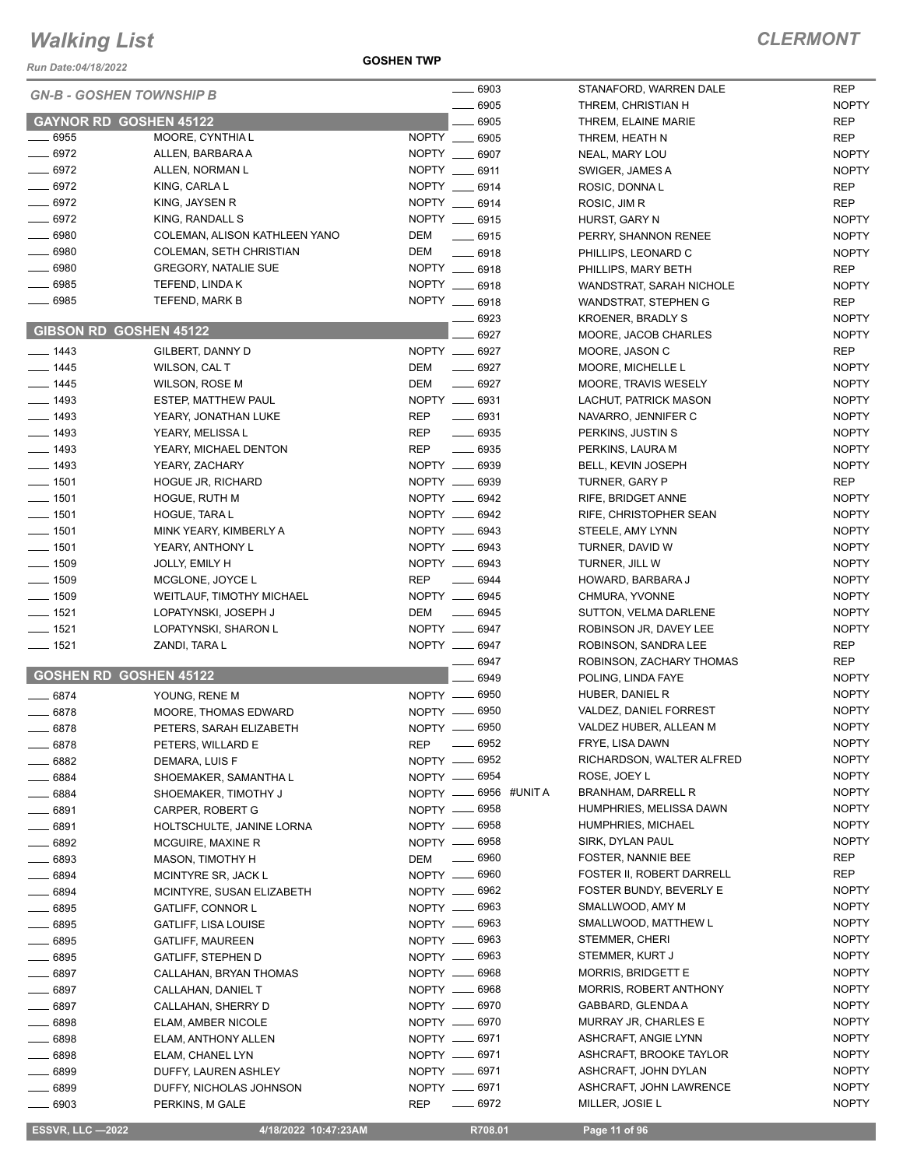*Run Date:04/18/2022*

**GOSHEN TWP**

#### *CLERMONT*

|                    | <b>GN-B - GOSHEN TOWNSHIP B</b> | $- 6903$                                                          | STANAFORD, WARREN DALE        | <b>REP</b>   |
|--------------------|---------------------------------|-------------------------------------------------------------------|-------------------------------|--------------|
|                    |                                 | 6905                                                              | THREM, CHRISTIAN H            | <b>NOPTY</b> |
|                    | <b>GAYNOR RD GOSHEN 45122</b>   | 6905                                                              | THREM, ELAINE MARIE           | <b>REP</b>   |
| $\frac{1}{2}$ 6955 | MOORE, CYNTHIA L                | NOPTY<br>6905                                                     | THREM, HEATH N                | <b>REP</b>   |
| $- 6972$           | ALLEN, BARBARA A                | NOPTY __ 6907                                                     | NEAL, MARY LOU                | <b>NOPTY</b> |
| $- 6972$           | ALLEN, NORMAN L                 | NOPTY __ 6911                                                     | SWIGER, JAMES A               | <b>NOPTY</b> |
| $- 6972$           | KING, CARLA L                   | NOPTY __ 6914                                                     | ROSIC, DONNAL                 | REP          |
| $-6972$            | KING, JAYSEN R                  | NOPTY __ 6914                                                     | ROSIC, JIM R                  | <b>REP</b>   |
| $- 6972$           | KING, RANDALL S                 | NOPTY __ 6915                                                     | HURST, GARY N                 | <b>NOPTY</b> |
| $- 6980$           | COLEMAN, ALISON KATHLEEN YANO   | DEM<br>$\frac{1}{2}$ 6915                                         | PERRY, SHANNON RENEE          | <b>NOPTY</b> |
| $- 6980$           | COLEMAN, SETH CHRISTIAN         | DEM<br>$- 6918$                                                   | PHILLIPS, LEONARD C           | <b>NOPTY</b> |
| $- 6980$           | <b>GREGORY, NATALIE SUE</b>     | NOPTY __ 6918                                                     | PHILLIPS, MARY BETH           | <b>REP</b>   |
| ____ 6985          | TEFEND, LINDA K                 | NOPTY __ 6918                                                     | WANDSTRAT, SARAH NICHOLE      | <b>NOPTY</b> |
| $- 6985$           | TEFEND, MARK B                  | NOPTY __ 6918                                                     | WANDSTRAT, STEPHEN G          | <b>REP</b>   |
|                    |                                 | 6923                                                              | <b>KROENER, BRADLY S</b>      | <b>NOPTY</b> |
|                    | <b>GIBSON RD GOSHEN 45122</b>   | 6927                                                              | MOORE, JACOB CHARLES          | <b>NOPTY</b> |
| $- 1443$           | GILBERT, DANNY D                | NOPTY __ 6927                                                     | MOORE, JASON C                | <b>REP</b>   |
| $- 1445$           | WILSON, CAL T                   | $\frac{1}{2}$<br>DEM<br>6927                                      | MOORE, MICHELLE L             | <b>NOPTY</b> |
| $- 1445$           | <b>WILSON, ROSE M</b>           | DEM<br>6927<br>$\frac{1}{2}$                                      | MOORE, TRAVIS WESELY          | <b>NOPTY</b> |
| $- 1493$           | <b>ESTEP, MATTHEW PAUL</b>      | NOPTY __ 6931                                                     | LACHUT, PATRICK MASON         | <b>NOPTY</b> |
| $- 1493$           | YEARY, JONATHAN LUKE            | <b>REP</b><br>6931<br>$\overline{\phantom{a}}$                    | NAVARRO, JENNIFER C           | <b>NOPTY</b> |
| $- 1493$           | YEARY, MELISSA L                | <b>REP</b><br>6935                                                | PERKINS, JUSTIN S             | <b>NOPTY</b> |
| $\frac{1}{2}$ 1493 | YEARY, MICHAEL DENTON           | <b>REP</b><br>$- 6935$                                            | PERKINS, LAURA M              | <b>NOPTY</b> |
| $\frac{1}{2}$ 1493 | YEARY, ZACHARY                  | NOPTY __<br>6939                                                  | BELL, KEVIN JOSEPH            | <b>NOPTY</b> |
| $- 1501$           | HOGUE JR, RICHARD               | NOPTY __ 6939                                                     | <b>TURNER, GARY P</b>         | <b>REP</b>   |
| $- 1501$           | <b>HOGUE, RUTH M</b>            | NOPTY __ 6942                                                     | RIFE, BRIDGET ANNE            | <b>NOPTY</b> |
| $- 1501$           | HOGUE, TARA L                   | NOPTY __ 6942                                                     | RIFE, CHRISTOPHER SEAN        | <b>NOPTY</b> |
| $- 1501$           | MINK YEARY, KIMBERLY A          | NOPTY __ 6943                                                     | STEELE, AMY LYNN              | <b>NOPTY</b> |
| $- 1501$           | YEARY, ANTHONY L                | NOPTY __ 6943                                                     | TURNER, DAVID W               | <b>NOPTY</b> |
| $- 1509$           | <b>JOLLY, EMILY H</b>           | NOPTY __ 6943                                                     | TURNER, JILL W                | <b>NOPTY</b> |
| $- 1509$           | MCGLONE, JOYCE L                | <b>REP</b><br>$\frac{1}{2}$<br>6944                               | HOWARD, BARBARA J             | <b>NOPTY</b> |
| $- 1509$           | WEITLAUF, TIMOTHY MICHAEL       | NOPTY __ 6945                                                     | CHMURA, YVONNE                | <b>NOPTY</b> |
| $- 1521$           | LOPATYNSKI, JOSEPH J            | DEM<br>$\frac{1}{2}$ 6945                                         | SUTTON, VELMA DARLENE         | <b>NOPTY</b> |
| $- 1521$           | LOPATYNSKI, SHARON L            | NOPTY __ 6947                                                     | ROBINSON JR, DAVEY LEE        | <b>NOPTY</b> |
| $- 1521$           | ZANDI, TARA L                   | NOPTY __ 6947                                                     | ROBINSON, SANDRA LEE          | <b>REP</b>   |
|                    |                                 | 6947                                                              | ROBINSON, ZACHARY THOMAS      | <b>REP</b>   |
|                    | <b>GOSHEN RD GOSHEN 45122</b>   | 6949                                                              | POLING, LINDA FAYE            | <b>NOPTY</b> |
| $- 6874$           | YOUNG, RENE M                   | NOPTY -6950                                                       | HUBER, DANIEL R               | <b>NOPTY</b> |
| $-6878$            | MOORE, THOMAS EDWARD            | NOPTY __ 6950                                                     | VALDEZ, DANIEL FORREST        | <b>NOPTY</b> |
| 6878               | PETERS, SARAH ELIZABETH         | NOPTY __ 6950                                                     | VALDEZ HUBER, ALLEAN M        | <b>NOPTY</b> |
| $-6878$            | PETERS, WILLARD E               | 6952<br><b>REP</b><br>$\hspace{1.0cm} \underline{\hspace{1.0cm}}$ | FRYE, LISA DAWN               | <b>NOPTY</b> |
| 6882               | DEMARA, LUIS F                  | 6952<br>NOPTY __                                                  | RICHARDSON, WALTER ALFRED     | <b>NOPTY</b> |
| $-6884$            | SHOEMAKER, SAMANTHA L           | NOPTY -6954                                                       | ROSE, JOEY L                  | <b>NOPTY</b> |
| $- 6884$           | SHOEMAKER, TIMOTHY J            | NOPTY __ 6956 #UNIT A                                             | <b>BRANHAM, DARRELL R</b>     | <b>NOPTY</b> |
| $- 6891$           | CARPER, ROBERT G                | NOPTY -6958                                                       | HUMPHRIES, MELISSA DAWN       | <b>NOPTY</b> |
| $- 6891$           | HOLTSCHULTE, JANINE LORNA       | NOPTY __ 6958                                                     | HUMPHRIES, MICHAEL            | <b>NOPTY</b> |
| $- 6892$           | MCGUIRE, MAXINE R               | NOPTY __ 6958                                                     | SIRK, DYLAN PAUL              | <b>NOPTY</b> |
| $- 6893$           | <b>MASON, TIMOTHY H</b>         | 6960<br>DEM<br>$\frac{1}{1}$                                      | FOSTER, NANNIE BEE            | REP          |
| $- 6894$           | MCINTYRE SR, JACK L             | NOPTY __ 6960                                                     | FOSTER II, ROBERT DARRELL     | REP          |
| $- 6894$           | MCINTYRE, SUSAN ELIZABETH       | NOPTY __ 6962                                                     | FOSTER BUNDY, BEVERLY E       | <b>NOPTY</b> |
| $- 6895$           | <b>GATLIFF, CONNOR L</b>        | NOPTY -6963                                                       | SMALLWOOD, AMY M              | <b>NOPTY</b> |
| $- 6895$           | <b>GATLIFF, LISA LOUISE</b>     | NOPTY __ 6963                                                     | SMALLWOOD, MATTHEW L          | <b>NOPTY</b> |
| $- 6895$           | <b>GATLIFF, MAUREEN</b>         | NOPTY __ 6963                                                     | STEMMER, CHERI                | <b>NOPTY</b> |
| $\_\_6895$         | <b>GATLIFF, STEPHEN D</b>       | NOPTY __ 6963                                                     | STEMMER, KURT J               | <b>NOPTY</b> |
| __ 6897            | CALLAHAN, BRYAN THOMAS          | NOPTY __ 6968                                                     | <b>MORRIS, BRIDGETT E</b>     | <b>NOPTY</b> |
| $-6897$            | CALLAHAN, DANIEL T              | NOPTY __ 6968                                                     | <b>MORRIS, ROBERT ANTHONY</b> | <b>NOPTY</b> |
| $- 6897$           | CALLAHAN, SHERRY D              | NOPTY __ 6970                                                     | GABBARD, GLENDA A             | <b>NOPTY</b> |
| __ 6898            | ELAM, AMBER NICOLE              | NOPTY -6970                                                       | MURRAY JR, CHARLES E          | <b>NOPTY</b> |
| $- 6898$           | ELAM, ANTHONY ALLEN             | NOPTY __ 6971                                                     | ASHCRAFT, ANGIE LYNN          | <b>NOPTY</b> |
| $- 6898$           | ELAM, CHANEL LYN                | NOPTY __ 6971                                                     | ASHCRAFT, BROOKE TAYLOR       | <b>NOPTY</b> |
| $- 6899$           | DUFFY, LAUREN ASHLEY            | NOPTY __ 6971                                                     | ASHCRAFT, JOHN DYLAN          | <b>NOPTY</b> |
| $- 6899$           | DUFFY, NICHOLAS JOHNSON         | NOPTY __ 6971                                                     | ASHCRAFT, JOHN LAWRENCE       | <b>NOPTY</b> |
| —— 6903            | PERKINS, M GALE                 | $- 6972$<br><b>REP</b>                                            | MILLER, JOSIE L               | <b>NOPTY</b> |
|                    |                                 |                                                                   |                               |              |

**ESSVR, LLC -2022 4/18/2022 10:47:23AM R708.01 Page 11 of 96**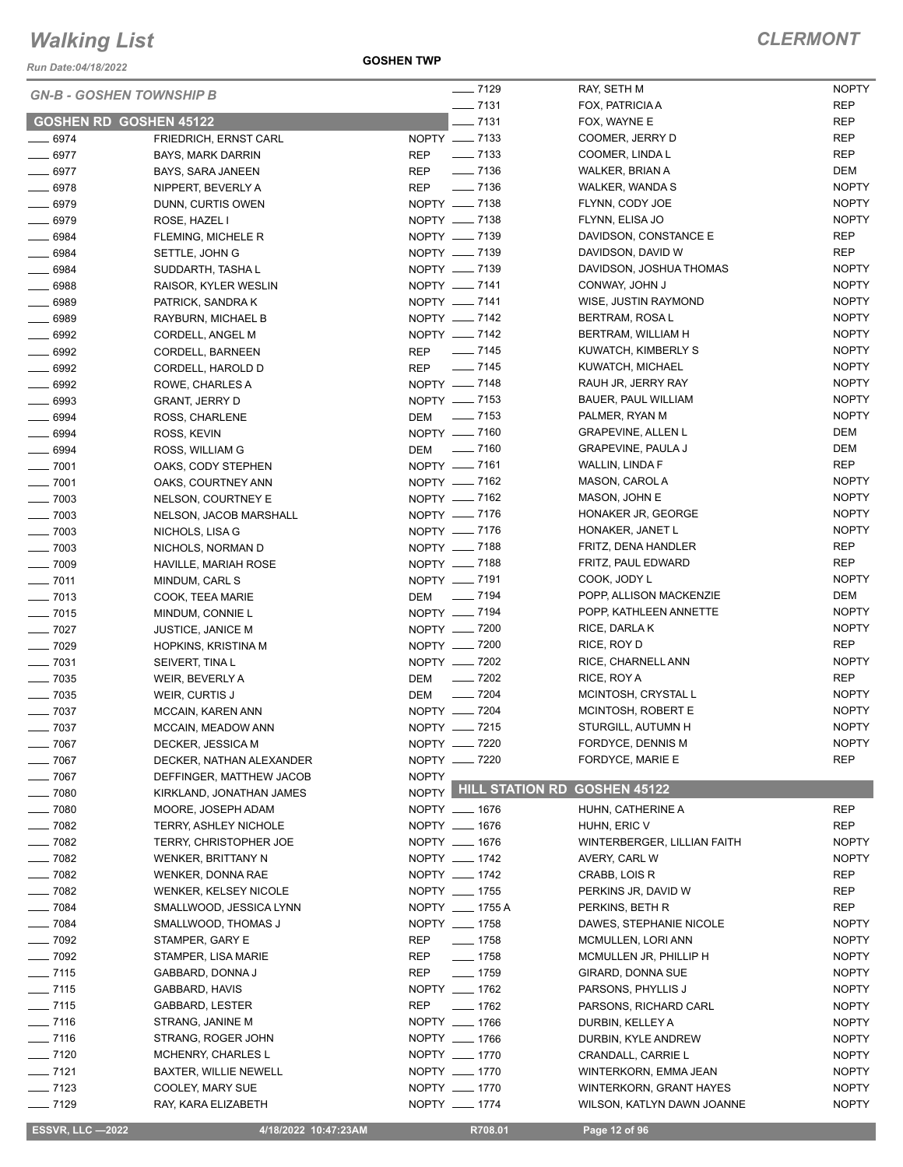*Run Date:04/18/2022*

**GOSHEN TWP**

| <b>GN-B - GOSHEN TOWNSHIP B</b> |                              |              | $- 7129$              | RAY, SETH M                 | <b>NOPTY</b> |
|---------------------------------|------------------------------|--------------|-----------------------|-----------------------------|--------------|
|                                 |                              |              | $-7131$               | FOX, PATRICIA A             | <b>REP</b>   |
| <b>GOSHEN RD GOSHEN 45122</b>   |                              |              | $-7131$               | FOX, WAYNE E                | <b>REP</b>   |
| $- 6974$                        | FRIEDRICH, ERNST CARL        |              | NOPTY - 7133          | COOMER, JERRY D             | <b>REP</b>   |
| $- 6977$                        | <b>BAYS, MARK DARRIN</b>     | REP          | $\frac{1}{2}$ 7133    | COOMER, LINDA L             | <b>REP</b>   |
| $- 6977$                        | BAYS, SARA JANEEN            | <b>REP</b>   | $\frac{1}{2}$ 7136    | WALKER, BRIAN A             | <b>DEM</b>   |
| $- 6978$                        | NIPPERT, BEVERLY A           | <b>REP</b>   | ____ 7136             | WALKER, WANDA S             | <b>NOPTY</b> |
| $- 6979$                        | DUNN, CURTIS OWEN            |              | NOPTY __ 7138         | FLYNN, CODY JOE             | <b>NOPTY</b> |
| $- 6979$                        | ROSE, HAZEL I                |              | NOPTY - 7138          | FLYNN, ELISA JO             | <b>NOPTY</b> |
| $- 6984$                        | FLEMING, MICHELE R           |              | NOPTY __ 7139         | DAVIDSON, CONSTANCE E       | REP          |
| $-6984$                         | SETTLE, JOHN G               |              | NOPTY - 7139          | DAVIDSON, DAVID W           | <b>REP</b>   |
| $\frac{1}{2}$ 6984              | SUDDARTH, TASHA L            |              | NOPTY __ 7139         | DAVIDSON, JOSHUA THOMAS     | <b>NOPTY</b> |
| $- 6988$                        | RAISOR, KYLER WESLIN         |              | NOPTY - 7141          | CONWAY, JOHN J              | <b>NOPTY</b> |
| $- 6989$                        | PATRICK, SANDRA K            |              | NOPTY __ 7141         | WISE, JUSTIN RAYMOND        | <b>NOPTY</b> |
| $- 6989$                        | RAYBURN, MICHAEL B           |              | NOPTY __ 7142         | BERTRAM, ROSA L             | <b>NOPTY</b> |
| $- 6992$                        | CORDELL, ANGEL M             |              | NOPTY -7142           | BERTRAM, WILLIAM H          | <b>NOPTY</b> |
| $\frac{1}{2}$ 6992              | CORDELL, BARNEEN             | REP          | $\frac{1}{2}$ 7145    | KUWATCH, KIMBERLY S         | <b>NOPTY</b> |
| $-6992$                         | CORDELL, HAROLD D            | <b>REP</b>   | $- 7145$              | KUWATCH, MICHAEL            | <b>NOPTY</b> |
| $\frac{1}{2}$ 6992              | ROWE, CHARLES A              |              | NOPTY - 7148          | RAUH JR, JERRY RAY          | <b>NOPTY</b> |
| $- 6993$                        | GRANT, JERRY D               |              | NOPTY __ 7153         | BAUER, PAUL WILLIAM         | <b>NOPTY</b> |
| $- 6994$                        | ROSS, CHARLENE               | DEM          | $\frac{1}{2}$ 7153    | PALMER, RYAN M              | <b>NOPTY</b> |
| $- 6994$                        | ROSS, KEVIN                  |              | NOPTY __ 7160         | <b>GRAPEVINE, ALLEN L</b>   | <b>DEM</b>   |
| $- 6994$                        | ROSS, WILLIAM G              |              | DEM - 7160            | <b>GRAPEVINE, PAULA J</b>   | DEM          |
| $- 7001$                        | OAKS, CODY STEPHEN           |              | NOPTY __ 7161         | WALLIN, LINDA F             | <b>REP</b>   |
| $- 7001$                        | OAKS, COURTNEY ANN           |              | NOPTY __ 7162         | MASON, CAROL A              | <b>NOPTY</b> |
| $\frac{1}{2}$ 7003              | NELSON, COURTNEY E           |              | NOPTY __ 7162         | MASON, JOHN E               | <b>NOPTY</b> |
| $\frac{1}{2}$ 7003              | NELSON, JACOB MARSHALL       |              | NOPTY __ 7176         | HONAKER JR, GEORGE          | <b>NOPTY</b> |
| $\frac{1}{2}$ 7003              | NICHOLS, LISA G              |              | NOPTY __ 7176         | HONAKER, JANET L            | <b>NOPTY</b> |
| $\frac{1}{2}$ 7003              | NICHOLS, NORMAN D            |              | NOPTY - 7188          | FRITZ, DENA HANDLER         | <b>REP</b>   |
| $- 7009$                        | HAVILLE, MARIAH ROSE         |              | NOPTY __ 7188         | FRITZ, PAUL EDWARD          | <b>REP</b>   |
| $- 7011$                        | MINDUM, CARL S               |              | NOPTY - 7191          | COOK, JODY L                | <b>NOPTY</b> |
| $\frac{1}{2}$ 7013              | COOK, TEEA MARIE             |              | DEM __ 7194           | POPP, ALLISON MACKENZIE     | <b>DEM</b>   |
| $- 7015$                        | MINDUM, CONNIE L             |              | NOPTY __ 7194         | POPP, KATHLEEN ANNETTE      | <b>NOPTY</b> |
| $- 7027$                        | <b>JUSTICE, JANICE M</b>     |              | NOPTY - 7200          | RICE, DARLAK                | <b>NOPTY</b> |
| $- 7029$                        | HOPKINS, KRISTINA M          |              | NOPTY __ 7200         | RICE, ROY D                 | <b>REP</b>   |
| $- 7031$                        | SEIVERT, TINA L              |              | NOPTY -7202           | RICE, CHARNELL ANN          | <b>NOPTY</b> |
| $\frac{1}{2}$ 7035              | WEIR, BEVERLY A              | DEM          | $\frac{1}{2}$ 7202    | RICE, ROY A                 | <b>REP</b>   |
| $- 7035$                        | WEIR, CURTIS J               | DEM          | $\frac{1}{2}$ 7204    | MCINTOSH, CRYSTAL L         | <b>NOPTY</b> |
| $- 7037$                        | MCCAIN, KAREN ANN            |              | NOPTY - 7204          | MCINTOSH, ROBERT E          | <b>NOPTY</b> |
| $\frac{1}{2}$ 7037              | MCCAIN, MEADOW ANN           |              | NOPTY __ 7215         | STURGILL, AUTUMN H          | <b>NOPTY</b> |
| $- 7067$                        | DECKER, JESSICA M            |              | NOPTY - 7220          | FORDYCE, DENNIS M           | <b>NOPTY</b> |
| $- 7067$                        | DECKER, NATHAN ALEXANDER     |              | NOPTY __ 7220         | FORDYCE, MARIE E            | <b>REP</b>   |
| $- 7067$                        | DEFFINGER, MATTHEW JACOB     | <b>NOPTY</b> |                       |                             |              |
| $- 7080$                        | KIRKLAND, JONATHAN JAMES     |              | NOPTY HILL STATION RD | <b>GOSHEN 45122</b>         |              |
| $- 7080$                        | MOORE, JOSEPH ADAM           |              | NOPTY __ 1676         | HUHN, CATHERINE A           | <b>REP</b>   |
| $- 7082$                        | <b>TERRY, ASHLEY NICHOLE</b> |              | NOPTY __ 1676         | HUHN, ERIC V                | REP          |
| $- 7082$                        | TERRY, CHRISTOPHER JOE       |              | NOPTY __ 1676         | WINTERBERGER, LILLIAN FAITH | <b>NOPTY</b> |
| $- 7082$                        | WENKER, BRITTANY N           |              | NOPTY __ 1742         | AVERY, CARL W               | <b>NOPTY</b> |
| $- 7082$                        | WENKER, DONNA RAE            |              | NOPTY __ 1742         | CRABB, LOIS R               | REP          |
| $\frac{1}{2}$ 7082              | <b>WENKER, KELSEY NICOLE</b> |              | NOPTY __ 1755         | PERKINS JR, DAVID W         | REP          |
| $- 7084$                        | SMALLWOOD, JESSICA LYNN      |              | NOPTY __ 1755 A       | PERKINS, BETH R             | REP          |
| $- 7084$                        | SMALLWOOD, THOMAS J          |              | NOPTY __ 1758         | DAWES, STEPHANIE NICOLE     | <b>NOPTY</b> |
| $- 7092$                        | STAMPER, GARY E              | REP          | $- 1758$              | MCMULLEN, LORI ANN          | <b>NOPTY</b> |
| $\frac{1}{2}$ 7092              | STAMPER, LISA MARIE          | REP          | $\frac{1}{2}$ 1758    | MCMULLEN JR, PHILLIP H      | <b>NOPTY</b> |
| $- 7115$                        | GABBARD, DONNA J             | REP          | $- 1759$              | GIRARD, DONNA SUE           | <b>NOPTY</b> |
| $- 7115$                        | GABBARD, HAVIS               |              | NOPTY __ 1762         | PARSONS, PHYLLIS J          | <b>NOPTY</b> |
| $- 7115$                        | GABBARD, LESTER              | REP          | $- 1762$              | PARSONS, RICHARD CARL       | <b>NOPTY</b> |
| $- 7116$                        | STRANG, JANINE M             |              | NOPTY __ 1766         | DURBIN, KELLEY A            | <b>NOPTY</b> |
| $- 7116$                        | STRANG, ROGER JOHN           |              | NOPTY __ 1766         | DURBIN, KYLE ANDREW         | <b>NOPTY</b> |
| $- 7120$                        | MCHENRY, CHARLES L           |              | NOPTY __ 1770         | CRANDALL, CARRIE L          | <b>NOPTY</b> |
| $- 7121$                        | BAXTER, WILLIE NEWELL        |              | NOPTY __ 1770         | WINTERKORN, EMMA JEAN       | <b>NOPTY</b> |
| $- 7123$                        | COOLEY, MARY SUE             |              | NOPTY __ 1770         | WINTERKORN, GRANT HAYES     | <b>NOPTY</b> |
| $- 7129$                        | RAY, KARA ELIZABETH          |              | NOPTY __ 1774         | WILSON, KATLYN DAWN JOANNE  | <b>NOPTY</b> |
|                                 |                              |              |                       |                             |              |

 **ESSVR, LLC —2022 4/18/2022 10:47:23AM R708.01 Page 12 of 96**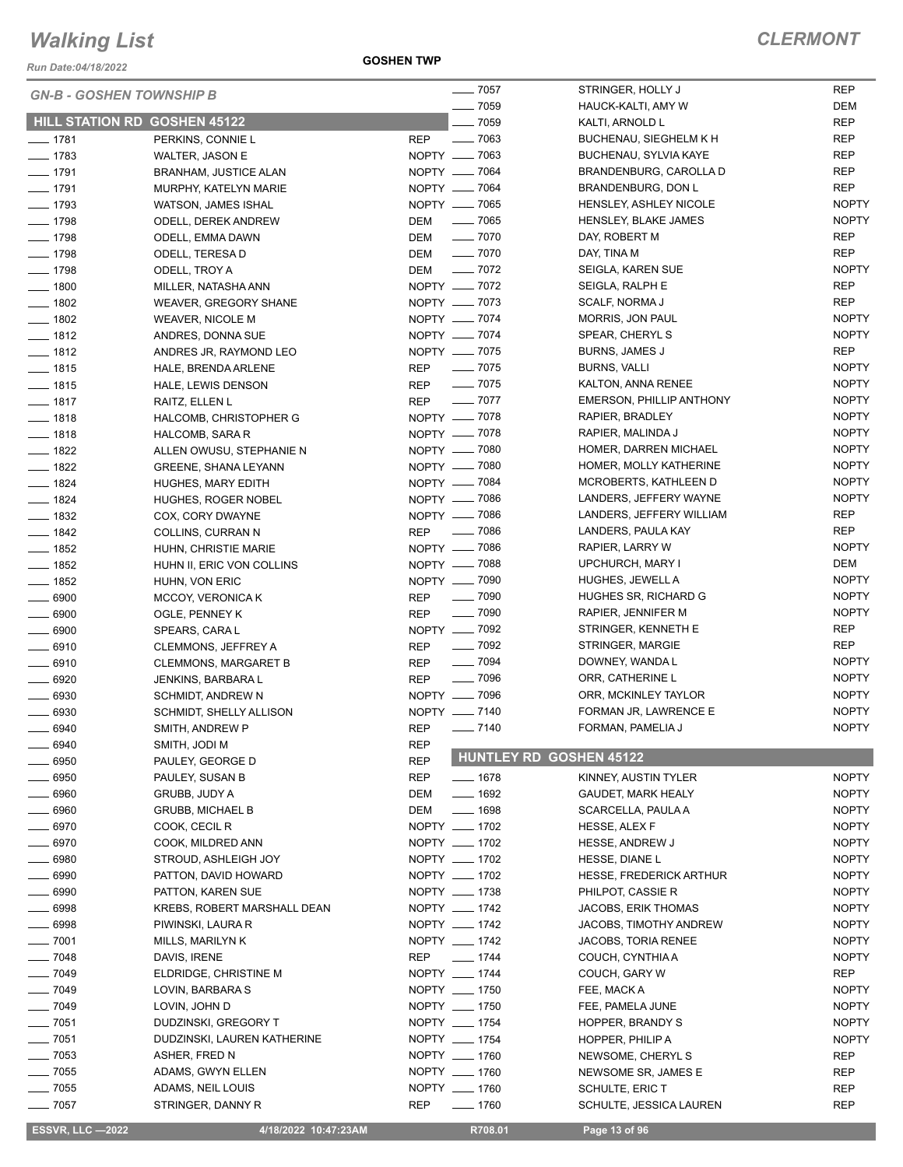*Run Date:04/18/2022*

**GOSHEN TWP**

÷.

| <b>GN-B - GOSHEN TOWNSHIP B</b> |                              | $- 7057$                         | STRINGER, HOLLY J               | <b>REP</b>   |
|---------------------------------|------------------------------|----------------------------------|---------------------------------|--------------|
|                                 |                              | $- 7059$                         | HAUCK-KALTI, AMY W              | DEM          |
|                                 | HILL STATION RD GOSHEN 45122 | $- 7059$                         | KALTI, ARNOLD L                 | <b>REP</b>   |
| $- 1781$                        | PERKINS, CONNIE L            | $- 7063$<br><b>REP</b>           | BUCHENAU, SIEGHELM K H          | <b>REP</b>   |
| $- 1783$                        | <b>WALTER, JASON E</b>       | NOPTY - 7063                     | BUCHENAU, SYLVIA KAYE           | <b>REP</b>   |
| $- 1791$                        | <b>BRANHAM, JUSTICE ALAN</b> | NOPTY __ 7064                    | BRANDENBURG, CAROLLA D          | <b>REP</b>   |
| $- 1791$                        | MURPHY, KATELYN MARIE        | NOPTY - 7064                     | BRANDENBURG, DON L              | <b>REP</b>   |
| $- 1793$                        | WATSON, JAMES ISHAL          | NOPTY __ 7065                    | HENSLEY, ASHLEY NICOLE          | <b>NOPTY</b> |
| $- 1798$                        | <b>ODELL, DEREK ANDREW</b>   | —— 7065<br>DEM                   | HENSLEY, BLAKE JAMES            | <b>NOPTY</b> |
| $- 1798$                        | ODELL, EMMA DAWN             | $\frac{1}{2}$ 7070<br>DEM        | DAY, ROBERT M                   | <b>REP</b>   |
| $- 1798$                        | ODELL, TERESA D              | $- 7070$<br>DEM                  | DAY, TINA M                     | <b>REP</b>   |
| $- 1798$                        | ODELL, TROY A                | $\sim$ 7072<br>DEM               | SEIGLA, KAREN SUE               | <b>NOPTY</b> |
| $- 1800$                        | MILLER, NATASHA ANN          | NOPTY __ 7072                    | SEIGLA, RALPH E                 | <b>REP</b>   |
| $- 1802$                        | WEAVER, GREGORY SHANE        | NOPTY __ 7073                    | SCALF, NORMA J                  | <b>REP</b>   |
| $- 1802$                        | <b>WEAVER, NICOLE M</b>      | NOPTY - 7074                     | MORRIS, JON PAUL                | <b>NOPTY</b> |
| $- 1812$                        | ANDRES, DONNA SUE            | NOPTY __ 7074                    | SPEAR, CHERYL S                 | <b>NOPTY</b> |
| $- 1812$                        | ANDRES JR, RAYMOND LEO       | NOPTY - 7075                     | <b>BURNS, JAMES J</b>           | REP          |
| $- 1815$                        | HALE, BRENDA ARLENE          | $\frac{1}{2}$ 7075<br>REP        | BURNS, VALLI                    | <b>NOPTY</b> |
| $- 1815$                        | HALE, LEWIS DENSON           | $\frac{1}{2}$ 7075<br><b>REP</b> | KALTON, ANNA RENEE              | <b>NOPTY</b> |
| $- 1817$                        | RAITZ, ELLEN L               | REP - 7077                       | <b>EMERSON, PHILLIP ANTHONY</b> | <b>NOPTY</b> |
| $- 1818$                        | HALCOMB, CHRISTOPHER G       | NOPTY __ 7078                    | RAPIER, BRADLEY                 | <b>NOPTY</b> |
| $- 1818$                        | HALCOMB, SARA R              | NOPTY - 7078                     | RAPIER, MALINDA J               | <b>NOPTY</b> |
| $- 1822$                        | ALLEN OWUSU, STEPHANIE N     | NOPTY __ 7080                    | HOMER, DARREN MICHAEL           | <b>NOPTY</b> |
| $-$ 1822                        | GREENE, SHANA LEYANN         | NOPTY - 7080                     | HOMER, MOLLY KATHERINE          | <b>NOPTY</b> |
| $- 1824$                        | HUGHES, MARY EDITH           | NOPTY - 7084                     | MCROBERTS, KATHLEEN D           | <b>NOPTY</b> |
| $- 1824$                        | HUGHES, ROGER NOBEL          | NOPTY __ 7086                    | LANDERS, JEFFERY WAYNE          | <b>NOPTY</b> |
| $- 1832$                        | COX, CORY DWAYNE             | NOPTY - 7086                     | LANDERS, JEFFERY WILLIAM        | <b>REP</b>   |
| $- 1842$                        | COLLINS, CURRAN N            | REP __ 7086                      | LANDERS, PAULA KAY              | <b>REP</b>   |
| $- 1852$                        | HUHN, CHRISTIE MARIE         | NOPTY - 7086                     | RAPIER, LARRY W                 | <b>NOPTY</b> |
| $- 1852$                        | HUHN II, ERIC VON COLLINS    | NOPTY - 7088                     | UPCHURCH, MARY I                | DEM          |
| $- 1852$                        | HUHN, VON ERIC               | NOPTY __ 7090                    | HUGHES, JEWELL A                | <b>NOPTY</b> |
| $- 6900$                        | MCCOY, VERONICA K            | $\frac{1}{2}$ 7090<br><b>REP</b> | HUGHES SR, RICHARD G            | <b>NOPTY</b> |
| $\frac{1}{2}$ 6900              | OGLE, PENNEY K               | $\frac{1}{2}$ 7090<br><b>REP</b> | RAPIER, JENNIFER M              | <b>NOPTY</b> |
| $- 6900$                        | SPEARS, CARA L               | NOPTY - 7092                     | STRINGER, KENNETH E             | <b>REP</b>   |
| $- 6910$                        | <b>CLEMMONS, JEFFREY A</b>   | $\frac{1}{2}$ 7092<br>REP        | STRINGER, MARGIE                | <b>REP</b>   |
| $- 6910$                        | <b>CLEMMONS, MARGARET B</b>  | $\frac{1}{2}$ 7094<br>REP        | DOWNEY, WANDA L                 | <b>NOPTY</b> |
| $- 6920$                        | JENKINS, BARBARA L           | $\frac{1}{2}$ 7096<br>REP        | ORR, CATHERINE L                | <b>NOPTY</b> |
| $\frac{1}{2}$ 6930              | SCHMIDT, ANDREW N            | NOPTY __ 7096                    | ORR, MCKINLEY TAYLOR            | <b>NOPTY</b> |
| $\frac{1}{2}$ 6930              | SCHMIDT, SHELLY ALLISON      | NOPTY - 7140                     | FORMAN JR, LAWRENCE E           | <b>NOPTY</b> |
| $- 6940$                        | SMITH, ANDREW P              | $\frac{1}{2}$ 7140<br><b>REP</b> | FORMAN, PAMELIA J               | <b>NOPTY</b> |
| 6940                            | SMITH, JODI M                | REP                              |                                 |              |
| 6950                            | PAULEY, GEORGE D             | <b>REP</b>                       | <b>HUNTLEY RD GOSHEN 45122</b>  |              |
| $- 6950$                        | PAULEY, SUSAN B              | <b>REP</b><br>$- 1678$           | KINNEY, AUSTIN TYLER            | <b>NOPTY</b> |
| $- 6960$                        | GRUBB, JUDY A                | $- 1692$<br>DEM                  | <b>GAUDET, MARK HEALY</b>       | <b>NOPTY</b> |
| $- 6960$                        | <b>GRUBB, MICHAEL B</b>      | $- 1698$<br>DEM                  | SCARCELLA, PAULA A              | <b>NOPTY</b> |
| $- 6970$                        | COOK, CECIL R                | NOPTY __ 1702                    | HESSE, ALEX F                   | <b>NOPTY</b> |
| $- 6970$                        |                              | NOPTY __ 1702                    |                                 |              |
|                                 | COOK, MILDRED ANN            | NOPTY __ 1702                    | <b>HESSE, ANDREW J</b>          | <b>NOPTY</b> |
| $\frac{1}{2}$ 6980<br>$- 6990$  | STROUD, ASHLEIGH JOY         | NOPTY __ 1702                    | HESSE, DIANE L                  | <b>NOPTY</b> |
|                                 | PATTON, DAVID HOWARD         | NOPTY __ 1738                    | <b>HESSE, FREDERICK ARTHUR</b>  | <b>NOPTY</b> |
| $- 6990$                        | PATTON, KAREN SUE            | NOPTY __ 1742                    | PHILPOT, CASSIE R               | <b>NOPTY</b> |
| $\frac{1}{2}$ 6998              | KREBS, ROBERT MARSHALL DEAN  |                                  | JACOBS, ERIK THOMAS             | <b>NOPTY</b> |
| $- 6998$                        | PIWINSKI, LAURA R            | NOPTY __ 1742                    | JACOBS, TIMOTHY ANDREW          | <b>NOPTY</b> |
| $- 7001$                        | MILLS, MARILYN K             | NOPTY __ 1742                    | JACOBS, TORIA RENEE             | <b>NOPTY</b> |
| $- 7048$                        | DAVIS, IRENE                 | $\frac{1}{2}$ 1744<br>REP        | COUCH, CYNTHIA A                | <b>NOPTY</b> |
| $- 7049$                        | ELDRIDGE, CHRISTINE M        | NOPTY __ 1744                    | COUCH, GARY W                   | REP          |
| $- 7049$                        | LOVIN, BARBARA S             | NOPTY __ 1750                    | FEE, MACK A                     | <b>NOPTY</b> |
| $- 7049$                        | LOVIN, JOHN D                | NOPTY __ 1750                    | FEE, PAMELA JUNE                | <b>NOPTY</b> |
| $- 7051$                        | DUDZINSKI, GREGORY T         | NOPTY __ 1754                    | HOPPER, BRANDY S                | <b>NOPTY</b> |
| $- 7051$                        | DUDZINSKI, LAUREN KATHERINE  | NOPTY __ 1754                    | HOPPER, PHILIP A                | <b>NOPTY</b> |
| $- 7053$                        | ASHER, FRED N                | NOPTY __ 1760                    | NEWSOME, CHERYL S               | REP          |
| $- 7055$                        | ADAMS, GWYN ELLEN            | NOPTY __ 1760                    | NEWSOME SR, JAMES E             | REP          |
| $- 7055$                        | ADAMS, NEIL LOUIS            | NOPTY __ 1760                    | SCHULTE, ERIC T                 | REP          |
| $-$ 7057                        | STRINGER, DANNY R            | <b>REP</b><br>$- 1760$           | SCHULTE, JESSICA LAUREN         | <b>REP</b>   |

**ESSVR, LLC -2022 4/18/2022 10:47:23AM** R708.01 **Page 13 of 96**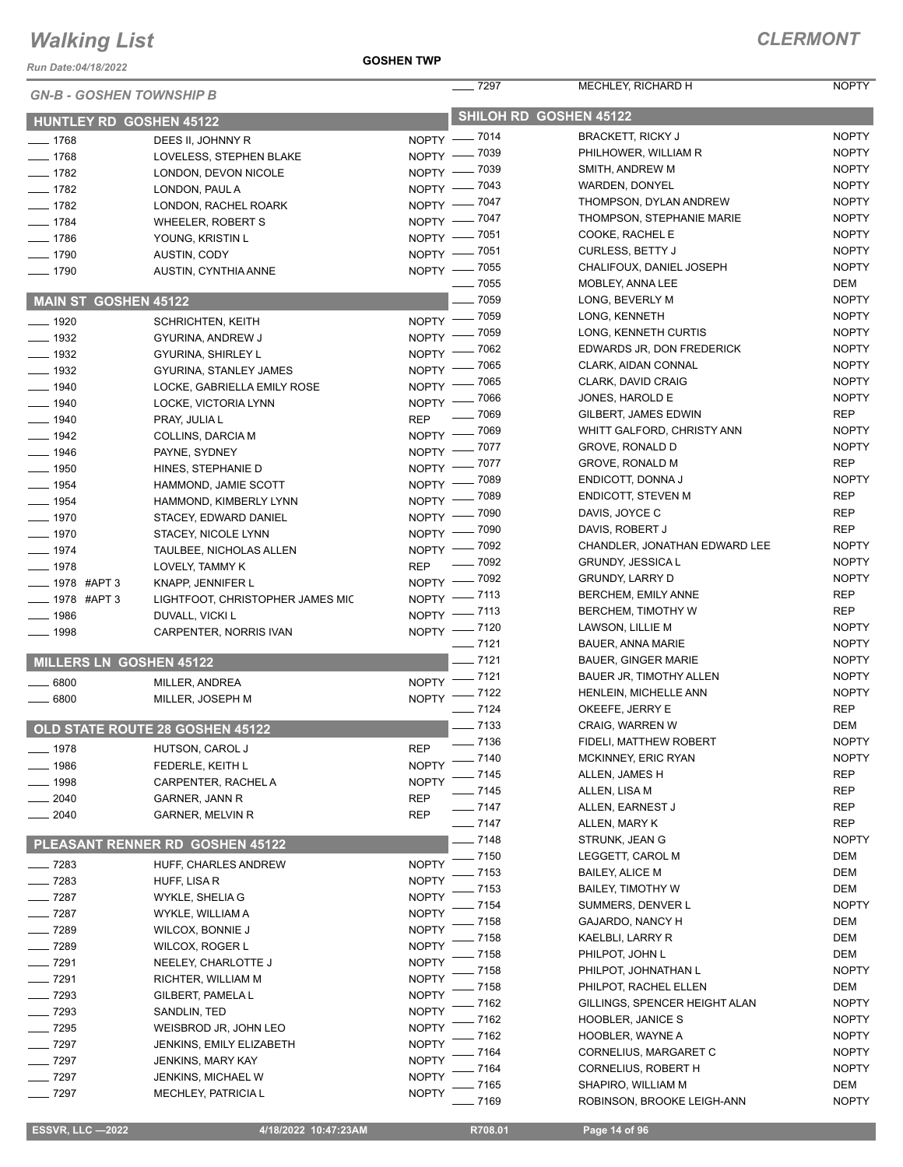*Run Date:04/18/2022*

#### **GOSHEN TWP**

| <b>GN-B - GOSHEN TOWNSHIP B</b> |                                  |              | $-$ 7297     | MECHLEY, RICHARD H                               | <b>NOPTY</b>        |
|---------------------------------|----------------------------------|--------------|--------------|--------------------------------------------------|---------------------|
| <b>HUNTLEY RD GOSHEN 45122</b>  |                                  |              |              | SHILOH RD GOSHEN 45122                           |                     |
| $- 1768$                        | DEES II, JOHNNY R                |              | NOPTY - 7014 | <b>BRACKETT, RICKY J</b>                         | <b>NOPTY</b>        |
| $- 1768$                        | LOVELESS, STEPHEN BLAKE          |              | NOPTY - 7039 | PHILHOWER, WILLIAM R                             | <b>NOPTY</b>        |
| $- 1782$                        | LONDON. DEVON NICOLE             |              | NOPTY - 7039 | SMITH, ANDREW M                                  | <b>NOPTY</b>        |
| $- 1782$                        | LONDON, PAUL A                   |              | NOPTY - 7043 | WARDEN, DONYEL                                   | <b>NOPTY</b>        |
| $- 1782$                        | LONDON, RACHEL ROARK             |              | NOPTY - 7047 | THOMPSON, DYLAN ANDREW                           | <b>NOPTY</b>        |
| $- 1784$                        | <b>WHEELER, ROBERT S</b>         |              | NOPTY - 7047 | THOMPSON, STEPHANIE MARIE                        | <b>NOPTY</b>        |
| $- 1786$                        | YOUNG, KRISTIN L                 |              | NOPTY - 7051 | COOKE, RACHEL E                                  | <b>NOPTY</b>        |
| $- 1790$                        | AUSTIN, CODY                     |              | NOPTY - 7051 | <b>CURLESS, BETTY J</b>                          | <b>NOPTY</b>        |
| $- 1790$                        | AUSTIN, CYNTHIA ANNE             |              | NOPTY - 7055 | CHALIFOUX, DANIEL JOSEPH                         | <b>NOPTY</b>        |
|                                 |                                  |              | $- 7055$     | MOBLEY, ANNA LEE                                 | DEM                 |
| <b>MAIN ST GOSHEN 45122</b>     |                                  |              | $-7059$      | LONG, BEVERLY M                                  | <b>NOPTY</b>        |
| $- 1920$                        | <b>SCHRICHTEN, KEITH</b>         |              | NOPTY - 7059 | LONG, KENNETH                                    | <b>NOPTY</b>        |
| $\frac{1}{2}$ 1932              | GYURINA, ANDREW J                |              | NOPTY - 7059 | LONG, KENNETH CURTIS                             | <b>NOPTY</b>        |
| $- 1932$                        | GYURINA, SHIRLEY L               | $N$ OPTY -   | $-7062$      | EDWARDS JR, DON FREDERICK                        | <b>NOPTY</b>        |
| $- 1932$                        | GYURINA, STANLEY JAMES           |              | NOPTY - 7065 | CLARK, AIDAN CONNAL                              | <b>NOPTY</b>        |
| $-1940$                         | LOCKE, GABRIELLA EMILY ROSE      |              | NOPTY - 7065 | CLARK, DAVID CRAIG                               | <b>NOPTY</b>        |
| $- 1940$                        | LOCKE, VICTORIA LYNN             |              | NOPTY - 7066 | JONES, HAROLD E                                  | <b>NOPTY</b>        |
| $- 1940$                        | PRAY, JULIA L                    | <b>REP</b>   | $- 7069$     | GILBERT, JAMES EDWIN                             | <b>REP</b>          |
| $- 1942$                        | <b>COLLINS, DARCIA M</b>         |              | NOPTY - 7069 | WHITT GALFORD, CHRISTY ANN                       | <b>NOPTY</b>        |
| $- 1946$                        | PAYNE, SYDNEY                    |              | NOPTY - 7077 | GROVE, RONALD D                                  | <b>NOPTY</b>        |
| $\frac{1}{2}$ 1950              | HINES, STEPHANIE D               |              | NOPTY - 7077 | GROVE, RONALD M                                  | <b>REP</b>          |
| $- 1954$                        | HAMMOND, JAMIE SCOTT             |              | NOPTY - 7089 | ENDICOTT, DONNA J                                | <b>NOPTY</b>        |
| $- 1954$                        | HAMMOND, KIMBERLY LYNN           |              | NOPTY - 7089 | <b>ENDICOTT, STEVEN M</b>                        | <b>REP</b>          |
| $- 1970$                        | STACEY, EDWARD DANIEL            | $N$ OPTY -   | $-7090$      | DAVIS, JOYCE C                                   | <b>REP</b>          |
| $\frac{1}{2}$ 1970              | STACEY, NICOLE LYNN              | $NOPTY =$    | _ 7090       | DAVIS, ROBERT J                                  | <b>REP</b>          |
| $- 1974$                        | TAULBEE, NICHOLAS ALLEN          | $NOPTY -$    | $-7092$      | CHANDLER, JONATHAN EDWARD LEE                    | <b>NOPTY</b>        |
| $- 1978$                        | LOVELY, TAMMY K                  | <b>REP</b>   | $-7092$      | GRUNDY, JESSICA L                                | <b>NOPTY</b>        |
| $\equiv$ 1978 #APT 3            | KNAPP, JENNIFER L                |              | NOPTY - 7092 | <b>GRUNDY, LARRY D</b>                           | <b>NOPTY</b>        |
| __ 1978 #APT 3                  | LIGHTFOOT, CHRISTOPHER JAMES MIC |              | NOPTY -7113  | <b>BERCHEM, EMILY ANNE</b>                       | <b>REP</b>          |
| $-1986$                         | DUVALL, VICKI L                  |              | NOPTY -7113  | BERCHEM, TIMOTHY W                               | <b>REP</b>          |
| $-1998$                         | CARPENTER, NORRIS IVAN           |              | NOPTY - 7120 | LAWSON, LILLIE M                                 | <b>NOPTY</b>        |
|                                 |                                  |              | $- 7121$     | <b>BAUER, ANNA MARIE</b>                         | <b>NOPTY</b>        |
| <b>MILLERS LN GOSHEN 45122</b>  |                                  |              | $-7121$      | <b>BAUER, GINGER MARIE</b>                       | <b>NOPTY</b>        |
| 6800                            | MILLER, ANDREA                   |              | NOPTY -7121  | BAUER JR, TIMOTHY ALLEN                          | <b>NOPTY</b>        |
| $\frac{1}{2}$ 6800              | MILLER, JOSEPH M                 |              | NOPTY -7122  | HENLEIN, MICHELLE ANN                            | <b>NOPTY</b>        |
|                                 |                                  |              | $- 7124$     | OKEEFE, JERRY E                                  | <b>REP</b>          |
|                                 | OLD STATE ROUTE 28 GOSHEN 45122  |              | $- 7133$     | <b>CRAIG, WARREN W</b>                           | DEM                 |
| $-1978$                         | HUTSON, CAROL J                  | <b>REP</b>   | $-7136$      | FIDELI, MATTHEW ROBERT                           | NOPTY               |
| 1986                            | FEDERLE, KEITH L                 | <b>NOPTY</b> | $-7140$      | <b>MCKINNEY, ERIC RYAN</b>                       | <b>NOPTY</b>        |
| 1998                            | CARPENTER, RACHEL A              | <b>NOPTY</b> | - 7145       | ALLEN, JAMES H                                   | <b>REP</b>          |
| 2040                            | GARNER, JANN R                   | <b>REP</b>   | $-7145$      | ALLEN, LISA M                                    | <b>REP</b>          |
| 2040                            | <b>GARNER, MELVIN R</b>          | <b>REP</b>   | $-7147$      | ALLEN, EARNEST J                                 | <b>REP</b>          |
|                                 |                                  |              | $- 7147$     | ALLEN, MARY K                                    | <b>REP</b>          |
|                                 | PLEASANT RENNER RD GOSHEN 45122  |              | $-7148$      | STRUNK, JEAN G                                   | <b>NOPTY</b>        |
| $-7283$                         | HUFF, CHARLES ANDREW             | <b>NOPTY</b> | 7150         | LEGGETT, CAROL M                                 | DEM                 |
| $\frac{1}{2}$ 7283              | HUFF, LISA R                     | <b>NOPTY</b> | 7153         | <b>BAILEY, ALICE M</b>                           | DEM                 |
| $-7287$                         | WYKLE, SHELIA G                  | <b>NOPTY</b> | 7153         | <b>BAILEY, TIMOTHY W</b>                         | DEM                 |
| $- 7287$                        | WYKLE, WILLIAM A                 | <b>NOPTY</b> | 7154         | SUMMERS, DENVER L                                | <b>NOPTY</b>        |
| $- 7289$                        | WILCOX, BONNIE J                 | <b>NOPTY</b> | 7158         | <b>GAJARDO, NANCY H</b>                          | DEM                 |
| $-7289$                         | WILCOX, ROGER L                  | <b>NOPTY</b> | 7158         | KAELBLI, LARRY R                                 | DEM                 |
| $-7291$                         | NEELEY, CHARLOTTE J              | <b>NOPTY</b> | 7158         | PHILPOT, JOHN L                                  | DEM                 |
| 7291                            | RICHTER, WILLIAM M               | <b>NOPTY</b> | 7158         | PHILPOT, JOHNATHAN L                             | <b>NOPTY</b>        |
| 7293                            | GILBERT, PAMELA L                | <b>NOPTY</b> | 7158         | PHILPOT, RACHEL ELLEN                            | DEM                 |
| $-7293$                         | SANDLIN, TED                     | <b>NOPTY</b> | 7162         | GILLINGS, SPENCER HEIGHT ALAN                    | <b>NOPTY</b>        |
| $-7295$                         | WEISBROD JR, JOHN LEO            | <b>NOPTY</b> | 7162         | <b>HOOBLER, JANICE S</b>                         | <b>NOPTY</b>        |
| $- 7297$                        | <b>JENKINS, EMILY ELIZABETH</b>  | <b>NOPTY</b> | 7162         | HOOBLER, WAYNE A                                 | <b>NOPTY</b>        |
| 7297                            | <b>JENKINS, MARY KAY</b>         | <b>NOPTY</b> | 7164         | CORNELIUS, MARGARET C                            | <b>NOPTY</b>        |
| 7297                            | JENKINS, MICHAEL W               | <b>NOPTY</b> | 7164         | CORNELIUS, ROBERT H                              | <b>NOPTY</b>        |
| $-7297$                         | MECHLEY, PATRICIA L              | <b>NOPTY</b> | 7165<br>7169 | SHAPIRO, WILLIAM M<br>ROBINSON, BROOKE LEIGH-ANN | DEM<br><b>NOPTY</b> |
|                                 |                                  |              |              |                                                  |                     |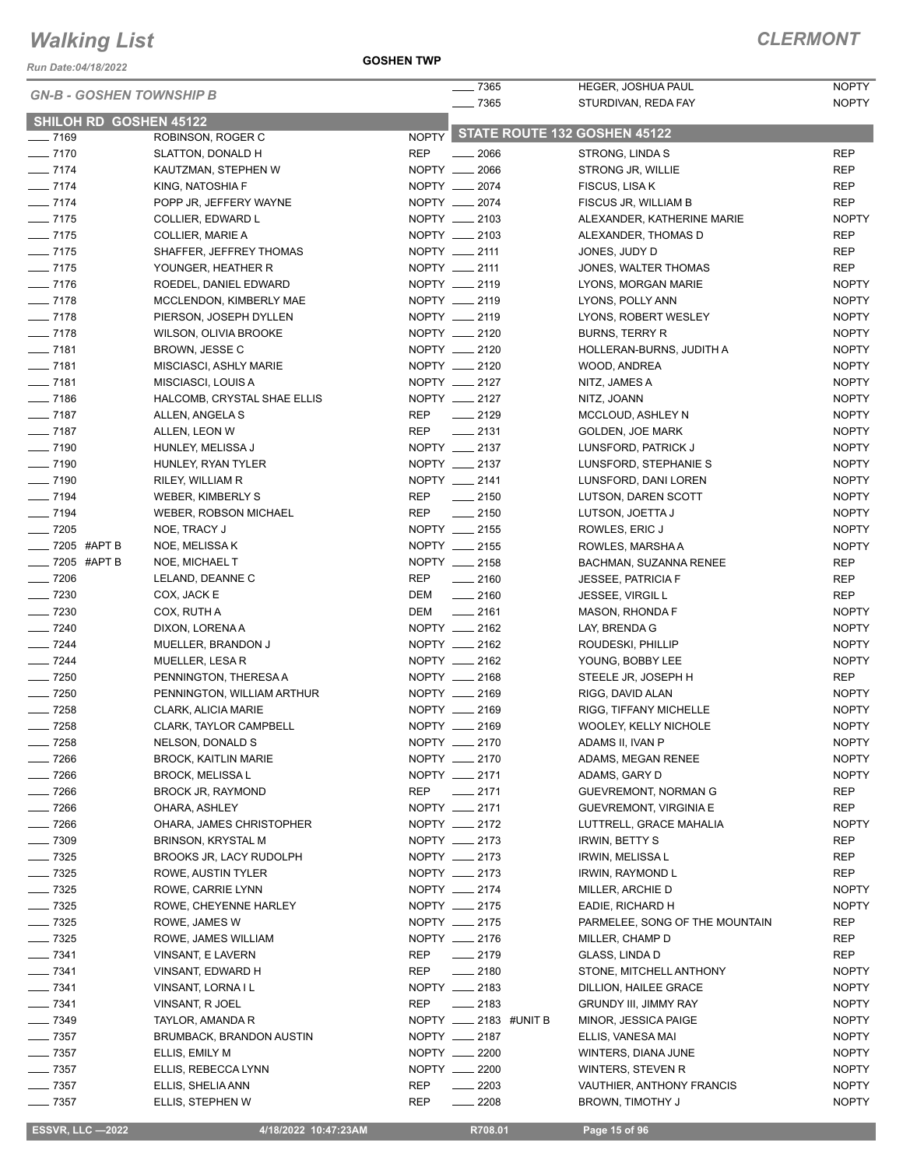*Run Date:04/18/2022*

**GOSHEN TWP**

| <b>GN-B - GOSHEN TOWNSHIP B</b>                         |                                 |            | $- 7365$                           | <b>HEGER, JOSHUA PAUL</b>      | <b>NOPTY</b> |
|---------------------------------------------------------|---------------------------------|------------|------------------------------------|--------------------------------|--------------|
|                                                         |                                 |            | $- 7365$                           | STURDIVAN, REDA FAY            | <b>NOPTY</b> |
| SHILOH RD GOSHEN 45122<br>$- 7169$<br>ROBINSON, ROGER C |                                 |            | NOPTY STATE ROUTE 132 GOSHEN 45122 |                                |              |
| $- 7170$                                                | SLATTON, DONALD H               | <b>REP</b> | $-2066$                            | STRONG, LINDA S                | <b>REP</b>   |
| $- 7174$                                                | KAUTZMAN, STEPHEN W             |            | NOPTY __ 2066                      | STRONG JR, WILLIE              | <b>REP</b>   |
| $- 7174$                                                | KING, NATOSHIA F                |            | NOPTY __ 2074                      | FISCUS, LISA K                 | <b>REP</b>   |
| $- 7174$                                                | POPP JR, JEFFERY WAYNE          |            | NOPTY __ 2074                      | FISCUS JR, WILLIAM B           | <b>REP</b>   |
| $- 7175$                                                | COLLIER, EDWARD L               |            | NOPTY __ 2103                      | ALEXANDER, KATHERINE MARIE     | <b>NOPTY</b> |
| $- 7175$                                                | <b>COLLIER, MARIE A</b>         |            | NOPTY __ 2103                      | ALEXANDER, THOMAS D            | <b>REP</b>   |
| $- 7175$                                                | SHAFFER, JEFFREY THOMAS         |            | NOPTY __ 2111                      | JONES, JUDY D                  | <b>REP</b>   |
| $- 7175$                                                | YOUNGER, HEATHER R              |            | NOPTY __ 2111                      | JONES, WALTER THOMAS           | <b>REP</b>   |
| $- 7176$                                                | ROEDEL, DANIEL EDWARD           |            | NOPTY __ 2119                      | LYONS, MORGAN MARIE            | <b>NOPTY</b> |
| $- 7178$                                                | MCCLENDON, KIMBERLY MAE         |            | NOPTY __ 2119                      | LYONS, POLLY ANN               | <b>NOPTY</b> |
| $- 7178$                                                | PIERSON, JOSEPH DYLLEN          |            | NOPTY __ 2119                      | LYONS, ROBERT WESLEY           | <b>NOPTY</b> |
| $- 7178$                                                | <b>WILSON, OLIVIA BROOKE</b>    |            | NOPTY __ 2120                      | <b>BURNS, TERRY R</b>          | <b>NOPTY</b> |
| $- 7181$                                                | BROWN, JESSE C                  |            | NOPTY __ 2120                      | HOLLERAN-BURNS, JUDITH A       | <b>NOPTY</b> |
| $- 7181$                                                | MISCIASCI, ASHLY MARIE          |            | NOPTY __ 2120                      | WOOD, ANDREA                   | <b>NOPTY</b> |
| $- 7181$                                                | MISCIASCI, LOUIS A              |            | NOPTY __ 2127                      | NITZ, JAMES A                  | <b>NOPTY</b> |
| $- 7186$                                                | HALCOMB, CRYSTAL SHAE ELLIS     |            | NOPTY __ 2127                      | NITZ, JOANN                    | <b>NOPTY</b> |
| $- 7187$                                                | ALLEN, ANGELA S                 | <b>REP</b> | $\frac{1}{2129}$                   | MCCLOUD, ASHLEY N              | <b>NOPTY</b> |
| $- 7187$                                                | ALLEN, LEON W                   | <b>REP</b> | $\frac{1}{2131}$                   | GOLDEN, JOE MARK               | <b>NOPTY</b> |
| $\frac{1}{2}$ 7190                                      | HUNLEY, MELISSA J               |            | NOPTY __ 2137                      | LUNSFORD, PATRICK J            | <b>NOPTY</b> |
| $- 7190$                                                | HUNLEY, RYAN TYLER              |            | NOPTY __ 2137                      | LUNSFORD, STEPHANIE S          | <b>NOPTY</b> |
| $- 7190$                                                | RILEY, WILLIAM R                |            | NOPTY __ 2141                      | LUNSFORD, DANI LOREN           | <b>NOPTY</b> |
| $- 7194$                                                | WEBER, KIMBERLY S               | REP        | $\frac{1}{2150}$                   | LUTSON, DAREN SCOTT            | <b>NOPTY</b> |
| $- 7194$                                                | <b>WEBER, ROBSON MICHAEL</b>    | REP        | $-2150$                            | LUTSON, JOETTA J               | <b>NOPTY</b> |
| $- 7205$                                                | NOE, TRACY J                    |            | NOPTY __ 2155                      | ROWLES, ERIC J                 | <b>NOPTY</b> |
| - 7205 #APT B                                           | NOE, MELISSA K                  |            | NOPTY __ 2155                      | ROWLES, MARSHA A               | <b>NOPTY</b> |
| - 7205 #APT B                                           | NOE, MICHAEL T                  |            | NOPTY __ 2158                      | BACHMAN, SUZANNA RENEE         | <b>REP</b>   |
| $\frac{1}{2}$ 7206                                      | LELAND, DEANNE C                | <b>REP</b> | $-2160$                            | <b>JESSEE, PATRICIA F</b>      | <b>REP</b>   |
| $- 7230$                                                | COX, JACK E                     | DEM        | $-2160$                            | <b>JESSEE, VIRGIL L</b>        | <b>REP</b>   |
| $- 7230$                                                | COX, RUTH A                     | DEM        | $\frac{1}{2161}$                   | MASON, RHONDA F                | <b>NOPTY</b> |
| $- 7240$                                                | DIXON, LORENA A                 |            | NOPTY __ 2162                      | LAY, BRENDA G                  | <b>NOPTY</b> |
| $- 7244$                                                | MUELLER, BRANDON J              |            | NOPTY __ 2162                      | ROUDESKI, PHILLIP              | <b>NOPTY</b> |
| $- 7244$                                                | MUELLER, LESA R                 |            | NOPTY __ 2162                      | YOUNG, BOBBY LEE               | <b>NOPTY</b> |
| $- 7250$                                                | PENNINGTON, THERESA A           |            | NOPTY __ 2168                      | STEELE JR, JOSEPH H            | REP          |
| $- 7250$                                                | PENNINGTON, WILLIAM ARTHUR      |            | NOPTY __ 2169                      | RIGG, DAVID ALAN               | <b>NOPTY</b> |
| $- 7258$                                                | CLARK, ALICIA MARIE             |            | NOPTY __ 2169                      | RIGG, TIFFANY MICHELLE         | <b>NOPTY</b> |
| $\frac{1}{2}$ 7258                                      | <b>CLARK, TAYLOR CAMPBELL</b>   |            | NOPTY __ 2169                      | WOOLEY, KELLY NICHOLE          | <b>NOPTY</b> |
| $-7258$                                                 | NELSON, DONALD S                |            | NOPTY __ 2170                      | ADAMS II, IVAN P               | <b>NOPTY</b> |
| $- 7266$                                                | <b>BROCK, KAITLIN MARIE</b>     |            | NOPTY __ 2170                      | ADAMS, MEGAN RENEE             | <b>NOPTY</b> |
| $- 7266$                                                | <b>BROCK, MELISSA L</b>         |            | NOPTY __ 2171                      | ADAMS, GARY D                  | <b>NOPTY</b> |
| $- 7266$                                                | <b>BROCK JR, RAYMOND</b>        |            | REP __ 2171                        | GUEVREMONT, NORMAN G           | <b>REP</b>   |
| $- 7266$                                                | OHARA, ASHLEY                   |            | NOPTY __ 2171                      | <b>GUEVREMONT, VIRGINIA E</b>  | <b>REP</b>   |
| $- 7266$                                                | OHARA, JAMES CHRISTOPHER        |            | NOPTY __ 2172                      | LUTTRELL, GRACE MAHALIA        | <b>NOPTY</b> |
| $- 7309$                                                | BRINSON, KRYSTAL M              |            | NOPTY __ 2173                      | <b>IRWIN, BETTY S</b>          | REP          |
| $- 7325$                                                | <b>BROOKS JR, LACY RUDOLPH</b>  |            | NOPTY __ 2173                      | IRWIN, MELISSA L               | <b>REP</b>   |
| $- 7325$                                                | ROWE, AUSTIN TYLER              |            | NOPTY __ 2173                      | IRWIN, RAYMOND L               | <b>REP</b>   |
| $\frac{1}{2}$ 7325                                      | ROWE, CARRIE LYNN               |            | NOPTY __ 2174                      | MILLER, ARCHIE D               | <b>NOPTY</b> |
| $- 7325$                                                | ROWE, CHEYENNE HARLEY           |            | NOPTY __ 2175                      | EADIE, RICHARD H               | <b>NOPTY</b> |
| $- 7325$                                                | ROWE, JAMES W                   |            | NOPTY __ 2175                      | PARMELEE, SONG OF THE MOUNTAIN | REP          |
| $- 7325$                                                | ROWE, JAMES WILLIAM             |            | NOPTY __ 2176                      | MILLER, CHAMP D                | REP          |
| $- 7341$                                                | VINSANT, E LAVERN               |            | REP __ 2179                        | GLASS, LINDA D                 | REP          |
| $- 7341$                                                | VINSANT, EDWARD H               | REP        | $-2180$                            | STONE, MITCHELL ANTHONY        | <b>NOPTY</b> |
| $- 7341$                                                | VINSANT, LORNA I L              |            | NOPTY __ 2183                      | DILLION, HAILEE GRACE          | <b>NOPTY</b> |
| $- 7341$                                                | VINSANT, R JOEL                 | REP        | $\frac{1}{2183}$                   | <b>GRUNDY III, JIMMY RAY</b>   | <b>NOPTY</b> |
| $- 7349$                                                | TAYLOR, AMANDA R                |            | NOPTY __ 2183 #UNIT B              | MINOR, JESSICA PAIGE           | <b>NOPTY</b> |
| $- 7357$                                                | <b>BRUMBACK, BRANDON AUSTIN</b> |            | NOPTY __ 2187                      | ELLIS, VANESA MAI              | <b>NOPTY</b> |
| $- 7357$                                                | ELLIS, EMILY M                  |            | NOPTY __ 2200                      | WINTERS, DIANA JUNE            | <b>NOPTY</b> |
| $- 7357$                                                | ELLIS, REBECCA LYNN             |            | NOPTY __ 2200                      | WINTERS, STEVEN R              | <b>NOPTY</b> |
| $\frac{1}{2}$ 7357                                      | ELLIS, SHELIA ANN               | REP        | $\frac{2203}{2}$                   | VAUTHIER, ANTHONY FRANCIS      | <b>NOPTY</b> |
| $\frac{1}{2}$ 7357                                      | ELLIS, STEPHEN W                | <b>REP</b> | $-2208$                            | BROWN, TIMOTHY J               | <b>NOPTY</b> |

**ESSVR, LLC -2022 4/18/2022 10:47:23AM** R708.01 **Page 15 of 96**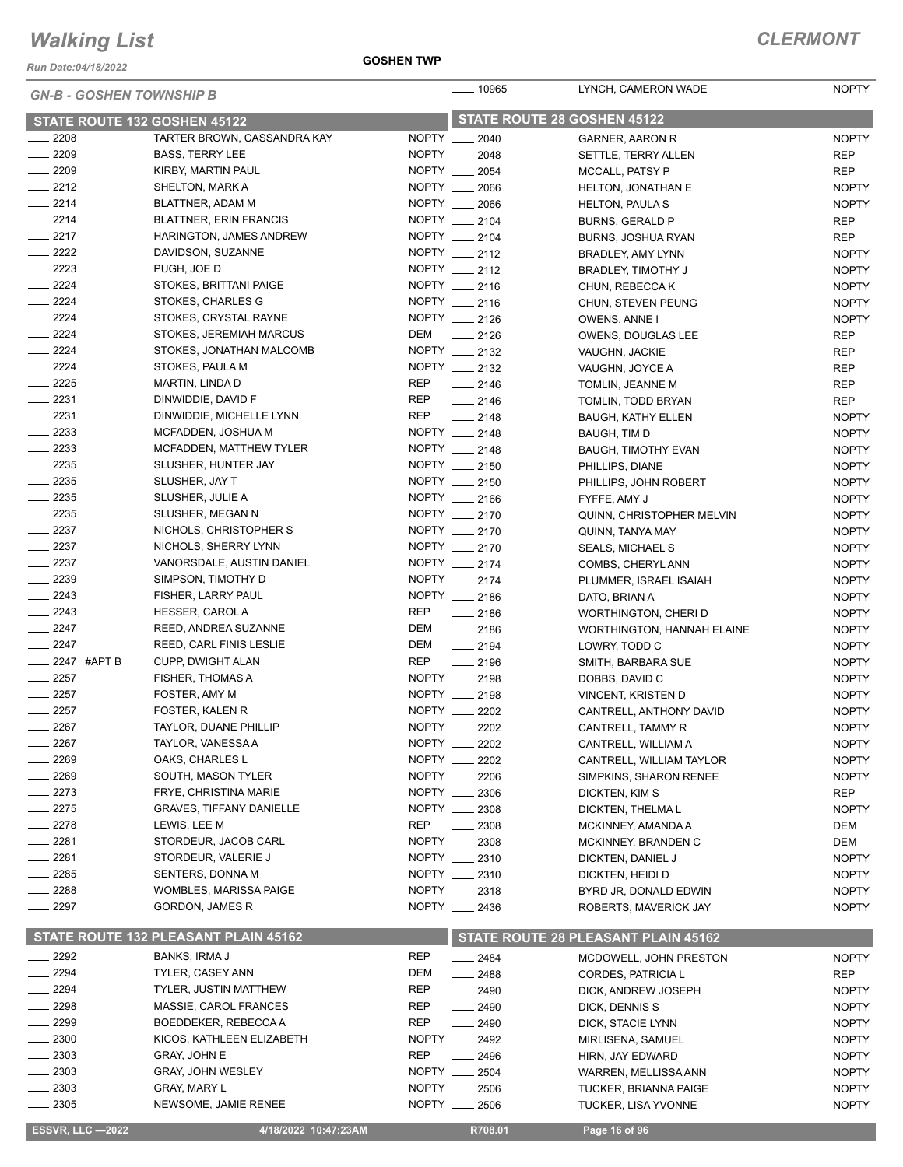*Run Date:04/18/2022*

#### **GOSHEN TWP**

| <b>GN-B - GOSHEN TOWNSHIP B</b>      |                                      | <u>.</u> 10965 | LYNCH, CAMERON WADE            | <b>NOPTY</b>                                |                              |
|--------------------------------------|--------------------------------------|----------------|--------------------------------|---------------------------------------------|------------------------------|
| STATE ROUTE 132 GOSHEN 45122         |                                      |                | STATE ROUTE 28 GOSHEN 45122    |                                             |                              |
| $\frac{1}{2208}$                     | TARTER BROWN, CASSANDRA KAY          |                | NOPTY __ 2040                  | GARNER, AARON R                             | <b>NOPTY</b>                 |
| $-2209$                              | <b>BASS, TERRY LEE</b>               |                | NOPTY __ 2048                  | SETTLE, TERRY ALLEN                         | <b>REP</b>                   |
| $-2209$                              | KIRBY, MARTIN PAUL                   |                | NOPTY __ 2054                  | MCCALL, PATSY P                             | <b>REP</b>                   |
| $\frac{2212}{2}$                     | SHELTON, MARK A                      |                | NOPTY __ 2066                  | <b>HELTON, JONATHAN E</b>                   | <b>NOPTY</b>                 |
| $-2214$                              | BLATTNER, ADAM M                     |                | NOPTY __ 2066                  | <b>HELTON, PAULAS</b>                       | <b>NOPTY</b>                 |
| $\frac{2214}{5}$                     | <b>BLATTNER, ERIN FRANCIS</b>        |                | NOPTY __ 2104                  | BURNS, GERALD P                             | <b>REP</b>                   |
| $-2217$                              | <b>HARINGTON, JAMES ANDREW</b>       |                | NOPTY __ 2104                  | BURNS, JOSHUA RYAN                          | <b>REP</b>                   |
| $\frac{2222}{2}$                     | DAVIDSON, SUZANNE                    |                | NOPTY __ 2112                  | BRADLEY, AMY LYNN                           | <b>NOPTY</b>                 |
| $\frac{2223}{2}$                     | PUGH, JOE D                          |                | NOPTY __ 2112                  | <b>BRADLEY, TIMOTHY J</b>                   | <b>NOPTY</b>                 |
| $-2224$                              | STOKES, BRITTANI PAIGE               |                | NOPTY __ 2116                  | CHUN, REBECCA K                             | <b>NOPTY</b>                 |
| $-2224$                              | STOKES, CHARLES G                    |                | NOPTY __ 2116                  | CHUN, STEVEN PEUNG                          | <b>NOPTY</b>                 |
| $-2224$                              | STOKES, CRYSTAL RAYNE                |                | NOPTY __ 2126                  | <b>OWENS, ANNE I</b>                        | <b>NOPTY</b>                 |
| $-2224$                              | STOKES, JEREMIAH MARCUS              | DEM            | $-2126$                        | OWENS, DOUGLAS LEE                          | <b>REP</b>                   |
| $\frac{2224}{5}$                     | STOKES, JONATHAN MALCOMB             |                | NOPTY __ 2132                  | VAUGHN, JACKIE                              | REP                          |
| $\frac{2224}{5}$                     | STOKES, PAULA M                      |                | NOPTY __ 2132                  | VAUGHN, JOYCE A                             | <b>REP</b>                   |
| $-2225$                              | MARTIN, LINDA D                      | REP            | $\frac{1}{2146}$               | TOMLIN, JEANNE M                            | <b>REP</b>                   |
| $-2231$                              | DINWIDDIE, DAVID F                   | REP            | $-2146$                        | TOMLIN, TODD BRYAN                          | <b>REP</b>                   |
| $-2231$                              | DINWIDDIE, MICHELLE LYNN             | <b>REP</b>     | $\frac{1}{2148}$               | <b>BAUGH, KATHY ELLEN</b>                   | <b>NOPTY</b>                 |
| $\frac{1}{2233}$                     | MCFADDEN, JOSHUA M                   |                | NOPTY __ 2148                  | BAUGH, TIM D                                | <b>NOPTY</b>                 |
| $-2233$                              | MCFADDEN, MATTHEW TYLER              |                | NOPTY __ 2148                  | <b>BAUGH, TIMOTHY EVAN</b>                  | <b>NOPTY</b>                 |
| $\frac{1}{2235}$<br>$\frac{2235}{2}$ | SLUSHER, HUNTER JAY                  |                | NOPTY __ 2150<br>NOPTY __ 2150 | PHILLIPS, DIANE                             | <b>NOPTY</b>                 |
| $-2235$                              | SLUSHER, JAY T                       |                | NOPTY __ 2166                  | PHILLIPS, JOHN ROBERT                       | <b>NOPTY</b>                 |
| $\frac{2235}{2}$                     | SLUSHER, JULIE A<br>SLUSHER, MEGAN N |                | NOPTY __ 2170                  | FYFFE, AMY J                                | <b>NOPTY</b>                 |
| $-2237$                              | NICHOLS, CHRISTOPHER S               |                | NOPTY __ 2170                  | QUINN, CHRISTOPHER MELVIN                   | <b>NOPTY</b><br><b>NOPTY</b> |
| $\frac{1}{2237}$                     | NICHOLS, SHERRY LYNN                 |                | NOPTY __ 2170                  | QUINN, TANYA MAY<br><b>SEALS, MICHAEL S</b> | <b>NOPTY</b>                 |
| $-2237$                              | VANORSDALE, AUSTIN DANIEL            |                | NOPTY __ 2174                  | COMBS, CHERYL ANN                           | <b>NOPTY</b>                 |
| $-2239$                              | SIMPSON, TIMOTHY D                   |                | NOPTY __ 2174                  | PLUMMER, ISRAEL ISAIAH                      | <b>NOPTY</b>                 |
| $\frac{2243}{2}$                     | FISHER, LARRY PAUL                   |                | NOPTY __ 2186                  | DATO, BRIAN A                               | <b>NOPTY</b>                 |
| $-2243$                              | HESSER, CAROL A                      | <b>REP</b>     | $-2186$                        | WORTHINGTON, CHERI D                        | <b>NOPTY</b>                 |
| $-2247$                              | REED, ANDREA SUZANNE                 | DEM            | $-2186$                        | <b>WORTHINGTON, HANNAH ELAINE</b>           | <b>NOPTY</b>                 |
| $-2247$                              | REED, CARL FINIS LESLIE              | DEM            | $-2194$                        | LOWRY, TODD C                               | <b>NOPTY</b>                 |
| <b>______ 2247 #APT B</b>            | <b>CUPP, DWIGHT ALAN</b>             | <b>REP</b>     | $-2196$                        | SMITH, BARBARA SUE                          | <b>NOPTY</b>                 |
| $\frac{2257}{2}$                     | FISHER, THOMAS A                     |                | NOPTY __ 2198                  | DOBBS, DAVID C                              | <b>NOPTY</b>                 |
| $\frac{2257}{2}$                     | FOSTER, AMY M                        |                | NOPTY __ 2198                  | VINCENT, KRISTEN D                          | <b>NOPTY</b>                 |
| $\frac{1}{2257}$                     | FOSTER, KALEN R                      |                | NOPTY __ 2202                  | CANTRELL, ANTHONY DAVID                     | <b>NOPTY</b>                 |
| $-2267$                              | TAYLOR, DUANE PHILLIP                |                | NOPTY __ 2202                  | CANTRELL, TAMMY R                           | <b>NOPTY</b>                 |
| 2267                                 | TAYLOR, VANESSA A                    | NOPTY _        | 2202                           | CANTRELL, WILLIAM A                         | <b>NOPTY</b>                 |
| 2269                                 | OAKS, CHARLES L                      |                | NOPTY __ 2202                  | CANTRELL, WILLIAM TAYLOR                    | <b>NOPTY</b>                 |
| 2269                                 | SOUTH, MASON TYLER                   |                | NOPTY __ 2206                  | SIMPKINS, SHARON RENEE                      | <b>NOPTY</b>                 |
| - 2273                               | FRYE, CHRISTINA MARIE                |                | NOPTY __ 2306                  | DICKTEN, KIM S                              | <b>REP</b>                   |
| 2275                                 | <b>GRAVES, TIFFANY DANIELLE</b>      |                | NOPTY __ 2308                  | DICKTEN, THELMAL                            | <b>NOPTY</b>                 |
| $= 2278$                             | LEWIS, LEE M                         | <b>REP</b>     | $\frac{2308}{2}$               | MCKINNEY, AMANDA A                          | <b>DEM</b>                   |
| 2281                                 | STORDEUR, JACOB CARL                 |                | NOPTY __ 2308                  | MCKINNEY, BRANDEN C                         | DEM                          |
| 2281                                 | STORDEUR, VALERIE J                  |                | NOPTY __ 2310                  | DICKTEN, DANIEL J                           | <b>NOPTY</b>                 |
| $-2285$                              | SENTERS, DONNA M                     |                | NOPTY __ 2310                  | DICKTEN, HEIDI D                            | <b>NOPTY</b>                 |
| $-2288$                              | WOMBLES, MARISSA PAIGE               |                | NOPTY __ 2318                  | BYRD JR, DONALD EDWIN                       | <b>NOPTY</b>                 |
| $-2297$                              | <b>GORDON, JAMES R</b>               |                | NOPTY __ 2436                  | ROBERTS, MAVERICK JAY                       | <b>NOPTY</b>                 |
|                                      | STATE ROUTE 132 PLEASANT PLAIN 45162 |                |                                | STATE ROUTE 28 PLEASANT PLAIN 45162         |                              |
| $-2292$                              | BANKS, IRMA J                        | <b>REP</b>     | $\frac{1}{2484}$               | MCDOWELL, JOHN PRESTON                      | <b>NOPTY</b>                 |
| 2294                                 | <b>TYLER, CASEY ANN</b>              | DEM            | $-2488$                        | CORDES, PATRICIA L                          | <b>REP</b>                   |
| 2294                                 | <b>TYLER, JUSTIN MATTHEW</b>         | REP            | $-2490$                        | DICK, ANDREW JOSEPH                         | <b>NOPTY</b>                 |
| 2298                                 | MASSIE, CAROL FRANCES                | REP            | $- 2490$                       | DICK, DENNIS S                              | <b>NOPTY</b>                 |
| 2299                                 | BOEDDEKER, REBECCA A                 | <b>REP</b>     | ____ 2490                      | DICK, STACIE LYNN                           | <b>NOPTY</b>                 |
| 2300                                 | KICOS, KATHLEEN ELIZABETH            |                | NOPTY __ 2492                  | MIRLISENA, SAMUEL                           | <b>NOPTY</b>                 |
| 2303                                 | <b>GRAY, JOHN E</b>                  | <b>REP</b>     | $-2496$                        | HIRN, JAY EDWARD                            | <b>NOPTY</b>                 |
| 2303                                 | <b>GRAY, JOHN WESLEY</b>             |                | NOPTY __ 2504                  | WARREN, MELLISSA ANN                        | <b>NOPTY</b>                 |
| 2303                                 | <b>GRAY, MARY L</b>                  |                | NOPTY __ 2506                  | <b>TUCKER, BRIANNA PAIGE</b>                | <b>NOPTY</b>                 |
| $-2305$                              | NEWSOME, JAMIE RENEE                 |                | NOPTY __ 2506                  | <b>TUCKER, LISA YVONNE</b>                  | <b>NOPTY</b>                 |
| <b>ESSVR, LLC -2022</b>              | 4/18/2022 10:47:23AM                 |                | R708.01                        | Page 16 of 96                               |                              |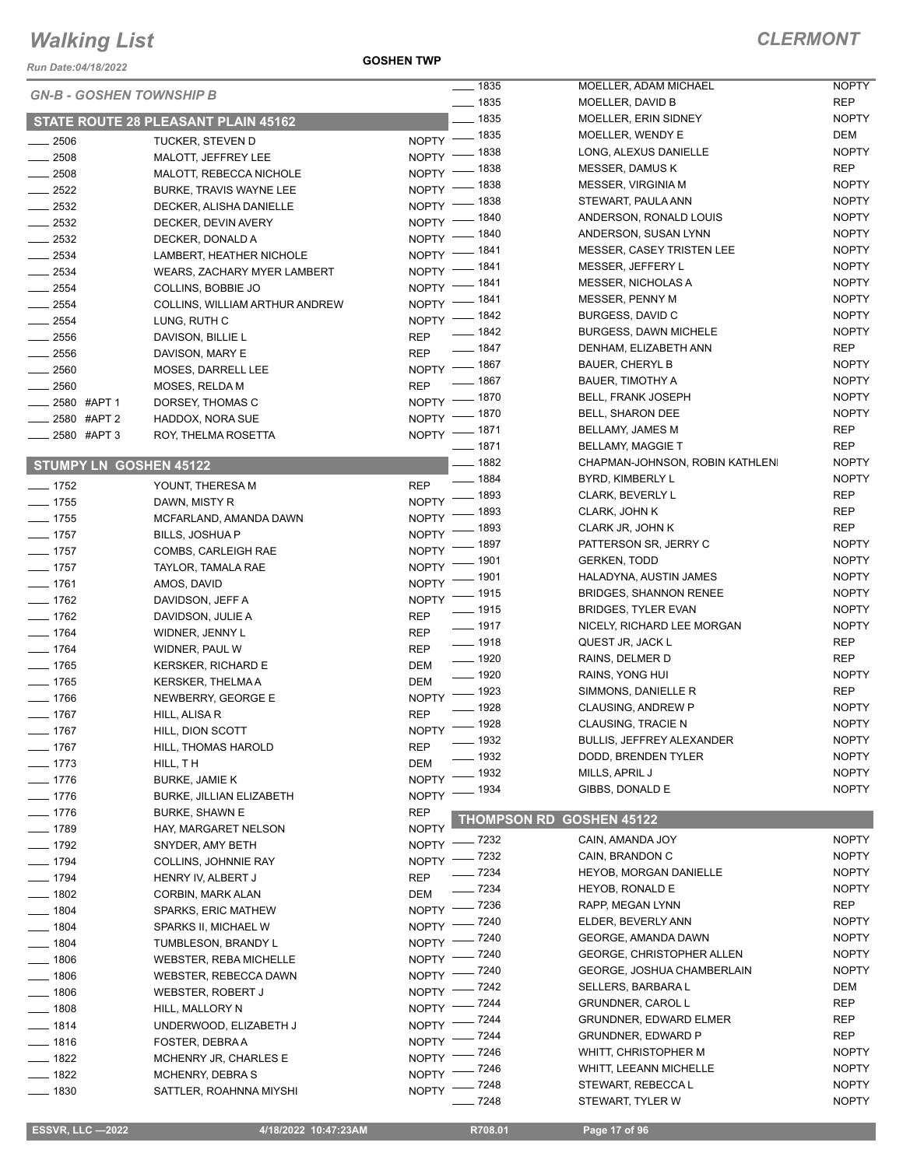*Run Date:04/18/2022*

**GOSHEN TWP**

| <b>GN-B - GOSHEN TOWNSHIP B</b> |                                     |                    | $- 1835$                | MOELLER, ADAM MICHAEL             | <b>NOPTY</b> |
|---------------------------------|-------------------------------------|--------------------|-------------------------|-----------------------------------|--------------|
|                                 |                                     |                    | $- 1835$                | MOELLER, DAVID B                  | <b>REP</b>   |
|                                 | STATE ROUTE 28 PLEASANT PLAIN 45162 |                    | $\frac{1}{2}$ 1835      | MOELLER, ERIN SIDNEY              | <b>NOPTY</b> |
| $\frac{1}{2506}$                | <b>TUCKER, STEVEN D</b>             |                    | NOPTY - 1835            | MOELLER, WENDY E                  | DEM          |
| $-2508$                         | MALOTT, JEFFREY LEE                 |                    | NOPTY - 1838            | LONG, ALEXUS DANIELLE             | <b>NOPTY</b> |
| $\frac{1}{2508}$                | MALOTT, REBECCA NICHOLE             | $NOPTY$ -          | _ 1838                  | <b>MESSER, DAMUS K</b>            | <b>REP</b>   |
| $-2522$                         | BURKE, TRAVIS WAYNE LEE             | NOPTY -            | _ 1838                  | MESSER, VIRGINIA M                | <b>NOPTY</b> |
| $\frac{1}{2532}$                | DECKER, ALISHA DANIELLE             | $NOPTY =$          | _ 1838                  | STEWART, PAULA ANN                | <b>NOPTY</b> |
| $-2532$                         | DECKER, DEVIN AVERY                 |                    | NOPTY - 1840            | ANDERSON, RONALD LOUIS            | <b>NOPTY</b> |
| $\frac{1}{2532}$                | DECKER, DONALD A                    |                    | NOPTY - 1840            | ANDERSON, SUSAN LYNN              | <b>NOPTY</b> |
| $\frac{1}{2534}$                | LAMBERT, HEATHER NICHOLE            |                    | NOPTY - 1841            | <b>MESSER, CASEY TRISTEN LEE</b>  | <b>NOPTY</b> |
| $-2534$                         |                                     |                    | NOPTY - 1841            | MESSER, JEFFERY L                 | <b>NOPTY</b> |
|                                 | <b>WEARS, ZACHARY MYER LAMBERT</b>  |                    | NOPTY - 1841            | <b>MESSER, NICHOLAS A</b>         | <b>NOPTY</b> |
| $\frac{1}{2554}$                | COLLINS, BOBBIE JO                  |                    | NOPTY - 1841            | MESSER, PENNY M                   | <b>NOPTY</b> |
| $-2554$                         | COLLINS, WILLIAM ARTHUR ANDREW      |                    | NOPTY - 1842            | BURGESS, DAVID C                  | <b>NOPTY</b> |
| $-2554$                         | LUNG, RUTH C                        |                    | $\frac{1}{2}$ 1842      | <b>BURGESS, DAWN MICHELE</b>      | <b>NOPTY</b> |
| $\frac{1}{2556}$                | DAVISON, BILLIE L                   | <b>REP</b>         | $- 1847$                | DENHAM, ELIZABETH ANN             | <b>REP</b>   |
| $\frac{1}{2556}$                | DAVISON, MARY E                     | <b>REP</b>         | NOPTY - 1867            | <b>BAUER, CHERYL B</b>            | <b>NOPTY</b> |
| $- 2560$                        | MOSES, DARRELL LEE                  |                    | $- 1867$                | <b>BAUER, TIMOTHY A</b>           | <b>NOPTY</b> |
| $-2560$                         | MOSES, RELDA M                      | <b>REP</b>         |                         | <b>BELL, FRANK JOSEPH</b>         | <b>NOPTY</b> |
| ____ 2580 #APT 1                | DORSEY, THOMAS C                    |                    | NOPTY - 1870<br>$-1870$ | BELL, SHARON DEE                  | <b>NOPTY</b> |
| $2580$ #APT 2                   | HADDOX, NORA SUE                    | $N$ OPTY -         |                         |                                   |              |
| $\frac{1}{2580}$ #APT 3         | ROY, THELMA ROSETTA                 |                    | NOPTY - 1871            | BELLAMY, JAMES M                  | <b>REP</b>   |
|                                 |                                     |                    | $- 1871$                | <b>BELLAMY, MAGGIE T</b>          | <b>REP</b>   |
| <b>STUMPY LN GOSHEN 45122</b>   |                                     |                    | $- 1882$                | CHAPMAN-JOHNSON, ROBIN KATHLENI   | <b>NOPTY</b> |
| $- 1752$                        | YOUNT, THERESA M                    | <b>REP</b>         | $- 1884$                | BYRD, KIMBERLY L                  | <b>NOPTY</b> |
| $- 1755$                        | DAWN, MISTY R                       |                    | NOPTY - 1893            | <b>CLARK, BEVERLY L</b>           | <b>REP</b>   |
| $- 1755$                        | MCFARLAND, AMANDA DAWN              | NOPTY <sup>-</sup> | _ 1893                  | CLARK, JOHN K                     | <b>REP</b>   |
| $- 1757$                        | <b>BILLS, JOSHUA P</b>              | $N$ OPTY -         | _ 1893                  | CLARK JR, JOHN K                  | <b>REP</b>   |
| $- 1757$                        | COMBS, CARLEIGH RAE                 |                    | NOPTY - 1897            | PATTERSON SR, JERRY C             | <b>NOPTY</b> |
| $- 1757$                        | TAYLOR, TAMALA RAE                  |                    | NOPTY - 1901            | <b>GERKEN, TODD</b>               | <b>NOPTY</b> |
| $- 1761$                        | AMOS, DAVID                         |                    | NOPTY - 1901            | HALADYNA, AUSTIN JAMES            | <b>NOPTY</b> |
| $- 1762$                        | DAVIDSON, JEFF A                    |                    | NOPTY - 1915            | <b>BRIDGES, SHANNON RENEE</b>     | <b>NOPTY</b> |
| $- 1762$                        | DAVIDSON, JULIE A                   | <b>REP</b>         | $\frac{1}{2}$ 1915      | <b>BRIDGES, TYLER EVAN</b>        | <b>NOPTY</b> |
| $- 1764$                        | WIDNER, JENNY L                     | <b>REP</b>         | $- 1917$                | NICELY, RICHARD LEE MORGAN        | <b>NOPTY</b> |
| $- 1764$                        | WIDNER, PAUL W                      | <b>REP</b>         | $\frac{1}{2}$ 1918      | QUEST JR, JACK L                  | <b>REP</b>   |
|                                 |                                     |                    | $\frac{1}{2}$ 1920      | RAINS, DELMER D                   | <b>REP</b>   |
| $- 1765$                        | <b>KERSKER, RICHARD E</b>           | DEM                | $\frac{1}{2}$ 1920      | RAINS, YONG HUI                   | <b>NOPTY</b> |
| $\frac{1}{2}$ 1765              | <b>KERSKER, THELMA A</b>            | DEM                | NOPTY - 1923            | SIMMONS, DANIELLE R               | <b>REP</b>   |
| $- 1766$                        | NEWBERRY, GEORGE E                  |                    | $- 1928$                | <b>CLAUSING, ANDREW P</b>         | <b>NOPTY</b> |
| $- 1767$                        | HILL, ALISA R                       | <b>REP</b>         | NOPTY - 1928            | CLAUSING, TRACIE N                | <b>NOPTY</b> |
| $-1767$                         | HILL, DION SCOTT                    |                    | $- 1932$                | <b>BULLIS, JEFFREY ALEXANDER</b>  | <b>NOPTY</b> |
| $- 1767$                        | HILL, THOMAS HAROLD                 | <b>REP</b>         | $-1932$                 | DODD, BRENDEN TYLER               | <b>NOPTY</b> |
| $- 1773$                        | HILL, TH                            | DEM                | _ 1932                  | MILLS, APRIL J                    | <b>NOPTY</b> |
| $- 1776$                        | <b>BURKE, JAMIE K</b>               | <b>NOPTY</b>       | _ 1934                  | GIBBS, DONALD E                   | <b>NOPTY</b> |
| $- 1776$                        | BURKE, JILLIAN ELIZABETH            | <b>NOPTY</b>       |                         |                                   |              |
| $- 1776$                        | <b>BURKE, SHAWN E</b>               | <b>REP</b>         |                         | <b>THOMPSON RD GOSHEN 45122</b>   |              |
| $- 1789$                        | HAY, MARGARET NELSON                | <b>NOPTY</b>       |                         |                                   | <b>NOPTY</b> |
| $- 1792$                        | SNYDER, AMY BETH                    | <b>NOPTY</b>       | _ 7232                  | CAIN, AMANDA JOY                  |              |
| $- 1794$                        | COLLINS, JOHNNIE RAY                | NOPTY -            | _ 7232                  | CAIN, BRANDON C                   | <b>NOPTY</b> |
| $- 1794$                        | HENRY IV, ALBERT J                  | <b>REP</b>         | $- 7234$                | <b>HEYOB, MORGAN DANIELLE</b>     | <b>NOPTY</b> |
| $- 1802$                        | CORBIN, MARK ALAN                   | DEM                | $- 7234$                | <b>HEYOB, RONALD E</b>            | <b>NOPTY</b> |
| $- 1804$                        | SPARKS, ERIC MATHEW                 |                    | NOPTY - 7236            | RAPP, MEGAN LYNN                  | REP          |
| $- 1804$                        | SPARKS II, MICHAEL W                | $N$ OPTY -         | _ 7240                  | ELDER, BEVERLY ANN                | <b>NOPTY</b> |
| $- 1804$                        | TUMBLESON, BRANDY L                 | $NOPTY =$          | _ 7240                  | GEORGE, AMANDA DAWN               | <b>NOPTY</b> |
| $- 1806$                        | WEBSTER, REBA MICHELLE              | $N$ OPTY -         | $=7240$                 | <b>GEORGE, CHRISTOPHER ALLEN</b>  | <b>NOPTY</b> |
| $- 1806$                        | WEBSTER, REBECCA DAWN               | $N$ OPTY -         | $-7240$                 | <b>GEORGE, JOSHUA CHAMBERLAIN</b> | <b>NOPTY</b> |
| $\frac{1}{2}$ 1806              | WEBSTER, ROBERT J                   | $N$ OPTY -         | _ 7242                  | SELLERS, BARBARA L                | DEM          |
| $- 1808$                        | HILL, MALLORY N                     |                    | NOPTY - 7244            | <b>GRUNDNER, CAROL L</b>          | <b>REP</b>   |
| $- 1814$                        | UNDERWOOD, ELIZABETH J              | NOPTY -            | _ 7244                  | <b>GRUNDNER, EDWARD ELMER</b>     | REP          |
| ___ 1816                        | FOSTER, DEBRAA                      | $N$ OPTY -         | _ 7244                  | <b>GRUNDNER, EDWARD P</b>         | <b>REP</b>   |
|                                 |                                     | NOPTY -            | _ 7246                  | WHITT, CHRISTOPHER M              | <b>NOPTY</b> |
| $- 1822$                        | MCHENRY JR, CHARLES E               |                    | NOPTY - 7246            | WHITT, LEEANN MICHELLE            | <b>NOPTY</b> |
| $- 1822$                        | <b>MCHENRY, DEBRAS</b>              |                    | NOPTY - 7248            | STEWART, REBECCA L                | <b>NOPTY</b> |
| $- 1830$                        | SATTLER, ROAHNNA MIYSHI             |                    | 7248                    | STEWART, TYLER W                  | <b>NOPTY</b> |
|                                 |                                     |                    |                         |                                   |              |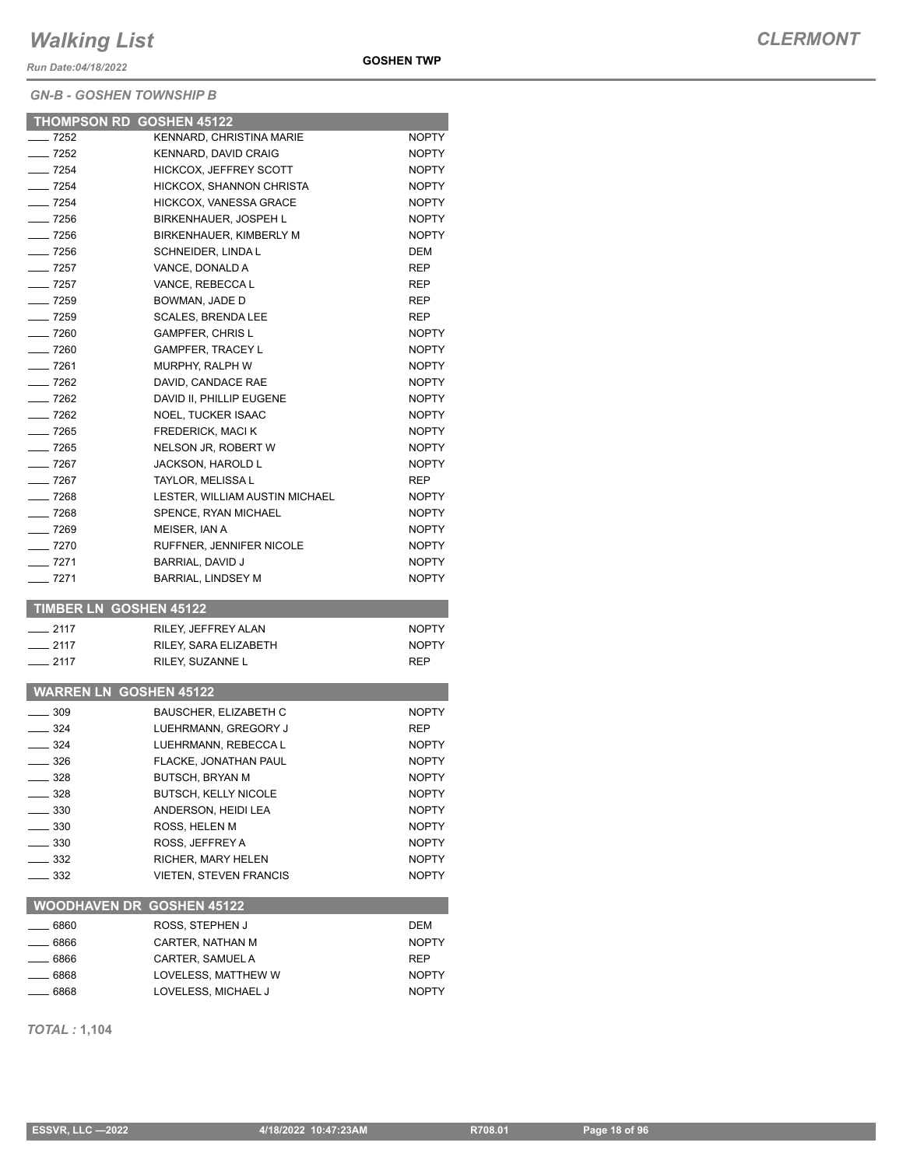*Run Date:04/18/2022*

#### *GN-B - GOSHEN TOWNSHIP B*

|                      | <b>THOMPSON RD GOSHEN 45122</b>           |                              |
|----------------------|-------------------------------------------|------------------------------|
| $-7252$              | KENNARD, CHRISTINA MARIE                  | <b>NOPTY</b>                 |
| $- 7252$             | <b>KENNARD, DAVID CRAIG</b>               | <b>NOPTY</b>                 |
| $- 7254$             | <b>HICKCOX, JEFFREY SCOTT</b>             | <b>NOPTY</b>                 |
| $- 7254$             | HICKCOX, SHANNON CHRISTA                  | <b>NOPTY</b>                 |
| $\frac{1}{254}$      | <b>HICKCOX, VANESSA GRACE</b>             | <b>NOPTY</b>                 |
| $-7256$              | BIRKENHAUER, JOSPEH L                     | <b>NOPTY</b>                 |
| $\frac{1}{2}$ 7256   | BIRKENHAUER, KIMBERLY M                   | <b>NOPTY</b>                 |
| $- 7256$             | SCHNEIDER, LINDA L                        | <b>DEM</b>                   |
| $-$ 7257             | VANCE, DONALD A                           | <b>REP</b>                   |
| $-7257$              | VANCE, REBECCAL                           | <b>REP</b>                   |
| $-7259$              | BOWMAN, JADE D                            | <b>REP</b>                   |
| $- 7259$             | <b>SCALES, BRENDA LEE</b>                 | REP                          |
| $- 7260$             | <b>GAMPFER, CHRIS L</b>                   | <b>NOPTY</b>                 |
| $- 7260$             | <b>GAMPFER, TRACEY L</b>                  | <b>NOPTY</b>                 |
| — 7261               | <b>MURPHY, RALPH W</b>                    | <b>NOPTY</b>                 |
| $-7262$              | DAVID, CANDACE RAE                        | <b>NOPTY</b>                 |
| $-7262$              | DAVID II, PHILLIP EUGENE                  | <b>NOPTY</b>                 |
| $-7262$              | <b>NOEL, TUCKER ISAAC</b>                 | <b>NOPTY</b>                 |
| $- 7265$             | <b>FREDERICK, MACI K</b>                  | <b>NOPTY</b>                 |
| $- 7265$             | NELSON JR, ROBERT W                       | <b>NOPTY</b>                 |
| $-7267$              | <b>JACKSON, HAROLD L</b>                  | <b>NOPTY</b>                 |
| $-7267$              | TAYLOR, MELISSA L                         | <b>REP</b>                   |
| $- 7268$<br>$- 7268$ | LESTER, WILLIAM AUSTIN MICHAEL            | <b>NOPTY</b>                 |
| $\frac{1}{269}$      | SPENCE, RYAN MICHAEL                      | <b>NOPTY</b>                 |
| $-7270$              | MEISER, IAN A<br>RUFFNER, JENNIFER NICOLE | <b>NOPTY</b><br><b>NOPTY</b> |
| $- 7271$             | BARRIAL, DAVID J                          | <b>NOPTY</b>                 |
| $-7271$              | <b>BARRIAL, LINDSEY M</b>                 | <b>NOPTY</b>                 |
|                      |                                           |                              |
|                      | <b>TIMBER LN GOSHEN 45122</b>             |                              |
| $-2117$              | RILEY, JEFFREY ALAN                       | <b>NOPTY</b>                 |
| $-2117$              | RILEY, SARA ELIZABETH                     | <b>NOPTY</b>                 |
| $-2117$              | RILEY, SUZANNE L                          | <b>REP</b>                   |
|                      |                                           |                              |
|                      | <b>WARREN LN GOSHEN 45122</b>             |                              |
| $-309$               | <b>BAUSCHER, ELIZABETH C</b>              | <b>NOPTY</b>                 |
| ___ 324              | LUEHRMANN, GREGORY J                      | REP                          |
| $=$ 324              | LUEHRMANN, REBECCA L                      | <b>NOPTY</b>                 |
| __ 326               | FLACKE, JONATHAN PAUL                     | <b>NOPTY</b>                 |
| $=$ 328              | <b>BUTSCH, BRYAN M</b>                    | <b>NOPTY</b>                 |
| $-328$               | <b>BUTSCH, KELLY NICOLE</b>               | <b>NOPTY</b>                 |
| $\equiv$ 330         | ANDERSON, HEIDI LEA                       | <b>NOPTY</b>                 |
| $-330$               | ROSS, HELEN M                             | <b>NOPTY</b>                 |
| $=$ 330              | ROSS, JEFFREY A                           | <b>NOPTY</b>                 |
| _ 332                | RICHER, MARY HELEN                        | <b>NOPTY</b>                 |
| $-332$               | <b>VIETEN, STEVEN FRANCIS</b>             | <b>NOPTY</b>                 |
|                      | <b>WOODHAVEN DR GOSHEN 45122</b>          |                              |
| $-6860$              | ROSS, STEPHEN J                           | DEM                          |
| __ 6866              | CARTER, NATHAN M                          | <b>NOPTY</b>                 |
| _ 6866               | CARTER, SAMUEL A                          | REP                          |
| _ 6868               | LOVELESS, MATTHEW W                       | NOPTY                        |
| __ 6868              | LOVELESS, MICHAEL J                       | <b>NOPTY</b>                 |
|                      |                                           |                              |

*TOTAL :* **1,104**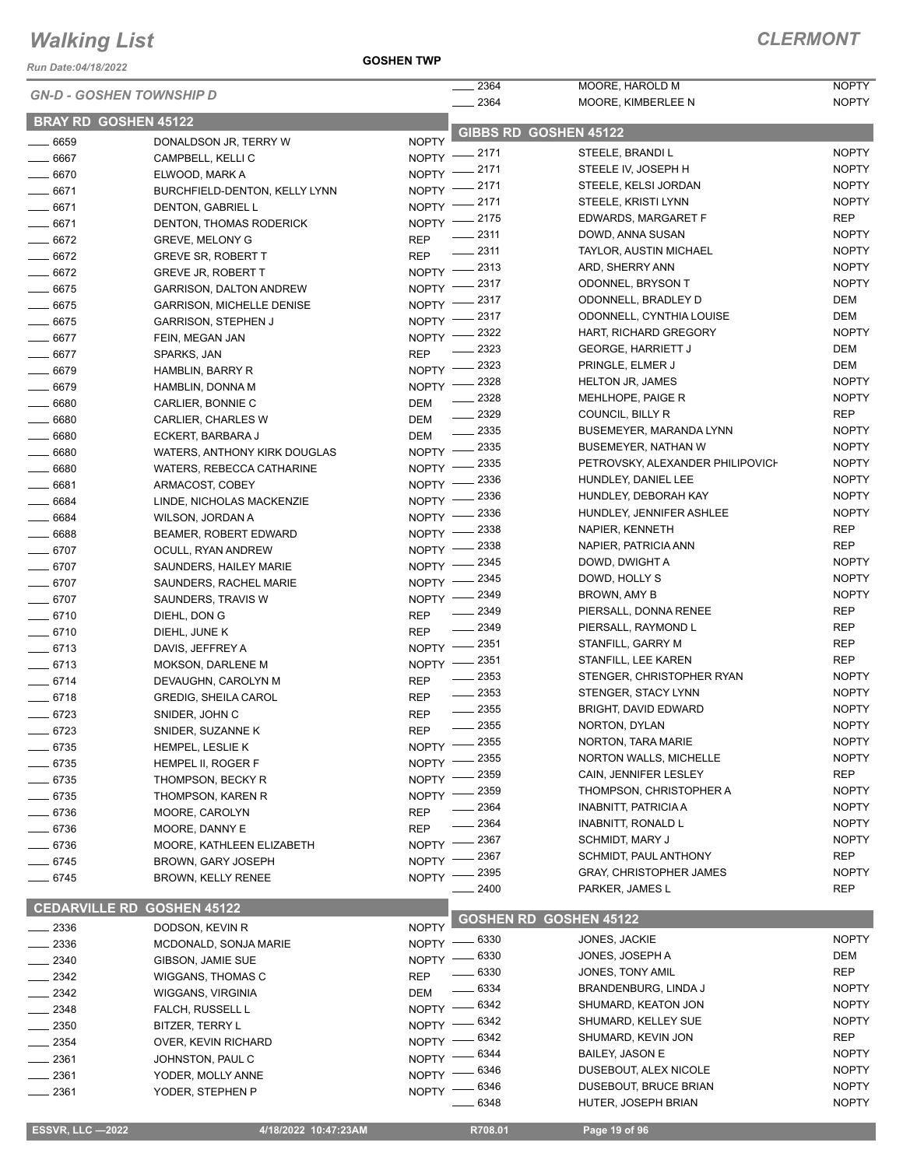*Run Date:04/18/2022*

| <b>GN-D - GOSHEN TOWNSHIP D</b> |                                  | 2364<br>$- 2364$ | MOORE, HAROLD M<br>MOORE, KIMBERLEE N | <b>NOPTY</b><br><b>NOPTY</b>     |              |
|---------------------------------|----------------------------------|------------------|---------------------------------------|----------------------------------|--------------|
| <b>BRAY RD GOSHEN 45122</b>     |                                  |                  |                                       |                                  |              |
| $-6659$                         | DONALDSON JR, TERRY W            | <b>NOPTY</b>     |                                       | GIBBS RD GOSHEN 45122            |              |
| 6667                            | CAMPBELL, KELLI C                |                  | NOPTY -2171                           | STEELE, BRANDI L                 | <b>NOPTY</b> |
| $-6670$                         | ELWOOD, MARK A                   | NOPTY $-$        | _ 2171                                | STEELE IV, JOSEPH H              | <b>NOPTY</b> |
| 6671                            | BURCHFIELD-DENTON, KELLY LYNN    | NOPTY -          | _ 2171                                | STEELE, KELSI JORDAN             | <b>NOPTY</b> |
| $-6671$                         | DENTON, GABRIEL L                | NOPTY $-$        | _ 2171                                | STEELE, KRISTI LYNN              | <b>NOPTY</b> |
| $-6671$                         | DENTON, THOMAS RODERICK          |                  | NOPTY -2175                           | EDWARDS, MARGARET F              | <b>REP</b>   |
| $- 6672$                        | <b>GREVE, MELONY G</b>           | <b>REP</b>       | $- 2311$                              | DOWD, ANNA SUSAN                 | <b>NOPTY</b> |
| $- 6672$                        | <b>GREVE SR, ROBERT T</b>        | <b>REP</b>       | $-2311$                               | <b>TAYLOR, AUSTIN MICHAEL</b>    | <b>NOPTY</b> |
| $-6672$                         |                                  |                  | NOPTY -2313                           | ARD, SHERRY ANN                  | <b>NOPTY</b> |
|                                 | <b>GREVE JR, ROBERT T</b>        | $NOPTY =$        | 2317                                  | ODONNEL, BRYSON T                | <b>NOPTY</b> |
| $- 6675$                        | <b>GARRISON, DALTON ANDREW</b>   |                  | 2317                                  | ODONNELL, BRADLEY D              | <b>DEM</b>   |
| $- 6675$                        | <b>GARRISON, MICHELLE DENISE</b> | NOPTY -          | 2317                                  | ODONNELL, CYNTHIA LOUISE         | <b>DEM</b>   |
| $- 6675$                        | <b>GARRISON, STEPHEN J</b>       | NOPTY -          | 2322                                  | HART, RICHARD GREGORY            | <b>NOPTY</b> |
| $- 6677$                        | FEIN, MEGAN JAN                  | NOPTY -          | 2323                                  | <b>GEORGE, HARRIETT J</b>        | <b>DEM</b>   |
| 6677                            | SPARKS, JAN                      | <b>REP</b>       | 2323                                  | PRINGLE, ELMER J                 | <b>DEM</b>   |
| $- 6679$                        | <b>HAMBLIN, BARRY R</b>          | NOPTY -          |                                       | <b>HELTON JR, JAMES</b>          | <b>NOPTY</b> |
| $- 6679$                        | HAMBLIN, DONNA M                 | NOPTY -          | 2328                                  |                                  |              |
| $- 6680$                        | CARLIER, BONNIE C                | <b>DEM</b>       | 2328                                  | MEHLHOPE, PAIGE R                | <b>NOPTY</b> |
| $\frac{1}{2}$ 6680              | CARLIER, CHARLES W               | <b>DEM</b>       | 2329                                  | COUNCIL, BILLY R                 | <b>REP</b>   |
| 6680                            | ECKERT, BARBARA J                | DEM              | $\frac{1}{2}$ 2335                    | BUSEMEYER, MARANDA LYNN          | <b>NOPTY</b> |
| $- 6680$                        | WATERS, ANTHONY KIRK DOUGLAS     | $N$ OPTY $-$     | $-2335$                               | <b>BUSEMEYER, NATHAN W</b>       | <b>NOPTY</b> |
| 6680                            | WATERS, REBECCA CATHARINE        | $N$ OPTY $-$     | 2335                                  | PETROVSKY, ALEXANDER PHILIPOVICH | <b>NOPTY</b> |
| $- 6681$                        | ARMACOST, COBEY                  | $NOPTY =$        | 2336                                  | HUNDLEY, DANIEL LEE              | <b>NOPTY</b> |
| $- 6684$                        | LINDE, NICHOLAS MACKENZIE        | NOPTY -          | 2336                                  | HUNDLEY, DEBORAH KAY             | <b>NOPTY</b> |
| 6684                            | WILSON, JORDAN A                 | NOPTY -          | 2336                                  | HUNDLEY, JENNIFER ASHLEE         | <b>NOPTY</b> |
| $- 6688$                        | <b>BEAMER, ROBERT EDWARD</b>     | NOPTY -          | 2338                                  | NAPIER, KENNETH                  | <b>REP</b>   |
| $- 6707$                        |                                  | <b>NOPTY</b>     | 2338                                  | NAPIER, PATRICIA ANN             | <b>REP</b>   |
|                                 | OCULL, RYAN ANDREW               |                  | 2345                                  | DOWD, DWIGHT A                   | <b>NOPTY</b> |
| $- 6707$                        | SAUNDERS, HAILEY MARIE           | <b>NOPTY</b>     | 2345                                  | DOWD, HOLLY S                    | <b>NOPTY</b> |
| $-6707$                         | SAUNDERS, RACHEL MARIE           | <b>NOPTY</b>     | 2349                                  | BROWN, AMY B                     | <b>NOPTY</b> |
| 6707                            | SAUNDERS, TRAVIS W               | <b>NOPTY</b>     | 2349                                  | PIERSALL, DONNA RENEE            | <b>REP</b>   |
| $- 6710$                        | DIEHL, DON G                     | <b>REP</b>       | 2349                                  | PIERSALL, RAYMOND L              | <b>REP</b>   |
| $- 6710$                        | DIEHL, JUNE K                    | <b>REP</b>       |                                       |                                  |              |
| $-6713$                         | DAVIS, JEFFREY A                 | $N$ OPTY $-$     | $-2351$                               | STANFILL, GARRY M                | <b>REP</b>   |
| $- 6713$                        | <b>MOKSON, DARLENE M</b>         | $N$ OPTY $-$     | 2351                                  | STANFILL, LEE KAREN              | <b>REP</b>   |
| $-6714$                         | DEVAUGHN, CAROLYN M              | <b>REP</b>       | $\frac{1}{2}$ 2353                    | STENGER, CHRISTOPHER RYAN        | <b>NOPTY</b> |
| $-6718$                         | <b>GREDIG, SHEILA CAROL</b>      | <b>REP</b>       | $\frac{1}{2}$ 2353                    | STENGER, STACY LYNN              | <b>NOPTY</b> |
| $- 6723$                        | SNIDER, JOHN C                   | <b>REP</b>       | $\frac{1}{2}$ 2355                    | BRIGHT, DAVID EDWARD             | <b>NOPTY</b> |
| $- 6723$                        | SNIDER, SUZANNE K                | <b>REP</b>       | 2355                                  | NORTON, DYLAN                    | <b>NOPTY</b> |
| 6735                            | HEMPEL, LESLIE K                 |                  | NOPTY -2355                           | NORTON, TARA MARIE               | <b>NOPTY</b> |
| 6735                            | HEMPEL II, ROGER F               | $N$ OPTY $-$     | $-2355$                               | <b>NORTON WALLS, MICHELLE</b>    | <b>NOPTY</b> |
| $-6735$                         | THOMPSON, BECKY R                | NOPTY -          | 2359                                  | CAIN, JENNIFER LESLEY            | <b>REP</b>   |
| $-6735$                         | THOMPSON, KAREN R                | NOPTY -          | 2359                                  | THOMPSON, CHRISTOPHER A          | <b>NOPTY</b> |
| $-6736$                         | MOORE, CAROLYN                   | <b>REP</b>       | 2364                                  | INABNITT, PATRICIA A             | <b>NOPTY</b> |
| $-6736$                         |                                  | <b>REP</b>       | 2364                                  | INABNITT, RONALD L               | <b>NOPTY</b> |
|                                 | MOORE, DANNY E                   |                  | 2367                                  | <b>SCHMIDT, MARY J</b>           | <b>NOPTY</b> |
| $-6736$                         | MOORE, KATHLEEN ELIZABETH        | <b>NOPTY</b>     | 2367                                  | SCHMIDT, PAUL ANTHONY            | <b>REP</b>   |
| $- 6745$                        | BROWN, GARY JOSEPH               | <b>NOPTY</b>     | 2395                                  | <b>GRAY, CHRISTOPHER JAMES</b>   | <b>NOPTY</b> |
| $-6745$                         | <b>BROWN, KELLY RENEE</b>        | <b>NOPTY</b>     | 2400                                  | PARKER, JAMES L                  | <b>REP</b>   |
|                                 |                                  |                  |                                       |                                  |              |
| <b>CEDARVILLE RD</b>            | <b>GOSHEN 45122</b>              |                  |                                       | <b>GOSHEN RD GOSHEN 45122</b>    |              |
| $-2336$                         | DODSON, KEVIN R                  | <b>NOPTY</b>     |                                       |                                  |              |
| 2336                            | MCDONALD, SONJA MARIE            |                  | NOPTY -8330                           | JONES, JACKIE                    | <b>NOPTY</b> |
| 2340                            | GIBSON, JAMIE SUE                | <b>NOPTY</b>     | 6330                                  | JONES, JOSEPH A                  | <b>DEM</b>   |
| 2342                            | WIGGANS, THOMAS C                | <b>REP</b>       | 6330                                  | JONES, TONY AMIL                 | <b>REP</b>   |
| $-2342$                         | WIGGANS, VIRGINIA                | <b>DEM</b>       | 6334                                  | BRANDENBURG, LINDA J             | <b>NOPTY</b> |
| 2348                            | FALCH, RUSSELL L                 | NOPTY -          | $-6342$                               | SHUMARD, KEATON JON              | <b>NOPTY</b> |
| 2350                            | BITZER, TERRY L                  | NOPTY -          | - 6342                                | SHUMARD, KELLEY SUE              | <b>NOPTY</b> |
| $-2354$                         | OVER, KEVIN RICHARD              | $N$ OPTY -       | 6342                                  | SHUMARD, KEVIN JON               | <b>REP</b>   |
| 2361                            | JOHNSTON, PAUL C                 | $NOPTY =$        | 6344                                  | <b>BAILEY, JASON E</b>           | <b>NOPTY</b> |
| _ 2361                          | YODER, MOLLY ANNE                | NOPTY -          | 6346                                  | DUSEBOUT, ALEX NICOLE            | <b>NOPTY</b> |
|                                 |                                  | <b>NOPTY</b>     | 6346                                  | DUSEBOUT, BRUCE BRIAN            | <b>NOPTY</b> |
| $-2361$                         | YODER, STEPHEN P                 |                  | 6348                                  | HUTER, JOSEPH BRIAN              | <b>NOPTY</b> |
|                                 |                                  |                  |                                       |                                  |              |
| <b>ESSVR, LLC -2022</b>         | 4/18/2022 10:47:23AM             |                  | R708.01                               | Page 19 of 96                    |              |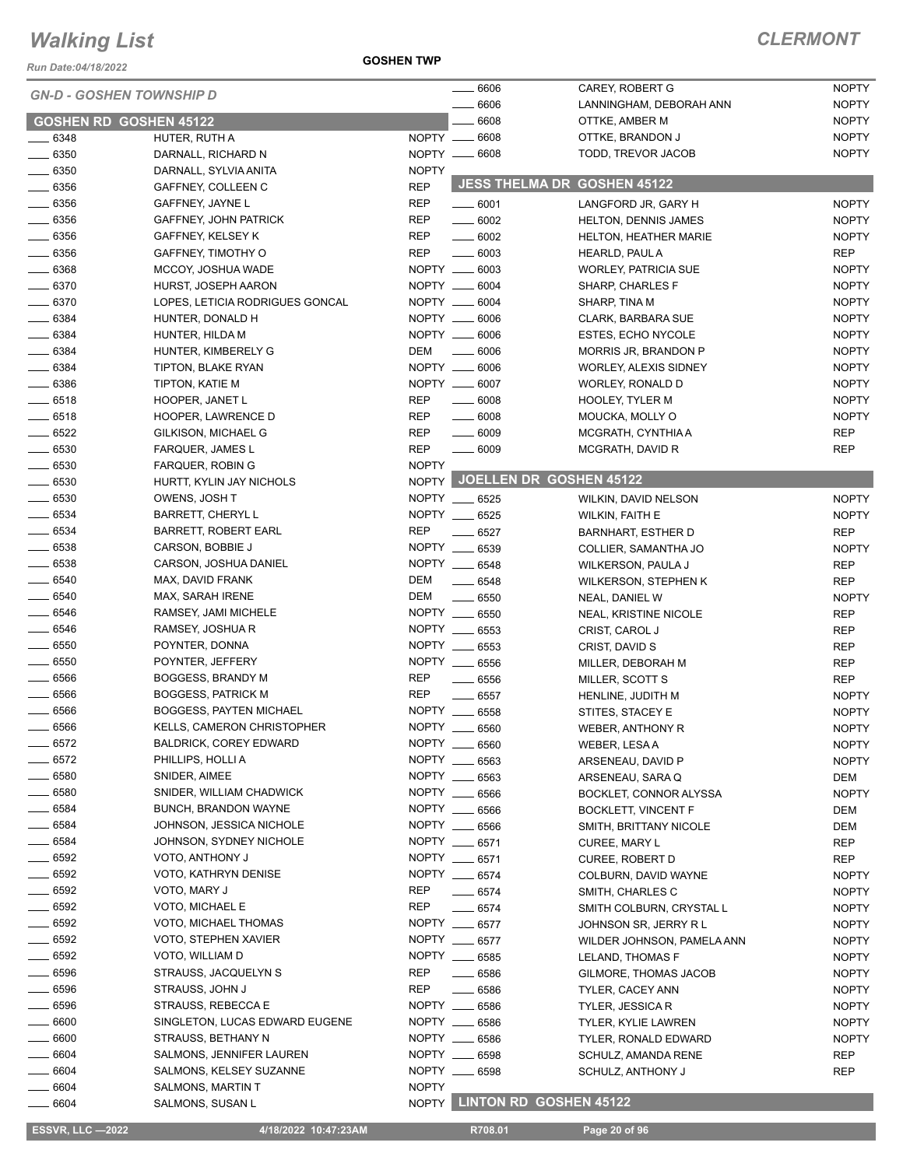*Run Date:04/18/2022*

#### **GOSHEN TWP**

#### *CLERMONT*

| <b>GN-D - GOSHEN TOWNSHIP D</b> |                                                        | 6606         | CAREY, ROBERT G                | <b>NOPTY</b>                              |                              |
|---------------------------------|--------------------------------------------------------|--------------|--------------------------------|-------------------------------------------|------------------------------|
|                                 |                                                        |              | 6606                           | LANNINGHAM, DEBORAH ANN                   | <b>NOPTY</b>                 |
| <b>GOSHEN RD GOSHEN 45122</b>   |                                                        |              | 6608                           | OTTKE, AMBER M                            | <b>NOPTY</b>                 |
| $\frac{1}{2}$ 6348              | HUTER, RUTH A                                          | NOPTY __     | 6608                           | OTTKE, BRANDON J                          | <b>NOPTY</b>                 |
| $\frac{1}{2}$ 6350              | DARNALL, RICHARD N                                     |              | NOPTY __ 6608                  | TODD, TREVOR JACOB                        | <b>NOPTY</b>                 |
| $- 6350$                        | DARNALL, SYLVIA ANITA                                  | <b>NOPTY</b> |                                | <b>JESS THELMA DR GOSHEN 45122</b>        |                              |
| $\frac{1}{2}$ 6356              | GAFFNEY, COLLEEN C                                     | <b>REP</b>   |                                |                                           |                              |
| $\frac{1}{2}$ 6356              | GAFFNEY, JAYNE L                                       | <b>REP</b>   | $\frac{1}{2}$ 6001             | LANGFORD JR, GARY H                       | <b>NOPTY</b>                 |
| $\frac{1}{2}$ 6356              | <b>GAFFNEY, JOHN PATRICK</b>                           | <b>REP</b>   | $- 6002$                       | HELTON, DENNIS JAMES                      | <b>NOPTY</b>                 |
| $\frac{1}{2}$ 6356              | GAFFNEY, KELSEY K                                      | REP          | $\frac{1}{2}$ 6002             | HELTON, HEATHER MARIE                     | <b>NOPTY</b>                 |
| $\frac{1}{2}$ 6356              | GAFFNEY, TIMOTHY O                                     | <b>REP</b>   | $- 6003$                       | HEARLD, PAUL A                            | <b>REP</b>                   |
| $- 6368$                        | MCCOY, JOSHUA WADE                                     |              | NOPTY __ 6003<br>NOPTY __ 6004 | WORLEY, PATRICIA SUE                      | <b>NOPTY</b>                 |
| $- 6370$<br>$\frac{1}{2}$ 6370  | HURST, JOSEPH AARON<br>LOPES, LETICIA RODRIGUES GONCAL |              | NOPTY __ 6004                  | SHARP, CHARLES F<br>SHARP, TINA M         | <b>NOPTY</b><br><b>NOPTY</b> |
| $- 6384$                        | HUNTER, DONALD H                                       |              | NOPTY __ 6006                  | CLARK, BARBARA SUE                        | <b>NOPTY</b>                 |
| $- 6384$                        | HUNTER, HILDA M                                        |              | NOPTY __ 6006                  | ESTES, ECHO NYCOLE                        | <b>NOPTY</b>                 |
| $\frac{1}{2}$ 6384              | HUNTER, KIMBERELY G                                    | DEM          | $\frac{1}{2}$ 6006             | MORRIS JR, BRANDON P                      | <b>NOPTY</b>                 |
| $- 6384$                        | TIPTON, BLAKE RYAN                                     |              | NOPTY __ 6006                  | WORLEY, ALEXIS SIDNEY                     | <b>NOPTY</b>                 |
| $\frac{1}{2}$ 6386              | TIPTON, KATIE M                                        |              | NOPTY __ 6007                  | WORLEY, RONALD D                          | <b>NOPTY</b>                 |
| $-6518$                         | HOOPER, JANET L                                        | <b>REP</b>   | $\frac{1}{2}$ 6008             | <b>HOOLEY, TYLER M</b>                    | <b>NOPTY</b>                 |
| $- 6518$                        | HOOPER, LAWRENCE D                                     | <b>REP</b>   | $- 6008$                       | MOUCKA, MOLLY O                           | <b>NOPTY</b>                 |
| $- 6522$                        | GILKISON, MICHAEL G                                    | <b>REP</b>   | $\frac{1}{2}$ 6009             | MCGRATH, CYNTHIA A                        | <b>REP</b>                   |
| $\frac{1}{2}$ 6530              | <b>FARQUER, JAMES L</b>                                | <b>REP</b>   | $- 6009$                       | MCGRATH, DAVID R                          | <b>REP</b>                   |
| $\frac{1}{2}$ 6530              | <b>FARQUER, ROBIN G</b>                                | <b>NOPTY</b> |                                |                                           |                              |
| $\frac{1}{2}$ 6530              | HURTT, KYLIN JAY NICHOLS                               |              |                                | NOPTY JOELLEN DR GOSHEN 45122             |                              |
| $- 6530$                        | OWENS, JOSH T                                          |              | NOPTY __ 6525                  | WILKIN, DAVID NELSON                      | <b>NOPTY</b>                 |
| $\frac{1}{2}$ 6534              | <b>BARRETT, CHERYLL</b>                                |              | NOPTY __ 6525                  | <b>WILKIN, FAITH E</b>                    | <b>NOPTY</b>                 |
| $\frac{1}{2}$ 6534              | <b>BARRETT, ROBERT EARL</b>                            | <b>REP</b>   | $- 6527$                       | <b>BARNHART, ESTHER D</b>                 | <b>REP</b>                   |
| $\frac{1}{2}$ 6538              | CARSON, BOBBIE J                                       |              | NOPTY __ 6539                  | COLLIER, SAMANTHA JO                      | <b>NOPTY</b>                 |
| $\frac{1}{2}$ 6538              | CARSON, JOSHUA DANIEL                                  |              | NOPTY __ 6548                  | WILKERSON, PAULA J                        | <b>REP</b>                   |
| $- 6540$                        | MAX, DAVID FRANK                                       | DEM          | $- 6548$                       | <b>WILKERSON, STEPHEN K</b>               | <b>REP</b>                   |
| $\frac{1}{2}$ 6540              | MAX, SARAH IRENE                                       | DEM          | $\frac{1}{2}$ 6550             | NEAL, DANIEL W                            | <b>NOPTY</b>                 |
| $- 6546$                        | RAMSEY, JAMI MICHELE                                   |              | NOPTY __ 6550                  | <b>NEAL, KRISTINE NICOLE</b>              | <b>REP</b>                   |
| $\frac{1}{2}$ 6546              | RAMSEY, JOSHUA R                                       |              | NOPTY __ 6553                  | CRIST, CAROL J                            | <b>REP</b>                   |
| $- 6550$                        | POYNTER, DONNA                                         |              | NOPTY __ 6553                  | CRIST, DAVID S                            | <b>REP</b>                   |
| $- 6550$                        | POYNTER, JEFFERY                                       |              | NOPTY __ 6556                  | MILLER, DEBORAH M                         | <b>REP</b>                   |
| $\frac{1}{2}$ 6566              | BOGGESS, BRANDY M                                      | REP          | $- 6556$                       | MILLER, SCOTT S                           | <b>REP</b>                   |
| $\frac{1}{2}$ 6566              | <b>BOGGESS, PATRICK M</b>                              | <b>REP</b>   | $\frac{1}{2}$ 6557             | HENLINE, JUDITH M                         | <b>NOPTY</b>                 |
| $-6566$                         | <b>BOGGESS, PAYTEN MICHAEL</b>                         |              | NOPTY __ 6558                  | STITES, STACEY E                          | <b>NOPTY</b>                 |
| $- 6566$                        | <b>KELLS, CAMERON CHRISTOPHER</b>                      |              | NOPTY __ 6560                  | WEBER, ANTHONY R                          | <b>NOPTY</b>                 |
| _ 6572                          | <b>BALDRICK, COREY EDWARD</b>                          |              | NOPTY __ 6560                  | WEBER, LESAA                              | <b>NOPTY</b>                 |
| $-6572$                         | PHILLIPS, HOLLI A                                      |              | NOPTY __ 6563                  | ARSENEAU, DAVID P                         | <b>NOPTY</b>                 |
| $\frac{1}{2}$ 6580              | SNIDER, AIMEE                                          |              | NOPTY __ 6563                  | ARSENEAU, SARA Q                          | DEM                          |
| $\frac{1}{2}$ 6580              | SNIDER, WILLIAM CHADWICK                               |              | NOPTY __ 6566                  | BOCKLET, CONNOR ALYSSA                    | <b>NOPTY</b>                 |
| $- 6584$                        | <b>BUNCH, BRANDON WAYNE</b>                            |              | NOPTY __ 6566                  | <b>BOCKLETT, VINCENT F</b>                | DEM                          |
| $- 6584$                        | JOHNSON, JESSICA NICHOLE                               |              | NOPTY __ 6566                  | SMITH, BRITTANY NICOLE                    | DEM                          |
| $\frac{1}{2}$ 6584              | JOHNSON, SYDNEY NICHOLE                                |              | NOPTY __ 6571                  | CUREE, MARY L                             | REP                          |
| $- 6592$                        | VOTO, ANTHONY J                                        |              | NOPTY __ 6571                  | <b>CUREE, ROBERT D</b>                    | REP                          |
| $\frac{1}{2}$ 6592              | VOTO, KATHRYN DENISE                                   |              | NOPTY __ 6574                  | COLBURN, DAVID WAYNE                      | <b>NOPTY</b>                 |
| $\frac{1}{2}$ 6592<br>__ 6592   | VOTO, MARY J<br>VOTO, MICHAEL E                        | REP<br>REP   | $\frac{1}{2}$ 6574             | SMITH, CHARLES C                          | <b>NOPTY</b>                 |
| $\frac{1}{2}$ 6592              | VOTO, MICHAEL THOMAS                                   |              | $-6574$<br>NOPTY __ 6577       | SMITH COLBURN, CRYSTAL L                  | <b>NOPTY</b>                 |
| $- 6592$                        | VOTO, STEPHEN XAVIER                                   |              | NOPTY __ 6577                  | JOHNSON SR, JERRY R L                     | <b>NOPTY</b>                 |
| $\frac{1}{2}$ 6592              | VOTO, WILLIAM D                                        |              | NOPTY __ 6585                  | WILDER JOHNSON, PAMELA ANN                | <b>NOPTY</b>                 |
| $- 6596$                        | STRAUSS, JACQUELYN S                                   | <b>REP</b>   | $- 6586$                       | LELAND, THOMAS F                          | <b>NOPTY</b><br><b>NOPTY</b> |
| $- 6596$                        | STRAUSS, JOHN J                                        | REP          | $- 6586$                       | GILMORE, THOMAS JACOB<br>TYLER, CACEY ANN | <b>NOPTY</b>                 |
| $\frac{1}{2}$ 6596              | STRAUSS, REBECCA E                                     |              | NOPTY __ 6586                  | <b>TYLER, JESSICA R</b>                   | <b>NOPTY</b>                 |
| $\frac{1}{2}$ 6600              | SINGLETON, LUCAS EDWARD EUGENE                         |              | NOPTY __ 6586                  | TYLER, KYLIE LAWREN                       | <b>NOPTY</b>                 |
| $\frac{1}{2}$ 6600              | STRAUSS, BETHANY N                                     |              | NOPTY __ 6586                  | TYLER, RONALD EDWARD                      | <b>NOPTY</b>                 |
| $\frac{1}{2}$ 6604              | SALMONS, JENNIFER LAUREN                               |              | NOPTY __ 6598                  | SCHULZ, AMANDA RENE                       | REP                          |
| __ 6604                         | SALMONS, KELSEY SUZANNE                                |              | NOPTY __ 6598                  | SCHULZ, ANTHONY J                         | <b>REP</b>                   |
| $- 6604$                        | SALMONS, MARTIN T                                      | <b>NOPTY</b> |                                |                                           |                              |
| $- 6604$                        | SALMONS, SUSAN L                                       |              |                                | NOPTY LINTON RD GOSHEN 45122              |                              |
|                                 |                                                        |              |                                |                                           |                              |

**ESSVR, LLC —2022 4/18/2022 10:47:23AM** R708.01 **Page 20 of 96**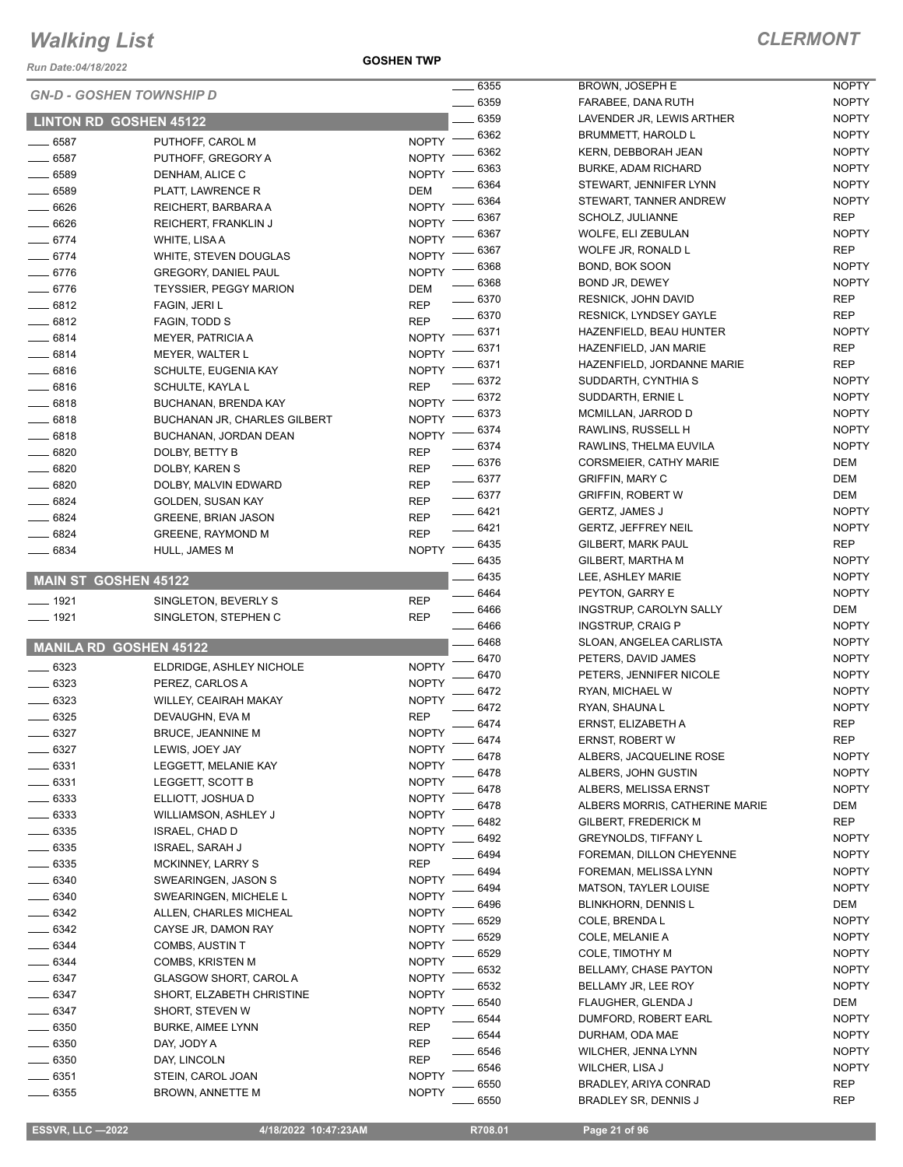*Run Date:04/18/2022*

**GOSHEN TWP**

|                             | <b>GN-D - GOSHEN TOWNSHIP D</b>                 |              | 6355         | <b>BROW</b>                   |
|-----------------------------|-------------------------------------------------|--------------|--------------|-------------------------------|
|                             |                                                 |              | 6359         | FARAB                         |
|                             | <b>LINTON RD GOSHEN 45122</b>                   |              | 6359         | <b>LAVEN</b>                  |
| 6587                        | PUTHOFF, CAROL M                                | <b>NOPTY</b> | 6362         | <b>BRUM</b>                   |
| $-6587$                     | PUTHOFF, GREGORY A                              | <b>NOPTY</b> | 6362         | KERN,                         |
| 6589                        | DENHAM, ALICE C                                 | <b>NOPTY</b> | 6363<br>6364 | <b>BURKE</b><br>STEW/         |
| $-6589$                     | PLATT, LAWRENCE R                               | DEM          | 6364         | STEW/                         |
| 6626                        | REICHERT, BARBARA A                             | <b>NOPTY</b> | 6367         | <b>SCHOL</b>                  |
| 6626                        | REICHERT, FRANKLIN J                            | <b>NOPTY</b> | 6367         | <b>WOLFI</b>                  |
| $-6774$                     | WHITE, LISA A                                   | <b>NOPTY</b> | 6367         | <b>WOLFI</b>                  |
| $-6774$                     | WHITE, STEVEN DOUGLAS                           | <b>NOPTY</b> | 6368         | BOND,                         |
| $-6776$                     | <b>GREGORY, DANIEL PAUL</b>                     | <b>NOPTY</b> | 6368         | <b>BOND</b>                   |
| $-6776$                     | <b>TEYSSIER, PEGGY MARION</b>                   | DEM          | _ 6370       | <b>RESNI</b>                  |
| $-6812$                     | FAGIN, JERI L                                   | <b>REP</b>   | 6370         | <b>RESNI</b>                  |
| 6812                        | FAGIN, TODD S                                   | REP          | 6371         | HAZEN                         |
| 6814                        | <b>MEYER, PATRICIA A</b>                        | <b>NOPTY</b> | 6371         | <b>HAZEN</b>                  |
| $-6814$                     | MEYER, WALTER L                                 | <b>NOPTY</b> | 6371         | HAZEN                         |
| $-6816$                     | SCHULTE, EUGENIA KAY                            | <b>NOPTY</b> | 6372         | SUDD/                         |
| $-6816$                     | SCHULTE, KAYLA L                                | REP          | 6372         | SUDD/                         |
| $-6818$                     | BUCHANAN, BRENDA KAY                            | <b>NOPTY</b> | 6373         | <b>MCMIL</b>                  |
| $-6818$                     | <b>BUCHANAN JR, CHARLES GILBERT</b>             | <b>NOPTY</b> | 6374         | <b>RAWLI</b>                  |
| 6818                        | BUCHANAN, JORDAN DEAN                           | <b>NOPTY</b> | 6374         | <b>RAWLI</b>                  |
| 6820                        | DOLBY, BETTY B                                  | <b>REP</b>   | $- 6376$     | <b>CORSI</b>                  |
| 6820<br>$-6820$             | DOLBY, KAREN S                                  | REP          | 6377         | <b>GRIFFI</b>                 |
| 6824                        | DOLBY, MALVIN EDWARD                            | REP          | 6377         | <b>GRIFFI</b>                 |
| 6824                        | GOLDEN, SUSAN KAY<br><b>GREENE, BRIAN JASON</b> | REP<br>REP   | 6421         | <b>GERTZ</b>                  |
| 6824                        | <b>GREENE, RAYMOND M</b>                        | <b>REP</b>   | _ 6421       | <b>GERTZ</b>                  |
| 6834                        | HULL, JAMES M                                   | <b>NOPTY</b> | 6435         | <b>GILBEI</b>                 |
|                             |                                                 |              | 6435         | <b>GILBEI</b>                 |
| <b>MAIN ST GOSHEN 45122</b> |                                                 |              | 6435         | LEE, A                        |
| 1921                        | SINGLETON, BEVERLY S                            | REP          | 6464         | <b>PEYTC</b>                  |
| $-1921$                     | SINGLETON, STEPHEN C                            | <b>REP</b>   | 6466         | <b>INGST</b>                  |
|                             |                                                 |              | 6466         | <b>INGST</b>                  |
|                             | <b>MANILA RD GOSHEN 45122</b>                   |              | 6468         | <b>SLOAN</b>                  |
| $-6323$                     | ELDRIDGE, ASHLEY NICHOLE                        | <b>NOPTY</b> | 6470         | PETER                         |
| 6323                        | PEREZ, CARLOS A                                 | <b>NOPTY</b> | 6470         | PETER                         |
| 6323                        | <b>WILLEY, CEAIRAH MAKAY</b>                    | <b>NOPTY</b> | 6472         | RYAN,                         |
| 6325                        | DEVAUGHN, EVA M                                 | <b>REP</b>   | 6472         | RYAN,                         |
| $-6327$                     | BRUCE, JEANNINE M                               | <b>NOPTY</b> | 6474         | <b>ERNST</b>                  |
| 6327                        | LEWIS, JOEY JAY                                 | <b>NOPTY</b> | 6474         | <b>ERNST</b>                  |
| 6331                        | LEGGETT, MELANIE KAY                            | <b>NOPTY</b> | 6478         | ALBER                         |
| 6331                        | LEGGETT, SCOTT B                                | <b>NOPTY</b> | 6478         | ALBER                         |
| 6333                        | ELLIOTT, JOSHUA D                               | <b>NOPTY</b> | 6478         | ALBER                         |
| 6333                        | WILLIAMSON, ASHLEY J                            | <b>NOPTY</b> | 6478         | ALBER                         |
| 6335                        | ISRAEL, CHAD D                                  | <b>NOPTY</b> | 6482         | <b>GILBEI</b>                 |
| 6335                        | <b>ISRAEL, SARAH J</b>                          | <b>NOPTY</b> | 6492<br>6494 | <b>GREY</b>                   |
| 6335                        | MCKINNEY, LARRY S                               | <b>REP</b>   |              | FOREM                         |
| 6340                        | SWEARINGEN, JASON S                             | <b>NOPTY</b> | 6494         | <b>FOREM</b>                  |
| 6340                        | SWEARINGEN, MICHELE L                           | <b>NOPTY</b> | 6494<br>6496 | <b>MATSC</b><br><b>BLINKI</b> |
| 6342                        | ALLEN, CHARLES MICHEAL                          | <b>NOPTY</b> | 6529         | COLE,                         |
| 6342                        | CAYSE JR, DAMON RAY                             | <b>NOPTY</b> | 6529         | COLE,                         |
| 6344                        | COMBS, AUSTIN T                                 | <b>NOPTY</b> | 6529         | COLE,                         |
| - 6344                      | COMBS, KRISTEN M                                | <b>NOPTY</b> | 6532         | <b>BELLA</b>                  |
| 6347                        | GLASGOW SHORT, CAROL A                          | <b>NOPTY</b> | 6532         | <b>BELLA</b>                  |
| 6347                        | SHORT, ELZABETH CHRISTINE                       | <b>NOPTY</b> | 6540         | <b>FLAUG</b>                  |
| 6347                        | SHORT, STEVEN W                                 | <b>NOPTY</b> | 6544         | DUMF <sup>(</sup>             |
| 6350                        | <b>BURKE, AIMEE LYNN</b>                        | REP          | 6544         | DURH/                         |
| 6350                        | DAY, JODY A                                     | REP          | 6546         | <b>WILCH</b>                  |
| 6350                        | DAY, LINCOLN                                    | REP          | 6546         | <b>WILCH</b>                  |
| 6351                        | STEIN, CAROL JOAN                               | <b>NOPTY</b> | 6550         | <b>BRADL</b>                  |
| 6355                        | <b>BROWN, ANNETTE M</b>                         | <b>NOPTY</b> | 6550         | <b>BRADL</b>                  |
|                             |                                                 |              |              |                               |

| 6355 | <b>BROWN, JOSEPH E</b>         | <b>NOPTY</b> |
|------|--------------------------------|--------------|
| 6359 | FARABEE, DANA RUTH             | <b>NOPTY</b> |
| 6359 | LAVENDER JR, LEWIS ARTHER      | <b>NOPTY</b> |
| 6362 | <b>BRUMMETT, HAROLD L</b>      | <b>NOPTY</b> |
| 6362 | KERN, DEBBORAH JEAN            | <b>NOPTY</b> |
| 6363 | <b>BURKE, ADAM RICHARD</b>     | <b>NOPTY</b> |
| 6364 | STEWART, JENNIFER LYNN         | <b>NOPTY</b> |
| 6364 | STEWART, TANNER ANDREW         | <b>NOPTY</b> |
| 6367 | SCHOLZ, JULIANNE               | REP          |
|      |                                |              |
| 6367 | WOLFE, ELI ZEBULAN             | <b>NOPTY</b> |
| 6367 | WOLFE JR, RONALD L             | REP          |
| 6368 | BOND, BOK SOON                 | <b>NOPTY</b> |
| 6368 | BOND JR, DEWEY                 | <b>NOPTY</b> |
| 6370 | RESNICK, JOHN DAVID            | REP          |
| 6370 | <b>RESNICK, LYNDSEY GAYLE</b>  | REP          |
| 6371 | HAZENFIELD, BEAU HUNTER        | <b>NOPTY</b> |
| 6371 | HAZENFIELD, JAN MARIE          | REP          |
| 6371 | HAZENFIELD, JORDANNE MARIE     | REP          |
| 6372 | SUDDARTH, CYNTHIA S            | <b>NOPTY</b> |
| 6372 | SUDDARTH, ERNIE L              | <b>NOPTY</b> |
| 6373 | MCMILLAN, JARROD D             | <b>NOPTY</b> |
| 6374 | RAWLINS, RUSSELL H             | <b>NOPTY</b> |
| 6374 |                                | <b>NOPTY</b> |
|      | RAWLINS, THELMA EUVILA         |              |
| 6376 | <b>CORSMEIER, CATHY MARIE</b>  | DEM          |
| 6377 | <b>GRIFFIN, MARY C</b>         | <b>DEM</b>   |
| 6377 | <b>GRIFFIN, ROBERT W</b>       | <b>DEM</b>   |
| 6421 | <b>GERTZ, JAMES J</b>          | <b>NOPTY</b> |
| 6421 | <b>GERTZ, JEFFREY NEIL</b>     | <b>NOPTY</b> |
| 6435 | GILBERT, MARK PAUL             | REP          |
| 6435 | GILBERT, MARTHA M              | <b>NOPTY</b> |
| 6435 | LEE, ASHLEY MARIE              | <b>NOPTY</b> |
| 6464 | PEYTON, GARRY E                | <b>NOPTY</b> |
| 6466 | <b>INGSTRUP, CAROLYN SALLY</b> | DEM          |
| 6466 | <b>INGSTRUP, CRAIG P</b>       | <b>NOPTY</b> |
| 6468 | SLOAN, ANGELEA CARLISTA        | <b>NOPTY</b> |
| 6470 | PETERS, DAVID JAMES            | <b>NOPTY</b> |
|      |                                |              |
| 6470 | PETERS, JENNIFER NICOLE        | <b>NOPTY</b> |
| 6472 | RYAN, MICHAEL W                | <b>NOPTY</b> |
| 6472 | RYAN, SHAUNA L                 | <b>NOPTY</b> |
| 6474 | ERNST. ELIZABETH A             | REP          |
| 6474 | ERNST, ROBERT W                | REP          |
| 6478 | ALBERS, JACQUELINE ROSE        | <b>NOPTY</b> |
| 6478 | ALBERS, JOHN GUSTIN            | <b>NOPTY</b> |
| 6478 | ALBERS, MELISSA ERNST          | <b>NOPTY</b> |
| 6478 | ALBERS MORRIS, CATHERINE MARIE | DEM          |
| 6482 | GILBERT, FREDERICK M           | REP          |
| 6492 | <b>GREYNOLDS, TIFFANY L</b>    | <b>NOPTY</b> |
| 6494 | FOREMAN, DILLON CHEYENNE       | <b>NOPTY</b> |
| 6494 | FOREMAN, MELISSA LYNN          | <b>NOPTY</b> |
| 6494 | <b>MATSON, TAYLER LOUISE</b>   | <b>NOPTY</b> |
| 6496 | BLINKHORN, DENNIS L            | DEM          |
|      | COLE. BRENDA L                 |              |
| 6529 |                                | <b>NOPTY</b> |
| 6529 | COLE, MELANIE A                | <b>NOPTY</b> |
| 6529 | COLE, TIMOTHY M                | <b>NOPTY</b> |
| 6532 | <b>BELLAMY, CHASE PAYTON</b>   | <b>NOPTY</b> |
| 6532 | BELLAMY JR, LEE ROY            | <b>NOPTY</b> |
| 6540 | FLAUGHER, GLENDA J             | DEM          |
| 6544 | DUMFORD, ROBERT EARL           | <b>NOPTY</b> |
| 6544 | DURHAM, ODA MAE                | <b>NOPTY</b> |
| 6546 | <b>WILCHER, JENNA LYNN</b>     | <b>NOPTY</b> |
| 6546 | WILCHER, LISA J                | <b>NOPTY</b> |
| 6550 | BRADLEY, ARIYA CONRAD          | REP          |
| 6550 | BRADLEY SR, DENNIS J           | REP          |
|      |                                |              |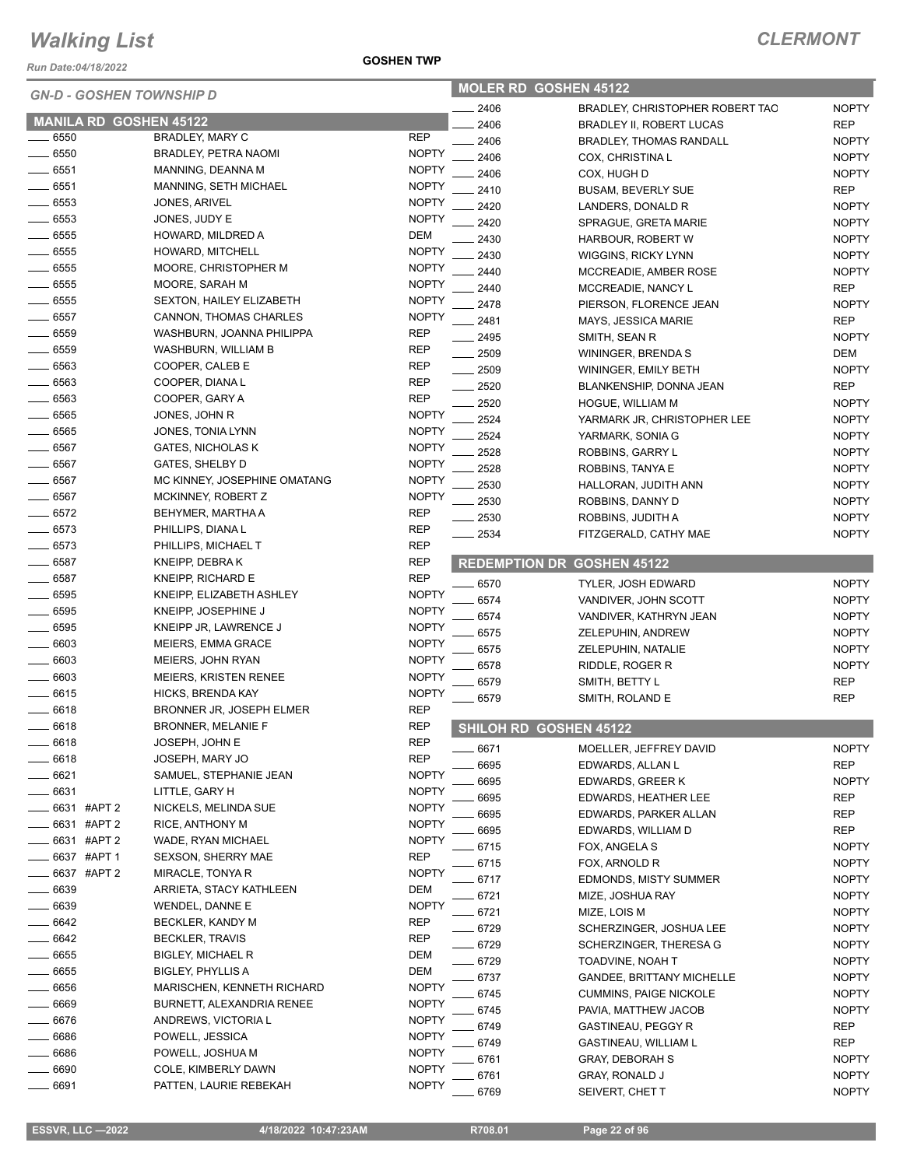*Run Date:04/18/2022*

#### *GN-D - GOSHEN TOWNSHIP D*

| <b>GN-D - GOSHEN TOWNSHIP D</b> |               |                               | <b>MOLER RD GOSHEN 45122</b> |         |                                   |              |
|---------------------------------|---------------|-------------------------------|------------------------------|---------|-----------------------------------|--------------|
|                                 |               |                               |                              | 2406    | BRADLEY, CHRISTOPHER ROBERT TAO   | <b>NOPTY</b> |
|                                 |               | <b>MANILA RD GOSHEN 45122</b> |                              | 2406    | <b>BRADLEY II, ROBERT LUCAS</b>   | <b>REP</b>   |
| 6550                            |               | BRADLEY, MARY C               | <b>REP</b>                   | 2406    | <b>BRADLEY, THOMAS RANDALL</b>    | <b>NOPTY</b> |
| $-6550$                         |               | BRADLEY, PETRA NAOMI          | <b>NOPTY</b>                 | 2406    | COX, CHRISTINA L                  | <b>NOPTY</b> |
| $- 6551$                        |               | MANNING, DEANNA M             | <b>NOPTY</b>                 | 2406    | COX, HUGH D                       | <b>NOPTY</b> |
| $= 6551$                        |               | MANNING, SETH MICHAEL         | <b>NOPTY</b>                 | 2410    | <b>BUSAM, BEVERLY SUE</b>         | <b>REP</b>   |
| $- 6553$                        |               | JONES, ARIVEL                 | <b>NOPTY</b>                 | 2420    | LANDERS, DONALD R                 | <b>NOPTY</b> |
| $-6553$                         |               | JONES, JUDY E                 | <b>NOPTY</b>                 | 2420    | <b>SPRAGUE, GRETA MARIE</b>       | <b>NOPTY</b> |
| $- 6555$                        |               | HOWARD, MILDRED A             | DEM                          | 2430    | HARBOUR, ROBERT W                 | <b>NOPTY</b> |
| $- 6555$                        |               | HOWARD, MITCHELL              | <b>NOPTY</b>                 | 2430    | WIGGINS, RICKY LYNN               | <b>NOPTY</b> |
| $\frac{1}{2}$ 6555              |               | MOORE, CHRISTOPHER M          | <b>NOPTY</b>                 | 2440    | MCCREADIE, AMBER ROSE             | <b>NOPTY</b> |
| $- 6555$                        |               | MOORE, SARAH M                | <b>NOPTY</b>                 | 2440    | MCCREADIE, NANCY L                | <b>REP</b>   |
| $-6555$                         |               | SEXTON, HAILEY ELIZABETH      | <b>NOPTY</b>                 | 2478    | PIERSON, FLORENCE JEAN            | <b>NOPTY</b> |
| $-6557$                         |               | CANNON, THOMAS CHARLES        | <b>NOPTY</b>                 | 2481    | <b>MAYS, JESSICA MARIE</b>        | <b>REP</b>   |
| $-6559$                         |               | WASHBURN, JOANNA PHILIPPA     | <b>REP</b>                   | 2495    | SMITH, SEAN R                     | <b>NOPTY</b> |
| $\equiv$ 6559                   |               | WASHBURN, WILLIAM B           | <b>REP</b>                   | 2509    | WININGER, BRENDA S                | DEM          |
| $- 6563$                        |               | COOPER, CALEB E               | <b>REP</b>                   | 2509    | WININGER, EMILY BETH              | <b>NOPTY</b> |
| $- 6563$                        |               | COOPER, DIANA L               | <b>REP</b>                   | 2520    | BLANKENSHIP, DONNA JEAN           | <b>REP</b>   |
| $- 6563$                        |               | COOPER, GARY A                | <b>REP</b>                   | 2520    | HOGUE, WILLIAM M                  | <b>NOPTY</b> |
| $-6565$                         |               | JONES, JOHN R                 | <b>NOPTY</b>                 | 2524    | YARMARK JR, CHRISTOPHER LEE       | <b>NOPTY</b> |
| $-6565$                         |               | JONES, TONIA LYNN             | <b>NOPTY</b>                 | 2524    | YARMARK, SONIA G                  | <b>NOPTY</b> |
| $- 6567$                        |               | <b>GATES, NICHOLAS K</b>      | <b>NOPTY</b>                 | 2528    | ROBBINS, GARRY L                  | <b>NOPTY</b> |
| $\frac{1}{2}$ 6567              |               | GATES, SHELBY D               | <b>NOPTY</b>                 | 2528    | ROBBINS, TANYA E                  | <b>NOPTY</b> |
| $- 6567$                        |               | MC KINNEY, JOSEPHINE OMATANG  | <b>NOPTY</b>                 | 2530    | HALLORAN, JUDITH ANN              | <b>NOPTY</b> |
| $- 6567$                        |               | MCKINNEY, ROBERT Z            | <b>NOPTY</b>                 | 2530    | ROBBINS, DANNY D                  | <b>NOPTY</b> |
| $-6572$                         |               | BEHYMER, MARTHA A             | <b>REP</b>                   | 2530    | ROBBINS, JUDITH A                 | <b>NOPTY</b> |
| $-6573$                         |               | PHILLIPS, DIANA L             | <b>REP</b>                   | 2534    | FITZGERALD, CATHY MAE             | <b>NOPTY</b> |
| $-6573$                         |               | PHILLIPS, MICHAEL T           | <b>REP</b>                   |         |                                   |              |
| $-6587$                         |               | KNEIPP, DEBRAK                | <b>REP</b>                   |         | <b>REDEMPTION DR GOSHEN 45122</b> |              |
| $- 6587$                        |               | KNEIPP, RICHARD E             | <b>REP</b>                   | $-6570$ | <b>TYLER, JOSH EDWARD</b>         | <b>NOPTY</b> |
| $- 6595$                        |               | KNEIPP, ELIZABETH ASHLEY      | <b>NOPTY</b>                 | 6574    | VANDIVER, JOHN SCOTT              | <b>NOPTY</b> |
| $- 6595$                        |               | KNEIPP, JOSEPHINE J           | <b>NOPTY</b>                 | 6574    | VANDIVER, KATHRYN JEAN            | <b>NOPTY</b> |
| $- 6595$                        |               | KNEIPP JR, LAWRENCE J         | <b>NOPTY</b>                 | 6575    | ZELEPUHIN, ANDREW                 | <b>NOPTY</b> |
| $-6603$                         |               | MEIERS, EMMA GRACE            | <b>NOPTY</b>                 | 6575    | ZELEPUHIN, NATALIE                | <b>NOPTY</b> |
| $- 6603$                        |               | MEIERS, JOHN RYAN             | <b>NOPTY</b>                 | 6578    | RIDDLE, ROGER R                   | <b>NOPTY</b> |
| $\frac{1}{2}$ 6603              |               | <b>MEIERS, KRISTEN RENEE</b>  | <b>NOPTY</b>                 | 6579    | SMITH, BETTY L                    | <b>REP</b>   |
| $-6615$                         |               | HICKS, BRENDA KAY             | <b>NOPTY</b>                 | 6579    | SMITH, ROLAND E                   | <b>REP</b>   |
| $-6618$                         |               | BRONNER JR, JOSEPH ELMER      | <b>REP</b>                   |         |                                   |              |
| $- 6618$                        |               | <b>BRONNER, MELANIE F</b>     | <b>REP</b>                   |         | SHILOH RD GOSHEN 45122            |              |
| __ 6618                         |               | JOSEPH, JOHN E                | <b>RFP</b>                   | 6671    | MOELLER, JEFFREY DAVID            | <b>NOPTY</b> |
| - 6618                          |               | JOSEPH, MARY JO               | REP                          | 6695    | EDWARDS, ALLAN L                  | <b>REP</b>   |
| $-6621$                         |               | SAMUEL, STEPHANIE JEAN        | <b>NOPTY</b>                 | 6695    | EDWARDS, GREER K                  | <b>NOPTY</b> |
| $-6631$                         |               | LITTLE, GARY H                | <b>NOPTY</b>                 | 6695    | EDWARDS, HEATHER LEE              | <b>REP</b>   |
| ___ 6631 #APT 2                 |               | NICKELS, MELINDA SUE          | <b>NOPTY</b>                 | 6695    | EDWARDS, PARKER ALLAN             | <b>REP</b>   |
| $-6631$ #APT 2                  |               | RICE, ANTHONY M               | <b>NOPTY</b>                 | 6695    | EDWARDS, WILLIAM D                | <b>REP</b>   |
|                                 | _ 6631 #APT 2 | WADE, RYAN MICHAEL            | <b>NOPTY</b>                 | 6715    | FOX, ANGELA S                     | <b>NOPTY</b> |
| _6637 #APT 1                    |               | <b>SEXSON, SHERRY MAE</b>     | <b>REP</b>                   | 6715    | FOX, ARNOLD R                     | <b>NOPTY</b> |
|                                 | _ 6637 #APT 2 | MIRACLE, TONYA R              | <b>NOPTY</b>                 | 6717    | <b>EDMONDS, MISTY SUMMER</b>      | <b>NOPTY</b> |
| $-6639$                         |               | ARRIETA, STACY KATHLEEN       | <b>DEM</b>                   | 6721    | MIZE, JOSHUA RAY                  | <b>NOPTY</b> |
| 6639                            |               | WENDEL, DANNE E               | <b>NOPTY</b>                 | 6721    | MIZE, LOIS M                      | <b>NOPTY</b> |
| $-6642$                         |               | BECKLER, KANDY M              | REP                          | $-6729$ | SCHERZINGER, JOSHUA LEE           | <b>NOPTY</b> |
| $-6642$                         |               | <b>BECKLER, TRAVIS</b>        | <b>REP</b>                   | .6729   | SCHERZINGER, THERESA G            | <b>NOPTY</b> |
| $-6655$                         |               | <b>BIGLEY, MICHAEL R</b>      | <b>DEM</b>                   | 6729    | TOADVINE, NOAH T                  | <b>NOPTY</b> |
| __ 6655                         |               | <b>BIGLEY, PHYLLIS A</b>      | DEM                          | 6737    | <b>GANDEE, BRITTANY MICHELLE</b>  | <b>NOPTY</b> |
| $-6656$                         |               | MARISCHEN, KENNETH RICHARD    | <b>NOPTY</b>                 | 6745    | <b>CUMMINS, PAIGE NICKOLE</b>     | <b>NOPTY</b> |
| _ 6669                          |               | BURNETT, ALEXANDRIA RENEE     | <b>NOPTY</b>                 | 6745    | PAVIA, MATTHEW JACOB              | <b>NOPTY</b> |
| $-6676$                         |               | ANDREWS, VICTORIA L           | <b>NOPTY</b>                 | 6749    | GASTINEAU, PEGGY R                | <b>REP</b>   |
| $-6686$                         |               | POWELL, JESSICA               | <b>NOPTY</b>                 | 6749    | GASTINEAU, WILLIAM L              | <b>REP</b>   |
| _ 6686                          |               | POWELL, JOSHUA M              | <b>NOPTY</b>                 | 6761    | <b>GRAY, DEBORAH S</b>            | <b>NOPTY</b> |
| 6690                            |               | COLE, KIMBERLY DAWN           | <b>NOPTY</b>                 | 6761    | <b>GRAY, RONALD J</b>             | <b>NOPTY</b> |
| _ 6691                          |               | PATTEN, LAURIE REBEKAH        | <b>NOPTY</b>                 | 6769    | SEIVERT, CHET T                   | <b>NOPTY</b> |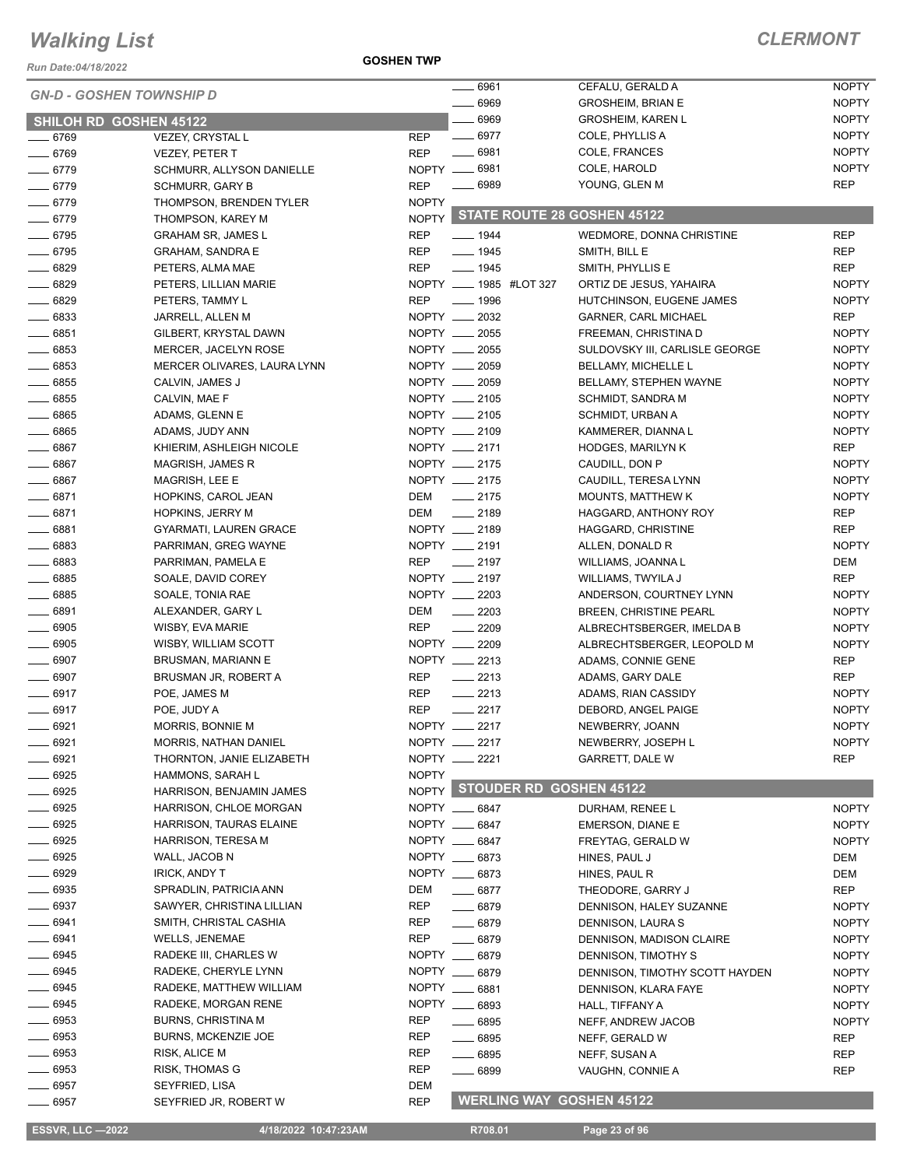*Run Date:04/18/2022*

**GOSHEN TWP**

#### *CLERMONT*

| <b>GN-D - GOSHEN TOWNSHIP D</b> |                               |              | $- 6961$                          | CEFALU, GERALD A               | <b>NOPTY</b> |
|---------------------------------|-------------------------------|--------------|-----------------------------------|--------------------------------|--------------|
|                                 |                               |              | $- 6969$                          | <b>GROSHEIM, BRIAN E</b>       | <b>NOPTY</b> |
| <b>SHILOH RD GOSHEN 45122</b>   |                               |              | $- 6969$                          | <b>GROSHEIM, KAREN L</b>       | <b>NOPTY</b> |
| $- 6769$                        | <b>VEZEY, CRYSTAL L</b>       | <b>REP</b>   | $- 6977$                          | COLE, PHYLLIS A                | <b>NOPTY</b> |
| $- 6769$                        | <b>VEZEY, PETER T</b>         | <b>REP</b>   | $-6981$                           | COLE, FRANCES                  | <b>NOPTY</b> |
| $- 6779$                        | SCHMURR, ALLYSON DANIELLE     |              | NOPTY __ 6981                     | COLE, HAROLD                   | <b>NOPTY</b> |
| $- 6779$                        | <b>SCHMURR, GARY B</b>        | <b>REP</b>   | $- 6989$                          | YOUNG, GLEN M                  | <b>REP</b>   |
| $- 6779$                        | THOMPSON, BRENDEN TYLER       | <b>NOPTY</b> |                                   |                                |              |
| $- 6779$                        | THOMPSON, KAREY M             |              | NOPTY STATE ROUTE 28 GOSHEN 45122 |                                |              |
| $- 6795$                        | <b>GRAHAM SR, JAMES L</b>     | REP          | $- 1944$                          | WEDMORE, DONNA CHRISTINE       | <b>REP</b>   |
| $- 6795$                        | <b>GRAHAM, SANDRA E</b>       | REP          | $- 1945$                          | SMITH, BILL E                  | <b>REP</b>   |
| $- 6829$                        | PETERS, ALMA MAE              | REP          | $- 1945$                          | SMITH, PHYLLIS E               | <b>REP</b>   |
| $- 6829$                        | PETERS, LILLIAN MARIE         |              | NOPTY _____ 1985 #LOT 327         | ORTIZ DE JESUS, YAHAIRA        | <b>NOPTY</b> |
| $- 6829$                        | PETERS, TAMMY L               | <b>REP</b>   | $- 1996$                          | HUTCHINSON, EUGENE JAMES       | <b>NOPTY</b> |
| $- 6833$                        | JARRELL, ALLEN M              |              | NOPTY __ 2032                     | <b>GARNER, CARL MICHAEL</b>    | REP          |
| $\frac{1}{2}$ 6851              | GILBERT, KRYSTAL DAWN         |              | NOPTY __ 2055                     | FREEMAN, CHRISTINA D           | <b>NOPTY</b> |
| $- 6853$                        | MERCER, JACELYN ROSE          |              | NOPTY __ 2055                     | SULDOVSKY III, CARLISLE GEORGE | <b>NOPTY</b> |
| $- 6853$                        | MERCER OLIVARES, LAURA LYNN   |              | NOPTY __ 2059                     | BELLAMY, MICHELLE L            | <b>NOPTY</b> |
| $- 6855$                        |                               |              | NOPTY __ 2059                     |                                | <b>NOPTY</b> |
|                                 | CALVIN, JAMES J               |              |                                   | BELLAMY, STEPHEN WAYNE         |              |
| $- 6855$                        | CALVIN, MAE F                 |              | NOPTY __ 2105                     | SCHMIDT, SANDRA M              | <b>NOPTY</b> |
| $- 6865$                        | ADAMS, GLENN E                |              | NOPTY __ 2105                     | SCHMIDT, URBAN A               | <b>NOPTY</b> |
| $- 6865$                        | ADAMS, JUDY ANN               |              | NOPTY __ 2109                     | KAMMERER, DIANNA L             | <b>NOPTY</b> |
| $- 6867$                        | KHIERIM, ASHLEIGH NICOLE      |              | NOPTY __ 2171                     | HODGES, MARILYN K              | <b>REP</b>   |
| $- 6867$                        | MAGRISH, JAMES R              |              | NOPTY __ 2175                     | CAUDILL, DON P                 | <b>NOPTY</b> |
| $- 6867$                        | MAGRISH, LEE E                |              | NOPTY __ 2175                     | CAUDILL, TERESA LYNN           | <b>NOPTY</b> |
| $-6871$                         | HOPKINS, CAROL JEAN           | DEM          | $\frac{1}{2175}$                  | <b>MOUNTS, MATTHEW K</b>       | <b>NOPTY</b> |
| $-6871$                         | <b>HOPKINS, JERRY M</b>       | DEM          | $\frac{1}{2189}$                  | HAGGARD, ANTHONY ROY           | <b>REP</b>   |
| $- 6881$                        | <b>GYARMATI, LAUREN GRACE</b> |              | NOPTY __ 2189                     | HAGGARD, CHRISTINE             | <b>REP</b>   |
| $- 6883$                        | PARRIMAN, GREG WAYNE          |              | NOPTY __ 2191                     | ALLEN, DONALD R                | <b>NOPTY</b> |
| $- 6883$                        | PARRIMAN, PAMELA E            | REP          | $\frac{1}{2197}$                  | WILLIAMS, JOANNA L             | DEM          |
| $- 6885$                        | SOALE, DAVID COREY            |              | NOPTY __ 2197                     | WILLIAMS, TWYILA J             | REP          |
| $- 6885$                        | SOALE, TONIA RAE              |              | NOPTY __ 2203                     | ANDERSON, COURTNEY LYNN        | <b>NOPTY</b> |
| $\frac{1}{2}$ 6891              | ALEXANDER, GARY L             | DEM          | $\frac{1}{2203}$                  | <b>BREEN, CHRISTINE PEARL</b>  | <b>NOPTY</b> |
| $- 6905$                        | WISBY, EVA MARIE              | <b>REP</b>   | $-2209$                           | ALBRECHTSBERGER, IMELDA B      | <b>NOPTY</b> |
| $\frac{1}{2}$ 6905              | WISBY, WILLIAM SCOTT          |              | NOPTY __ 2209                     | ALBRECHTSBERGER, LEOPOLD M     | <b>NOPTY</b> |
| $\frac{1}{2}$ 6907              | BRUSMAN, MARIANN E            |              | NOPTY __ 2213                     | ADAMS, CONNIE GENE             | <b>REP</b>   |
| $\frac{1}{2}$ 6907              | BRUSMAN JR, ROBERT A          | REP          | $-2213$                           | ADAMS, GARY DALE               | <b>REP</b>   |
| $- 6917$                        | POE, JAMES M                  | REP          | $-2213$                           | ADAMS, RIAN CASSIDY            | <b>NOPTY</b> |
| $- 6917$                        | POE, JUDY A                   | REP          | $-2217$                           | DEBORD, ANGEL PAIGE            | <b>NOPTY</b> |
| 6921                            | MORRIS, BONNIE M              | NOPTY __     | 2217                              | NEWBERRY, JOANN                | <b>NOPTY</b> |
| _ 6921                          | MORRIS, NATHAN DANIEL         |              | NOPTY __ 2217                     | NEWBERRY, JOSEPH L             | <b>NOPTY</b> |
| $-6921$                         | THORNTON, JANIE ELIZABETH     |              | NOPTY __ 2221                     | GARRETT, DALE W                | <b>REP</b>   |
| $-6925$                         | HAMMONS, SARAH L              | <b>NOPTY</b> |                                   |                                |              |
| $- 6925$                        | HARRISON, BENJAMIN JAMES      |              | NOPTY STOUDER RD GOSHEN 45122     |                                |              |
| $- 6925$                        | HARRISON, CHLOE MORGAN        |              | NOPTY __ 6847                     | DURHAM, RENEE L                | <b>NOPTY</b> |
| $- 6925$                        | HARRISON, TAURAS ELAINE       |              | NOPTY __ 6847                     |                                |              |
| $- 6925$                        |                               |              | NOPTY __ 6847                     | EMERSON, DIANE E               | <b>NOPTY</b> |
|                                 | HARRISON, TERESA M            |              |                                   | FREYTAG, GERALD W              | <b>NOPTY</b> |
| —— 6925                         | WALL, JACOB N                 |              | NOPTY __ 6873                     | HINES, PAUL J                  | DEM          |
| $- 6929$                        | <b>IRICK, ANDY T</b>          |              | NOPTY __ 6873                     | HINES, PAUL R                  | DEM          |
| $- 6935$                        | SPRADLIN, PATRICIA ANN        | DEM          | $- 6877$                          | THEODORE, GARRY J              | REP          |
| $\frac{1}{2}$ 6937              | SAWYER, CHRISTINA LILLIAN     | REP          | $- 6879$                          | DENNISON, HALEY SUZANNE        | <b>NOPTY</b> |
| $-6941$                         | SMITH, CHRISTAL CASHIA        | REP          | $- 6879$                          | DENNISON, LAURA S              | <b>NOPTY</b> |
| —— 6941                         | <b>WELLS, JENEMAE</b>         | REP          | $- 6879$                          | DENNISON, MADISON CLAIRE       | <b>NOPTY</b> |
| $- 6945$                        | RADEKE III, CHARLES W         |              | NOPTY __ 6879                     | DENNISON, TIMOTHY S            | NOPTY        |
| —— 6945                         | RADEKE, CHERYLE LYNN          |              | NOPTY __ 6879                     | DENNISON, TIMOTHY SCOTT HAYDEN | <b>NOPTY</b> |
| $- 6945$                        | RADEKE, MATTHEW WILLIAM       |              | NOPTY __ 6881                     | DENNISON, KLARA FAYE           | <b>NOPTY</b> |
| $\frac{1}{2}$ 6945              | RADEKE, MORGAN RENE           |              | NOPTY __ 6893                     | HALL, TIFFANY A                | <b>NOPTY</b> |
| $- 6953$                        | <b>BURNS, CHRISTINA M</b>     | REP          | $- 6895$                          | NEFF, ANDREW JACOB             | <b>NOPTY</b> |
| $\frac{1}{2}$ 6953              | <b>BURNS, MCKENZIE JOE</b>    | REP          | $- 6895$                          | NEFF, GERALD W                 | REP          |
| ____ 6953                       | RISK, ALICE M                 | <b>REP</b>   | $- 6895$                          | NEFF, SUSAN A                  | <b>REP</b>   |
| $\_\_6953$                      | RISK, THOMAS G                | REP          | $- 6899$                          | VAUGHN, CONNIE A               | REP          |
| $- 6957$                        | SEYFRIED, LISA                | DEM          |                                   |                                |              |
| ____ 6957                       | SEYFRIED JR, ROBERT W         | <b>REP</b>   | <b>WERLING WAY GOSHEN 45122</b>   |                                |              |
|                                 |                               |              |                                   |                                |              |

**ESSVR, LLC -2022 4/18/2022 10:47:23AM** R708.01 **Page 23 of 96**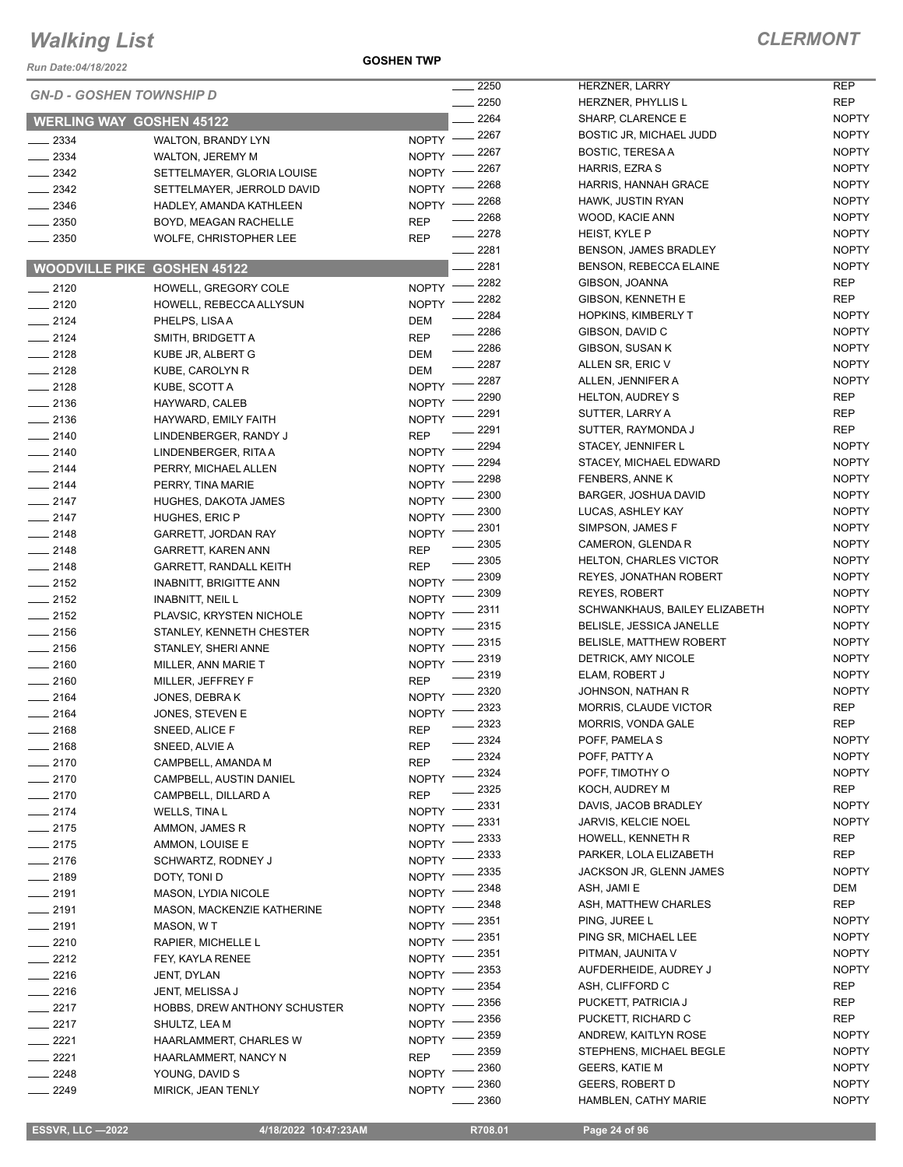*Run Date:04/18/2022*

**GOSHEN TWP**

۰

|          | <b>GN-D - GOSHEN TOWNSHIP D</b>    |              | 2250             | <b>HERZ</b>         |
|----------|------------------------------------|--------------|------------------|---------------------|
|          |                                    |              | 2250             | <b>HERZ</b>         |
|          | <b>WERLING WAY GOSHEN 45122</b>    |              | 2264             | <b>SHAR</b>         |
| 2334     | <b>WALTON, BRANDY LYN</b>          | NOPTY -      | _ 2267           | <b>BOST</b>         |
| 2334     | <b>WALTON, JEREMY M</b>            | NOPTY ·      | 2267             | <b>BOST</b>         |
| $-2342$  | SETTELMAYER, GLORIA LOUISE         | <b>NOPTY</b> | . 2267           | <b>HARF</b>         |
| $-2342$  | SETTELMAYER, JERROLD DAVID         | <b>NOPTY</b> | 2268             | <b>HARF</b>         |
| _ 2346   | HADLEY, AMANDA KATHLEEN            | <b>NOPTY</b> | 2268             | <b>HAW</b>          |
| $= 2350$ | BOYD, MEAGAN RACHELLE              | REP          | - 2268           | <b>WOO</b>          |
| 2350     | WOLFE, CHRISTOPHER LEE             | REP          | - 2278           | HEIS <sub>1</sub>   |
|          |                                    |              | _ 2281           | <b>BENS</b>         |
|          | <b>WOODVILLE PIKE GOSHEN 45122</b> |              | 2281             | <b>BENS</b>         |
| $-2120$  | HOWELL, GREGORY COLE               | <b>NOPTY</b> | . 2282           | GIBS <sup>(</sup>   |
| $=2120$  | HOWELL, REBECCA ALLYSUN            | <b>NOPTY</b> | - 2282           | GIBS <sup>(</sup>   |
| $-2124$  | PHELPS, LISA A                     | DEM          | 2284             | <b>HOPK</b>         |
| $-2124$  | SMITH, BRIDGETT A                  | <b>REP</b>   | . 2286           | GIBS <sup>(</sup>   |
| $= 2128$ | KUBE JR, ALBERT G                  | DEM          | - 2286           | GIBS <sub>®</sub>   |
| $-2128$  | KUBE, CAROLYN R                    | DEM          | 2287             | <b>ALLEI</b>        |
| $=$ 2128 | KUBE, SCOTT A                      | <b>NOPTY</b> | 2287             | <b>ALLEI</b>        |
| $-2136$  | HAYWARD, CALEB                     | <b>NOPTY</b> | 2290             | <b>HELT</b>         |
| _ 2136   | HAYWARD, EMILY FAITH               | <b>NOPTY</b> | 2291             | <b>SUTT</b>         |
| $-2140$  | LINDENBERGER, RANDY J              | REP          | 2291             | SUTT                |
| $-2140$  | LINDENBERGER, RITA A               | <b>NOPTY</b> | 2294             | <b>STAC</b>         |
| $-2144$  | PERRY, MICHAEL ALLEN               | <b>NOPTY</b> | $-2294$          | <b>STAC</b>         |
| $-2144$  | PERRY, TINA MARIE                  | <b>NOPTY</b> | 2298             | <b>FENB</b>         |
| $-2147$  | HUGHES, DAKOTA JAMES               | <b>NOPTY</b> | . 2300           | <b>BARG</b>         |
| $=$ 2147 | HUGHES, ERIC P                     | <b>NOPTY</b> | 2300             | <b>LUCA</b>         |
| $=2148$  | <b>GARRETT, JORDAN RAY</b>         | <b>NOPTY</b> | 2301             | SIMP:               |
| $=$ 2148 | GARRETT, KAREN ANN                 | REP          | _ 2305           | <b>CAME</b>         |
| $-2148$  | GARRETT, RANDALL KEITH             | REP          | 2305             | <b>HELT</b>         |
| $=$ 2152 | <b>INABNITT, BRIGITTE ANN</b>      | <b>NOPTY</b> | $-2309$          | <b>REYE</b>         |
| $-2152$  | <b>INABNITT, NEIL L</b>            | <b>NOPTY</b> | 2309             | <b>REYE</b>         |
| $-2152$  | PLAVSIC, KRYSTEN NICHOLE           | NOPTY        | 2311             | <b>SCHV</b>         |
| _ 2156   | STANLEY, KENNETH CHESTER           | NOPTY 1      | _ 2315           | <b>BELIS</b>        |
| $-2156$  | STANLEY, SHERI ANNE                | NOPTY 1      | 2315             | <b>BELIS</b>        |
| $-2160$  | MILLER, ANN MARIE T                | <b>NOPTY</b> | . 2319           | DETR<br><b>ELAM</b> |
| $= 2160$ | MILLER, JEFFREY F                  | REP          | . 2319<br>- 2320 | <b>JOHN</b>         |
| 2164     | JONES, DEBRAK                      | <b>NOPTY</b> | - 2323           | <b>MORF</b>         |
| $-2164$  | JONES, STEVEN E                    | <b>NOPTY</b> | 2323             | <b>MORF</b>         |
| $-2168$  | SNEED, ALICE F                     | <b>REP</b>   | _ 2324           | <b>POFF</b>         |
| 2168     | SNEED, ALVIE A                     | REP          | 2324             | <b>POFF</b>         |
| 2170     | CAMPBELL, AMANDA M                 | REP          | 2324             | <b>POFF</b>         |
| 2170     | CAMPBELL, AUSTIN DANIEL            | <b>NOPTY</b> | - 2325           | <b>KOCH</b>         |
| 2170     | CAMPBELL, DILLARD A                | REP          | 2331             | <b>DAVIS</b>        |
| $-2174$  | WELLS, TINA L                      | <b>NOPTY</b> | 2331             | <b>JARV</b>         |
| $-2175$  | AMMON, JAMES R                     | <b>NOPTY</b> | 2333             | <b>HOWI</b>         |
| _ 2175   | AMMON, LOUISE E                    | <b>NOPTY</b> | 2333             | <b>PARK</b>         |
| $=$ 2176 | SCHWARTZ, RODNEY J                 | <b>NOPTY</b> | 2335             | <b>JACK</b>         |
| _ 2189   | DOTY, TONI D                       | <b>NOPTY</b> | 2348             | ASH,                |
| $-2191$  | <b>MASON, LYDIA NICOLE</b>         | <b>NOPTY</b> | 2348             | ASH,                |
| 2191     | MASON, MACKENZIE KATHERINE         | <b>NOPTY</b> | 2351             | PING.               |
| $= 2191$ | MASON, WT                          | <b>NOPTY</b> | 2351             | <b>PING</b>         |
| $-2210$  | RAPIER, MICHELLE L                 | <b>NOPTY</b> | 2351             | PITM/               |
| - 2212   | FEY, KAYLA RENEE                   | <b>NOPTY</b> | 2353             | <b>AUFD</b>         |
| $-2216$  | JENT, DYLAN                        | <b>NOPTY</b> | 2354             | ASH,                |
| - 2216   | JENT, MELISSA J                    | <b>NOPTY</b> | 2356             | <b>PUCK</b>         |
| 2217     | HOBBS, DREW ANTHONY SCHUSTER       | <b>NOPTY</b> | 2356             | <b>PUCK</b>         |
| 2217     | SHULTZ, LEA M                      | <b>NOPTY</b> | 2359             | <b>ANDR</b>         |
| 2221     | HAARLAMMERT, CHARLES W             | <b>NOPTY</b> | 2359             | STEP                |
| 2221     | HAARLAMMERT, NANCY N               | REP          | 2360             | GEEF                |
| 2248     | YOUNG, DAVID S                     | <b>NOPTY</b> | 2360             | GEEF                |
| 2249     | MIRICK, JEAN TENLY                 | <b>NOPTY</b> |                  |                     |

| 2250 | <b>HERZNER, LARRY</b>          | REP                          |
|------|--------------------------------|------------------------------|
| 2250 | HERZNER, PHYLLIS L             | REP                          |
| 2264 | <b>SHARP, CLARENCE E</b>       | <b>NOPTY</b>                 |
| 2267 | BOSTIC JR, MICHAEL JUDD        | <b>NOPTY</b>                 |
| 2267 | <b>BOSTIC, TERESA A</b>        | <b>NOPTY</b>                 |
| 2267 | HARRIS, EZRA S                 | <b>NOPTY</b>                 |
| 2268 | HARRIS, HANNAH GRACE           | <b>NOPTY</b>                 |
| 2268 | HAWK, JUSTIN RYAN              | <b>NOPTY</b>                 |
| 2268 | WOOD, KACIE ANN                | <b>NOPTY</b>                 |
| 2278 | <b>HEIST, KYLE P</b>           | <b>NOPTY</b>                 |
| 2281 | BENSON, JAMES BRADLEY          | <b>NOPTY</b>                 |
| 2281 | <b>BENSON, REBECCA ELAINE</b>  | <b>NOPTY</b>                 |
| 2282 | GIBSON, JOANNA                 | REP                          |
| 2282 | GIBSON, KENNETH E              | REP                          |
| 2284 | <b>HOPKINS, KIMBERLY T</b>     | <b>NOPTY</b>                 |
| 2286 | GIBSON, DAVID C                | <b>NOPTY</b>                 |
|      |                                |                              |
| 2286 | GIBSON, SUSAN K                | <b>NOPTY</b><br><b>NOPTY</b> |
| 2287 | ALLEN SR, ERIC V               |                              |
| 2287 | ALLEN, JENNIFER A              | <b>NOPTY</b>                 |
| 2290 | <b>HELTON, AUDREY S</b>        | REP                          |
| 2291 | SUTTER, LARRY A                | REP                          |
| 2291 | SUTTER, RAYMONDA J             | REP                          |
| 2294 | STACEY, JENNIFER L             | <b>NOPTY</b>                 |
| 2294 | STACEY, MICHAEL EDWARD         | <b>NOPTY</b>                 |
| 2298 | <b>FENBERS, ANNE K</b>         | <b>NOPTY</b>                 |
| 2300 | BARGER, JOSHUA DAVID           | <b>NOPTY</b>                 |
| 2300 | LUCAS, ASHLEY KAY              | NOPTY                        |
| 2301 | SIMPSON, JAMES F               | <b>NOPTY</b>                 |
| 2305 | CAMERON, GLENDA R              | <b>NOPTY</b>                 |
| 2305 | <b>HELTON, CHARLES VICTOR</b>  | <b>NOPTY</b>                 |
| 2309 | <b>REYES, JONATHAN ROBERT</b>  | <b>NOPTY</b>                 |
| 2309 | <b>REYES, ROBERT</b>           | <b>NOPTY</b>                 |
| 2311 | SCHWANKHAUS, BAILEY ELIZABETH  | <b>NOPTY</b>                 |
| 2315 | BELISLE, JESSICA JANELLE       | <b>NOPTY</b>                 |
| 2315 | <b>BELISLE, MATTHEW ROBERT</b> | <b>NOPTY</b>                 |
| 2319 | DETRICK, AMY NICOLE            | <b>NOPTY</b>                 |
| 2319 | ELAM, ROBERT J                 | <b>NOPTY</b>                 |
| 2320 | JOHNSON, NATHAN R              | <b>NOPTY</b>                 |
| 2323 | <b>MORRIS, CLAUDE VICTOR</b>   | REP                          |
| 2323 | <b>MORRIS, VONDA GALE</b>      | REP                          |
| 2324 | POFF, PAMELA S                 | NOPTY                        |
| 2324 | POFF, PATTY A                  | NOPTY                        |
| 2324 | POFF, TIMOTHY O                | <b>NOPTY</b>                 |
| 2325 | KOCH, AUDREY M                 | REP                          |
| 2331 | DAVIS, JACOB BRADLEY           | <b>NOPTY</b>                 |
| 2331 | <b>JARVIS, KELCIE NOEL</b>     | <b>NOPTY</b>                 |
| 2333 | HOWELL, KENNETH R              | REP                          |
| 2333 | PARKER, LOLA ELIZABETH         | REP                          |
| 2335 | JACKSON JR, GLENN JAMES        | <b>NOPTY</b>                 |
| 2348 | ASH, JAMI E                    | DEM                          |
| 2348 | ASH, MATTHEW CHARLES           | <b>REP</b>                   |
| 2351 | PING, JUREE L                  | <b>NOPTY</b>                 |
| 2351 | PING SR, MICHAEL LEE           | NOPTY                        |
| 2351 | PITMAN, JAUNITA V              | <b>NOPTY</b>                 |
| 2353 | AUFDERHEIDE, AUDREY J          | <b>NOPTY</b>                 |
| 2354 | ASH, CLIFFORD C                | REP                          |
| 2356 | PUCKETT, PATRICIA J            | <b>REP</b>                   |
| 2356 | PUCKETT, RICHARD C             | <b>REP</b>                   |
| 2359 | ANDREW, KAITLYN ROSE           | <b>NOPTY</b>                 |
| 2359 | STEPHENS, MICHAEL BEGLE        | <b>NOPTY</b>                 |
| 2360 | <b>GEERS, KATIE M</b>          | <b>NOPTY</b>                 |
| 2360 | <b>GEERS, ROBERT D</b>         | NOPTY                        |
| 2360 | HAMBLEN, CATHY MARIE           | NOPTY                        |
|      |                                |                              |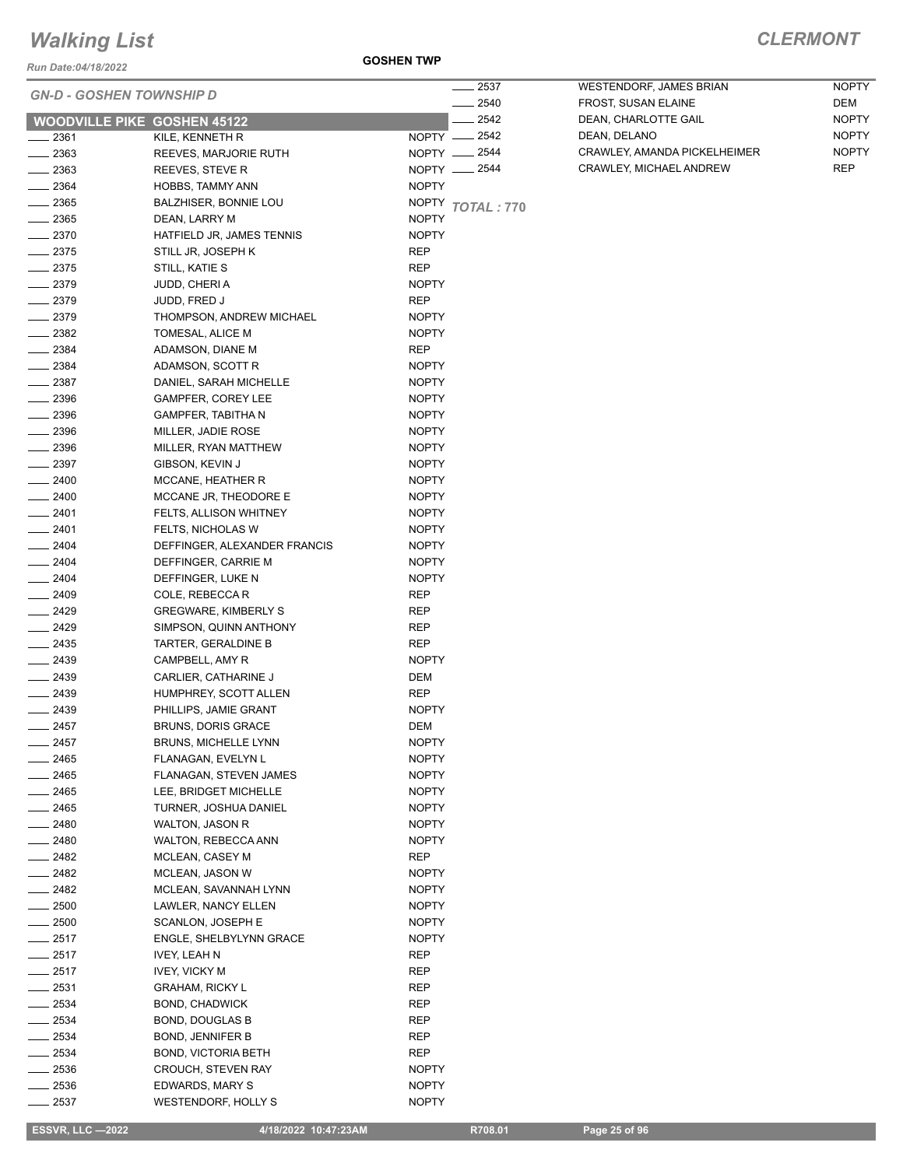*Run Date:04/18/2022*

#### **GOSHEN TWP**

|                | <b>GN-D - GOSHEN TOWNSHIP D</b>      | 2537<br>2540     | WESTENDORF, JAMES BRIAN<br>FROST, SUSAN ELAINE | <b>NOPTY</b><br>DEM |
|----------------|--------------------------------------|------------------|------------------------------------------------|---------------------|
|                | <b>WOODVILLE PIKE GOSHEN 45122</b>   | 2542             | DEAN, CHARLOTTE GAIL                           | <b>NOPTY</b>        |
| 2361           | KILE, KENNETH R                      | NOPTY __ 2542    | DEAN, DELANO                                   | <b>NOPTY</b>        |
| 2363           | REEVES, MARJORIE RUTH                | NOPTY -2544      | CRAWLEY, AMANDA PICKELHEIMER                   | <b>NOPTY</b>        |
| 2363           | REEVES, STEVE R                      | NOPTY __ 2544    | CRAWLEY, MICHAEL ANDREW                        | <b>REP</b>          |
| 2364           | HOBBS, TAMMY ANN                     | <b>NOPTY</b>     |                                                |                     |
| $-2365$        | BALZHISER, BONNIE LOU                | NOPTY TOTAL: 770 |                                                |                     |
| 2365           | DEAN, LARRY M                        | <b>NOPTY</b>     |                                                |                     |
| 2370           | HATFIELD JR, JAMES TENNIS            | <b>NOPTY</b>     |                                                |                     |
| 2375           | STILL JR, JOSEPH K                   | REP              |                                                |                     |
| 2375           | STILL, KATIE S                       | <b>REP</b>       |                                                |                     |
| $-2379$        | JUDD, CHERI A                        | <b>NOPTY</b>     |                                                |                     |
| $-2379$        | JUDD, FRED J                         | <b>REP</b>       |                                                |                     |
| $-2379$        | THOMPSON, ANDREW MICHAEL             | <b>NOPTY</b>     |                                                |                     |
| $-2382$        | TOMESAL, ALICE M                     | <b>NOPTY</b>     |                                                |                     |
| 2384           | ADAMSON, DIANE M                     | REP              |                                                |                     |
| $-2384$        | ADAMSON, SCOTT R                     | <b>NOPTY</b>     |                                                |                     |
| 2387           | DANIEL, SARAH MICHELLE               | <b>NOPTY</b>     |                                                |                     |
| 2396           | <b>GAMPFER, COREY LEE</b>            | <b>NOPTY</b>     |                                                |                     |
| 2396           | <b>GAMPFER, TABITHA N</b>            | <b>NOPTY</b>     |                                                |                     |
| 2396           | MILLER, JADIE ROSE                   | <b>NOPTY</b>     |                                                |                     |
| $-2396$        | MILLER, RYAN MATTHEW                 | <b>NOPTY</b>     |                                                |                     |
| 2397           | GIBSON, KEVIN J                      | <b>NOPTY</b>     |                                                |                     |
| 2400           | MCCANE, HEATHER R                    | <b>NOPTY</b>     |                                                |                     |
| $-2400$        | MCCANE JR, THEODORE E                | NOPTY            |                                                |                     |
| $-2401$        | FELTS, ALLISON WHITNEY               | <b>NOPTY</b>     |                                                |                     |
| $-2401$        | <b>FELTS, NICHOLAS W</b>             | <b>NOPTY</b>     |                                                |                     |
| $-2404$        | DEFFINGER, ALEXANDER FRANCIS         | <b>NOPTY</b>     |                                                |                     |
| $-2404$        | DEFFINGER, CARRIE M                  | <b>NOPTY</b>     |                                                |                     |
| $-2404$        | DEFFINGER, LUKE N                    | <b>NOPTY</b>     |                                                |                     |
| $- 2409$       | COLE, REBECCA R                      | <b>REP</b>       |                                                |                     |
| $-2429$        | <b>GREGWARE, KIMBERLY S</b>          | <b>REP</b>       |                                                |                     |
| $-2429$        | SIMPSON, QUINN ANTHONY               | <b>REP</b>       |                                                |                     |
| $-2435$        | TARTER, GERALDINE B                  | <b>REP</b>       |                                                |                     |
| $-2439$        | CAMPBELL, AMY R                      | <b>NOPTY</b>     |                                                |                     |
| 2439<br>$\sim$ | CARLIER, CATHARINE J                 | DEM              |                                                |                     |
| $-2439$        | HUMPHREY, SCOTT ALLEN                | REP              |                                                |                     |
| $-2439$        | PHILLIPS, JAMIE GRANT                | <b>NOPTY</b>     |                                                |                     |
| $= 2457$       | <b>BRUNS, DORIS GRACE</b>            | DEM              |                                                |                     |
| 2457           | <b>BRUNS, MICHELLE LYNN</b>          | <b>NOPTY</b>     |                                                |                     |
| 2465           | FLANAGAN, EVELYN L                   | <b>NOPTY</b>     |                                                |                     |
| 2465           | FLANAGAN, STEVEN JAMES               | NOPTY            |                                                |                     |
| 2465           | LEE, BRIDGET MICHELLE                | NOPTY            |                                                |                     |
| 2465           | TURNER, JOSHUA DANIEL                | NOPTY            |                                                |                     |
| 2480           | WALTON, JASON R                      | NOPTY            |                                                |                     |
| 2480           | WALTON, REBECCA ANN                  | NOPTY            |                                                |                     |
| $-2482$        | MCLEAN, CASEY M                      | <b>REP</b>       |                                                |                     |
| $-2482$        | MCLEAN, JASON W                      | NOPTY            |                                                |                     |
| 2482           | MCLEAN, SAVANNAH LYNN                | NOPTY            |                                                |                     |
| 2500           | LAWLER, NANCY ELLEN                  | <b>NOPTY</b>     |                                                |                     |
| 2500           | SCANLON, JOSEPH E                    | NOPTY            |                                                |                     |
| 2517           | ENGLE, SHELBYLYNN GRACE              | NOPTY            |                                                |                     |
| 2517<br>2517   | IVEY, LEAH N<br><b>IVEY, VICKY M</b> | REP<br>REP       |                                                |                     |
| 2531           | <b>GRAHAM, RICKY L</b>               | <b>REP</b>       |                                                |                     |
| 2534           | BOND, CHADWICK                       | REP              |                                                |                     |
| 2534           | BOND, DOUGLAS B                      | REP              |                                                |                     |
| 2534           | BOND, JENNIFER B                     | <b>REP</b>       |                                                |                     |
| 2534           | <b>BOND, VICTORIA BETH</b>           | REP              |                                                |                     |
| 2536           | <b>CROUCH, STEVEN RAY</b>            | NOPTY            |                                                |                     |
| 2536           | EDWARDS, MARY S                      | NOPTY            |                                                |                     |
| 2537           | WESTENDORF, HOLLY S                  | <b>NOPTY</b>     |                                                |                     |
|                |                                      |                  |                                                |                     |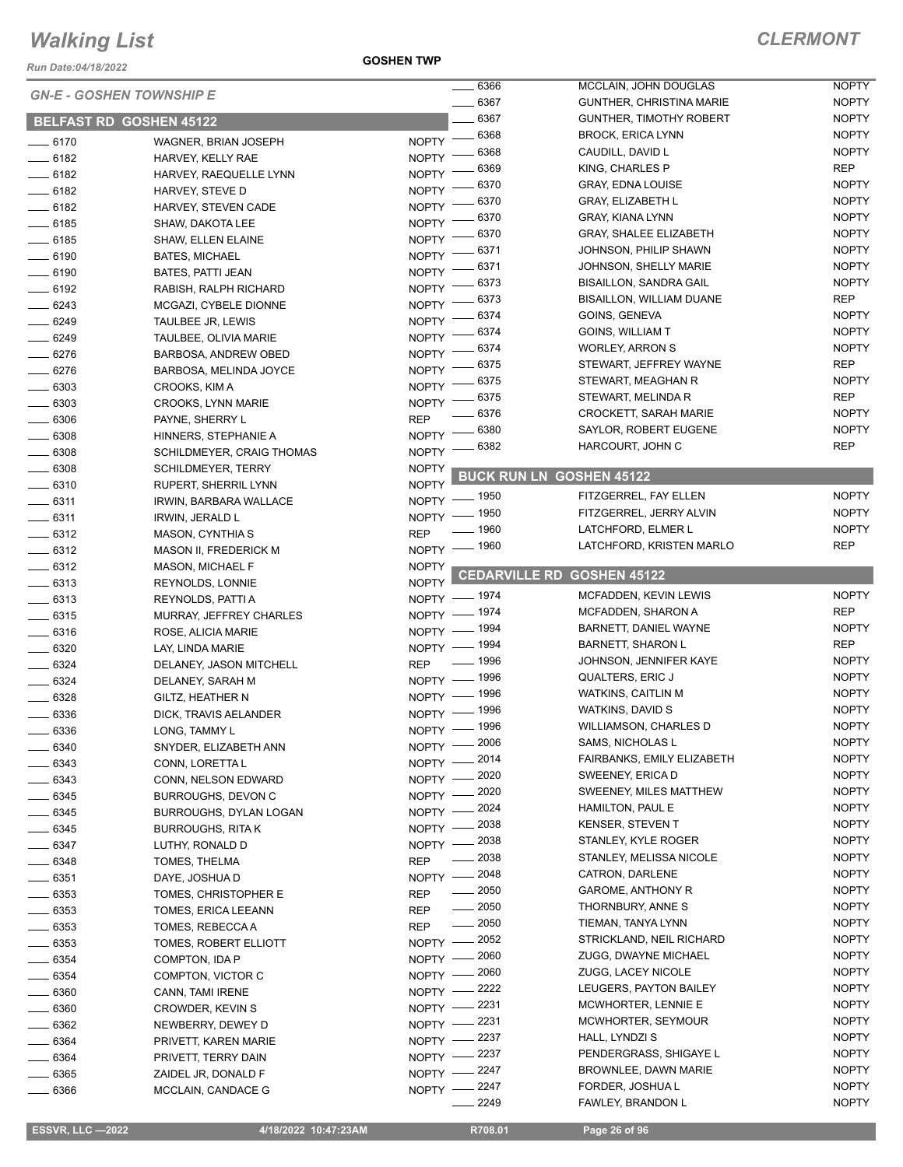*Run Date:04/18/2022*

**GOSHEN TWP**

|                    |                                 |                              | $\frac{1}{2}$ 6366   | MCCLAIN, JOHN DOUGLAS           | <b>NOPTY</b> |
|--------------------|---------------------------------|------------------------------|----------------------|---------------------------------|--------------|
|                    | <b>GN-E - GOSHEN TOWNSHIP E</b> |                              | $-6367$              | GUNTHER, CHRISTINA MARIE        | <b>NOPTY</b> |
|                    | <b>BELFAST RD GOSHEN 45122</b>  |                              | 6367                 | <b>GUNTHER, TIMOTHY ROBERT</b>  | <b>NOPTY</b> |
| $- 6170$           | WAGNER, BRIAN JOSEPH            | $N$ OPTY $-$                 | 6368                 | <b>BROCK, ERICA LYNN</b>        | <b>NOPTY</b> |
| $- 6182$           | HARVEY, KELLY RAE               | NOPTY -                      | 6368                 | CAUDILL, DAVID L                | <b>NOPTY</b> |
| $-6182$            | HARVEY, RAEQUELLE LYNN          | <b>NOPTY</b>                 | 6369                 | KING, CHARLES P                 | <b>REP</b>   |
| $-6182$            | HARVEY, STEVE D                 | <b>NOPTY</b>                 | 6370                 | <b>GRAY, EDNA LOUISE</b>        | <b>NOPTY</b> |
| $- 6182$           | HARVEY, STEVEN CADE             | <b>NOPTY</b>                 | 6370                 | GRAY, ELIZABETH L               | <b>NOPTY</b> |
| $\frac{1}{2}$ 6185 | SHAW, DAKOTA LEE                | <b>NOPTY</b>                 | 6370                 | <b>GRAY, KIANA LYNN</b>         | <b>NOPTY</b> |
| $- 6185$           | SHAW, ELLEN ELAINE              | <b>NOPTY</b>                 | 6370                 | <b>GRAY, SHALEE ELIZABETH</b>   | <b>NOPTY</b> |
| $\frac{1}{2}$ 6190 | <b>BATES, MICHAEL</b>           | NOPTY <sup>-</sup>           | 6371                 | JOHNSON, PHILIP SHAWN           | <b>NOPTY</b> |
| $- 6190$           | BATES, PATTI JEAN               | NOPTY <sup>-</sup>           | 6371                 | JOHNSON, SHELLY MARIE           | <b>NOPTY</b> |
| $-6192$            | RABISH, RALPH RICHARD           | <b>NOPTY</b>                 | 6373                 | <b>BISAILLON, SANDRA GAIL</b>   | <b>NOPTY</b> |
| $-6243$            | MCGAZI, CYBELE DIONNE           | <b>NOPTY</b>                 | 6373                 | <b>BISAILLON, WILLIAM DUANE</b> | <b>REP</b>   |
| $- 6249$           | TAULBEE JR, LEWIS               | <b>NOPTY</b>                 | 6374                 | GOINS, GENEVA                   | <b>NOPTY</b> |
|                    |                                 | <b>NOPTY</b>                 | 6374                 | GOINS, WILLIAM T                | <b>NOPTY</b> |
| $- 6249$           | TAULBEE, OLIVIA MARIE           | <b>NOPTY</b>                 | 6374                 | <b>WORLEY, ARRON S</b>          | <b>NOPTY</b> |
| $- 6276$           | BARBOSA, ANDREW OBED            | <b>NOPTY</b>                 | 6375                 | STEWART, JEFFREY WAYNE          | <b>REP</b>   |
| $- 6276$           | BARBOSA, MELINDA JOYCE          |                              | 6375                 | STEWART, MEAGHAN R              | <b>NOPTY</b> |
| $\frac{1}{2}$ 6303 | CROOKS, KIM A                   | <b>NOPTY</b>                 | 6375                 | STEWART, MELINDA R              | <b>REP</b>   |
| $\frac{1}{2}$ 6303 | <b>CROOKS, LYNN MARIE</b>       | <b>NOPTY</b>                 | 6376                 | <b>CROCKETT, SARAH MARIE</b>    | <b>NOPTY</b> |
| $- 6306$           | PAYNE, SHERRY L                 | <b>REP</b>                   | 6380                 | SAYLOR, ROBERT EUGENE           | <b>NOPTY</b> |
| $\frac{1}{2}$ 6308 | HINNERS, STEPHANIE A            | <b>NOPTY</b>                 | 6382                 | HARCOURT, JOHN C                | <b>REP</b>   |
| $\frac{1}{2}$ 6308 | SCHILDMEYER, CRAIG THOMAS       | <b>NOPTY</b>                 |                      |                                 |              |
| $\frac{1}{2}$ 6308 | <b>SCHILDMEYER, TERRY</b>       | <b>NOPTY</b>                 |                      | <b>BUCK RUN LN GOSHEN 45122</b> |              |
| $- 6310$           | RUPERT, SHERRIL LYNN            | <b>NOPTY</b><br>NOPTY - 1950 |                      | FITZGERREL, FAY ELLEN           | <b>NOPTY</b> |
| $- 6311$           | IRWIN, BARBARA WALLACE          |                              | _ 1950               | FITZGERREL, JERRY ALVIN         | <b>NOPTY</b> |
| $-6311$            | IRWIN, JERALD L                 | NOPTY -                      | _ 1960               | LATCHFORD, ELMER L              | <b>NOPTY</b> |
| $- 6312$           | <b>MASON, CYNTHIA S</b>         | <b>REP</b>                   | 1960                 | LATCHFORD, KRISTEN MARLO        | <b>REP</b>   |
| $\frac{1}{2}$ 6312 | <b>MASON II, FREDERICK M</b>    | <b>NOPTY</b>                 |                      |                                 |              |
| $- 6312$           | <b>MASON, MICHAEL F</b>         | <b>NOPTY</b>                 | <b>CEDARVILLE RD</b> | <b>GOSHEN 45122</b>             |              |
| $\frac{1}{2}$ 6313 | REYNOLDS, LONNIE                | <b>NOPTY</b>                 |                      | MCFADDEN, KEVIN LEWIS           | <b>NOPTY</b> |
| $- 6313$           | REYNOLDS, PATTI A               | NOPTY - 1974<br>NOPTY - 1974 |                      | MCFADDEN, SHARON A              | <b>REP</b>   |
| $-6315$            | MURRAY, JEFFREY CHARLES         |                              |                      | BARNETT, DANIEL WAYNE           | <b>NOPTY</b> |
| $-6316$            | ROSE, ALICIA MARIE              | NOPTY - 1994                 |                      | <b>BARNETT, SHARON L</b>        | <b>REP</b>   |
| $- 6320$           | LAY, LINDA MARIE                | NOPTY - 1994                 | $- 1996$             | JOHNSON, JENNIFER KAYE          | <b>NOPTY</b> |
| $- 6324$           | DELANEY, JASON MITCHELL         | <b>REP</b>                   |                      | QUALTERS, ERIC J                | <b>NOPTY</b> |
| $- 6324$           | DELANEY, SARAH M                | NOPTY - 1996                 |                      | <b>WATKINS, CAITLIN M</b>       | <b>NOPTY</b> |
| $- 6328$           | GILTZ, HEATHER N                | NOPTY - 1996                 |                      | WATKINS, DAVID S                | <b>NOPTY</b> |
| - 6336             | DICK, TRAVIS AELANDER           | NOPTY - 1996                 |                      | <b>WILLIAMSON, CHARLES D</b>    | <b>NOPTY</b> |
| 6336               | LONG, TAMMY L                   | NOPTY - 1996                 |                      |                                 |              |
| - 6340             | SNYDER, ELIZABETH ANN           | NOPTY - 2006                 |                      | SAMS, NICHOLAS L                | <b>NOPTY</b> |
| $- 6343$           | CONN, LORETTA L                 | NOPTY -2014                  |                      | FAIRBANKS, EMILY ELIZABETH      | <b>NOPTY</b> |
| $- 6343$           | CONN, NELSON EDWARD             | NOPTY -2020                  |                      | SWEENEY, ERICA D                | <b>NOPTY</b> |
| $- 6345$           | <b>BURROUGHS, DEVON C</b>       | NOPTY - 2020                 |                      | SWEENEY, MILES MATTHEW          | <b>NOPTY</b> |
| $\frac{1}{2}$ 6345 | BURROUGHS, DYLAN LOGAN          | NOPTY -2024                  |                      | HAMILTON, PAUL E                | <b>NOPTY</b> |
| $- 6345$           | <b>BURROUGHS, RITA K</b>        | NOPTY - 2038                 |                      | <b>KENSER, STEVEN T</b>         | <b>NOPTY</b> |
| $- 6347$           | LUTHY, RONALD D                 | NOPTY -2038                  |                      | STANLEY, KYLE ROGER             | <b>NOPTY</b> |
| $- 6348$           | TOMES, THELMA                   | <b>REP</b>                   | $\frac{1}{2038}$     | STANLEY, MELISSA NICOLE         | <b>NOPTY</b> |
| $\frac{1}{2}6351$  | DAYE, JOSHUA D                  | NOPTY - 2048                 |                      | CATRON, DARLENE                 | <b>NOPTY</b> |
| $\frac{1}{2}$ 6353 | TOMES, CHRISTOPHER E            | <b>REP</b>                   | $= 2050$             | <b>GAROME, ANTHONY R</b>        | <b>NOPTY</b> |
| $\frac{1}{2}$ 6353 | TOMES, ERICA LEEANN             | <b>REP</b>                   | $\frac{1}{2050}$     | THORNBURY, ANNE S               | <b>NOPTY</b> |
| $- 6353$           | TOMES, REBECCA A                | <b>REP</b>                   | $\frac{1}{2050}$     | TIEMAN, TANYA LYNN              | <b>NOPTY</b> |
| $\frac{1}{2}$ 6353 | TOMES, ROBERT ELLIOTT           | NOPTY -2052                  |                      | STRICKLAND, NEIL RICHARD        | <b>NOPTY</b> |
| $- 6354$           | COMPTON, IDA P                  | $NOPTY$ —                    | 2060                 | ZUGG, DWAYNE MICHAEL            | <b>NOPTY</b> |
| $\frac{1}{2}$ 6354 | COMPTON, VICTOR C               | NOPTY - 2060                 |                      | <b>ZUGG, LACEY NICOLE</b>       | <b>NOPTY</b> |
| $- 6360$           | CANN, TAMI IRENE                | NOPTY -2222                  |                      | LEUGERS, PAYTON BAILEY          | <b>NOPTY</b> |
| $\frac{1}{2}$ 6360 | CROWDER, KEVIN S                | NOPTY -2231                  |                      | MCWHORTER, LENNIE E             | <b>NOPTY</b> |
| $- 6362$           | NEWBERRY, DEWEY D               | NOPTY -2231                  |                      | MCWHORTER, SEYMOUR              | <b>NOPTY</b> |
| $- 6364$           | PRIVETT, KAREN MARIE            | NOPTY -2237                  |                      | HALL, LYNDZI S                  | <b>NOPTY</b> |
| $- 6364$           | PRIVETT, TERRY DAIN             | NOPTY -2237                  |                      | PENDERGRASS, SHIGAYE L          | <b>NOPTY</b> |
| _____ 6365         | ZAIDEL JR, DONALD F             | NOPTY -2247                  |                      | BROWNLEE, DAWN MARIE            | <b>NOPTY</b> |
| $\frac{1}{2}$ 6366 | MCCLAIN, CANDACE G              | NOPTY -2247                  |                      | FORDER, JOSHUA L                | <b>NOPTY</b> |
|                    |                                 |                              | 2249                 | FAWLEY, BRANDON L               | <b>NOPTY</b> |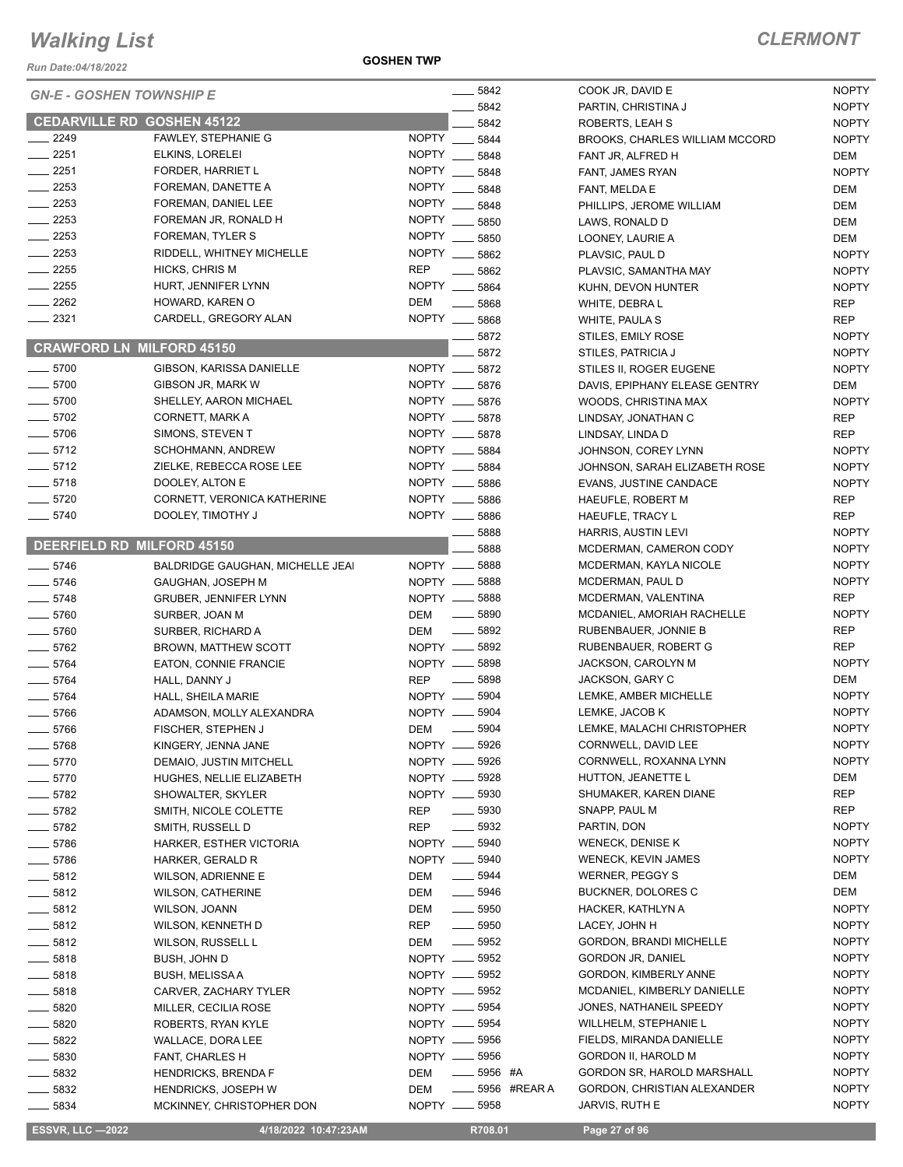*Run Date:04/18/2022*

#### **GOSHEN TWP**

|                    | <b>GN-E - GOSHEN TOWNSHIP E</b>          |                            | $-5842$               | COOK JR, DAVID E                        |
|--------------------|------------------------------------------|----------------------------|-----------------------|-----------------------------------------|
|                    |                                          |                            | $-5842$               | PARTIN, CHRISTINA                       |
|                    | <b>CEDARVILLE RD GOSHEN 45122</b>        |                            | 5842                  | ROBERTS, LEAH S                         |
| __ 2249            | FAWLEY, STEPHANIE G                      | <b>NOPTY</b>               | 5844                  | <b>BROOKS, CHARLES</b>                  |
| $-2251$            | ELKINS, LORELEI                          | <b>NOPTY</b>               | 5848                  | FANT JR, ALFRED H                       |
| $-2251$            | FORDER, HARRIET L                        | <b>NOPTY</b>               | 5848                  | FANT, JAMES RYAN                        |
| $\frac{2253}{2}$   | FOREMAN, DANETTE A                       | <b>NOPTY</b>               | 5848                  | FANT, MELDA E                           |
| $-2253$            | FOREMAN, DANIEL LEE                      | <b>NOPTY</b>               | 5848                  | PHILLIPS, JEROME                        |
| $\equiv$ 2253      | FOREMAN JR, RONALD H                     | <b>NOPTY</b>               | 5850                  | LAWS, RONALD D                          |
| $-2253$            | FOREMAN, TYLER S                         |                            | NOPTY __ 5850         | LOONEY, LAURIE A                        |
| $-2253$            | RIDDELL, WHITNEY MICHELLE                | <b>NOPTY</b>               | 5862                  | PLAVSIC, PAUL D                         |
| $-2255$            | HICKS, CHRIS M                           | <b>REP</b>                 | 5862                  | PLAVSIC, SAMANTI                        |
| $-2255$<br>$-2262$ | HURT, JENNIFER LYNN                      | <b>NOPTY</b><br><b>DEM</b> | 5864                  | KUHN, DEVON HUN                         |
| $-2321$            | HOWARD, KAREN O<br>CARDELL, GREGORY ALAN |                            | 5868<br>NOPTY __ 5868 | WHITE, DEBRA L                          |
|                    |                                          |                            |                       | WHITE, PAULA S                          |
|                    | <b>CRAWFORD LN MILFORD 45150</b>         |                            | 5872                  | <b>STILES, EMILY ROS</b>                |
| $-5700$            | GIBSON, KARISSA DANIELLE                 |                            | 5872<br>NOPTY __ 5872 | STILES, PATRICIA J                      |
| $-5700$            | GIBSON JR, MARK W                        |                            | NOPTY __ 5876         | STILES II, ROGER E<br>DAVIS, EPIPHANY E |
| $-5700$            | SHELLEY, AARON MICHAEL                   |                            | NOPTY __ 5876         | WOODS, CHRISTIN                         |
| $-5702$            | CORNETT, MARK A                          |                            | NOPTY __ 5878         |                                         |
| $-5706$            | SIMONS, STEVEN T                         |                            | NOPTY __ 5878         | LINDSAY, JONATHA                        |
| $-5712$            | SCHOHMANN, ANDREW                        |                            | NOPTY __ 5884         | LINDSAY, LINDA D                        |
| $-5712$            | ZIELKE, REBECCA ROSE LEE                 |                            | NOPTY __ 5884         | JOHNSON, COREY                          |
| ___ 5718           | DOOLEY, ALTON E                          |                            | NOPTY __ 5886         | JOHNSON, SARAH<br>EVANS, JUSTINE CA     |
| $-5720$            | CORNETT, VERONICA KATHERINE              |                            | NOPTY __ 5886         | <b>HAEUFLE, ROBERT</b>                  |
| $-5740$            | DOOLEY, TIMOTHY J                        |                            | NOPTY __ 5886         | HAEUFLE, TRACY L                        |
|                    |                                          |                            | $=$ 5888              | <b>HARRIS, AUSTIN LE</b>                |
|                    | DEERFIELD RD MILFORD 45150               |                            | 5888                  | MCDERMAN, CAME                          |
| $-5746$            | BALDRIDGE GAUGHAN, MICHELLE JEAI         |                            | NOPTY __ 5888         | MCDERMAN, KAYL/                         |
| $-5746$            | GAUGHAN, JOSEPH M                        |                            | NOPTY __ 5888         | MCDERMAN, PAUL                          |
| $-5748$            | <b>GRUBER, JENNIFER LYNN</b>             |                            | NOPTY __ 5888         | MCDERMAN, VALEI                         |
| $-5760$            | SURBER, JOAN M                           | <b>DEM</b>                 | $\frac{1}{2}$ 5890    | <b>MCDANIEL, AMORIA</b>                 |
| $-5760$            | SURBER, RICHARD A                        | DEM                        | $\frac{1}{2}$ 5892    | RUBENBAUER, JON                         |
| $-5762$            | BROWN, MATTHEW SCOTT                     |                            | NOPTY __ 5892         | RUBENBAUER, ROI                         |
| $-5764$            | EATON, CONNIE FRANCIE                    |                            | NOPTY __ 5898         | JACKSON, CAROLY                         |
| $-5764$            | HALL, DANNY J                            | <b>REP</b>                 | $\frac{1}{2}$ 5898    | JACKSON, GARY C                         |
| $-5764$            | HALL, SHEILA MARIE                       |                            | NOPTY __ 5904         | LEMKE, AMBER MIG                        |
| $-5766$            | ADAMSON, MOLLY ALEXANDRA                 |                            | NOPTY __ 5904         | LEMKE, JACOB K                          |
| $=$ 5766           | FISCHER, STEPHEN J                       | <b>DEM</b>                 | 5904                  | LEMKE, MALACHI C                        |
| 5768               | KINGERY, JENNA JANE                      |                            | NOPTY __ 5926         | CORNWELL, DAVID                         |
| $-5770$            | DEMAIO, JUSTIN MITCHELL                  |                            | NOPTY __ 5926         | CORNWELL, ROXA                          |
| $=$ 5770           | HUGHES, NELLIE ELIZABETH                 |                            | NOPTY __ 5928         | HUTTON, JEANETT                         |
| 5782               | SHOWALTER, SKYLER                        |                            | NOPTY __ 5930         | SHUMAKER, KAREI                         |
| $-5782$            | SMITH, NICOLE COLETTE                    | REP                        | $\frac{1}{2}$ 5930    | SNAPP, PAUL M                           |
| $=$ 5782           | SMITH, RUSSELL D                         | <b>REP</b>                 | - 5932                | PARTIN, DON                             |
| _ 5786             | HARKER, ESTHER VICTORIA                  |                            | NOPTY __ 5940         | <b>WENECK, DENISE I</b>                 |
| ___ 5786           | HARKER, GERALD R                         |                            | NOPTY __ 5940         | WENECK, KEVIN JA                        |
| $=$ 5812           | WILSON, ADRIENNE E                       | DEM                        | $\frac{1}{2}$ 5944    | <b>WERNER, PEGGY S</b>                  |
| $=$ 5812           | <b>WILSON, CATHERINE</b>                 | DEM                        | ____ 5946             | <b>BUCKNER, DOLORI</b>                  |
| 5812               | WILSON, JOANN                            | DEM                        | $\frac{1}{2}$ 5950    | <b>HACKER, KATHLYN</b>                  |
| $-5812$            | WILSON, KENNETH D                        | REP                        | $\equiv$ 5950         | LACEY, JOHN H                           |
| $-5812$            | WILSON, RUSSELL L                        | DEM                        | —— 5952               | GORDON, BRANDI                          |
| $=$ 5818           | BUSH, JOHN D                             |                            | NOPTY __ 5952         | <b>GORDON JR, DANIE</b>                 |
| $=$ 5818           | <b>BUSH, MELISSAA</b>                    |                            | NOPTY __ 5952         | <b>GORDON, KIMBERL</b>                  |
| $= 5818$           | CARVER, ZACHARY TYLER                    |                            | NOPTY __ 5952         | <b>MCDANIEL, KIMBER</b>                 |
| $-5820$            | MILLER, CECILIA ROSE                     |                            | NOPTY __ 5954         | JONES, NATHANEIL                        |
| 5820               | ROBERTS, RYAN KYLE                       |                            | NOPTY __ 5954         | WILLHELM, STEPH/                        |
| 5822               | WALLACE, DORA LEE                        |                            | NOPTY __ 5956         | FIELDS, MIRANDA I                       |
| $- 5830$           | FANT, CHARLES H                          |                            | NOPTY __ 5956         | <b>GORDON II, HAROL</b>                 |
| _ 5832             | <b>HENDRICKS, BRENDA F</b>               | DEM                        | $\frac{1}{1}$ 5956 #A | <b>GORDON SR, HARD</b>                  |
| __ 5832            | <b>HENDRICKS, JOSEPH W</b>               | DEM                        | -6956 #REAR A         | <b>GORDON, CHRISTI</b>                  |
| $-5834$            | MCKINNEY, CHRISTOPHER DON                |                            | NOPTY __ 5958         | JARVIS, RUTH E                          |

| 5842         |         | COOK JR, DAVID E                      | <b>NOPTY</b>                 |
|--------------|---------|---------------------------------------|------------------------------|
| 5842         |         | PARTIN, CHRISTINA J                   | <b>NOPTY</b>                 |
| 5842         |         | ROBERTS, LEAH S                       | <b>NOPTY</b>                 |
| 5844         |         | <b>BROOKS, CHARLES WILLIAM MCCORD</b> | <b>NOPTY</b>                 |
| 5848         |         | FANT JR, ALFRED H                     | DEM                          |
| 5848         |         | FANT, JAMES RYAN                      | <b>NOPTY</b>                 |
| 5848         |         | FANT, MELDA E                         | DEM                          |
| 5848         |         | PHILLIPS, JEROME WILLIAM              | DEM                          |
| 5850         |         | LAWS, RONALD D                        | DEM                          |
| 5850         |         | LOONEY, LAURIE A                      | DEM                          |
| 5862         |         | PLAVSIC, PAUL D                       | <b>NOPTY</b>                 |
| 5862         |         | PLAVSIC, SAMANTHA MAY                 | <b>NOPTY</b>                 |
| 5864         |         | KUHN, DEVON HUNTER                    | <b>NOPTY</b>                 |
| 5868         |         | WHITE, DEBRA L                        | REP                          |
| 5868         |         | WHITE, PAULA S                        | <b>REP</b>                   |
| 5872         |         | STILES, EMILY ROSE                    | <b>NOPTY</b>                 |
| 5872         |         | STILES, PATRICIA J                    | <b>NOPTY</b>                 |
| 5872         |         | STILES II, ROGER EUGENE               | <b>NOPTY</b>                 |
| 5876         |         | DAVIS, EPIPHANY ELEASE GENTRY         | DEM                          |
| 5876         |         | WOODS, CHRISTINA MAX                  | <b>NOPTY</b>                 |
| 5878         |         | LINDSAY, JONATHAN C                   | REP                          |
| 5878         |         | LINDSAY, LINDA D                      | <b>REP</b>                   |
| 5884         |         | JOHNSON, COREY LYNN                   | <b>NOPTY</b>                 |
| 5884         |         | JOHNSON, SARAH ELIZABETH ROSE         | <b>NOPTY</b>                 |
| 5886         |         | <b>EVANS, JUSTINE CANDACE</b>         | <b>NOPTY</b>                 |
|              |         | <b>HAEUFLE, ROBERT M</b>              | REP                          |
| 5886         |         | <b>HAEUFLE, TRACY L</b>               | REP                          |
| 5886         |         | HARRIS, AUSTIN LEVI                   |                              |
| 5888         |         | MCDERMAN, CAMERON CODY                | <b>NOPTY</b><br><b>NOPTY</b> |
| 5888<br>5888 |         | MCDERMAN, KAYLA NICOLE                | <b>NOPTY</b>                 |
|              |         |                                       |                              |
| 5888         |         | MCDERMAN, PAUL D                      | <b>NOPTY</b>                 |
| 5888         |         | MCDERMAN, VALENTINA                   | REP                          |
| 5890         |         | MCDANIEL, AMORIAH RACHELLE            | <b>NOPTY</b>                 |
| 5892         |         | RUBENBAUER, JONNIE B                  | REP                          |
| 5892         |         | RUBENBAUER, ROBERT G                  | <b>REP</b>                   |
| 5898         |         | <b>JACKSON, CAROLYN M</b>             | <b>NOPTY</b>                 |
| 5898         |         | JACKSON, GARY C                       | DEM                          |
| 5904         |         | LEMKE, AMBER MICHELLE                 | <b>NOPTY</b>                 |
| 5904         |         | LEMKE, JACOB K                        | <b>NOPTY</b>                 |
| 5904         |         | LEMKE, MALACHI CHRISTOPHER            | <b>NOPTY</b>                 |
| 5926         |         | CORNWELL, DAVID LEE                   | <b>NOPTY</b>                 |
| 5926         |         | CORNWELL, ROXANNA LYNN                | <b>NOPTY</b>                 |
| 5928         |         | HUTTON, JEANETTE L                    | DEM                          |
| 5930         |         | SHUMAKER, KAREN DIANE                 | REP                          |
| 5930         |         | SNAPP, PAUL M                         | REP                          |
| 5932         |         | PARTIN, DON                           | <b>NOPTY</b>                 |
| 5940         |         | <b>WENECK, DENISE K</b>               | <b>NOPTY</b>                 |
| 5940         |         | WENECK, KEVIN JAMES                   | NOPTY                        |
| 5944         |         | WERNER, PEGGY S                       | DEM                          |
| 5946         |         | <b>BUCKNER, DOLORES C</b>             | DEM                          |
| 5950         |         | HACKER, KATHLYN A                     | NOPTY                        |
| 5950         |         | LACEY, JOHN H                         | NOPTY                        |
| 5952         |         | <b>GORDON, BRANDI MICHELLE</b>        | NOPTY                        |
| 5952         |         | <b>GORDON JR, DANIEL</b>              | NOPTY                        |
| 5952         |         | GORDON, KIMBERLY ANNE                 | <b>NOPTY</b>                 |
| 5952         |         | MCDANIEL, KIMBERLY DANIELLE           | <b>NOPTY</b>                 |
| 5954         |         | JONES, NATHANEIL SPEEDY               | <b>NOPTY</b>                 |
| 5954         |         | WILLHELM, STEPHANIE L                 | NOPTY                        |
| 5956         |         | FIELDS, MIRANDA DANIELLE              | NOPTY                        |
| 5956         |         | GORDON II, HAROLD M                   | NOPTY                        |
| 5956 #A      |         | GORDON SR, HAROLD MARSHALL            | NOPTY                        |
| 5956         | #REAR A | GORDON, CHRISTIAN ALEXANDER           | <b>NOPTY</b>                 |
| 5958         |         | JARVIS, RUTH E                        | <b>NOPTY</b>                 |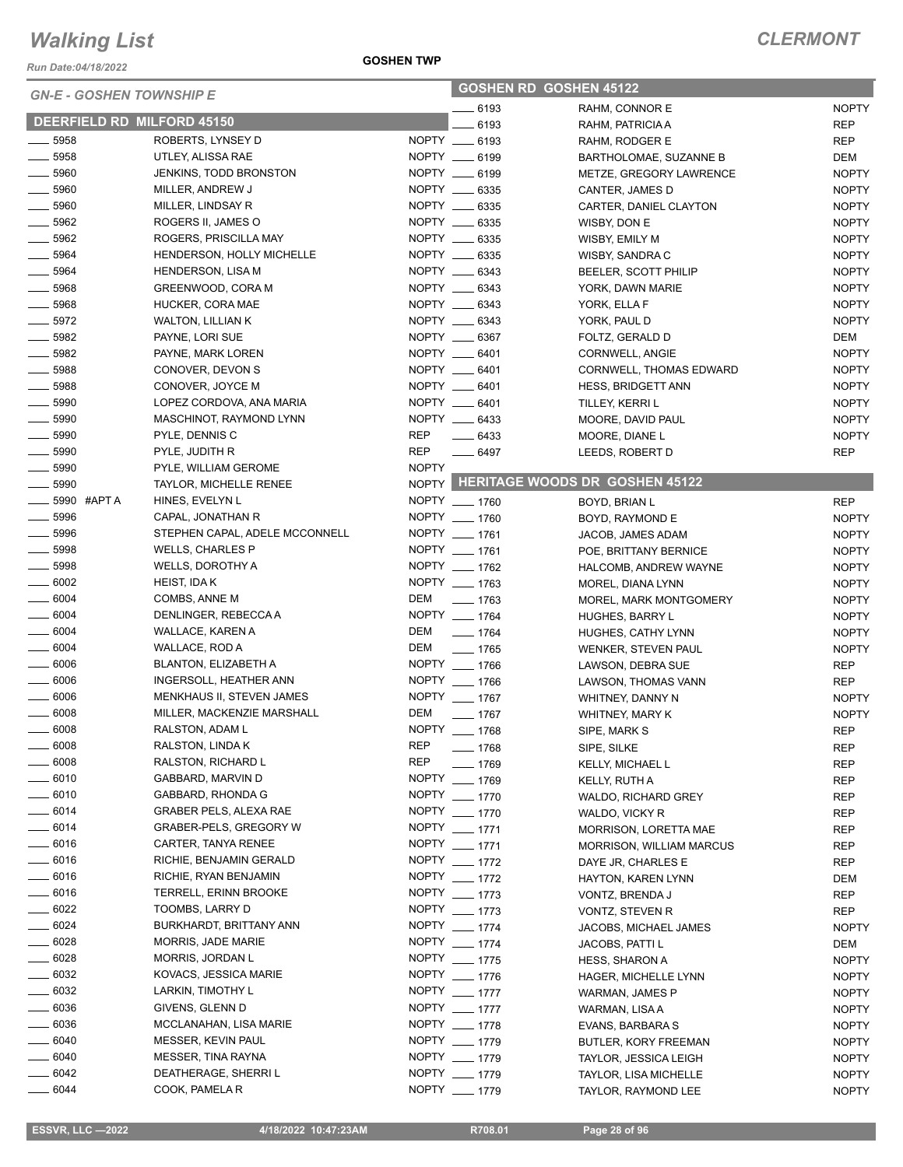*Run Date:04/18/2022*

#### **GOSHEN TWP**

| <b>GN-E - GOSHEN TOWNSHIP E</b> |                                |              | <b>GOSHEN RD GOSHEN 45122</b> |                                      |              |  |
|---------------------------------|--------------------------------|--------------|-------------------------------|--------------------------------------|--------------|--|
|                                 |                                |              | 6193                          | RAHM, CONNOR E                       | <b>NOPTY</b> |  |
| DEERFIELD RD MILFORD 45150      |                                |              | 6193                          | RAHM, PATRICIA A                     | REP          |  |
| 5958                            | ROBERTS, LYNSEY D              |              | NOPTY __ 6193                 | RAHM, RODGER E                       | REP          |  |
| 5958                            | UTLEY, ALISSA RAE              |              | NOPTY __ 6199                 | BARTHOLOMAE, SUZANNE B               | DEM          |  |
| 5960                            | <b>JENKINS, TODD BRONSTON</b>  |              | NOPTY __ 6199                 | METZE, GREGORY LAWRENCE              | <b>NOPTY</b> |  |
| 5960                            | MILLER, ANDREW J               |              | NOPTY __ 6335                 | CANTER, JAMES D                      | <b>NOPTY</b> |  |
| 5960                            | MILLER, LINDSAY R              |              | NOPTY __ 6335                 | CARTER, DANIEL CLAYTON               | <b>NOPTY</b> |  |
| 5962                            | ROGERS II, JAMES O             |              | NOPTY __ 6335                 | WISBY, DON E                         | <b>NOPTY</b> |  |
| 5962                            | ROGERS, PRISCILLA MAY          |              | NOPTY __ 6335                 | WISBY, EMILY M                       | <b>NOPTY</b> |  |
| 5964                            | HENDERSON, HOLLY MICHELLE      |              | NOPTY __ 6335                 | WISBY, SANDRA C                      | <b>NOPTY</b> |  |
| 5964                            | <b>HENDERSON, LISA M</b>       |              | NOPTY __ 6343                 | BEELER, SCOTT PHILIP                 | <b>NOPTY</b> |  |
| 5968                            | GREENWOOD, CORA M              |              | NOPTY __ 6343                 | YORK, DAWN MARIE                     | <b>NOPTY</b> |  |
| $-5968$                         | HUCKER, CORA MAE               |              | NOPTY __ 6343                 | YORK, ELLA F                         | <b>NOPTY</b> |  |
| $-5972$                         | <b>WALTON, LILLIAN K</b>       |              | NOPTY __ 6343                 | YORK, PAUL D                         | <b>NOPTY</b> |  |
| 5982                            | PAYNE, LORI SUE                |              | NOPTY __ 6367                 | FOLTZ, GERALD D                      | DEM          |  |
| $- 5982$                        | PAYNE, MARK LOREN              |              | NOPTY __ 6401                 | CORNWELL, ANGIE                      | <b>NOPTY</b> |  |
| 5988                            | CONOVER, DEVON S               |              | NOPTY __ 6401                 | CORNWELL, THOMAS EDWARD              | <b>NOPTY</b> |  |
| 5988                            | CONOVER, JOYCE M               |              | NOPTY __ 6401                 | <b>HESS, BRIDGETT ANN</b>            | <b>NOPTY</b> |  |
| 5990                            | LOPEZ CORDOVA, ANA MARIA       |              | NOPTY __ 6401                 | TILLEY, KERRI L                      | <b>NOPTY</b> |  |
| $- 5990$                        | MASCHINOT, RAYMOND LYNN        |              | NOPTY __ 6433                 | MOORE, DAVID PAUL                    | <b>NOPTY</b> |  |
| $\frac{1}{2}$ 5990              | PYLE, DENNIS C                 | REP          | $- 6433$                      | MOORE, DIANE L                       | <b>NOPTY</b> |  |
| $\frac{1}{2}$ 5990              | PYLE, JUDITH R                 | <b>REP</b>   | $- 6497$                      | LEEDS, ROBERT D                      | <b>REP</b>   |  |
| $\frac{1}{2}$ 5990              | PYLE, WILLIAM GEROME           | <b>NOPTY</b> |                               |                                      |              |  |
| 5990                            | <b>TAYLOR, MICHELLE RENEE</b>  |              |                               | NOPTY HERITAGE WOODS DR GOSHEN 45122 |              |  |
| 5990 #APT A                     | HINES, EVELYN L                |              | NOPTY __ 1760                 | BOYD, BRIAN L                        | <b>REP</b>   |  |
| $- 5996$                        | CAPAL, JONATHAN R              |              | NOPTY __ 1760                 | BOYD, RAYMOND E                      | <b>NOPTY</b> |  |
| $-5996$                         | STEPHEN CAPAL, ADELE MCCONNELL |              | NOPTY __ 1761                 | JACOB, JAMES ADAM                    | <b>NOPTY</b> |  |
| 5998                            | <b>WELLS, CHARLES P</b>        |              | NOPTY __ 1761                 | POE, BRITTANY BERNICE                | <b>NOPTY</b> |  |
| 5998                            | WELLS, DOROTHY A               |              | NOPTY __ 1762                 | HALCOMB, ANDREW WAYNE                | <b>NOPTY</b> |  |
| $- 6002$                        | HEIST, IDA K                   |              | NOPTY __ 1763                 | MOREL, DIANA LYNN                    | <b>NOPTY</b> |  |
| $\frac{1}{2}$ 6004              | COMBS, ANNE M                  | DEM          | $- 1763$                      | MOREL, MARK MONTGOMERY               | <b>NOPTY</b> |  |
| $\frac{1}{2}$ 6004              | DENLINGER, REBECCA A           |              | NOPTY __ 1764                 | HUGHES, BARRY L                      | <b>NOPTY</b> |  |
| $- 6004$                        | WALLACE, KAREN A               | DEM          | $- 1764$                      | HUGHES, CATHY LYNN                   | <b>NOPTY</b> |  |
| $\frac{1}{2}$ 6004              | WALLACE, ROD A                 | DEM          | $- 1765$                      | WENKER, STEVEN PAUL                  | <b>NOPTY</b> |  |
| $- 6006$                        | BLANTON, ELIZABETH A           |              | NOPTY __ 1766                 | LAWSON, DEBRA SUE                    | <b>REP</b>   |  |
| $\frac{1}{2}$ 6006              | INGERSOLL, HEATHER ANN         |              | NOPTY __ 1766                 | LAWSON, THOMAS VANN                  | <b>REP</b>   |  |
| $- 6006$                        | MENKHAUS II, STEVEN JAMES      |              | NOPTY __ 1767                 | WHITNEY, DANNY N                     | <b>NOPTY</b> |  |
| - 6008                          | MILLER, MACKENZIE MARSHALL     | DEM          | $- 1767$                      | WHITNEY, MARY K                      | <b>NOPTY</b> |  |
| 6008                            | RALSTON, ADAM L                |              | NOPTY __ 1768                 | SIPE, MARK S                         | <b>REP</b>   |  |
| $- 6008$                        | RALSTON, LINDA K               | <b>REP</b>   | $- 1768$                      | SIPE, SILKE                          | <b>REP</b>   |  |
| $\frac{1}{2}$ 6008              | RALSTON, RICHARD L             | <b>REP</b>   | $-1769$                       | KELLY, MICHAEL L                     | REP          |  |
| $- 6010$                        | GABBARD, MARVIN D              |              | NOPTY __ 1769                 | KELLY, RUTH A                        | REP          |  |
| $- 6010$                        | GABBARD, RHONDA G              |              | NOPTY __ 1770                 | WALDO, RICHARD GREY                  | REP          |  |
| $- 6014$                        | GRABER PELS, ALEXA RAE         |              | NOPTY __ 1770                 | WALDO, VICKY R                       | REP          |  |
| $- 6014$                        | GRABER-PELS, GREGORY W         |              | NOPTY __ 1771                 | MORRISON, LORETTA MAE                | REP          |  |
| $- 6016$                        | CARTER, TANYA RENEE            |              | NOPTY __ 1771                 | <b>MORRISON, WILLIAM MARCUS</b>      | REP          |  |
| $- 6016$                        | RICHIE, BENJAMIN GERALD        |              | NOPTY __ 1772                 | DAYE JR, CHARLES E                   | REP          |  |
| $- 6016$                        | RICHIE, RYAN BENJAMIN          |              | NOPTY __ 1772                 | HAYTON, KAREN LYNN                   | DEM          |  |
| $-6016$                         | TERRELL, ERINN BROOKE          |              | NOPTY __ 1773                 | VONTZ, BRENDA J                      | REP          |  |
| $- 6022$                        | TOOMBS, LARRY D                |              | NOPTY __ 1773                 | VONTZ, STEVEN R                      | REP          |  |
| $- 6024$                        | BURKHARDT, BRITTANY ANN        |              | NOPTY __ 1774                 | JACOBS, MICHAEL JAMES                | <b>NOPTY</b> |  |
| $- 6028$                        | MORRIS, JADE MARIE             |              | NOPTY __ 1774                 | JACOBS, PATTI L                      | DEM          |  |
| $- 6028$                        | MORRIS, JORDAN L               |              | NOPTY __ 1775                 | <b>HESS, SHARON A</b>                | <b>NOPTY</b> |  |
| $\frac{1}{2}$ 6032              | KOVACS, JESSICA MARIE          |              | NOPTY __ 1776                 | HAGER, MICHELLE LYNN                 | <b>NOPTY</b> |  |
| $- 6032$                        | LARKIN, TIMOTHY L              |              | NOPTY __ 1777                 | WARMAN, JAMES P                      | <b>NOPTY</b> |  |
| $\frac{1}{2}$ 6036              | GIVENS, GLENN D                |              | NOPTY __ 1777                 | WARMAN, LISA A                       | <b>NOPTY</b> |  |
| $\frac{1}{2}$ 6036              | MCCLANAHAN, LISA MARIE         |              | NOPTY __ 1778                 | EVANS, BARBARA S                     | <b>NOPTY</b> |  |
| $- 6040$                        | MESSER, KEVIN PAUL             |              | NOPTY __ 1779                 | BUTLER, KORY FREEMAN                 | <b>NOPTY</b> |  |
| $- 6040$                        | MESSER, TINA RAYNA             |              | NOPTY __ 1779                 | <b>TAYLOR, JESSICA LEIGH</b>         | <b>NOPTY</b> |  |
| $=6042$                         | DEATHERAGE, SHERRI L           |              | NOPTY __ 1779                 | TAYLOR, LISA MICHELLE                | <b>NOPTY</b> |  |
| $-6044$                         | COOK, PAMELA R                 |              | NOPTY __ 1779                 | TAYLOR, RAYMOND LEE                  | <b>NOPTY</b> |  |
|                                 |                                |              |                               |                                      |              |  |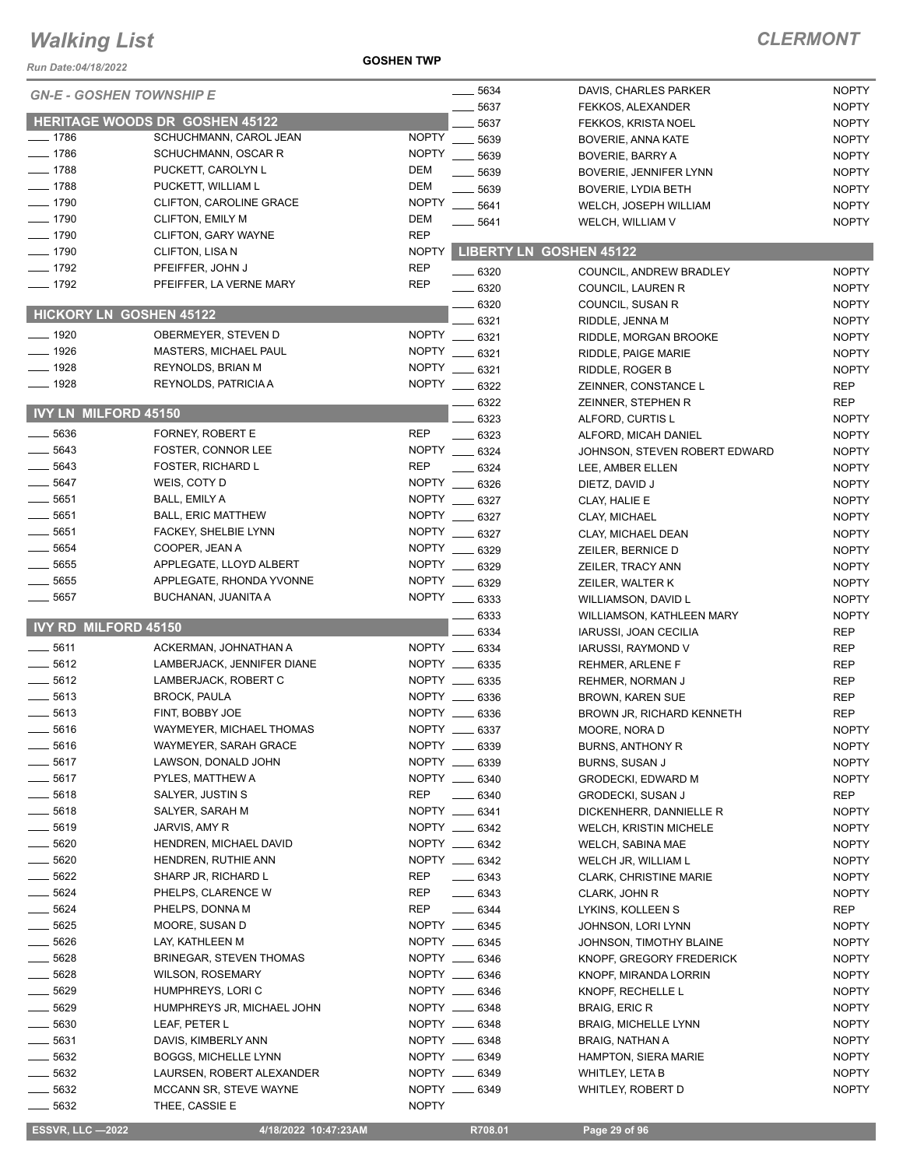#### **GOSHEN TWP**

#### *CLERMONT*

| Run Date:04/18/2022             |                                                   | <b>GOSHEN TWP</b>            |                                |                                                     |                              |
|---------------------------------|---------------------------------------------------|------------------------------|--------------------------------|-----------------------------------------------------|------------------------------|
| <b>GN-E - GOSHEN TOWNSHIP E</b> |                                                   |                              | $-5634$                        | DAVIS, CHARLES PARKER                               | <b>NOPTY</b>                 |
|                                 |                                                   |                              | 5637                           | FEKKOS, ALEXANDER                                   | <b>NOPTY</b>                 |
|                                 | <b>HERITAGE WOODS DR GOSHEN 45122</b>             |                              | 5637                           | FEKKOS, KRISTA NOEL                                 | <b>NOPTY</b>                 |
| $-1786$                         | SCHUCHMANN, CAROL JEAN                            | <b>NOPTY</b>                 | 5639                           | BOVERIE, ANNA KATE                                  | <b>NOPTY</b>                 |
| $-1786$                         | SCHUCHMANN, OSCAR R                               | <b>NOPTY</b>                 | 5639                           | <b>BOVERIE, BARRY A</b>                             | <b>NOPTY</b>                 |
| $-1788$                         | PUCKETT, CAROLYN L                                | <b>DEM</b>                   | 5639                           | BOVERIE, JENNIFER LYNN                              | <b>NOPTY</b>                 |
| $-1788$                         | PUCKETT, WILLIAM L                                | <b>DEM</b>                   | 5639                           | <b>BOVERIE, LYDIA BETH</b>                          | <b>NOPTY</b>                 |
| $-1790$                         | CLIFTON, CAROLINE GRACE                           | <b>NOPTY</b>                 | 5641                           | WELCH, JOSEPH WILLIAM                               | <b>NOPTY</b>                 |
| $- 1790$                        | <b>CLIFTON, EMILY M</b>                           | <b>DEM</b>                   | 5641                           | WELCH, WILLIAM V                                    | <b>NOPTY</b>                 |
| $- 1790$                        | CLIFTON, GARY WAYNE                               | <b>REP</b>                   |                                |                                                     |                              |
| $- 1790$                        | CLIFTON, LISA N                                   | <b>NOPTY</b>                 |                                | <b>LIBERTY LN GOSHEN 45122</b>                      |                              |
| $-1792$                         | PFEIFFER, JOHN J                                  | <b>REP</b>                   | 6320                           | COUNCIL, ANDREW BRADLEY                             | <b>NOPTY</b>                 |
| $- 1792$                        | PFEIFFER, LA VERNE MARY                           | <b>REP</b>                   | 6320                           | COUNCIL, LAUREN R                                   | <b>NOPTY</b>                 |
| <b>HICKORY LN GOSHEN 45122</b>  |                                                   |                              | 6320                           | COUNCIL, SUSAN R                                    | <b>NOPTY</b>                 |
|                                 |                                                   |                              | 6321                           | RIDDLE, JENNA M                                     | <b>NOPTY</b>                 |
| $- 1920$                        | OBERMEYER, STEVEN D                               | <b>NOPTY</b><br><b>NOPTY</b> | 6321                           | RIDDLE, MORGAN BROOKE                               | <b>NOPTY</b>                 |
| $- 1926$<br>1928                | MASTERS, MICHAEL PAUL<br><b>REYNOLDS, BRIAN M</b> |                              | 6321                           | RIDDLE, PAIGE MARIE                                 | <b>NOPTY</b>                 |
| 1928                            | REYNOLDS, PATRICIA A                              | <b>NOPTY</b><br><b>NOPTY</b> | 6321                           | RIDDLE, ROGER B                                     | <b>NOPTY</b>                 |
|                                 |                                                   |                              | 6322                           | ZEINNER, CONSTANCE L                                | <b>REP</b>                   |
| <b>IVY LN MILFORD 45150</b>     |                                                   |                              | 6322                           | ZEINNER, STEPHEN R<br>ALFORD, CURTIS L              | <b>REP</b>                   |
| 5636                            | FORNEY, ROBERT E                                  | <b>REP</b>                   | 6323<br>6323                   | ALFORD, MICAH DANIEL                                | <b>NOPTY</b><br><b>NOPTY</b> |
| 5643                            | FOSTER, CONNOR LEE                                |                              | NOPTY __ 6324                  | JOHNSON, STEVEN ROBERT EDWARD                       | <b>NOPTY</b>                 |
| 5643                            | <b>FOSTER, RICHARD L</b>                          | <b>REP</b>                   | 6324                           | LEE, AMBER ELLEN                                    | <b>NOPTY</b>                 |
| 5647                            | WEIS, COTY D                                      |                              | NOPTY __ 6326                  | DIETZ, DAVID J                                      | <b>NOPTY</b>                 |
| 5651                            | BALL, EMILY A                                     |                              | NOPTY __ 6327                  | CLAY, HALIE E                                       | <b>NOPTY</b>                 |
| 5651                            | <b>BALL, ERIC MATTHEW</b>                         | NOPTY ___                    | 6327                           | <b>CLAY, MICHAEL</b>                                | <b>NOPTY</b>                 |
| 5651                            | FACKEY, SHELBIE LYNN                              |                              | NOPTY __ 6327                  | CLAY, MICHAEL DEAN                                  | <b>NOPTY</b>                 |
| 5654                            | COOPER, JEAN A                                    | <b>NOPTY</b>                 | 6329                           | ZEILER, BERNICE D                                   | <b>NOPTY</b>                 |
| 5655                            | APPLEGATE, LLOYD ALBERT                           |                              | NOPTY __ 6329                  | ZEILER, TRACY ANN                                   | <b>NOPTY</b>                 |
| 5655                            | APPLEGATE, RHONDA YVONNE                          |                              | NOPTY __ 6329                  | ZEILER, WALTER K                                    | <b>NOPTY</b>                 |
| 5657                            | BUCHANAN, JUANITA A                               |                              | NOPTY __ 6333                  | WILLIAMSON, DAVID L                                 | <b>NOPTY</b>                 |
|                                 |                                                   |                              | 6333                           | WILLIAMSON, KATHLEEN MARY                           | <b>NOPTY</b>                 |
| <b>IVY RD MILFORD 45150</b>     |                                                   |                              | 6334                           | <b>IARUSSI, JOAN CECILIA</b>                        | <b>REP</b>                   |
| 5611                            | ACKERMAN, JOHNATHAN A                             |                              | NOPTY __ 6334                  | IARUSSI, RAYMOND V                                  | REP                          |
| 5612                            | LAMBERJACK, JENNIFER DIANE                        |                              | NOPTY __ 6335                  | REHMER, ARLENE F                                    | <b>REP</b>                   |
| 5612                            | LAMBERJACK, ROBERT C                              |                              | NOPTY __ 6335                  | REHMER, NORMAN J                                    | <b>REP</b>                   |
| 5613                            | <b>BROCK, PAULA</b>                               |                              | NOPTY __ 6336                  | <b>BROWN, KAREN SUE</b>                             | <b>REP</b>                   |
| 5613                            | FINT, BOBBY JOE                                   |                              | NOPTY __ 6336                  | <b>BROWN JR, RICHARD KENNETH</b>                    | <b>REP</b>                   |
| 5616                            | WAYMEYER, MICHAEL THOMAS                          |                              | NOPTY __ 6337                  | MOORE, NORA D                                       | <b>NOPTY</b>                 |
| 5616                            | WAYMEYER, SARAH GRACE                             |                              | NOPTY __ 6339                  | BURNS, ANTHONY R                                    | <b>NOPTY</b>                 |
| $-5617$                         | LAWSON, DONALD JOHN                               |                              | NOPTY __ 6339<br>NOPTY __ 6340 | <b>BURNS, SUSAN J</b>                               | <b>NOPTY</b>                 |
| __ 5617<br>$-5618$              | PYLES, MATTHEW A<br>SALYER, JUSTIN S              | REP                          | $- 6340$                       | <b>GRODECKI, EDWARD M</b>                           | <b>NOPTY</b>                 |
| 5618                            | SALYER, SARAH M                                   |                              | NOPTY __ 6341                  | <b>GRODECKI, SUSAN J</b><br>DICKENHERR, DANNIELLE R | REP<br><b>NOPTY</b>          |
| $\frac{1}{2}$ 5619              | JARVIS, AMY R                                     |                              | NOPTY __ 6342                  | WELCH, KRISTIN MICHELE                              | <b>NOPTY</b>                 |
| 5620                            | HENDREN, MICHAEL DAVID                            |                              | NOPTY __ 6342                  | WELCH, SABINA MAE                                   | <b>NOPTY</b>                 |
| $- 5620$                        | HENDREN, RUTHIE ANN                               |                              | NOPTY __ 6342                  | WELCH JR, WILLIAM L                                 | <b>NOPTY</b>                 |
| $- 5622$                        | SHARP JR, RICHARD L                               | REP                          | $- 6343$                       | <b>CLARK, CHRISTINE MARIE</b>                       | <b>NOPTY</b>                 |
| 5624                            | PHELPS, CLARENCE W                                | REP                          | $- 6343$                       | CLARK, JOHN R                                       | <b>NOPTY</b>                 |
| 5624                            | PHELPS, DONNA M                                   | REP                          | $- 6344$                       | LYKINS, KOLLEEN S                                   | REP                          |
| 5625                            | MOORE, SUSAN D                                    |                              | NOPTY __ 6345                  | JOHNSON, LORI LYNN                                  | <b>NOPTY</b>                 |
| 5626                            | LAY, KATHLEEN M                                   |                              | NOPTY __ 6345                  | JOHNSON, TIMOTHY BLAINE                             | <b>NOPTY</b>                 |
| 5628                            | <b>BRINEGAR, STEVEN THOMAS</b>                    |                              | NOPTY __ 6346                  | KNOPF, GREGORY FREDERICK                            | <b>NOPTY</b>                 |
| 5628                            | <b>WILSON, ROSEMARY</b>                           |                              | NOPTY __ 6346                  | KNOPF, MIRANDA LORRIN                               | <b>NOPTY</b>                 |
| 5629                            | HUMPHREYS, LORIC                                  |                              | NOPTY __ 6346                  | KNOPF, RECHELLE L                                   | <b>NOPTY</b>                 |
| 5629                            | HUMPHREYS JR, MICHAEL JOHN                        |                              | NOPTY __ 6348                  | BRAIG, ERIC R                                       | <b>NOPTY</b>                 |
| 5630                            | LEAF, PETER L                                     |                              | NOPTY __ 6348                  | <b>BRAIG, MICHELLE LYNN</b>                         | <b>NOPTY</b>                 |
| 5631                            | DAVIS, KIMBERLY ANN                               |                              | NOPTY __ 6348                  | BRAIG, NATHAN A                                     | <b>NOPTY</b>                 |
| 5632                            | <b>BOGGS, MICHELLE LYNN</b>                       |                              | NOPTY __ 6349                  | HAMPTON, SIERA MARIE                                | <b>NOPTY</b>                 |
| $-5632$                         | LAURSEN, ROBERT ALEXANDER                         |                              | NOPTY __ 6349                  | <b>WHITLEY, LETA B</b>                              | <b>NOPTY</b>                 |
| $-5632$                         | MCCANN SR, STEVE WAYNE                            |                              | NOPTY __ 6349                  | WHITLEY, ROBERT D                                   | <b>NOPTY</b>                 |
| $- 5632$                        | THEE, CASSIE E                                    | <b>NOPTY</b>                 |                                |                                                     |                              |

 **ESSVR, LLC —2022 4/18/2022 10:47:23AM R708.01 Page 29 of 96**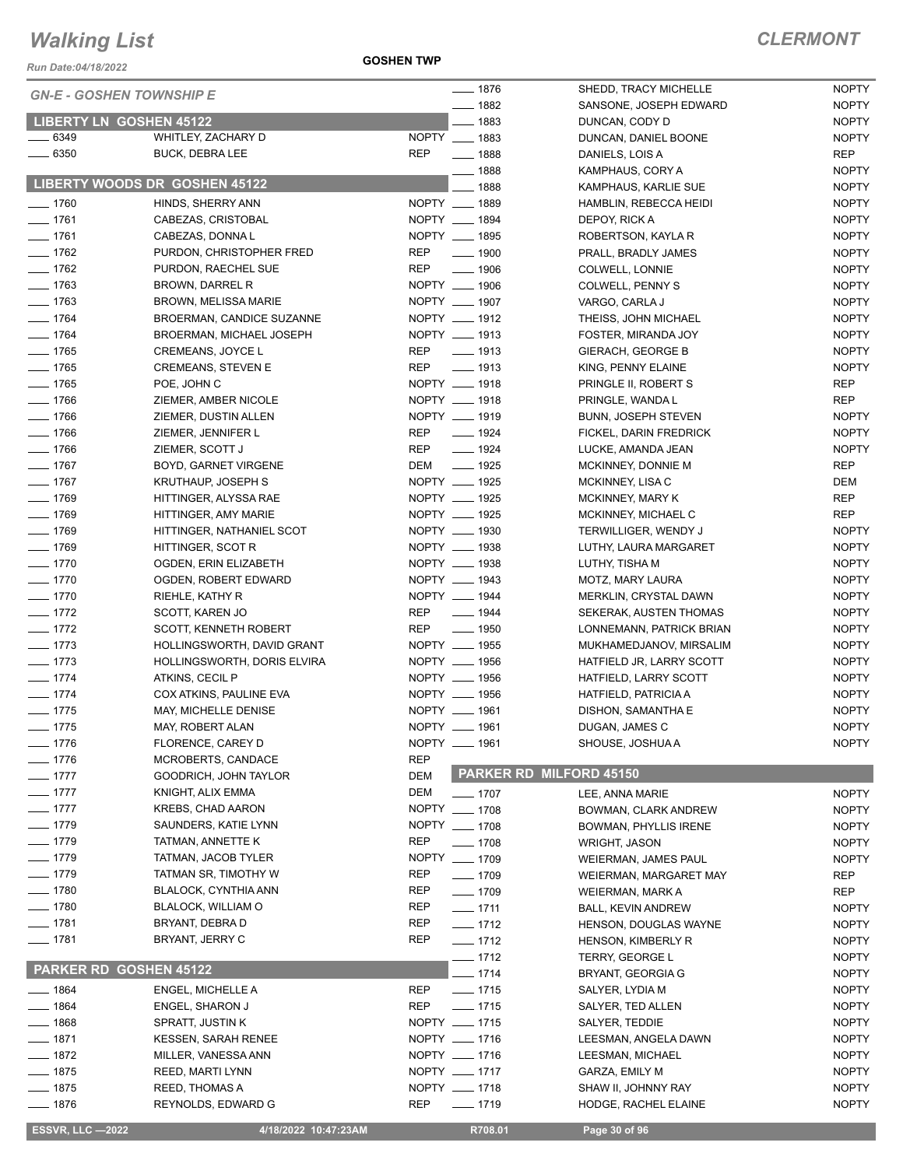*Run Date:04/18/2022*

**GOSHEN TWP**

*CLERMONT*

NOPTY

|                    | <b>GN-E - GOSHEN TOWNSHIP E</b> | $- 1876$                         | SHEDD, TRACY MICHELLE          | <b>NOPTY</b> |
|--------------------|---------------------------------|----------------------------------|--------------------------------|--------------|
|                    |                                 | $- 1882$                         | SANSONE, JOSEPH EDWARD         | <b>NOPTY</b> |
|                    | <b>LIBERTY LN GOSHEN 45122</b>  | $-1883$                          | DUNCAN, CODY D                 | <b>NOPTY</b> |
| $\frac{1}{2}$ 6349 | WHITLEY, ZACHARY D              | NOPTY __ 1883                    | DUNCAN, DANIEL BOONE           | <b>NOPTY</b> |
| $- 6350$           | <b>BUCK, DEBRA LEE</b>          | <b>REP</b><br>$- 1888$           | DANIELS, LOIS A                | <b>REP</b>   |
|                    |                                 | $- 1888$                         | KAMPHAUS, CORY A               | <b>NOPTY</b> |
|                    | LIBERTY WOODS DR GOSHEN 45122   | 1888<br>$\overline{\phantom{0}}$ | KAMPHAUS, KARLIE SUE           | <b>NOPTY</b> |
| $- 1760$           | HINDS, SHERRY ANN               | NOPTY __ 1889                    | HAMBLIN, REBECCA HEIDI         | <b>NOPTY</b> |
| $- 1761$           | CABEZAS, CRISTOBAL              | NOPTY __ 1894                    | DEPOY, RICK A                  | <b>NOPTY</b> |
| $- 1761$           | CABEZAS, DONNA L                | NOPTY __ 1895                    | ROBERTSON, KAYLA R             | <b>NOPTY</b> |
| $- 1762$           | PURDON, CHRISTOPHER FRED        | $\frac{1}{2}$ 1900<br><b>REP</b> | PRALL, BRADLY JAMES            | <b>NOPTY</b> |
| $- 1762$           | PURDON, RAECHEL SUE             | <b>REP</b><br>$- 1906$           | COLWELL, LONNIE                | <b>NOPTY</b> |
| $- 1763$           | <b>BROWN, DARREL R</b>          | NOPTY __ 1906                    | COLWELL, PENNY S               | <b>NOPTY</b> |
| $- 1763$           | <b>BROWN, MELISSA MARIE</b>     | NOPTY __ 1907                    | VARGO, CARLA J                 | <b>NOPTY</b> |
| $- 1764$           | BROERMAN, CANDICE SUZANNE       | NOPTY __ 1912                    | THEISS, JOHN MICHAEL           | <b>NOPTY</b> |
| $- 1764$           | BROERMAN, MICHAEL JOSEPH        | NOPTY __ 1913                    | FOSTER, MIRANDA JOY            | <b>NOPTY</b> |
|                    |                                 | $\frac{1}{2}$ 1913               |                                | <b>NOPTY</b> |
| $- 1765$           | CREMEANS, JOYCE L               | <b>REP</b>                       | GIERACH, GEORGE B              |              |
| $- 1765$           | <b>CREMEANS, STEVEN E</b>       | $\frac{1}{2}$ 1913<br>REP        | KING, PENNY ELAINE             | <b>NOPTY</b> |
| $- 1765$           | POE, JOHN C                     | NOPTY __ 1918                    | PRINGLE II, ROBERT S           | <b>REP</b>   |
| $- 1766$           | ZIEMER, AMBER NICOLE            | NOPTY __ 1918                    | PRINGLE, WANDA L               | <b>REP</b>   |
| $- 1766$           | ZIEMER, DUSTIN ALLEN            | NOPTY __ 1919                    | <b>BUNN, JOSEPH STEVEN</b>     | <b>NOPTY</b> |
| $- 1766$           | ZIEMER, JENNIFER L              | REP<br>$- 1924$                  | FICKEL, DARIN FREDRICK         | <b>NOPTY</b> |
| $- 1766$           | ZIEMER, SCOTT J                 | REP<br>$- 1924$                  | LUCKE, AMANDA JEAN             | <b>NOPTY</b> |
| $- 1767$           | BOYD, GARNET VIRGENE            | DEM<br>$\frac{1}{2}$ 1925        | MCKINNEY, DONNIE M             | <b>REP</b>   |
| $- 1767$           | KRUTHAUP, JOSEPH S              | NOPTY __ 1925                    | MCKINNEY, LISA C               | DEM          |
| $- 1769$           | HITTINGER, ALYSSA RAE           | NOPTY __ 1925                    | MCKINNEY, MARY K               | <b>REP</b>   |
| $- 1769$           | HITTINGER, AMY MARIE            | NOPTY __ 1925                    | MCKINNEY, MICHAEL C            | <b>REP</b>   |
| $- 1769$           | HITTINGER, NATHANIEL SCOT       | NOPTY __ 1930                    | TERWILLIGER, WENDY J           | <b>NOPTY</b> |
| $- 1769$           | HITTINGER, SCOT R               | NOPTY __ 1938                    | LUTHY, LAURA MARGARET          | <b>NOPTY</b> |
| $- 1770$           | OGDEN, ERIN ELIZABETH           | NOPTY __ 1938                    | LUTHY, TISHA M                 | <b>NOPTY</b> |
| $- 1770$           | OGDEN, ROBERT EDWARD            | NOPTY __ 1943                    | MOTZ, MARY LAURA               | <b>NOPTY</b> |
| $- 1770$           | RIEHLE, KATHY R                 | NOPTY __ 1944                    | MERKLIN, CRYSTAL DAWN          | <b>NOPTY</b> |
| $- 1772$           | SCOTT, KAREN JO                 | REP<br>$\frac{1}{2}$ 1944        | SEKERAK, AUSTEN THOMAS         | <b>NOPTY</b> |
| $- 1772$           | SCOTT, KENNETH ROBERT           | REP __ 1950                      | LONNEMANN, PATRICK BRIAN       | <b>NOPTY</b> |
| $- 1773$           | HOLLINGSWORTH, DAVID GRANT      | NOPTY __ 1955                    | MUKHAMEDJANOV, MIRSALIM        | <b>NOPTY</b> |
| $- 1773$           | HOLLINGSWORTH, DORIS ELVIRA     | NOPTY __ 1956                    | HATFIELD JR, LARRY SCOTT       | <b>NOPTY</b> |
| $- 1774$           | ATKINS, CECIL P                 | NOPTY __ 1956                    | HATFIELD, LARRY SCOTT          | <b>NOPTY</b> |
|                    |                                 | NOPTY __ 1956                    |                                |              |
| $- 1774$           | COX ATKINS, PAULINE EVA         | NOPTY __ 1961                    | HATFIELD, PATRICIA A           | <b>NOPTY</b> |
| $- 1775$           | MAY, MICHELLE DENISE            |                                  | DISHON, SAMANTHA E             | <b>NOPTY</b> |
| $- 1775$           | MAY, ROBERT ALAN                | NOPTY __ 1961                    | DUGAN, JAMES C                 | <b>NOPTY</b> |
| $- 1776$           | FLORENCE, CAREY D               | NOPTY __ 1961                    | SHOUSE, JOSHUA A               | <b>NOPTY</b> |
| $- 1776$           | MCROBERTS, CANDACE              | <b>REP</b>                       |                                |              |
| $- 1777$           | GOODRICH, JOHN TAYLOR           | <b>DEM</b>                       | <b>PARKER RD MILFORD 45150</b> |              |
| $- 1777$           | KNIGHT, ALIX EMMA               | DEM<br>$- 1707$                  | LEE, ANNA MARIE                | <b>NOPTY</b> |
| $- 1777$           | <b>KREBS, CHAD AARON</b>        | NOPTY __ 1708                    | BOWMAN, CLARK ANDREW           | <b>NOPTY</b> |
| $- 1779$           | SAUNDERS, KATIE LYNN            | NOPTY __ 1708                    | BOWMAN, PHYLLIS IRENE          | <b>NOPTY</b> |
| $- 1779$           | TATMAN, ANNETTE K               | REP<br>$- 1708$                  | <b>WRIGHT, JASON</b>           | <b>NOPTY</b> |
| $- 1779$           | TATMAN, JACOB TYLER             | NOPTY __ 1709                    | <b>WEIERMAN, JAMES PAUL</b>    | <b>NOPTY</b> |
| $- 1779$           | TATMAN SR, TIMOTHY W            | REP<br>$- 1709$                  | WEIERMAN, MARGARET MAY         | REP          |
| —— 1780            | BLALOCK, CYNTHIA ANN            | REP<br>$- 1709$                  | WEIERMAN, MARK A               | <b>REP</b>   |
| $- 1780$           | <b>BLALOCK, WILLIAM O</b>       | REP<br>$- 1711$                  | <b>BALL, KEVIN ANDREW</b>      | <b>NOPTY</b> |
| $- 1781$           | BRYANT, DEBRA D                 | REP<br>$- 1712$                  | HENSON, DOUGLAS WAYNE          | <b>NOPTY</b> |
| $- 1781$           | BRYANT, JERRY C                 | REP<br>$- 1712$                  | HENSON, KIMBERLY R             | <b>NOPTY</b> |
|                    |                                 | $- 1712$                         | <b>TERRY, GEORGE L</b>         | <b>NOPTY</b> |
|                    | <b>PARKER RD GOSHEN 45122</b>   |                                  |                                |              |
|                    |                                 | $- 1714$                         | BRYANT, GEORGIA G              | <b>NOPTY</b> |
| ____ 1864          | ENGEL, MICHELLE A               | REP<br>$- 1715$                  | SALYER, LYDIA M                | <b>NOPTY</b> |
| ___ 1864           | ENGEL, SHARON J                 | REP<br>$- 1715$                  | SALYER, TED ALLEN              | <b>NOPTY</b> |
| —— 1868            | SPRATT, JUSTIN K                | NOPTY __ 1715                    | SALYER, TEDDIE                 | <b>NOPTY</b> |
| $- 1871$           | <b>KESSEN, SARAH RENEE</b>      | NOPTY __ 1716                    | LEESMAN, ANGELA DAWN           | <b>NOPTY</b> |
| $- 1872$           | MILLER, VANESSA ANN             | NOPTY __ 1716                    | LEESMAN, MICHAEL               | <b>NOPTY</b> |
| $- 1875$           | <b>REED, MARTI LYNN</b>         | NOPTY __ 1717                    | GARZA, EMILY M                 | <b>NOPTY</b> |
| $- 1875$           | REED, THOMAS A                  | NOPTY __ 1718                    | SHAW II, JOHNNY RAY            | <b>NOPTY</b> |
| —— 1876            | REYNOLDS, EDWARD G              | REP<br>$- 1719$                  | HODGE, RACHEL ELAINE           | <b>NOPTY</b> |
|                    |                                 |                                  |                                |              |

**ESSVR, LLC -2022 4/18/2022 10:47:23AM R708.01 Page 30 of 96**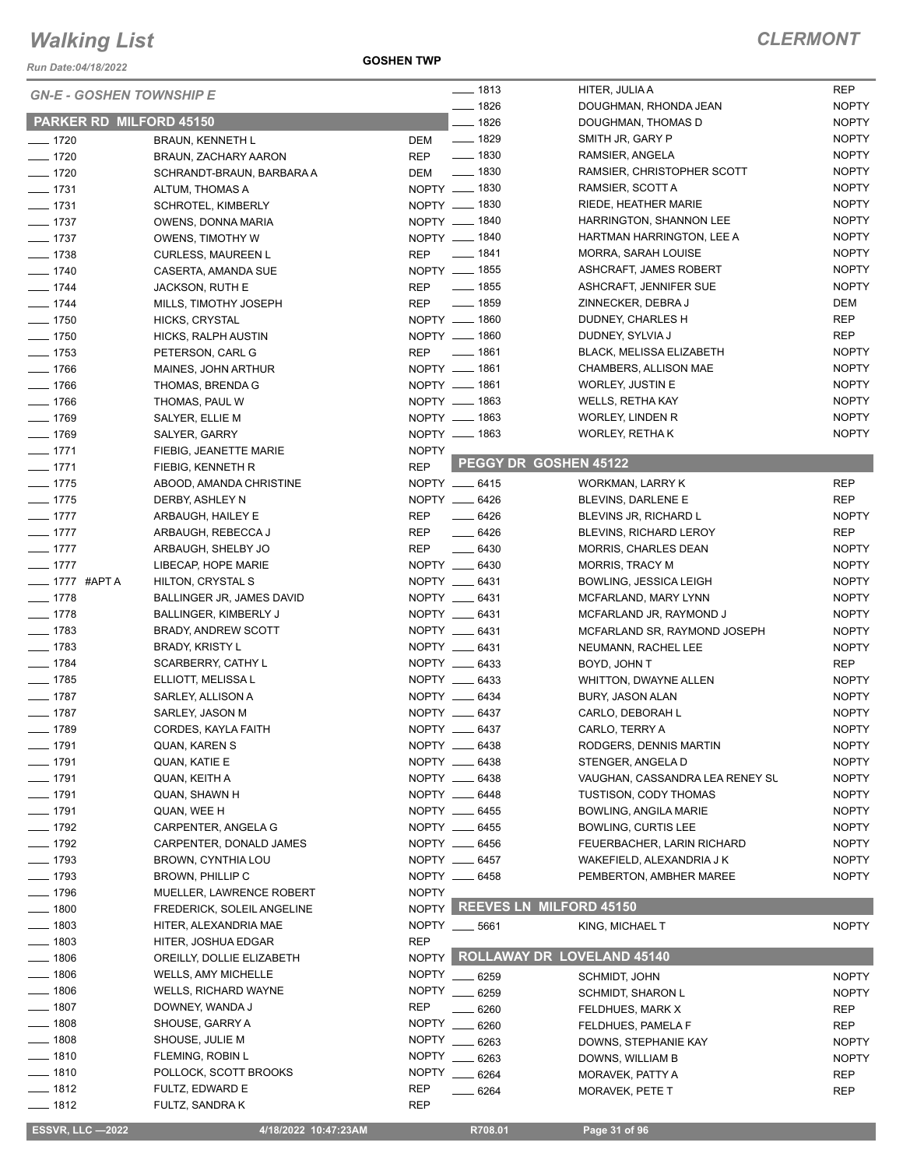*Run Date:04/18/2022*

**GOSHEN TWP**

| <b>GN-E - GOSHEN TOWNSHIP E</b> |                             |              | $- 1813$                         | HITER, JULIA A                              | <b>REP</b>                   |
|---------------------------------|-----------------------------|--------------|----------------------------------|---------------------------------------------|------------------------------|
| <b>PARKER RD MILFORD 45150</b>  |                             |              | $- 1826$<br>$- 1826$             | DOUGHMAN, RHONDA JEAN<br>DOUGHMAN, THOMAS D | <b>NOPTY</b><br><b>NOPTY</b> |
| $- 1720$                        | <b>BRAUN, KENNETH L</b>     | DEM          | $- 1829$                         | SMITH JR, GARY P                            | <b>NOPTY</b>                 |
| $- 1720$                        | BRAUN, ZACHARY AARON        | REP          | $- 1830$                         | RAMSIER, ANGELA                             | <b>NOPTY</b>                 |
| $- 1720$                        | SCHRANDT-BRAUN, BARBARA A   | DEM          | $\frac{1}{2}$ 1830               | RAMSIER, CHRISTOPHER SCOTT                  | <b>NOPTY</b>                 |
| $- 1731$                        | ALTUM, THOMAS A             |              | NOPTY - 1830                     | RAMSIER, SCOTT A                            | <b>NOPTY</b>                 |
| $- 1731$                        |                             |              | NOPTY __ 1830                    | RIEDE, HEATHER MARIE                        | <b>NOPTY</b>                 |
|                                 | <b>SCHROTEL, KIMBERLY</b>   |              |                                  |                                             |                              |
| $- 1737$                        | OWENS, DONNA MARIA          |              | NOPTY - 1840                     | HARRINGTON, SHANNON LEE                     | <b>NOPTY</b>                 |
| $- 1737$                        | OWENS, TIMOTHY W            |              | NOPTY __ 1840                    | HARTMAN HARRINGTON, LEE A                   | <b>NOPTY</b>                 |
| $\frac{1}{2}$ 1738              | <b>CURLESS, MAUREEN L</b>   | REP          | _____ 1841                       | MORRA, SARAH LOUISE                         | <b>NOPTY</b>                 |
| $- 1740$                        | CASERTA, AMANDA SUE         |              | NOPTY __ 1855                    | ASHCRAFT, JAMES ROBERT                      | <b>NOPTY</b>                 |
| $- 1744$                        | JACKSON, RUTH E             | REP          | $\frac{1}{2}$ 1855               | ASHCRAFT, JENNIFER SUE                      | <b>NOPTY</b>                 |
| $- 1744$                        | MILLS, TIMOTHY JOSEPH       | <b>REP</b>   | $- 1859$                         | ZINNECKER, DEBRA J                          | <b>DEM</b>                   |
| $- 1750$                        | HICKS, CRYSTAL              |              | NOPTY __ 1860                    | DUDNEY, CHARLES H                           | <b>REP</b>                   |
| $\frac{1}{2}$ 1750              | HICKS, RALPH AUSTIN         |              | NOPTY - 1860                     | DUDNEY, SYLVIA J                            | REP                          |
| $- 1753$                        | PETERSON, CARL G            | REP          | $- 1861$                         | <b>BLACK, MELISSA ELIZABETH</b>             | <b>NOPTY</b>                 |
| $- 1766$                        | MAINES, JOHN ARTHUR         |              | NOPTY __ 1861                    | CHAMBERS, ALLISON MAE                       | <b>NOPTY</b>                 |
| $- 1766$                        | THOMAS, BRENDA G            |              | NOPTY __ 1861                    | <b>WORLEY, JUSTIN E</b>                     | <b>NOPTY</b>                 |
| $- 1766$                        | THOMAS, PAUL W              |              | NOPTY __ 1863                    | WELLS, RETHA KAY                            | <b>NOPTY</b>                 |
| $- 1769$                        | SALYER, ELLIE M             |              | NOPTY - 1863                     | <b>WORLEY, LINDEN R</b>                     | <b>NOPTY</b>                 |
| $- 1769$                        | SALYER, GARRY               |              | NOPTY __ 1863                    | WORLEY, RETHA K                             | <b>NOPTY</b>                 |
| $-1771$                         | FIEBIG, JEANETTE MARIE      | <b>NOPTY</b> |                                  |                                             |                              |
| $- 1771$                        | FIEBIG, KENNETH R           | <b>REP</b>   | PEGGY DR GOSHEN 45122            |                                             |                              |
| $- 1775$                        | ABOOD, AMANDA CHRISTINE     |              | NOPTY __ 6415                    | WORKMAN, LARRY K                            | <b>REP</b>                   |
| $- 1775$                        | DERBY, ASHLEY N             |              | NOPTY __ 6426                    | BLEVINS, DARLENE E                          | <b>REP</b>                   |
| $- 1777$                        | ARBAUGH, HAILEY E           | REP          | $\frac{1}{2}$ 6426               | BLEVINS JR, RICHARD L                       | <b>NOPTY</b>                 |
| $-1777$                         | ARBAUGH, REBECCA J          | REP          | $-6426$                          | BLEVINS, RICHARD LEROY                      | <b>REP</b>                   |
| $- 1777$                        |                             |              |                                  |                                             |                              |
|                                 | ARBAUGH, SHELBY JO          | REP          | $- 6430$                         | <b>MORRIS, CHARLES DEAN</b>                 | <b>NOPTY</b>                 |
| $-1777$                         | LIBECAP, HOPE MARIE         |              | NOPTY __ 6430                    | <b>MORRIS, TRACY M</b>                      | <b>NOPTY</b>                 |
| <b>_____ 1777 #APT A</b>        | HILTON, CRYSTAL S           |              | NOPTY __ 6431                    | BOWLING, JESSICA LEIGH                      | <b>NOPTY</b>                 |
| $- 1778$                        | BALLINGER JR, JAMES DAVID   |              | NOPTY __ 6431                    | MCFARLAND, MARY LYNN                        | <b>NOPTY</b>                 |
| $- 1778$                        | BALLINGER, KIMBERLY J       |              | NOPTY __ 6431                    | MCFARLAND JR, RAYMOND J                     | <b>NOPTY</b>                 |
| $- 1783$                        | <b>BRADY, ANDREW SCOTT</b>  |              | NOPTY __ 6431                    | MCFARLAND SR, RAYMOND JOSEPH                | <b>NOPTY</b>                 |
| $- 1783$                        | <b>BRADY, KRISTY L</b>      |              | NOPTY __ 6431                    | NEUMANN, RACHEL LEE                         | <b>NOPTY</b>                 |
| $- 1784$                        | <b>SCARBERRY, CATHY L</b>   |              | NOPTY __ 6433                    | BOYD, JOHN T                                | <b>REP</b>                   |
| $- 1785$                        | ELLIOTT, MELISSA L          |              | NOPTY __ 6433                    | <b>WHITTON, DWAYNE ALLEN</b>                | <b>NOPTY</b>                 |
| $- 1787$                        | SARLEY, ALLISON A           |              | NOPTY __ 6434                    | BURY, JASON ALAN                            | <b>NOPTY</b>                 |
| $- 1787$                        | SARLEY, JASON M             |              | NOPTY __ 6437                    | CARLO, DEBORAH L                            | <b>NOPTY</b>                 |
| $- 1789$                        | CORDES, KAYLA FAITH         |              | NOPTY __ 6437                    | CARLO, TERRY A                              | <b>NOPTY</b>                 |
| $- 1791$                        | QUAN, KAREN S               |              | NOPTY __ 6438                    | RODGERS, DENNIS MARTIN                      | <b>NOPTY</b>                 |
| $- 1791$                        | QUAN, KATIE E               |              | NOPTY __ 6438                    | STENGER, ANGELA D                           | <b>NOPTY</b>                 |
| $- 1791$                        | QUAN, KEITH A               |              | NOPTY __ 6438                    | VAUGHAN, CASSANDRA LEA RENEY SU             | <b>NOPTY</b>                 |
| $- 1791$                        | QUAN, SHAWN H               |              | NOPTY __ 6448                    | TUSTISON, CODY THOMAS                       | <b>NOPTY</b>                 |
| $- 1791$                        | QUAN, WEE H                 |              | NOPTY __ 6455                    | <b>BOWLING, ANGILA MARIE</b>                | <b>NOPTY</b>                 |
| $- 1792$                        | CARPENTER, ANGELA G         |              | NOPTY __ 6455                    | <b>BOWLING, CURTIS LEE</b>                  | <b>NOPTY</b>                 |
| $- 1792$                        | CARPENTER, DONALD JAMES     |              | NOPTY __ 6456                    | FEUERBACHER, LARIN RICHARD                  | <b>NOPTY</b>                 |
| $- 1793$                        | BROWN, CYNTHIA LOU          |              | NOPTY __ 6457                    | WAKEFIELD, ALEXANDRIA J K                   | <b>NOPTY</b>                 |
| $- 1793$                        | BROWN, PHILLIP C            |              | NOPTY __ 6458                    | PEMBERTON, AMBHER MAREE                     | <b>NOPTY</b>                 |
| $- 1796$                        | MUELLER, LAWRENCE ROBERT    | <b>NOPTY</b> |                                  |                                             |                              |
| $-1800$                         | FREDERICK, SOLEIL ANGELINE  |              | NOPTY REEVES LN MILFORD 45150    |                                             |                              |
|                                 | HITER, ALEXANDRIA MAE       |              |                                  |                                             |                              |
| 1803                            |                             | <b>REP</b>   | NOPTY __ 5661                    | KING, MICHAEL T                             | <b>NOPTY</b>                 |
| $-1803$                         | HITER, JOSHUA EDGAR         |              | NOPTY ROLLAWAY DR LOVELAND 45140 |                                             |                              |
| $-1806$                         | OREILLY, DOLLIE ELIZABETH   |              |                                  |                                             |                              |
| $- 1806$                        | <b>WELLS, AMY MICHELLE</b>  | <b>NOPTY</b> | 6259                             | SCHMIDT, JOHN                               | <b>NOPTY</b>                 |
| $- 1806$                        | <b>WELLS, RICHARD WAYNE</b> | <b>NOPTY</b> | 6259                             | <b>SCHMIDT, SHARON L</b>                    | <b>NOPTY</b>                 |
| $-1807$                         | DOWNEY, WANDA J             | REP          | 6260                             | FELDHUES, MARK X                            | REP                          |
| $-1808$                         | SHOUSE, GARRY A             | <b>NOPTY</b> | 6260                             | FELDHUES, PAMELA F                          | REP                          |
| $- 1808$                        | SHOUSE, JULIE M             | <b>NOPTY</b> | 6263                             | DOWNS, STEPHANIE KAY                        | <b>NOPTY</b>                 |
| $- 1810$                        | FLEMING, ROBIN L            | <b>NOPTY</b> | 6263                             | DOWNS, WILLIAM B                            | <b>NOPTY</b>                 |
| $- 1810$                        | POLLOCK, SCOTT BROOKS       | <b>NOPTY</b> | 6264                             | MORAVEK, PATTY A                            | REP                          |
| $- 1812$                        | FULTZ, EDWARD E             | REP          | 6264                             | MORAVEK, PETE T                             | REP                          |
| $- 1812$                        | FULTZ, SANDRA K             | REP          |                                  |                                             |                              |
| <b>ESSVR, LLC -2022</b>         | 4/18/2022 10:47:23AM        |              | R708.01                          | Page 31 of 96                               |                              |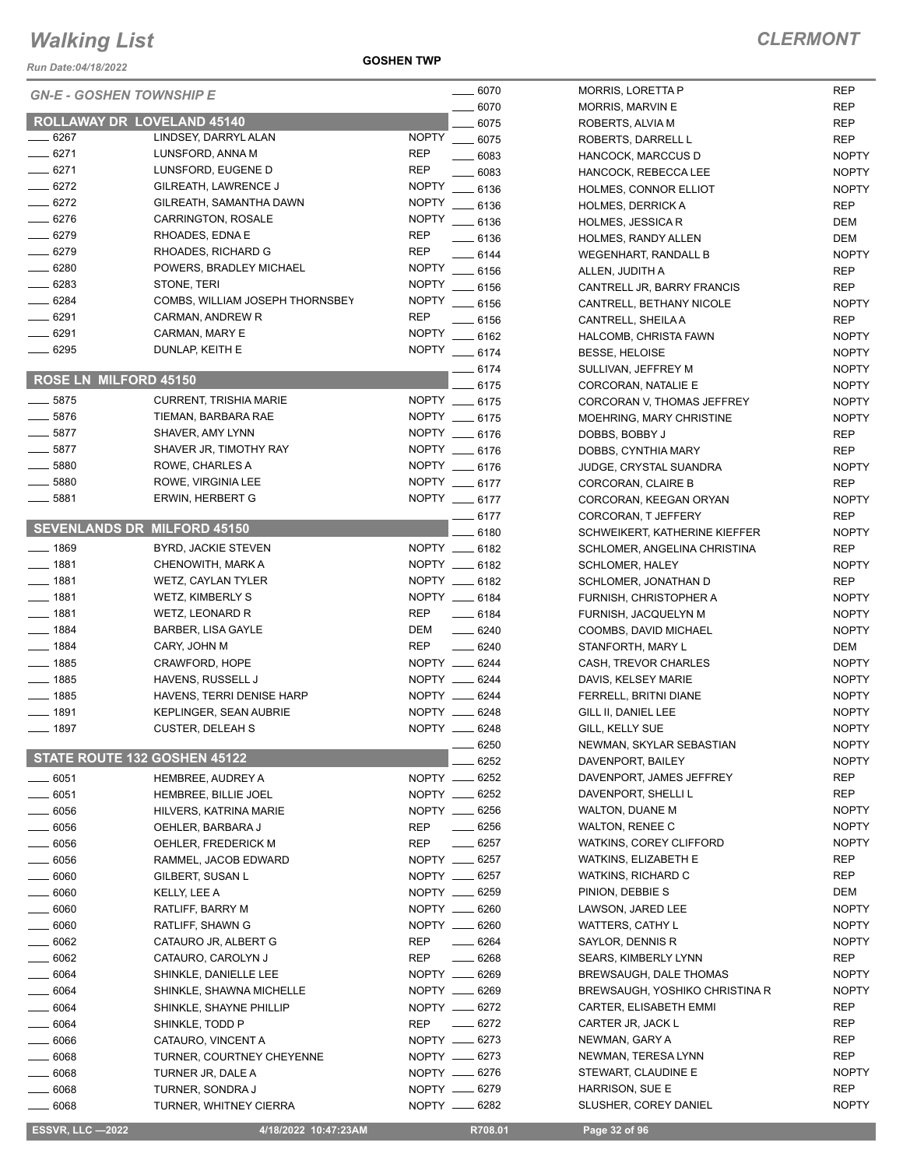*Run Date:04/18/2022*

**GOSHEN TWP**

|                    | <b>GN-E - GOSHEN TOWNSHIP E</b>    | $- 6070$                           | <b>MORRIS, LORETTA P</b>              | <b>REP</b>   |
|--------------------|------------------------------------|------------------------------------|---------------------------------------|--------------|
|                    |                                    | $-6070$                            | <b>MORRIS, MARVIN E</b>               | <b>REP</b>   |
|                    | <b>ROLLAWAY DR LOVELAND 45140</b>  | 6075                               | ROBERTS, ALVIA M                      | <b>REP</b>   |
| ___ 6267           | LINDSEY, DARRYL ALAN               | <b>NOPTY</b><br>$- 6075$           | ROBERTS, DARRELL L                    | <b>REP</b>   |
| $-6271$            | LUNSFORD, ANNA M                   | <b>REP</b><br>$- 6083$             | HANCOCK, MARCCUS D                    | <b>NOPTY</b> |
| $- 6271$           | LUNSFORD, EUGENE D                 | <b>REP</b><br>6083                 | HANCOCK, REBECCA LEE                  | <b>NOPTY</b> |
| $-6272$            | GILREATH, LAWRENCE J               | <b>NOPTY</b><br>$-6136$            | <b>HOLMES, CONNOR ELLIOT</b>          | <b>NOPTY</b> |
| $-6272$            | GILREATH, SAMANTHA DAWN            | <b>NOPTY</b><br>$- 6136$           | <b>HOLMES, DERRICK A</b>              | <b>REP</b>   |
| $-6276$            | CARRINGTON, ROSALE                 | <b>NOPTY</b><br>$- 6136$           | <b>HOLMES, JESSICA R</b>              | DEM          |
| $- 6279$           | RHOADES, EDNA E                    | <b>REP</b><br>$-6136$              | HOLMES, RANDY ALLEN                   | <b>DEM</b>   |
| $- 6279$           | RHOADES, RICHARD G                 | <b>REP</b><br>$-6144$              | <b>WEGENHART, RANDALL B</b>           | <b>NOPTY</b> |
| $-6280$            | POWERS, BRADLEY MICHAEL            | <b>NOPTY</b><br>$-6156$            | ALLEN, JUDITH A                       | <b>REP</b>   |
| $- 6283$           | STONE, TERI                        | <b>NOPTY</b><br>$- 6156$           | CANTRELL JR, BARRY FRANCIS            | <b>REP</b>   |
| $- 6284$           | COMBS, WILLIAM JOSEPH THORNSBEY    | <b>NOPTY</b><br>$\frac{1}{2}$ 6156 | CANTRELL, BETHANY NICOLE              | <b>NOPTY</b> |
| $- 6291$           | CARMAN, ANDREW R                   | <b>REP</b><br>$-6156$              | CANTRELL, SHEILA A                    | <b>REP</b>   |
| $- 6291$           | CARMAN, MARY E                     | NOPTY __ 6162                      | HALCOMB, CHRISTA FAWN                 | <b>NOPTY</b> |
| $- 6295$           | DUNLAP, KEITH E                    | NOPTY __ 6174                      | <b>BESSE, HELOISE</b>                 | <b>NOPTY</b> |
|                    |                                    | $-6174$                            | SULLIVAN, JEFFREY M                   | <b>NOPTY</b> |
|                    | ROSE LN MILFORD 45150              | 6175                               | CORCORAN, NATALIE E                   | <b>NOPTY</b> |
| $-5875$            | <b>CURRENT, TRISHIA MARIE</b>      | NOPTY __ 6175                      |                                       |              |
| $-5876$            | TIEMAN, BARBARA RAE                | NOPTY __ 6175                      | CORCORAN V, THOMAS JEFFREY            | <b>NOPTY</b> |
| $-5877$            |                                    |                                    | <b>MOEHRING, MARY CHRISTINE</b>       | <b>NOPTY</b> |
|                    | SHAVER, AMY LYNN                   | NOPTY __ 6176                      | DOBBS, BOBBY J                        | REP          |
| $-5877$            | SHAVER JR, TIMOTHY RAY             | NOPTY __ 6176                      | DOBBS, CYNTHIA MARY                   | <b>REP</b>   |
| $\frac{1}{2}$ 5880 | ROWE, CHARLES A                    | NOPTY __ 6176                      | JUDGE, CRYSTAL SUANDRA                | <b>NOPTY</b> |
| $-5880$            | ROWE, VIRGINIA LEE                 | NOPTY __ 6177                      | CORCORAN, CLAIRE B                    | <b>REP</b>   |
| 5881               | ERWIN, HERBERT G                   | NOPTY __ 6177                      | CORCORAN, KEEGAN ORYAN                | <b>NOPTY</b> |
|                    |                                    | _ 6177                             | CORCORAN, T JEFFERY                   | <b>REP</b>   |
|                    | <b>SEVENLANDS DR MILFORD 45150</b> | 6180                               | SCHWEIKERT, KATHERINE KIEFFER         | <b>NOPTY</b> |
| $- 1869$           | BYRD, JACKIE STEVEN                | NOPTY __ 6182                      | SCHLOMER, ANGELINA CHRISTINA          | <b>REP</b>   |
| $- 1881$           | CHENOWITH, MARK A                  | NOPTY __ 6182                      | <b>SCHLOMER, HALEY</b>                | <b>NOPTY</b> |
| $\frac{1}{2}$ 1881 | WETZ, CAYLAN TYLER                 | NOPTY __ 6182                      | SCHLOMER, JONATHAN D                  | <b>REP</b>   |
| $- 1881$           | WETZ, KIMBERLY S                   | NOPTY __ 6184                      | FURNISH, CHRISTOPHER A                | <b>NOPTY</b> |
| $- 1881$           | WETZ, LEONARD R                    | <b>REP</b><br>$- 6184$             | FURNISH, JACQUELYN M                  | <b>NOPTY</b> |
| $- 1884$           | <b>BARBER, LISA GAYLE</b>          | DEM<br>$- 6240$                    | COOMBS, DAVID MICHAEL                 | <b>NOPTY</b> |
| $- 1884$           | CARY, JOHN M                       | <b>REP</b><br>$-6240$              | STANFORTH, MARY L                     | DEM          |
| $- 1885$           | CRAWFORD, HOPE                     | NOPTY __ 6244                      | CASH, TREVOR CHARLES                  | <b>NOPTY</b> |
| $- 1885$           | HAVENS, RUSSELL J                  | NOPTY __ 6244                      | DAVIS, KELSEY MARIE                   | <b>NOPTY</b> |
| $- 1885$           | HAVENS, TERRI DENISE HARP          | NOPTY __ 6244                      | FERRELL, BRITNI DIANE                 | <b>NOPTY</b> |
| $- 1891$           | KEPLINGER, SEAN AUBRIE             | NOPTY __ 6248                      | GILL II, DANIEL LEE                   | <b>NOPTY</b> |
| $- 1897$           | <b>CUSTER, DELEAH S</b>            | NOPTY __ 6248                      | GILL, KELLY SUE                       | <b>NOPTY</b> |
|                    |                                    | 6250                               | NEWMAN, SKYLAR SEBASTIAN              | <b>NOPTY</b> |
|                    | STATE ROUTE 132 GOSHEN 45122       | 6252                               | DAVENPORT, BAILEY                     | <b>NOPTY</b> |
| 6051               | <b>HEMBREE, AUDREY A</b>           | NOPTY __ 6252                      | DAVENPORT, JAMES JEFFREY              | REP          |
| 6051               | HEMBREE, BILLIE JOEL               | NOPTY __ 6252                      | DAVENPORT, SHELLI L                   | REP          |
| 6056               | HILVERS, KATRINA MARIE             | NOPTY __ 6256                      | <b>WALTON, DUANE M</b>                | <b>NOPTY</b> |
|                    | OEHLER, BARBARA J                  | <b>REP</b><br>__ 6256              | <b>WALTON, RENEE C</b>                | <b>NOPTY</b> |
| 6056               | OEHLER, FREDERICK M                | <b>REP</b><br>$-6257$              | WATKINS, COREY CLIFFORD               | <b>NOPTY</b> |
| 6056               |                                    |                                    |                                       |              |
| _ 6056             | RAMMEL, JACOB EDWARD               | NOPTY __ 6257                      | WATKINS, ELIZABETH E                  | <b>REP</b>   |
| $-6060$            | GILBERT, SUSAN L                   | NOPTY __ 6257                      | WATKINS, RICHARD C                    | REP          |
| _ 6060             | KELLY, LEE A                       | NOPTY __ 6259                      | PINION, DEBBIE S                      | DEM          |
| - 6060             | RATLIFF, BARRY M                   | NOPTY __ 6260                      | LAWSON, JARED LEE                     | <b>NOPTY</b> |
| $-6060$            | RATLIFF, SHAWN G                   | NOPTY __ 6260                      | WATTERS, CATHY L                      | <b>NOPTY</b> |
| 6062               | CATAURO JR, ALBERT G               | $- 6264$<br><b>REP</b>             | SAYLOR, DENNIS R                      | <b>NOPTY</b> |
| - 6062             | CATAURO, CAROLYN J                 | 6268<br><b>REP</b>                 | <b>SEARS, KIMBERLY LYNN</b>           | <b>REP</b>   |
| 6064               | SHINKLE, DANIELLE LEE              | NOPTY __ 6269                      | BREWSAUGH, DALE THOMAS                | <b>NOPTY</b> |
| $-6064$            | SHINKLE, SHAWNA MICHELLE           | NOPTY __ 6269                      | <b>BREWSAUGH, YOSHIKO CHRISTINA R</b> | <b>NOPTY</b> |
| 6064               | SHINKLE, SHAYNE PHILLIP            | NOPTY __ 6272                      | CARTER, ELISABETH EMMI                | <b>REP</b>   |
| 6064               | SHINKLE, TODD P                    | $- 6272$<br>REP                    | CARTER JR, JACK L                     | <b>REP</b>   |
| $-6066$            | CATAURO, VINCENT A                 | NOPTY __ 6273                      | NEWMAN, GARY A                        | REP          |
| 6068               | TURNER, COURTNEY CHEYENNE          | NOPTY __ 6273                      | NEWMAN, TERESA LYNN                   | REP          |
| 6068               | TURNER JR, DALE A                  | NOPTY __ 6276                      | STEWART, CLAUDINE E                   | <b>NOPTY</b> |
| 6068               | TURNER, SONDRA J                   | NOPTY __ 6279                      | HARRISON, SUE E                       | <b>REP</b>   |
| 6068               | TURNER, WHITNEY CIERRA             | NOPTY __ 6282                      | SLUSHER, COREY DANIEL                 | <b>NOPTY</b> |

**ESSVR, LLC -2022 4/18/2022 10:47:23AM R708.01 Page 32 of 96**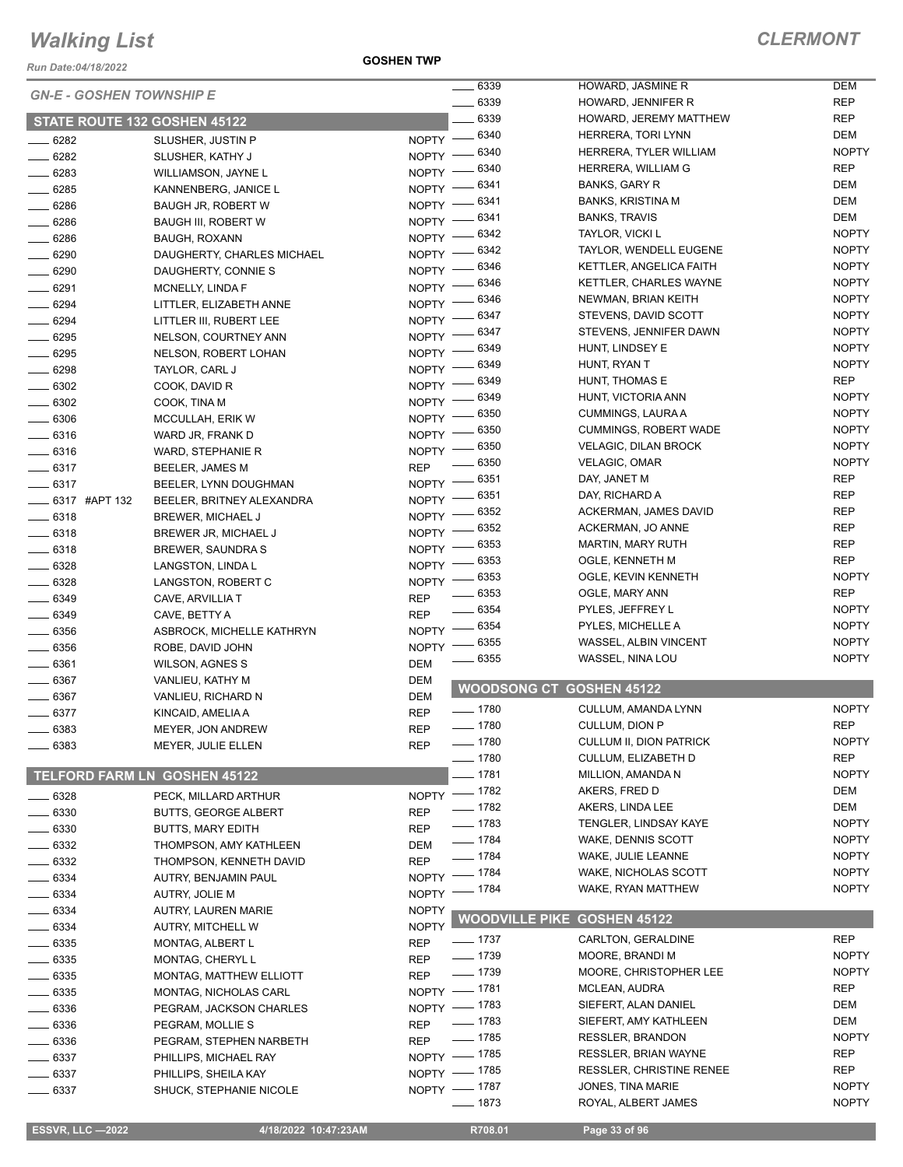*Run Date:04/18/2022*

**GOSHEN TWP**

| <b>GN-E - GOSHEN TOWNSHIP E</b><br>6339<br><b>REP</b><br>HOWARD, JENNIFER R<br><b>REP</b><br>6339<br>HOWARD, JEREMY MATTHEW<br>STATE ROUTE 132 GOSHEN 45122<br>6340<br><b>DEM</b><br>HERRERA, TORI LYNN<br>NOPTY -<br>6282<br>SLUSHER, JUSTIN P<br>6340<br><b>NOPTY</b><br>HERRERA, TYLER WILLIAM<br>6282<br>NOPTY -<br>SLUSHER, KATHY J<br><b>REP</b><br>6340<br>HERRERA, WILLIAM G<br><b>NOPTY</b><br>6283<br>WILLIAMSON, JAYNE L<br><b>DEM</b><br>6341<br><b>BANKS, GARY R</b><br>NOPTY -<br>6285<br>KANNENBERG, JANICE L<br>DEM<br>6341<br><b>BANKS, KRISTINA M</b><br>6286<br>NOPTY -<br><b>BAUGH JR, ROBERT W</b><br><b>DEM</b><br>6341<br><b>BANKS, TRAVIS</b><br><b>NOPTY</b><br>$- 6286$<br><b>BAUGH III, ROBERT W</b><br><b>NOPTY</b><br>6342<br>TAYLOR, VICKI L<br>6286<br>NOPTY -<br><b>BAUGH, ROXANN</b><br>6342<br><b>NOPTY</b><br>TAYLOR, WENDELL EUGENE<br>NOPTY -<br>6290<br>DAUGHERTY, CHARLES MICHAEL<br><b>NOPTY</b><br>- 6346<br>KETTLER, ANGELICA FAITH<br>NOPTY -<br>6290<br>DAUGHERTY, CONNIE S<br><b>NOPTY</b><br>6346<br><b>KETTLER, CHARLES WAYNE</b><br>$N$ OPTY $-$<br>6291<br>MCNELLY, LINDA F<br><b>NOPTY</b><br>6346<br>NEWMAN, BRIAN KEITH<br>$N$ OPTY $-$<br>6294<br>LITTLER, ELIZABETH ANNE<br><b>NOPTY</b><br>6347<br>STEVENS, DAVID SCOTT<br>$N$ OPTY $-$<br>$- 6294$<br>LITTLER III, RUBERT LEE<br><b>NOPTY</b><br>6347<br>STEVENS, JENNIFER DAWN<br>NOPTY -<br>6295<br>NELSON, COURTNEY ANN<br><b>NOPTY</b><br>6349<br>HUNT, LINDSEY E<br>NOPTY -<br>6295<br>NELSON, ROBERT LOHAN<br>6349<br><b>NOPTY</b><br>HUNT, RYAN T<br>6298<br>NOPTY ·<br>TAYLOR, CARL J<br><b>REP</b><br>6349<br>HUNT, THOMAS E<br><b>NOPTY</b><br>$- 6302$<br>COOK, DAVID R<br>6349<br><b>NOPTY</b><br>HUNT, VICTORIA ANN<br>6302<br>NOPTY =<br>COOK, TINA M<br>6350<br><b>NOPTY</b><br>CUMMINGS, LAURA A<br>6306<br>NOPTY -<br>MCCULLAH, ERIK W<br><b>NOPTY</b><br>6350<br><b>CUMMINGS, ROBERT WADE</b><br>6316<br><b>NOPTY</b><br>WARD JR, FRANK D<br><b>NOPTY</b><br>6350<br><b>VELAGIC, DILAN BROCK</b><br><b>NOPTY</b><br>6316<br>WARD, STEPHANIE R<br>6350<br><b>NOPTY</b><br><b>VELAGIC, OMAR</b><br><b>REP</b><br>$- 6317$<br>BEELER, JAMES M<br>6351<br><b>REP</b><br>DAY, JANET M<br>$- 6317$<br>NOPTY -<br>BEELER, LYNN DOUGHMAN<br><b>REP</b><br>6351<br>DAY, RICHARD A<br>$NOPTY =$<br>_6317 #APT 132<br>BEELER, BRITNEY ALEXANDRA<br><b>REP</b><br>6352<br>ACKERMAN, JAMES DAVID<br>NOPTY -<br>$- 6318$<br>BREWER, MICHAEL J<br>6352<br><b>REP</b><br>ACKERMAN, JO ANNE<br>NOPTY -<br>$-6318$<br>BREWER JR, MICHAEL J<br><b>REP</b><br>6353<br><b>MARTIN, MARY RUTH</b><br><b>NOPTY</b><br>$- 6318$<br>BREWER, SAUNDRA S<br><b>REP</b><br>6353<br>OGLE, KENNETH M<br>6328<br><b>NOPTY</b><br>LANGSTON, LINDA L<br><b>NOPTY</b><br>6353<br>OGLE, KEVIN KENNETH<br>$- 6328$<br><b>NOPTY</b><br>LANGSTON, ROBERT C<br>6353<br><b>REP</b><br>OGLE, MARY ANN<br>6349<br><b>REP</b><br>CAVE, ARVILLIA T<br>6354<br><b>NOPTY</b><br>PYLES, JEFFREY L<br><b>REP</b><br>6349<br>CAVE, BETTY A<br>6354<br><b>NOPTY</b><br>PYLES, MICHELLE A<br><b>NOPTY</b><br>6356<br>ASBROCK, MICHELLE KATHRYN<br>6355<br><b>NOPTY</b><br>WASSEL, ALBIN VINCENT<br>6356<br><b>NOPTY</b><br>ROBE, DAVID JOHN<br>6355<br><b>NOPTY</b><br>WASSEL, NINA LOU<br>6361<br>DEM<br><b>WILSON, AGNES S</b><br>6367<br>DEM<br>VANLIEU, KATHY M<br><b>WOODSONG CT GOSHEN 45122</b><br>6367<br>DEM<br>VANLIEU, RICHARD N<br>$- 1780$<br><b>NOPTY</b><br>CULLUM, AMANDA LYNN<br><b>REP</b><br>6377<br>KINCAID, AMELIA A<br>$\frac{1}{2}$ 1780<br><b>REP</b><br>CULLUM, DION P<br><b>REP</b><br>6383<br><b>MEYER, JON ANDREW</b><br>$- 1780$<br>CULLUM II, DION PATRICK<br><b>NOPTY</b><br>6383<br>MEYER, JULIE ELLEN<br><b>REP</b><br>$- 1780$<br><b>REP</b><br><b>CULLUM, ELIZABETH D</b><br>_ 1781<br>TELFORD FARM LN GOSHEN 45122<br>MILLION, AMANDA N<br><b>NOPTY</b><br>$- 1782$<br>DEM<br>AKERS, FRED D<br><b>NOPTY</b><br>6328<br>PECK, MILLARD ARTHUR<br>$-1782$<br>DEM<br>AKERS, LINDA LEE<br>6330<br><b>REP</b><br><b>BUTTS, GEORGE ALBERT</b><br>$- 1783$<br><b>NOPTY</b><br>TENGLER, LINDSAY KAYE<br>6330<br><b>REP</b><br><b>BUTTS, MARY EDITH</b><br>$- 1784$<br><b>NOPTY</b><br>WAKE, DENNIS SCOTT<br>6332<br>THOMPSON, AMY KATHLEEN<br>DEM<br>$- 1784$<br>WAKE, JULIE LEANNE<br><b>NOPTY</b><br><b>REP</b><br>6332<br>THOMPSON, KENNETH DAVID<br><b>NOPTY</b><br>NOPTY - 1784<br><b>WAKE, NICHOLAS SCOTT</b><br>$-6334$<br>AUTRY, BENJAMIN PAUL<br><b>NOPTY</b><br>_ 1784<br>WAKE, RYAN MATTHEW<br>$NOPTY$ -<br>$\frac{1}{2}$ 6334<br>AUTRY, JOLIE M<br>6334<br><b>NOPTY</b><br>AUTRY, LAUREN MARIE<br><b>WOODVILLE PIKE GOSHEN 45122</b><br><b>NOPTY</b><br>6334<br><b>AUTRY, MITCHELL W</b><br><b>REP</b><br>CARLTON, GERALDINE<br>—— 1737<br>6335<br><b>REP</b><br>MONTAG, ALBERT L<br>$- 1739$<br><b>NOPTY</b><br>MOORE, BRANDI M<br><b>REP</b><br>6335<br>MONTAG, CHERYL L<br>$- 1739$<br><b>NOPTY</b><br>MOORE, CHRISTOPHER LEE<br>6335<br><b>REP</b><br><b>MONTAG, MATTHEW ELLIOTT</b><br><b>REP</b><br>NOPTY - 1781<br>MCLEAN, AUDRA<br>6335<br>MONTAG, NICHOLAS CARL<br>NOPTY - 1783<br>SIEFERT, ALAN DANIEL<br>DEM<br>6336<br>PEGRAM, JACKSON CHARLES<br>$- 1783$<br><b>DEM</b><br>SIEFERT, AMY KATHLEEN<br><b>REP</b><br>6336<br>PEGRAM, MOLLIE S<br>$-1785$<br><b>NOPTY</b><br><b>RESSLER, BRANDON</b><br><b>REP</b><br>6336<br>PEGRAM, STEPHEN NARBETH<br>NOPTY - 1785<br><b>RESSLER, BRIAN WAYNE</b><br>REP<br>6337<br>PHILLIPS, MICHAEL RAY<br><b>REP</b><br>NOPTY - 1785<br><b>RESSLER, CHRISTINE RENEE</b><br>6337<br>PHILLIPS, SHEILA KAY<br>NOPTY - 1787<br><b>NOPTY</b><br>JONES, TINA MARIE<br>6337<br>SHUCK, STEPHANIE NICOLE<br>$- 1873$<br><b>NOPTY</b><br>ROYAL, ALBERT JAMES<br><b>ESSVR, LLC -2022</b><br>4/18/2022 10:47:23AM<br>R708.01<br>Page 33 of 96 |  | 6339<br>$\overline{\phantom{a}}$ | HOWARD, JASMINE R | <b>DEM</b> |
|----------------------------------------------------------------------------------------------------------------------------------------------------------------------------------------------------------------------------------------------------------------------------------------------------------------------------------------------------------------------------------------------------------------------------------------------------------------------------------------------------------------------------------------------------------------------------------------------------------------------------------------------------------------------------------------------------------------------------------------------------------------------------------------------------------------------------------------------------------------------------------------------------------------------------------------------------------------------------------------------------------------------------------------------------------------------------------------------------------------------------------------------------------------------------------------------------------------------------------------------------------------------------------------------------------------------------------------------------------------------------------------------------------------------------------------------------------------------------------------------------------------------------------------------------------------------------------------------------------------------------------------------------------------------------------------------------------------------------------------------------------------------------------------------------------------------------------------------------------------------------------------------------------------------------------------------------------------------------------------------------------------------------------------------------------------------------------------------------------------------------------------------------------------------------------------------------------------------------------------------------------------------------------------------------------------------------------------------------------------------------------------------------------------------------------------------------------------------------------------------------------------------------------------------------------------------------------------------------------------------------------------------------------------------------------------------------------------------------------------------------------------------------------------------------------------------------------------------------------------------------------------------------------------------------------------------------------------------------------------------------------------------------------------------------------------------------------------------------------------------------------------------------------------------------------------------------------------------------------------------------------------------------------------------------------------------------------------------------------------------------------------------------------------------------------------------------------------------------------------------------------------------------------------------------------------------------------------------------------------------------------------------------------------------------------------------------------------------------------------------------------------------------------------------------------------------------------------------------------------------------------------------------------------------------------------------------------------------------------------------------------------------------------------------------------------------------------------------------------------------------------------------------------------------------------------------------------------------------------------------------------------------------------------------------------------------------------------------------------------------------------------------------------------------------------------------------------------------------------------------------------------------------------------------------------------------------------------------------------------------------------------------------------------------------------------------------------------------------------------------------------------------------------------------------------------------------------------------------------------------------------------------------------------------------------------------------------------------------------------------------------------------------------------------------------------------------------------------------------------------------------------------------------------------------------------------------------------------------------------------------------------------------------------------------------------------------------------------------------------------------------------------------------------------------------------------------------------------------------------------------------------------------------------------------------------------------------------------------------------------------------------------------------------------------------------------------------------------------------------------------------------------------------------------|--|----------------------------------|-------------------|------------|
|                                                                                                                                                                                                                                                                                                                                                                                                                                                                                                                                                                                                                                                                                                                                                                                                                                                                                                                                                                                                                                                                                                                                                                                                                                                                                                                                                                                                                                                                                                                                                                                                                                                                                                                                                                                                                                                                                                                                                                                                                                                                                                                                                                                                                                                                                                                                                                                                                                                                                                                                                                                                                                                                                                                                                                                                                                                                                                                                                                                                                                                                                                                                                                                                                                                                                                                                                                                                                                                                                                                                                                                                                                                                                                                                                                                                                                                                                                                                                                                                                                                                                                                                                                                                                                                                                                                                                                                                                                                                                                                                                                                                                                                                                                                                                                                                                                                                                                                                                                                                                                                                                                                                                                                                                                                                                                                                                                                                                                                                                                                                                                                                                                                                                                                                                                                              |  |                                  |                   |            |
|                                                                                                                                                                                                                                                                                                                                                                                                                                                                                                                                                                                                                                                                                                                                                                                                                                                                                                                                                                                                                                                                                                                                                                                                                                                                                                                                                                                                                                                                                                                                                                                                                                                                                                                                                                                                                                                                                                                                                                                                                                                                                                                                                                                                                                                                                                                                                                                                                                                                                                                                                                                                                                                                                                                                                                                                                                                                                                                                                                                                                                                                                                                                                                                                                                                                                                                                                                                                                                                                                                                                                                                                                                                                                                                                                                                                                                                                                                                                                                                                                                                                                                                                                                                                                                                                                                                                                                                                                                                                                                                                                                                                                                                                                                                                                                                                                                                                                                                                                                                                                                                                                                                                                                                                                                                                                                                                                                                                                                                                                                                                                                                                                                                                                                                                                                                              |  |                                  |                   |            |
|                                                                                                                                                                                                                                                                                                                                                                                                                                                                                                                                                                                                                                                                                                                                                                                                                                                                                                                                                                                                                                                                                                                                                                                                                                                                                                                                                                                                                                                                                                                                                                                                                                                                                                                                                                                                                                                                                                                                                                                                                                                                                                                                                                                                                                                                                                                                                                                                                                                                                                                                                                                                                                                                                                                                                                                                                                                                                                                                                                                                                                                                                                                                                                                                                                                                                                                                                                                                                                                                                                                                                                                                                                                                                                                                                                                                                                                                                                                                                                                                                                                                                                                                                                                                                                                                                                                                                                                                                                                                                                                                                                                                                                                                                                                                                                                                                                                                                                                                                                                                                                                                                                                                                                                                                                                                                                                                                                                                                                                                                                                                                                                                                                                                                                                                                                                              |  |                                  |                   |            |
|                                                                                                                                                                                                                                                                                                                                                                                                                                                                                                                                                                                                                                                                                                                                                                                                                                                                                                                                                                                                                                                                                                                                                                                                                                                                                                                                                                                                                                                                                                                                                                                                                                                                                                                                                                                                                                                                                                                                                                                                                                                                                                                                                                                                                                                                                                                                                                                                                                                                                                                                                                                                                                                                                                                                                                                                                                                                                                                                                                                                                                                                                                                                                                                                                                                                                                                                                                                                                                                                                                                                                                                                                                                                                                                                                                                                                                                                                                                                                                                                                                                                                                                                                                                                                                                                                                                                                                                                                                                                                                                                                                                                                                                                                                                                                                                                                                                                                                                                                                                                                                                                                                                                                                                                                                                                                                                                                                                                                                                                                                                                                                                                                                                                                                                                                                                              |  |                                  |                   |            |
|                                                                                                                                                                                                                                                                                                                                                                                                                                                                                                                                                                                                                                                                                                                                                                                                                                                                                                                                                                                                                                                                                                                                                                                                                                                                                                                                                                                                                                                                                                                                                                                                                                                                                                                                                                                                                                                                                                                                                                                                                                                                                                                                                                                                                                                                                                                                                                                                                                                                                                                                                                                                                                                                                                                                                                                                                                                                                                                                                                                                                                                                                                                                                                                                                                                                                                                                                                                                                                                                                                                                                                                                                                                                                                                                                                                                                                                                                                                                                                                                                                                                                                                                                                                                                                                                                                                                                                                                                                                                                                                                                                                                                                                                                                                                                                                                                                                                                                                                                                                                                                                                                                                                                                                                                                                                                                                                                                                                                                                                                                                                                                                                                                                                                                                                                                                              |  |                                  |                   |            |
|                                                                                                                                                                                                                                                                                                                                                                                                                                                                                                                                                                                                                                                                                                                                                                                                                                                                                                                                                                                                                                                                                                                                                                                                                                                                                                                                                                                                                                                                                                                                                                                                                                                                                                                                                                                                                                                                                                                                                                                                                                                                                                                                                                                                                                                                                                                                                                                                                                                                                                                                                                                                                                                                                                                                                                                                                                                                                                                                                                                                                                                                                                                                                                                                                                                                                                                                                                                                                                                                                                                                                                                                                                                                                                                                                                                                                                                                                                                                                                                                                                                                                                                                                                                                                                                                                                                                                                                                                                                                                                                                                                                                                                                                                                                                                                                                                                                                                                                                                                                                                                                                                                                                                                                                                                                                                                                                                                                                                                                                                                                                                                                                                                                                                                                                                                                              |  |                                  |                   |            |
|                                                                                                                                                                                                                                                                                                                                                                                                                                                                                                                                                                                                                                                                                                                                                                                                                                                                                                                                                                                                                                                                                                                                                                                                                                                                                                                                                                                                                                                                                                                                                                                                                                                                                                                                                                                                                                                                                                                                                                                                                                                                                                                                                                                                                                                                                                                                                                                                                                                                                                                                                                                                                                                                                                                                                                                                                                                                                                                                                                                                                                                                                                                                                                                                                                                                                                                                                                                                                                                                                                                                                                                                                                                                                                                                                                                                                                                                                                                                                                                                                                                                                                                                                                                                                                                                                                                                                                                                                                                                                                                                                                                                                                                                                                                                                                                                                                                                                                                                                                                                                                                                                                                                                                                                                                                                                                                                                                                                                                                                                                                                                                                                                                                                                                                                                                                              |  |                                  |                   |            |
|                                                                                                                                                                                                                                                                                                                                                                                                                                                                                                                                                                                                                                                                                                                                                                                                                                                                                                                                                                                                                                                                                                                                                                                                                                                                                                                                                                                                                                                                                                                                                                                                                                                                                                                                                                                                                                                                                                                                                                                                                                                                                                                                                                                                                                                                                                                                                                                                                                                                                                                                                                                                                                                                                                                                                                                                                                                                                                                                                                                                                                                                                                                                                                                                                                                                                                                                                                                                                                                                                                                                                                                                                                                                                                                                                                                                                                                                                                                                                                                                                                                                                                                                                                                                                                                                                                                                                                                                                                                                                                                                                                                                                                                                                                                                                                                                                                                                                                                                                                                                                                                                                                                                                                                                                                                                                                                                                                                                                                                                                                                                                                                                                                                                                                                                                                                              |  |                                  |                   |            |
|                                                                                                                                                                                                                                                                                                                                                                                                                                                                                                                                                                                                                                                                                                                                                                                                                                                                                                                                                                                                                                                                                                                                                                                                                                                                                                                                                                                                                                                                                                                                                                                                                                                                                                                                                                                                                                                                                                                                                                                                                                                                                                                                                                                                                                                                                                                                                                                                                                                                                                                                                                                                                                                                                                                                                                                                                                                                                                                                                                                                                                                                                                                                                                                                                                                                                                                                                                                                                                                                                                                                                                                                                                                                                                                                                                                                                                                                                                                                                                                                                                                                                                                                                                                                                                                                                                                                                                                                                                                                                                                                                                                                                                                                                                                                                                                                                                                                                                                                                                                                                                                                                                                                                                                                                                                                                                                                                                                                                                                                                                                                                                                                                                                                                                                                                                                              |  |                                  |                   |            |
|                                                                                                                                                                                                                                                                                                                                                                                                                                                                                                                                                                                                                                                                                                                                                                                                                                                                                                                                                                                                                                                                                                                                                                                                                                                                                                                                                                                                                                                                                                                                                                                                                                                                                                                                                                                                                                                                                                                                                                                                                                                                                                                                                                                                                                                                                                                                                                                                                                                                                                                                                                                                                                                                                                                                                                                                                                                                                                                                                                                                                                                                                                                                                                                                                                                                                                                                                                                                                                                                                                                                                                                                                                                                                                                                                                                                                                                                                                                                                                                                                                                                                                                                                                                                                                                                                                                                                                                                                                                                                                                                                                                                                                                                                                                                                                                                                                                                                                                                                                                                                                                                                                                                                                                                                                                                                                                                                                                                                                                                                                                                                                                                                                                                                                                                                                                              |  |                                  |                   |            |
|                                                                                                                                                                                                                                                                                                                                                                                                                                                                                                                                                                                                                                                                                                                                                                                                                                                                                                                                                                                                                                                                                                                                                                                                                                                                                                                                                                                                                                                                                                                                                                                                                                                                                                                                                                                                                                                                                                                                                                                                                                                                                                                                                                                                                                                                                                                                                                                                                                                                                                                                                                                                                                                                                                                                                                                                                                                                                                                                                                                                                                                                                                                                                                                                                                                                                                                                                                                                                                                                                                                                                                                                                                                                                                                                                                                                                                                                                                                                                                                                                                                                                                                                                                                                                                                                                                                                                                                                                                                                                                                                                                                                                                                                                                                                                                                                                                                                                                                                                                                                                                                                                                                                                                                                                                                                                                                                                                                                                                                                                                                                                                                                                                                                                                                                                                                              |  |                                  |                   |            |
|                                                                                                                                                                                                                                                                                                                                                                                                                                                                                                                                                                                                                                                                                                                                                                                                                                                                                                                                                                                                                                                                                                                                                                                                                                                                                                                                                                                                                                                                                                                                                                                                                                                                                                                                                                                                                                                                                                                                                                                                                                                                                                                                                                                                                                                                                                                                                                                                                                                                                                                                                                                                                                                                                                                                                                                                                                                                                                                                                                                                                                                                                                                                                                                                                                                                                                                                                                                                                                                                                                                                                                                                                                                                                                                                                                                                                                                                                                                                                                                                                                                                                                                                                                                                                                                                                                                                                                                                                                                                                                                                                                                                                                                                                                                                                                                                                                                                                                                                                                                                                                                                                                                                                                                                                                                                                                                                                                                                                                                                                                                                                                                                                                                                                                                                                                                              |  |                                  |                   |            |
|                                                                                                                                                                                                                                                                                                                                                                                                                                                                                                                                                                                                                                                                                                                                                                                                                                                                                                                                                                                                                                                                                                                                                                                                                                                                                                                                                                                                                                                                                                                                                                                                                                                                                                                                                                                                                                                                                                                                                                                                                                                                                                                                                                                                                                                                                                                                                                                                                                                                                                                                                                                                                                                                                                                                                                                                                                                                                                                                                                                                                                                                                                                                                                                                                                                                                                                                                                                                                                                                                                                                                                                                                                                                                                                                                                                                                                                                                                                                                                                                                                                                                                                                                                                                                                                                                                                                                                                                                                                                                                                                                                                                                                                                                                                                                                                                                                                                                                                                                                                                                                                                                                                                                                                                                                                                                                                                                                                                                                                                                                                                                                                                                                                                                                                                                                                              |  |                                  |                   |            |
|                                                                                                                                                                                                                                                                                                                                                                                                                                                                                                                                                                                                                                                                                                                                                                                                                                                                                                                                                                                                                                                                                                                                                                                                                                                                                                                                                                                                                                                                                                                                                                                                                                                                                                                                                                                                                                                                                                                                                                                                                                                                                                                                                                                                                                                                                                                                                                                                                                                                                                                                                                                                                                                                                                                                                                                                                                                                                                                                                                                                                                                                                                                                                                                                                                                                                                                                                                                                                                                                                                                                                                                                                                                                                                                                                                                                                                                                                                                                                                                                                                                                                                                                                                                                                                                                                                                                                                                                                                                                                                                                                                                                                                                                                                                                                                                                                                                                                                                                                                                                                                                                                                                                                                                                                                                                                                                                                                                                                                                                                                                                                                                                                                                                                                                                                                                              |  |                                  |                   |            |
|                                                                                                                                                                                                                                                                                                                                                                                                                                                                                                                                                                                                                                                                                                                                                                                                                                                                                                                                                                                                                                                                                                                                                                                                                                                                                                                                                                                                                                                                                                                                                                                                                                                                                                                                                                                                                                                                                                                                                                                                                                                                                                                                                                                                                                                                                                                                                                                                                                                                                                                                                                                                                                                                                                                                                                                                                                                                                                                                                                                                                                                                                                                                                                                                                                                                                                                                                                                                                                                                                                                                                                                                                                                                                                                                                                                                                                                                                                                                                                                                                                                                                                                                                                                                                                                                                                                                                                                                                                                                                                                                                                                                                                                                                                                                                                                                                                                                                                                                                                                                                                                                                                                                                                                                                                                                                                                                                                                                                                                                                                                                                                                                                                                                                                                                                                                              |  |                                  |                   |            |
|                                                                                                                                                                                                                                                                                                                                                                                                                                                                                                                                                                                                                                                                                                                                                                                                                                                                                                                                                                                                                                                                                                                                                                                                                                                                                                                                                                                                                                                                                                                                                                                                                                                                                                                                                                                                                                                                                                                                                                                                                                                                                                                                                                                                                                                                                                                                                                                                                                                                                                                                                                                                                                                                                                                                                                                                                                                                                                                                                                                                                                                                                                                                                                                                                                                                                                                                                                                                                                                                                                                                                                                                                                                                                                                                                                                                                                                                                                                                                                                                                                                                                                                                                                                                                                                                                                                                                                                                                                                                                                                                                                                                                                                                                                                                                                                                                                                                                                                                                                                                                                                                                                                                                                                                                                                                                                                                                                                                                                                                                                                                                                                                                                                                                                                                                                                              |  |                                  |                   |            |
|                                                                                                                                                                                                                                                                                                                                                                                                                                                                                                                                                                                                                                                                                                                                                                                                                                                                                                                                                                                                                                                                                                                                                                                                                                                                                                                                                                                                                                                                                                                                                                                                                                                                                                                                                                                                                                                                                                                                                                                                                                                                                                                                                                                                                                                                                                                                                                                                                                                                                                                                                                                                                                                                                                                                                                                                                                                                                                                                                                                                                                                                                                                                                                                                                                                                                                                                                                                                                                                                                                                                                                                                                                                                                                                                                                                                                                                                                                                                                                                                                                                                                                                                                                                                                                                                                                                                                                                                                                                                                                                                                                                                                                                                                                                                                                                                                                                                                                                                                                                                                                                                                                                                                                                                                                                                                                                                                                                                                                                                                                                                                                                                                                                                                                                                                                                              |  |                                  |                   |            |
|                                                                                                                                                                                                                                                                                                                                                                                                                                                                                                                                                                                                                                                                                                                                                                                                                                                                                                                                                                                                                                                                                                                                                                                                                                                                                                                                                                                                                                                                                                                                                                                                                                                                                                                                                                                                                                                                                                                                                                                                                                                                                                                                                                                                                                                                                                                                                                                                                                                                                                                                                                                                                                                                                                                                                                                                                                                                                                                                                                                                                                                                                                                                                                                                                                                                                                                                                                                                                                                                                                                                                                                                                                                                                                                                                                                                                                                                                                                                                                                                                                                                                                                                                                                                                                                                                                                                                                                                                                                                                                                                                                                                                                                                                                                                                                                                                                                                                                                                                                                                                                                                                                                                                                                                                                                                                                                                                                                                                                                                                                                                                                                                                                                                                                                                                                                              |  |                                  |                   |            |
|                                                                                                                                                                                                                                                                                                                                                                                                                                                                                                                                                                                                                                                                                                                                                                                                                                                                                                                                                                                                                                                                                                                                                                                                                                                                                                                                                                                                                                                                                                                                                                                                                                                                                                                                                                                                                                                                                                                                                                                                                                                                                                                                                                                                                                                                                                                                                                                                                                                                                                                                                                                                                                                                                                                                                                                                                                                                                                                                                                                                                                                                                                                                                                                                                                                                                                                                                                                                                                                                                                                                                                                                                                                                                                                                                                                                                                                                                                                                                                                                                                                                                                                                                                                                                                                                                                                                                                                                                                                                                                                                                                                                                                                                                                                                                                                                                                                                                                                                                                                                                                                                                                                                                                                                                                                                                                                                                                                                                                                                                                                                                                                                                                                                                                                                                                                              |  |                                  |                   |            |
|                                                                                                                                                                                                                                                                                                                                                                                                                                                                                                                                                                                                                                                                                                                                                                                                                                                                                                                                                                                                                                                                                                                                                                                                                                                                                                                                                                                                                                                                                                                                                                                                                                                                                                                                                                                                                                                                                                                                                                                                                                                                                                                                                                                                                                                                                                                                                                                                                                                                                                                                                                                                                                                                                                                                                                                                                                                                                                                                                                                                                                                                                                                                                                                                                                                                                                                                                                                                                                                                                                                                                                                                                                                                                                                                                                                                                                                                                                                                                                                                                                                                                                                                                                                                                                                                                                                                                                                                                                                                                                                                                                                                                                                                                                                                                                                                                                                                                                                                                                                                                                                                                                                                                                                                                                                                                                                                                                                                                                                                                                                                                                                                                                                                                                                                                                                              |  |                                  |                   |            |
|                                                                                                                                                                                                                                                                                                                                                                                                                                                                                                                                                                                                                                                                                                                                                                                                                                                                                                                                                                                                                                                                                                                                                                                                                                                                                                                                                                                                                                                                                                                                                                                                                                                                                                                                                                                                                                                                                                                                                                                                                                                                                                                                                                                                                                                                                                                                                                                                                                                                                                                                                                                                                                                                                                                                                                                                                                                                                                                                                                                                                                                                                                                                                                                                                                                                                                                                                                                                                                                                                                                                                                                                                                                                                                                                                                                                                                                                                                                                                                                                                                                                                                                                                                                                                                                                                                                                                                                                                                                                                                                                                                                                                                                                                                                                                                                                                                                                                                                                                                                                                                                                                                                                                                                                                                                                                                                                                                                                                                                                                                                                                                                                                                                                                                                                                                                              |  |                                  |                   |            |
|                                                                                                                                                                                                                                                                                                                                                                                                                                                                                                                                                                                                                                                                                                                                                                                                                                                                                                                                                                                                                                                                                                                                                                                                                                                                                                                                                                                                                                                                                                                                                                                                                                                                                                                                                                                                                                                                                                                                                                                                                                                                                                                                                                                                                                                                                                                                                                                                                                                                                                                                                                                                                                                                                                                                                                                                                                                                                                                                                                                                                                                                                                                                                                                                                                                                                                                                                                                                                                                                                                                                                                                                                                                                                                                                                                                                                                                                                                                                                                                                                                                                                                                                                                                                                                                                                                                                                                                                                                                                                                                                                                                                                                                                                                                                                                                                                                                                                                                                                                                                                                                                                                                                                                                                                                                                                                                                                                                                                                                                                                                                                                                                                                                                                                                                                                                              |  |                                  |                   |            |
|                                                                                                                                                                                                                                                                                                                                                                                                                                                                                                                                                                                                                                                                                                                                                                                                                                                                                                                                                                                                                                                                                                                                                                                                                                                                                                                                                                                                                                                                                                                                                                                                                                                                                                                                                                                                                                                                                                                                                                                                                                                                                                                                                                                                                                                                                                                                                                                                                                                                                                                                                                                                                                                                                                                                                                                                                                                                                                                                                                                                                                                                                                                                                                                                                                                                                                                                                                                                                                                                                                                                                                                                                                                                                                                                                                                                                                                                                                                                                                                                                                                                                                                                                                                                                                                                                                                                                                                                                                                                                                                                                                                                                                                                                                                                                                                                                                                                                                                                                                                                                                                                                                                                                                                                                                                                                                                                                                                                                                                                                                                                                                                                                                                                                                                                                                                              |  |                                  |                   |            |
|                                                                                                                                                                                                                                                                                                                                                                                                                                                                                                                                                                                                                                                                                                                                                                                                                                                                                                                                                                                                                                                                                                                                                                                                                                                                                                                                                                                                                                                                                                                                                                                                                                                                                                                                                                                                                                                                                                                                                                                                                                                                                                                                                                                                                                                                                                                                                                                                                                                                                                                                                                                                                                                                                                                                                                                                                                                                                                                                                                                                                                                                                                                                                                                                                                                                                                                                                                                                                                                                                                                                                                                                                                                                                                                                                                                                                                                                                                                                                                                                                                                                                                                                                                                                                                                                                                                                                                                                                                                                                                                                                                                                                                                                                                                                                                                                                                                                                                                                                                                                                                                                                                                                                                                                                                                                                                                                                                                                                                                                                                                                                                                                                                                                                                                                                                                              |  |                                  |                   |            |
|                                                                                                                                                                                                                                                                                                                                                                                                                                                                                                                                                                                                                                                                                                                                                                                                                                                                                                                                                                                                                                                                                                                                                                                                                                                                                                                                                                                                                                                                                                                                                                                                                                                                                                                                                                                                                                                                                                                                                                                                                                                                                                                                                                                                                                                                                                                                                                                                                                                                                                                                                                                                                                                                                                                                                                                                                                                                                                                                                                                                                                                                                                                                                                                                                                                                                                                                                                                                                                                                                                                                                                                                                                                                                                                                                                                                                                                                                                                                                                                                                                                                                                                                                                                                                                                                                                                                                                                                                                                                                                                                                                                                                                                                                                                                                                                                                                                                                                                                                                                                                                                                                                                                                                                                                                                                                                                                                                                                                                                                                                                                                                                                                                                                                                                                                                                              |  |                                  |                   |            |
|                                                                                                                                                                                                                                                                                                                                                                                                                                                                                                                                                                                                                                                                                                                                                                                                                                                                                                                                                                                                                                                                                                                                                                                                                                                                                                                                                                                                                                                                                                                                                                                                                                                                                                                                                                                                                                                                                                                                                                                                                                                                                                                                                                                                                                                                                                                                                                                                                                                                                                                                                                                                                                                                                                                                                                                                                                                                                                                                                                                                                                                                                                                                                                                                                                                                                                                                                                                                                                                                                                                                                                                                                                                                                                                                                                                                                                                                                                                                                                                                                                                                                                                                                                                                                                                                                                                                                                                                                                                                                                                                                                                                                                                                                                                                                                                                                                                                                                                                                                                                                                                                                                                                                                                                                                                                                                                                                                                                                                                                                                                                                                                                                                                                                                                                                                                              |  |                                  |                   |            |
|                                                                                                                                                                                                                                                                                                                                                                                                                                                                                                                                                                                                                                                                                                                                                                                                                                                                                                                                                                                                                                                                                                                                                                                                                                                                                                                                                                                                                                                                                                                                                                                                                                                                                                                                                                                                                                                                                                                                                                                                                                                                                                                                                                                                                                                                                                                                                                                                                                                                                                                                                                                                                                                                                                                                                                                                                                                                                                                                                                                                                                                                                                                                                                                                                                                                                                                                                                                                                                                                                                                                                                                                                                                                                                                                                                                                                                                                                                                                                                                                                                                                                                                                                                                                                                                                                                                                                                                                                                                                                                                                                                                                                                                                                                                                                                                                                                                                                                                                                                                                                                                                                                                                                                                                                                                                                                                                                                                                                                                                                                                                                                                                                                                                                                                                                                                              |  |                                  |                   |            |
|                                                                                                                                                                                                                                                                                                                                                                                                                                                                                                                                                                                                                                                                                                                                                                                                                                                                                                                                                                                                                                                                                                                                                                                                                                                                                                                                                                                                                                                                                                                                                                                                                                                                                                                                                                                                                                                                                                                                                                                                                                                                                                                                                                                                                                                                                                                                                                                                                                                                                                                                                                                                                                                                                                                                                                                                                                                                                                                                                                                                                                                                                                                                                                                                                                                                                                                                                                                                                                                                                                                                                                                                                                                                                                                                                                                                                                                                                                                                                                                                                                                                                                                                                                                                                                                                                                                                                                                                                                                                                                                                                                                                                                                                                                                                                                                                                                                                                                                                                                                                                                                                                                                                                                                                                                                                                                                                                                                                                                                                                                                                                                                                                                                                                                                                                                                              |  |                                  |                   |            |
|                                                                                                                                                                                                                                                                                                                                                                                                                                                                                                                                                                                                                                                                                                                                                                                                                                                                                                                                                                                                                                                                                                                                                                                                                                                                                                                                                                                                                                                                                                                                                                                                                                                                                                                                                                                                                                                                                                                                                                                                                                                                                                                                                                                                                                                                                                                                                                                                                                                                                                                                                                                                                                                                                                                                                                                                                                                                                                                                                                                                                                                                                                                                                                                                                                                                                                                                                                                                                                                                                                                                                                                                                                                                                                                                                                                                                                                                                                                                                                                                                                                                                                                                                                                                                                                                                                                                                                                                                                                                                                                                                                                                                                                                                                                                                                                                                                                                                                                                                                                                                                                                                                                                                                                                                                                                                                                                                                                                                                                                                                                                                                                                                                                                                                                                                                                              |  |                                  |                   |            |
|                                                                                                                                                                                                                                                                                                                                                                                                                                                                                                                                                                                                                                                                                                                                                                                                                                                                                                                                                                                                                                                                                                                                                                                                                                                                                                                                                                                                                                                                                                                                                                                                                                                                                                                                                                                                                                                                                                                                                                                                                                                                                                                                                                                                                                                                                                                                                                                                                                                                                                                                                                                                                                                                                                                                                                                                                                                                                                                                                                                                                                                                                                                                                                                                                                                                                                                                                                                                                                                                                                                                                                                                                                                                                                                                                                                                                                                                                                                                                                                                                                                                                                                                                                                                                                                                                                                                                                                                                                                                                                                                                                                                                                                                                                                                                                                                                                                                                                                                                                                                                                                                                                                                                                                                                                                                                                                                                                                                                                                                                                                                                                                                                                                                                                                                                                                              |  |                                  |                   |            |
|                                                                                                                                                                                                                                                                                                                                                                                                                                                                                                                                                                                                                                                                                                                                                                                                                                                                                                                                                                                                                                                                                                                                                                                                                                                                                                                                                                                                                                                                                                                                                                                                                                                                                                                                                                                                                                                                                                                                                                                                                                                                                                                                                                                                                                                                                                                                                                                                                                                                                                                                                                                                                                                                                                                                                                                                                                                                                                                                                                                                                                                                                                                                                                                                                                                                                                                                                                                                                                                                                                                                                                                                                                                                                                                                                                                                                                                                                                                                                                                                                                                                                                                                                                                                                                                                                                                                                                                                                                                                                                                                                                                                                                                                                                                                                                                                                                                                                                                                                                                                                                                                                                                                                                                                                                                                                                                                                                                                                                                                                                                                                                                                                                                                                                                                                                                              |  |                                  |                   |            |
|                                                                                                                                                                                                                                                                                                                                                                                                                                                                                                                                                                                                                                                                                                                                                                                                                                                                                                                                                                                                                                                                                                                                                                                                                                                                                                                                                                                                                                                                                                                                                                                                                                                                                                                                                                                                                                                                                                                                                                                                                                                                                                                                                                                                                                                                                                                                                                                                                                                                                                                                                                                                                                                                                                                                                                                                                                                                                                                                                                                                                                                                                                                                                                                                                                                                                                                                                                                                                                                                                                                                                                                                                                                                                                                                                                                                                                                                                                                                                                                                                                                                                                                                                                                                                                                                                                                                                                                                                                                                                                                                                                                                                                                                                                                                                                                                                                                                                                                                                                                                                                                                                                                                                                                                                                                                                                                                                                                                                                                                                                                                                                                                                                                                                                                                                                                              |  |                                  |                   |            |
|                                                                                                                                                                                                                                                                                                                                                                                                                                                                                                                                                                                                                                                                                                                                                                                                                                                                                                                                                                                                                                                                                                                                                                                                                                                                                                                                                                                                                                                                                                                                                                                                                                                                                                                                                                                                                                                                                                                                                                                                                                                                                                                                                                                                                                                                                                                                                                                                                                                                                                                                                                                                                                                                                                                                                                                                                                                                                                                                                                                                                                                                                                                                                                                                                                                                                                                                                                                                                                                                                                                                                                                                                                                                                                                                                                                                                                                                                                                                                                                                                                                                                                                                                                                                                                                                                                                                                                                                                                                                                                                                                                                                                                                                                                                                                                                                                                                                                                                                                                                                                                                                                                                                                                                                                                                                                                                                                                                                                                                                                                                                                                                                                                                                                                                                                                                              |  |                                  |                   |            |
|                                                                                                                                                                                                                                                                                                                                                                                                                                                                                                                                                                                                                                                                                                                                                                                                                                                                                                                                                                                                                                                                                                                                                                                                                                                                                                                                                                                                                                                                                                                                                                                                                                                                                                                                                                                                                                                                                                                                                                                                                                                                                                                                                                                                                                                                                                                                                                                                                                                                                                                                                                                                                                                                                                                                                                                                                                                                                                                                                                                                                                                                                                                                                                                                                                                                                                                                                                                                                                                                                                                                                                                                                                                                                                                                                                                                                                                                                                                                                                                                                                                                                                                                                                                                                                                                                                                                                                                                                                                                                                                                                                                                                                                                                                                                                                                                                                                                                                                                                                                                                                                                                                                                                                                                                                                                                                                                                                                                                                                                                                                                                                                                                                                                                                                                                                                              |  |                                  |                   |            |
|                                                                                                                                                                                                                                                                                                                                                                                                                                                                                                                                                                                                                                                                                                                                                                                                                                                                                                                                                                                                                                                                                                                                                                                                                                                                                                                                                                                                                                                                                                                                                                                                                                                                                                                                                                                                                                                                                                                                                                                                                                                                                                                                                                                                                                                                                                                                                                                                                                                                                                                                                                                                                                                                                                                                                                                                                                                                                                                                                                                                                                                                                                                                                                                                                                                                                                                                                                                                                                                                                                                                                                                                                                                                                                                                                                                                                                                                                                                                                                                                                                                                                                                                                                                                                                                                                                                                                                                                                                                                                                                                                                                                                                                                                                                                                                                                                                                                                                                                                                                                                                                                                                                                                                                                                                                                                                                                                                                                                                                                                                                                                                                                                                                                                                                                                                                              |  |                                  |                   |            |
|                                                                                                                                                                                                                                                                                                                                                                                                                                                                                                                                                                                                                                                                                                                                                                                                                                                                                                                                                                                                                                                                                                                                                                                                                                                                                                                                                                                                                                                                                                                                                                                                                                                                                                                                                                                                                                                                                                                                                                                                                                                                                                                                                                                                                                                                                                                                                                                                                                                                                                                                                                                                                                                                                                                                                                                                                                                                                                                                                                                                                                                                                                                                                                                                                                                                                                                                                                                                                                                                                                                                                                                                                                                                                                                                                                                                                                                                                                                                                                                                                                                                                                                                                                                                                                                                                                                                                                                                                                                                                                                                                                                                                                                                                                                                                                                                                                                                                                                                                                                                                                                                                                                                                                                                                                                                                                                                                                                                                                                                                                                                                                                                                                                                                                                                                                                              |  |                                  |                   |            |
|                                                                                                                                                                                                                                                                                                                                                                                                                                                                                                                                                                                                                                                                                                                                                                                                                                                                                                                                                                                                                                                                                                                                                                                                                                                                                                                                                                                                                                                                                                                                                                                                                                                                                                                                                                                                                                                                                                                                                                                                                                                                                                                                                                                                                                                                                                                                                                                                                                                                                                                                                                                                                                                                                                                                                                                                                                                                                                                                                                                                                                                                                                                                                                                                                                                                                                                                                                                                                                                                                                                                                                                                                                                                                                                                                                                                                                                                                                                                                                                                                                                                                                                                                                                                                                                                                                                                                                                                                                                                                                                                                                                                                                                                                                                                                                                                                                                                                                                                                                                                                                                                                                                                                                                                                                                                                                                                                                                                                                                                                                                                                                                                                                                                                                                                                                                              |  |                                  |                   |            |
|                                                                                                                                                                                                                                                                                                                                                                                                                                                                                                                                                                                                                                                                                                                                                                                                                                                                                                                                                                                                                                                                                                                                                                                                                                                                                                                                                                                                                                                                                                                                                                                                                                                                                                                                                                                                                                                                                                                                                                                                                                                                                                                                                                                                                                                                                                                                                                                                                                                                                                                                                                                                                                                                                                                                                                                                                                                                                                                                                                                                                                                                                                                                                                                                                                                                                                                                                                                                                                                                                                                                                                                                                                                                                                                                                                                                                                                                                                                                                                                                                                                                                                                                                                                                                                                                                                                                                                                                                                                                                                                                                                                                                                                                                                                                                                                                                                                                                                                                                                                                                                                                                                                                                                                                                                                                                                                                                                                                                                                                                                                                                                                                                                                                                                                                                                                              |  |                                  |                   |            |
|                                                                                                                                                                                                                                                                                                                                                                                                                                                                                                                                                                                                                                                                                                                                                                                                                                                                                                                                                                                                                                                                                                                                                                                                                                                                                                                                                                                                                                                                                                                                                                                                                                                                                                                                                                                                                                                                                                                                                                                                                                                                                                                                                                                                                                                                                                                                                                                                                                                                                                                                                                                                                                                                                                                                                                                                                                                                                                                                                                                                                                                                                                                                                                                                                                                                                                                                                                                                                                                                                                                                                                                                                                                                                                                                                                                                                                                                                                                                                                                                                                                                                                                                                                                                                                                                                                                                                                                                                                                                                                                                                                                                                                                                                                                                                                                                                                                                                                                                                                                                                                                                                                                                                                                                                                                                                                                                                                                                                                                                                                                                                                                                                                                                                                                                                                                              |  |                                  |                   |            |
|                                                                                                                                                                                                                                                                                                                                                                                                                                                                                                                                                                                                                                                                                                                                                                                                                                                                                                                                                                                                                                                                                                                                                                                                                                                                                                                                                                                                                                                                                                                                                                                                                                                                                                                                                                                                                                                                                                                                                                                                                                                                                                                                                                                                                                                                                                                                                                                                                                                                                                                                                                                                                                                                                                                                                                                                                                                                                                                                                                                                                                                                                                                                                                                                                                                                                                                                                                                                                                                                                                                                                                                                                                                                                                                                                                                                                                                                                                                                                                                                                                                                                                                                                                                                                                                                                                                                                                                                                                                                                                                                                                                                                                                                                                                                                                                                                                                                                                                                                                                                                                                                                                                                                                                                                                                                                                                                                                                                                                                                                                                                                                                                                                                                                                                                                                                              |  |                                  |                   |            |
|                                                                                                                                                                                                                                                                                                                                                                                                                                                                                                                                                                                                                                                                                                                                                                                                                                                                                                                                                                                                                                                                                                                                                                                                                                                                                                                                                                                                                                                                                                                                                                                                                                                                                                                                                                                                                                                                                                                                                                                                                                                                                                                                                                                                                                                                                                                                                                                                                                                                                                                                                                                                                                                                                                                                                                                                                                                                                                                                                                                                                                                                                                                                                                                                                                                                                                                                                                                                                                                                                                                                                                                                                                                                                                                                                                                                                                                                                                                                                                                                                                                                                                                                                                                                                                                                                                                                                                                                                                                                                                                                                                                                                                                                                                                                                                                                                                                                                                                                                                                                                                                                                                                                                                                                                                                                                                                                                                                                                                                                                                                                                                                                                                                                                                                                                                                              |  |                                  |                   |            |
|                                                                                                                                                                                                                                                                                                                                                                                                                                                                                                                                                                                                                                                                                                                                                                                                                                                                                                                                                                                                                                                                                                                                                                                                                                                                                                                                                                                                                                                                                                                                                                                                                                                                                                                                                                                                                                                                                                                                                                                                                                                                                                                                                                                                                                                                                                                                                                                                                                                                                                                                                                                                                                                                                                                                                                                                                                                                                                                                                                                                                                                                                                                                                                                                                                                                                                                                                                                                                                                                                                                                                                                                                                                                                                                                                                                                                                                                                                                                                                                                                                                                                                                                                                                                                                                                                                                                                                                                                                                                                                                                                                                                                                                                                                                                                                                                                                                                                                                                                                                                                                                                                                                                                                                                                                                                                                                                                                                                                                                                                                                                                                                                                                                                                                                                                                                              |  |                                  |                   |            |
|                                                                                                                                                                                                                                                                                                                                                                                                                                                                                                                                                                                                                                                                                                                                                                                                                                                                                                                                                                                                                                                                                                                                                                                                                                                                                                                                                                                                                                                                                                                                                                                                                                                                                                                                                                                                                                                                                                                                                                                                                                                                                                                                                                                                                                                                                                                                                                                                                                                                                                                                                                                                                                                                                                                                                                                                                                                                                                                                                                                                                                                                                                                                                                                                                                                                                                                                                                                                                                                                                                                                                                                                                                                                                                                                                                                                                                                                                                                                                                                                                                                                                                                                                                                                                                                                                                                                                                                                                                                                                                                                                                                                                                                                                                                                                                                                                                                                                                                                                                                                                                                                                                                                                                                                                                                                                                                                                                                                                                                                                                                                                                                                                                                                                                                                                                                              |  |                                  |                   |            |
|                                                                                                                                                                                                                                                                                                                                                                                                                                                                                                                                                                                                                                                                                                                                                                                                                                                                                                                                                                                                                                                                                                                                                                                                                                                                                                                                                                                                                                                                                                                                                                                                                                                                                                                                                                                                                                                                                                                                                                                                                                                                                                                                                                                                                                                                                                                                                                                                                                                                                                                                                                                                                                                                                                                                                                                                                                                                                                                                                                                                                                                                                                                                                                                                                                                                                                                                                                                                                                                                                                                                                                                                                                                                                                                                                                                                                                                                                                                                                                                                                                                                                                                                                                                                                                                                                                                                                                                                                                                                                                                                                                                                                                                                                                                                                                                                                                                                                                                                                                                                                                                                                                                                                                                                                                                                                                                                                                                                                                                                                                                                                                                                                                                                                                                                                                                              |  |                                  |                   |            |
|                                                                                                                                                                                                                                                                                                                                                                                                                                                                                                                                                                                                                                                                                                                                                                                                                                                                                                                                                                                                                                                                                                                                                                                                                                                                                                                                                                                                                                                                                                                                                                                                                                                                                                                                                                                                                                                                                                                                                                                                                                                                                                                                                                                                                                                                                                                                                                                                                                                                                                                                                                                                                                                                                                                                                                                                                                                                                                                                                                                                                                                                                                                                                                                                                                                                                                                                                                                                                                                                                                                                                                                                                                                                                                                                                                                                                                                                                                                                                                                                                                                                                                                                                                                                                                                                                                                                                                                                                                                                                                                                                                                                                                                                                                                                                                                                                                                                                                                                                                                                                                                                                                                                                                                                                                                                                                                                                                                                                                                                                                                                                                                                                                                                                                                                                                                              |  |                                  |                   |            |
|                                                                                                                                                                                                                                                                                                                                                                                                                                                                                                                                                                                                                                                                                                                                                                                                                                                                                                                                                                                                                                                                                                                                                                                                                                                                                                                                                                                                                                                                                                                                                                                                                                                                                                                                                                                                                                                                                                                                                                                                                                                                                                                                                                                                                                                                                                                                                                                                                                                                                                                                                                                                                                                                                                                                                                                                                                                                                                                                                                                                                                                                                                                                                                                                                                                                                                                                                                                                                                                                                                                                                                                                                                                                                                                                                                                                                                                                                                                                                                                                                                                                                                                                                                                                                                                                                                                                                                                                                                                                                                                                                                                                                                                                                                                                                                                                                                                                                                                                                                                                                                                                                                                                                                                                                                                                                                                                                                                                                                                                                                                                                                                                                                                                                                                                                                                              |  |                                  |                   |            |
|                                                                                                                                                                                                                                                                                                                                                                                                                                                                                                                                                                                                                                                                                                                                                                                                                                                                                                                                                                                                                                                                                                                                                                                                                                                                                                                                                                                                                                                                                                                                                                                                                                                                                                                                                                                                                                                                                                                                                                                                                                                                                                                                                                                                                                                                                                                                                                                                                                                                                                                                                                                                                                                                                                                                                                                                                                                                                                                                                                                                                                                                                                                                                                                                                                                                                                                                                                                                                                                                                                                                                                                                                                                                                                                                                                                                                                                                                                                                                                                                                                                                                                                                                                                                                                                                                                                                                                                                                                                                                                                                                                                                                                                                                                                                                                                                                                                                                                                                                                                                                                                                                                                                                                                                                                                                                                                                                                                                                                                                                                                                                                                                                                                                                                                                                                                              |  |                                  |                   |            |
|                                                                                                                                                                                                                                                                                                                                                                                                                                                                                                                                                                                                                                                                                                                                                                                                                                                                                                                                                                                                                                                                                                                                                                                                                                                                                                                                                                                                                                                                                                                                                                                                                                                                                                                                                                                                                                                                                                                                                                                                                                                                                                                                                                                                                                                                                                                                                                                                                                                                                                                                                                                                                                                                                                                                                                                                                                                                                                                                                                                                                                                                                                                                                                                                                                                                                                                                                                                                                                                                                                                                                                                                                                                                                                                                                                                                                                                                                                                                                                                                                                                                                                                                                                                                                                                                                                                                                                                                                                                                                                                                                                                                                                                                                                                                                                                                                                                                                                                                                                                                                                                                                                                                                                                                                                                                                                                                                                                                                                                                                                                                                                                                                                                                                                                                                                                              |  |                                  |                   |            |
|                                                                                                                                                                                                                                                                                                                                                                                                                                                                                                                                                                                                                                                                                                                                                                                                                                                                                                                                                                                                                                                                                                                                                                                                                                                                                                                                                                                                                                                                                                                                                                                                                                                                                                                                                                                                                                                                                                                                                                                                                                                                                                                                                                                                                                                                                                                                                                                                                                                                                                                                                                                                                                                                                                                                                                                                                                                                                                                                                                                                                                                                                                                                                                                                                                                                                                                                                                                                                                                                                                                                                                                                                                                                                                                                                                                                                                                                                                                                                                                                                                                                                                                                                                                                                                                                                                                                                                                                                                                                                                                                                                                                                                                                                                                                                                                                                                                                                                                                                                                                                                                                                                                                                                                                                                                                                                                                                                                                                                                                                                                                                                                                                                                                                                                                                                                              |  |                                  |                   |            |
|                                                                                                                                                                                                                                                                                                                                                                                                                                                                                                                                                                                                                                                                                                                                                                                                                                                                                                                                                                                                                                                                                                                                                                                                                                                                                                                                                                                                                                                                                                                                                                                                                                                                                                                                                                                                                                                                                                                                                                                                                                                                                                                                                                                                                                                                                                                                                                                                                                                                                                                                                                                                                                                                                                                                                                                                                                                                                                                                                                                                                                                                                                                                                                                                                                                                                                                                                                                                                                                                                                                                                                                                                                                                                                                                                                                                                                                                                                                                                                                                                                                                                                                                                                                                                                                                                                                                                                                                                                                                                                                                                                                                                                                                                                                                                                                                                                                                                                                                                                                                                                                                                                                                                                                                                                                                                                                                                                                                                                                                                                                                                                                                                                                                                                                                                                                              |  |                                  |                   |            |
|                                                                                                                                                                                                                                                                                                                                                                                                                                                                                                                                                                                                                                                                                                                                                                                                                                                                                                                                                                                                                                                                                                                                                                                                                                                                                                                                                                                                                                                                                                                                                                                                                                                                                                                                                                                                                                                                                                                                                                                                                                                                                                                                                                                                                                                                                                                                                                                                                                                                                                                                                                                                                                                                                                                                                                                                                                                                                                                                                                                                                                                                                                                                                                                                                                                                                                                                                                                                                                                                                                                                                                                                                                                                                                                                                                                                                                                                                                                                                                                                                                                                                                                                                                                                                                                                                                                                                                                                                                                                                                                                                                                                                                                                                                                                                                                                                                                                                                                                                                                                                                                                                                                                                                                                                                                                                                                                                                                                                                                                                                                                                                                                                                                                                                                                                                                              |  |                                  |                   |            |
|                                                                                                                                                                                                                                                                                                                                                                                                                                                                                                                                                                                                                                                                                                                                                                                                                                                                                                                                                                                                                                                                                                                                                                                                                                                                                                                                                                                                                                                                                                                                                                                                                                                                                                                                                                                                                                                                                                                                                                                                                                                                                                                                                                                                                                                                                                                                                                                                                                                                                                                                                                                                                                                                                                                                                                                                                                                                                                                                                                                                                                                                                                                                                                                                                                                                                                                                                                                                                                                                                                                                                                                                                                                                                                                                                                                                                                                                                                                                                                                                                                                                                                                                                                                                                                                                                                                                                                                                                                                                                                                                                                                                                                                                                                                                                                                                                                                                                                                                                                                                                                                                                                                                                                                                                                                                                                                                                                                                                                                                                                                                                                                                                                                                                                                                                                                              |  |                                  |                   |            |
|                                                                                                                                                                                                                                                                                                                                                                                                                                                                                                                                                                                                                                                                                                                                                                                                                                                                                                                                                                                                                                                                                                                                                                                                                                                                                                                                                                                                                                                                                                                                                                                                                                                                                                                                                                                                                                                                                                                                                                                                                                                                                                                                                                                                                                                                                                                                                                                                                                                                                                                                                                                                                                                                                                                                                                                                                                                                                                                                                                                                                                                                                                                                                                                                                                                                                                                                                                                                                                                                                                                                                                                                                                                                                                                                                                                                                                                                                                                                                                                                                                                                                                                                                                                                                                                                                                                                                                                                                                                                                                                                                                                                                                                                                                                                                                                                                                                                                                                                                                                                                                                                                                                                                                                                                                                                                                                                                                                                                                                                                                                                                                                                                                                                                                                                                                                              |  |                                  |                   |            |
|                                                                                                                                                                                                                                                                                                                                                                                                                                                                                                                                                                                                                                                                                                                                                                                                                                                                                                                                                                                                                                                                                                                                                                                                                                                                                                                                                                                                                                                                                                                                                                                                                                                                                                                                                                                                                                                                                                                                                                                                                                                                                                                                                                                                                                                                                                                                                                                                                                                                                                                                                                                                                                                                                                                                                                                                                                                                                                                                                                                                                                                                                                                                                                                                                                                                                                                                                                                                                                                                                                                                                                                                                                                                                                                                                                                                                                                                                                                                                                                                                                                                                                                                                                                                                                                                                                                                                                                                                                                                                                                                                                                                                                                                                                                                                                                                                                                                                                                                                                                                                                                                                                                                                                                                                                                                                                                                                                                                                                                                                                                                                                                                                                                                                                                                                                                              |  |                                  |                   |            |
|                                                                                                                                                                                                                                                                                                                                                                                                                                                                                                                                                                                                                                                                                                                                                                                                                                                                                                                                                                                                                                                                                                                                                                                                                                                                                                                                                                                                                                                                                                                                                                                                                                                                                                                                                                                                                                                                                                                                                                                                                                                                                                                                                                                                                                                                                                                                                                                                                                                                                                                                                                                                                                                                                                                                                                                                                                                                                                                                                                                                                                                                                                                                                                                                                                                                                                                                                                                                                                                                                                                                                                                                                                                                                                                                                                                                                                                                                                                                                                                                                                                                                                                                                                                                                                                                                                                                                                                                                                                                                                                                                                                                                                                                                                                                                                                                                                                                                                                                                                                                                                                                                                                                                                                                                                                                                                                                                                                                                                                                                                                                                                                                                                                                                                                                                                                              |  |                                  |                   |            |
|                                                                                                                                                                                                                                                                                                                                                                                                                                                                                                                                                                                                                                                                                                                                                                                                                                                                                                                                                                                                                                                                                                                                                                                                                                                                                                                                                                                                                                                                                                                                                                                                                                                                                                                                                                                                                                                                                                                                                                                                                                                                                                                                                                                                                                                                                                                                                                                                                                                                                                                                                                                                                                                                                                                                                                                                                                                                                                                                                                                                                                                                                                                                                                                                                                                                                                                                                                                                                                                                                                                                                                                                                                                                                                                                                                                                                                                                                                                                                                                                                                                                                                                                                                                                                                                                                                                                                                                                                                                                                                                                                                                                                                                                                                                                                                                                                                                                                                                                                                                                                                                                                                                                                                                                                                                                                                                                                                                                                                                                                                                                                                                                                                                                                                                                                                                              |  |                                  |                   |            |
|                                                                                                                                                                                                                                                                                                                                                                                                                                                                                                                                                                                                                                                                                                                                                                                                                                                                                                                                                                                                                                                                                                                                                                                                                                                                                                                                                                                                                                                                                                                                                                                                                                                                                                                                                                                                                                                                                                                                                                                                                                                                                                                                                                                                                                                                                                                                                                                                                                                                                                                                                                                                                                                                                                                                                                                                                                                                                                                                                                                                                                                                                                                                                                                                                                                                                                                                                                                                                                                                                                                                                                                                                                                                                                                                                                                                                                                                                                                                                                                                                                                                                                                                                                                                                                                                                                                                                                                                                                                                                                                                                                                                                                                                                                                                                                                                                                                                                                                                                                                                                                                                                                                                                                                                                                                                                                                                                                                                                                                                                                                                                                                                                                                                                                                                                                                              |  |                                  |                   |            |
|                                                                                                                                                                                                                                                                                                                                                                                                                                                                                                                                                                                                                                                                                                                                                                                                                                                                                                                                                                                                                                                                                                                                                                                                                                                                                                                                                                                                                                                                                                                                                                                                                                                                                                                                                                                                                                                                                                                                                                                                                                                                                                                                                                                                                                                                                                                                                                                                                                                                                                                                                                                                                                                                                                                                                                                                                                                                                                                                                                                                                                                                                                                                                                                                                                                                                                                                                                                                                                                                                                                                                                                                                                                                                                                                                                                                                                                                                                                                                                                                                                                                                                                                                                                                                                                                                                                                                                                                                                                                                                                                                                                                                                                                                                                                                                                                                                                                                                                                                                                                                                                                                                                                                                                                                                                                                                                                                                                                                                                                                                                                                                                                                                                                                                                                                                                              |  |                                  |                   |            |
|                                                                                                                                                                                                                                                                                                                                                                                                                                                                                                                                                                                                                                                                                                                                                                                                                                                                                                                                                                                                                                                                                                                                                                                                                                                                                                                                                                                                                                                                                                                                                                                                                                                                                                                                                                                                                                                                                                                                                                                                                                                                                                                                                                                                                                                                                                                                                                                                                                                                                                                                                                                                                                                                                                                                                                                                                                                                                                                                                                                                                                                                                                                                                                                                                                                                                                                                                                                                                                                                                                                                                                                                                                                                                                                                                                                                                                                                                                                                                                                                                                                                                                                                                                                                                                                                                                                                                                                                                                                                                                                                                                                                                                                                                                                                                                                                                                                                                                                                                                                                                                                                                                                                                                                                                                                                                                                                                                                                                                                                                                                                                                                                                                                                                                                                                                                              |  |                                  |                   |            |
|                                                                                                                                                                                                                                                                                                                                                                                                                                                                                                                                                                                                                                                                                                                                                                                                                                                                                                                                                                                                                                                                                                                                                                                                                                                                                                                                                                                                                                                                                                                                                                                                                                                                                                                                                                                                                                                                                                                                                                                                                                                                                                                                                                                                                                                                                                                                                                                                                                                                                                                                                                                                                                                                                                                                                                                                                                                                                                                                                                                                                                                                                                                                                                                                                                                                                                                                                                                                                                                                                                                                                                                                                                                                                                                                                                                                                                                                                                                                                                                                                                                                                                                                                                                                                                                                                                                                                                                                                                                                                                                                                                                                                                                                                                                                                                                                                                                                                                                                                                                                                                                                                                                                                                                                                                                                                                                                                                                                                                                                                                                                                                                                                                                                                                                                                                                              |  |                                  |                   |            |
|                                                                                                                                                                                                                                                                                                                                                                                                                                                                                                                                                                                                                                                                                                                                                                                                                                                                                                                                                                                                                                                                                                                                                                                                                                                                                                                                                                                                                                                                                                                                                                                                                                                                                                                                                                                                                                                                                                                                                                                                                                                                                                                                                                                                                                                                                                                                                                                                                                                                                                                                                                                                                                                                                                                                                                                                                                                                                                                                                                                                                                                                                                                                                                                                                                                                                                                                                                                                                                                                                                                                                                                                                                                                                                                                                                                                                                                                                                                                                                                                                                                                                                                                                                                                                                                                                                                                                                                                                                                                                                                                                                                                                                                                                                                                                                                                                                                                                                                                                                                                                                                                                                                                                                                                                                                                                                                                                                                                                                                                                                                                                                                                                                                                                                                                                                                              |  |                                  |                   |            |
|                                                                                                                                                                                                                                                                                                                                                                                                                                                                                                                                                                                                                                                                                                                                                                                                                                                                                                                                                                                                                                                                                                                                                                                                                                                                                                                                                                                                                                                                                                                                                                                                                                                                                                                                                                                                                                                                                                                                                                                                                                                                                                                                                                                                                                                                                                                                                                                                                                                                                                                                                                                                                                                                                                                                                                                                                                                                                                                                                                                                                                                                                                                                                                                                                                                                                                                                                                                                                                                                                                                                                                                                                                                                                                                                                                                                                                                                                                                                                                                                                                                                                                                                                                                                                                                                                                                                                                                                                                                                                                                                                                                                                                                                                                                                                                                                                                                                                                                                                                                                                                                                                                                                                                                                                                                                                                                                                                                                                                                                                                                                                                                                                                                                                                                                                                                              |  |                                  |                   |            |
|                                                                                                                                                                                                                                                                                                                                                                                                                                                                                                                                                                                                                                                                                                                                                                                                                                                                                                                                                                                                                                                                                                                                                                                                                                                                                                                                                                                                                                                                                                                                                                                                                                                                                                                                                                                                                                                                                                                                                                                                                                                                                                                                                                                                                                                                                                                                                                                                                                                                                                                                                                                                                                                                                                                                                                                                                                                                                                                                                                                                                                                                                                                                                                                                                                                                                                                                                                                                                                                                                                                                                                                                                                                                                                                                                                                                                                                                                                                                                                                                                                                                                                                                                                                                                                                                                                                                                                                                                                                                                                                                                                                                                                                                                                                                                                                                                                                                                                                                                                                                                                                                                                                                                                                                                                                                                                                                                                                                                                                                                                                                                                                                                                                                                                                                                                                              |  |                                  |                   |            |
|                                                                                                                                                                                                                                                                                                                                                                                                                                                                                                                                                                                                                                                                                                                                                                                                                                                                                                                                                                                                                                                                                                                                                                                                                                                                                                                                                                                                                                                                                                                                                                                                                                                                                                                                                                                                                                                                                                                                                                                                                                                                                                                                                                                                                                                                                                                                                                                                                                                                                                                                                                                                                                                                                                                                                                                                                                                                                                                                                                                                                                                                                                                                                                                                                                                                                                                                                                                                                                                                                                                                                                                                                                                                                                                                                                                                                                                                                                                                                                                                                                                                                                                                                                                                                                                                                                                                                                                                                                                                                                                                                                                                                                                                                                                                                                                                                                                                                                                                                                                                                                                                                                                                                                                                                                                                                                                                                                                                                                                                                                                                                                                                                                                                                                                                                                                              |  |                                  |                   |            |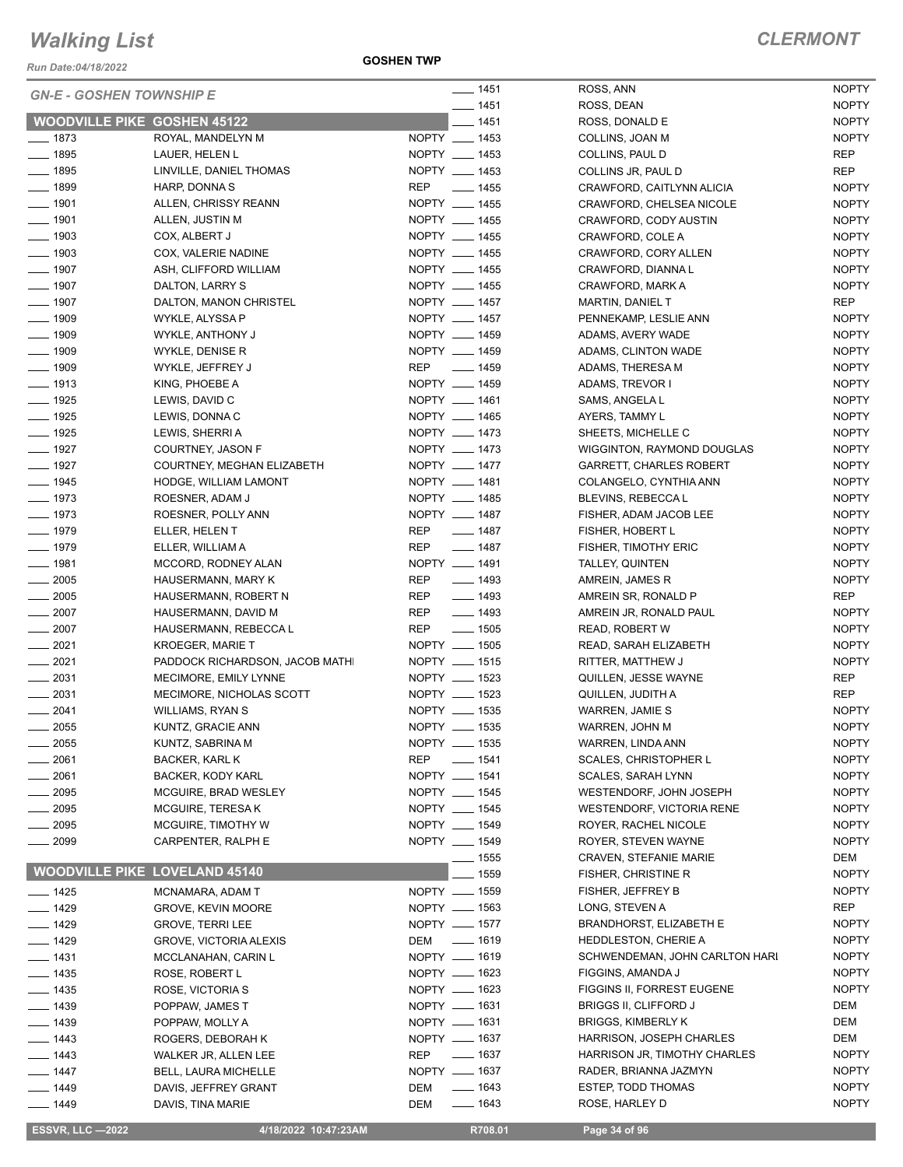*Run Date:04/18/2022*

**GOSHEN TWP**

| <b>GN-E - GOSHEN TOWNSHIP E</b><br>$- 1451$<br><b>NOPTY</b><br>ROSS, DEAN<br><b>WOODVILLE PIKE GOSHEN 45122</b><br>$- 1451$<br><b>NOPTY</b><br>ROSS, DONALD E<br>$- 1873$<br>NOPTY __ 1453<br><b>NOPTY</b><br>ROYAL, MANDELYN M<br>COLLINS, JOAN M<br>$- 1895$<br>NOPTY __ 1453<br><b>REP</b><br>LAUER, HELEN L<br>COLLINS, PAUL D<br>NOPTY __ 1453<br>$- 1895$<br><b>REP</b><br>LINVILLE, DANIEL THOMAS<br>COLLINS JR, PAUL D<br>REP __ 1455<br>$- 1899$<br><b>NOPTY</b><br>HARP, DONNA S<br>CRAWFORD, CAITLYNN ALICIA<br>$- 1901$<br>NOPTY __ 1455<br><b>NOPTY</b><br>ALLEN, CHRISSY REANN<br>CRAWFORD, CHELSEA NICOLE<br>$\frac{1}{2}$ 1901<br>NOPTY __ 1455<br><b>NOPTY</b><br>ALLEN, JUSTIN M<br>CRAWFORD, CODY AUSTIN<br>$- 1903$<br>NOPTY __ 1455<br><b>NOPTY</b><br>COX, ALBERT J<br>CRAWFORD, COLE A<br>$\frac{1}{2}$ 1903<br>NOPTY __ 1455<br><b>NOPTY</b><br>COX, VALERIE NADINE<br>CRAWFORD, CORY ALLEN<br>$- 1907$<br>NOPTY __ 1455<br><b>NOPTY</b><br>ASH, CLIFFORD WILLIAM<br>CRAWFORD, DIANNA L<br>NOPTY __ 1455<br>$- 1907$<br><b>NOPTY</b><br>DALTON, LARRY S<br>CRAWFORD, MARK A<br>$\frac{1}{2}$ 1907<br>NOPTY __ 1457<br>DALTON, MANON CHRISTEL<br>REP<br>MARTIN, DANIEL T<br>NOPTY __ 1457<br>$\frac{1}{2}$ 1909<br><b>NOPTY</b><br>WYKLE, ALYSSA P<br>PENNEKAMP, LESLIE ANN<br>$\frac{1}{2}$ 1909<br>NOPTY __ 1459<br><b>NOPTY</b><br>WYKLE, ANTHONY J<br>ADAMS, AVERY WADE<br>$- 1909$<br>NOPTY __ 1459<br><b>NOPTY</b><br>WYKLE, DENISE R<br>ADAMS, CLINTON WADE<br>$- 1909$<br>REP __ 1459<br><b>NOPTY</b><br>WYKLE, JEFFREY J<br>ADAMS, THERESA M<br>$- 1913$<br>NOPTY __ 1459<br>KING, PHOEBE A<br><b>NOPTY</b><br>ADAMS, TREVOR I<br>NOPTY __ 1461<br>$- 1925$<br><b>NOPTY</b><br>LEWIS, DAVID C<br>SAMS, ANGELA L<br>NOPTY __ 1465<br>$- 1925$<br><b>NOPTY</b><br>LEWIS, DONNA C<br>AYERS, TAMMY L<br>$- 1925$<br>NOPTY __ 1473<br><b>NOPTY</b><br>SHEETS, MICHELLE C<br>LEWIS, SHERRI A<br>$\frac{1}{2}$ 1927<br>NOPTY __ 1473<br><b>NOPTY</b><br>COURTNEY, JASON F<br>WIGGINTON, RAYMOND DOUGLAS<br>$- 1927$<br>NOPTY __ 1477<br><b>NOPTY</b><br>COURTNEY, MEGHAN ELIZABETH<br><b>GARRETT, CHARLES ROBERT</b><br>$- 1945$<br>NOPTY __ 1481<br><b>NOPTY</b><br>HODGE, WILLIAM LAMONT<br>COLANGELO, CYNTHIA ANN<br>$- 1973$<br>NOPTY __ 1485<br><b>NOPTY</b><br>ROESNER, ADAM J<br>BLEVINS, REBECCA L<br>NOPTY __ 1487<br>$- 1973$<br><b>NOPTY</b><br>ROESNER, POLLY ANN<br>FISHER, ADAM JACOB LEE<br>$- 1979$<br>REP __ 1487<br><b>NOPTY</b><br>ELLER, HELEN T<br>FISHER, HOBERT L<br>$\frac{1}{2}$ 1979<br>REP<br>$\frac{1}{2}$ 1487<br><b>NOPTY</b><br>ELLER, WILLIAM A<br><b>FISHER, TIMOTHY ERIC</b><br>$- 1981$<br>NOPTY __ 1491<br><b>NOPTY</b><br>MCCORD, RODNEY ALAN<br>TALLEY, QUINTEN<br>$\frac{1}{2005}$<br><b>REP</b><br>$\frac{1}{2}$ 1493<br><b>NOPTY</b><br>HAUSERMANN, MARY K<br>AMREIN, JAMES R<br>$\frac{1}{2005}$<br>$- 1493$<br>REP<br>HAUSERMANN, ROBERT N<br>REP<br>AMREIN SR, RONALD P<br>$\frac{1}{2}$ 1493<br>$\frac{1}{2007}$<br>REP<br><b>NOPTY</b><br>HAUSERMANN, DAVID M<br>AMREIN JR, RONALD PAUL<br>$\frac{1}{2}$ 1505<br>$\frac{1}{2007}$<br>REP<br><b>NOPTY</b><br>HAUSERMANN, REBECCA L<br><b>READ, ROBERT W</b><br>NOPTY __ 1505<br>$-2021$<br><b>NOPTY</b><br><b>KROEGER, MARIE T</b><br>READ, SARAH ELIZABETH<br>$-2021$<br>NOPTY __ 1515<br><b>NOPTY</b><br>PADDOCK RICHARDSON, JACOB MATHI<br>RITTER, MATTHEW J<br>$\frac{1}{2031}$<br>NOPTY __ 1523<br>REP<br>MECIMORE, EMILY LYNNE<br>QUILLEN, JESSE WAYNE<br>$-2031$<br>NOPTY __ 1523<br><b>REP</b><br>MECIMORE, NICHOLAS SCOTT<br>QUILLEN, JUDITH A<br>$-2041$<br>NOPTY __ 1535<br><b>WILLIAMS, RYAN S</b><br><b>NOPTY</b><br><b>WARREN, JAMIE S</b><br>NOPTY __ 1535<br>$\frac{1}{2055}$<br><b>NOPTY</b><br>KUNTZ, GRACIE ANN<br>WARREN, JOHN M<br>NOPTY __ 1535<br>2055<br><b>NOPTY</b><br>KUNTZ, SABRINA M<br>WARREN, LINDA ANN<br><b>NOPTY</b><br>2061<br><b>REP</b><br>$- 1541$<br><b>SCALES, CHRISTOPHER L</b><br>BACKER, KARL K<br>2061<br><b>NOPTY</b><br>NOPTY __ 1541<br>BACKER, KODY KARL<br>SCALES, SARAH LYNN<br>2095<br>NOPTY __ 1545<br>MCGUIRE, BRAD WESLEY<br>WESTENDORF, JOHN JOSEPH<br><b>NOPTY</b><br>NOPTY __ 1545<br><b>NOPTY</b><br>$= 2095$<br>MCGUIRE, TERESA K<br><b>WESTENDORF, VICTORIA RENE</b><br>NOPTY __ 1549<br>$= 2095$<br>MCGUIRE, TIMOTHY W<br>ROYER, RACHEL NICOLE<br><b>NOPTY</b><br>NOPTY __ 1549<br>$-2099$<br>CARPENTER, RALPH E<br>ROYER, STEVEN WAYNE<br><b>NOPTY</b><br>—— 1555<br>DEM<br><b>CRAVEN, STEFANIE MARIE</b><br><b>WOODVILLE PIKE LOVELAND 45140</b><br>_ 1559<br>FISHER, CHRISTINE R<br><b>NOPTY</b><br>FISHER, JEFFREY B<br><b>NOPTY</b><br>NOPTY __ 1559<br>$- 1425$<br>MCNAMARA, ADAM T<br>LONG, STEVEN A<br>REP<br>NOPTY - 1563<br>—— 1429<br><b>GROVE, KEVIN MOORE</b><br>NOPTY __ 1577<br>BRANDHORST, ELIZABETH E<br><b>NOPTY</b><br>$-1429$<br><b>GROVE, TERRI LEE</b><br>DEM - 1619<br><b>NOPTY</b><br><b>HEDDLESTON, CHERIE A</b><br>_ 1429<br><b>GROVE, VICTORIA ALEXIS</b><br>NOPTY - 1619<br>SCHWENDEMAN, JOHN CARLTON HARI<br><b>NOPTY</b><br>$-1431$<br>MCCLANAHAN, CARIN L<br><b>NOPTY</b><br>NOPTY __ 1623<br>FIGGINS, AMANDA J<br>_ 1435<br>ROSE, ROBERT L<br><b>NOPTY</b><br>NOPTY - 1623<br>FIGGINS II, FORREST EUGENE<br>__ 1435<br>ROSE, VICTORIA S<br><b>BRIGGS II, CLIFFORD J</b><br>DEM<br>NOPTY __ 1631<br>$\frac{1}{2}$ 1439<br>POPPAW, JAMES T<br>NOPTY __ 1631<br><b>BRIGGS, KIMBERLY K</b><br>DEM<br>$- 1439$<br>POPPAW, MOLLY A<br>NOPTY __ 1637<br>HARRISON, JOSEPH CHARLES<br>DEM<br>—— 1443<br>ROGERS, DEBORAH K<br><u>_</u> ___ 1637<br>HARRISON JR, TIMOTHY CHARLES<br><b>NOPTY</b><br><b>REP</b><br>__ 1443<br>WALKER JR, ALLEN LEE<br>NOPTY - 1637<br><b>NOPTY</b><br>RADER, BRIANNA JAZMYN<br>$- 1447$<br><b>BELL, LAURA MICHELLE</b><br>$- 1643$<br>ESTEP, TODD THOMAS<br><b>NOPTY</b><br>DEM<br>___ 1449<br>DAVIS, JEFFREY GRANT<br><b>NOPTY</b><br>$- 1643$<br>ROSE, HARLEY D<br>$- 1449$<br>DAVIS, TINA MARIE<br>DEM<br><b>ESSVR, LLC -2022</b><br>4/18/2022 10:47:23AM<br>R708.01<br>Page 34 of 96 |  | $- 1451$ | ROSS, ANN | <b>NOPTY</b> |
|---------------------------------------------------------------------------------------------------------------------------------------------------------------------------------------------------------------------------------------------------------------------------------------------------------------------------------------------------------------------------------------------------------------------------------------------------------------------------------------------------------------------------------------------------------------------------------------------------------------------------------------------------------------------------------------------------------------------------------------------------------------------------------------------------------------------------------------------------------------------------------------------------------------------------------------------------------------------------------------------------------------------------------------------------------------------------------------------------------------------------------------------------------------------------------------------------------------------------------------------------------------------------------------------------------------------------------------------------------------------------------------------------------------------------------------------------------------------------------------------------------------------------------------------------------------------------------------------------------------------------------------------------------------------------------------------------------------------------------------------------------------------------------------------------------------------------------------------------------------------------------------------------------------------------------------------------------------------------------------------------------------------------------------------------------------------------------------------------------------------------------------------------------------------------------------------------------------------------------------------------------------------------------------------------------------------------------------------------------------------------------------------------------------------------------------------------------------------------------------------------------------------------------------------------------------------------------------------------------------------------------------------------------------------------------------------------------------------------------------------------------------------------------------------------------------------------------------------------------------------------------------------------------------------------------------------------------------------------------------------------------------------------------------------------------------------------------------------------------------------------------------------------------------------------------------------------------------------------------------------------------------------------------------------------------------------------------------------------------------------------------------------------------------------------------------------------------------------------------------------------------------------------------------------------------------------------------------------------------------------------------------------------------------------------------------------------------------------------------------------------------------------------------------------------------------------------------------------------------------------------------------------------------------------------------------------------------------------------------------------------------------------------------------------------------------------------------------------------------------------------------------------------------------------------------------------------------------------------------------------------------------------------------------------------------------------------------------------------------------------------------------------------------------------------------------------------------------------------------------------------------------------------------------------------------------------------------------------------------------------------------------------------------------------------------------------------------------------------------------------------------------------------------------------------------------------------------------------------------------------------------------------------------------------------------------------------------------------------------------------------------------------------------------------------------------------------------------------------------------------------------------------------------------------------------------------------------------------------------------------------------------------------------------------------------------------------------------------------------------------------------------------------------------------------------------------------------------------------------------------------------------------------------------------------------------------------------------------------------------------------------------------------------------------------------------------------------------------------------------------------------------------------------------------------------------------------------------------------------------------------------------------------------------------------------------------------------------------------------------------------------------------------------|--|----------|-----------|--------------|
|                                                                                                                                                                                                                                                                                                                                                                                                                                                                                                                                                                                                                                                                                                                                                                                                                                                                                                                                                                                                                                                                                                                                                                                                                                                                                                                                                                                                                                                                                                                                                                                                                                                                                                                                                                                                                                                                                                                                                                                                                                                                                                                                                                                                                                                                                                                                                                                                                                                                                                                                                                                                                                                                                                                                                                                                                                                                                                                                                                                                                                                                                                                                                                                                                                                                                                                                                                                                                                                                                                                                                                                                                                                                                                                                                                                                                                                                                                                                                                                                                                                                                                                                                                                                                                                                                                                                                                                                                                                                                                                                                                                                                                                                                                                                                                                                                                                                                                                                                                                                                                                                                                                                                                                                                                                                                                                                                                                                                                                                                                                                                                                                                                                                                                                                                                                                                                                                                                                                                                                                                                 |  |          |           |              |
|                                                                                                                                                                                                                                                                                                                                                                                                                                                                                                                                                                                                                                                                                                                                                                                                                                                                                                                                                                                                                                                                                                                                                                                                                                                                                                                                                                                                                                                                                                                                                                                                                                                                                                                                                                                                                                                                                                                                                                                                                                                                                                                                                                                                                                                                                                                                                                                                                                                                                                                                                                                                                                                                                                                                                                                                                                                                                                                                                                                                                                                                                                                                                                                                                                                                                                                                                                                                                                                                                                                                                                                                                                                                                                                                                                                                                                                                                                                                                                                                                                                                                                                                                                                                                                                                                                                                                                                                                                                                                                                                                                                                                                                                                                                                                                                                                                                                                                                                                                                                                                                                                                                                                                                                                                                                                                                                                                                                                                                                                                                                                                                                                                                                                                                                                                                                                                                                                                                                                                                                                                 |  |          |           |              |
|                                                                                                                                                                                                                                                                                                                                                                                                                                                                                                                                                                                                                                                                                                                                                                                                                                                                                                                                                                                                                                                                                                                                                                                                                                                                                                                                                                                                                                                                                                                                                                                                                                                                                                                                                                                                                                                                                                                                                                                                                                                                                                                                                                                                                                                                                                                                                                                                                                                                                                                                                                                                                                                                                                                                                                                                                                                                                                                                                                                                                                                                                                                                                                                                                                                                                                                                                                                                                                                                                                                                                                                                                                                                                                                                                                                                                                                                                                                                                                                                                                                                                                                                                                                                                                                                                                                                                                                                                                                                                                                                                                                                                                                                                                                                                                                                                                                                                                                                                                                                                                                                                                                                                                                                                                                                                                                                                                                                                                                                                                                                                                                                                                                                                                                                                                                                                                                                                                                                                                                                                                 |  |          |           |              |
|                                                                                                                                                                                                                                                                                                                                                                                                                                                                                                                                                                                                                                                                                                                                                                                                                                                                                                                                                                                                                                                                                                                                                                                                                                                                                                                                                                                                                                                                                                                                                                                                                                                                                                                                                                                                                                                                                                                                                                                                                                                                                                                                                                                                                                                                                                                                                                                                                                                                                                                                                                                                                                                                                                                                                                                                                                                                                                                                                                                                                                                                                                                                                                                                                                                                                                                                                                                                                                                                                                                                                                                                                                                                                                                                                                                                                                                                                                                                                                                                                                                                                                                                                                                                                                                                                                                                                                                                                                                                                                                                                                                                                                                                                                                                                                                                                                                                                                                                                                                                                                                                                                                                                                                                                                                                                                                                                                                                                                                                                                                                                                                                                                                                                                                                                                                                                                                                                                                                                                                                                                 |  |          |           |              |
|                                                                                                                                                                                                                                                                                                                                                                                                                                                                                                                                                                                                                                                                                                                                                                                                                                                                                                                                                                                                                                                                                                                                                                                                                                                                                                                                                                                                                                                                                                                                                                                                                                                                                                                                                                                                                                                                                                                                                                                                                                                                                                                                                                                                                                                                                                                                                                                                                                                                                                                                                                                                                                                                                                                                                                                                                                                                                                                                                                                                                                                                                                                                                                                                                                                                                                                                                                                                                                                                                                                                                                                                                                                                                                                                                                                                                                                                                                                                                                                                                                                                                                                                                                                                                                                                                                                                                                                                                                                                                                                                                                                                                                                                                                                                                                                                                                                                                                                                                                                                                                                                                                                                                                                                                                                                                                                                                                                                                                                                                                                                                                                                                                                                                                                                                                                                                                                                                                                                                                                                                                 |  |          |           |              |
|                                                                                                                                                                                                                                                                                                                                                                                                                                                                                                                                                                                                                                                                                                                                                                                                                                                                                                                                                                                                                                                                                                                                                                                                                                                                                                                                                                                                                                                                                                                                                                                                                                                                                                                                                                                                                                                                                                                                                                                                                                                                                                                                                                                                                                                                                                                                                                                                                                                                                                                                                                                                                                                                                                                                                                                                                                                                                                                                                                                                                                                                                                                                                                                                                                                                                                                                                                                                                                                                                                                                                                                                                                                                                                                                                                                                                                                                                                                                                                                                                                                                                                                                                                                                                                                                                                                                                                                                                                                                                                                                                                                                                                                                                                                                                                                                                                                                                                                                                                                                                                                                                                                                                                                                                                                                                                                                                                                                                                                                                                                                                                                                                                                                                                                                                                                                                                                                                                                                                                                                                                 |  |          |           |              |
|                                                                                                                                                                                                                                                                                                                                                                                                                                                                                                                                                                                                                                                                                                                                                                                                                                                                                                                                                                                                                                                                                                                                                                                                                                                                                                                                                                                                                                                                                                                                                                                                                                                                                                                                                                                                                                                                                                                                                                                                                                                                                                                                                                                                                                                                                                                                                                                                                                                                                                                                                                                                                                                                                                                                                                                                                                                                                                                                                                                                                                                                                                                                                                                                                                                                                                                                                                                                                                                                                                                                                                                                                                                                                                                                                                                                                                                                                                                                                                                                                                                                                                                                                                                                                                                                                                                                                                                                                                                                                                                                                                                                                                                                                                                                                                                                                                                                                                                                                                                                                                                                                                                                                                                                                                                                                                                                                                                                                                                                                                                                                                                                                                                                                                                                                                                                                                                                                                                                                                                                                                 |  |          |           |              |
|                                                                                                                                                                                                                                                                                                                                                                                                                                                                                                                                                                                                                                                                                                                                                                                                                                                                                                                                                                                                                                                                                                                                                                                                                                                                                                                                                                                                                                                                                                                                                                                                                                                                                                                                                                                                                                                                                                                                                                                                                                                                                                                                                                                                                                                                                                                                                                                                                                                                                                                                                                                                                                                                                                                                                                                                                                                                                                                                                                                                                                                                                                                                                                                                                                                                                                                                                                                                                                                                                                                                                                                                                                                                                                                                                                                                                                                                                                                                                                                                                                                                                                                                                                                                                                                                                                                                                                                                                                                                                                                                                                                                                                                                                                                                                                                                                                                                                                                                                                                                                                                                                                                                                                                                                                                                                                                                                                                                                                                                                                                                                                                                                                                                                                                                                                                                                                                                                                                                                                                                                                 |  |          |           |              |
|                                                                                                                                                                                                                                                                                                                                                                                                                                                                                                                                                                                                                                                                                                                                                                                                                                                                                                                                                                                                                                                                                                                                                                                                                                                                                                                                                                                                                                                                                                                                                                                                                                                                                                                                                                                                                                                                                                                                                                                                                                                                                                                                                                                                                                                                                                                                                                                                                                                                                                                                                                                                                                                                                                                                                                                                                                                                                                                                                                                                                                                                                                                                                                                                                                                                                                                                                                                                                                                                                                                                                                                                                                                                                                                                                                                                                                                                                                                                                                                                                                                                                                                                                                                                                                                                                                                                                                                                                                                                                                                                                                                                                                                                                                                                                                                                                                                                                                                                                                                                                                                                                                                                                                                                                                                                                                                                                                                                                                                                                                                                                                                                                                                                                                                                                                                                                                                                                                                                                                                                                                 |  |          |           |              |
|                                                                                                                                                                                                                                                                                                                                                                                                                                                                                                                                                                                                                                                                                                                                                                                                                                                                                                                                                                                                                                                                                                                                                                                                                                                                                                                                                                                                                                                                                                                                                                                                                                                                                                                                                                                                                                                                                                                                                                                                                                                                                                                                                                                                                                                                                                                                                                                                                                                                                                                                                                                                                                                                                                                                                                                                                                                                                                                                                                                                                                                                                                                                                                                                                                                                                                                                                                                                                                                                                                                                                                                                                                                                                                                                                                                                                                                                                                                                                                                                                                                                                                                                                                                                                                                                                                                                                                                                                                                                                                                                                                                                                                                                                                                                                                                                                                                                                                                                                                                                                                                                                                                                                                                                                                                                                                                                                                                                                                                                                                                                                                                                                                                                                                                                                                                                                                                                                                                                                                                                                                 |  |          |           |              |
|                                                                                                                                                                                                                                                                                                                                                                                                                                                                                                                                                                                                                                                                                                                                                                                                                                                                                                                                                                                                                                                                                                                                                                                                                                                                                                                                                                                                                                                                                                                                                                                                                                                                                                                                                                                                                                                                                                                                                                                                                                                                                                                                                                                                                                                                                                                                                                                                                                                                                                                                                                                                                                                                                                                                                                                                                                                                                                                                                                                                                                                                                                                                                                                                                                                                                                                                                                                                                                                                                                                                                                                                                                                                                                                                                                                                                                                                                                                                                                                                                                                                                                                                                                                                                                                                                                                                                                                                                                                                                                                                                                                                                                                                                                                                                                                                                                                                                                                                                                                                                                                                                                                                                                                                                                                                                                                                                                                                                                                                                                                                                                                                                                                                                                                                                                                                                                                                                                                                                                                                                                 |  |          |           |              |
|                                                                                                                                                                                                                                                                                                                                                                                                                                                                                                                                                                                                                                                                                                                                                                                                                                                                                                                                                                                                                                                                                                                                                                                                                                                                                                                                                                                                                                                                                                                                                                                                                                                                                                                                                                                                                                                                                                                                                                                                                                                                                                                                                                                                                                                                                                                                                                                                                                                                                                                                                                                                                                                                                                                                                                                                                                                                                                                                                                                                                                                                                                                                                                                                                                                                                                                                                                                                                                                                                                                                                                                                                                                                                                                                                                                                                                                                                                                                                                                                                                                                                                                                                                                                                                                                                                                                                                                                                                                                                                                                                                                                                                                                                                                                                                                                                                                                                                                                                                                                                                                                                                                                                                                                                                                                                                                                                                                                                                                                                                                                                                                                                                                                                                                                                                                                                                                                                                                                                                                                                                 |  |          |           |              |
|                                                                                                                                                                                                                                                                                                                                                                                                                                                                                                                                                                                                                                                                                                                                                                                                                                                                                                                                                                                                                                                                                                                                                                                                                                                                                                                                                                                                                                                                                                                                                                                                                                                                                                                                                                                                                                                                                                                                                                                                                                                                                                                                                                                                                                                                                                                                                                                                                                                                                                                                                                                                                                                                                                                                                                                                                                                                                                                                                                                                                                                                                                                                                                                                                                                                                                                                                                                                                                                                                                                                                                                                                                                                                                                                                                                                                                                                                                                                                                                                                                                                                                                                                                                                                                                                                                                                                                                                                                                                                                                                                                                                                                                                                                                                                                                                                                                                                                                                                                                                                                                                                                                                                                                                                                                                                                                                                                                                                                                                                                                                                                                                                                                                                                                                                                                                                                                                                                                                                                                                                                 |  |          |           |              |
|                                                                                                                                                                                                                                                                                                                                                                                                                                                                                                                                                                                                                                                                                                                                                                                                                                                                                                                                                                                                                                                                                                                                                                                                                                                                                                                                                                                                                                                                                                                                                                                                                                                                                                                                                                                                                                                                                                                                                                                                                                                                                                                                                                                                                                                                                                                                                                                                                                                                                                                                                                                                                                                                                                                                                                                                                                                                                                                                                                                                                                                                                                                                                                                                                                                                                                                                                                                                                                                                                                                                                                                                                                                                                                                                                                                                                                                                                                                                                                                                                                                                                                                                                                                                                                                                                                                                                                                                                                                                                                                                                                                                                                                                                                                                                                                                                                                                                                                                                                                                                                                                                                                                                                                                                                                                                                                                                                                                                                                                                                                                                                                                                                                                                                                                                                                                                                                                                                                                                                                                                                 |  |          |           |              |
|                                                                                                                                                                                                                                                                                                                                                                                                                                                                                                                                                                                                                                                                                                                                                                                                                                                                                                                                                                                                                                                                                                                                                                                                                                                                                                                                                                                                                                                                                                                                                                                                                                                                                                                                                                                                                                                                                                                                                                                                                                                                                                                                                                                                                                                                                                                                                                                                                                                                                                                                                                                                                                                                                                                                                                                                                                                                                                                                                                                                                                                                                                                                                                                                                                                                                                                                                                                                                                                                                                                                                                                                                                                                                                                                                                                                                                                                                                                                                                                                                                                                                                                                                                                                                                                                                                                                                                                                                                                                                                                                                                                                                                                                                                                                                                                                                                                                                                                                                                                                                                                                                                                                                                                                                                                                                                                                                                                                                                                                                                                                                                                                                                                                                                                                                                                                                                                                                                                                                                                                                                 |  |          |           |              |
|                                                                                                                                                                                                                                                                                                                                                                                                                                                                                                                                                                                                                                                                                                                                                                                                                                                                                                                                                                                                                                                                                                                                                                                                                                                                                                                                                                                                                                                                                                                                                                                                                                                                                                                                                                                                                                                                                                                                                                                                                                                                                                                                                                                                                                                                                                                                                                                                                                                                                                                                                                                                                                                                                                                                                                                                                                                                                                                                                                                                                                                                                                                                                                                                                                                                                                                                                                                                                                                                                                                                                                                                                                                                                                                                                                                                                                                                                                                                                                                                                                                                                                                                                                                                                                                                                                                                                                                                                                                                                                                                                                                                                                                                                                                                                                                                                                                                                                                                                                                                                                                                                                                                                                                                                                                                                                                                                                                                                                                                                                                                                                                                                                                                                                                                                                                                                                                                                                                                                                                                                                 |  |          |           |              |
|                                                                                                                                                                                                                                                                                                                                                                                                                                                                                                                                                                                                                                                                                                                                                                                                                                                                                                                                                                                                                                                                                                                                                                                                                                                                                                                                                                                                                                                                                                                                                                                                                                                                                                                                                                                                                                                                                                                                                                                                                                                                                                                                                                                                                                                                                                                                                                                                                                                                                                                                                                                                                                                                                                                                                                                                                                                                                                                                                                                                                                                                                                                                                                                                                                                                                                                                                                                                                                                                                                                                                                                                                                                                                                                                                                                                                                                                                                                                                                                                                                                                                                                                                                                                                                                                                                                                                                                                                                                                                                                                                                                                                                                                                                                                                                                                                                                                                                                                                                                                                                                                                                                                                                                                                                                                                                                                                                                                                                                                                                                                                                                                                                                                                                                                                                                                                                                                                                                                                                                                                                 |  |          |           |              |
|                                                                                                                                                                                                                                                                                                                                                                                                                                                                                                                                                                                                                                                                                                                                                                                                                                                                                                                                                                                                                                                                                                                                                                                                                                                                                                                                                                                                                                                                                                                                                                                                                                                                                                                                                                                                                                                                                                                                                                                                                                                                                                                                                                                                                                                                                                                                                                                                                                                                                                                                                                                                                                                                                                                                                                                                                                                                                                                                                                                                                                                                                                                                                                                                                                                                                                                                                                                                                                                                                                                                                                                                                                                                                                                                                                                                                                                                                                                                                                                                                                                                                                                                                                                                                                                                                                                                                                                                                                                                                                                                                                                                                                                                                                                                                                                                                                                                                                                                                                                                                                                                                                                                                                                                                                                                                                                                                                                                                                                                                                                                                                                                                                                                                                                                                                                                                                                                                                                                                                                                                                 |  |          |           |              |
|                                                                                                                                                                                                                                                                                                                                                                                                                                                                                                                                                                                                                                                                                                                                                                                                                                                                                                                                                                                                                                                                                                                                                                                                                                                                                                                                                                                                                                                                                                                                                                                                                                                                                                                                                                                                                                                                                                                                                                                                                                                                                                                                                                                                                                                                                                                                                                                                                                                                                                                                                                                                                                                                                                                                                                                                                                                                                                                                                                                                                                                                                                                                                                                                                                                                                                                                                                                                                                                                                                                                                                                                                                                                                                                                                                                                                                                                                                                                                                                                                                                                                                                                                                                                                                                                                                                                                                                                                                                                                                                                                                                                                                                                                                                                                                                                                                                                                                                                                                                                                                                                                                                                                                                                                                                                                                                                                                                                                                                                                                                                                                                                                                                                                                                                                                                                                                                                                                                                                                                                                                 |  |          |           |              |
|                                                                                                                                                                                                                                                                                                                                                                                                                                                                                                                                                                                                                                                                                                                                                                                                                                                                                                                                                                                                                                                                                                                                                                                                                                                                                                                                                                                                                                                                                                                                                                                                                                                                                                                                                                                                                                                                                                                                                                                                                                                                                                                                                                                                                                                                                                                                                                                                                                                                                                                                                                                                                                                                                                                                                                                                                                                                                                                                                                                                                                                                                                                                                                                                                                                                                                                                                                                                                                                                                                                                                                                                                                                                                                                                                                                                                                                                                                                                                                                                                                                                                                                                                                                                                                                                                                                                                                                                                                                                                                                                                                                                                                                                                                                                                                                                                                                                                                                                                                                                                                                                                                                                                                                                                                                                                                                                                                                                                                                                                                                                                                                                                                                                                                                                                                                                                                                                                                                                                                                                                                 |  |          |           |              |
|                                                                                                                                                                                                                                                                                                                                                                                                                                                                                                                                                                                                                                                                                                                                                                                                                                                                                                                                                                                                                                                                                                                                                                                                                                                                                                                                                                                                                                                                                                                                                                                                                                                                                                                                                                                                                                                                                                                                                                                                                                                                                                                                                                                                                                                                                                                                                                                                                                                                                                                                                                                                                                                                                                                                                                                                                                                                                                                                                                                                                                                                                                                                                                                                                                                                                                                                                                                                                                                                                                                                                                                                                                                                                                                                                                                                                                                                                                                                                                                                                                                                                                                                                                                                                                                                                                                                                                                                                                                                                                                                                                                                                                                                                                                                                                                                                                                                                                                                                                                                                                                                                                                                                                                                                                                                                                                                                                                                                                                                                                                                                                                                                                                                                                                                                                                                                                                                                                                                                                                                                                 |  |          |           |              |
|                                                                                                                                                                                                                                                                                                                                                                                                                                                                                                                                                                                                                                                                                                                                                                                                                                                                                                                                                                                                                                                                                                                                                                                                                                                                                                                                                                                                                                                                                                                                                                                                                                                                                                                                                                                                                                                                                                                                                                                                                                                                                                                                                                                                                                                                                                                                                                                                                                                                                                                                                                                                                                                                                                                                                                                                                                                                                                                                                                                                                                                                                                                                                                                                                                                                                                                                                                                                                                                                                                                                                                                                                                                                                                                                                                                                                                                                                                                                                                                                                                                                                                                                                                                                                                                                                                                                                                                                                                                                                                                                                                                                                                                                                                                                                                                                                                                                                                                                                                                                                                                                                                                                                                                                                                                                                                                                                                                                                                                                                                                                                                                                                                                                                                                                                                                                                                                                                                                                                                                                                                 |  |          |           |              |
|                                                                                                                                                                                                                                                                                                                                                                                                                                                                                                                                                                                                                                                                                                                                                                                                                                                                                                                                                                                                                                                                                                                                                                                                                                                                                                                                                                                                                                                                                                                                                                                                                                                                                                                                                                                                                                                                                                                                                                                                                                                                                                                                                                                                                                                                                                                                                                                                                                                                                                                                                                                                                                                                                                                                                                                                                                                                                                                                                                                                                                                                                                                                                                                                                                                                                                                                                                                                                                                                                                                                                                                                                                                                                                                                                                                                                                                                                                                                                                                                                                                                                                                                                                                                                                                                                                                                                                                                                                                                                                                                                                                                                                                                                                                                                                                                                                                                                                                                                                                                                                                                                                                                                                                                                                                                                                                                                                                                                                                                                                                                                                                                                                                                                                                                                                                                                                                                                                                                                                                                                                 |  |          |           |              |
|                                                                                                                                                                                                                                                                                                                                                                                                                                                                                                                                                                                                                                                                                                                                                                                                                                                                                                                                                                                                                                                                                                                                                                                                                                                                                                                                                                                                                                                                                                                                                                                                                                                                                                                                                                                                                                                                                                                                                                                                                                                                                                                                                                                                                                                                                                                                                                                                                                                                                                                                                                                                                                                                                                                                                                                                                                                                                                                                                                                                                                                                                                                                                                                                                                                                                                                                                                                                                                                                                                                                                                                                                                                                                                                                                                                                                                                                                                                                                                                                                                                                                                                                                                                                                                                                                                                                                                                                                                                                                                                                                                                                                                                                                                                                                                                                                                                                                                                                                                                                                                                                                                                                                                                                                                                                                                                                                                                                                                                                                                                                                                                                                                                                                                                                                                                                                                                                                                                                                                                                                                 |  |          |           |              |
|                                                                                                                                                                                                                                                                                                                                                                                                                                                                                                                                                                                                                                                                                                                                                                                                                                                                                                                                                                                                                                                                                                                                                                                                                                                                                                                                                                                                                                                                                                                                                                                                                                                                                                                                                                                                                                                                                                                                                                                                                                                                                                                                                                                                                                                                                                                                                                                                                                                                                                                                                                                                                                                                                                                                                                                                                                                                                                                                                                                                                                                                                                                                                                                                                                                                                                                                                                                                                                                                                                                                                                                                                                                                                                                                                                                                                                                                                                                                                                                                                                                                                                                                                                                                                                                                                                                                                                                                                                                                                                                                                                                                                                                                                                                                                                                                                                                                                                                                                                                                                                                                                                                                                                                                                                                                                                                                                                                                                                                                                                                                                                                                                                                                                                                                                                                                                                                                                                                                                                                                                                 |  |          |           |              |
|                                                                                                                                                                                                                                                                                                                                                                                                                                                                                                                                                                                                                                                                                                                                                                                                                                                                                                                                                                                                                                                                                                                                                                                                                                                                                                                                                                                                                                                                                                                                                                                                                                                                                                                                                                                                                                                                                                                                                                                                                                                                                                                                                                                                                                                                                                                                                                                                                                                                                                                                                                                                                                                                                                                                                                                                                                                                                                                                                                                                                                                                                                                                                                                                                                                                                                                                                                                                                                                                                                                                                                                                                                                                                                                                                                                                                                                                                                                                                                                                                                                                                                                                                                                                                                                                                                                                                                                                                                                                                                                                                                                                                                                                                                                                                                                                                                                                                                                                                                                                                                                                                                                                                                                                                                                                                                                                                                                                                                                                                                                                                                                                                                                                                                                                                                                                                                                                                                                                                                                                                                 |  |          |           |              |
|                                                                                                                                                                                                                                                                                                                                                                                                                                                                                                                                                                                                                                                                                                                                                                                                                                                                                                                                                                                                                                                                                                                                                                                                                                                                                                                                                                                                                                                                                                                                                                                                                                                                                                                                                                                                                                                                                                                                                                                                                                                                                                                                                                                                                                                                                                                                                                                                                                                                                                                                                                                                                                                                                                                                                                                                                                                                                                                                                                                                                                                                                                                                                                                                                                                                                                                                                                                                                                                                                                                                                                                                                                                                                                                                                                                                                                                                                                                                                                                                                                                                                                                                                                                                                                                                                                                                                                                                                                                                                                                                                                                                                                                                                                                                                                                                                                                                                                                                                                                                                                                                                                                                                                                                                                                                                                                                                                                                                                                                                                                                                                                                                                                                                                                                                                                                                                                                                                                                                                                                                                 |  |          |           |              |
|                                                                                                                                                                                                                                                                                                                                                                                                                                                                                                                                                                                                                                                                                                                                                                                                                                                                                                                                                                                                                                                                                                                                                                                                                                                                                                                                                                                                                                                                                                                                                                                                                                                                                                                                                                                                                                                                                                                                                                                                                                                                                                                                                                                                                                                                                                                                                                                                                                                                                                                                                                                                                                                                                                                                                                                                                                                                                                                                                                                                                                                                                                                                                                                                                                                                                                                                                                                                                                                                                                                                                                                                                                                                                                                                                                                                                                                                                                                                                                                                                                                                                                                                                                                                                                                                                                                                                                                                                                                                                                                                                                                                                                                                                                                                                                                                                                                                                                                                                                                                                                                                                                                                                                                                                                                                                                                                                                                                                                                                                                                                                                                                                                                                                                                                                                                                                                                                                                                                                                                                                                 |  |          |           |              |
|                                                                                                                                                                                                                                                                                                                                                                                                                                                                                                                                                                                                                                                                                                                                                                                                                                                                                                                                                                                                                                                                                                                                                                                                                                                                                                                                                                                                                                                                                                                                                                                                                                                                                                                                                                                                                                                                                                                                                                                                                                                                                                                                                                                                                                                                                                                                                                                                                                                                                                                                                                                                                                                                                                                                                                                                                                                                                                                                                                                                                                                                                                                                                                                                                                                                                                                                                                                                                                                                                                                                                                                                                                                                                                                                                                                                                                                                                                                                                                                                                                                                                                                                                                                                                                                                                                                                                                                                                                                                                                                                                                                                                                                                                                                                                                                                                                                                                                                                                                                                                                                                                                                                                                                                                                                                                                                                                                                                                                                                                                                                                                                                                                                                                                                                                                                                                                                                                                                                                                                                                                 |  |          |           |              |
|                                                                                                                                                                                                                                                                                                                                                                                                                                                                                                                                                                                                                                                                                                                                                                                                                                                                                                                                                                                                                                                                                                                                                                                                                                                                                                                                                                                                                                                                                                                                                                                                                                                                                                                                                                                                                                                                                                                                                                                                                                                                                                                                                                                                                                                                                                                                                                                                                                                                                                                                                                                                                                                                                                                                                                                                                                                                                                                                                                                                                                                                                                                                                                                                                                                                                                                                                                                                                                                                                                                                                                                                                                                                                                                                                                                                                                                                                                                                                                                                                                                                                                                                                                                                                                                                                                                                                                                                                                                                                                                                                                                                                                                                                                                                                                                                                                                                                                                                                                                                                                                                                                                                                                                                                                                                                                                                                                                                                                                                                                                                                                                                                                                                                                                                                                                                                                                                                                                                                                                                                                 |  |          |           |              |
|                                                                                                                                                                                                                                                                                                                                                                                                                                                                                                                                                                                                                                                                                                                                                                                                                                                                                                                                                                                                                                                                                                                                                                                                                                                                                                                                                                                                                                                                                                                                                                                                                                                                                                                                                                                                                                                                                                                                                                                                                                                                                                                                                                                                                                                                                                                                                                                                                                                                                                                                                                                                                                                                                                                                                                                                                                                                                                                                                                                                                                                                                                                                                                                                                                                                                                                                                                                                                                                                                                                                                                                                                                                                                                                                                                                                                                                                                                                                                                                                                                                                                                                                                                                                                                                                                                                                                                                                                                                                                                                                                                                                                                                                                                                                                                                                                                                                                                                                                                                                                                                                                                                                                                                                                                                                                                                                                                                                                                                                                                                                                                                                                                                                                                                                                                                                                                                                                                                                                                                                                                 |  |          |           |              |
|                                                                                                                                                                                                                                                                                                                                                                                                                                                                                                                                                                                                                                                                                                                                                                                                                                                                                                                                                                                                                                                                                                                                                                                                                                                                                                                                                                                                                                                                                                                                                                                                                                                                                                                                                                                                                                                                                                                                                                                                                                                                                                                                                                                                                                                                                                                                                                                                                                                                                                                                                                                                                                                                                                                                                                                                                                                                                                                                                                                                                                                                                                                                                                                                                                                                                                                                                                                                                                                                                                                                                                                                                                                                                                                                                                                                                                                                                                                                                                                                                                                                                                                                                                                                                                                                                                                                                                                                                                                                                                                                                                                                                                                                                                                                                                                                                                                                                                                                                                                                                                                                                                                                                                                                                                                                                                                                                                                                                                                                                                                                                                                                                                                                                                                                                                                                                                                                                                                                                                                                                                 |  |          |           |              |
|                                                                                                                                                                                                                                                                                                                                                                                                                                                                                                                                                                                                                                                                                                                                                                                                                                                                                                                                                                                                                                                                                                                                                                                                                                                                                                                                                                                                                                                                                                                                                                                                                                                                                                                                                                                                                                                                                                                                                                                                                                                                                                                                                                                                                                                                                                                                                                                                                                                                                                                                                                                                                                                                                                                                                                                                                                                                                                                                                                                                                                                                                                                                                                                                                                                                                                                                                                                                                                                                                                                                                                                                                                                                                                                                                                                                                                                                                                                                                                                                                                                                                                                                                                                                                                                                                                                                                                                                                                                                                                                                                                                                                                                                                                                                                                                                                                                                                                                                                                                                                                                                                                                                                                                                                                                                                                                                                                                                                                                                                                                                                                                                                                                                                                                                                                                                                                                                                                                                                                                                                                 |  |          |           |              |
|                                                                                                                                                                                                                                                                                                                                                                                                                                                                                                                                                                                                                                                                                                                                                                                                                                                                                                                                                                                                                                                                                                                                                                                                                                                                                                                                                                                                                                                                                                                                                                                                                                                                                                                                                                                                                                                                                                                                                                                                                                                                                                                                                                                                                                                                                                                                                                                                                                                                                                                                                                                                                                                                                                                                                                                                                                                                                                                                                                                                                                                                                                                                                                                                                                                                                                                                                                                                                                                                                                                                                                                                                                                                                                                                                                                                                                                                                                                                                                                                                                                                                                                                                                                                                                                                                                                                                                                                                                                                                                                                                                                                                                                                                                                                                                                                                                                                                                                                                                                                                                                                                                                                                                                                                                                                                                                                                                                                                                                                                                                                                                                                                                                                                                                                                                                                                                                                                                                                                                                                                                 |  |          |           |              |
|                                                                                                                                                                                                                                                                                                                                                                                                                                                                                                                                                                                                                                                                                                                                                                                                                                                                                                                                                                                                                                                                                                                                                                                                                                                                                                                                                                                                                                                                                                                                                                                                                                                                                                                                                                                                                                                                                                                                                                                                                                                                                                                                                                                                                                                                                                                                                                                                                                                                                                                                                                                                                                                                                                                                                                                                                                                                                                                                                                                                                                                                                                                                                                                                                                                                                                                                                                                                                                                                                                                                                                                                                                                                                                                                                                                                                                                                                                                                                                                                                                                                                                                                                                                                                                                                                                                                                                                                                                                                                                                                                                                                                                                                                                                                                                                                                                                                                                                                                                                                                                                                                                                                                                                                                                                                                                                                                                                                                                                                                                                                                                                                                                                                                                                                                                                                                                                                                                                                                                                                                                 |  |          |           |              |
|                                                                                                                                                                                                                                                                                                                                                                                                                                                                                                                                                                                                                                                                                                                                                                                                                                                                                                                                                                                                                                                                                                                                                                                                                                                                                                                                                                                                                                                                                                                                                                                                                                                                                                                                                                                                                                                                                                                                                                                                                                                                                                                                                                                                                                                                                                                                                                                                                                                                                                                                                                                                                                                                                                                                                                                                                                                                                                                                                                                                                                                                                                                                                                                                                                                                                                                                                                                                                                                                                                                                                                                                                                                                                                                                                                                                                                                                                                                                                                                                                                                                                                                                                                                                                                                                                                                                                                                                                                                                                                                                                                                                                                                                                                                                                                                                                                                                                                                                                                                                                                                                                                                                                                                                                                                                                                                                                                                                                                                                                                                                                                                                                                                                                                                                                                                                                                                                                                                                                                                                                                 |  |          |           |              |
|                                                                                                                                                                                                                                                                                                                                                                                                                                                                                                                                                                                                                                                                                                                                                                                                                                                                                                                                                                                                                                                                                                                                                                                                                                                                                                                                                                                                                                                                                                                                                                                                                                                                                                                                                                                                                                                                                                                                                                                                                                                                                                                                                                                                                                                                                                                                                                                                                                                                                                                                                                                                                                                                                                                                                                                                                                                                                                                                                                                                                                                                                                                                                                                                                                                                                                                                                                                                                                                                                                                                                                                                                                                                                                                                                                                                                                                                                                                                                                                                                                                                                                                                                                                                                                                                                                                                                                                                                                                                                                                                                                                                                                                                                                                                                                                                                                                                                                                                                                                                                                                                                                                                                                                                                                                                                                                                                                                                                                                                                                                                                                                                                                                                                                                                                                                                                                                                                                                                                                                                                                 |  |          |           |              |
|                                                                                                                                                                                                                                                                                                                                                                                                                                                                                                                                                                                                                                                                                                                                                                                                                                                                                                                                                                                                                                                                                                                                                                                                                                                                                                                                                                                                                                                                                                                                                                                                                                                                                                                                                                                                                                                                                                                                                                                                                                                                                                                                                                                                                                                                                                                                                                                                                                                                                                                                                                                                                                                                                                                                                                                                                                                                                                                                                                                                                                                                                                                                                                                                                                                                                                                                                                                                                                                                                                                                                                                                                                                                                                                                                                                                                                                                                                                                                                                                                                                                                                                                                                                                                                                                                                                                                                                                                                                                                                                                                                                                                                                                                                                                                                                                                                                                                                                                                                                                                                                                                                                                                                                                                                                                                                                                                                                                                                                                                                                                                                                                                                                                                                                                                                                                                                                                                                                                                                                                                                 |  |          |           |              |
|                                                                                                                                                                                                                                                                                                                                                                                                                                                                                                                                                                                                                                                                                                                                                                                                                                                                                                                                                                                                                                                                                                                                                                                                                                                                                                                                                                                                                                                                                                                                                                                                                                                                                                                                                                                                                                                                                                                                                                                                                                                                                                                                                                                                                                                                                                                                                                                                                                                                                                                                                                                                                                                                                                                                                                                                                                                                                                                                                                                                                                                                                                                                                                                                                                                                                                                                                                                                                                                                                                                                                                                                                                                                                                                                                                                                                                                                                                                                                                                                                                                                                                                                                                                                                                                                                                                                                                                                                                                                                                                                                                                                                                                                                                                                                                                                                                                                                                                                                                                                                                                                                                                                                                                                                                                                                                                                                                                                                                                                                                                                                                                                                                                                                                                                                                                                                                                                                                                                                                                                                                 |  |          |           |              |
|                                                                                                                                                                                                                                                                                                                                                                                                                                                                                                                                                                                                                                                                                                                                                                                                                                                                                                                                                                                                                                                                                                                                                                                                                                                                                                                                                                                                                                                                                                                                                                                                                                                                                                                                                                                                                                                                                                                                                                                                                                                                                                                                                                                                                                                                                                                                                                                                                                                                                                                                                                                                                                                                                                                                                                                                                                                                                                                                                                                                                                                                                                                                                                                                                                                                                                                                                                                                                                                                                                                                                                                                                                                                                                                                                                                                                                                                                                                                                                                                                                                                                                                                                                                                                                                                                                                                                                                                                                                                                                                                                                                                                                                                                                                                                                                                                                                                                                                                                                                                                                                                                                                                                                                                                                                                                                                                                                                                                                                                                                                                                                                                                                                                                                                                                                                                                                                                                                                                                                                                                                 |  |          |           |              |
|                                                                                                                                                                                                                                                                                                                                                                                                                                                                                                                                                                                                                                                                                                                                                                                                                                                                                                                                                                                                                                                                                                                                                                                                                                                                                                                                                                                                                                                                                                                                                                                                                                                                                                                                                                                                                                                                                                                                                                                                                                                                                                                                                                                                                                                                                                                                                                                                                                                                                                                                                                                                                                                                                                                                                                                                                                                                                                                                                                                                                                                                                                                                                                                                                                                                                                                                                                                                                                                                                                                                                                                                                                                                                                                                                                                                                                                                                                                                                                                                                                                                                                                                                                                                                                                                                                                                                                                                                                                                                                                                                                                                                                                                                                                                                                                                                                                                                                                                                                                                                                                                                                                                                                                                                                                                                                                                                                                                                                                                                                                                                                                                                                                                                                                                                                                                                                                                                                                                                                                                                                 |  |          |           |              |
|                                                                                                                                                                                                                                                                                                                                                                                                                                                                                                                                                                                                                                                                                                                                                                                                                                                                                                                                                                                                                                                                                                                                                                                                                                                                                                                                                                                                                                                                                                                                                                                                                                                                                                                                                                                                                                                                                                                                                                                                                                                                                                                                                                                                                                                                                                                                                                                                                                                                                                                                                                                                                                                                                                                                                                                                                                                                                                                                                                                                                                                                                                                                                                                                                                                                                                                                                                                                                                                                                                                                                                                                                                                                                                                                                                                                                                                                                                                                                                                                                                                                                                                                                                                                                                                                                                                                                                                                                                                                                                                                                                                                                                                                                                                                                                                                                                                                                                                                                                                                                                                                                                                                                                                                                                                                                                                                                                                                                                                                                                                                                                                                                                                                                                                                                                                                                                                                                                                                                                                                                                 |  |          |           |              |
|                                                                                                                                                                                                                                                                                                                                                                                                                                                                                                                                                                                                                                                                                                                                                                                                                                                                                                                                                                                                                                                                                                                                                                                                                                                                                                                                                                                                                                                                                                                                                                                                                                                                                                                                                                                                                                                                                                                                                                                                                                                                                                                                                                                                                                                                                                                                                                                                                                                                                                                                                                                                                                                                                                                                                                                                                                                                                                                                                                                                                                                                                                                                                                                                                                                                                                                                                                                                                                                                                                                                                                                                                                                                                                                                                                                                                                                                                                                                                                                                                                                                                                                                                                                                                                                                                                                                                                                                                                                                                                                                                                                                                                                                                                                                                                                                                                                                                                                                                                                                                                                                                                                                                                                                                                                                                                                                                                                                                                                                                                                                                                                                                                                                                                                                                                                                                                                                                                                                                                                                                                 |  |          |           |              |
|                                                                                                                                                                                                                                                                                                                                                                                                                                                                                                                                                                                                                                                                                                                                                                                                                                                                                                                                                                                                                                                                                                                                                                                                                                                                                                                                                                                                                                                                                                                                                                                                                                                                                                                                                                                                                                                                                                                                                                                                                                                                                                                                                                                                                                                                                                                                                                                                                                                                                                                                                                                                                                                                                                                                                                                                                                                                                                                                                                                                                                                                                                                                                                                                                                                                                                                                                                                                                                                                                                                                                                                                                                                                                                                                                                                                                                                                                                                                                                                                                                                                                                                                                                                                                                                                                                                                                                                                                                                                                                                                                                                                                                                                                                                                                                                                                                                                                                                                                                                                                                                                                                                                                                                                                                                                                                                                                                                                                                                                                                                                                                                                                                                                                                                                                                                                                                                                                                                                                                                                                                 |  |          |           |              |
|                                                                                                                                                                                                                                                                                                                                                                                                                                                                                                                                                                                                                                                                                                                                                                                                                                                                                                                                                                                                                                                                                                                                                                                                                                                                                                                                                                                                                                                                                                                                                                                                                                                                                                                                                                                                                                                                                                                                                                                                                                                                                                                                                                                                                                                                                                                                                                                                                                                                                                                                                                                                                                                                                                                                                                                                                                                                                                                                                                                                                                                                                                                                                                                                                                                                                                                                                                                                                                                                                                                                                                                                                                                                                                                                                                                                                                                                                                                                                                                                                                                                                                                                                                                                                                                                                                                                                                                                                                                                                                                                                                                                                                                                                                                                                                                                                                                                                                                                                                                                                                                                                                                                                                                                                                                                                                                                                                                                                                                                                                                                                                                                                                                                                                                                                                                                                                                                                                                                                                                                                                 |  |          |           |              |
|                                                                                                                                                                                                                                                                                                                                                                                                                                                                                                                                                                                                                                                                                                                                                                                                                                                                                                                                                                                                                                                                                                                                                                                                                                                                                                                                                                                                                                                                                                                                                                                                                                                                                                                                                                                                                                                                                                                                                                                                                                                                                                                                                                                                                                                                                                                                                                                                                                                                                                                                                                                                                                                                                                                                                                                                                                                                                                                                                                                                                                                                                                                                                                                                                                                                                                                                                                                                                                                                                                                                                                                                                                                                                                                                                                                                                                                                                                                                                                                                                                                                                                                                                                                                                                                                                                                                                                                                                                                                                                                                                                                                                                                                                                                                                                                                                                                                                                                                                                                                                                                                                                                                                                                                                                                                                                                                                                                                                                                                                                                                                                                                                                                                                                                                                                                                                                                                                                                                                                                                                                 |  |          |           |              |
|                                                                                                                                                                                                                                                                                                                                                                                                                                                                                                                                                                                                                                                                                                                                                                                                                                                                                                                                                                                                                                                                                                                                                                                                                                                                                                                                                                                                                                                                                                                                                                                                                                                                                                                                                                                                                                                                                                                                                                                                                                                                                                                                                                                                                                                                                                                                                                                                                                                                                                                                                                                                                                                                                                                                                                                                                                                                                                                                                                                                                                                                                                                                                                                                                                                                                                                                                                                                                                                                                                                                                                                                                                                                                                                                                                                                                                                                                                                                                                                                                                                                                                                                                                                                                                                                                                                                                                                                                                                                                                                                                                                                                                                                                                                                                                                                                                                                                                                                                                                                                                                                                                                                                                                                                                                                                                                                                                                                                                                                                                                                                                                                                                                                                                                                                                                                                                                                                                                                                                                                                                 |  |          |           |              |
|                                                                                                                                                                                                                                                                                                                                                                                                                                                                                                                                                                                                                                                                                                                                                                                                                                                                                                                                                                                                                                                                                                                                                                                                                                                                                                                                                                                                                                                                                                                                                                                                                                                                                                                                                                                                                                                                                                                                                                                                                                                                                                                                                                                                                                                                                                                                                                                                                                                                                                                                                                                                                                                                                                                                                                                                                                                                                                                                                                                                                                                                                                                                                                                                                                                                                                                                                                                                                                                                                                                                                                                                                                                                                                                                                                                                                                                                                                                                                                                                                                                                                                                                                                                                                                                                                                                                                                                                                                                                                                                                                                                                                                                                                                                                                                                                                                                                                                                                                                                                                                                                                                                                                                                                                                                                                                                                                                                                                                                                                                                                                                                                                                                                                                                                                                                                                                                                                                                                                                                                                                 |  |          |           |              |
|                                                                                                                                                                                                                                                                                                                                                                                                                                                                                                                                                                                                                                                                                                                                                                                                                                                                                                                                                                                                                                                                                                                                                                                                                                                                                                                                                                                                                                                                                                                                                                                                                                                                                                                                                                                                                                                                                                                                                                                                                                                                                                                                                                                                                                                                                                                                                                                                                                                                                                                                                                                                                                                                                                                                                                                                                                                                                                                                                                                                                                                                                                                                                                                                                                                                                                                                                                                                                                                                                                                                                                                                                                                                                                                                                                                                                                                                                                                                                                                                                                                                                                                                                                                                                                                                                                                                                                                                                                                                                                                                                                                                                                                                                                                                                                                                                                                                                                                                                                                                                                                                                                                                                                                                                                                                                                                                                                                                                                                                                                                                                                                                                                                                                                                                                                                                                                                                                                                                                                                                                                 |  |          |           |              |
|                                                                                                                                                                                                                                                                                                                                                                                                                                                                                                                                                                                                                                                                                                                                                                                                                                                                                                                                                                                                                                                                                                                                                                                                                                                                                                                                                                                                                                                                                                                                                                                                                                                                                                                                                                                                                                                                                                                                                                                                                                                                                                                                                                                                                                                                                                                                                                                                                                                                                                                                                                                                                                                                                                                                                                                                                                                                                                                                                                                                                                                                                                                                                                                                                                                                                                                                                                                                                                                                                                                                                                                                                                                                                                                                                                                                                                                                                                                                                                                                                                                                                                                                                                                                                                                                                                                                                                                                                                                                                                                                                                                                                                                                                                                                                                                                                                                                                                                                                                                                                                                                                                                                                                                                                                                                                                                                                                                                                                                                                                                                                                                                                                                                                                                                                                                                                                                                                                                                                                                                                                 |  |          |           |              |
|                                                                                                                                                                                                                                                                                                                                                                                                                                                                                                                                                                                                                                                                                                                                                                                                                                                                                                                                                                                                                                                                                                                                                                                                                                                                                                                                                                                                                                                                                                                                                                                                                                                                                                                                                                                                                                                                                                                                                                                                                                                                                                                                                                                                                                                                                                                                                                                                                                                                                                                                                                                                                                                                                                                                                                                                                                                                                                                                                                                                                                                                                                                                                                                                                                                                                                                                                                                                                                                                                                                                                                                                                                                                                                                                                                                                                                                                                                                                                                                                                                                                                                                                                                                                                                                                                                                                                                                                                                                                                                                                                                                                                                                                                                                                                                                                                                                                                                                                                                                                                                                                                                                                                                                                                                                                                                                                                                                                                                                                                                                                                                                                                                                                                                                                                                                                                                                                                                                                                                                                                                 |  |          |           |              |
|                                                                                                                                                                                                                                                                                                                                                                                                                                                                                                                                                                                                                                                                                                                                                                                                                                                                                                                                                                                                                                                                                                                                                                                                                                                                                                                                                                                                                                                                                                                                                                                                                                                                                                                                                                                                                                                                                                                                                                                                                                                                                                                                                                                                                                                                                                                                                                                                                                                                                                                                                                                                                                                                                                                                                                                                                                                                                                                                                                                                                                                                                                                                                                                                                                                                                                                                                                                                                                                                                                                                                                                                                                                                                                                                                                                                                                                                                                                                                                                                                                                                                                                                                                                                                                                                                                                                                                                                                                                                                                                                                                                                                                                                                                                                                                                                                                                                                                                                                                                                                                                                                                                                                                                                                                                                                                                                                                                                                                                                                                                                                                                                                                                                                                                                                                                                                                                                                                                                                                                                                                 |  |          |           |              |
|                                                                                                                                                                                                                                                                                                                                                                                                                                                                                                                                                                                                                                                                                                                                                                                                                                                                                                                                                                                                                                                                                                                                                                                                                                                                                                                                                                                                                                                                                                                                                                                                                                                                                                                                                                                                                                                                                                                                                                                                                                                                                                                                                                                                                                                                                                                                                                                                                                                                                                                                                                                                                                                                                                                                                                                                                                                                                                                                                                                                                                                                                                                                                                                                                                                                                                                                                                                                                                                                                                                                                                                                                                                                                                                                                                                                                                                                                                                                                                                                                                                                                                                                                                                                                                                                                                                                                                                                                                                                                                                                                                                                                                                                                                                                                                                                                                                                                                                                                                                                                                                                                                                                                                                                                                                                                                                                                                                                                                                                                                                                                                                                                                                                                                                                                                                                                                                                                                                                                                                                                                 |  |          |           |              |
|                                                                                                                                                                                                                                                                                                                                                                                                                                                                                                                                                                                                                                                                                                                                                                                                                                                                                                                                                                                                                                                                                                                                                                                                                                                                                                                                                                                                                                                                                                                                                                                                                                                                                                                                                                                                                                                                                                                                                                                                                                                                                                                                                                                                                                                                                                                                                                                                                                                                                                                                                                                                                                                                                                                                                                                                                                                                                                                                                                                                                                                                                                                                                                                                                                                                                                                                                                                                                                                                                                                                                                                                                                                                                                                                                                                                                                                                                                                                                                                                                                                                                                                                                                                                                                                                                                                                                                                                                                                                                                                                                                                                                                                                                                                                                                                                                                                                                                                                                                                                                                                                                                                                                                                                                                                                                                                                                                                                                                                                                                                                                                                                                                                                                                                                                                                                                                                                                                                                                                                                                                 |  |          |           |              |
|                                                                                                                                                                                                                                                                                                                                                                                                                                                                                                                                                                                                                                                                                                                                                                                                                                                                                                                                                                                                                                                                                                                                                                                                                                                                                                                                                                                                                                                                                                                                                                                                                                                                                                                                                                                                                                                                                                                                                                                                                                                                                                                                                                                                                                                                                                                                                                                                                                                                                                                                                                                                                                                                                                                                                                                                                                                                                                                                                                                                                                                                                                                                                                                                                                                                                                                                                                                                                                                                                                                                                                                                                                                                                                                                                                                                                                                                                                                                                                                                                                                                                                                                                                                                                                                                                                                                                                                                                                                                                                                                                                                                                                                                                                                                                                                                                                                                                                                                                                                                                                                                                                                                                                                                                                                                                                                                                                                                                                                                                                                                                                                                                                                                                                                                                                                                                                                                                                                                                                                                                                 |  |          |           |              |
|                                                                                                                                                                                                                                                                                                                                                                                                                                                                                                                                                                                                                                                                                                                                                                                                                                                                                                                                                                                                                                                                                                                                                                                                                                                                                                                                                                                                                                                                                                                                                                                                                                                                                                                                                                                                                                                                                                                                                                                                                                                                                                                                                                                                                                                                                                                                                                                                                                                                                                                                                                                                                                                                                                                                                                                                                                                                                                                                                                                                                                                                                                                                                                                                                                                                                                                                                                                                                                                                                                                                                                                                                                                                                                                                                                                                                                                                                                                                                                                                                                                                                                                                                                                                                                                                                                                                                                                                                                                                                                                                                                                                                                                                                                                                                                                                                                                                                                                                                                                                                                                                                                                                                                                                                                                                                                                                                                                                                                                                                                                                                                                                                                                                                                                                                                                                                                                                                                                                                                                                                                 |  |          |           |              |
|                                                                                                                                                                                                                                                                                                                                                                                                                                                                                                                                                                                                                                                                                                                                                                                                                                                                                                                                                                                                                                                                                                                                                                                                                                                                                                                                                                                                                                                                                                                                                                                                                                                                                                                                                                                                                                                                                                                                                                                                                                                                                                                                                                                                                                                                                                                                                                                                                                                                                                                                                                                                                                                                                                                                                                                                                                                                                                                                                                                                                                                                                                                                                                                                                                                                                                                                                                                                                                                                                                                                                                                                                                                                                                                                                                                                                                                                                                                                                                                                                                                                                                                                                                                                                                                                                                                                                                                                                                                                                                                                                                                                                                                                                                                                                                                                                                                                                                                                                                                                                                                                                                                                                                                                                                                                                                                                                                                                                                                                                                                                                                                                                                                                                                                                                                                                                                                                                                                                                                                                                                 |  |          |           |              |
|                                                                                                                                                                                                                                                                                                                                                                                                                                                                                                                                                                                                                                                                                                                                                                                                                                                                                                                                                                                                                                                                                                                                                                                                                                                                                                                                                                                                                                                                                                                                                                                                                                                                                                                                                                                                                                                                                                                                                                                                                                                                                                                                                                                                                                                                                                                                                                                                                                                                                                                                                                                                                                                                                                                                                                                                                                                                                                                                                                                                                                                                                                                                                                                                                                                                                                                                                                                                                                                                                                                                                                                                                                                                                                                                                                                                                                                                                                                                                                                                                                                                                                                                                                                                                                                                                                                                                                                                                                                                                                                                                                                                                                                                                                                                                                                                                                                                                                                                                                                                                                                                                                                                                                                                                                                                                                                                                                                                                                                                                                                                                                                                                                                                                                                                                                                                                                                                                                                                                                                                                                 |  |          |           |              |
|                                                                                                                                                                                                                                                                                                                                                                                                                                                                                                                                                                                                                                                                                                                                                                                                                                                                                                                                                                                                                                                                                                                                                                                                                                                                                                                                                                                                                                                                                                                                                                                                                                                                                                                                                                                                                                                                                                                                                                                                                                                                                                                                                                                                                                                                                                                                                                                                                                                                                                                                                                                                                                                                                                                                                                                                                                                                                                                                                                                                                                                                                                                                                                                                                                                                                                                                                                                                                                                                                                                                                                                                                                                                                                                                                                                                                                                                                                                                                                                                                                                                                                                                                                                                                                                                                                                                                                                                                                                                                                                                                                                                                                                                                                                                                                                                                                                                                                                                                                                                                                                                                                                                                                                                                                                                                                                                                                                                                                                                                                                                                                                                                                                                                                                                                                                                                                                                                                                                                                                                                                 |  |          |           |              |
|                                                                                                                                                                                                                                                                                                                                                                                                                                                                                                                                                                                                                                                                                                                                                                                                                                                                                                                                                                                                                                                                                                                                                                                                                                                                                                                                                                                                                                                                                                                                                                                                                                                                                                                                                                                                                                                                                                                                                                                                                                                                                                                                                                                                                                                                                                                                                                                                                                                                                                                                                                                                                                                                                                                                                                                                                                                                                                                                                                                                                                                                                                                                                                                                                                                                                                                                                                                                                                                                                                                                                                                                                                                                                                                                                                                                                                                                                                                                                                                                                                                                                                                                                                                                                                                                                                                                                                                                                                                                                                                                                                                                                                                                                                                                                                                                                                                                                                                                                                                                                                                                                                                                                                                                                                                                                                                                                                                                                                                                                                                                                                                                                                                                                                                                                                                                                                                                                                                                                                                                                                 |  |          |           |              |
|                                                                                                                                                                                                                                                                                                                                                                                                                                                                                                                                                                                                                                                                                                                                                                                                                                                                                                                                                                                                                                                                                                                                                                                                                                                                                                                                                                                                                                                                                                                                                                                                                                                                                                                                                                                                                                                                                                                                                                                                                                                                                                                                                                                                                                                                                                                                                                                                                                                                                                                                                                                                                                                                                                                                                                                                                                                                                                                                                                                                                                                                                                                                                                                                                                                                                                                                                                                                                                                                                                                                                                                                                                                                                                                                                                                                                                                                                                                                                                                                                                                                                                                                                                                                                                                                                                                                                                                                                                                                                                                                                                                                                                                                                                                                                                                                                                                                                                                                                                                                                                                                                                                                                                                                                                                                                                                                                                                                                                                                                                                                                                                                                                                                                                                                                                                                                                                                                                                                                                                                                                 |  |          |           |              |
|                                                                                                                                                                                                                                                                                                                                                                                                                                                                                                                                                                                                                                                                                                                                                                                                                                                                                                                                                                                                                                                                                                                                                                                                                                                                                                                                                                                                                                                                                                                                                                                                                                                                                                                                                                                                                                                                                                                                                                                                                                                                                                                                                                                                                                                                                                                                                                                                                                                                                                                                                                                                                                                                                                                                                                                                                                                                                                                                                                                                                                                                                                                                                                                                                                                                                                                                                                                                                                                                                                                                                                                                                                                                                                                                                                                                                                                                                                                                                                                                                                                                                                                                                                                                                                                                                                                                                                                                                                                                                                                                                                                                                                                                                                                                                                                                                                                                                                                                                                                                                                                                                                                                                                                                                                                                                                                                                                                                                                                                                                                                                                                                                                                                                                                                                                                                                                                                                                                                                                                                                                 |  |          |           |              |
|                                                                                                                                                                                                                                                                                                                                                                                                                                                                                                                                                                                                                                                                                                                                                                                                                                                                                                                                                                                                                                                                                                                                                                                                                                                                                                                                                                                                                                                                                                                                                                                                                                                                                                                                                                                                                                                                                                                                                                                                                                                                                                                                                                                                                                                                                                                                                                                                                                                                                                                                                                                                                                                                                                                                                                                                                                                                                                                                                                                                                                                                                                                                                                                                                                                                                                                                                                                                                                                                                                                                                                                                                                                                                                                                                                                                                                                                                                                                                                                                                                                                                                                                                                                                                                                                                                                                                                                                                                                                                                                                                                                                                                                                                                                                                                                                                                                                                                                                                                                                                                                                                                                                                                                                                                                                                                                                                                                                                                                                                                                                                                                                                                                                                                                                                                                                                                                                                                                                                                                                                                 |  |          |           |              |
|                                                                                                                                                                                                                                                                                                                                                                                                                                                                                                                                                                                                                                                                                                                                                                                                                                                                                                                                                                                                                                                                                                                                                                                                                                                                                                                                                                                                                                                                                                                                                                                                                                                                                                                                                                                                                                                                                                                                                                                                                                                                                                                                                                                                                                                                                                                                                                                                                                                                                                                                                                                                                                                                                                                                                                                                                                                                                                                                                                                                                                                                                                                                                                                                                                                                                                                                                                                                                                                                                                                                                                                                                                                                                                                                                                                                                                                                                                                                                                                                                                                                                                                                                                                                                                                                                                                                                                                                                                                                                                                                                                                                                                                                                                                                                                                                                                                                                                                                                                                                                                                                                                                                                                                                                                                                                                                                                                                                                                                                                                                                                                                                                                                                                                                                                                                                                                                                                                                                                                                                                                 |  |          |           |              |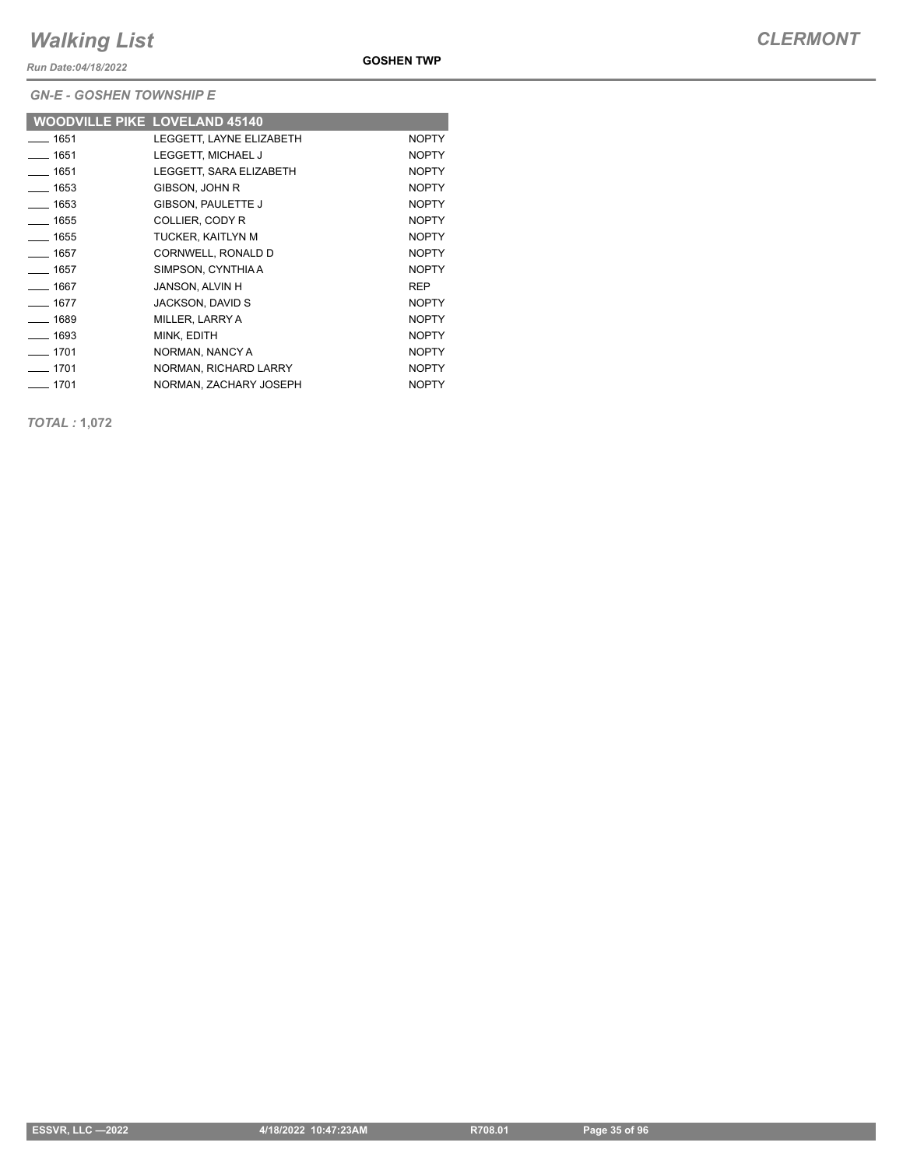*Run Date:04/18/2022*

**GOSHEN TWP**

*GN-E - GOSHEN TOWNSHIP E*

| <b>WOODVILLE PIKE LOVELAND 45140</b> |                          |              |
|--------------------------------------|--------------------------|--------------|
| $-1651$                              | LEGGETT, LAYNE ELIZABETH | <b>NOPTY</b> |
| $- 1651$                             | LEGGETT, MICHAEL J       | <b>NOPTY</b> |
| $- 1651$                             | LEGGETT. SARA ELIZABETH  | <b>NOPTY</b> |
| $- 1653$                             | GIBSON, JOHN R           | <b>NOPTY</b> |
| $- 1653$                             | GIBSON, PAULETTE J       | <b>NOPTY</b> |
| $- 1655$                             | COLLIER, CODY R          | <b>NOPTY</b> |
| $- 1655$                             | TUCKER, KAITLYN M        | <b>NOPTY</b> |
| $\frac{1}{1657}$                     | CORNWELL, RONALD D       | <b>NOPTY</b> |
| $- 1657$                             | SIMPSON, CYNTHIAA        | <b>NOPTY</b> |
| $- 1667$                             | JANSON, ALVIN H          | <b>REP</b>   |
| $- 1677$                             | JACKSON, DAVID S         | <b>NOPTY</b> |
| $- 1689$                             | MILLER, LARRY A          | <b>NOPTY</b> |
| $- 1693$                             | MINK. EDITH              | <b>NOPTY</b> |
| $-1701$                              | NORMAN, NANCY A          | <b>NOPTY</b> |
| $-1701$                              | NORMAN, RICHARD LARRY    | <b>NOPTY</b> |
| $-1701$                              | NORMAN, ZACHARY JOSEPH   | <b>NOPTY</b> |

*TOTAL :* **1,072**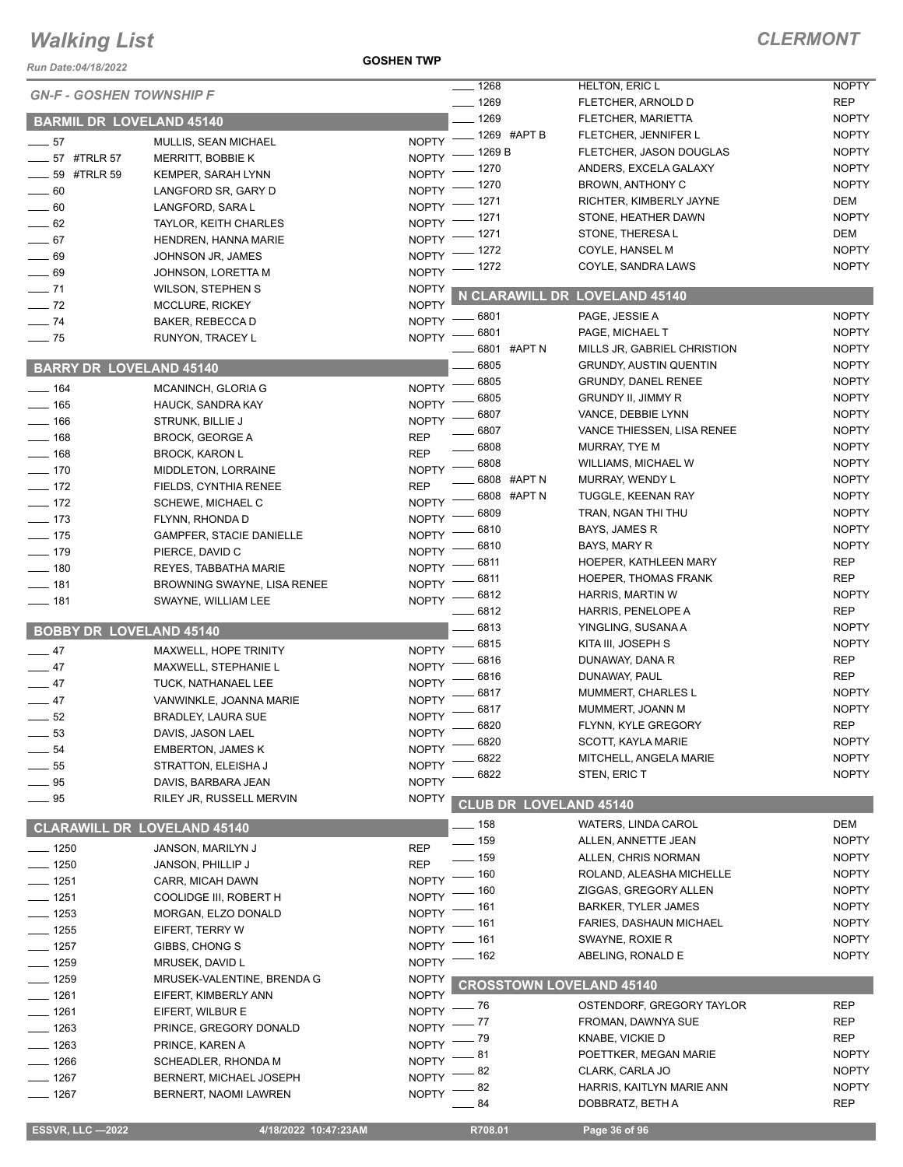*Run Date:04/18/2022*

**GOSHEN TWP**

|                                    |                                 |                    | $\frac{1}{2}$ 1268              | HELTON, ERIC L                 | <b>NOPTY</b> |
|------------------------------------|---------------------------------|--------------------|---------------------------------|--------------------------------|--------------|
| <b>GN-F - GOSHEN TOWNSHIP F</b>    |                                 |                    | $- 1269$                        | FLETCHER, ARNOLD D             | <b>REP</b>   |
| <b>BARMIL DR LOVELAND 45140</b>    |                                 |                    | $-1269$                         | FLETCHER, MARIETTA             | <b>NOPTY</b> |
|                                    |                                 | <b>NOPTY</b>       | -1269 #APT B                    | FLETCHER, JENNIFER L           | <b>NOPTY</b> |
| $\frac{1}{2}$ 57                   | MULLIS, SEAN MICHAEL            | <b>NOPTY</b>       | . 1269 B                        | FLETCHER, JASON DOUGLAS        | <b>NOPTY</b> |
| ____ 57 #TRLR 57                   | MERRITT, BOBBIE K               | <b>NOPTY</b>       | . 1270                          | ANDERS, EXCELA GALAXY          | <b>NOPTY</b> |
| <b>4TRLR 59</b> #TRLR 59           | KEMPER, SARAH LYNN              | <b>NOPTY</b>       | - 1270                          | BROWN, ANTHONY C               | <b>NOPTY</b> |
| $- 60$                             | LANGFORD SR, GARY D             |                    | 1271                            | RICHTER, KIMBERLY JAYNE        | DEM          |
| $\sim$ 60                          | LANGFORD, SARA L                | <b>NOPTY</b>       | 1271                            | STONE, HEATHER DAWN            | <b>NOPTY</b> |
| $\frac{1}{2}$ 62                   | TAYLOR, KEITH CHARLES           | <b>NOPTY</b>       | . 1271                          | STONE, THERESAL                | DEM          |
| $-67$                              | HENDREN, HANNA MARIE            | <b>NOPTY</b>       | 1272                            | COYLE, HANSEL M                | <b>NOPTY</b> |
| $\frac{1}{2}$ 69                   | JOHNSON JR, JAMES               | <b>NOPTY</b>       | - 1272                          | COYLE, SANDRA LAWS             | <b>NOPTY</b> |
| $\frac{1}{2}$ 69                   | JOHNSON, LORETTA M              | NOPTY <sup>-</sup> |                                 |                                |              |
| $- 71$                             | <b>WILSON, STEPHEN S</b>        | <b>NOPTY</b>       |                                 | N CLARAWILL DR LOVELAND 45140  |              |
| $\frac{1}{2}$ 72                   | <b>MCCLURE, RICKEY</b>          | <b>NOPTY</b>       |                                 | PAGE, JESSIE A                 | <b>NOPTY</b> |
| $-74$                              | BAKER, REBECCA D                |                    | NOPTY -8801<br>6801             | PAGE, MICHAEL T                | <b>NOPTY</b> |
| $\frac{1}{2}$ 75                   | RUNYON, TRACEY L                | <b>NOPTY</b>       | 6801 #APT N                     |                                |              |
|                                    |                                 |                    |                                 | MILLS JR, GABRIEL CHRISTION    | <b>NOPTY</b> |
| <b>BARRY DR LOVELAND 45140</b>     |                                 |                    | 6805                            | <b>GRUNDY, AUSTIN QUENTIN</b>  | <b>NOPTY</b> |
| $- 164$                            | MCANINCH, GLORIA G              | <b>NOPTY</b>       | 6805                            | <b>GRUNDY, DANEL RENEE</b>     | <b>NOPTY</b> |
| $- 165$                            | HAUCK, SANDRA KAY               | <b>NOPTY</b>       | 6805                            | <b>GRUNDY II, JIMMY R</b>      | <b>NOPTY</b> |
| $- 166$                            | <b>STRUNK, BILLIE J</b>         | <b>NOPTY</b>       | 6807                            | VANCE, DEBBIE LYNN             | <b>NOPTY</b> |
| $- 168$                            | <b>BROCK, GEORGE A</b>          | <b>REP</b>         | 6807                            | VANCE THIESSEN, LISA RENEE     | <b>NOPTY</b> |
| $- 168$                            | <b>BROCK, KARON L</b>           | <b>REP</b>         | 6808                            | MURRAY, TYE M                  | <b>NOPTY</b> |
| $- 170$                            | MIDDLETON, LORRAINE             | <b>NOPTY</b>       | 6808                            | WILLIAMS, MICHAEL W            | <b>NOPTY</b> |
| $-172$                             | FIELDS, CYNTHIA RENEE           | <b>REP</b>         | 6808 #APT N                     | MURRAY, WENDY L                | <b>NOPTY</b> |
| $- 172$                            | SCHEWE, MICHAEL C               | <b>NOPTY</b>       | 6808 #APT N                     | TUGGLE, KEENAN RAY             | <b>NOPTY</b> |
| $- 173$                            | FLYNN, RHONDA D                 | <b>NOPTY</b>       | 6809                            | TRAN, NGAN THI THU             | <b>NOPTY</b> |
| $- 175$                            | <b>GAMPFER, STACIE DANIELLE</b> | <b>NOPTY</b>       | 6810                            | BAYS, JAMES R                  | <b>NOPTY</b> |
| $- 179$                            | PIERCE, DAVID C                 | <b>NOPTY</b>       | 6810                            | BAYS, MARY R                   | <b>NOPTY</b> |
| $\frac{1}{2}$ 180                  | <b>REYES, TABBATHA MARIE</b>    | <b>NOPTY</b>       | 6811                            | HOEPER, KATHLEEN MARY          | <b>REP</b>   |
| $- 181$                            | BROWNING SWAYNE, LISA RENEE     | <b>NOPTY</b>       | 6811                            | <b>HOEPER, THOMAS FRANK</b>    | <b>REP</b>   |
| $- 181$                            | SWAYNE, WILLIAM LEE             | <b>NOPTY</b>       | 6812                            | HARRIS, MARTIN W               | <b>NOPTY</b> |
|                                    |                                 |                    | 6812                            | HARRIS, PENELOPE A             | <b>REP</b>   |
| <b>BOBBY DR LOVELAND 45140</b>     |                                 |                    | 6813                            | YINGLING, SUSANA A             | <b>NOPTY</b> |
|                                    |                                 |                    | 6815                            | KITA III, JOSEPH S             | <b>NOPTY</b> |
| $\frac{1}{2}$ 47                   | MAXWELL, HOPE TRINITY           | <b>NOPTY</b>       | 6816                            | DUNAWAY, DANA R                | <b>REP</b>   |
| $-47$                              | MAXWELL, STEPHANIE L            | <b>NOPTY</b>       | 6816                            | DUNAWAY, PAUL                  | <b>REP</b>   |
| $-47$                              | TUCK, NATHANAEL LEE             | <b>NOPTY</b>       | 6817                            | MUMMERT, CHARLES L             | <b>NOPTY</b> |
| $-47$                              | VANWINKLE, JOANNA MARIE         | <b>NOPTY</b>       | 6817                            | MUMMERT, JOANN M               | <b>NOPTY</b> |
| $-52$                              | <b>BRADLEY, LAURA SUE</b>       | <b>NOPTY</b>       | 6820                            | FLYNN, KYLE GREGORY            | <b>REP</b>   |
| 53                                 | DAVIS, JASON LAEL               | <b>NOPTY</b>       | 6820                            | SCOTT, KAYLA MARIE             | <b>NOPTY</b> |
| $\rule{1em}{0.15mm}$ 54            | <b>EMBERTON, JAMES K</b>        | <b>NOPTY</b>       | 6822                            | MITCHELL, ANGELA MARIE         | <b>NOPTY</b> |
| $-55$                              | STRATTON, ELEISHA J             | <b>NOPTY</b>       | 6822                            | STEN, ERIC T                   | <b>NOPTY</b> |
| $-95$                              | DAVIS, BARBARA JEAN             | <b>NOPTY</b>       |                                 |                                |              |
| $-95$                              | RILEY JR, RUSSELL MERVIN        | <b>NOPTY</b>       | <b>CLUB DR LOVELAND 45140</b>   |                                |              |
|                                    |                                 |                    | __ 158                          | <b>WATERS, LINDA CAROL</b>     | DEM          |
| <b>CLARAWILL DR LOVELAND 45140</b> |                                 |                    | $-159$                          | ALLEN, ANNETTE JEAN            | <b>NOPTY</b> |
| $- 1250$                           | JANSON, MARILYN J               | <b>REP</b>         | $-159$                          | ALLEN, CHRIS NORMAN            | <b>NOPTY</b> |
| $\frac{1}{2}$ 1250                 | JANSON, PHILLIP J               | <b>REP</b>         | _ 160                           | ROLAND, ALEASHA MICHELLE       | <b>NOPTY</b> |
| $- 1251$                           | CARR, MICAH DAWN                | <b>NOPTY</b>       |                                 | ZIGGAS, GREGORY ALLEN          | <b>NOPTY</b> |
| $- 1251$                           | COOLIDGE III, ROBERT H          | <b>NOPTY</b>       | 160                             |                                | <b>NOPTY</b> |
| $- 1253$                           | MORGAN, ELZO DONALD             | <b>NOPTY</b>       | 161                             | <b>BARKER, TYLER JAMES</b>     |              |
| $- 1255$                           | EIFERT, TERRY W                 | <b>NOPTY</b>       | 161                             | <b>FARIES, DASHAUN MICHAEL</b> | <b>NOPTY</b> |
| $- 1257$                           | GIBBS, CHONG S                  | <b>NOPTY</b>       | 161                             | SWAYNE, ROXIE R                | <b>NOPTY</b> |
| $- 1259$                           | MRUSEK, DAVID L                 | <b>NOPTY</b>       | 162                             | ABELING, RONALD E              | <b>NOPTY</b> |
| $- 1259$                           | MRUSEK-VALENTINE, BRENDA G      | <b>NOPTY</b>       | <b>CROSSTOWN LOVELAND 45140</b> |                                |              |
| ___ 1261                           | EIFERT, KIMBERLY ANN            | <b>NOPTY</b>       |                                 |                                |              |
| $-1261$                            | EIFERT, WILBUR E                | <b>NOPTY</b>       | _ 76                            | OSTENDORF, GREGORY TAYLOR      | <b>REP</b>   |
| $-1263$                            | PRINCE, GREGORY DONALD          | <b>NOPTY</b>       | . 77                            | FROMAN, DAWNYA SUE             | <b>REP</b>   |
| $-1263$                            | PRINCE, KAREN A                 | <b>NOPTY</b>       | 79                              | KNABE, VICKIE D                | REP          |
| $- 1266$                           | SCHEADLER, RHONDA M             | <b>NOPTY</b>       | 81                              | POETTKER, MEGAN MARIE          | <b>NOPTY</b> |
| $- 1267$                           | BERNERT, MICHAEL JOSEPH         | <b>NOPTY</b>       | 82                              | CLARK, CARLA JO                | <b>NOPTY</b> |
| $- 1267$                           | BERNERT, NAOMI LAWREN           | <b>NOPTY</b>       | 82                              | HARRIS, KAITLYN MARIE ANN      | <b>NOPTY</b> |
|                                    |                                 |                    | 84                              | DOBBRATZ, BETH A               | <b>REP</b>   |
| <b>ESSVR, LLC-2022</b>             | 4/18/2022 10:47:23AM            |                    | R708.01                         | Page 36 of 96                  |              |
|                                    |                                 |                    |                                 |                                |              |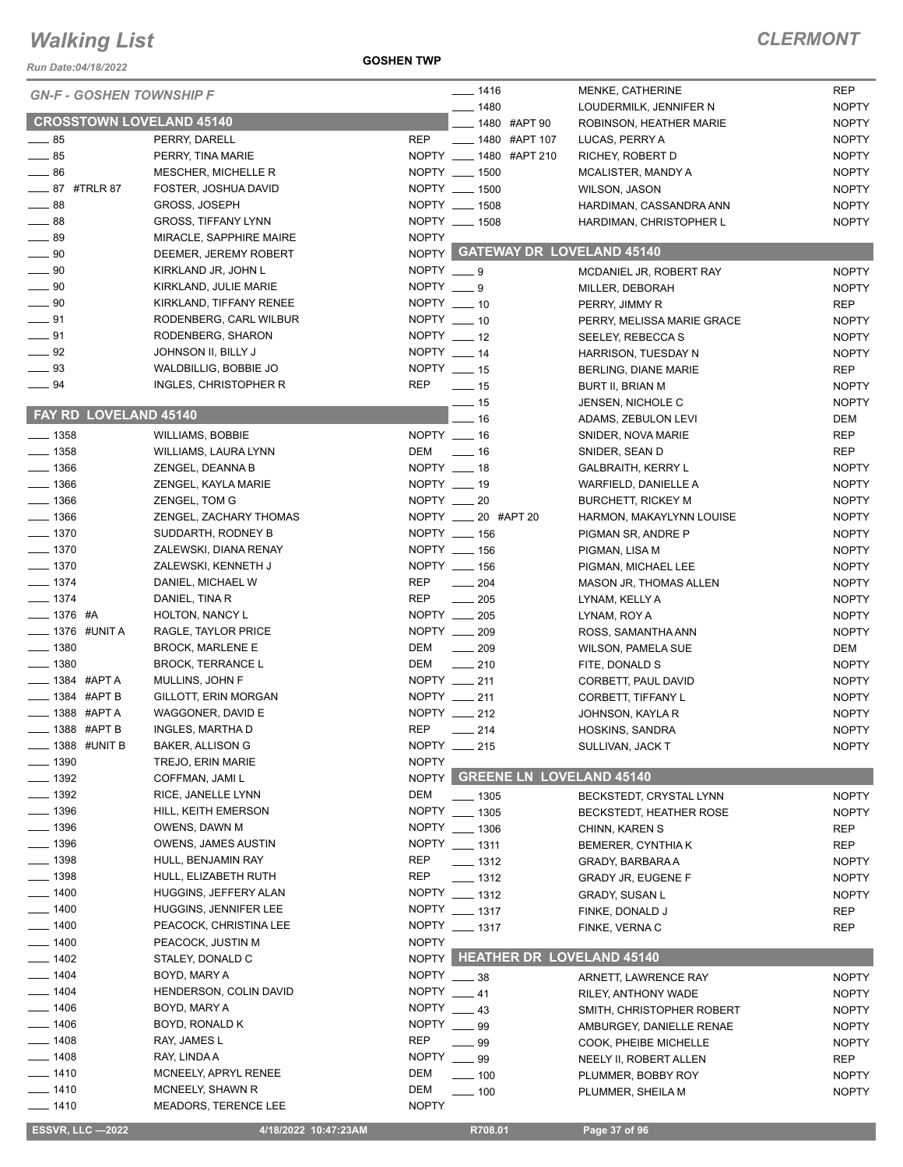*Run Date:04/18/2022*

#### **GOSHEN TWP**

|                                 |                                    |                  | $- 1416$                         | MENKE, CATHERINE               | <b>REP</b>   |
|---------------------------------|------------------------------------|------------------|----------------------------------|--------------------------------|--------------|
| <b>GN-F - GOSHEN TOWNSHIP F</b> |                                    |                  | $- 1480$                         | LOUDERMILK, JENNIFER N         | <b>NOPTY</b> |
| <b>CROSSTOWN LOVELAND 45140</b> |                                    |                  | ____ 1480 #APT 90                | ROBINSON, HEATHER MARIE        | <b>NOPTY</b> |
| $\frac{1}{2}$ 85                |                                    | <b>REP</b>       | ____ 1480 #APT 107               |                                | <b>NOPTY</b> |
| $\frac{1}{2}$ 85                | PERRY, DARELL<br>PERRY, TINA MARIE |                  | NOPTY __ 1480 #APT 210           | LUCAS, PERRY A                 |              |
|                                 |                                    |                  |                                  | RICHEY, ROBERT D               | <b>NOPTY</b> |
| $\frac{1}{2}$ 86                | MESCHER, MICHELLE R                |                  | NOPTY __ 1500                    | MCALISTER, MANDY A             | <b>NOPTY</b> |
| ____ 87 #TRLR 87                | FOSTER, JOSHUA DAVID               |                  | NOPTY __ 1500                    | WILSON, JASON                  | <b>NOPTY</b> |
| $-88$                           | GROSS, JOSEPH                      |                  | NOPTY __ 1508                    | HARDIMAN, CASSANDRA ANN        | <b>NOPTY</b> |
| $\frac{1}{2}$ 88                | <b>GROSS, TIFFANY LYNN</b>         |                  | NOPTY __ 1508                    | HARDIMAN, CHRISTOPHER L        | <b>NOPTY</b> |
| $\_\_\$ 89                      | MIRACLE, SAPPHIRE MAIRE            | <b>NOPTY</b>     |                                  |                                |              |
| $\frac{1}{2}$ 90                | DEEMER, JEREMY ROBERT              |                  | NOPTY GATEWAY DR LOVELAND 45140  |                                |              |
| $\frac{1}{2}$ 90                | KIRKLAND JR, JOHN L                | $NOPTY = 9$      |                                  | MCDANIEL JR, ROBERT RAY        | <b>NOPTY</b> |
| $\_\_\_\$ 90                    | KIRKLAND, JULIE MARIE              | NOPTY $\_\_$ 9   |                                  | MILLER, DEBORAH                | <b>NOPTY</b> |
| $\frac{1}{2}$ 90                | KIRKLAND, TIFFANY RENEE            | NOPTY __ 10      |                                  | PERRY, JIMMY R                 | <b>REP</b>   |
| $-91$                           | RODENBERG, CARL WILBUR             | NOPTY $-10$      |                                  | PERRY, MELISSA MARIE GRACE     | <b>NOPTY</b> |
| $\frac{1}{2}$ 91                | RODENBERG, SHARON                  | $NOPTY$ _____ 12 |                                  | SEELEY, REBECCA S              | <b>NOPTY</b> |
| $\frac{92}{2}$                  | JOHNSON II, BILLY J                | NOPTY $-14$      |                                  | HARRISON, TUESDAY N            | <b>NOPTY</b> |
| $\equiv$ 93                     | WALDBILLIG, BOBBIE JO              | NOPTY __ 15      |                                  | BERLING, DIANE MARIE           | <b>REP</b>   |
| $\frac{1}{2}$ 94                | INGLES, CHRISTOPHER R              | <b>REP</b>       | $\frac{1}{2}$ 15                 | <b>BURT II, BRIAN M</b>        | <b>NOPTY</b> |
|                                 |                                    |                  | $\equiv$ 15                      | JENSEN, NICHOLE C              | <b>NOPTY</b> |
| <b>FAY RD LOVELAND 45140</b>    |                                    |                  | $-16$                            |                                | DEM          |
|                                 |                                    | NOPTY __ 16      |                                  | ADAMS, ZEBULON LEVI            |              |
| $- 1358$                        | <b>WILLIAMS, BOBBIE</b>            |                  |                                  | SNIDER, NOVA MARIE             | <b>REP</b>   |
| $- 1358$                        | WILLIAMS, LAURA LYNN               | DEM _____ 16     |                                  | SNIDER, SEAN D                 | <b>REP</b>   |
| $\frac{1}{2}$ 1366              | ZENGEL, DEANNA B                   | NOPTY __ 18      |                                  | <b>GALBRAITH, KERRY L</b>      | <b>NOPTY</b> |
| $- 1366$                        | ZENGEL, KAYLA MARIE                | NOPTY __ 19      |                                  | WARFIELD, DANIELLE A           | <b>NOPTY</b> |
| $- 1366$                        | ZENGEL, TOM G                      | NOPTY __ 20      |                                  | <b>BURCHETT, RICKEY M</b>      | <b>NOPTY</b> |
| $- 1366$                        | ZENGEL, ZACHARY THOMAS             |                  | NOPTY _____ 20 #APT 20           | HARMON, MAKAYLYNN LOUISE       | <b>NOPTY</b> |
| $- 1370$                        | SUDDARTH, RODNEY B                 |                  | NOPTY __ 156                     | PIGMAN SR, ANDRE P             | <b>NOPTY</b> |
| $\frac{1}{2}$ 1370              | ZALEWSKI, DIANA RENAY              |                  | NOPTY __ 156                     | PIGMAN, LISA M                 | <b>NOPTY</b> |
| $\frac{1}{2}$ 1370              | ZALEWSKI, KENNETH J                |                  | NOPTY __ 156                     | PIGMAN, MICHAEL LEE            | <b>NOPTY</b> |
| $- 1374$                        | DANIEL, MICHAEL W                  | <b>REP</b>       | $\frac{1}{204}$                  | MASON JR, THOMAS ALLEN         | <b>NOPTY</b> |
| $- 1374$                        | DANIEL, TINA R                     | <b>REP</b>       | $\frac{1}{205}$                  | LYNAM, KELLY A                 | <b>NOPTY</b> |
| $- 1376$ #A                     | HOLTON, NANCY L                    |                  | NOPTY __ 205                     | LYNAM, ROY A                   | <b>NOPTY</b> |
| ____ 1376 #UNIT A               | RAGLE, TAYLOR PRICE                |                  | NOPTY __ 209                     | ROSS, SAMANTHA ANN             | <b>NOPTY</b> |
| $- 1380$                        | <b>BROCK, MARLENE E</b>            | DEM              | $-209$                           | <b>WILSON, PAMELA SUE</b>      | DEM          |
| $- 1380$                        | <b>BROCK, TERRANCE L</b>           | DEM              | $\frac{1}{210}$                  |                                | <b>NOPTY</b> |
|                                 |                                    |                  |                                  | FITE, DONALD S                 |              |
| $\equiv$ 1384 #APTA             | MULLINS, JOHN F                    |                  | NOPTY __ 211                     | CORBETT, PAUL DAVID            | <b>NOPTY</b> |
| $\frac{1}{2}$ 1384 #APT B       | GILLOTT, ERIN MORGAN               |                  | NOPTY __ 211                     | CORBETT, TIFFANY L             | <b>NOPTY</b> |
| <b>____ 1388 #APT A</b>         | WAGGONER, DAVID E                  |                  | NOPTY __ 212                     | JOHNSON, KAYLA R               | <b>NOPTY</b> |
| ___ 1388 #APT B                 | INGLES, MARTHA D                   | <b>REP</b>       | _ 214                            | HOSKINS, SANDRA                | <b>NOPTY</b> |
| $=$ 1388 $\,$ #UNIT B           | <b>BAKER, ALLISON G</b>            |                  | NOPTY __ 215                     | SULLIVAN, JACK T               | <b>NOPTY</b> |
| $-1390$                         | TREJO, ERIN MARIE                  | <b>NOPTY</b>     |                                  |                                |              |
| $\frac{1}{2}$ 1392              | COFFMAN, JAMI L                    | <b>NOPTY</b>     | <b>GREENE LN LOVELAND 45140</b>  |                                |              |
| $- 1392$                        | RICE, JANELLE LYNN                 | DEM              | $- 1305$                         | BECKSTEDT, CRYSTAL LYNN        | <b>NOPTY</b> |
| $- 1396$                        | HILL, KEITH EMERSON                |                  | NOPTY __ 1305                    | <b>BECKSTEDT, HEATHER ROSE</b> | <b>NOPTY</b> |
| $- 1396$                        | OWENS, DAWN M                      |                  | NOPTY __ 1306                    | CHINN, KAREN S                 | <b>REP</b>   |
| $- 1396$                        | <b>OWENS, JAMES AUSTIN</b>         |                  | NOPTY __ 1311                    | BEMERER, CYNTHIA K             | REP          |
| $- 1398$                        | HULL, BENJAMIN RAY                 | <b>REP</b>       | $\equiv$ 1312                    | GRADY, BARBARA A               | <b>NOPTY</b> |
| __ 1398                         | HULL, ELIZABETH RUTH               | REP              | $- 1312$                         | <b>GRADY JR, EUGENE F</b>      | <b>NOPTY</b> |
| $- 1400$                        | HUGGINS, JEFFERY ALAN              |                  | NOPTY __ 1312                    | GRADY, SUSAN L                 | <b>NOPTY</b> |
| $- 1400$                        | <b>HUGGINS, JENNIFER LEE</b>       |                  | NOPTY __ 1317                    |                                |              |
|                                 |                                    |                  |                                  | FINKE, DONALD J                | <b>REP</b>   |
| $- 1400$                        | PEACOCK, CHRISTINA LEE             |                  | NOPTY __ 1317                    | FINKE, VERNA C                 | REP          |
| $-1400$                         | PEACOCK, JUSTIN M                  | <b>NOPTY</b>     |                                  |                                |              |
| _ 1402                          | STALEY, DONALD C                   | <b>NOPTY</b>     | <b>HEATHER DR LOVELAND 45140</b> |                                |              |
| $-1404$                         | BOYD, MARY A                       | <b>NOPTY</b>     | $-38$                            | ARNETT, LAWRENCE RAY           | <b>NOPTY</b> |
| $-1404$                         | HENDERSON, COLIN DAVID             | <b>NOPTY</b>     | $-41$                            | RILEY, ANTHONY WADE            | <b>NOPTY</b> |
| $-1406$                         | BOYD, MARY A                       | <b>NOPTY</b>     | $-43$                            | SMITH, CHRISTOPHER ROBERT      | <b>NOPTY</b> |
| $- 1406$                        | BOYD, RONALD K                     | <b>NOPTY</b>     | 99                               | AMBURGEY, DANIELLE RENAE       | <b>NOPTY</b> |
| _ 1408                          | RAY, JAMES L                       | <b>REP</b>       | __ 99                            | COOK, PHEIBE MICHELLE          | <b>NOPTY</b> |
| $- 1408$                        | RAY, LINDA A                       | <b>NOPTY</b>     | $-99$                            | NEELY II, ROBERT ALLEN         | <b>REP</b>   |
| $- 1410$                        | MCNEELY, APRYL RENEE               | DEM              | $\equiv$ 100                     | PLUMMER, BOBBY ROY             | <b>NOPTY</b> |
| $- 1410$                        | MCNEELY, SHAWN R                   | DEM              | $-100$                           | PLUMMER, SHEILA M              | <b>NOPTY</b> |
| —— 1410                         | MEADORS, TERENCE LEE               | <b>NOPTY</b>     |                                  |                                |              |
|                                 |                                    |                  |                                  |                                |              |
| <b>ESSVR, LLC -2022</b>         | 4/18/2022 10:47:23AM               |                  | R708.01                          | Page 37 of 96                  |              |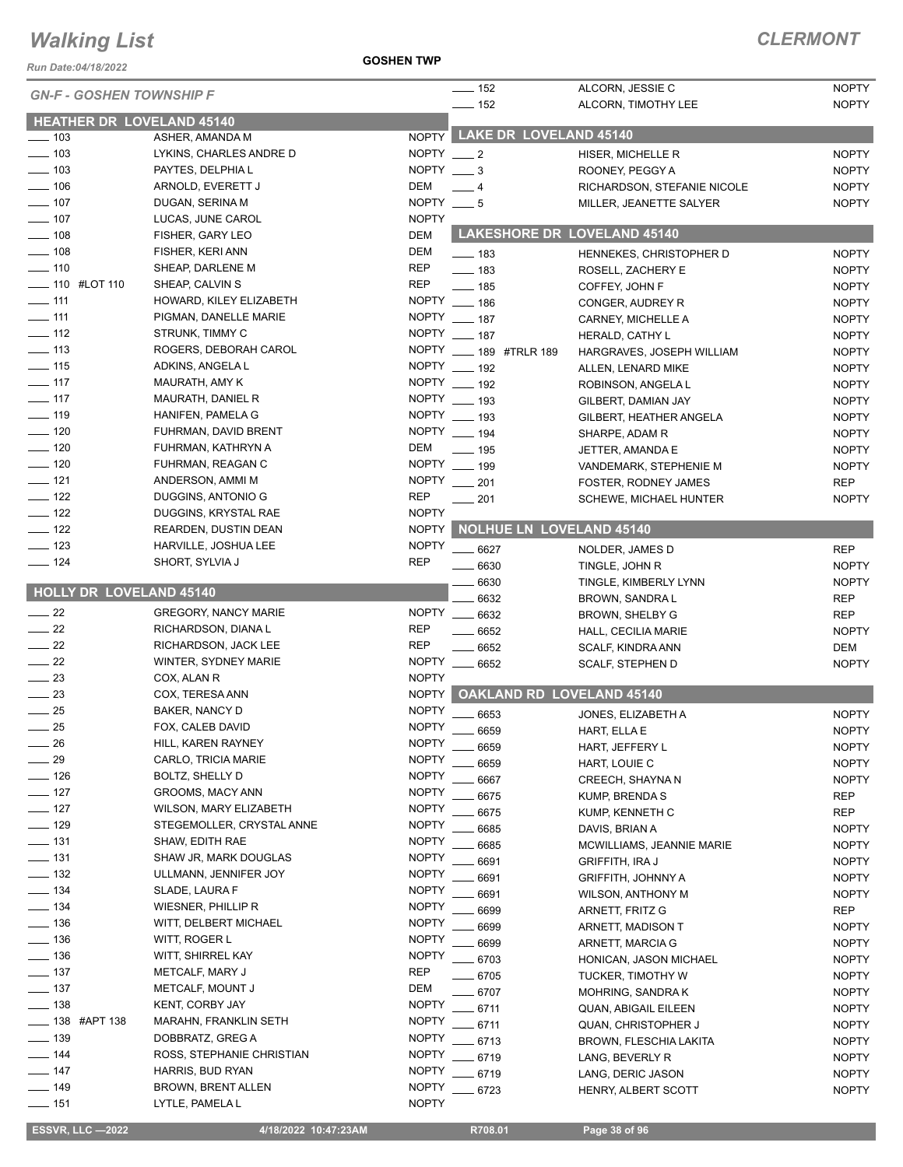*Run Date:04/18/2022*

|                                  |                             |                 | $- 152$                            | ALCORN, JESSIE C              | <b>NOPTY</b> |
|----------------------------------|-----------------------------|-----------------|------------------------------------|-------------------------------|--------------|
| <b>GN-F - GOSHEN TOWNSHIP F</b>  |                             |                 | $- 152$                            | ALCORN, TIMOTHY LEE           | <b>NOPTY</b> |
| <b>HEATHER DR LOVELAND 45140</b> |                             |                 |                                    |                               |              |
| $\sim$ 103                       | ASHER, AMANDA M             |                 | NOPTY LAKE DR LOVELAND 45140       |                               |              |
| $- 103$                          | LYKINS, CHARLES ANDRE D     | NOPTY $-2$      |                                    |                               | <b>NOPTY</b> |
| $\frac{1}{2}$ 103                | PAYTES, DELPHIA L           | NOPTY $\_\_\$ 3 |                                    | HISER, MICHELLE R             |              |
|                                  |                             | DEM             |                                    | ROONEY, PEGGY A               | <b>NOPTY</b> |
| $\frac{1}{2}$ 106                | ARNOLD, EVERETT J           |                 | $-4$                               | RICHARDSON, STEFANIE NICOLE   | <b>NOPTY</b> |
| $\frac{1}{2}$ 107                | DUGAN, SERINA M             | NOPTY $- 5$     |                                    | MILLER, JEANETTE SALYER       | <b>NOPTY</b> |
| $\frac{1}{2}$ 107                | LUCAS, JUNE CAROL           | <b>NOPTY</b>    |                                    |                               |              |
| $- 108$                          | FISHER, GARY LEO            | DEM             | <b>LAKESHORE DR LOVELAND 45140</b> |                               |              |
| $\frac{1}{2}$ 108                | FISHER, KERI ANN            | DEM             | $\equiv$ 183                       | HENNEKES, CHRISTOPHER D       | <b>NOPTY</b> |
| $- 110$                          | SHEAP, DARLENE M            | <b>REP</b>      | $\frac{1}{2}$ 183                  | ROSELL, ZACHERY E             | <b>NOPTY</b> |
| ____ 110   #LOT 110              | SHEAP, CALVIN S             | <b>REP</b>      | $-185$                             | COFFEY, JOHN F                | <b>NOPTY</b> |
| $- 111$                          | HOWARD, KILEY ELIZABETH     | <b>NOPTY</b>    | $- 186$                            | CONGER, AUDREY R              | <b>NOPTY</b> |
| $-111$                           | PIGMAN, DANELLE MARIE       |                 | NOPTY __ 187                       | CARNEY, MICHELLE A            | <b>NOPTY</b> |
| $- 112$                          | STRUNK, TIMMY C             |                 | NOPTY __ 187                       | HERALD, CATHY L               | <b>NOPTY</b> |
| $\equiv$ 113                     | ROGERS, DEBORAH CAROL       |                 | NOPTY __ 189 #TRLR 189             | HARGRAVES, JOSEPH WILLIAM     | <b>NOPTY</b> |
| $-$ 115                          | ADKINS, ANGELA L            |                 | NOPTY __ 192                       | ALLEN, LENARD MIKE            | <b>NOPTY</b> |
| $- 117$                          | MAURATH, AMY K              |                 | NOPTY __ 192                       | ROBINSON, ANGELA L            | <b>NOPTY</b> |
| $- 117$                          | MAURATH, DANIEL R           |                 | NOPTY __ 193                       | GILBERT, DAMIAN JAY           | <b>NOPTY</b> |
| $- 119$                          | HANIFEN, PAMELA G           |                 | NOPTY __ 193                       | GILBERT, HEATHER ANGELA       | <b>NOPTY</b> |
| $- 120$                          | FUHRMAN, DAVID BRENT        |                 | NOPTY __ 194                       | SHARPE, ADAM R                | <b>NOPTY</b> |
| $- 120$                          | FUHRMAN, KATHRYN A          | DEM             | $\frac{1}{2}$ 195                  | JETTER, AMANDA E              | <b>NOPTY</b> |
| $- 120$                          | FUHRMAN, REAGAN C           |                 | NOPTY __ 199                       | VANDEMARK, STEPHENIE M        | <b>NOPTY</b> |
| $-$ 121                          | ANDERSON, AMMI M            | <b>NOPTY</b>    | $\frac{1}{201}$                    | FOSTER, RODNEY JAMES          | <b>REP</b>   |
| $\frac{1}{2}$ 122                | DUGGINS, ANTONIO G          | <b>REP</b>      | . 201                              | <b>SCHEWE, MICHAEL HUNTER</b> | <b>NOPTY</b> |
| $\frac{1}{2}$ 122                | DUGGINS, KRYSTAL RAE        | <b>NOPTY</b>    |                                    |                               |              |
| $- 122$                          | REARDEN, DUSTIN DEAN        | <b>NOPTY</b>    | NOLHUE LN LOVELAND 45140           |                               |              |
| $\frac{1}{2}$ 123                | HARVILLE, JOSHUA LEE        | <b>NOPTY</b>    |                                    |                               |              |
| —— 124                           | SHORT, SYLVIA J             | <b>REP</b>      | 6627                               | NOLDER, JAMES D               | <b>REP</b>   |
|                                  |                             |                 | $\frac{1}{2}$ 6630                 | TINGLE, JOHN R                | <b>NOPTY</b> |
| <b>HOLLY DR LOVELAND 45140</b>   |                             |                 | 6630                               | TINGLE, KIMBERLY LYNN         | <b>NOPTY</b> |
|                                  |                             |                 | 6632                               | BROWN, SANDRA L               | <b>REP</b>   |
| $\sim$ 22                        | <b>GREGORY, NANCY MARIE</b> |                 | NOPTY __ 6632                      | BROWN, SHELBY G               | <b>REP</b>   |
| $\frac{1}{22}$                   | RICHARDSON, DIANA L         | <b>REP</b>      | $-6652$                            | <b>HALL, CECILIA MARIE</b>    | <b>NOPTY</b> |
| $\sim$ 22                        | RICHARDSON, JACK LEE        | <b>REP</b>      | 6652                               | SCALF, KINDRA ANN             | DEM          |
| $\frac{1}{22}$                   | WINTER, SYDNEY MARIE        | <b>NOPTY</b>    | 6652                               | <b>SCALF, STEPHEN D</b>       | <b>NOPTY</b> |
| $\frac{1}{2}$                    | COX, ALAN R                 | <b>NOPTY</b>    |                                    |                               |              |
| $\frac{1}{2}$                    | COX, TERESA ANN             | <b>NOPTY</b>    | <b>OAKLAND RD LOVELAND 45140</b>   |                               |              |
| $-25$                            | <b>BAKER, NANCY D</b>       | <b>NOPTY</b>    | 6653                               | JONES, ELIZABETH A            | <b>NOPTY</b> |
| $-25$                            | FOX, CALEB DAVID            | <b>NOPTY</b>    | 6659                               | HART, ELLA E                  | <b>NOPTY</b> |
| 26                               | HILL, KAREN RAYNEY          | <b>NOPTY</b>    | 6659                               | HART, JEFFERY L               | <b>NOPTY</b> |
| 29                               | CARLO, TRICIA MARIE         | <b>NOPTY</b>    | 6659                               | HART, LOUIE C                 | <b>NOPTY</b> |
| $-126$                           | BOLTZ, SHELLY D             | <b>NOPTY</b>    | 6667                               | CREECH, SHAYNA N              | <b>NOPTY</b> |
| $-127$                           | GROOMS, MACY ANN            | <b>NOPTY</b>    | 6675                               | KUMP, BRENDA S                | <b>REP</b>   |
| $- 127$                          | WILSON, MARY ELIZABETH      | <b>NOPTY</b>    | 6675                               | KUMP, KENNETH C               | REP          |
| $- 129$                          | STEGEMOLLER, CRYSTAL ANNE   | <b>NOPTY</b>    | 6685                               | DAVIS, BRIAN A                | <b>NOPTY</b> |
| ___ 131                          | SHAW, EDITH RAE             | <b>NOPTY</b>    | 6685                               | MCWILLIAMS, JEANNIE MARIE     | <b>NOPTY</b> |
| $\equiv$ 131                     | SHAW JR, MARK DOUGLAS       | <b>NOPTY</b>    | 6691                               | <b>GRIFFITH, IRA J</b>        | <b>NOPTY</b> |
| $\frac{1}{2}$ 132                | ULLMANN, JENNIFER JOY       | <b>NOPTY</b>    | 6691                               | <b>GRIFFITH, JOHNNY A</b>     | <b>NOPTY</b> |
| $\equiv$ 134                     | SLADE, LAURA F              | <b>NOPTY</b>    | 6691                               | WILSON, ANTHONY M             | <b>NOPTY</b> |
| $- 134$                          | WIESNER, PHILLIP R          | <b>NOPTY</b>    | 6699                               | ARNETT, FRITZ G               | <b>REP</b>   |
| $- 136$                          | WITT, DELBERT MICHAEL       | <b>NOPTY</b>    | 6699                               | ARNETT, MADISON T             | <b>NOPTY</b> |
| $\equiv$ 136                     | WITT, ROGER L               | <b>NOPTY</b>    | 6699                               | ARNETT, MARCIA G              | <b>NOPTY</b> |
| $- 136$                          | WITT, SHIRREL KAY           | <b>NOPTY</b>    | 6703                               |                               |              |
| $- 137$                          | METCALF, MARY J             | <b>REP</b>      |                                    | HONICAN, JASON MICHAEL        | <b>NOPTY</b> |
| $\frac{1}{2}$ 137                | METCALF, MOUNT J            | DEM             | 6705                               | <b>TUCKER, TIMOTHY W</b>      | <b>NOPTY</b> |
| ____ 138                         | KENT, CORBY JAY             | <b>NOPTY</b>    | - 6707                             | MOHRING, SANDRA K             | <b>NOPTY</b> |
| ____ 138 #APT 138                | MARAHN, FRANKLIN SETH       | <b>NOPTY</b>    | 6711                               | <b>QUAN, ABIGAIL EILEEN</b>   | <b>NOPTY</b> |
| $-139$                           | DOBBRATZ, GREG A            | <b>NOPTY</b>    | 6711                               | QUAN, CHRISTOPHER J           | <b>NOPTY</b> |
| $- 144$                          | ROSS, STEPHANIE CHRISTIAN   | <b>NOPTY</b>    | 6713                               | <b>BROWN, FLESCHIA LAKITA</b> | <b>NOPTY</b> |
|                                  |                             |                 | 6719                               | LANG, BEVERLY R               | <b>NOPTY</b> |
| $- 147$                          | HARRIS, BUD RYAN            | <b>NOPTY</b>    | 6719                               | LANG, DERIC JASON             | <b>NOPTY</b> |
| $- 149$                          | <b>BROWN, BRENT ALLEN</b>   | <b>NOPTY</b>    | 6723                               | HENRY, ALBERT SCOTT           | <b>NOPTY</b> |
| —— 151                           | LYTLE, PAMELA L             | <b>NOPTY</b>    |                                    |                               |              |

 **ESSVR, LLC —2022 4/18/2022 10:47:23AM R708.01 Page 38 of 96**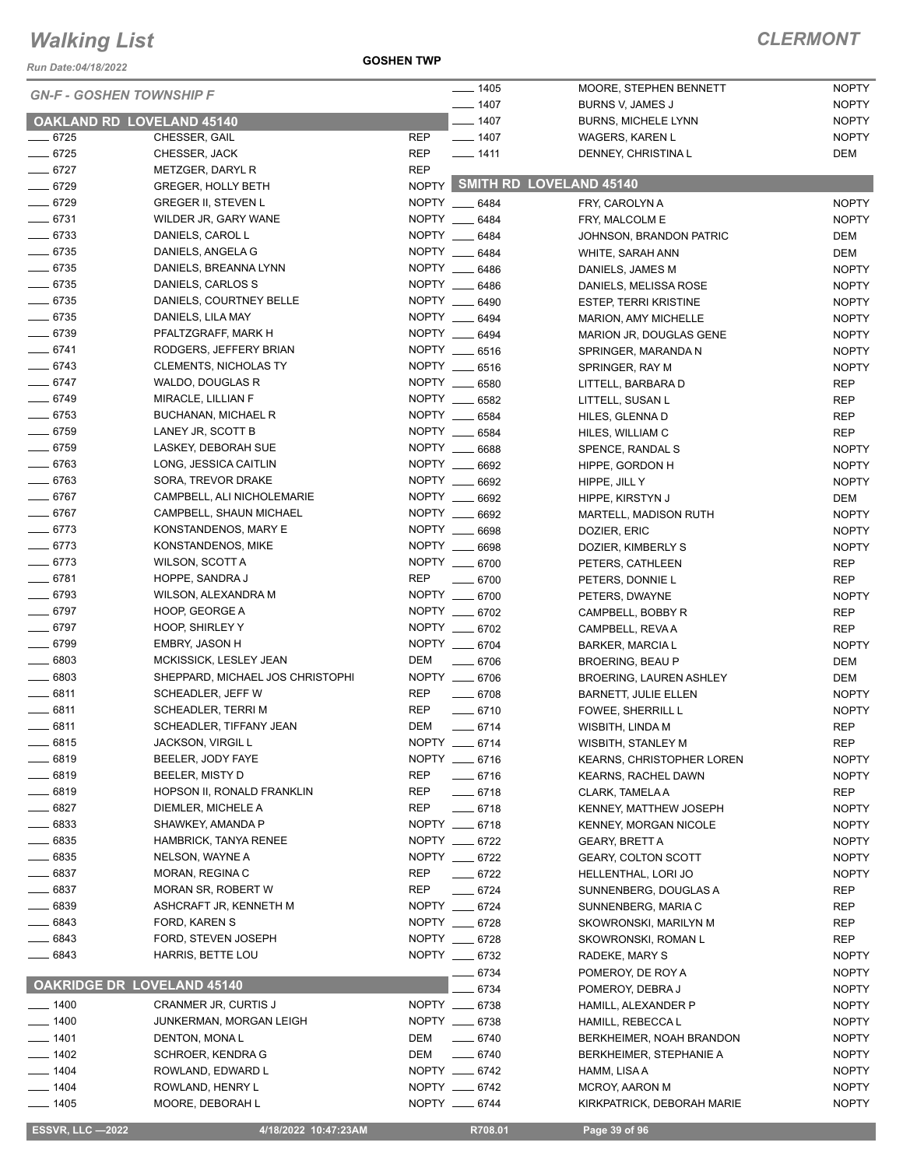*Run Date:04/18/2022*

**GOSHEN TWP**

#### *CLERMONT*

|                      |                                            | $- 1405$                       | MOORE, STEPHEN BENNETT             | <b>NOPTY</b>               |
|----------------------|--------------------------------------------|--------------------------------|------------------------------------|----------------------------|
|                      | <b>GN-F - GOSHEN TOWNSHIP F</b>            | $- 1407$                       | BURNS V, JAMES J                   | <b>NOPTY</b>               |
|                      | <b>OAKLAND RD LOVELAND 45140</b>           | $- 1407$                       | <b>BURNS, MICHELE LYNN</b>         | <b>NOPTY</b>               |
| $- 6725$             | CHESSER, GAIL                              | <b>REP</b><br>$- 1407$         | WAGERS, KAREN L                    | <b>NOPTY</b>               |
| $- 6725$             | CHESSER, JACK                              | <b>REP</b><br>$- 1411$         | DENNEY, CHRISTINA L                | DEM                        |
| $- 6727$             | METZGER, DARYL R                           | <b>REP</b>                     |                                    |                            |
| $- 6729$             | GREGER, HOLLY BETH                         |                                | NOPTY SMITH RD LOVELAND 45140      |                            |
| $- 6729$             | <b>GREGER II, STEVEN L</b>                 | NOPTY __ 6484                  | FRY, CAROLYN A                     | <b>NOPTY</b>               |
| $- 6731$             | WILDER JR, GARY WANE                       | NOPTY __ 6484                  | FRY, MALCOLM E                     | <b>NOPTY</b>               |
| $- 6733$             | DANIELS, CAROL L                           | NOPTY __ 6484                  | JOHNSON, BRANDON PATRIC            | DEM                        |
| $- 6735$             | DANIELS, ANGELA G                          | NOPTY ___<br>6484              | WHITE, SARAH ANN                   | <b>DEM</b>                 |
| $- 6735$             | DANIELS, BREANNA LYNN                      | NOPTY __ 6486                  | DANIELS, JAMES M                   | <b>NOPTY</b>               |
| $- 6735$             | DANIELS, CARLOS S                          | NOPTY __ 6486                  | DANIELS, MELISSA ROSE              | <b>NOPTY</b>               |
| $- 6735$             | DANIELS, COURTNEY BELLE                    | NOPTY __ 6490                  | <b>ESTEP, TERRI KRISTINE</b>       | <b>NOPTY</b>               |
| $- 6735$             | DANIELS, LILA MAY                          | NOPTY __ 6494                  | MARION, AMY MICHELLE               | <b>NOPTY</b>               |
| $- 6739$             | PFALTZGRAFF, MARK H                        | NOPTY __ 6494                  | <b>MARION JR, DOUGLAS GENE</b>     | <b>NOPTY</b>               |
| $-6741$              | RODGERS, JEFFERY BRIAN                     | NOPTY __ 6516                  | SPRINGER, MARANDA N                | <b>NOPTY</b>               |
| $- 6743$             | <b>CLEMENTS, NICHOLAS TY</b>               | NOPTY __ 6516                  | SPRINGER, RAY M                    | <b>NOPTY</b>               |
| $- 6747$             | WALDO, DOUGLAS R                           | NOPTY __ 6580                  | LITTELL, BARBARA D                 | <b>REP</b>                 |
| $- 6749$             | MIRACLE, LILLIAN F                         | NOPTY __ 6582                  | LITTELL, SUSAN L                   | <b>REP</b>                 |
| $- 6753$             | <b>BUCHANAN, MICHAEL R</b>                 | NOPTY __ 6584                  | HILES, GLENNA D                    | <b>REP</b>                 |
| $- 6759$             | LANEY JR, SCOTT B                          | NOPTY __ 6584                  | HILES, WILLIAM C                   | <b>REP</b>                 |
| $\frac{1}{2}$ 6759   | LASKEY, DEBORAH SUE                        | NOPTY __ 6688                  | SPENCE, RANDAL S                   | <b>NOPTY</b>               |
| $- 6763$             | LONG, JESSICA CAITLIN                      | NOPTY __<br>6692               | HIPPE, GORDON H                    | <b>NOPTY</b>               |
| $- 6763$<br>$- 6767$ | SORA, TREVOR DRAKE                         | NOPTY __ 6692                  | HIPPE, JILL Y                      | <b>NOPTY</b>               |
|                      | CAMPBELL, ALI NICHOLEMARIE                 | NOPTY __ 6692<br>NOPTY __ 6692 | HIPPE, KIRSTYN J                   | <b>DEM</b>                 |
| $- 6767$             | CAMPBELL, SHAUN MICHAEL                    |                                | MARTELL, MADISON RUTH              | <b>NOPTY</b>               |
| $- 6773$<br>$- 6773$ | KONSTANDENOS, MARY E<br>KONSTANDENOS, MIKE | NOPTY __ 6698<br>NOPTY __ 6698 | DOZIER, ERIC                       | <b>NOPTY</b>               |
| $- 6773$             | WILSON, SCOTT A                            | NOPTY __ 6700                  | DOZIER, KIMBERLY S                 | <b>NOPTY</b>               |
| $- 6781$             | HOPPE, SANDRA J                            | <b>REP</b><br>6700             | PETERS, CATHLEEN                   | <b>REP</b>                 |
| $- 6793$             | WILSON, ALEXANDRA M                        | NOPTY __ 6700                  | PETERS, DONNIE L<br>PETERS, DWAYNE | <b>REP</b><br><b>NOPTY</b> |
| $- 6797$             | HOOP, GEORGE A                             | NOPTY __ 6702                  | CAMPBELL, BOBBY R                  | <b>REP</b>                 |
| $- 6797$             | HOOP, SHIRLEY Y                            | NOPTY __ 6702                  | CAMPBELL, REVA A                   | <b>REP</b>                 |
| $- 6799$             | <b>EMBRY, JASON H</b>                      | NOPTY __ 6704                  | <b>BARKER, MARCIA L</b>            | <b>NOPTY</b>               |
| $\frac{1}{2}$ 6803   | MCKISSICK, LESLEY JEAN                     | DEM<br>$- 6706$                | <b>BROERING, BEAU P</b>            | <b>DEM</b>                 |
| $- 6803$             | SHEPPARD, MICHAEL JOS CHRISTOPHI           | NOPTY __ 6706                  | <b>BROERING, LAUREN ASHLEY</b>     | <b>DEM</b>                 |
| $- 6811$             | SCHEADLER, JEFF W                          | <b>REP</b><br>$- 6708$         | <b>BARNETT, JULIE ELLEN</b>        | <b>NOPTY</b>               |
| $-6811$              | SCHEADLER, TERRI M                         | REP<br>$-6710$                 | FOWEE, SHERRILL L                  | <b>NOPTY</b>               |
| $- 6811$             | SCHEADLER, TIFFANY JEAN                    | DEM<br>$-6714$                 | WISBITH, LINDA M                   | <b>REP</b>                 |
| _ 6815               | JACKSON, VIRGIL L                          | NOPTY __ 6714                  | WISBITH, STANLEY M                 | REP                        |
| $- 6819$             | BEELER, JODY FAYE                          | NOPTY __ 6716                  | <b>KEARNS, CHRISTOPHER LOREN</b>   | <b>NOPTY</b>               |
| $- 6819$             | BEELER, MISTY D                            | REP<br>$-6716$                 | <b>KEARNS, RACHEL DAWN</b>         | <b>NOPTY</b>               |
| $- 6819$             | HOPSON II, RONALD FRANKLIN                 | REP<br>$-6718$                 | CLARK, TAMELA A                    | <b>REP</b>                 |
| $- 6827$             | DIEMLER, MICHELE A                         | <b>REP</b><br>$-6718$          | KENNEY, MATTHEW JOSEPH             | <b>NOPTY</b>               |
| $- 6833$             | SHAWKEY, AMANDA P                          | NOPTY __ 6718                  | KENNEY, MORGAN NICOLE              | <b>NOPTY</b>               |
| $- 6835$             | HAMBRICK, TANYA RENEE                      | NOPTY __ 6722                  | <b>GEARY, BRETT A</b>              | <b>NOPTY</b>               |
| $- 6835$             | NELSON, WAYNE A                            | NOPTY ___ 6722                 | <b>GEARY, COLTON SCOTT</b>         | <b>NOPTY</b>               |
| $- 6837$             | MORAN, REGINA C                            | REP<br>$- 6722$                | HELLENTHAL, LORI JO                | <b>NOPTY</b>               |
| ____ 6837            | <b>MORAN SR, ROBERT W</b>                  | <b>REP</b><br>$- 6724$         | SUNNENBERG, DOUGLAS A              | REP                        |
| $- 6839$             | ASHCRAFT JR, KENNETH M                     | NOPTY __ 6724                  | SUNNENBERG, MARIA C                | REP                        |
| $- 6843$             | FORD, KAREN S                              | NOPTY __ 6728                  | SKOWRONSKI, MARILYN M              | REP                        |
| _ 6843               | FORD, STEVEN JOSEPH                        | NOPTY __ 6728                  | SKOWRONSKI, ROMAN L                | REP                        |
| $- 6843$             | HARRIS, BETTE LOU                          | NOPTY __ 6732                  | RADEKE, MARY S                     | <b>NOPTY</b>               |
|                      |                                            | 6734                           | POMEROY, DE ROY A                  | <b>NOPTY</b>               |
|                      | <b>OAKRIDGE DR LOVELAND 45140</b>          | 6734                           | POMEROY, DEBRA J                   | <b>NOPTY</b>               |
| $- 1400$             | <b>CRANMER JR, CURTIS J</b>                | NOPTY __ 6738                  | HAMILL, ALEXANDER P                | <b>NOPTY</b>               |
| $\frac{1}{2}$ 1400   | JUNKERMAN, MORGAN LEIGH                    | NOPTY __ 6738                  | HAMILL, REBECCA L                  | <b>NOPTY</b>               |
| $- 1401$             | DENTON, MONAL                              | $- 6740$<br>DEM                | BERKHEIMER, NOAH BRANDON           | <b>NOPTY</b>               |
| $- 1402$             | <b>SCHROER, KENDRA G</b>                   | $- 6740$<br>DEM                | <b>BERKHEIMER, STEPHANIE A</b>     | <b>NOPTY</b>               |
| $- 1404$             | ROWLAND, EDWARD L                          | NOPTY __ 6742                  | HAMM, LISA A                       | <b>NOPTY</b>               |
| $- 1404$             | ROWLAND, HENRY L                           | NOPTY __ 6742                  | MCROY, AARON M                     | <b>NOPTY</b>               |
| $- 1405$             | MOORE, DEBORAH L                           | NOPTY __ 6744                  | KIRKPATRICK, DEBORAH MARIE         | <b>NOPTY</b>               |

 **ESSVR, LLC —2022 4/18/2022 10:47:23AM R708.01 Page 39 of 96**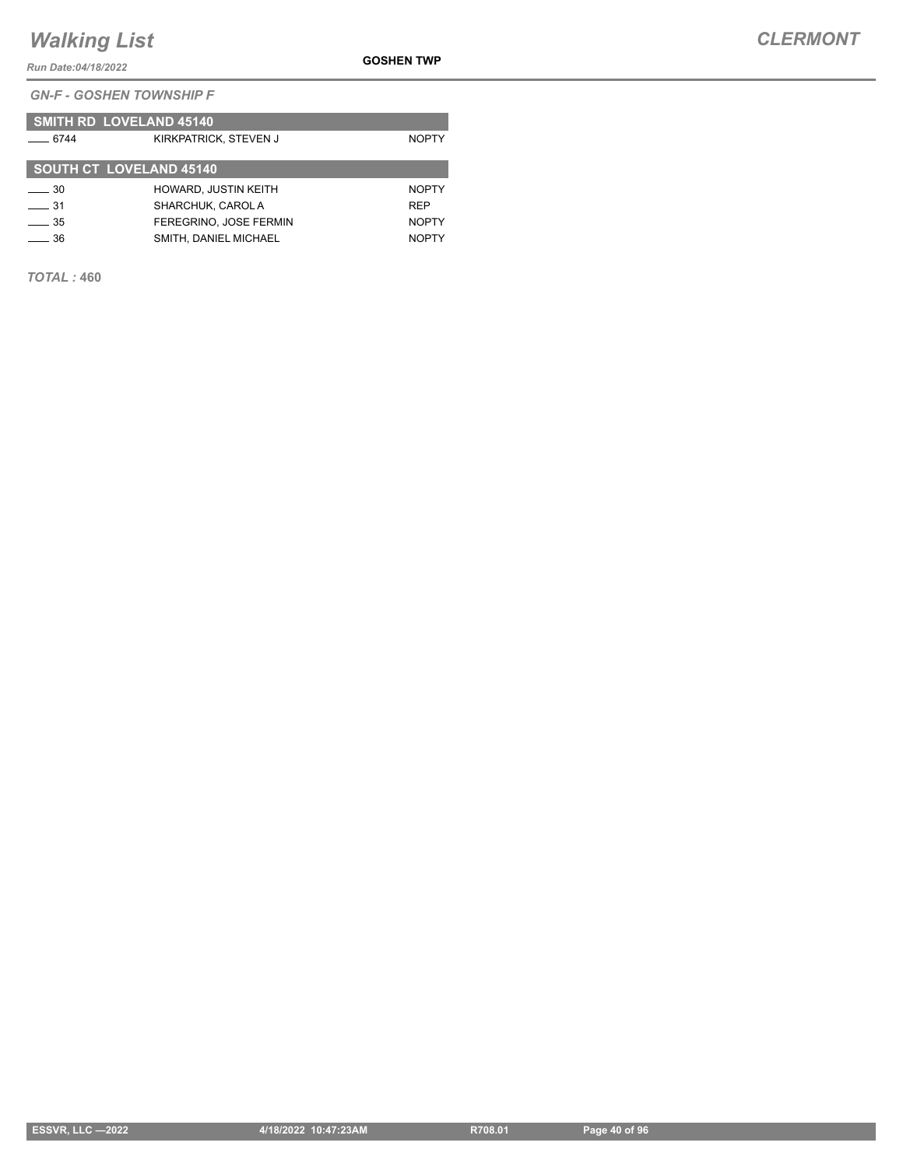*Run Date:04/18/2022*

*GN-F - GOSHEN TOWNSHIP F*

|             | <b>SMITH RD LOVELAND 45140</b> |              |
|-------------|--------------------------------|--------------|
| $-6744$     | KIRKPATRICK, STEVEN J          | <b>NOPTY</b> |
|             | <b>SOUTH CT_LOVELAND 45140</b> |              |
| $\equiv$ 30 | <b>HOWARD, JUSTIN KEITH</b>    | <b>NOPTY</b> |
| 31          | SHARCHUK, CAROL A              | <b>RFP</b>   |
| $-35$       | FEREGRINO. JOSE FERMIN         | <b>NOPTY</b> |
| 36          | SMITH, DANIEL MICHAEL          | <b>NOPTY</b> |

*TOTAL :* **460**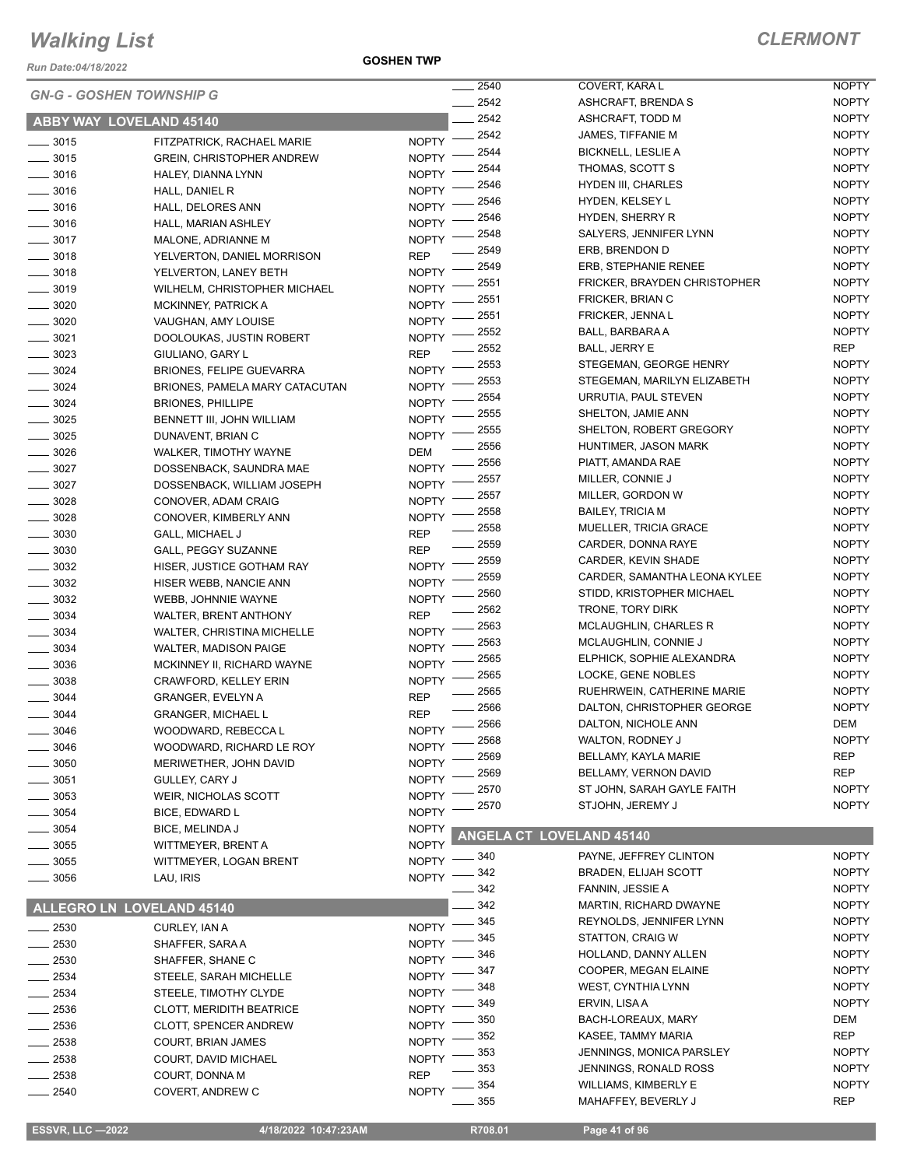*Run Date:04/18/2022*

**GOSHEN TWP**

|                                |                                   |              | 2540  | COVERT, KARA L                  | <b>NOPTY</b> |
|--------------------------------|-----------------------------------|--------------|-------|---------------------------------|--------------|
|                                | <b>GN-G - GOSHEN TOWNSHIP G</b>   |              | 2542  | ASHCRAFT, BRENDA S              | <b>NOPTY</b> |
| <b>ABBY WAY LOVELAND 45140</b> |                                   |              | 2542  | ASHCRAFT, TODD M                | <b>NOPTY</b> |
|                                |                                   |              | 2542  | JAMES, TIFFANIE M               | <b>NOPTY</b> |
| $- 3015$                       | FITZPATRICK, RACHAEL MARIE        | <b>NOPTY</b> | 2544  | <b>BICKNELL, LESLIE A</b>       | <b>NOPTY</b> |
| $- 3015$                       | <b>GREIN, CHRISTOPHER ANDREW</b>  | <b>NOPTY</b> | 2544  | THOMAS, SCOTT S                 | <b>NOPTY</b> |
| $- 3016$                       | HALEY, DIANNA LYNN                | <b>NOPTY</b> | 2546  | <b>HYDEN III, CHARLES</b>       | <b>NOPTY</b> |
| 3016                           | HALL, DANIEL R                    | <b>NOPTY</b> | 2546  | <b>HYDEN, KELSEY L</b>          | <b>NOPTY</b> |
| 3016                           | HALL, DELORES ANN                 | <b>NOPTY</b> | 2546  | <b>HYDEN, SHERRY R</b>          | <b>NOPTY</b> |
| 3016                           | HALL, MARIAN ASHLEY               | <b>NOPTY</b> | 2548  | SALYERS, JENNIFER LYNN          | <b>NOPTY</b> |
| 3017                           | MALONE, ADRIANNE M                | <b>NOPTY</b> | 2549  | ERB, BRENDON D                  | <b>NOPTY</b> |
| 3018                           | YELVERTON, DANIEL MORRISON        | <b>REP</b>   | 2549  | ERB, STEPHANIE RENEE            | <b>NOPTY</b> |
| 3018                           | YELVERTON, LANEY BETH             | <b>NOPTY</b> | 2551  | FRICKER, BRAYDEN CHRISTOPHER    | <b>NOPTY</b> |
| 3019                           | WILHELM, CHRISTOPHER MICHAEL      | <b>NOPTY</b> | 2551  | FRICKER, BRIAN C                | <b>NOPTY</b> |
| 3020                           | <b>MCKINNEY, PATRICK A</b>        | <b>NOPTY</b> | 2551  |                                 | <b>NOPTY</b> |
| 3020                           | VAUGHAN, AMY LOUISE               | <b>NOPTY</b> | 2552  | FRICKER, JENNA L                | <b>NOPTY</b> |
| $-3021$                        | DOOLOUKAS, JUSTIN ROBERT          | <b>NOPTY</b> |       | BALL, BARBARA A                 |              |
| 3023                           | GIULIANO, GARY L                  | <b>REP</b>   | 2552  | <b>BALL, JERRY E</b>            | <b>REP</b>   |
| 3024                           | <b>BRIONES, FELIPE GUEVARRA</b>   | <b>NOPTY</b> | 2553  | STEGEMAN, GEORGE HENRY          | <b>NOPTY</b> |
| 3024                           | BRIONES, PAMELA MARY CATACUTAN    | <b>NOPTY</b> | 2553  | STEGEMAN, MARILYN ELIZABETH     | <b>NOPTY</b> |
| 3024                           | <b>BRIONES, PHILLIPE</b>          | <b>NOPTY</b> | 2554  | URRUTIA, PAUL STEVEN            | <b>NOPTY</b> |
| 3025                           | BENNETT III, JOHN WILLIAM         | <b>NOPTY</b> | 2555  | SHELTON, JAMIE ANN              | <b>NOPTY</b> |
| 3025                           | DUNAVENT, BRIAN C                 | <b>NOPTY</b> | 2555  | SHELTON, ROBERT GREGORY         | <b>NOPTY</b> |
| 3026                           | WALKER, TIMOTHY WAYNE             | <b>DEM</b>   | 2556  | HUNTIMER, JASON MARK            | <b>NOPTY</b> |
| 3027                           | DOSSENBACK, SAUNDRA MAE           | <b>NOPTY</b> | 2556  | PIATT, AMANDA RAE               | <b>NOPTY</b> |
| 3027                           | DOSSENBACK, WILLIAM JOSEPH        | <b>NOPTY</b> | 2557  | MILLER, CONNIE J                | <b>NOPTY</b> |
| 3028                           | CONOVER, ADAM CRAIG               | <b>NOPTY</b> | 2557  | MILLER, GORDON W                | <b>NOPTY</b> |
| 3028                           | CONOVER, KIMBERLY ANN             | <b>NOPTY</b> | 2558  | <b>BAILEY, TRICIA M</b>         | <b>NOPTY</b> |
| 3030                           | <b>GALL, MICHAEL J</b>            | <b>REP</b>   | 2558  | MUELLER, TRICIA GRACE           | <b>NOPTY</b> |
| 3030                           | <b>GALL, PEGGY SUZANNE</b>        | <b>REP</b>   | 2559  | CARDER, DONNA RAYE              | <b>NOPTY</b> |
| 3032                           | HISER, JUSTICE GOTHAM RAY         | <b>NOPTY</b> | 2559  | CARDER, KEVIN SHADE             | <b>NOPTY</b> |
| 3032                           | HISER WEBB, NANCIE ANN            | <b>NOPTY</b> | 2559  | CARDER, SAMANTHA LEONA KYLEE    | <b>NOPTY</b> |
| 3032                           | WEBB, JOHNNIE WAYNE               | <b>NOPTY</b> | 2560  | STIDD, KRISTOPHER MICHAEL       | <b>NOPTY</b> |
|                                |                                   |              | 2562  | TRONE, TORY DIRK                | <b>NOPTY</b> |
| 3034                           | <b>WALTER, BRENT ANTHONY</b>      | <b>REP</b>   | 2563  | <b>MCLAUGHLIN, CHARLES R</b>    | <b>NOPTY</b> |
| 3034                           | <b>WALTER, CHRISTINA MICHELLE</b> | <b>NOPTY</b> | 2563  | MCLAUGHLIN, CONNIE J            | <b>NOPTY</b> |
| 3034                           | <b>WALTER, MADISON PAIGE</b>      | <b>NOPTY</b> | 2565  | ELPHICK, SOPHIE ALEXANDRA       | <b>NOPTY</b> |
| 3036                           | MCKINNEY II, RICHARD WAYNE        | <b>NOPTY</b> | 2565  | LOCKE, GENE NOBLES              | <b>NOPTY</b> |
| 3038                           | <b>CRAWFORD, KELLEY ERIN</b>      | <b>NOPTY</b> | 2565  | RUEHRWEIN, CATHERINE MARIE      | <b>NOPTY</b> |
| 3044                           | <b>GRANGER, EVELYN A</b>          | <b>REP</b>   | 2566  | DALTON, CHRISTOPHER GEORGE      | <b>NOPTY</b> |
| 3044                           | <b>GRANGER, MICHAEL L</b>         | <b>REP</b>   | 2566  | DALTON, NICHOLE ANN             | DEM          |
| 3046                           | WOODWARD, REBECCA L               | <b>NOPTY</b> | 2568  | WALTON, RODNEY J                | <b>NOPTY</b> |
| 3046                           | WOODWARD, RICHARD LE ROY          | <b>NOPTY</b> | 2569  | <b>BELLAMY, KAYLA MARIE</b>     | <b>REP</b>   |
| 3050                           | MERIWETHER, JOHN DAVID            | <b>NOPTY</b> | 2569  | BELLAMY, VERNON DAVID           | <b>REP</b>   |
| 3051                           | GULLEY, CARY J                    | <b>NOPTY</b> | 2570  | ST JOHN, SARAH GAYLE FAITH      | <b>NOPTY</b> |
| 3053                           | <b>WEIR, NICHOLAS SCOTT</b>       | <b>NOPTY</b> | 2570  | STJOHN, JEREMY J                | <b>NOPTY</b> |
| 3054                           | <b>BICE, EDWARD L</b>             | <b>NOPTY</b> |       |                                 |              |
| 3054                           | <b>BICE, MELINDA J</b>            | <b>NOPTY</b> |       | <b>ANGELA CT LOVELAND 45140</b> |              |
| 3055                           | WITTMEYER, BRENT A                | <b>NOPTY</b> |       |                                 |              |
| 3055                           | WITTMEYER, LOGAN BRENT            | <b>NOPTY</b> | - 340 | PAYNE, JEFFREY CLINTON          | <b>NOPTY</b> |
| 3056                           | LAU, IRIS                         | <b>NOPTY</b> | 342   | <b>BRADEN, ELIJAH SCOTT</b>     | <b>NOPTY</b> |
|                                |                                   |              | 342   | FANNIN, JESSIE A                | <b>NOPTY</b> |
|                                | ALLEGRO LN LOVELAND 45140         |              | 342   | MARTIN, RICHARD DWAYNE          | <b>NOPTY</b> |
| $-2530$                        | CURLEY, IAN A                     | <b>NOPTY</b> | 345   | REYNOLDS, JENNIFER LYNN         | <b>NOPTY</b> |
| 2530                           | SHAFFER, SARA A                   | <b>NOPTY</b> | 345   | STATTON, CRAIG W                | <b>NOPTY</b> |
| 2530                           | SHAFFER, SHANE C                  | <b>NOPTY</b> | 346   | HOLLAND, DANNY ALLEN            | <b>NOPTY</b> |
| 2534                           | STEELE, SARAH MICHELLE            | <b>NOPTY</b> | 347   | COOPER, MEGAN ELAINE            | <b>NOPTY</b> |
| 2534                           | STEELE, TIMOTHY CLYDE             | <b>NOPTY</b> | 348   | WEST, CYNTHIA LYNN              | <b>NOPTY</b> |
| 2536                           | <b>CLOTT, MERIDITH BEATRICE</b>   | <b>NOPTY</b> | 349   | ERVIN, LISA A                   | <b>NOPTY</b> |
| 2536                           | <b>CLOTT, SPENCER ANDREW</b>      | <b>NOPTY</b> | 350   | BACH-LOREAUX, MARY              | DEM          |
|                                |                                   | <b>NOPTY</b> | 352   | KASEE, TAMMY MARIA              | REP          |
| 2538                           | <b>COURT, BRIAN JAMES</b>         | <b>NOPTY</b> | 353   | JENNINGS, MONICA PARSLEY        | <b>NOPTY</b> |
| 2538                           | COURT, DAVID MICHAEL              |              | 353   | JENNINGS, RONALD ROSS           | <b>NOPTY</b> |
| 2538                           | COURT, DONNA M                    | <b>REP</b>   | 354   | WILLIAMS, KIMBERLY E            | <b>NOPTY</b> |
| 2540                           | COVERT, ANDREW C                  | <b>NOPTY</b> | 355   | MAHAFFEY, BEVERLY J             | <b>REP</b>   |
|                                |                                   |              |       |                                 |              |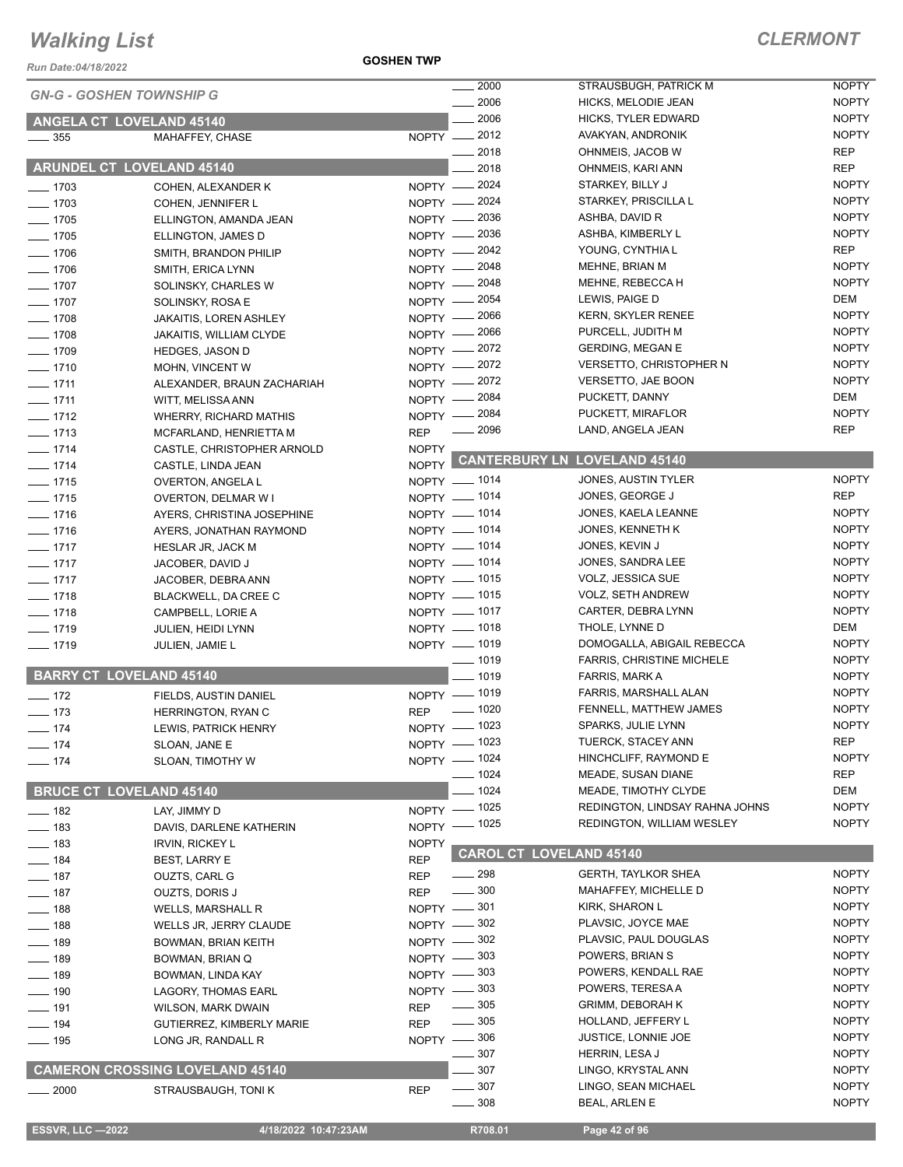*Run Date:04/18/2022*

**GOSHEN TWP**

| <b>GN-G - GOSHEN TOWNSHIP G</b> |                                        |              | $\frac{1}{2000}$         | STRAUSBUGH, PATRICK M              | <b>NOPTY</b> |
|---------------------------------|----------------------------------------|--------------|--------------------------|------------------------------------|--------------|
|                                 |                                        |              | 2006                     | HICKS, MELODIE JEAN                | <b>NOPTY</b> |
| <b>ANGELA CT LOVELAND 45140</b> |                                        |              | 2006                     | <b>HICKS, TYLER EDWARD</b>         | <b>NOPTY</b> |
| $\frac{1}{2}$ 355               | MAHAFFEY, CHASE                        |              | $\overline{NOPTY}$ _2012 | AVAKYAN, ANDRONIK                  | <b>NOPTY</b> |
|                                 |                                        |              | 2018                     | OHNMEIS, JACOB W                   | <b>REP</b>   |
| ARUNDEL CT LOVELAND 45140       |                                        |              | 2018                     | OHNMEIS, KARI ANN                  | <b>REP</b>   |
| $- 1703$                        | COHEN, ALEXANDER K                     |              | NOPTY -2024              | STARKEY, BILLY J                   | <b>NOPTY</b> |
| $\frac{1}{2}$ 1703              | COHEN, JENNIFER L                      |              | NOPTY -2024              | STARKEY, PRISCILLA L               | <b>NOPTY</b> |
| $\frac{1}{2}$ 1705              | ELLINGTON, AMANDA JEAN                 |              | NOPTY - 2036             | ASHBA, DAVID R                     | <b>NOPTY</b> |
| $- 1705$                        | ELLINGTON, JAMES D                     |              | NOPTY - 2036             | ASHBA, KIMBERLY L                  | <b>NOPTY</b> |
| $- 1706$                        | SMITH, BRANDON PHILIP                  |              | NOPTY -2042              | YOUNG, CYNTHIA L                   | REP          |
| $- 1706$                        | SMITH, ERICA LYNN                      |              | NOPTY -2048              | MEHNE, BRIAN M                     | <b>NOPTY</b> |
| $- 1707$                        | SOLINSKY, CHARLES W                    |              | NOPTY - 2048             | MEHNE, REBECCA H                   | <b>NOPTY</b> |
| $- 1707$                        | SOLINSKY, ROSA E                       |              | NOPTY - 2054             | LEWIS, PAIGE D                     | DEM          |
| $- 1708$                        | <b>JAKAITIS, LOREN ASHLEY</b>          |              | NOPTY - 2066             | <b>KERN, SKYLER RENEE</b>          | <b>NOPTY</b> |
| $\frac{1}{2}$ 1708              | JAKAITIS, WILLIAM CLYDE                |              | NOPTY - 2066             | PURCELL, JUDITH M                  | <b>NOPTY</b> |
| $- 1709$                        | <b>HEDGES, JASON D</b>                 |              | NOPTY - 2072             | <b>GERDING, MEGAN E</b>            | <b>NOPTY</b> |
| $- 1710$                        | MOHN, VINCENT W                        |              | NOPTY -2072              | <b>VERSETTO, CHRISTOPHER N</b>     | <b>NOPTY</b> |
| $- 1711$                        | ALEXANDER, BRAUN ZACHARIAH             |              | NOPTY - 2072             | <b>VERSETTO, JAE BOON</b>          | <b>NOPTY</b> |
| $- 1711$                        | WITT, MELISSA ANN                      |              | NOPTY - 2084             | PUCKETT, DANNY                     | DEM          |
| $- 1712$                        | <b>WHERRY, RICHARD MATHIS</b>          |              | NOPTY - 2084             | PUCKETT, MIRAFLOR                  | <b>NOPTY</b> |
| $- 1713$                        | MCFARLAND, HENRIETTA M                 | <b>REP</b>   | . 2096                   | LAND, ANGELA JEAN                  | <b>REP</b>   |
| $- 1714$                        | CASTLE, CHRISTOPHER ARNOLD             | <b>NOPTY</b> |                          |                                    |              |
| $- 1714$                        | CASTLE, LINDA JEAN                     |              |                          | NOPTY CANTERBURY LN LOVELAND 45140 |              |
| $- 1715$                        | OVERTON, ANGELA L                      |              | NOPTY - 1014             | JONES, AUSTIN TYLER                | <b>NOPTY</b> |
| $- 1715$                        | <b>OVERTON, DELMAR W I</b>             |              | NOPTY - 1014             | JONES, GEORGE J                    | <b>REP</b>   |
| $- 1716$                        | AYERS, CHRISTINA JOSEPHINE             |              | NOPTY - 1014             | JONES, KAELA LEANNE                | <b>NOPTY</b> |
| $- 1716$                        | AYERS, JONATHAN RAYMOND                |              | NOPTY - 1014             | JONES, KENNETH K                   | <b>NOPTY</b> |
| $- 1717$                        | HESLAR JR, JACK M                      |              | NOPTY - 1014             | JONES, KEVIN J                     | <b>NOPTY</b> |
| $- 1717$                        | JACOBER, DAVID J                       |              | NOPTY - 1014             | JONES, SANDRA LEE                  | <b>NOPTY</b> |
| $- 1717$                        | JACOBER, DEBRA ANN                     |              | NOPTY - 1015             | VOLZ, JESSICA SUE                  | <b>NOPTY</b> |
| $- 1718$                        | BLACKWELL, DA CREE C                   |              | NOPTY - 1015             | <b>VOLZ, SETH ANDREW</b>           | <b>NOPTY</b> |
| $- 1718$                        | CAMPBELL, LORIE A                      |              | NOPTY - 1017             | CARTER, DEBRA LYNN                 | <b>NOPTY</b> |
| $- 1719$                        | JULIEN, HEIDI LYNN                     |              | NOPTY - 1018             | THOLE, LYNNE D                     | DEM          |
| $- 1719$                        | JULIEN, JAMIE L                        |              | NOPTY - 1019             | DOMOGALLA, ABIGAIL REBECCA         | <b>NOPTY</b> |
|                                 |                                        |              | $-1019$                  | <b>FARRIS, CHRISTINE MICHELE</b>   | <b>NOPTY</b> |
| <b>BARRY CT LOVELAND 45140</b>  |                                        |              | $-1019$                  | FARRIS, MARK A                     | <b>NOPTY</b> |
| $- 172$                         | FIELDS, AUSTIN DANIEL                  |              | NOPTY - 1019             | FARRIS, MARSHALL ALAN              | <b>NOPTY</b> |
| $- 173$                         | HERRINGTON, RYAN C                     | <b>REP</b>   | $\frac{1}{2}$ 1020       | FENNELL, MATTHEW JAMES             | <b>NOPTY</b> |
| $- 174$                         | LEWIS, PATRICK HENRY                   |              | NOPTY - 1023             | SPARKS, JULIE LYNN                 | <b>NOPTY</b> |
| $- 174$                         | SLOAN, JANE E                          |              | NOPTY - 1023             | TUERCK, STACEY ANN                 | REP          |
| $- 174$                         | SLOAN, TIMOTHY W                       |              | NOPTY - 1024             | HINCHCLIFF, RAYMOND E              | <b>NOPTY</b> |
|                                 |                                        |              | $- 1024$                 | MEADE, SUSAN DIANE                 | <b>REP</b>   |
| <b>BRUCE CT LOVELAND 45140</b>  |                                        |              | $-1024$                  | MEADE, TIMOTHY CLYDE               | DEM          |
| $- 182$                         | LAY, JIMMY D                           |              | NOPTY - 1025             | REDINGTON, LINDSAY RAHNA JOHNS     | <b>NOPTY</b> |
| $- 183$                         | DAVIS, DARLENE KATHERIN                |              | NOPTY - 1025             | REDINGTON, WILLIAM WESLEY          | <b>NOPTY</b> |
| $\frac{1}{2}$ 183               | <b>IRVIN, RICKEY L</b>                 | <b>NOPTY</b> |                          |                                    |              |
| $- 184$                         | BEST, LARRY E                          | <b>REP</b>   |                          | <b>CAROL CT LOVELAND 45140</b>     |              |
| $\frac{1}{2}$ 187               | OUZTS, CARL G                          | <b>REP</b>   | $\frac{1}{298}$          | <b>GERTH, TAYLKOR SHEA</b>         | <b>NOPTY</b> |
| $- 187$                         | OUZTS, DORIS J                         | <b>REP</b>   | $\equiv$ 300             | MAHAFFEY, MICHELLE D               | <b>NOPTY</b> |
| $- 188$                         | WELLS, MARSHALL R                      |              | NOPTY -801               | KIRK, SHARON L                     | <b>NOPTY</b> |
| $- 188$                         | WELLS JR, JERRY CLAUDE                 | $NOPTY -$    | $=$ 302                  | PLAVSIC, JOYCE MAE                 | <b>NOPTY</b> |
| $- 189$                         | BOWMAN, BRIAN KEITH                    |              | NOPTY -802               | PLAVSIC, PAUL DOUGLAS              | <b>NOPTY</b> |
| $\frac{1}{2}$ 189               | BOWMAN, BRIAN Q                        |              | NOPTY -803               | POWERS, BRIAN S                    | <b>NOPTY</b> |
| $\frac{1}{2}$ 189               | BOWMAN, LINDA KAY                      |              | NOPTY -803               | POWERS, KENDALL RAE                | <b>NOPTY</b> |
| $\frac{1}{2}$ 190               | LAGORY, THOMAS EARL                    |              | NOPTY -803               | POWERS, TERESA A                   | <b>NOPTY</b> |
| $\frac{1}{2}$ 191               | WILSON, MARK DWAIN                     | <b>REP</b>   | $\_\_$ 305               | <b>GRIMM, DEBORAH K</b>            | <b>NOPTY</b> |
| $- 194$                         | GUTIERREZ, KIMBERLY MARIE              | <b>REP</b>   | $\frac{1}{2}$ 305        | HOLLAND, JEFFERY L                 | <b>NOPTY</b> |
| $\frac{1}{2}$ 195               | LONG JR, RANDALL R                     |              | NOPTY -806               | JUSTICE, LONNIE JOE                | <b>NOPTY</b> |
|                                 |                                        |              | 307                      | HERRIN, LESA J                     | <b>NOPTY</b> |
|                                 | <b>CAMERON CROSSING LOVELAND 45140</b> |              | 307                      | LINGO, KRYSTAL ANN                 | <b>NOPTY</b> |
| $\frac{1}{2000}$                | STRAUSBAUGH, TONI K                    | <b>REP</b>   | $\frac{1}{2}$ 307        | LINGO, SEAN MICHAEL                | <b>NOPTY</b> |
|                                 |                                        |              | $\frac{1}{2}$ 308        | <b>BEAL, ARLEN E</b>               | <b>NOPTY</b> |
|                                 |                                        |              |                          |                                    |              |
| ESSVR, LLC -2022                | 4/18/2022 10:47:23AM                   |              | R708.01                  | Page 42 of 96                      |              |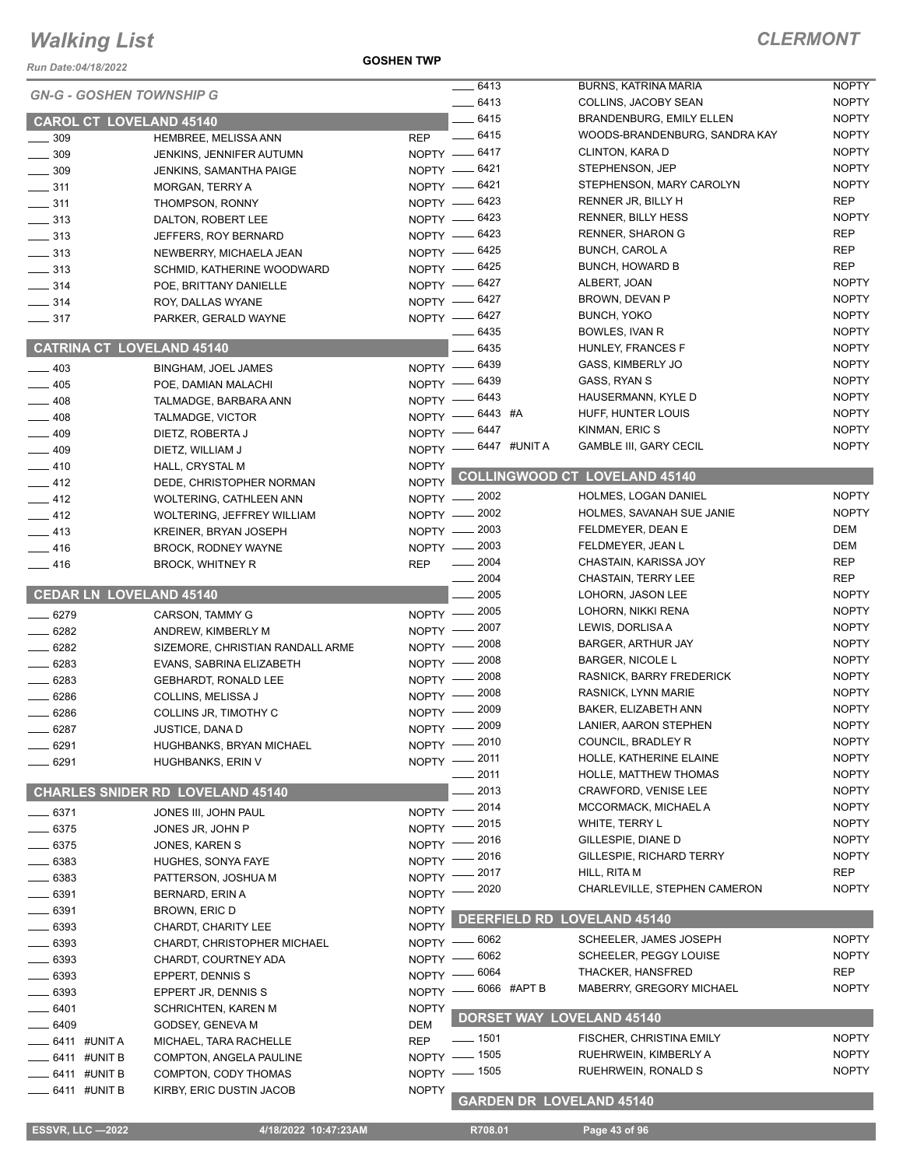*Run Date:04/18/2022*

**GOSHEN TWP**

| <b>GN-G - GOSHEN TOWNSHIP G</b> |                                         |              | $-6413$                         | <b>BURNS, KATRINA MARIA</b>          | <b>NOPTY</b> |
|---------------------------------|-----------------------------------------|--------------|---------------------------------|--------------------------------------|--------------|
|                                 |                                         |              | $-6413$                         | COLLINS, JACOBY SEAN                 | <b>NOPTY</b> |
| <b>CAROL CT LOVELAND 45140</b>  |                                         |              | $-6415$                         | <b>BRANDENBURG, EMILY ELLEN</b>      | <b>NOPTY</b> |
| $-309$                          | HEMBREE, MELISSA ANN                    | <b>REP</b>   | $-6415$                         | WOODS-BRANDENBURG, SANDRA KAY        | <b>NOPTY</b> |
| $\frac{1}{2}$ 309               | JENKINS, JENNIFER AUTUMN                |              | NOPTY -6417                     | CLINTON, KARA D                      | <b>NOPTY</b> |
| $\frac{1}{2}$ 309               | JENKINS, SAMANTHA PAIGE                 |              | NOPTY -6421                     | STEPHENSON, JEP                      | <b>NOPTY</b> |
| $\frac{1}{2}$ 311               | MORGAN, TERRY A                         |              | NOPTY -6421                     | STEPHENSON, MARY CAROLYN             | <b>NOPTY</b> |
| $\frac{1}{2}$ 311               | THOMPSON, RONNY                         |              | NOPTY - 6423                    | RENNER JR, BILLY H                   | <b>REP</b>   |
| $\frac{1}{2}$ 313               | DALTON, ROBERT LEE                      |              | NOPTY -6423                     | <b>RENNER, BILLY HESS</b>            | <b>NOPTY</b> |
| $\frac{1}{2}$ 313               | JEFFERS, ROY BERNARD                    |              | NOPTY -6423                     | <b>RENNER, SHARON G</b>              | <b>REP</b>   |
| $\frac{1}{2}$ 313               | NEWBERRY, MICHAELA JEAN                 |              | NOPTY -6425                     | <b>BUNCH, CAROL A</b>                | <b>REP</b>   |
| $\frac{1}{2}$ 313               | SCHMID, KATHERINE WOODWARD              |              | NOPTY -6425                     | <b>BUNCH, HOWARD B</b>               | <b>REP</b>   |
| $- 314$                         | POE, BRITTANY DANIELLE                  |              | NOPTY - 6427                    | ALBERT, JOAN                         | <b>NOPTY</b> |
| $\frac{1}{2}$ 314               | ROY, DALLAS WYANE                       |              | NOPTY -6427                     | BROWN, DEVAN P                       | <b>NOPTY</b> |
| $\frac{1}{2}$ 317               | PARKER, GERALD WAYNE                    |              | NOPTY -6427                     | <b>BUNCH, YOKO</b>                   | <b>NOPTY</b> |
|                                 |                                         |              | 6435                            | BOWLES, IVAN R                       | <b>NOPTY</b> |
|                                 | <b>CATRINA CT LOVELAND 45140</b>        |              | 6435                            | HUNLEY, FRANCES F                    | <b>NOPTY</b> |
| $\frac{1}{2}$ 403               | <b>BINGHAM, JOEL JAMES</b>              | $NOPTY$ -    | 6439                            | GASS, KIMBERLY JO                    | <b>NOPTY</b> |
| $-405$                          | POE, DAMIAN MALACHI                     | $NOPTY$ –    | 6439                            | GASS, RYAN S                         | <b>NOPTY</b> |
| $-408$                          | TALMADGE, BARBARA ANN                   |              | NOPTY - 6443                    | HAUSERMANN, KYLE D                   | <b>NOPTY</b> |
| $-408$                          | TALMADGE, VICTOR                        | $N$ OPTY $-$ | 6443 #A                         | HUFF, HUNTER LOUIS                   | <b>NOPTY</b> |
| 409                             | DIETZ, ROBERTA J                        | $N$ OPTY -   | - 6447                          | KINMAN, ERIC S                       | <b>NOPTY</b> |
| $-409$                          |                                         |              | NOPTY -6447 #UNITA              | <b>GAMBLE III, GARY CECIL</b>        | <b>NOPTY</b> |
| $-410$                          | DIETZ, WILLIAM J                        | <b>NOPTY</b> |                                 |                                      |              |
|                                 | HALL, CRYSTAL M                         |              |                                 | <b>COLLINGWOOD CT LOVELAND 45140</b> |              |
| $-412$                          | DEDE, CHRISTOPHER NORMAN                | <b>NOPTY</b> | NOPTY - 2002                    | HOLMES, LOGAN DANIEL                 | <b>NOPTY</b> |
| $-412$                          | <b>WOLTERING, CATHLEEN ANN</b>          |              | NOPTY - 2002                    | HOLMES, SAVANAH SUE JANIE            | <b>NOPTY</b> |
| $-412$                          | WOLTERING, JEFFREY WILLIAM              |              |                                 |                                      |              |
| $-413$                          | <b>KREINER, BRYAN JOSEPH</b>            |              | NOPTY - 2003                    | FELDMEYER, DEAN E                    | DEM          |
| $-416$                          | <b>BROCK, RODNEY WAYNE</b>              |              | NOPTY - 2003                    | FELDMEYER, JEAN L                    | <b>DEM</b>   |
| $-416$                          | <b>BROCK, WHITNEY R</b>                 | <b>REP</b>   | 2004                            | CHASTAIN, KARISSA JOY                | <b>REP</b>   |
|                                 |                                         |              | 2004                            | CHASTAIN, TERRY LEE                  | <b>REP</b>   |
| <b>CEDAR LN LOVELAND 45140</b>  |                                         |              | 2005                            | LOHORN, JASON LEE                    | <b>NOPTY</b> |
| $- 6279$                        | CARSON, TAMMY G                         | $NOPTY$ -    | 2005                            | LOHORN, NIKKI RENA                   | <b>NOPTY</b> |
| $\frac{1}{2}$ 6282              | ANDREW, KIMBERLY M                      |              | NOPTY -2007                     | LEWIS, DORLISA A                     | <b>NOPTY</b> |
| $-6282$                         | SIZEMORE, CHRISTIAN RANDALL ARME        | NOPTY -      | 2008                            | <b>BARGER, ARTHUR JAY</b>            | <b>NOPTY</b> |
| $- 6283$                        | EVANS, SABRINA ELIZABETH                | $N$ OPTY $-$ | 2008                            | <b>BARGER, NICOLE L</b>              | <b>NOPTY</b> |
| $- 6283$                        | <b>GEBHARDT, RONALD LEE</b>             | $NOPTY$ ––   | 2008                            | RASNICK, BARRY FREDERICK             | <b>NOPTY</b> |
| 6286                            | COLLINS, MELISSA J                      | $N$ OPTY $-$ | 2008                            | RASNICK, LYNN MARIE                  | <b>NOPTY</b> |
| $-6286$                         | COLLINS JR, TIMOTHY C                   | $N$ OPTY $-$ | 2009                            | BAKER, ELIZABETH ANN                 | <b>NOPTY</b> |
| 6287                            | JUSTICE, DANA D                         | NOPTY -      | 2009                            | LANIER, AARON STEPHEN                | <b>NOPTY</b> |
| _ 6291                          | HUGHBANKS, BRYAN MICHAEL                |              | NOPTY - 2010                    | COUNCIL, BRADLEY R                   | <b>NOPTY</b> |
| $- 6291$                        | HUGHBANKS, ERIN V                       | $N$ OPTY $-$ | 2011                            | HOLLE, KATHERINE ELAINE              | <b>NOPTY</b> |
|                                 |                                         |              | 2011                            | HOLLE, MATTHEW THOMAS                | <b>NOPTY</b> |
|                                 | <b>CHARLES SNIDER RD LOVELAND 45140</b> |              | 2013                            | <b>CRAWFORD, VENISE LEE</b>          | <b>NOPTY</b> |
|                                 |                                         |              | 2014                            | MCCORMACK, MICHAEL A                 | <b>NOPTY</b> |
| - 6371                          | JONES III, JOHN PAUL                    | $NOPTY =$    | 2015                            | WHITE, TERRY L                       | <b>NOPTY</b> |
| 6375                            | JONES JR, JOHN P                        | <b>NOPTY</b> | 2016                            | GILLESPIE, DIANE D                   | <b>NOPTY</b> |
| - 6375                          | JONES, KAREN S                          | <b>NOPTY</b> | 2016                            | GILLESPIE, RICHARD TERRY             | <b>NOPTY</b> |
| . 6383                          | HUGHES, SONYA FAYE                      | NOPTY -      |                                 | HILL, RITA M                         | <b>REP</b>   |
| $-6383$                         | PATTERSON, JOSHUA M                     | NOPTY -      | 2017                            |                                      |              |
| _ 6391                          | BERNARD, ERIN A                         | NOPTY -      | 2020                            | CHARLEVILLE, STEPHEN CAMERON         | <b>NOPTY</b> |
| $-6391$                         | BROWN, ERIC D                           | <b>NOPTY</b> |                                 | DEERFIELD RD LOVELAND 45140          |              |
| $-6393$                         | CHARDT, CHARITY LEE                     | <b>NOPTY</b> |                                 |                                      |              |
| $-6393$                         | CHARDT, CHRISTOPHER MICHAEL             |              | NOPTY - 6062                    | SCHEELER, JAMES JOSEPH               | <b>NOPTY</b> |
| $-6393$                         | CHARDT, COURTNEY ADA                    | $NOPTY -$    | 6062                            | SCHEELER, PEGGY LOUISE               | <b>NOPTY</b> |
| _ 6393                          | EPPERT, DENNIS S                        |              | NOPTY - 6064                    | THACKER, HANSFRED                    | <b>REP</b>   |
| $-6393$                         | EPPERT JR, DENNIS S                     | $NOPTY -$    | 6066 #APT B                     | MABERRY, GREGORY MICHAEL             | <b>NOPTY</b> |
| 6401                            | <b>SCHRICHTEN, KAREN M</b>              | <b>NOPTY</b> |                                 |                                      |              |
| 6409                            | GODSEY, GENEVA M                        | DEM          |                                 | <b>DORSET WAY LOVELAND 45140</b>     |              |
| 6411 #UNIT A                    | MICHAEL, TARA RACHELLE                  | <b>REP</b>   | $\frac{1}{2}$ 1501              | FISCHER, CHRISTINA EMILY             | <b>NOPTY</b> |
|                                 |                                         |              | NOPTY - 1505                    | RUEHRWEIN, KIMBERLY A                | <b>NOPTY</b> |
| . 6411 #UNIT B                  | COMPTON, ANGELA PAULINE                 |              | NOPTY - 1505                    | RUEHRWEIN, RONALD S                  | <b>NOPTY</b> |
| $-6411$ #UNIT B                 | COMPTON, CODY THOMAS                    |              |                                 |                                      |              |
| _ 6411 #UNIT B                  | KIRBY, ERIC DUSTIN JACOB                | <b>NOPTY</b> | <b>GARDEN DR LOVELAND 45140</b> |                                      |              |
|                                 |                                         |              |                                 |                                      |              |
| <b>ESSVR, LLC -2022</b>         | 4/18/2022 10:47:23AM                    |              | R708.01                         | Page 43 of 96                        |              |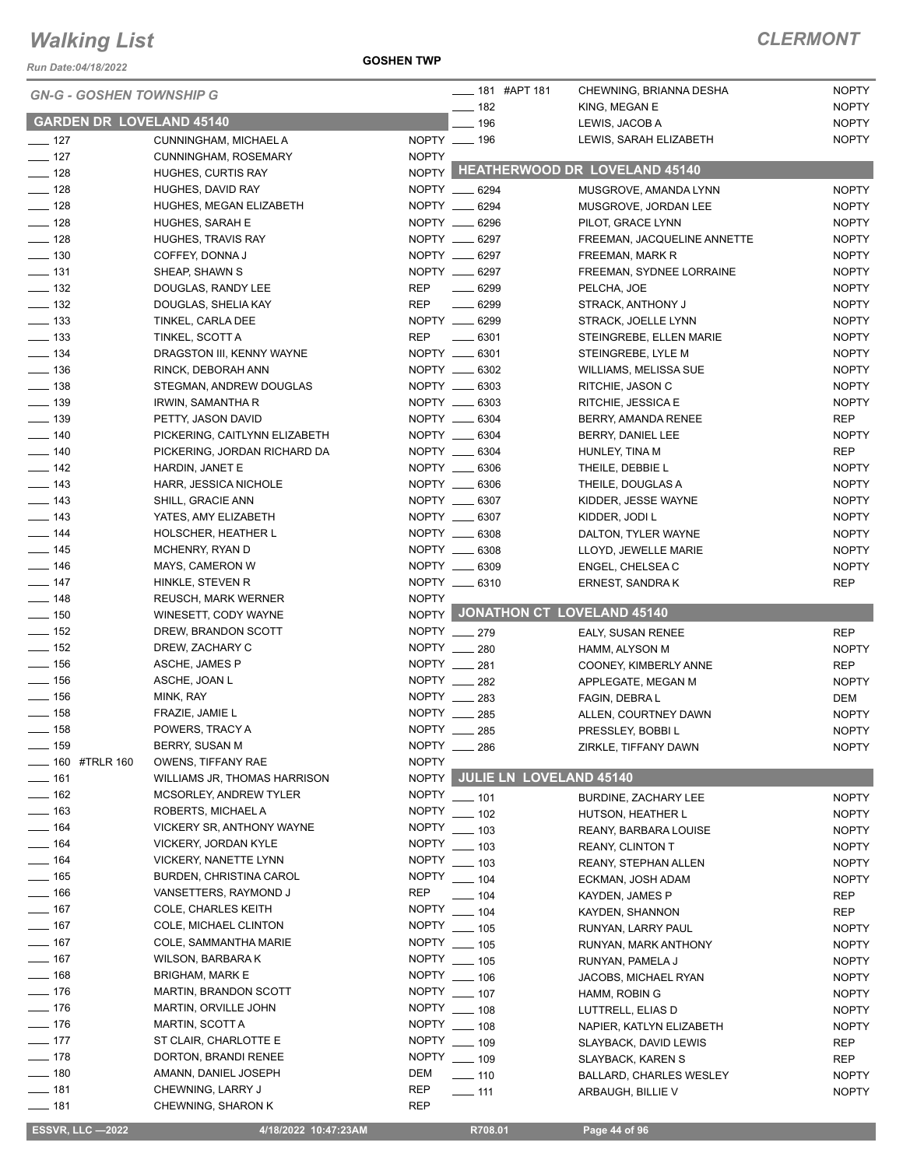*Run Date:04/18/2022*

|                   | <b>GN-G - GOSHEN TOWNSHIP G</b>                         |                              | <b>____ 181 #APT 181</b><br>$- 182$ | CHEWNING, BRIANNA DESHA<br>KING, MEGAN E | <b>NOPTY</b><br><b>NOPTY</b> |
|-------------------|---------------------------------------------------------|------------------------------|-------------------------------------|------------------------------------------|------------------------------|
|                   | <b>GARDEN DR LOVELAND 45140</b>                         |                              | $- 196$                             | LEWIS, JACOB A                           | <b>NOPTY</b>                 |
| $- 127$           | CUNNINGHAM, MICHAEL A                                   |                              | NOPTY __ 196                        | LEWIS, SARAH ELIZABETH                   | <b>NOPTY</b>                 |
| $\frac{1}{2}$ 127 | CUNNINGHAM, ROSEMARY                                    | <b>NOPTY</b>                 |                                     |                                          |                              |
| $\frac{1}{2}$ 128 | <b>HUGHES, CURTIS RAY</b>                               |                              |                                     | NOPTY HEATHERWOOD DR LOVELAND 45140      |                              |
| $- 128$           | HUGHES, DAVID RAY                                       |                              | NOPTY __ 6294                       | MUSGROVE, AMANDA LYNN                    | <b>NOPTY</b>                 |
| $- 128$           | HUGHES, MEGAN ELIZABETH                                 |                              | NOPTY __ 6294                       | MUSGROVE, JORDAN LEE                     | <b>NOPTY</b>                 |
| $\frac{1}{2}$ 128 | HUGHES, SARAH E                                         |                              | NOPTY __ 6296                       | PILOT, GRACE LYNN                        | <b>NOPTY</b>                 |
| $- 128$           | HUGHES, TRAVIS RAY                                      |                              | NOPTY __ 6297                       | FREEMAN, JACQUELINE ANNETTE              | <b>NOPTY</b>                 |
| $- 130$           | COFFEY, DONNA J                                         |                              | NOPTY __ 6297                       | FREEMAN, MARK R                          | <b>NOPTY</b>                 |
| $- 131$           | SHEAP, SHAWN S                                          |                              | NOPTY __ 6297                       | FREEMAN, SYDNEE LORRAINE                 | <b>NOPTY</b>                 |
| $\frac{1}{2}$ 132 | DOUGLAS, RANDY LEE                                      | REP                          | $- 6299$                            | PELCHA, JOE                              | <b>NOPTY</b>                 |
| $\frac{1}{2}$ 132 | DOUGLAS, SHELIA KAY                                     | REP                          | $- 6299$                            | STRACK, ANTHONY J                        | <b>NOPTY</b>                 |
| $\frac{1}{2}$ 133 | TINKEL, CARLA DEE                                       |                              | NOPTY __ 6299                       | STRACK, JOELLE LYNN                      | <b>NOPTY</b>                 |
| $\frac{1}{2}$ 133 | TINKEL, SCOTT A                                         | REP                          | $-6301$                             | STEINGREBE, ELLEN MARIE                  | <b>NOPTY</b>                 |
| $\frac{1}{2}$ 134 | DRAGSTON III, KENNY WAYNE                               |                              | NOPTY __ 6301                       | STEINGREBE, LYLE M                       | <b>NOPTY</b>                 |
| $\frac{1}{2}$ 136 | RINCK, DEBORAH ANN                                      |                              | NOPTY __ 6302                       | <b>WILLIAMS, MELISSA SUE</b>             | <b>NOPTY</b>                 |
| $- 138$           | STEGMAN, ANDREW DOUGLAS                                 |                              | NOPTY __ 6303                       | RITCHIE, JASON C                         | <b>NOPTY</b>                 |
| $\frac{1}{2}$ 139 | IRWIN, SAMANTHA R                                       |                              | NOPTY __ 6303                       | RITCHIE, JESSICA E                       | <b>NOPTY</b>                 |
| $\frac{1}{2}$ 139 | PETTY, JASON DAVID                                      |                              | NOPTY __ 6304                       | BERRY, AMANDA RENEE                      | <b>REP</b>                   |
| $- 140$           | PICKERING, CAITLYNN ELIZABETH                           |                              | NOPTY __ 6304                       | BERRY, DANIEL LEE                        | <b>NOPTY</b>                 |
| $- 140$           | PICKERING, JORDAN RICHARD DA                            |                              | NOPTY __ 6304                       | HUNLEY, TINA M                           | <b>REP</b>                   |
| $\frac{1}{2}$ 142 | HARDIN, JANET E                                         |                              | NOPTY __ 6306                       | THEILE, DEBBIE L                         | <b>NOPTY</b>                 |
| $\frac{1}{2}$ 143 | HARR, JESSICA NICHOLE                                   |                              | NOPTY __ 6306                       | THEILE, DOUGLAS A                        | <b>NOPTY</b>                 |
| $\frac{1}{2}$ 143 | SHILL, GRACIE ANN                                       |                              | NOPTY __ 6307                       | KIDDER, JESSE WAYNE                      | <b>NOPTY</b>                 |
| $\frac{1}{2}$ 143 | YATES, AMY ELIZABETH                                    |                              | NOPTY __ 6307                       | KIDDER, JODI L                           | <b>NOPTY</b>                 |
| $- 144$           | HOLSCHER, HEATHER L                                     |                              | NOPTY __ 6308                       | DALTON, TYLER WAYNE                      | <b>NOPTY</b>                 |
| $- 145$           | MCHENRY, RYAN D                                         |                              | NOPTY __ 6308                       | LLOYD, JEWELLE MARIE                     | <b>NOPTY</b>                 |
| $- 146$           | MAYS, CAMERON W                                         |                              | NOPTY __ 6309                       | ENGEL, CHELSEA C                         | <b>NOPTY</b>                 |
| $- 147$           | HINKLE, STEVEN R                                        |                              | NOPTY __ 6310                       | ERNEST, SANDRA K                         | <b>REP</b>                   |
| $- 148$           | REUSCH, MARK WERNER                                     | <b>NOPTY</b>                 |                                     |                                          |                              |
| $- 150$           | WINESETT, CODY WAYNE                                    |                              |                                     | NOPTY JONATHON CT LOVELAND 45140         |                              |
| $\frac{1}{2}$ 152 | DREW, BRANDON SCOTT                                     |                              | NOPTY __ 279                        | EALY, SUSAN RENEE                        | <b>REP</b>                   |
| $\frac{1}{2}$ 152 | DREW, ZACHARY C                                         |                              | NOPTY __ 280                        | HAMM, ALYSON M                           | <b>NOPTY</b>                 |
| $- 156$           | ASCHE, JAMES P                                          |                              | NOPTY __ 281                        | COONEY, KIMBERLY ANNE                    | <b>REP</b>                   |
| $- 156$           | ASCHE, JOAN L                                           |                              | NOPTY __ 282                        | APPLEGATE, MEGAN M                       | <b>NOPTY</b>                 |
| $- 156$           | MINK, RAY                                               |                              | NOPTY __ 283                        | FAGIN, DEBRA L                           | DEM                          |
| $\frac{1}{2}$ 158 | FRAZIE, JAMIE L                                         |                              | NOPTY __ 285                        | ALLEN, COURTNEY DAWN                     | <b>NOPTY</b>                 |
| $- 158$           | POWERS, TRACY A                                         |                              | NOPTY __ 285                        | PRESSLEY, BOBBI L                        | <b>NOPTY</b>                 |
| $- 159$           | BERRY, SUSAN M                                          |                              | NOPTY __ 286                        | ZIRKLE, TIFFANY DAWN                     | <b>NOPTY</b>                 |
| $- 161$           | <b>_____ 160 #TRLR 160</b><br><b>OWENS, TIFFANY RAE</b> | <b>NOPTY</b><br><b>NOPTY</b> |                                     | JULIE LN LOVELAND 45140                  |                              |
| $- 162$           | WILLIAMS JR, THOMAS HARRISON<br>MCSORLEY, ANDREW TYLER  |                              | NOPTY __ 101                        |                                          |                              |
| $- 163$           | ROBERTS, MICHAEL A                                      | <b>NOPTY</b>                 |                                     | BURDINE, ZACHARY LEE                     | <b>NOPTY</b>                 |
| $- 164$           | <b>VICKERY SR, ANTHONY WAYNE</b>                        |                              | $\frac{1}{2}$ 102<br>NOPTY __ 103   | HUTSON, HEATHER L                        | <b>NOPTY</b>                 |
| $- 164$           | <b>VICKERY, JORDAN KYLE</b>                             |                              | NOPTY __ 103                        | REANY, BARBARA LOUISE                    | <b>NOPTY</b>                 |
| $- 164$           | <b>VICKERY, NANETTE LYNN</b>                            |                              | NOPTY ___ 103                       | <b>REANY, CLINTON T</b>                  | <b>NOPTY</b>                 |
| $\frac{1}{2}$ 165 | BURDEN, CHRISTINA CAROL                                 | NOPTY __ 104                 |                                     | REANY, STEPHAN ALLEN                     | <b>NOPTY</b>                 |
| $- 166$           | VANSETTERS, RAYMOND J                                   | REP                          |                                     | ECKMAN, JOSH ADAM                        | <b>NOPTY</b>                 |
| $- 167$           | <b>COLE, CHARLES KEITH</b>                              |                              | $\equiv$ 104<br>NOPTY __ 104        | <b>KAYDEN, JAMES P</b>                   | REP                          |
| $- 167$           | COLE, MICHAEL CLINTON                                   |                              | NOPTY __ 105                        | KAYDEN, SHANNON                          | <b>REP</b>                   |
| $-167$            | COLE, SAMMANTHA MARIE                                   |                              | NOPTY __ 105                        | RUNYAN, LARRY PAUL                       | <b>NOPTY</b>                 |
| $- 167$           | WILSON, BARBARA K                                       |                              | NOPTY __ 105                        | RUNYAN, MARK ANTHONY<br>RUNYAN, PAMELA J | <b>NOPTY</b><br><b>NOPTY</b> |
| $- 168$           | <b>BRIGHAM, MARK E</b>                                  |                              | NOPTY __ 106                        | JACOBS, MICHAEL RYAN                     | <b>NOPTY</b>                 |
| $- 176$           | <b>MARTIN, BRANDON SCOTT</b>                            |                              | NOPTY __ 107                        | HAMM, ROBIN G                            | <b>NOPTY</b>                 |
| $- 176$           | MARTIN, ORVILLE JOHN                                    |                              | NOPTY __ 108                        | LUTTRELL, ELIAS D                        | <b>NOPTY</b>                 |
| $- 176$           | MARTIN, SCOTT A                                         |                              | NOPTY __ 108                        | NAPIER, KATLYN ELIZABETH                 | <b>NOPTY</b>                 |
| $-177$            | ST CLAIR, CHARLOTTE E                                   |                              | NOPTY __ 109                        | SLAYBACK, DAVID LEWIS                    | REP                          |
| $- 178$           | DORTON, BRANDI RENEE                                    |                              | NOPTY __ 109                        | SLAYBACK, KAREN S                        | <b>REP</b>                   |
| $- 180$           | AMANN, DANIEL JOSEPH                                    | DEM                          | $\frac{1}{2}$ 110                   | <b>BALLARD, CHARLES WESLEY</b>           | <b>NOPTY</b>                 |
| $- 181$           | CHEWNING, LARRY J                                       | <b>REP</b>                   | $- 111$                             | ARBAUGH, BILLIE V                        | <b>NOPTY</b>                 |
| $- 181$           | CHEWNING, SHARON K                                      | <b>REP</b>                   |                                     |                                          |                              |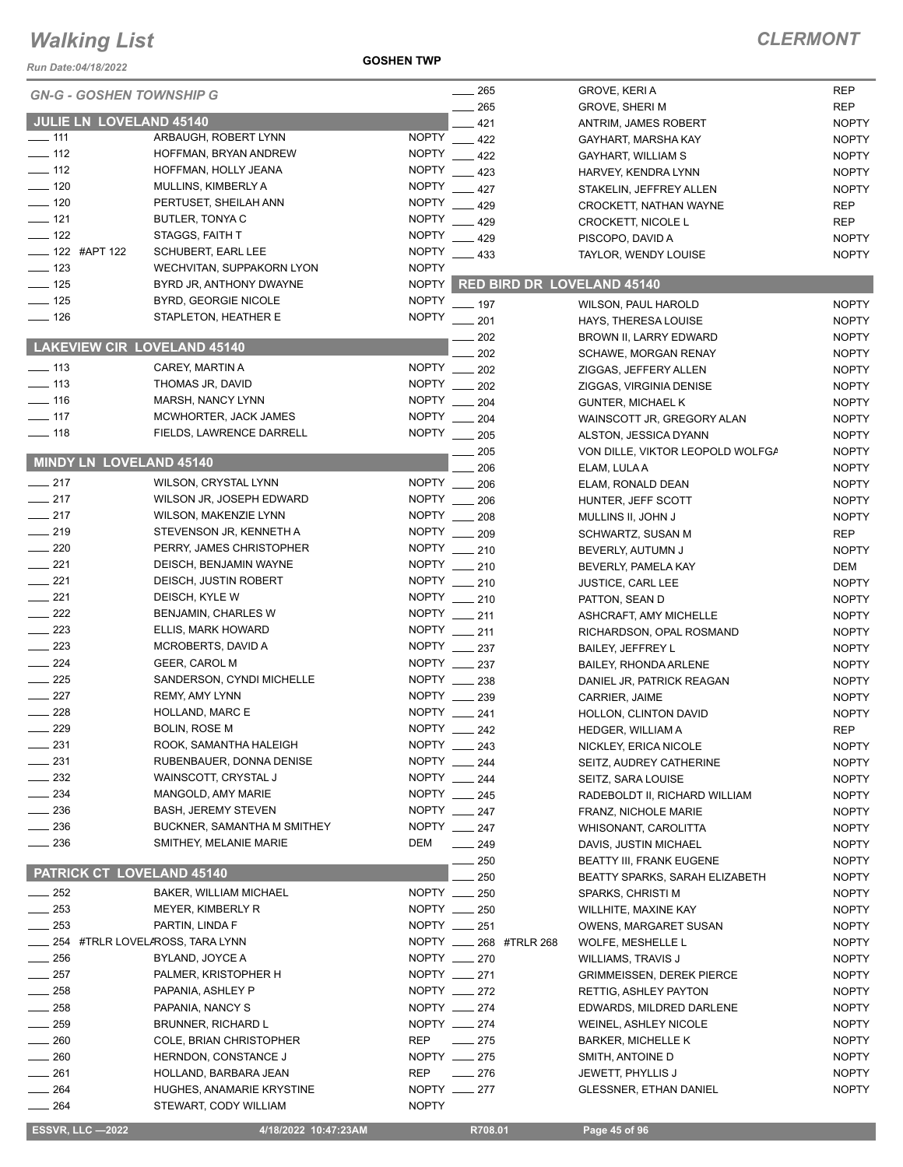*Run Date:04/18/2022*

**GOSHEN TWP**

| <b>GN-G - GOSHEN TOWNSHIP G</b>    |                                 |              | $\frac{1}{265}$                  | GROVE, KERI A                    | <b>REP</b>                   |
|------------------------------------|---------------------------------|--------------|----------------------------------|----------------------------------|------------------------------|
|                                    |                                 |              | 265                              | <b>GROVE, SHERI M</b>            | <b>REP</b>                   |
| JULIE LN LOVELAND 45140            |                                 |              | 421                              | ANTRIM, JAMES ROBERT             | <b>NOPTY</b>                 |
| $- 111$                            | ARBAUGH, ROBERT LYNN            | <b>NOPTY</b> | $-422$                           | GAYHART, MARSHA KAY              | <b>NOPTY</b>                 |
| $\frac{1}{2}$ 112                  | HOFFMAN, BRYAN ANDREW           | <b>NOPTY</b> | 422                              | GAYHART, WILLIAM S               | <b>NOPTY</b>                 |
| $\frac{1}{2}$ 112                  | HOFFMAN, HOLLY JEANA            | <b>NOPTY</b> | 423                              | HARVEY, KENDRA LYNN              | <b>NOPTY</b>                 |
| $-120$                             | MULLINS, KIMBERLY A             | <b>NOPTY</b> | 427                              | STAKELIN, JEFFREY ALLEN          | <b>NOPTY</b>                 |
| $\frac{1}{2}$ 120                  | PERTUSET, SHEILAH ANN           | <b>NOPTY</b> | 429                              | CROCKETT, NATHAN WAYNE           | <b>REP</b>                   |
| $- 121$                            | BUTLER, TONYA C                 | <b>NOPTY</b> | 429                              | <b>CROCKETT, NICOLE L</b>        | <b>REP</b>                   |
| $\frac{1}{2}$ 122                  | STAGGS, FAITH T                 | <b>NOPTY</b> | $\frac{1}{2}$ 429                | PISCOPO, DAVID A                 | <b>NOPTY</b>                 |
| ___ 122 #APT 122                   | SCHUBERT, EARL LEE              | <b>NOPTY</b> | $\frac{1}{2}$ 433                | TAYLOR, WENDY LOUISE             | <b>NOPTY</b>                 |
| $\frac{1}{2}$ 123                  | WECHVITAN, SUPPAKORN LYON       | <b>NOPTY</b> |                                  |                                  |                              |
| $\frac{1}{2}$ 125                  | BYRD JR, ANTHONY DWAYNE         |              | NOPTY RED BIRD DR LOVELAND 45140 |                                  |                              |
| $\frac{1}{2}$ 125                  | BYRD, GEORGIE NICOLE            | <b>NOPTY</b> |                                  |                                  |                              |
| $- 126$                            | STAPLETON, HEATHER E            | <b>NOPTY</b> | $-197$                           | WILSON, PAUL HAROLD              | <b>NOPTY</b>                 |
|                                    |                                 |              | $-201$                           | HAYS, THERESA LOUISE             | <b>NOPTY</b>                 |
| <b>LAKEVIEW CIR LOVELAND 45140</b> |                                 |              | 202                              | BROWN II, LARRY EDWARD           | <b>NOPTY</b>                 |
|                                    |                                 |              | 202                              | SCHAWE, MORGAN RENAY             | <b>NOPTY</b>                 |
| $\frac{1}{2}$ 113                  | CAREY, MARTIN A                 | <b>NOPTY</b> | 202                              | ZIGGAS, JEFFERY ALLEN            | <b>NOPTY</b>                 |
| $\frac{1}{2}$ 113                  | THOMAS JR, DAVID                | <b>NOPTY</b> | 202                              | ZIGGAS, VIRGINIA DENISE          | <b>NOPTY</b>                 |
| $\frac{1}{16}$                     | MARSH, NANCY LYNN               | <b>NOPTY</b> | 204                              | <b>GUNTER, MICHAEL K</b>         | <b>NOPTY</b>                 |
| $\frac{1}{2}$ 117                  | MCWHORTER, JACK JAMES           | <b>NOPTY</b> | 204                              | WAINSCOTT JR, GREGORY ALAN       | <b>NOPTY</b>                 |
| $- 118$                            | FIELDS, LAWRENCE DARRELL        |              | NOPTY __ 205                     | ALSTON, JESSICA DYANN            | <b>NOPTY</b>                 |
|                                    |                                 |              | 205                              | VON DILLE, VIKTOR LEOPOLD WOLFGA | <b>NOPTY</b>                 |
| MINDY LN LOVELAND 45140            |                                 |              | 206                              | ELAM, LULA A                     | <b>NOPTY</b>                 |
| $\frac{1}{217}$                    | WILSON, CRYSTAL LYNN            |              | NOPTY __ 206                     | ELAM, RONALD DEAN                | <b>NOPTY</b>                 |
| $-217$                             | WILSON JR, JOSEPH EDWARD        |              | NOPTY __ 206                     | HUNTER, JEFF SCOTT               | <b>NOPTY</b>                 |
| $\frac{1}{217}$                    | WILSON, MAKENZIE LYNN           |              | NOPTY __ 208                     | MULLINS II, JOHN J               | <b>NOPTY</b>                 |
| $\frac{1}{219}$                    | STEVENSON JR, KENNETH A         |              | NOPTY __ 209                     | SCHWARTZ, SUSAN M                | <b>REP</b>                   |
| $\sim$ 220                         | PERRY, JAMES CHRISTOPHER        |              | NOPTY __ 210                     |                                  |                              |
| $\frac{1}{221}$                    | DEISCH, BENJAMIN WAYNE          |              | NOPTY __ 210                     | BEVERLY, AUTUMN J                | <b>NOPTY</b>                 |
| $\frac{1}{221}$                    |                                 |              |                                  | BEVERLY, PAMELA KAY              | DEM                          |
|                                    | DEISCH, JUSTIN ROBERT           |              | NOPTY __ 210                     | <b>JUSTICE, CARL LEE</b>         | <b>NOPTY</b>                 |
| $\frac{1}{221}$                    | DEISCH, KYLE W                  |              | NOPTY __ 210                     | PATTON, SEAN D                   | <b>NOPTY</b>                 |
| $\frac{1}{222}$                    | BENJAMIN, CHARLES W             |              | NOPTY __ 211                     | ASHCRAFT, AMY MICHELLE           | <b>NOPTY</b>                 |
| 223                                | ELLIS, MARK HOWARD              |              | NOPTY __ 211                     | RICHARDSON, OPAL ROSMAND         | <b>NOPTY</b>                 |
| $\frac{223}{2}$                    | MCROBERTS, DAVID A              |              | NOPTY __ 237                     | <b>BAILEY, JEFFREY L</b>         | <b>NOPTY</b>                 |
| $\frac{1}{224}$                    | GEER, CAROL M                   |              | NOPTY __ 237                     | BAILEY, RHONDA ARLENE            | <b>NOPTY</b>                 |
| $\frac{225}{2}$                    | SANDERSON, CYNDI MICHELLE       |              | NOPTY __ 238                     | DANIEL JR, PATRICK REAGAN        | <b>NOPTY</b>                 |
| $\frac{1}{227}$                    | <b>REMY, AMY LYNN</b>           |              | NOPTY __ 239                     | CARRIER, JAIME                   | <b>NOPTY</b>                 |
| 228                                | HOLLAND, MARC E                 |              | NOPTY __ 241                     | HOLLON, CLINTON DAVID            | <b>NOPTY</b>                 |
| $\frac{1}{229}$                    | <b>BOLIN, ROSE M</b>            | <b>NOPTY</b> | 242                              | HEDGER, WILLIAM A                | <b>REP</b>                   |
| $-231$                             | ROOK, SAMANTHA HALEIGH          |              | NOPTY __ 243                     | NICKLEY, ERICA NICOLE            | <b>NOPTY</b>                 |
| 231                                | RUBENBAUER, DONNA DENISE        | NOPTY ___    | 244                              | SEITZ, AUDREY CATHERINE          | <b>NOPTY</b>                 |
| $-232$                             | WAINSCOTT, CRYSTAL J            |              | NOPTY __ 244                     | SEITZ, SARA LOUISE               | <b>NOPTY</b>                 |
| 234                                | MANGOLD, AMY MARIE              |              | NOPTY __ 245                     | RADEBOLDT II, RICHARD WILLIAM    | <b>NOPTY</b>                 |
| $\frac{1}{2}$ 236                  | <b>BASH, JEREMY STEVEN</b>      |              | NOPTY __ 247                     | FRANZ, NICHOLE MARIE             | <b>NOPTY</b>                 |
| $-236$                             | BUCKNER, SAMANTHA M SMITHEY     |              | NOPTY __ 247                     | WHISONANT, CAROLITTA             | <b>NOPTY</b>                 |
| $\frac{1}{2}$ 236                  | SMITHEY, MELANIE MARIE          | DEM          | $\equiv$ 249                     | DAVIS, JUSTIN MICHAEL            | <b>NOPTY</b>                 |
|                                    |                                 |              | 250                              | <b>BEATTY III, FRANK EUGENE</b>  | <b>NOPTY</b>                 |
| PATRICK CT LOVELAND 45140          |                                 |              | 250                              | BEATTY SPARKS, SARAH ELIZABETH   |                              |
| $-252$                             | BAKER, WILLIAM MICHAEL          |              | NOPTY __ 250                     | SPARKS, CHRISTI M                | <b>NOPTY</b><br><b>NOPTY</b> |
| $\frac{1}{253}$                    |                                 |              | NOPTY __ 250                     |                                  |                              |
| 253                                | MEYER, KIMBERLY R               |              |                                  | WILLHITE, MAXINE KAY             | <b>NOPTY</b>                 |
|                                    | PARTIN, LINDA F                 |              | NOPTY __ 251                     | OWENS, MARGARET SUSAN            | <b>NOPTY</b>                 |
|                                    | 254 #TRLR LOVELAROSS, TARA LYNN |              | NOPTY _____ 268 #TRLR 268        | WOLFE, MESHELLE L                | <b>NOPTY</b>                 |
| $-256$                             | BYLAND, JOYCE A                 |              | NOPTY __ 270                     | WILLIAMS, TRAVIS J               | <b>NOPTY</b>                 |
| 257                                | PALMER, KRISTOPHER H            |              | NOPTY __ 271                     | <b>GRIMMEISSEN, DEREK PIERCE</b> | <b>NOPTY</b>                 |
| 258                                | PAPANIA, ASHLEY P               |              | NOPTY __ 272                     | RETTIG, ASHLEY PAYTON            | <b>NOPTY</b>                 |
| 258                                | PAPANIA, NANCY S                |              | NOPTY __ 274                     | EDWARDS, MILDRED DARLENE         | <b>NOPTY</b>                 |
| $=259$                             | BRUNNER, RICHARD L              |              | NOPTY __ 274                     | WEINEL, ASHLEY NICOLE            | <b>NOPTY</b>                 |
| 260                                | COLE, BRIAN CHRISTOPHER         | REP          | $\frac{1}{275}$                  | <b>BARKER, MICHELLE K</b>        | <b>NOPTY</b>                 |
| 260                                | HERNDON, CONSTANCE J            |              | NOPTY __ 275                     | SMITH, ANTOINE D                 | <b>NOPTY</b>                 |
| $-261$                             | HOLLAND, BARBARA JEAN           | <b>REP</b>   | $\frac{1}{276}$                  | JEWETT, PHYLLIS J                | <b>NOPTY</b>                 |
| 264                                | HUGHES, ANAMARIE KRYSTINE       |              | NOPTY __ 277                     | <b>GLESSNER, ETHAN DANIEL</b>    | <b>NOPTY</b>                 |
| $-264$                             | STEWART, CODY WILLIAM           | <b>NOPTY</b> |                                  |                                  |                              |
|                                    |                                 |              |                                  |                                  |                              |
| <b>ESSVR, LLC -2022</b>            | 4/18/2022 10:47:23AM            |              | R708.01                          | Page 45 of 96                    |                              |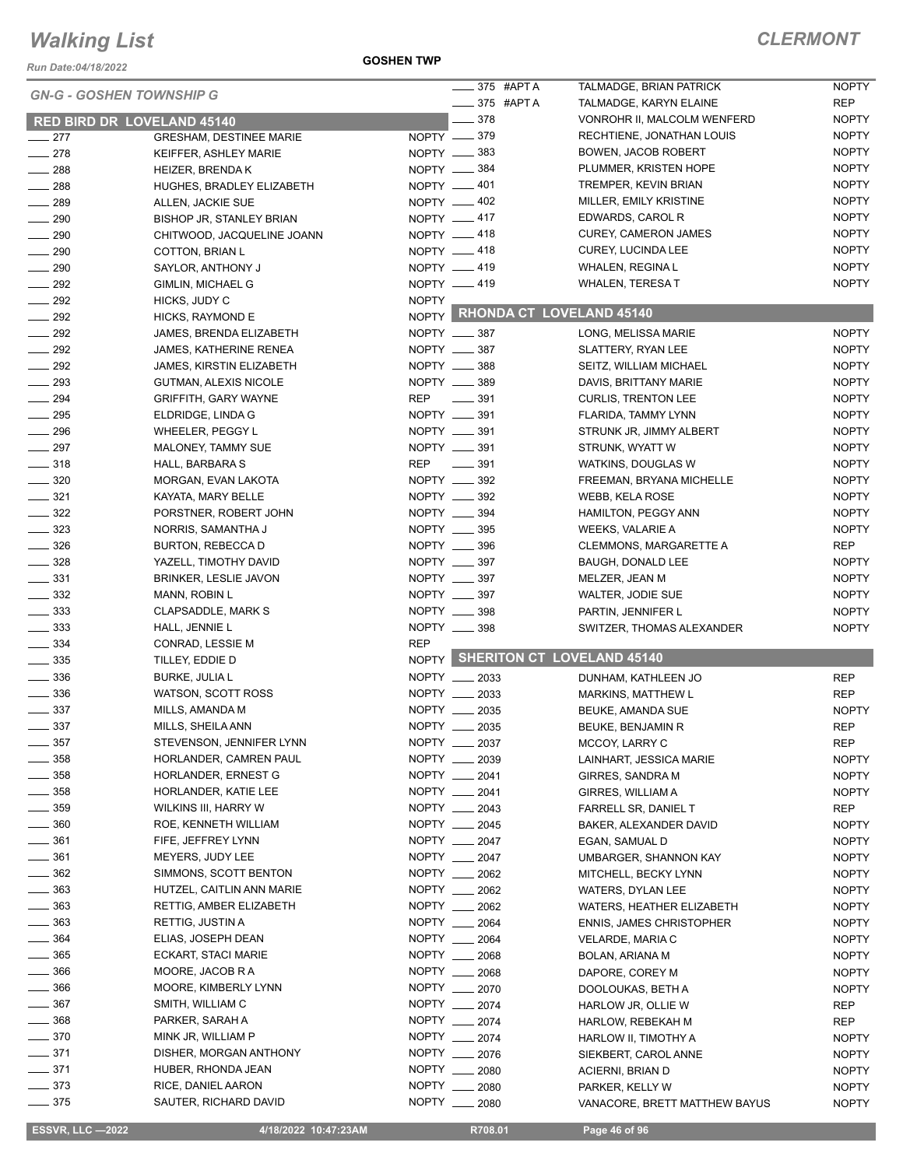*Run Date:04/18/2022*

#### **GOSHEN TWP**

#### *CLERMONT*

|                                   |                                |              | $\frac{1}{2}$ 375 #APT A |                                  | <b>NOPTY</b> |
|-----------------------------------|--------------------------------|--------------|--------------------------|----------------------------------|--------------|
| <b>GN-G - GOSHEN TOWNSHIP G</b>   |                                |              |                          | TALMADGE, BRIAN PATRICK          |              |
|                                   |                                |              | $\frac{1}{2}$ 375 #APTA  | TALMADGE, KARYN ELAINE           | <b>REP</b>   |
| <b>RED BIRD DR LOVELAND 45140</b> |                                |              | $\frac{1}{2}$ 378        | VONROHR II, MALCOLM WENFERD      | <b>NOPTY</b> |
| $\sim$ 277                        | <b>GRESHAM, DESTINEE MARIE</b> |              | NOPTY __ 379             | RECHTIENE, JONATHAN LOUIS        | <b>NOPTY</b> |
| $-278$                            | KEIFFER, ASHLEY MARIE          |              | NOPTY <u>_</u> 383       | BOWEN, JACOB ROBERT              | <b>NOPTY</b> |
| $\frac{1}{288}$                   | <b>HEIZER, BRENDAK</b>         |              | NOPTY __ 384             | PLUMMER, KRISTEN HOPE            | <b>NOPTY</b> |
| $\frac{1}{288}$                   | HUGHES, BRADLEY ELIZABETH      |              | NOPTY -401               | TREMPER, KEVIN BRIAN             | <b>NOPTY</b> |
| $\frac{1}{289}$                   | ALLEN, JACKIE SUE              |              | NOPTY -402               | MILLER, EMILY KRISTINE           | <b>NOPTY</b> |
| $- 290$                           | BISHOP JR, STANLEY BRIAN       |              | NOPTY __ 417             | EDWARDS, CAROL R                 | <b>NOPTY</b> |
| $- 290$                           | CHITWOOD, JACQUELINE JOANN     |              | NOPTY -418               | <b>CUREY, CAMERON JAMES</b>      | <b>NOPTY</b> |
| $\frac{1}{290}$                   | COTTON, BRIAN L                |              | NOPTY __ 418             | CUREY, LUCINDA LEE               | <b>NOPTY</b> |
| $\sim$ 290                        | SAYLOR, ANTHONY J              |              | NOPTY -419               | WHALEN, REGINA L                 | <b>NOPTY</b> |
| $-292$                            | GIMLIN, MICHAEL G              |              | NOPTY -419               | WHALEN, TERESA T                 | <b>NOPTY</b> |
| $\frac{292}{2}$                   | HICKS, JUDY C                  | <b>NOPTY</b> |                          |                                  |              |
| $\frac{1}{292}$                   | HICKS, RAYMOND E               |              |                          | NOPTY RHONDA CT LOVELAND 45140   |              |
| $\frac{292}{2}$                   | JAMES, BRENDA ELIZABETH        |              | NOPTY __ 387             | LONG, MELISSA MARIE              | <b>NOPTY</b> |
| $\frac{1}{292}$                   | <b>JAMES, KATHERINE RENEA</b>  |              | NOPTY __ 387             | SLATTERY, RYAN LEE               | <b>NOPTY</b> |
| $\sim$ 292                        | JAMES, KIRSTIN ELIZABETH       |              | NOPTY __ 388             | SEITZ, WILLIAM MICHAEL           | <b>NOPTY</b> |
| $\frac{1}{293}$                   | <b>GUTMAN, ALEXIS NICOLE</b>   |              | NOPTY __ 389             | DAVIS, BRITTANY MARIE            | <b>NOPTY</b> |
| $\frac{1}{294}$                   | <b>GRIFFITH, GARY WAYNE</b>    | <b>REP</b>   | $\frac{1}{2}$ 391        | <b>CURLIS, TRENTON LEE</b>       | <b>NOPTY</b> |
| $\frac{1}{2}$ 295                 | ELDRIDGE, LINDA G              |              | NOPTY __ 391             | FLARIDA, TAMMY LYNN              | <b>NOPTY</b> |
| $\frac{1}{296}$                   | WHEELER, PEGGY L               |              | NOPTY __ 391             | STRUNK JR, JIMMY ALBERT          | <b>NOPTY</b> |
| $\frac{1}{297}$                   | MALONEY, TAMMY SUE             |              | NOPTY __ 391             | STRUNK, WYATT W                  | <b>NOPTY</b> |
| $\frac{1}{2}$ 318                 | HALL, BARBARA S                | REP          | $\frac{1}{2}$ 391        | WATKINS, DOUGLAS W               | <b>NOPTY</b> |
| $- 320$                           | MORGAN, EVAN LAKOTA            |              | NOPTY __ 392             | FREEMAN, BRYANA MICHELLE         | <b>NOPTY</b> |
| $\frac{1}{2}$ 321                 | KAYATA, MARY BELLE             |              | NOPTY __ 392             | <b>WEBB, KELA ROSE</b>           | <b>NOPTY</b> |
| $\frac{322}{2}$                   | PORSTNER, ROBERT JOHN          |              | NOPTY __ 394             |                                  | <b>NOPTY</b> |
|                                   |                                |              |                          | HAMILTON, PEGGY ANN              |              |
| $\frac{1}{2}$ 323                 | NORRIS, SAMANTHA J             |              | NOPTY __ 395             | WEEKS, VALARIE A                 | <b>NOPTY</b> |
| $\frac{1}{2}$ 326                 | BURTON, REBECCA D              |              | NOPTY __ 396             | CLEMMONS, MARGARETTE A           | REP          |
| $- 328$                           | YAZELL, TIMOTHY DAVID          |              | NOPTY __ 397             | <b>BAUGH, DONALD LEE</b>         | <b>NOPTY</b> |
| $\frac{1}{2}$ 331                 | <b>BRINKER, LESLIE JAVON</b>   |              | NOPTY __ 397             | MELZER, JEAN M                   | <b>NOPTY</b> |
| $\frac{1}{2}$ 332                 | MANN, ROBIN L                  |              | NOPTY __ 397             | WALTER, JODIE SUE                | <b>NOPTY</b> |
| $\frac{1}{2}$ 333                 | <b>CLAPSADDLE, MARK S</b>      |              | NOPTY __ 398             | PARTIN, JENNIFER L               | <b>NOPTY</b> |
| $\frac{1}{2}$ 333                 | HALL, JENNIE L                 |              | NOPTY __ 398             | SWITZER, THOMAS ALEXANDER        | <b>NOPTY</b> |
| $\frac{1}{2}$ 334                 | CONRAD, LESSIE M               | <b>REP</b>   |                          |                                  |              |
| $\frac{1}{2}$ 335                 | TILLEY, EDDIE D                |              |                          | NOPTY SHERITON CT LOVELAND 45140 |              |
| $\frac{1}{2}$ 336                 | <b>BURKE, JULIA L</b>          |              | NOPTY __ 2033            | DUNHAM, KATHLEEN JO              | <b>REP</b>   |
| $\frac{1}{2}$ 336                 | WATSON, SCOTT ROSS             |              | NOPTY __ 2033            | MARKINS, MATTHEW L               | <b>REP</b>   |
| $\frac{1}{2}$ 337                 | MILLS, AMANDA M                |              | NOPTY __ 2035            | BEUKE, AMANDA SUE                | <b>NOPTY</b> |
| $\sim$ 337                        | MILLS, SHEILA ANN              |              | NOPTY __ 2035            | <b>BEUKE, BENJAMIN R</b>         | <b>REP</b>   |
| $\_\_$ 357                        | STEVENSON, JENNIFER LYNN       |              | 2037                     | MCCOY, LARRY C                   | REP          |
| $\frac{1}{2}$ 358                 | HORLANDER, CAMREN PAUL         |              | NOPTY __ 2039            | LAINHART, JESSICA MARIE          | <b>NOPTY</b> |
| $\frac{1}{2}$ 358                 | HORLANDER, ERNEST G            |              | NOPTY __ 2041            | <b>GIRRES, SANDRA M</b>          | <b>NOPTY</b> |
| $\frac{1}{2}$ 358                 | HORLANDER, KATIE LEE           |              | NOPTY __ 2041            | GIRRES, WILLIAM A                | <b>NOPTY</b> |
| $- 359$                           | WILKINS III, HARRY W           |              | NOPTY __ 2043            | FARRELL SR, DANIEL T             | <b>REP</b>   |
| $\frac{1}{2}$ 360                 | ROE, KENNETH WILLIAM           |              | NOPTY __ 2045            | BAKER, ALEXANDER DAVID           | <b>NOPTY</b> |
| $\frac{1}{2}$ 361                 | FIFE, JEFFREY LYNN             |              | NOPTY 2047               | EGAN, SAMUAL D                   | <b>NOPTY</b> |
| $\frac{1}{2}$ 361                 | MEYERS, JUDY LEE               |              | NOPTY __ 2047            | <b>UMBARGER, SHANNON KAY</b>     | <b>NOPTY</b> |
| $\frac{1}{2}$ 362                 | SIMMONS, SCOTT BENTON          |              | NOPTY __ 2062            | MITCHELL, BECKY LYNN             | <b>NOPTY</b> |
| $\frac{1}{2}$ 363                 | HUTZEL, CAITLIN ANN MARIE      |              | NOPTY __ 2062            | WATERS, DYLAN LEE                | <b>NOPTY</b> |
| $\frac{1}{2}$ 363                 | RETTIG, AMBER ELIZABETH        |              | NOPTY __ 2062            | WATERS, HEATHER ELIZABETH        | <b>NOPTY</b> |
| $\frac{1}{2}$ 363                 | RETTIG, JUSTIN A               |              | NOPTY __ 2064            | <b>ENNIS, JAMES CHRISTOPHER</b>  | <b>NOPTY</b> |
| $\frac{1}{2}$ 364                 | ELIAS, JOSEPH DEAN             |              | NOPTY __ 2064            | VELARDE, MARIA C                 | <b>NOPTY</b> |
| $\frac{1}{2}$ 365                 | ECKART, STACI MARIE            |              | NOPTY __ 2068            |                                  | <b>NOPTY</b> |
| $- 366$                           | MOORE, JACOB R A               |              | NOPTY __ 2068            | BOLAN, ARIANA M                  |              |
| $\frac{1}{2}$ 366                 |                                |              |                          | DAPORE, COREY M                  | <b>NOPTY</b> |
|                                   | MOORE, KIMBERLY LYNN           |              | NOPTY __ 2070            | DOOLOUKAS, BETH A                | <b>NOPTY</b> |
| $- 367$                           | SMITH, WILLIAM C               |              | NOPTY __ 2074            | HARLOW JR, OLLIE W               | REP          |
| ____ 368                          | PARKER, SARAH A                |              | NOPTY __ 2074            | HARLOW, REBEKAH M                | <b>REP</b>   |
| $- 370$                           | MINK JR, WILLIAM P             |              | NOPTY __ 2074            | HARLOW II, TIMOTHY A             | <b>NOPTY</b> |
| —— 371                            | DISHER, MORGAN ANTHONY         |              | NOPTY __ 2076            | SIEKBERT, CAROL ANNE             | <b>NOPTY</b> |
| $\frac{1}{2}$ 371                 | HUBER, RHONDA JEAN             |              | NOPTY __ 2080            | ACIERNI, BRIAN D                 | <b>NOPTY</b> |
| $- 373$                           | RICE, DANIEL AARON             |              | NOPTY __ 2080            | PARKER, KELLY W                  | <b>NOPTY</b> |
| $- 375$                           | SAUTER, RICHARD DAVID          | NOPTY ___    | 2080                     | VANACORE, BRETT MATTHEW BAYUS    | <b>NOPTY</b> |

 $\overline{a}$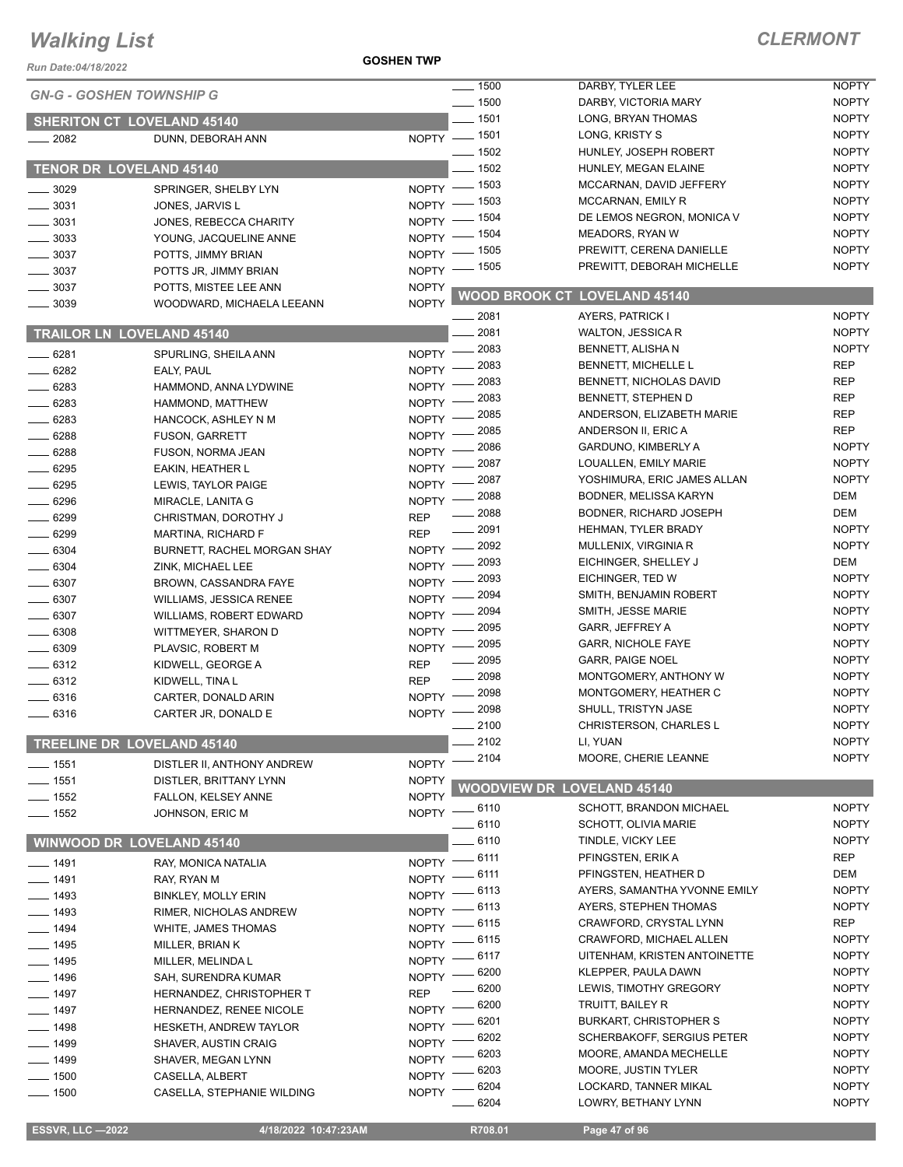#### **GOSHEN TWP**

| <b>Run Date:04/18/2022</b>        |                                                           | <b>GOSHEN TWP</b>  |                      |                                                       |                              |
|-----------------------------------|-----------------------------------------------------------|--------------------|----------------------|-------------------------------------------------------|------------------------------|
| <b>GN-G - GOSHEN TOWNSHIP G</b>   |                                                           |                    | $\frac{1}{2}$ 1500   | DARBY, TYLER LEE                                      | <b>NOPTY</b>                 |
|                                   |                                                           |                    | $\frac{1}{2}$ 1500   | DARBY, VICTORIA MARY                                  | <b>NOPTY</b>                 |
| <b>SHERITON CT LOVELAND 45140</b> |                                                           |                    | $- 1501$             | LONG, BRYAN THOMAS                                    | <b>NOPTY</b>                 |
| $-2082$                           | DUNN, DEBORAH ANN                                         |                    | NOPTY - 1501         | LONG, KRISTY S                                        | <b>NOPTY</b>                 |
|                                   |                                                           |                    | $- 1502$             | HUNLEY. JOSEPH ROBERT                                 | <b>NOPTY</b>                 |
| TENOR DR LOVELAND 45140           |                                                           |                    | $-1502$              | HUNLEY, MEGAN ELAINE                                  | <b>NOPTY</b>                 |
| $-3029$                           | SPRINGER, SHELBY LYN                                      |                    | NOPTY - 1503         | MCCARNAN, DAVID JEFFERY                               | <b>NOPTY</b>                 |
| 3031                              | JONES, JARVIS L                                           | $N$ OPTY $-$       | $=$ 1503             | MCCARNAN, EMILY R                                     | <b>NOPTY</b>                 |
| $= 3031$                          | JONES, REBECCA CHARITY                                    | NOPTY $-$          | _ 1504               | DE LEMOS NEGRON, MONICA V                             | <b>NOPTY</b>                 |
| $-3033$                           | YOUNG, JACQUELINE ANNE                                    | $NOPTY =$          | $-1504$              | <b>MEADORS, RYAN W</b>                                | <b>NOPTY</b><br><b>NOPTY</b> |
| $-3037$                           | POTTS, JIMMY BRIAN                                        | NOPTY -            | - 1505               | PREWITT, CERENA DANIELLE<br>PREWITT, DEBORAH MICHELLE | <b>NOPTY</b>                 |
| $-3037$                           | POTTS JR, JIMMY BRIAN                                     | $NOPTY =$          | _ 1505               |                                                       |                              |
| 3037                              | POTTS, MISTEE LEE ANN                                     | <b>NOPTY</b>       | <b>WOOD BROOK CT</b> | <b>LOVELAND 45140</b>                                 |                              |
| 3039                              | WOODWARD, MICHAELA LEEANN                                 | <b>NOPTY</b>       | . 2081               | AYERS, PATRICK I                                      | <b>NOPTY</b>                 |
| <b>TRAILOR LN LOVELAND 45140</b>  |                                                           |                    | 2081                 | <b>WALTON, JESSICA R</b>                              | <b>NOPTY</b>                 |
|                                   |                                                           |                    | 2083                 | BENNETT, ALISHA N                                     | <b>NOPTY</b>                 |
| $-6281$                           | SPURLING, SHEILA ANN                                      | $N$ OPTY $-$       | 2083                 | BENNETT, MICHELLE L                                   | <b>REP</b>                   |
| $-6282$                           | EALY, PAUL                                                | NOPTY -            | 2083                 | BENNETT, NICHOLAS DAVID                               | <b>REP</b>                   |
| $-6283$                           | HAMMOND, ANNA LYDWINE                                     | NOPTY -            | 2083                 | BENNETT, STEPHEN D                                    | <b>REP</b>                   |
| 6283                              | HAMMOND, MATTHEW                                          | <b>NOPTY</b>       | 2085                 | ANDERSON, ELIZABETH MARIE                             | <b>REP</b>                   |
| 6283                              | HANCOCK, ASHLEY N M                                       | <b>NOPTY</b>       | 2085                 | ANDERSON II, ERIC A                                   | <b>REP</b>                   |
| 6288                              | <b>FUSON, GARRETT</b>                                     | NOPTY -            | 2086                 | GARDUNO, KIMBERLY A                                   | <b>NOPTY</b>                 |
| $-6288$                           | FUSON, NORMA JEAN                                         | $N$ OPTY $-$       | 2087                 | LOUALLEN, EMILY MARIE                                 | <b>NOPTY</b>                 |
| 6295                              | EAKIN, HEATHER L                                          | NOPTY -<br>NOPTY = | 2087                 | YOSHIMURA, ERIC JAMES ALLAN                           | <b>NOPTY</b>                 |
| $-6295$                           | LEWIS, TAYLOR PAIGE                                       | NOPTY -            | 2088                 | BODNER, MELISSA KARYN                                 | DEM                          |
| 6296<br>6299                      | MIRACLE, LANITA G                                         | <b>REP</b>         | 2088                 | BODNER, RICHARD JOSEPH                                | DEM                          |
| $-6299$                           | CHRISTMAN, DOROTHY J                                      | <b>REP</b>         | $-2091$              | HEHMAN, TYLER BRADY                                   | <b>NOPTY</b>                 |
|                                   | <b>MARTINA, RICHARD F</b>                                 |                    | NOPTY - 2092         | MULLENIX, VIRGINIA R                                  | <b>NOPTY</b>                 |
| $-6304$                           | BURNETT, RACHEL MORGAN SHAY                               | NOPTY =            | 2093                 | EICHINGER, SHELLEY J                                  | DEM                          |
| $-6304$<br>$- 6307$               | ZINK, MICHAEL LEE                                         | NOPTY -            | 2093                 | EICHINGER, TED W                                      | <b>NOPTY</b>                 |
| $-6307$                           | BROWN, CASSANDRA FAYE                                     | NOPTY -            | 2094                 | SMITH, BENJAMIN ROBERT                                | <b>NOPTY</b>                 |
| $\frac{1}{2}$ 6307                | <b>WILLIAMS, JESSICA RENEE</b><br>WILLIAMS, ROBERT EDWARD | NOPTY -            | 2094                 | SMITH, JESSE MARIE                                    | <b>NOPTY</b>                 |
| .6308                             | WITTMEYER, SHARON D                                       | NOPTY -            | 2095                 | GARR, JEFFREY A                                       | <b>NOPTY</b>                 |
| $-6309$                           | PLAVSIC, ROBERT M                                         | NOPTY -            | 2095                 | <b>GARR, NICHOLE FAYE</b>                             | <b>NOPTY</b>                 |
| $-6312$                           | KIDWELL, GEORGE A                                         | <b>REP</b>         | 2095                 | <b>GARR, PAIGE NOEL</b>                               | <b>NOPTY</b>                 |
| $-6312$                           | KIDWELL, TINA L                                           | <b>REP</b>         | 2098                 | MONTGOMERY, ANTHONY W                                 | <b>NOPTY</b>                 |
| $-6316$                           | CARTER, DONALD ARIN                                       | $N$ OPTY $-$       | 2098                 | MONTGOMERY, HEATHER C                                 | <b>NOPTY</b>                 |
| 6316                              | CARTER JR, DONALD E                                       |                    | NOPTY - 2098         | SHULL, TRISTYN JASE                                   | <b>NOPTY</b>                 |
|                                   |                                                           |                    | $-2100$              | <b>CHRISTERSON, CHARLES L</b>                         | <b>NOPTY</b>                 |
| <b>TREELINE DR LOVELAND 45140</b> |                                                           |                    | 2102                 | LI, YUAN                                              | <b>NOPTY</b>                 |
| $=$ 1551                          | DISTLER II, ANTHONY ANDREW                                | <b>NOPTY</b>       | 2104                 | MOORE, CHERIE LEANNE                                  | <b>NOPTY</b>                 |
| 1551                              | DISTLER, BRITTANY LYNN                                    | <b>NOPTY</b>       |                      |                                                       |                              |
| $-1552$                           | FALLON, KELSEY ANNE                                       | <b>NOPTY</b>       |                      | <b>WOODVIEW DR LOVELAND 45140</b>                     |                              |
| $\frac{1}{2}$ 1552                | JOHNSON, ERIC M                                           | <b>NOPTY</b>       | $=6110$              | <b>SCHOTT, BRANDON MICHAEL</b>                        | <b>NOPTY</b>                 |
|                                   |                                                           |                    | 6110                 | SCHOTT, OLIVIA MARIE                                  | <b>NOPTY</b>                 |
| <b>WINWOOD DR LOVELAND 45140</b>  |                                                           |                    | _ 6110               | TINDLE, VICKY LEE                                     | <b>NOPTY</b>                 |
| $- 1491$                          | <b>RAY. MONICA NATALIA</b>                                | $N$ OPTY $-$       | $-6111$              | PFINGSTEN, ERIK A                                     | <b>REP</b>                   |
| __ 1491                           | RAY, RYAN M                                               | $NOPTY =$          | - 6111               | PFINGSTEN, HEATHER D                                  | <b>DEM</b>                   |
| $-1493$                           | <b>BINKLEY, MOLLY ERIN</b>                                | $NOPTY =$          | $-6113$              | AYERS, SAMANTHA YVONNE EMILY                          | <b>NOPTY</b>                 |
| $-1493$                           | RIMER, NICHOLAS ANDREW                                    | NOPTY -            | 6113                 | AYERS, STEPHEN THOMAS                                 | <b>NOPTY</b>                 |
| $- 1494$                          | WHITE, JAMES THOMAS                                       | <b>NOPTY</b>       | . 6115               | CRAWFORD, CRYSTAL LYNN                                | <b>REP</b>                   |
| $\frac{1}{2}$ 1495                | MILLER, BRIAN K                                           | <b>NOPTY</b>       | 6115                 | CRAWFORD, MICHAEL ALLEN                               | <b>NOPTY</b>                 |
| $- 1495$                          | MILLER, MELINDA L                                         | <b>NOPTY</b>       | 6117                 | UITENHAM, KRISTEN ANTOINETTE                          | <b>NOPTY</b>                 |
| $- 1496$                          | SAH, SURENDRA KUMAR                                       | <b>NOPTY</b>       | 6200                 | KLEPPER, PAULA DAWN                                   | <b>NOPTY</b>                 |
| $-1497$                           | HERNANDEZ, CHRISTOPHER T                                  | <b>REP</b>         | 6200                 | LEWIS, TIMOTHY GREGORY                                | <b>NOPTY</b>                 |
| . 1497                            | HERNANDEZ, RENEE NICOLE                                   | <b>NOPTY</b>       | 6200                 | TRUITT, BAILEY R                                      | <b>NOPTY</b>                 |
| $-1498$                           | <b>HESKETH, ANDREW TAYLOR</b>                             | <b>NOPTY</b>       | 6201                 | <b>BURKART, CHRISTOPHER S</b>                         | <b>NOPTY</b>                 |
| $-1499$                           | SHAVER, AUSTIN CRAIG                                      | <b>NOPTY</b>       | 6202                 | <b>SCHERBAKOFF, SERGIUS PETER</b>                     | <b>NOPTY</b>                 |
| $-1499$                           | SHAVER, MEGAN LYNN                                        | <b>NOPTY</b>       | 6203                 | MOORE, AMANDA MECHELLE                                | <b>NOPTY</b>                 |
| $- 1500$                          | CASELLA, ALBERT                                           | <b>NOPTY</b>       | 6203                 | MOORE, JUSTIN TYLER                                   | <b>NOPTY</b><br><b>NOPTY</b> |
| $\frac{1}{2}$ 1500                | CASELLA, STEPHANIE WILDING                                | <b>NOPTY</b>       | 6204<br>6204         | LOCKARD, TANNER MIKAL<br>LOWRY, BETHANY LYNN          | <b>NOPTY</b>                 |
|                                   |                                                           |                    |                      |                                                       |                              |
| <b>ESSVR, LLC -2022</b>           | 4/18/2022 10:47:23AM                                      |                    | R708.01              | Page 47 of 96                                         |                              |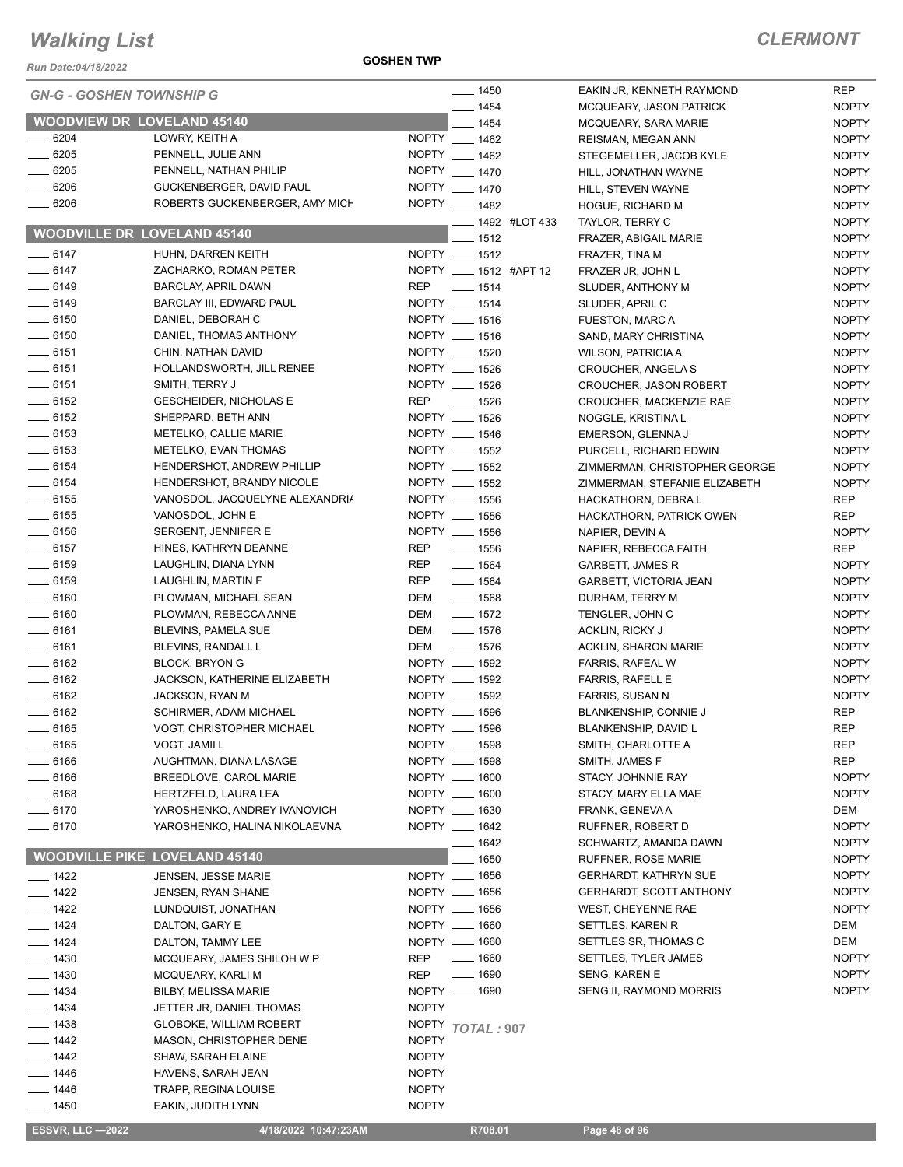*Run Date:04/18/2022*

**GOSHEN TWP**

#### *CLERMONT*

NOPTY

NOPTY NOPTY

| <b>GN-G - GOSHEN TOWNSHIP G</b> |                                      | $- 1450$                    | EAKIN JR, KENNETH RAYMOND      | <b>REP</b>   |
|---------------------------------|--------------------------------------|-----------------------------|--------------------------------|--------------|
|                                 |                                      | $- 1454$                    | MCQUEARY, JASON PATRICK        | <b>NOPTY</b> |
|                                 | <b>WOODVIEW DR LOVELAND 45140</b>    | $- 1454$                    | MCQUEARY, SARA MARIE           | <b>NOPTY</b> |
| $- 6204$                        | LOWRY, KEITH A                       | NOPTY __ 1462               | REISMAN, MEGAN ANN             | <b>NOPTY</b> |
| $- 6205$                        | PENNELL, JULIE ANN                   | NOPTY __ 1462               | STEGEMELLER, JACOB KYLE        | <b>NOPTY</b> |
| $- 6205$                        | PENNELL, NATHAN PHILIP               | NOPTY __ 1470               | HILL, JONATHAN WAYNE           | <b>NOPTY</b> |
| $- 6206$                        | GUCKENBERGER, DAVID PAUL             | NOPTY __ 1470               | HILL, STEVEN WAYNE             | <b>NOPTY</b> |
| $- 6206$                        | ROBERTS GUCKENBERGER, AMY MICH       | NOPTY __ 1482               | HOGUE, RICHARD M               | <b>NOPTY</b> |
|                                 | <b>WOODVILLE DR LOVELAND 45140</b>   | $\frac{1}{2}$ 1492 #LOT 433 | TAYLOR, TERRY C                | <b>NOPTY</b> |
|                                 |                                      | $-1512$                     | FRAZER, ABIGAIL MARIE          | <b>NOPTY</b> |
| $- 6147$                        | HUHN, DARREN KEITH                   | NOPTY __ 1512               | FRAZER, TINA M                 | <b>NOPTY</b> |
| $-6147$                         | ZACHARKO, ROMAN PETER                | NOPTY __ 1512 #APT 12       | FRAZER JR, JOHN L              | <b>NOPTY</b> |
| $- 6149$                        | <b>BARCLAY, APRIL DAWN</b>           | REP __ 1514                 | SLUDER, ANTHONY M              | <b>NOPTY</b> |
| $-6149$                         | BARCLAY III, EDWARD PAUL             | NOPTY __ 1514               | SLUDER, APRIL C                | <b>NOPTY</b> |
| $- 6150$                        | DANIEL, DEBORAH C                    | NOPTY __ 1516               | <b>FUESTON, MARC A</b>         | <b>NOPTY</b> |
| $- 6150$                        | DANIEL, THOMAS ANTHONY               | NOPTY __ 1516               | SAND, MARY CHRISTINA           | <b>NOPTY</b> |
| $-6151$                         | CHIN, NATHAN DAVID                   | NOPTY __ 1520               | <b>WILSON, PATRICIA A</b>      | <b>NOPTY</b> |
| $\frac{1}{2}$ 6151              | HOLLANDSWORTH, JILL RENEE            | NOPTY __ 1526               | CROUCHER, ANGELA S             | <b>NOPTY</b> |
| $-6151$                         | SMITH, TERRY J                       | NOPTY __ 1526               | <b>CROUCHER, JASON ROBERT</b>  | <b>NOPTY</b> |
| $-6152$                         | <b>GESCHEIDER, NICHOLAS E</b>        | REP __ 1526                 | CROUCHER, MACKENZIE RAE        | <b>NOPTY</b> |
| $- 6152$                        | SHEPPARD, BETH ANN                   | NOPTY __ 1526               | NOGGLE, KRISTINA L             | <b>NOPTY</b> |
| $\frac{1}{2}$ 6153              | METELKO, CALLIE MARIE                | NOPTY __ 1546               | EMERSON, GLENNA J              | <b>NOPTY</b> |
| $-6153$                         | METELKO, EVAN THOMAS                 | NOPTY __ 1552               | PURCELL, RICHARD EDWIN         | <b>NOPTY</b> |
| $-6154$                         | HENDERSHOT, ANDREW PHILLIP           | NOPTY __ 1552               | ZIMMERMAN, CHRISTOPHER GEORGE  | <b>NOPTY</b> |
| $-6154$                         | HENDERSHOT, BRANDY NICOLE            | NOPTY __ 1552               | ZIMMERMAN, STEFANIE ELIZABETH  | <b>NOPTY</b> |
| $\frac{1}{2}$ 6155              | VANOSDOL, JACQUELYNE ALEXANDRIA      | NOPTY __ 1556               | HACKATHORN, DEBRA L            | <b>REP</b>   |
| $\frac{1}{2}$ 6155              | VANOSDOL, JOHN E                     | NOPTY __ 1556               | HACKATHORN, PATRICK OWEN       | <b>REP</b>   |
| $- 6156$                        | SERGENT, JENNIFER E                  | NOPTY __ 1556               | NAPIER, DEVIN A                | <b>NOPTY</b> |
| $-6157$                         | HINES, KATHRYN DEANNE                | REP<br>$\frac{1}{2}$ 1556   | NAPIER, REBECCA FAITH          | <b>REP</b>   |
| $\frac{1}{2}$ 6159              | LAUGHLIN, DIANA LYNN                 | $- 1564$<br>REP             | GARBETT, JAMES R               | <b>NOPTY</b> |
| $- 6159$                        | LAUGHLIN, MARTIN F                   | REP<br>$- 1564$             | GARBETT, VICTORIA JEAN         | <b>NOPTY</b> |
| $- 6160$                        | PLOWMAN, MICHAEL SEAN                | DEM<br>$\frac{1}{2}$ 1568   | DURHAM, TERRY M                | <b>NOPTY</b> |
| $- 6160$                        | PLOWMAN, REBECCA ANNE                | DEM<br>$- 1572$             | TENGLER, JOHN C                | <b>NOPTY</b> |
| $-6161$                         | BLEVINS, PAMELA SUE                  | DEM<br>$- 1576$             | <b>ACKLIN, RICKY J</b>         | <b>NOPTY</b> |
| $-6161$                         | BLEVINS, RANDALL L                   | DEM<br>$- 1576$             | <b>ACKLIN, SHARON MARIE</b>    | <b>NOPTY</b> |
| $-6162$                         | <b>BLOCK, BRYON G</b>                | NOPTY __ 1592               | <b>FARRIS, RAFEAL W</b>        | <b>NOPTY</b> |
| $- 6162$                        | JACKSON, KATHERINE ELIZABETH         | NOPTY __ 1592               | <b>FARRIS, RAFELL E</b>        | <b>NOPTY</b> |
| $-6162$                         | JACKSON, RYAN M                      | NOPTY __ 1592               | FARRIS, SUSAN N                | <b>NOPTY</b> |
| $-6162$                         | <b>SCHIRMER, ADAM MICHAEL</b>        | NOPTY __ 1596               | BLANKENSHIP, CONNIE J          | <b>REP</b>   |
| $- 6165$                        | VOGT, CHRISTOPHER MICHAEL            | NOPTY __ 1596               | BLANKENSHIP, DAVID L           | <b>REP</b>   |
| __ 6165                         | VOGT, JAMII L                        | NOPTY __ 1598               | SMITH, CHARLOTTE A             | REP          |
| 6166                            | AUGHTMAN, DIANA LASAGE               | NOPTY __ 1598               | SMITH, JAMES F                 | <b>REP</b>   |
| $-6166$                         | BREEDLOVE, CAROL MARIE               | NOPTY __ 1600               | STACY, JOHNNIE RAY             | <b>NOPTY</b> |
| $-6168$                         | HERTZFELD, LAURA LEA                 | NOPTY __ 1600               | STACY, MARY ELLA MAE           | <b>NOPTY</b> |
| $-6170$                         | YAROSHENKO, ANDREY IVANOVICH         | NOPTY __ 1630               | FRANK, GENEVA A                | DEM          |
| $- 6170$                        | YAROSHENKO, HALINA NIKOLAEVNA        | NOPTY __ 1642               | RUFFNER, ROBERT D              | <b>NOPTY</b> |
|                                 |                                      | ___ 1642                    | SCHWARTZ, AMANDA DAWN          | <b>NOPTY</b> |
|                                 | <b>WOODVILLE PIKE LOVELAND 45140</b> | $-1650$                     | <b>RUFFNER, ROSE MARIE</b>     | <b>NOPTY</b> |
| $- 1422$                        | <b>JENSEN, JESSE MARIE</b>           | NOPTY __ 1656               | <b>GERHARDT, KATHRYN SUE</b>   | <b>NOPTY</b> |
| $- 1422$                        | <b>JENSEN, RYAN SHANE</b>            | NOPTY __ 1656               | <b>GERHARDT, SCOTT ANTHONY</b> | <b>NOPTY</b> |
| $- 1422$                        | LUNDQUIST, JONATHAN                  | NOPTY __ 1656               | <b>WEST, CHEYENNE RAE</b>      | <b>NOPTY</b> |
| $- 1424$                        | DALTON, GARY E                       | NOPTY __ 1660               | SETTLES, KAREN R               | DEM          |
| $- 1424$                        | DALTON, TAMMY LEE                    | NOPTY __ 1660               | SETTLES SR, THOMAS C           | DEM          |
| $- 1430$                        | MCQUEARY, JAMES SHILOH W P           | $- 1660$<br>REP             | SETTLES, TYLER JAMES           | <b>NOPTY</b> |
| $\frac{1}{2}$ 1430              | MCQUEARY, KARLI M                    | REP<br>$- 1690$             | <b>SENG, KAREN E</b>           | <b>NOPTY</b> |
| ___ 1434                        | <b>BILBY, MELISSA MARIE</b>          | NOPTY __ 1690               | SENG II, RAYMOND MORRIS        | <b>NOPTY</b> |
| $- 1434$                        | JETTER JR, DANIEL THOMAS             | <b>NOPTY</b>                |                                |              |
| ___ 1438                        | <b>GLOBOKE, WILLIAM ROBERT</b>       | NOPTY TOTAL: 907            |                                |              |
| $- 1442$                        | MASON, CHRISTOPHER DENE              | <b>NOPTY</b>                |                                |              |
| $- 1442$                        | SHAW, SARAH ELAINE                   | <b>NOPTY</b>                |                                |              |
| $- 1446$                        | HAVENS, SARAH JEAN                   | <b>NOPTY</b>                |                                |              |
| $- 1446$                        | <b>TRAPP, REGINA LOUISE</b>          | <b>NOPTY</b>                |                                |              |
| ____ 1450                       | EAKIN, JUDITH LYNN                   | <b>NOPTY</b>                |                                |              |
|                                 |                                      |                             |                                |              |
| <b>ESSVR, LLC -2022</b>         | 4/18/2022 10:47:23AM                 | R708.01                     | Page 48 of 96                  |              |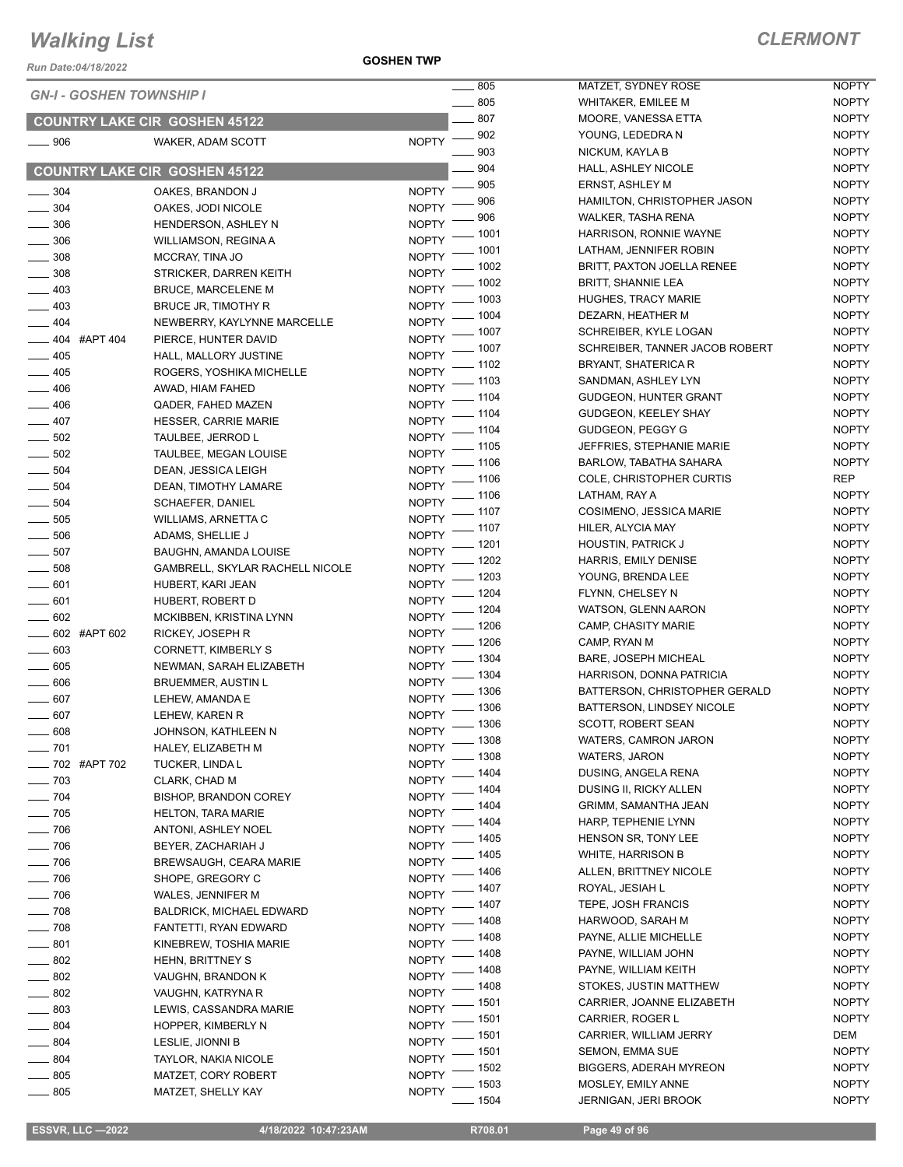*Run Date:04/18/2022*

**GOSHEN TWP**

| <b>GN-I - GOSHEN TOWNSHIP I</b> |                                      | $\frac{1}{2}$ 805                 | MATZET, SYDNEY ROSE            | <b>NOPTY</b> |
|---------------------------------|--------------------------------------|-----------------------------------|--------------------------------|--------------|
|                                 |                                      | $\sim$ 805                        | <b>WHITAKER, EMILEE M</b>      | <b>NOPTY</b> |
|                                 | <b>COUNTRY LAKE CIR GOSHEN 45122</b> | 807                               | MOORE, VANESSA ETTA            | <b>NOPTY</b> |
| $\frac{1}{2}$ 906               | WAKER, ADAM SCOTT                    | $\frac{1}{2}$ 902<br><b>NOPTY</b> | YOUNG, LEDEDRA N               | <b>NOPTY</b> |
|                                 |                                      | 903                               | NICKUM, KAYLA B                | <b>NOPTY</b> |
|                                 | <b>COUNTRY LAKE CIR GOSHEN 45122</b> | 904                               | HALL, ASHLEY NICOLE            | <b>NOPTY</b> |
|                                 |                                      | $\frac{1}{2}$ 905                 | <b>ERNST, ASHLEY M</b>         | <b>NOPTY</b> |
| $\frac{1}{2}$ 304               | OAKES, BRANDON J                     | <b>NOPTY</b><br>906               | HAMILTON, CHRISTOPHER JASON    | <b>NOPTY</b> |
| $- 304$                         | OAKES, JODI NICOLE                   | <b>NOPTY</b><br>906               | <b>WALKER, TASHA RENA</b>      | <b>NOPTY</b> |
| $\frac{1}{2}$ 306               | HENDERSON, ASHLEY N                  | <b>NOPTY</b><br>- 1001            | HARRISON, RONNIE WAYNE         | <b>NOPTY</b> |
| 306                             | <b>WILLIAMSON, REGINA A</b>          | <b>NOPTY</b><br>$-1001$           | LATHAM, JENNIFER ROBIN         | <b>NOPTY</b> |
| $\frac{1}{2}$ 308               | MCCRAY, TINA JO                      | <b>NOPTY</b><br>- 1002            | BRITT, PAXTON JOELLA RENEE     | <b>NOPTY</b> |
| $\frac{1}{2}$ 308               | STRICKER, DARREN KEITH               | <b>NOPTY</b><br>$-1002$           | <b>BRITT, SHANNIE LEA</b>      | <b>NOPTY</b> |
| $-403$                          | <b>BRUCE, MARCELENE M</b>            | NOPTY <sup>-</sup>                |                                | <b>NOPTY</b> |
| $\frac{1}{2}$ 403               | BRUCE JR, TIMOTHY R                  | NOPTY - 1003                      | <b>HUGHES, TRACY MARIE</b>     |              |
| $-404$                          | NEWBERRY, KAYLYNNE MARCELLE          | _ 1004<br>NOPTY <sup>-</sup>      | DEZARN, HEATHER M              | <b>NOPTY</b> |
| $\frac{1}{2}$ 404 #APT 404      | PIERCE, HUNTER DAVID                 | $=$ 1007<br><b>NOPTY</b>          | SCHREIBER, KYLE LOGAN          | <b>NOPTY</b> |
| $- 405$                         | HALL, MALLORY JUSTINE                | - 1007<br><b>NOPTY</b>            | SCHREIBER, TANNER JACOB ROBERT | <b>NOPTY</b> |
| $-405$                          | ROGERS, YOSHIKA MICHELLE             | 1102<br><b>NOPTY</b>              | BRYANT, SHATERICA R            | <b>NOPTY</b> |
| $-406$                          | AWAD, HIAM FAHED                     | _ 1103<br><b>NOPTY</b>            | SANDMAN, ASHLEY LYN            | <b>NOPTY</b> |
| $-406$                          | QADER, FAHED MAZEN                   | - 1104<br>NOPTY <sup>-</sup>      | <b>GUDGEON, HUNTER GRANT</b>   | <b>NOPTY</b> |
| $-407$                          | <b>HESSER, CARRIE MARIE</b>          | _ 1104<br>NOPTY -                 | GUDGEON, KEELEY SHAY           | <b>NOPTY</b> |
| $\frac{1}{2}$ 502               | TAULBEE, JERROD L                    | $-1104$<br>NOPTY -                | GUDGEON, PEGGY G               | <b>NOPTY</b> |
| $\frac{1}{2}$ 502               | TAULBEE, MEGAN LOUISE                | $-1105$<br>NOPTY <sup>-</sup>     | JEFFRIES, STEPHANIE MARIE      | <b>NOPTY</b> |
| $\frac{1}{2}$ 504               | DEAN, JESSICA LEIGH                  | $-1106$<br><b>NOPTY</b>           | <b>BARLOW, TABATHA SAHARA</b>  | <b>NOPTY</b> |
|                                 |                                      | - 1106<br><b>NOPTY</b>            | COLE, CHRISTOPHER CURTIS       | <b>REP</b>   |
| $\frac{1}{2}$ 504               | DEAN, TIMOTHY LAMARE                 | $-1106$<br>NOPTY <sup>-</sup>     | LATHAM, RAY A                  | <b>NOPTY</b> |
| $\frac{1}{2}$ 504               | <b>SCHAEFER, DANIEL</b>              | NOPTY - 1107                      | COSIMENO, JESSICA MARIE        | <b>NOPTY</b> |
| $\frac{1}{2}$ 505               | WILLIAMS, ARNETTA C                  | NOPTY - 1107                      | HILER, ALYCIA MAY              | <b>NOPTY</b> |
| $\frac{1}{2}$ 506               | ADAMS, SHELLIE J                     |                                   | HOUSTIN, PATRICK J             | <b>NOPTY</b> |
| $\frac{1}{2}$ 507               | BAUGHN, AMANDA LOUISE                | NOPTY - 1201<br>- 1202            | HARRIS, EMILY DENISE           | <b>NOPTY</b> |
| $\frac{1}{2}$ 508               | GAMBRELL, SKYLAR RACHELL NICOLE      | <b>NOPTY</b><br>$-1203$           | YOUNG, BRENDA LEE              | <b>NOPTY</b> |
| $- 601$                         | HUBERT, KARI JEAN                    | <b>NOPTY</b><br>- 1204            | FLYNN, CHELSEY N               | <b>NOPTY</b> |
| $\frac{1}{2}$ 601               | HUBERT, ROBERT D                     | <b>NOPTY</b><br>. 1204            | <b>WATSON, GLENN AARON</b>     | <b>NOPTY</b> |
| $- 602$                         | MCKIBBEN, KRISTINA LYNN              | <b>NOPTY</b><br>$-1206$           | CAMP, CHASITY MARIE            | <b>NOPTY</b> |
| $-602$ #APT 602                 | RICKEY, JOSEPH R                     | NOPTY <sup>-</sup>                |                                |              |
| $\frac{1}{2}$ 603               | CORNETT, KIMBERLY S                  | - 1206<br>NOPTY <sup>-</sup>      | CAMP, RYAN M                   | <b>NOPTY</b> |
| 605                             | NEWMAN, SARAH ELIZABETH              | $-1304$<br><b>NOPTY</b>           | BARE, JOSEPH MICHEAL           | <b>NOPTY</b> |
| $\frac{1}{2}$ 606               | <b>BRUEMMER, AUSTIN L</b>            | $-1304$<br><b>NOPTY</b>           | HARRISON, DONNA PATRICIA       | <b>NOPTY</b> |
| $- 607$                         | LEHEW, AMANDA E                      | $-1306$<br><b>NOPTY</b>           | BATTERSON, CHRISTOPHER GERALD  | <b>NOPTY</b> |
| $- 607$                         | LEHEW, KAREN R                       | _ 1306<br><b>NOPTY</b>            | BATTERSON, LINDSEY NICOLE      | <b>NOPTY</b> |
| 608                             | JOHNSON, KATHLEEN N                  | $-1306$<br>$N$ OPTY $-$           | SCOTT, ROBERT SEAN             | <b>NOPTY</b> |
| $- 701$                         | HALEY, ELIZABETH M                   | $-1308$<br><b>NOPTY</b>           | WATERS, CAMRON JARON           | <b>NOPTY</b> |
| _ 702 #APT 702                  | TUCKER, LINDA L                      | $-1308$<br><b>NOPTY</b>           | WATERS, JARON                  | <b>NOPTY</b> |
| $\frac{1}{2}$ 703               | CLARK, CHAD M                        | 1404<br><b>NOPTY</b>              | DUSING, ANGELA RENA            | <b>NOPTY</b> |
| $-704$                          | <b>BISHOP, BRANDON COREY</b>         | 1404<br><b>NOPTY</b>              | DUSING II, RICKY ALLEN         | <b>NOPTY</b> |
| $- 705$                         | <b>HELTON, TARA MARIE</b>            | - 1404<br><b>NOPTY</b>            | GRIMM, SAMANTHA JEAN           | <b>NOPTY</b> |
|                                 | ANTONI, ASHLEY NOEL                  | $-1404$<br><b>NOPTY</b>           | HARP, TEPHENIE LYNN            | <b>NOPTY</b> |
| $\frac{1}{2}$ 706               |                                      | - 1405                            | HENSON SR, TONY LEE            | <b>NOPTY</b> |
| $- 706$                         | BEYER, ZACHARIAH J                   | <b>NOPTY</b><br>_ 1405            | <b>WHITE, HARRISON B</b>       | <b>NOPTY</b> |
| $\frac{1}{2}$ 706               | BREWSAUGH, CEARA MARIE               | NOPTY <sup>-</sup><br>1406        | ALLEN, BRITTNEY NICOLE         | <b>NOPTY</b> |
| $-706$                          | SHOPE, GREGORY C                     | <b>NOPTY</b><br>- 1407            | ROYAL, JESIAH L                | <b>NOPTY</b> |
| $\frac{1}{2}$ 706               | WALES, JENNIFER M                    | <b>NOPTY</b><br>- 1407            | TEPE, JOSH FRANCIS             | <b>NOPTY</b> |
| $\frac{1}{2}$ 708               | <b>BALDRICK, MICHAEL EDWARD</b>      | <b>NOPTY</b><br>1408              | HARWOOD, SARAH M               | <b>NOPTY</b> |
| $- 708$                         | FANTETTI, RYAN EDWARD                | <b>NOPTY</b><br>1408              | PAYNE, ALLIE MICHELLE          | <b>NOPTY</b> |
| $-801$                          | KINEBREW, TOSHIA MARIE               | <b>NOPTY</b><br>1408              | PAYNE, WILLIAM JOHN            | <b>NOPTY</b> |
| $-802$                          | <b>HEHN, BRITTNEY S</b>              | <b>NOPTY</b><br>1408              | PAYNE, WILLIAM KEITH           | <b>NOPTY</b> |
| $\frac{1}{2}$ 802               | VAUGHN, BRANDON K                    | <b>NOPTY</b>                      |                                |              |
| $-802$                          | VAUGHN, KATRYNA R                    | 1408<br><b>NOPTY</b>              | STOKES, JUSTIN MATTHEW         | <b>NOPTY</b> |
| $- 803$                         | LEWIS, CASSANDRA MARIE               | 1501<br><b>NOPTY</b>              | CARRIER, JOANNE ELIZABETH      | <b>NOPTY</b> |
| $\frac{1}{2}$ 804               | HOPPER, KIMBERLY N                   | 1501<br><b>NOPTY</b>              | CARRIER, ROGER L               | <b>NOPTY</b> |
| $-804$                          | LESLIE, JIONNI B                     | - 1501<br><b>NOPTY</b>            | CARRIER, WILLIAM JERRY         | DEM          |
| $- 804$                         | <b>TAYLOR, NAKIA NICOLE</b>          | - 1501<br><b>NOPTY</b>            | <b>SEMON, EMMA SUE</b>         | <b>NOPTY</b> |
| $\frac{1}{2}$ 805               | MATZET, CORY ROBERT                  | $=$ 1502<br><b>NOPTY</b>          | <b>BIGGERS, ADERAH MYREON</b>  | <b>NOPTY</b> |
| $\frac{1}{2}$ 805               | MATZET, SHELLY KAY                   | _ 1503<br><b>NOPTY</b>            | MOSLEY, EMILY ANNE             | <b>NOPTY</b> |
|                                 |                                      | $-1504$                           | JERNIGAN, JERI BROOK           | <b>NOPTY</b> |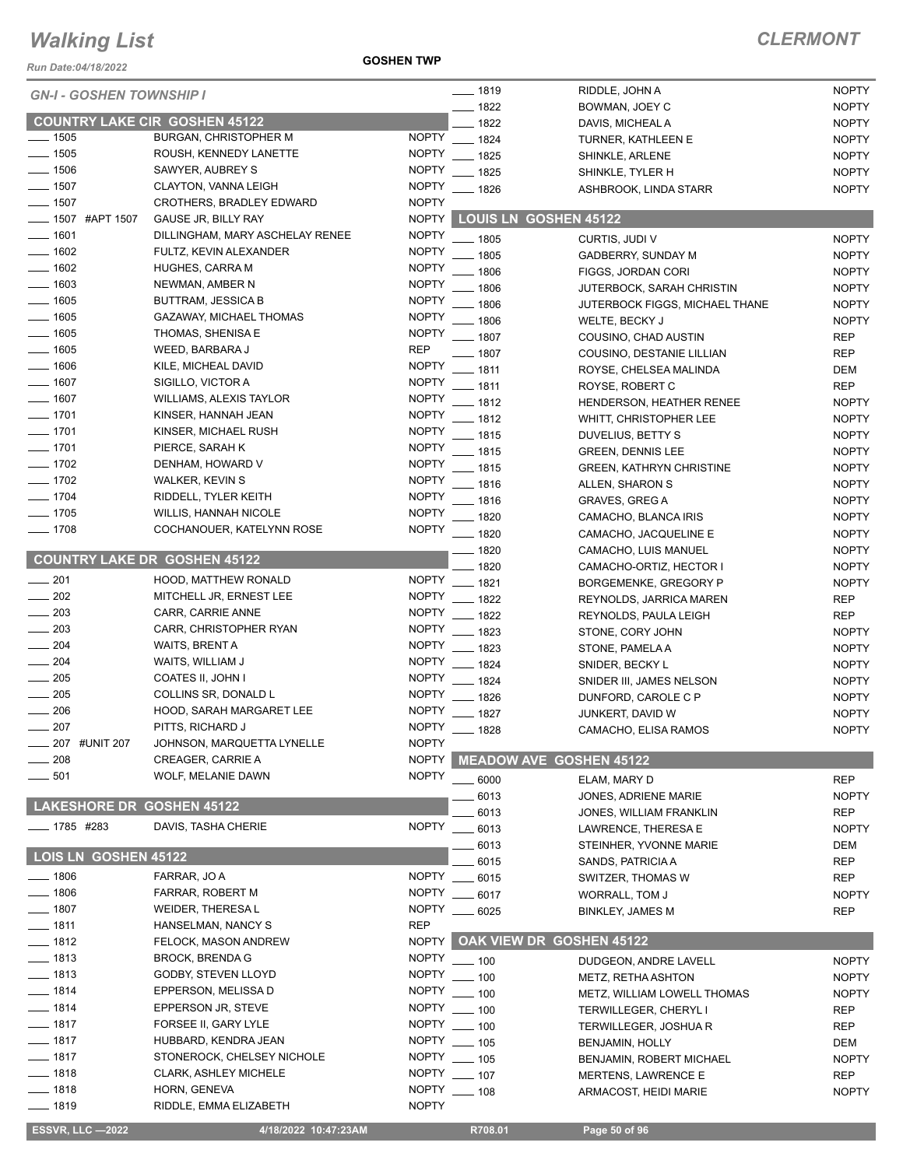*Run Date:04/18/2022*

**GOSHEN TWP**

| <b>GN-I - GOSHEN TOWNSHIP I</b>      |                                 |              | $- 1819$                       | RIDDLE, JOHN A                  | <b>NOPTY</b> |
|--------------------------------------|---------------------------------|--------------|--------------------------------|---------------------------------|--------------|
|                                      |                                 |              | $- 1822$                       | BOWMAN, JOEY C                  | <b>NOPTY</b> |
| <b>COUNTRY LAKE CIR GOSHEN 45122</b> |                                 |              | $-1822$                        | DAVIS, MICHEAL A                | <b>NOPTY</b> |
| $- 1505$                             | <b>BURGAN, CHRISTOPHER M</b>    | <b>NOPTY</b> | $- 1824$                       | TURNER, KATHLEEN E              | <b>NOPTY</b> |
| $- 1505$                             | ROUSH, KENNEDY LANETTE          | <b>NOPTY</b> | 1825                           | SHINKLE, ARLENE                 | <b>NOPTY</b> |
| $- 1506$                             | SAWYER, AUBREY S                | <b>NOPTY</b> | $-1825$                        | SHINKLE, TYLER H                | <b>NOPTY</b> |
| $\frac{1}{2}$ 1507                   | CLAYTON, VANNA LEIGH            | <b>NOPTY</b> | $- 1826$                       | ASHBROOK, LINDA STARR           | <b>NOPTY</b> |
| $\frac{1}{2}$ 1507                   | <b>CROTHERS, BRADLEY EDWARD</b> | <b>NOPTY</b> |                                |                                 |              |
| <b>_____ 1507 #APT 1507</b>          | GAUSE JR, BILLY RAY             | <b>NOPTY</b> | <b>LOUIS LN GOSHEN 45122</b>   |                                 |              |
| $- 1601$                             | DILLINGHAM, MARY ASCHELAY RENEE | <b>NOPTY</b> | $- 1805$                       | CURTIS, JUDI V                  | <b>NOPTY</b> |
| $- 1602$                             | FULTZ, KEVIN ALEXANDER          | <b>NOPTY</b> | 1805                           | GADBERRY, SUNDAY M              | <b>NOPTY</b> |
| $- 1602$                             | <b>HUGHES, CARRA M</b>          | <b>NOPTY</b> | 1806                           | FIGGS, JORDAN CORI              | <b>NOPTY</b> |
| $- 1603$                             | NEWMAN, AMBER N                 | <b>NOPTY</b> | 1806                           | JUTERBOCK, SARAH CHRISTIN       | <b>NOPTY</b> |
| $- 1605$                             | <b>BUTTRAM, JESSICA B</b>       | <b>NOPTY</b> | 1806                           | JUTERBOCK FIGGS, MICHAEL THANE  | <b>NOPTY</b> |
| $\frac{1}{1605}$                     | GAZAWAY, MICHAEL THOMAS         | <b>NOPTY</b> | $-1806$                        | WELTE, BECKY J                  | <b>NOPTY</b> |
| $\frac{1}{1605}$                     | THOMAS, SHENISA E               | <b>NOPTY</b> | $- 1807$                       | COUSINO, CHAD AUSTIN            | <b>REP</b>   |
| $- 1605$                             | WEED, BARBARA J                 | <b>REP</b>   | _ 1807                         | COUSINO, DESTANIE LILLIAN       | <b>REP</b>   |
| $- 1606$                             | KILE, MICHEAL DAVID             | <b>NOPTY</b> | $-1811$                        | ROYSE, CHELSEA MALINDA          | DEM          |
| $- 1607$                             | SIGILLO, VICTOR A               | <b>NOPTY</b> | 1811                           | ROYSE, ROBERT C                 | <b>REP</b>   |
| $- 1607$                             | <b>WILLIAMS, ALEXIS TAYLOR</b>  | <b>NOPTY</b> | - 1812                         | HENDERSON, HEATHER RENEE        | <b>NOPTY</b> |
| $- 1701$                             | KINSER, HANNAH JEAN             | <b>NOPTY</b> | $-1812$                        | WHITT, CHRISTOPHER LEE          | <b>NOPTY</b> |
| $- 1701$                             | KINSER, MICHAEL RUSH            | <b>NOPTY</b> | $- 1815$                       | DUVELIUS, BETTY S               | <b>NOPTY</b> |
| $- 1701$                             | PIERCE, SARAH K                 | <b>NOPTY</b> | $- 1815$                       | <b>GREEN, DENNIS LEE</b>        | <b>NOPTY</b> |
| $- 1702$                             | DENHAM, HOWARD V                | <b>NOPTY</b> | $-1815$                        | <b>GREEN, KATHRYN CHRISTINE</b> | <b>NOPTY</b> |
| $- 1702$                             | <b>WALKER, KEVIN S</b>          | <b>NOPTY</b> | $-1816$                        |                                 | <b>NOPTY</b> |
| $- 1704$                             | RIDDELL, TYLER KEITH            | <b>NOPTY</b> |                                | ALLEN, SHARON S                 |              |
| $- 1705$                             | <b>WILLIS, HANNAH NICOLE</b>    | <b>NOPTY</b> | 1816                           | <b>GRAVES, GREG A</b>           | <b>NOPTY</b> |
| $- 1708$                             | COCHANOUER, KATELYNN ROSE       | <b>NOPTY</b> | 1820<br>$- 1820$               | CAMACHO, BLANCA IRIS            | <b>NOPTY</b> |
|                                      |                                 |              |                                | CAMACHO, JACQUELINE E           | <b>NOPTY</b> |
| <b>COUNTRY LAKE DR GOSHEN 45122</b>  |                                 |              | —— 1820                        | CAMACHO, LUIS MANUEL            | <b>NOPTY</b> |
| $\frac{1}{201}$                      | HOOD, MATTHEW RONALD            |              | $-1820$<br>NOPTY __ 1821       | CAMACHO-ORTIZ, HECTOR I         | <b>NOPTY</b> |
| $\sim$ 202                           | MITCHELL JR, ERNEST LEE         | <b>NOPTY</b> |                                | BORGEMENKE, GREGORY P           | <b>NOPTY</b> |
| $\sim$ 203                           |                                 |              | $\frac{1}{2}$ 1822             | REYNOLDS, JARRICA MAREN         | <b>REP</b>   |
| $\frac{1}{203}$                      | CARR, CARRIE ANNE               | <b>NOPTY</b> | NOPTY __ 1822                  | REYNOLDS, PAULA LEIGH           | <b>REP</b>   |
|                                      | CARR, CHRISTOPHER RYAN          |              | $- 1823$                       | STONE, CORY JOHN                | <b>NOPTY</b> |
| $\frac{1}{204}$                      | WAITS, BRENT A                  |              | NOPTY __ 1823                  | STONE, PAMELA A                 | <b>NOPTY</b> |
| $\frac{1}{204}$                      | WAITS, WILLIAM J                |              | NOPTY __ 1824                  | SNIDER, BECKY L                 | <b>NOPTY</b> |
| $\frac{1}{205}$                      | COATES II, JOHN I               |              | NOPTY __ 1824                  | SNIDER III, JAMES NELSON        | <b>NOPTY</b> |
| $- 205$                              | COLLINS SR, DONALD L            |              | NOPTY __ 1826                  | DUNFORD, CAROLE C P             | <b>NOPTY</b> |
| $\frac{1}{206}$                      | HOOD, SARAH MARGARET LEE        | <b>NOPTY</b> | $- 1827$                       | JUNKERT, DAVID W                | <b>NOPTY</b> |
| $=207$                               | PITTS, RICHARD J                | <b>NOPTY</b> | $-1828$                        | CAMACHO, ELISA RAMOS            | <b>NOPTY</b> |
| _ 207 #UNIT 207                      | JOHNSON, MARQUETTA LYNELLE      | <b>NOPTY</b> |                                |                                 |              |
| 208                                  | CREAGER, CARRIE A               | <b>NOPTY</b> | <b>MEADOW AVE GOSHEN 45122</b> |                                 |              |
| $\frac{1}{2}$ 501                    | WOLF, MELANIE DAWN              | <b>NOPTY</b> | 6000                           | ELAM, MARY D                    | <b>REP</b>   |
|                                      |                                 |              | 6013                           | JONES, ADRIENE MARIE            | <b>NOPTY</b> |
| LAKESHORE DR GOSHEN 45122            |                                 |              | 6013                           | JONES, WILLIAM FRANKLIN         | REP          |
| $- 1785$ #283                        | DAVIS, TASHA CHERIE             | NOPTY __     | 6013                           | LAWRENCE, THERESA E             | <b>NOPTY</b> |
|                                      |                                 |              | 6013                           | STEINHER, YVONNE MARIE          | DEM          |
| LOIS LN GOSHEN 45122                 |                                 |              | 6015                           | SANDS, PATRICIA A               | REP          |
| $- 1806$                             | FARRAR, JO A                    |              | NOPTY __ 6015                  | SWITZER, THOMAS W               | <b>REP</b>   |
| $- 1806$                             | FARRAR, ROBERT M                |              | NOPTY __ 6017                  | <b>WORRALL, TOM J</b>           | <b>NOPTY</b> |
| $\frac{1}{2}$ 1807                   | WEIDER, THERESA L               |              | NOPTY __ 6025                  | <b>BINKLEY, JAMES M</b>         | <b>REP</b>   |
| $- 1811$                             | HANSELMAN, NANCY S              | <b>REP</b>   |                                |                                 |              |
| $- 1812$                             | FELOCK, MASON ANDREW            | <b>NOPTY</b> | OAK VIEW DR GOSHEN 45122       |                                 |              |
| $- 1813$                             | <b>BROCK, BRENDA G</b>          | <b>NOPTY</b> | $- 100$                        | DUDGEON, ANDRE LAVELL           | <b>NOPTY</b> |
| $- 1813$                             | GODBY, STEVEN LLOYD             | <b>NOPTY</b> | $\equiv$ 100                   | METZ, RETHA ASHTON              | <b>NOPTY</b> |
| $- 1814$                             | EPPERSON, MELISSA D             | <b>NOPTY</b> | $- 100$                        | METZ, WILLIAM LOWELL THOMAS     | <b>NOPTY</b> |
| $- 1814$                             | EPPERSON JR, STEVE              | <b>NOPTY</b> | $\frac{1}{2}$ 100              | <b>TERWILLEGER, CHERYL I</b>    | <b>REP</b>   |
| $- 1817$                             | FORSEE II, GARY LYLE            |              | NOPTY __ 100                   | <b>TERWILLEGER, JOSHUAR</b>     | <b>REP</b>   |
| $- 1817$                             | HUBBARD, KENDRA JEAN            |              | NOPTY __ 105                   | <b>BENJAMIN, HOLLY</b>          | DEM          |
| $- 1817$                             | STONEROCK, CHELSEY NICHOLE      | <b>NOPTY</b> | $- 105$                        | BENJAMIN, ROBERT MICHAEL        | <b>NOPTY</b> |
| $- 1818$                             | <b>CLARK, ASHLEY MICHELE</b>    | <b>NOPTY</b> | $-107$                         | <b>MERTENS, LAWRENCE E</b>      | <b>REP</b>   |
| $- 1818$                             | HORN, GENEVA                    | <b>NOPTY</b> | $- 108$                        |                                 | <b>NOPTY</b> |
| $- 1819$                             | RIDDLE, EMMA ELIZABETH          | <b>NOPTY</b> |                                | ARMACOST, HEIDI MARIE           |              |
|                                      |                                 |              |                                |                                 |              |
| <b>ESSVR, LLC -2022</b>              | 4/18/2022 10:47:23AM            |              | R708.01                        | Page 50 of 96                   |              |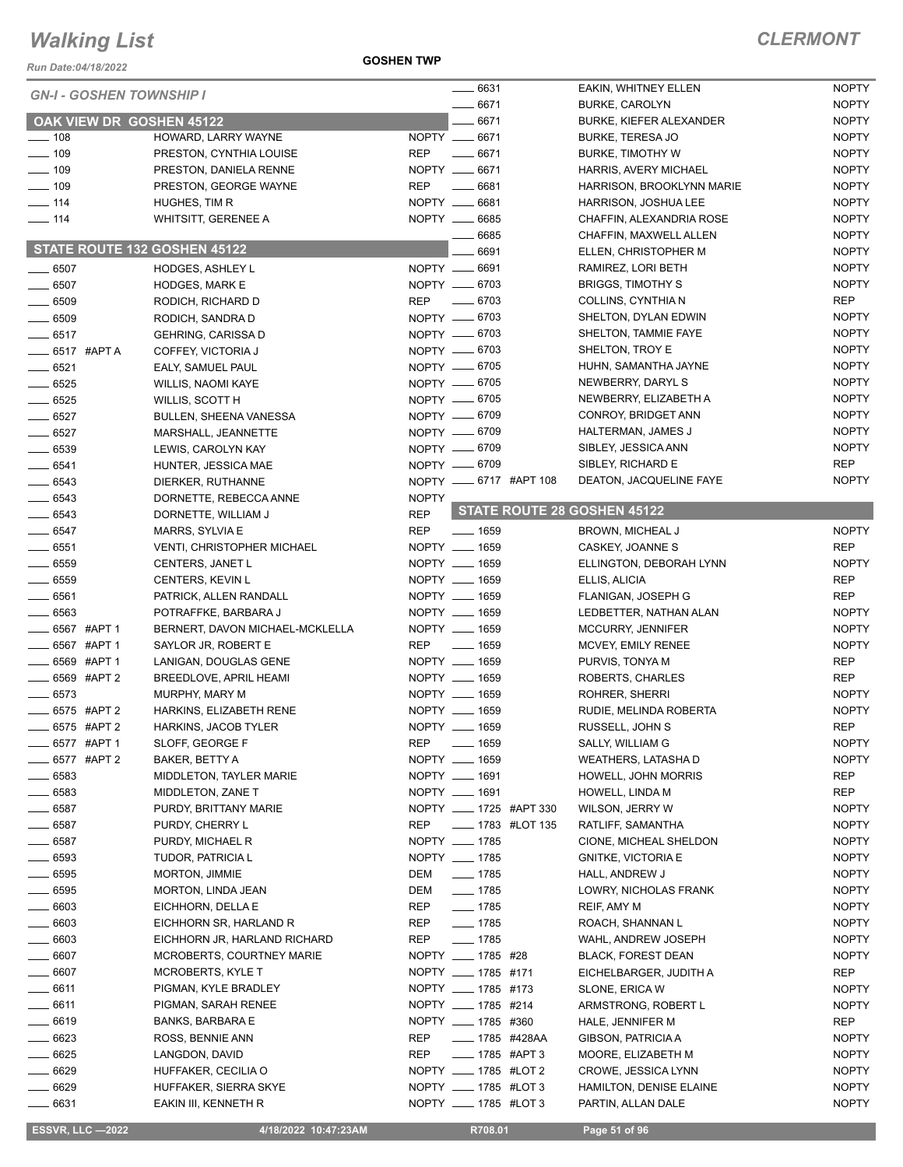*Run Date:04/18/2022*

**GOSHEN TWP**

| <b>GN-I - GOSHEN TOWNSHIP I</b> |                                                |              | $-6631$                     | EAKIN, WHITNEY ELLEN                | <b>NOPTY</b>               |
|---------------------------------|------------------------------------------------|--------------|-----------------------------|-------------------------------------|----------------------------|
|                                 |                                                |              | $-6671$                     | <b>BURKE, CAROLYN</b>               | <b>NOPTY</b>               |
| OAK VIEW DR GOSHEN 45122        |                                                |              | 6671                        | BURKE, KIEFER ALEXANDER             | <b>NOPTY</b>               |
| $- 108$                         | HOWARD, LARRY WAYNE                            |              | NOPTY __ 6671               | <b>BURKE, TERESA JO</b>             | <b>NOPTY</b>               |
| $\frac{109}{109}$               | PRESTON, CYNTHIA LOUISE                        | <b>REP</b>   | $-6671$                     | <b>BURKE, TIMOTHY W</b>             | <b>NOPTY</b>               |
| $- 109$                         | PRESTON, DANIELA RENNE                         |              | NOPTY __ 6671               | HARRIS, AVERY MICHAEL               | <b>NOPTY</b>               |
| $- 109$                         | PRESTON, GEORGE WAYNE                          | <b>REP</b>   | 6681                        | HARRISON, BROOKLYNN MARIE           | <b>NOPTY</b>               |
| $- 114$                         | HUGHES, TIM R                                  |              | NOPTY __ 6681               | HARRISON, JOSHUA LEE                | <b>NOPTY</b>               |
| $- 114$                         | WHITSITT, GERENEE A                            |              | NOPTY __ 6685               | CHAFFIN, ALEXANDRIA ROSE            | <b>NOPTY</b>               |
|                                 |                                                |              | 6685                        | CHAFFIN, MAXWELL ALLEN              | <b>NOPTY</b>               |
|                                 | STATE ROUTE 132 GOSHEN 45122                   |              | 6691                        | ELLEN, CHRISTOPHER M                | <b>NOPTY</b>               |
| $- 6507$                        | <b>HODGES, ASHLEY L</b>                        |              | NOPTY __ 6691               | RAMIREZ, LORI BETH                  | <b>NOPTY</b>               |
| $-6507$                         | <b>HODGES, MARK E</b>                          |              | NOPTY -6703                 | <b>BRIGGS, TIMOTHY S</b>            | <b>NOPTY</b>               |
| $- 6509$                        | RODICH, RICHARD D                              | <b>REP</b>   | $- 6703$                    | COLLINS, CYNTHIA N                  | <b>REP</b>                 |
| $- 6509$                        | RODICH, SANDRA D                               |              | NOPTY __ 6703               | SHELTON, DYLAN EDWIN                | <b>NOPTY</b>               |
| $-6517$                         | <b>GEHRING, CARISSA D</b>                      |              | NOPTY -6703                 | SHELTON, TAMMIE FAYE                | <b>NOPTY</b>               |
| $\frac{1}{2}$ 6517 #APTA        | COFFEY, VICTORIA J                             |              | NOPTY -6703                 | SHELTON, TROY E                     | <b>NOPTY</b>               |
| $- 6521$                        | EALY, SAMUEL PAUL                              |              | NOPTY __ 6705               | HUHN, SAMANTHA JAYNE                | <b>NOPTY</b>               |
| $\frac{1}{2}$ 6525              | WILLIS, NAOMI KAYE                             |              | NOPTY __ 6705               | NEWBERRY, DARYL S                   | <b>NOPTY</b>               |
| $-6525$                         | WILLIS, SCOTT H                                |              | NOPTY __ 6705               | NEWBERRY, ELIZABETH A               | <b>NOPTY</b>               |
| $-6527$                         | <b>BULLEN, SHEENA VANESSA</b>                  |              | NOPTY -6709                 | CONROY, BRIDGET ANN                 | <b>NOPTY</b>               |
| $-6527$                         | MARSHALL, JEANNETTE                            |              | NOPTY __ 6709               | HALTERMAN, JAMES J                  | <b>NOPTY</b>               |
| $-6539$                         | LEWIS, CAROLYN KAY                             |              | NOPTY -6709                 | SIBLEY, JESSICA ANN                 | <b>NOPTY</b>               |
| $- 6541$                        | HUNTER, JESSICA MAE                            |              | NOPTY __ 6709               | SIBLEY, RICHARD E                   | <b>REP</b>                 |
| $- 6543$                        | DIERKER, RUTHANNE                              |              | NOPTY __ 6717 #APT 108      | DEATON, JACQUELINE FAYE             | <b>NOPTY</b>               |
| $- 6543$                        | DORNETTE, REBECCA ANNE                         | <b>NOPTY</b> | STATE ROUTE 28 GOSHEN 45122 |                                     |                            |
| $- 6543$                        | DORNETTE, WILLIAM J                            | <b>REP</b>   |                             |                                     |                            |
| $-6547$                         | MARRS, SYLVIA E                                | <b>REP</b>   | $- 1659$<br>NOPTY __ 1659   | BROWN, MICHEAL J                    | <b>NOPTY</b><br><b>REP</b> |
| $\frac{1}{2}$ 6551<br>$- 6559$  | <b>VENTI, CHRISTOPHER MICHAEL</b>              |              | NOPTY __ 1659               | CASKEY, JOANNE S                    | <b>NOPTY</b>               |
| $- 6559$                        | CENTERS, JANET L                               |              | NOPTY __ 1659               | ELLINGTON, DEBORAH LYNN             | REP                        |
| $- 6561$                        | CENTERS, KEVIN L                               |              | NOPTY __ 1659               | ELLIS, ALICIA<br>FLANIGAN, JOSEPH G | <b>REP</b>                 |
| _ 6563                          | PATRICK, ALLEN RANDALL<br>POTRAFFKE, BARBARA J |              | NOPTY __ 1659               | LEDBETTER, NATHAN ALAN              | <b>NOPTY</b>               |
| _ 6567 #APT 1                   | BERNERT, DAVON MICHAEL-MCKLELLA                |              | NOPTY __ 1659               | MCCURRY, JENNIFER                   | <b>NOPTY</b>               |
| _6567 #APT 1                    | SAYLOR JR, ROBERT E                            |              | REP __ 1659                 | MCVEY, EMILY RENEE                  | <b>NOPTY</b>               |
| _6569 #APT1                     | LANIGAN, DOUGLAS GENE                          |              | NOPTY __ 1659               | PURVIS, TONYA M                     | <b>REP</b>                 |
| 6569 #APT 2                     | <b>BREEDLOVE, APRIL HEAMI</b>                  |              | NOPTY __ 1659               | ROBERTS, CHARLES                    | <b>REP</b>                 |
| $- 6573$                        | MURPHY, MARY M                                 |              | NOPTY __ 1659               | ROHRER, SHERRI                      | <b>NOPTY</b>               |
| $\frac{1}{2}$ 6575 #APT 2       | HARKINS, ELIZABETH RENE                        |              | NOPTY __ 1659               | RUDIE, MELINDA ROBERTA              | <b>NOPTY</b>               |
| 6575 #APT 2                     | HARKINS, JACOB TYLER                           |              | NOPTY __ 1659               | RUSSELL, JOHN S                     | <b>REP</b>                 |
| _ 6577 #APT 1                   | SLOFF, GEORGE F                                | <b>REP</b>   | $- 1659$                    | SALLY, WILLIAM G                    | <b>NOPTY</b>               |
| 6577 #APT 2                     | BAKER, BETTY A                                 |              | NOPTY __ 1659               | <b>WEATHERS, LATASHAD</b>           | <b>NOPTY</b>               |
| - 6583                          | MIDDLETON, TAYLER MARIE                        |              | NOPTY __ 1691               | <b>HOWELL, JOHN MORRIS</b>          | REP                        |
| 6583                            | MIDDLETON, ZANE T                              |              | NOPTY __ 1691               | HOWELL, LINDA M                     | REP                        |
| . 6587                          | PURDY, BRITTANY MARIE                          |              | NOPTY __ 1725 #APT 330      | WILSON, JERRY W                     | <b>NOPTY</b>               |
| __ 6587                         | PURDY, CHERRY L                                | <b>REP</b>   | <b>IMPLE 1783 #LOT 135</b>  | RATLIFF, SAMANTHA                   | <b>NOPTY</b>               |
| $-6587$                         | PURDY, MICHAEL R                               |              | NOPTY __ 1785               | CIONE, MICHEAL SHELDON              | <b>NOPTY</b>               |
| _ 6593                          | TUDOR, PATRICIA L                              |              | NOPTY __ 1785               | <b>GNITKE, VICTORIA E</b>           | <b>NOPTY</b>               |
| __ 6595                         | <b>MORTON, JIMMIE</b>                          | DEM          | $- 1785$                    | HALL, ANDREW J                      | <b>NOPTY</b>               |
| _ 6595                          | MORTON, LINDA JEAN                             | DEM          | $- 1785$                    | LOWRY, NICHOLAS FRANK               | <b>NOPTY</b>               |
| - 6603                          | EICHHORN, DELLA E                              | REP          | $- 1785$                    | REIF, AMY M                         | <b>NOPTY</b>               |
| $-6603$                         | EICHHORN SR, HARLAND R                         | REP          | $- 1785$                    | ROACH, SHANNAN L                    | <b>NOPTY</b>               |
| 6603                            | EICHHORN JR, HARLAND RICHARD                   | REP          | $- 1785$                    | WAHL, ANDREW JOSEPH                 | <b>NOPTY</b>               |
| 6607                            | <b>MCROBERTS, COURTNEY MARIE</b>               |              | NOPTY _____ 1785 #28        | <b>BLACK, FOREST DEAN</b>           | <b>NOPTY</b>               |
| 6607                            | <b>MCROBERTS, KYLE T</b>                       |              | NOPTY __ 1785 #171          | EICHELBARGER, JUDITH A              | REP                        |
| $-6611$                         | PIGMAN, KYLE BRADLEY                           |              | NOPTY __ 1785 #173          | SLONE, ERICA W                      | <b>NOPTY</b>               |
| $-6611$                         | PIGMAN, SARAH RENEE                            |              | NOPTY __ 1785 #214          | ARMSTRONG, ROBERT L                 | <b>NOPTY</b>               |
| __ 6619                         | <b>BANKS, BARBARA E</b>                        |              | NOPTY __ 1785 #360          | HALE, JENNIFER M                    | REP                        |
| 6623                            | ROSS, BENNIE ANN                               | REP          | ____ 1785 #428AA            | GIBSON, PATRICIA A                  | <b>NOPTY</b>               |
| 6625                            | LANGDON, DAVID                                 | REP          | $\frac{1}{2}$ 1785 #APT 3   | MOORE, ELIZABETH M                  | <b>NOPTY</b>               |
| .6629                           | HUFFAKER, CECILIA O                            |              | NOPTY _____ 1785 #LOT 2     | CROWE, JESSICA LYNN                 | <b>NOPTY</b>               |
| $-6629$                         | HUFFAKER, SIERRA SKYE                          |              | NOPTY ____ 1785 #LOT 3      | <b>HAMILTON, DENISE ELAINE</b>      | <b>NOPTY</b>               |
| 6631                            | EAKIN III, KENNETH R                           |              | NOPTY __ 1785 #LOT 3        | PARTIN, ALLAN DALE                  | <b>NOPTY</b>               |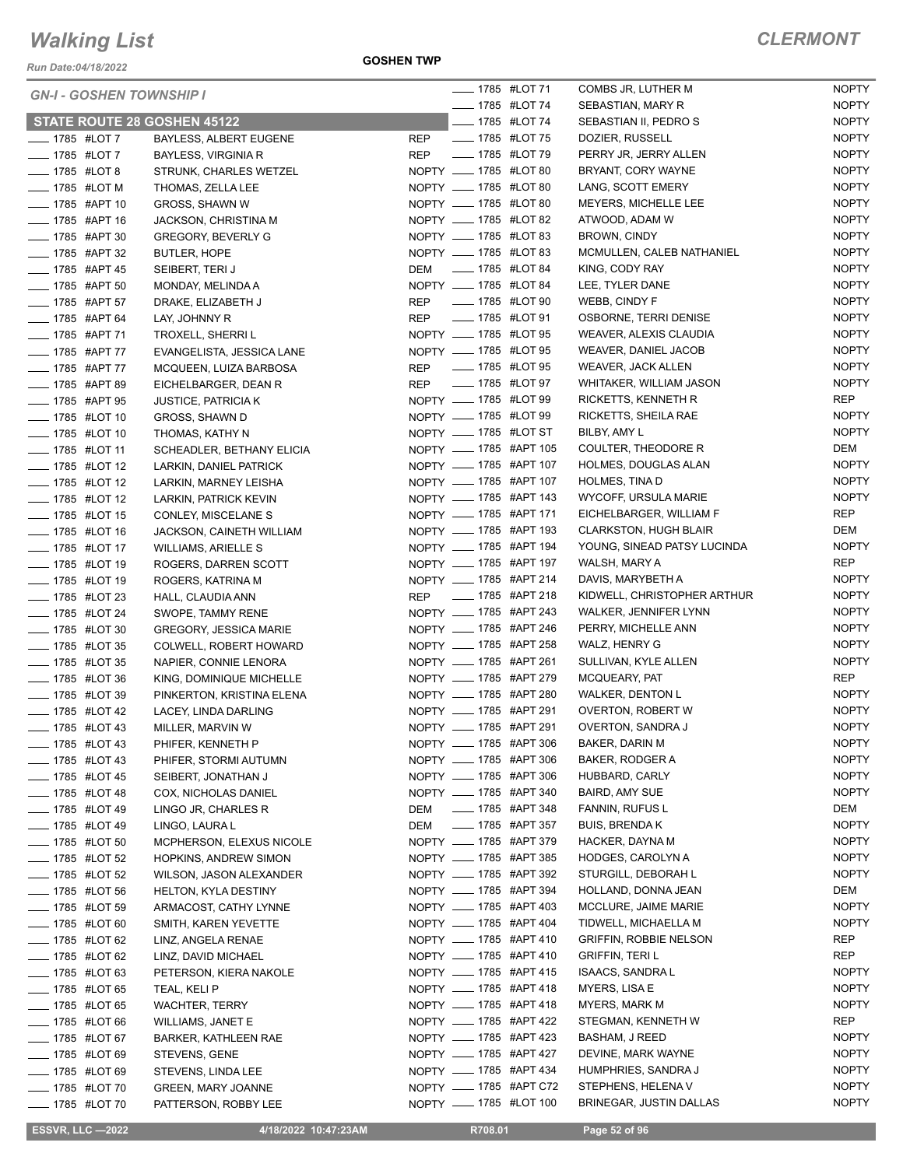*Run Date:04/18/2022*

**GOSHEN TWP**

| <b>GN-I - GOSHEN TOWNSHIP I</b> |                               |            |  | <b>______ 1785</b> #LOT 71 | COMBS JR, LUTHER M            | <b>NOPTY</b> |
|---------------------------------|-------------------------------|------------|--|----------------------------|-------------------------------|--------------|
|                                 |                               |            |  | <b>LEGGE 1785 #LOT 74</b>  | SEBASTIAN, MARY R             | <b>NOPTY</b> |
| STATE ROUTE 28 GOSHEN 45122     |                               |            |  | <b>______ 1785 #LOT 74</b> | SEBASTIAN II, PEDRO S         | <b>NOPTY</b> |
| <b>____</b> 1785 #LOT 7         | BAYLESS, ALBERT EUGENE        | <b>REP</b> |  | - 1785 #LOT 75             | DOZIER, RUSSELL               | <b>NOPTY</b> |
| <b>IMPLE 1785 #LOT 7</b>        | <b>BAYLESS, VIRGINIA R</b>    | <b>REP</b> |  | <b>IMPLE 1785 #LOT 79</b>  | PERRY JR, JERRY ALLEN         | <b>NOPTY</b> |
| <b>LEGGLE 1785 #LOT 8</b>       | STRUNK, CHARLES WETZEL        |            |  | NOPTY __ 1785 #LOT 80      | BRYANT, CORY WAYNE            | <b>NOPTY</b> |
| $-$ 1785 #LOT M                 | THOMAS, ZELLA LEE             |            |  | NOPTY __ 1785 #LOT 80      | LANG, SCOTT EMERY             | <b>NOPTY</b> |
| ____ 1785 #APT 10               | <b>GROSS, SHAWN W</b>         |            |  | NOPTY __ 1785 #LOT 80      | MEYERS, MICHELLE LEE          | <b>NOPTY</b> |
| <b>____ 1785 #APT 16</b>        | JACKSON, CHRISTINA M          |            |  | NOPTY __ 1785 #LOT 82      | ATWOOD, ADAM W                | <b>NOPTY</b> |
| ____ 1785 #APT 30               | <b>GREGORY, BEVERLY G</b>     |            |  | NOPTY __ 1785 #LOT 83      | <b>BROWN, CINDY</b>           | <b>NOPTY</b> |
| - 1785 #APT 32                  | <b>BUTLER, HOPE</b>           |            |  | NOPTY __ 1785 #LOT 83      | MCMULLEN, CALEB NATHANIEL     | <b>NOPTY</b> |
| <b>LEGGE 1785 #APT 45</b>       | SEIBERT, TERIJ                | DEM        |  | _____ 1785 #LOT 84         | KING, CODY RAY                | <b>NOPTY</b> |
| ____ 1785 #APT 50               | MONDAY, MELINDA A             |            |  | NOPTY __ 1785 #LOT 84      | LEE, TYLER DANE               | <b>NOPTY</b> |
| ___ 1785 #APT 57                | DRAKE, ELIZABETH J            | <b>REP</b> |  | _____ 1785 #LOT 90         | WEBB, CINDY F                 | <b>NOPTY</b> |
| ____ 1785 #APT 64               | LAY, JOHNNY R                 |            |  | REP __ 1785 #LOT 91        | OSBORNE, TERRI DENISE         | <b>NOPTY</b> |
| - 1785 #APT 71                  | TROXELL, SHERRI L             |            |  | NOPTY __ 1785 #LOT 95      | WEAVER, ALEXIS CLAUDIA        | <b>NOPTY</b> |
| ___ 1785 #APT 77                | EVANGELISTA, JESSICA LANE     |            |  | NOPTY __ 1785 #LOT 95      | WEAVER, DANIEL JACOB          | <b>NOPTY</b> |
| - 1785 #APT 77                  | MCQUEEN, LUIZA BARBOSA        | REP        |  | <b>IMPLE 1785 #LOT 95</b>  | <b>WEAVER, JACK ALLEN</b>     | <b>NOPTY</b> |
| <b>____ 1785 #APT 89</b>        | EICHELBARGER, DEAN R          | <b>REP</b> |  | <b>IMPLE 1785 #LOT 97</b>  | WHITAKER, WILLIAM JASON       | <b>NOPTY</b> |
| <b>IMPLE 1785 #APT 95</b>       | <b>JUSTICE, PATRICIA K</b>    |            |  | NOPTY __ 1785 #LOT 99      | RICKETTS, KENNETH R           | REP          |
| <b>IMPLE 1785 #LOT 10</b>       | GROSS, SHAWN D                |            |  | NOPTY __ 1785 #LOT 99      | RICKETTS, SHEILA RAE          | <b>NOPTY</b> |
| <b>IMPLE 1785 #LOT 10</b>       | THOMAS, KATHY N               |            |  | NOPTY __ 1785 #LOT ST      | BILBY, AMY L                  | <b>NOPTY</b> |
| <b>LEGGE 1785 #LOT 11</b>       | SCHEADLER, BETHANY ELICIA     |            |  | NOPTY __ 1785 #APT 105     | COULTER, THEODORE R           | DEM          |
| -4785 #LOT 12                   | LARKIN, DANIEL PATRICK        |            |  | NOPTY __ 1785 #APT 107     | HOLMES, DOUGLAS ALAN          | <b>NOPTY</b> |
| <b>LEGGE 1785 #LOT 12</b>       | LARKIN, MARNEY LEISHA         |            |  | NOPTY __ 1785 #APT 107     | <b>HOLMES, TINA D</b>         | <b>NOPTY</b> |
| <b>_____</b> 1785 #LOT 12       | LARKIN, PATRICK KEVIN         |            |  | NOPTY __ 1785 #APT 143     | WYCOFF, URSULA MARIE          | <b>NOPTY</b> |
| <b>LEGGE 1785 #LOT 15</b>       | CONLEY, MISCELANE S           |            |  | NOPTY __ 1785 #APT 171     | EICHELBARGER, WILLIAM F       | <b>REP</b>   |
| <b>IMPLE 1785 #LOT 16</b>       | JACKSON, CAINETH WILLIAM      |            |  | NOPTY __ 1785 #APT 193     | <b>CLARKSTON, HUGH BLAIR</b>  | DEM          |
| - 1785 #LOT 17                  | <b>WILLIAMS, ARIELLE S</b>    |            |  | NOPTY __ 1785 #APT 194     | YOUNG, SINEAD PATSY LUCINDA   | <b>NOPTY</b> |
| <b>LEGGE 1785 #LOT 19</b>       | ROGERS, DARREN SCOTT          |            |  | NOPTY __ 1785 #APT 197     | WALSH, MARY A                 | <b>REP</b>   |
| - 1785 #LOT 19                  | ROGERS, KATRINA M             |            |  | NOPTY __ 1785 #APT 214     | DAVIS, MARYBETH A             | <b>NOPTY</b> |
| <b>LEGGLE 1785 #LOT 23</b>      | HALL, CLAUDIA ANN             |            |  | REP __ 1785 #APT 218       | KIDWELL, CHRISTOPHER ARTHUR   | <b>NOPTY</b> |
| <b>IMPLE 1785 #LOT 24</b>       | SWOPE, TAMMY RENE             |            |  | NOPTY __ 1785 #APT 243     | WALKER, JENNIFER LYNN         | <b>NOPTY</b> |
| <b>______ 1785 #LOT 30</b>      | <b>GREGORY, JESSICA MARIE</b> |            |  | NOPTY __ 1785 #APT 246     | PERRY, MICHELLE ANN           | <b>NOPTY</b> |
| <b>LEGGE 1785 #LOT 35</b>       | COLWELL, ROBERT HOWARD        |            |  | NOPTY __ 1785 #APT 258     | WALZ, HENRY G                 | <b>NOPTY</b> |
| - 1785 #LOT 35                  | NAPIER, CONNIE LENORA         |            |  | NOPTY __ 1785 #APT 261     | SULLIVAN, KYLE ALLEN          | <b>NOPTY</b> |
| LOT 36                          | KING, DOMINIQUE MICHELLE      |            |  | NOPTY __ 1785 #APT 279     | MCQUEARY, PAT                 | REP          |
| - 1785 #LOT 39                  | PINKERTON, KRISTINA ELENA     |            |  | NOPTY __ 1785 #APT 280     | <b>WALKER, DENTON L</b>       | <b>NOPTY</b> |
| - 1785 #LOT 42                  | LACEY, LINDA DARLING          |            |  | NOPTY __ 1785 #APT 291     | <b>OVERTON, ROBERT W</b>      | <b>NOPTY</b> |
| <b>LEGGLE 1785 #LOT 43</b>      | MILLER, MARVIN W              |            |  | NOPTY __ 1785 #APT 291     | OVERTON, SANDRA J             | <b>NOPTY</b> |
| __ 1785 #LOT 43                 | PHIFER, KENNETH P             |            |  | NOPTY __ 1785 #APT 306     | BAKER, DARIN M                | <b>NOPTY</b> |
| $\frac{1}{2}$ 1785 #LOT 43      | PHIFER, STORMI AUTUMN         |            |  | NOPTY ____ 1785 #APT 306   | <b>BAKER, RODGER A</b>        | <b>NOPTY</b> |
| <b>IMPLE 1785 #LOT 45</b>       | SEIBERT, JONATHAN J           |            |  | NOPTY __ 1785 #APT 306     | HUBBARD, CARLY                | <b>NOPTY</b> |
| $\frac{1}{2}$ 1785 #LOT 48      | COX, NICHOLAS DANIEL          |            |  | NOPTY __ 1785 #APT 340     | <b>BAIRD, AMY SUE</b>         | <b>NOPTY</b> |
| <b>IMPLE 1785 #LOT 49</b>       | LINGO JR, CHARLES R           | DEM        |  | ____ 1785 #APT 348         | FANNIN, RUFUS L               | DEM          |
| <b>_____</b> 1785 #LOT 49       | LINGO, LAURA L                | DEM        |  | _____ 1785 #APT 357        | <b>BUIS, BRENDA K</b>         | <b>NOPTY</b> |
| __ 1785 #LOT 50                 | MCPHERSON, ELEXUS NICOLE      |            |  | NOPTY __ 1785 #APT 379     | HACKER, DAYNA M               | <b>NOPTY</b> |
| <b>_____</b> 1785 #LOT 52       | <b>HOPKINS, ANDREW SIMON</b>  |            |  | NOPTY __ 1785 #APT 385     | HODGES, CAROLYN A             | <b>NOPTY</b> |
| <b>_____</b> 1785 #LOT 52       | WILSON, JASON ALEXANDER       |            |  | NOPTY __ 1785 #APT 392     | STURGILL, DEBORAH L           | <b>NOPTY</b> |
| <b>______ 1785 #LOT 56</b>      | HELTON, KYLA DESTINY          |            |  | NOPTY __ 1785 #APT 394     | HOLLAND, DONNA JEAN           | DEM          |
| <b>IMPLE 1785 #LOT 59</b>       | ARMACOST, CATHY LYNNE         |            |  | NOPTY __ 1785 #APT 403     | MCCLURE, JAIME MARIE          | <b>NOPTY</b> |
| <b>_____ 1785 #LOT 60</b>       | SMITH, KAREN YEVETTE          |            |  | NOPTY __ 1785 #APT 404     | TIDWELL, MICHAELLA M          | <b>NOPTY</b> |
| ____ 1785 #LOT 62               | LINZ, ANGELA RENAE            |            |  | NOPTY __ 1785 #APT 410     | <b>GRIFFIN, ROBBIE NELSON</b> | REP          |
| ____ 1785 #LOT 62               | LINZ, DAVID MICHAEL           |            |  | NOPTY __ 1785 #APT 410     | <b>GRIFFIN, TERI L</b>        | REP          |
| $\frac{1}{2}$ 1785 #LOT 63      | PETERSON, KIERA NAKOLE        |            |  | NOPTY __ 1785 #APT 415     | ISAACS, SANDRA L              | <b>NOPTY</b> |
| <b>______ 1785 #LOT 65</b>      | TEAL, KELI P                  |            |  | NOPTY __ 1785 #APT 418     | MYERS, LISA E                 | <b>NOPTY</b> |
| <b>IMPLE 1785 #LOT 65</b>       | WACHTER, TERRY                |            |  | NOPTY __ 1785 #APT 418     | MYERS, MARK M                 | <b>NOPTY</b> |
| <b>IMPLE 1785 #LOT 66</b>       | WILLIAMS, JANET E             |            |  | NOPTY __ 1785 #APT 422     | STEGMAN, KENNETH W            | REP          |
| ____ 1785 #LOT 67               | BARKER, KATHLEEN RAE          |            |  | NOPTY __ 1785 #APT 423     | <b>BASHAM, J REED</b>         | <b>NOPTY</b> |
| — 1785 #LOT 69                  | STEVENS, GENE                 |            |  | NOPTY __ 1785 #APT 427     | DEVINE, MARK WAYNE            | <b>NOPTY</b> |
| ____ 1785 #LOT 69               | STEVENS, LINDA LEE            |            |  | NOPTY __ 1785 #APT 434     | HUMPHRIES, SANDRA J           | <b>NOPTY</b> |
| __ 1785 #LOT 70                 | <b>GREEN, MARY JOANNE</b>     |            |  | NOPTY __ 1785 #APT C72     | STEPHENS, HELENA V            | <b>NOPTY</b> |
| - 1785 #LOT 70                  | PATTERSON, ROBBY LEE          |            |  | NOPTY __ 1785 #LOT 100     | BRINEGAR, JUSTIN DALLAS       | <b>NOPTY</b> |
|                                 |                               |            |  |                            |                               |              |

**ESSVR, LLC -2022 4/18/2022 10:47:23AM** R708.01 **Page 52 of 96**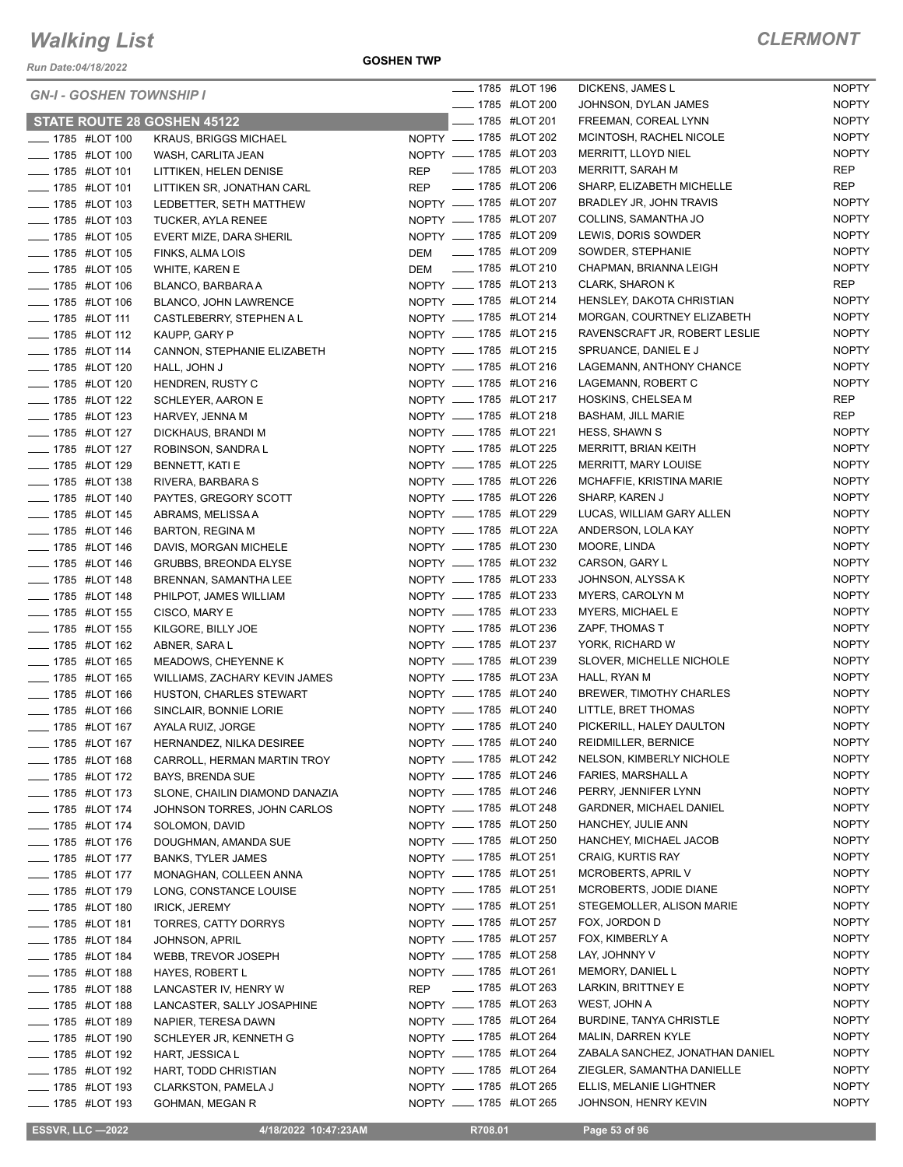*Run Date:04/18/2022*

**GOSHEN TWP**

#### *CLERMONT*

| <b>______ 1785 #LOT 200</b><br><b>NOPTY</b><br>JOHNSON, DYLAN JAMES<br><b>NOPTY</b><br>STATE ROUTE 28 GOSHEN 45122<br><b>LEGGE 44 1785 #LOT 201</b><br>FREEMAN, COREAL LYNN<br>NOPTY __ 1785 #LOT 202<br><b>NOPTY</b><br>MCINTOSH, RACHEL NICOLE<br>- 1785 #LOT 100<br><b>KRAUS, BRIGGS MICHAEL</b><br>NOPTY __ 1785 #LOT 203<br><b>NOPTY</b><br>MERRITT, LLOYD NIEL<br><b>LEGGE 44 1785 #LOT 100</b><br>WASH, CARLITA JEAN<br>REP __ 1785 #LOT 203<br>REP<br>MERRITT, SARAH M<br><b>LEGGE 44 1785 #LOT 101</b><br>LITTIKEN, HELEN DENISE<br>REP __ 1785 #LOT 206<br>REP<br>SHARP, ELIZABETH MICHELLE<br>- 1785 #LOT 101<br>LITTIKEN SR, JONATHAN CARL<br>NOPTY __ 1785 #LOT 207<br><b>NOPTY</b><br>BRADLEY JR, JOHN TRAVIS<br><b>LEGGE 44 1785 #LOT 103</b><br>LEDBETTER, SETH MATTHEW<br>NOPTY __ 1785 #LOT 207<br><b>NOPTY</b><br>COLLINS, SAMANTHA JO<br><b>_____ 1785 #LOT 103</b><br><b>TUCKER, AYLA RENEE</b><br>NOPTY __ 1785 #LOT 209<br><b>NOPTY</b><br>LEWIS, DORIS SOWDER<br><b>LEGGE 44 1785 #LOT 105</b><br>EVERT MIZE, DARA SHERIL<br>DEM __ 1785 #LOT 209<br><b>NOPTY</b><br>SOWDER, STEPHANIE<br><b>LEGGE 44 1785 #LOT 105</b><br>FINKS, ALMA LOIS<br>DEM __ 1785 #LOT 210<br><b>NOPTY</b><br>CHAPMAN, BRIANNA LEIGH<br>-4785 #LOT 105<br>WHITE, KAREN E<br>NOPTY __ 1785 #LOT 213<br>REP<br><b>CLARK, SHARON K</b><br><b>IVELAGO #LOT 106</b><br>BLANCO, BARBARA A<br>NOPTY __ 1785 #LOT 214<br><b>NOPTY</b><br>HENSLEY, DAKOTA CHRISTIAN<br>-4785 #LOT 106<br>BLANCO, JOHN LAWRENCE<br>NOPTY __ 1785 #LOT 214<br><b>NOPTY</b><br>MORGAN, COURTNEY ELIZABETH<br>__ 1785 #LOT 111<br>CASTLEBERRY, STEPHEN A L<br>NOPTY __ 1785 #LOT 215<br><b>NOPTY</b><br>RAVENSCRAFT JR, ROBERT LESLIE<br><b>_____ 1785 #LOT 112</b><br>KAUPP, GARY P<br>NOPTY __ 1785 #LOT 215<br><b>NOPTY</b><br>SPRUANCE, DANIEL E J<br>- 1785 #LOT 114<br>CANNON, STEPHANIE ELIZABETH<br>NOPTY __ 1785 #LOT 216<br><b>NOPTY</b><br>LAGEMANN, ANTHONY CHANCE<br><b>LEGGE 44 1785 #LOT 120</b><br>HALL, JOHN J<br><b>NOPTY</b><br>NOPTY __ 1785 #LOT 216<br>LAGEMANN, ROBERT C<br>-4785 #LOT 120<br>HENDREN, RUSTY C<br>REP<br>NOPTY __ 1785 #LOT 217<br>HOSKINS, CHELSEA M<br><b>LEGGE 44 1785 #LOT 122</b><br>SCHLEYER, AARON E<br>NOPTY __ 1785 #LOT 218<br>REP<br><b>BASHAM, JILL MARIE</b><br><b>____</b> 1785 #LOT 123<br>HARVEY, JENNA M<br>NOPTY __ 1785 #LOT 221<br><b>NOPTY</b><br><b>HESS, SHAWN S</b><br>- 1785 #LOT 127<br>DICKHAUS, BRANDI M<br>NOPTY __ 1785 #LOT 225<br><b>NOPTY</b><br>MERRITT, BRIAN KEITH<br><b>IMPLE 1785 #LOT 127</b><br>ROBINSON, SANDRA L<br>NOPTY __ 1785 #LOT 225<br><b>NOPTY</b><br>MERRITT, MARY LOUISE<br>-85 #LOT 129<br>BENNETT, KATI E<br><b>NOPTY</b><br>NOPTY __ 1785 #LOT 226<br>MCHAFFIE, KRISTINA MARIE<br>LOT 138<br>RIVERA, BARBARA S<br><b>NOPTY</b><br>NOPTY __ 1785 #LOT 226<br>SHARP, KAREN J<br>-40 1785 #LOT 140<br>PAYTES, GREGORY SCOTT<br><b>NOPTY</b><br>NOPTY __ 1785 #LOT 229<br>LUCAS, WILLIAM GARY ALLEN<br><b>_____ 1785 #LOT 145</b><br>ABRAMS, MELISSA A<br>NOPTY __ 1785 #LOT 22A<br><b>NOPTY</b><br>ANDERSON, LOLA KAY<br><b>LEGGE 440 1785</b> #LOT 146<br><b>BARTON, REGINA M</b><br>NOPTY __ 1785 #LOT 230<br><b>NOPTY</b><br>MOORE, LINDA<br><b>_____ 1785 #LOT 146</b><br>DAVIS, MORGAN MICHELE<br>NOPTY __ 1785 #LOT 232<br><b>NOPTY</b><br>CARSON, GARY L<br>___ 1785 #LOT 146<br>GRUBBS, BREONDA ELYSE<br>NOPTY __ 1785 #LOT 233<br><b>NOPTY</b><br>JOHNSON, ALYSSA K<br><b>LEGGE 44 1785 #LOT 148</b><br>BRENNAN, SAMANTHA LEE<br>NOPTY __ 1785 #LOT 233<br><b>NOPTY</b><br>MYERS, CAROLYN M<br>-48 HLOT 148<br>PHILPOT, JAMES WILLIAM<br><b>NOPTY</b><br>NOPTY __ 1785 #LOT 233<br>MYERS, MICHAEL E<br><b>INCOLLEGAT 155</b><br>CISCO, MARY E<br>NOPTY __ 1785 #LOT 236<br><b>NOPTY</b><br>ZAPF, THOMAS T<br><b>_____ 1785 #LOT 155</b><br>KILGORE, BILLY JOE<br>NOPTY __ 1785 #LOT 237<br><b>NOPTY</b><br>YORK, RICHARD W<br><b>LEGGE 44 1785 #LOT 162</b><br>ABNER, SARA L<br>NOPTY __ 1785 #LOT 239<br><b>NOPTY</b><br>SLOVER, MICHELLE NICHOLE<br><b>LEGGE 44 1785</b> #LOT 165<br>MEADOWS, CHEYENNE K<br>NOPTY __ 1785 #LOT 23A<br><b>NOPTY</b><br>HALL, RYAN M<br>- 1785 #LOT 165<br>WILLIAMS, ZACHARY KEVIN JAMES<br>NOPTY __ 1785 #LOT 240<br><b>NOPTY</b><br><b>BREWER, TIMOTHY CHARLES</b><br><b>LEGGE 44 1785 #LOT 166</b><br>HUSTON, CHARLES STEWART<br><b>NOPTY</b><br>NOPTY __ 1785 #LOT 240<br>LITTLE, BRET THOMAS<br>- 1785 #LOT 166<br>SINCLAIR, BONNIE LORIE<br>NOPTY __ 1785 #LOT 240<br><b>NOPTY</b><br>PICKERILL, HALEY DAULTON<br>___ 1785 #LOT 167<br>AYALA RUIZ, JORGE<br><b>NOPTY</b><br>NOPTY __ 1785 #LOT 240<br>REIDMILLER, BERNICE<br>- 1785 #LOT 167<br>HERNANDEZ, NILKA DESIREE<br>NELSON, KIMBERLY NICHOLE<br><b>NOPTY</b><br>NOPTY _____ 1785 #LOT 242<br><b>_____</b> 1785 #LOT 168<br>CARROLL, HERMAN MARTIN TROY<br>NOPTY __ 1785 #LOT 246<br><b>NOPTY</b><br>FARIES, MARSHALL A<br><b>_____ 1785 #LOT 172</b><br>BAYS, BRENDA SUE<br>NOPTY __ 1785 #LOT 246<br>PERRY, JENNIFER LYNN<br><b>NOPTY</b><br><b>______ 1785 #LOT 173</b><br>SLONE, CHAILIN DIAMOND DANAZIA<br>NOPTY __ 1785 #LOT 248<br>GARDNER, MICHAEL DANIEL<br><b>NOPTY</b><br><b>LEGGE 44 1785 #LOT 174</b><br>JOHNSON TORRES, JOHN CARLOS<br>NOPTY __ 1785 #LOT 250<br>HANCHEY, JULIE ANN<br><b>NOPTY</b><br><b>IMPLE 1785 #LOT 174</b><br>SOLOMON, DAVID<br><b>NOPTY</b><br>NOPTY __ 1785 #LOT 250<br>HANCHEY, MICHAEL JACOB<br><b>_____ 1785 #LOT 176</b><br>DOUGHMAN, AMANDA SUE<br>NOPTY __ 1785 #LOT 251<br><b>CRAIG, KURTIS RAY</b><br><b>NOPTY</b><br>__ 1785 #LOT 177<br><b>BANKS, TYLER JAMES</b><br>NOPTY __ 1785 #LOT 251<br><b>NOPTY</b><br>MCROBERTS, APRIL V<br>___ 1785 #LOT 177<br>MONAGHAN, COLLEEN ANNA<br>NOPTY __ 1785 #LOT 251<br><b>NOPTY</b><br>MCROBERTS, JODIE DIANE<br>__ 1785 #LOT 179<br>LONG, CONSTANCE LOUISE<br>NOPTY __ 1785 #LOT 251<br><b>NOPTY</b><br>STEGEMOLLER, ALISON MARIE<br><b>LEGGE 44 1785 #LOT 180</b><br><b>IRICK, JEREMY</b><br>NOPTY __ 1785 #LOT 257<br>FOX, JORDON D<br><b>NOPTY</b><br><b>____</b> 1785 #LOT 181<br>TORRES, CATTY DORRYS<br><b>NOPTY</b><br>NOPTY __ 1785 #LOT 257<br>FOX, KIMBERLY A<br><b>IMPLE 1785 #LOT 184</b><br><b>JOHNSON, APRIL</b><br>NOPTY __ 1785 #LOT 258<br>LAY, JOHNNY V<br><b>NOPTY</b><br>-4785 #LOT 184<br>WEBB, TREVOR JOSEPH<br>NOPTY ____ 1785 #LOT 261<br>MEMORY, DANIEL L<br><b>NOPTY</b><br>__ 1785 #LOT 188<br>HAYES, ROBERT L<br>REP __ 1785 #LOT 263<br><b>NOPTY</b><br>LARKIN, BRITTNEY E<br>LANCASTER IV, HENRY W<br>NOPTY __ 1785 #LOT 263<br><b>NOPTY</b><br>WEST, JOHN A<br>LANCASTER, SALLY JOSAPHINE<br>NOPTY __ 1785 #LOT 264<br><b>BURDINE, TANYA CHRISTLE</b><br><b>NOPTY</b><br>NAPIER, TERESA DAWN<br>NOPTY __ 1785 #LOT 264<br>MALIN, DARREN KYLE<br><b>NOPTY</b><br>SCHLEYER JR, KENNETH G<br>NOPTY __ 1785 #LOT 264<br>ZABALA SANCHEZ, JONATHAN DANIEL<br><b>NOPTY</b><br><b>_____ 1785 #LOT 192</b><br>HART, JESSICA L<br>NOPTY __ 1785 #LOT 264<br>ZIEGLER, SAMANTHA DANIELLE<br><b>NOPTY</b><br><b>LEGGE 44 1785 #LOT 192</b><br>HART, TODD CHRISTIAN<br>NOPTY __ 1785 #LOT 265<br>ELLIS, MELANIE LIGHTNER<br><b>NOPTY</b><br><b>_____</b> 1785 #LOT 193<br><b>CLARKSTON, PAMELA J</b><br>NOPTY __ 1785 #LOT 265 | <b>GN-I - GOSHEN TOWNSHIP I</b> |                 |  | <b>_____</b> 1785 #LOT 196 | DICKENS, JAMES L     | <b>NOPTY</b> |
|---------------------------------------------------------------------------------------------------------------------------------------------------------------------------------------------------------------------------------------------------------------------------------------------------------------------------------------------------------------------------------------------------------------------------------------------------------------------------------------------------------------------------------------------------------------------------------------------------------------------------------------------------------------------------------------------------------------------------------------------------------------------------------------------------------------------------------------------------------------------------------------------------------------------------------------------------------------------------------------------------------------------------------------------------------------------------------------------------------------------------------------------------------------------------------------------------------------------------------------------------------------------------------------------------------------------------------------------------------------------------------------------------------------------------------------------------------------------------------------------------------------------------------------------------------------------------------------------------------------------------------------------------------------------------------------------------------------------------------------------------------------------------------------------------------------------------------------------------------------------------------------------------------------------------------------------------------------------------------------------------------------------------------------------------------------------------------------------------------------------------------------------------------------------------------------------------------------------------------------------------------------------------------------------------------------------------------------------------------------------------------------------------------------------------------------------------------------------------------------------------------------------------------------------------------------------------------------------------------------------------------------------------------------------------------------------------------------------------------------------------------------------------------------------------------------------------------------------------------------------------------------------------------------------------------------------------------------------------------------------------------------------------------------------------------------------------------------------------------------------------------------------------------------------------------------------------------------------------------------------------------------------------------------------------------------------------------------------------------------------------------------------------------------------------------------------------------------------------------------------------------------------------------------------------------------------------------------------------------------------------------------------------------------------------------------------------------------------------------------------------------------------------------------------------------------------------------------------------------------------------------------------------------------------------------------------------------------------------------------------------------------------------------------------------------------------------------------------------------------------------------------------------------------------------------------------------------------------------------------------------------------------------------------------------------------------------------------------------------------------------------------------------------------------------------------------------------------------------------------------------------------------------------------------------------------------------------------------------------------------------------------------------------------------------------------------------------------------------------------------------------------------------------------------------------------------------------------------------------------------------------------------------------------------------------------------------------------------------------------------------------------------------------------------------------------------------------------------------------------------------------------------------------------------------------------------------------------------------------------------------------------------------------------------------------------------------------------------------------------------------------------------------------------------------------------------------------------------------------------------------------------------------------------------------------------------------------------------------------------------------------------------------------------------------------------------------------------------------------------------------------------------------------------------------------------------------------------------------------------------------------------------------------------------------------------------------------------------------------------------------------------------------------------------------------------------------------------------------------------------------------------------------------------------------------------------------------------------------------------------------------------------------------------------------------------------------------------------------------------------------------------------------------------------------------------------------------------------------------------------------------------------------------------------------------------------------------------------------------------------------------------------------------------------------------------------------------------------------------------------------------------------------------------------------------------------------------------------------------------------------------------------------------------------------------------------------------------------------------------------------------------------------------------------------------------------------------------------------------------------------------------------------------------------------------------------------------------|---------------------------------|-----------------|--|----------------------------|----------------------|--------------|
|                                                                                                                                                                                                                                                                                                                                                                                                                                                                                                                                                                                                                                                                                                                                                                                                                                                                                                                                                                                                                                                                                                                                                                                                                                                                                                                                                                                                                                                                                                                                                                                                                                                                                                                                                                                                                                                                                                                                                                                                                                                                                                                                                                                                                                                                                                                                                                                                                                                                                                                                                                                                                                                                                                                                                                                                                                                                                                                                                                                                                                                                                                                                                                                                                                                                                                                                                                                                                                                                                                                                                                                                                                                                                                                                                                                                                                                                                                                                                                                                                                                                                                                                                                                                                                                                                                                                                                                                                                                                                                                                                                                                                                                                                                                                                                                                                                                                                                                                                                                                                                                                                                                                                                                                                                                                                                                                                                                                                                                                                                                                                                                                                                                                                                                                                                                                                                                                                                                                                                                                                                                                                                                                                                                                                                                                                                                                                                                                                                                                                                                                                                                                                                                                                                                                                                                                                                                                                                                                                                                                                                                                                                                                                                                                               |                                 |                 |  |                            |                      |              |
|                                                                                                                                                                                                                                                                                                                                                                                                                                                                                                                                                                                                                                                                                                                                                                                                                                                                                                                                                                                                                                                                                                                                                                                                                                                                                                                                                                                                                                                                                                                                                                                                                                                                                                                                                                                                                                                                                                                                                                                                                                                                                                                                                                                                                                                                                                                                                                                                                                                                                                                                                                                                                                                                                                                                                                                                                                                                                                                                                                                                                                                                                                                                                                                                                                                                                                                                                                                                                                                                                                                                                                                                                                                                                                                                                                                                                                                                                                                                                                                                                                                                                                                                                                                                                                                                                                                                                                                                                                                                                                                                                                                                                                                                                                                                                                                                                                                                                                                                                                                                                                                                                                                                                                                                                                                                                                                                                                                                                                                                                                                                                                                                                                                                                                                                                                                                                                                                                                                                                                                                                                                                                                                                                                                                                                                                                                                                                                                                                                                                                                                                                                                                                                                                                                                                                                                                                                                                                                                                                                                                                                                                                                                                                                                                               |                                 |                 |  |                            |                      |              |
|                                                                                                                                                                                                                                                                                                                                                                                                                                                                                                                                                                                                                                                                                                                                                                                                                                                                                                                                                                                                                                                                                                                                                                                                                                                                                                                                                                                                                                                                                                                                                                                                                                                                                                                                                                                                                                                                                                                                                                                                                                                                                                                                                                                                                                                                                                                                                                                                                                                                                                                                                                                                                                                                                                                                                                                                                                                                                                                                                                                                                                                                                                                                                                                                                                                                                                                                                                                                                                                                                                                                                                                                                                                                                                                                                                                                                                                                                                                                                                                                                                                                                                                                                                                                                                                                                                                                                                                                                                                                                                                                                                                                                                                                                                                                                                                                                                                                                                                                                                                                                                                                                                                                                                                                                                                                                                                                                                                                                                                                                                                                                                                                                                                                                                                                                                                                                                                                                                                                                                                                                                                                                                                                                                                                                                                                                                                                                                                                                                                                                                                                                                                                                                                                                                                                                                                                                                                                                                                                                                                                                                                                                                                                                                                                               |                                 |                 |  |                            |                      |              |
|                                                                                                                                                                                                                                                                                                                                                                                                                                                                                                                                                                                                                                                                                                                                                                                                                                                                                                                                                                                                                                                                                                                                                                                                                                                                                                                                                                                                                                                                                                                                                                                                                                                                                                                                                                                                                                                                                                                                                                                                                                                                                                                                                                                                                                                                                                                                                                                                                                                                                                                                                                                                                                                                                                                                                                                                                                                                                                                                                                                                                                                                                                                                                                                                                                                                                                                                                                                                                                                                                                                                                                                                                                                                                                                                                                                                                                                                                                                                                                                                                                                                                                                                                                                                                                                                                                                                                                                                                                                                                                                                                                                                                                                                                                                                                                                                                                                                                                                                                                                                                                                                                                                                                                                                                                                                                                                                                                                                                                                                                                                                                                                                                                                                                                                                                                                                                                                                                                                                                                                                                                                                                                                                                                                                                                                                                                                                                                                                                                                                                                                                                                                                                                                                                                                                                                                                                                                                                                                                                                                                                                                                                                                                                                                                               |                                 |                 |  |                            |                      |              |
|                                                                                                                                                                                                                                                                                                                                                                                                                                                                                                                                                                                                                                                                                                                                                                                                                                                                                                                                                                                                                                                                                                                                                                                                                                                                                                                                                                                                                                                                                                                                                                                                                                                                                                                                                                                                                                                                                                                                                                                                                                                                                                                                                                                                                                                                                                                                                                                                                                                                                                                                                                                                                                                                                                                                                                                                                                                                                                                                                                                                                                                                                                                                                                                                                                                                                                                                                                                                                                                                                                                                                                                                                                                                                                                                                                                                                                                                                                                                                                                                                                                                                                                                                                                                                                                                                                                                                                                                                                                                                                                                                                                                                                                                                                                                                                                                                                                                                                                                                                                                                                                                                                                                                                                                                                                                                                                                                                                                                                                                                                                                                                                                                                                                                                                                                                                                                                                                                                                                                                                                                                                                                                                                                                                                                                                                                                                                                                                                                                                                                                                                                                                                                                                                                                                                                                                                                                                                                                                                                                                                                                                                                                                                                                                                               |                                 |                 |  |                            |                      |              |
|                                                                                                                                                                                                                                                                                                                                                                                                                                                                                                                                                                                                                                                                                                                                                                                                                                                                                                                                                                                                                                                                                                                                                                                                                                                                                                                                                                                                                                                                                                                                                                                                                                                                                                                                                                                                                                                                                                                                                                                                                                                                                                                                                                                                                                                                                                                                                                                                                                                                                                                                                                                                                                                                                                                                                                                                                                                                                                                                                                                                                                                                                                                                                                                                                                                                                                                                                                                                                                                                                                                                                                                                                                                                                                                                                                                                                                                                                                                                                                                                                                                                                                                                                                                                                                                                                                                                                                                                                                                                                                                                                                                                                                                                                                                                                                                                                                                                                                                                                                                                                                                                                                                                                                                                                                                                                                                                                                                                                                                                                                                                                                                                                                                                                                                                                                                                                                                                                                                                                                                                                                                                                                                                                                                                                                                                                                                                                                                                                                                                                                                                                                                                                                                                                                                                                                                                                                                                                                                                                                                                                                                                                                                                                                                                               |                                 |                 |  |                            |                      |              |
|                                                                                                                                                                                                                                                                                                                                                                                                                                                                                                                                                                                                                                                                                                                                                                                                                                                                                                                                                                                                                                                                                                                                                                                                                                                                                                                                                                                                                                                                                                                                                                                                                                                                                                                                                                                                                                                                                                                                                                                                                                                                                                                                                                                                                                                                                                                                                                                                                                                                                                                                                                                                                                                                                                                                                                                                                                                                                                                                                                                                                                                                                                                                                                                                                                                                                                                                                                                                                                                                                                                                                                                                                                                                                                                                                                                                                                                                                                                                                                                                                                                                                                                                                                                                                                                                                                                                                                                                                                                                                                                                                                                                                                                                                                                                                                                                                                                                                                                                                                                                                                                                                                                                                                                                                                                                                                                                                                                                                                                                                                                                                                                                                                                                                                                                                                                                                                                                                                                                                                                                                                                                                                                                                                                                                                                                                                                                                                                                                                                                                                                                                                                                                                                                                                                                                                                                                                                                                                                                                                                                                                                                                                                                                                                                               |                                 |                 |  |                            |                      |              |
|                                                                                                                                                                                                                                                                                                                                                                                                                                                                                                                                                                                                                                                                                                                                                                                                                                                                                                                                                                                                                                                                                                                                                                                                                                                                                                                                                                                                                                                                                                                                                                                                                                                                                                                                                                                                                                                                                                                                                                                                                                                                                                                                                                                                                                                                                                                                                                                                                                                                                                                                                                                                                                                                                                                                                                                                                                                                                                                                                                                                                                                                                                                                                                                                                                                                                                                                                                                                                                                                                                                                                                                                                                                                                                                                                                                                                                                                                                                                                                                                                                                                                                                                                                                                                                                                                                                                                                                                                                                                                                                                                                                                                                                                                                                                                                                                                                                                                                                                                                                                                                                                                                                                                                                                                                                                                                                                                                                                                                                                                                                                                                                                                                                                                                                                                                                                                                                                                                                                                                                                                                                                                                                                                                                                                                                                                                                                                                                                                                                                                                                                                                                                                                                                                                                                                                                                                                                                                                                                                                                                                                                                                                                                                                                                               |                                 |                 |  |                            |                      |              |
|                                                                                                                                                                                                                                                                                                                                                                                                                                                                                                                                                                                                                                                                                                                                                                                                                                                                                                                                                                                                                                                                                                                                                                                                                                                                                                                                                                                                                                                                                                                                                                                                                                                                                                                                                                                                                                                                                                                                                                                                                                                                                                                                                                                                                                                                                                                                                                                                                                                                                                                                                                                                                                                                                                                                                                                                                                                                                                                                                                                                                                                                                                                                                                                                                                                                                                                                                                                                                                                                                                                                                                                                                                                                                                                                                                                                                                                                                                                                                                                                                                                                                                                                                                                                                                                                                                                                                                                                                                                                                                                                                                                                                                                                                                                                                                                                                                                                                                                                                                                                                                                                                                                                                                                                                                                                                                                                                                                                                                                                                                                                                                                                                                                                                                                                                                                                                                                                                                                                                                                                                                                                                                                                                                                                                                                                                                                                                                                                                                                                                                                                                                                                                                                                                                                                                                                                                                                                                                                                                                                                                                                                                                                                                                                                               |                                 |                 |  |                            |                      |              |
|                                                                                                                                                                                                                                                                                                                                                                                                                                                                                                                                                                                                                                                                                                                                                                                                                                                                                                                                                                                                                                                                                                                                                                                                                                                                                                                                                                                                                                                                                                                                                                                                                                                                                                                                                                                                                                                                                                                                                                                                                                                                                                                                                                                                                                                                                                                                                                                                                                                                                                                                                                                                                                                                                                                                                                                                                                                                                                                                                                                                                                                                                                                                                                                                                                                                                                                                                                                                                                                                                                                                                                                                                                                                                                                                                                                                                                                                                                                                                                                                                                                                                                                                                                                                                                                                                                                                                                                                                                                                                                                                                                                                                                                                                                                                                                                                                                                                                                                                                                                                                                                                                                                                                                                                                                                                                                                                                                                                                                                                                                                                                                                                                                                                                                                                                                                                                                                                                                                                                                                                                                                                                                                                                                                                                                                                                                                                                                                                                                                                                                                                                                                                                                                                                                                                                                                                                                                                                                                                                                                                                                                                                                                                                                                                               |                                 |                 |  |                            |                      |              |
|                                                                                                                                                                                                                                                                                                                                                                                                                                                                                                                                                                                                                                                                                                                                                                                                                                                                                                                                                                                                                                                                                                                                                                                                                                                                                                                                                                                                                                                                                                                                                                                                                                                                                                                                                                                                                                                                                                                                                                                                                                                                                                                                                                                                                                                                                                                                                                                                                                                                                                                                                                                                                                                                                                                                                                                                                                                                                                                                                                                                                                                                                                                                                                                                                                                                                                                                                                                                                                                                                                                                                                                                                                                                                                                                                                                                                                                                                                                                                                                                                                                                                                                                                                                                                                                                                                                                                                                                                                                                                                                                                                                                                                                                                                                                                                                                                                                                                                                                                                                                                                                                                                                                                                                                                                                                                                                                                                                                                                                                                                                                                                                                                                                                                                                                                                                                                                                                                                                                                                                                                                                                                                                                                                                                                                                                                                                                                                                                                                                                                                                                                                                                                                                                                                                                                                                                                                                                                                                                                                                                                                                                                                                                                                                                               |                                 |                 |  |                            |                      |              |
|                                                                                                                                                                                                                                                                                                                                                                                                                                                                                                                                                                                                                                                                                                                                                                                                                                                                                                                                                                                                                                                                                                                                                                                                                                                                                                                                                                                                                                                                                                                                                                                                                                                                                                                                                                                                                                                                                                                                                                                                                                                                                                                                                                                                                                                                                                                                                                                                                                                                                                                                                                                                                                                                                                                                                                                                                                                                                                                                                                                                                                                                                                                                                                                                                                                                                                                                                                                                                                                                                                                                                                                                                                                                                                                                                                                                                                                                                                                                                                                                                                                                                                                                                                                                                                                                                                                                                                                                                                                                                                                                                                                                                                                                                                                                                                                                                                                                                                                                                                                                                                                                                                                                                                                                                                                                                                                                                                                                                                                                                                                                                                                                                                                                                                                                                                                                                                                                                                                                                                                                                                                                                                                                                                                                                                                                                                                                                                                                                                                                                                                                                                                                                                                                                                                                                                                                                                                                                                                                                                                                                                                                                                                                                                                                               |                                 |                 |  |                            |                      |              |
|                                                                                                                                                                                                                                                                                                                                                                                                                                                                                                                                                                                                                                                                                                                                                                                                                                                                                                                                                                                                                                                                                                                                                                                                                                                                                                                                                                                                                                                                                                                                                                                                                                                                                                                                                                                                                                                                                                                                                                                                                                                                                                                                                                                                                                                                                                                                                                                                                                                                                                                                                                                                                                                                                                                                                                                                                                                                                                                                                                                                                                                                                                                                                                                                                                                                                                                                                                                                                                                                                                                                                                                                                                                                                                                                                                                                                                                                                                                                                                                                                                                                                                                                                                                                                                                                                                                                                                                                                                                                                                                                                                                                                                                                                                                                                                                                                                                                                                                                                                                                                                                                                                                                                                                                                                                                                                                                                                                                                                                                                                                                                                                                                                                                                                                                                                                                                                                                                                                                                                                                                                                                                                                                                                                                                                                                                                                                                                                                                                                                                                                                                                                                                                                                                                                                                                                                                                                                                                                                                                                                                                                                                                                                                                                                               |                                 |                 |  |                            |                      |              |
|                                                                                                                                                                                                                                                                                                                                                                                                                                                                                                                                                                                                                                                                                                                                                                                                                                                                                                                                                                                                                                                                                                                                                                                                                                                                                                                                                                                                                                                                                                                                                                                                                                                                                                                                                                                                                                                                                                                                                                                                                                                                                                                                                                                                                                                                                                                                                                                                                                                                                                                                                                                                                                                                                                                                                                                                                                                                                                                                                                                                                                                                                                                                                                                                                                                                                                                                                                                                                                                                                                                                                                                                                                                                                                                                                                                                                                                                                                                                                                                                                                                                                                                                                                                                                                                                                                                                                                                                                                                                                                                                                                                                                                                                                                                                                                                                                                                                                                                                                                                                                                                                                                                                                                                                                                                                                                                                                                                                                                                                                                                                                                                                                                                                                                                                                                                                                                                                                                                                                                                                                                                                                                                                                                                                                                                                                                                                                                                                                                                                                                                                                                                                                                                                                                                                                                                                                                                                                                                                                                                                                                                                                                                                                                                                               |                                 |                 |  |                            |                      |              |
|                                                                                                                                                                                                                                                                                                                                                                                                                                                                                                                                                                                                                                                                                                                                                                                                                                                                                                                                                                                                                                                                                                                                                                                                                                                                                                                                                                                                                                                                                                                                                                                                                                                                                                                                                                                                                                                                                                                                                                                                                                                                                                                                                                                                                                                                                                                                                                                                                                                                                                                                                                                                                                                                                                                                                                                                                                                                                                                                                                                                                                                                                                                                                                                                                                                                                                                                                                                                                                                                                                                                                                                                                                                                                                                                                                                                                                                                                                                                                                                                                                                                                                                                                                                                                                                                                                                                                                                                                                                                                                                                                                                                                                                                                                                                                                                                                                                                                                                                                                                                                                                                                                                                                                                                                                                                                                                                                                                                                                                                                                                                                                                                                                                                                                                                                                                                                                                                                                                                                                                                                                                                                                                                                                                                                                                                                                                                                                                                                                                                                                                                                                                                                                                                                                                                                                                                                                                                                                                                                                                                                                                                                                                                                                                                               |                                 |                 |  |                            |                      |              |
|                                                                                                                                                                                                                                                                                                                                                                                                                                                                                                                                                                                                                                                                                                                                                                                                                                                                                                                                                                                                                                                                                                                                                                                                                                                                                                                                                                                                                                                                                                                                                                                                                                                                                                                                                                                                                                                                                                                                                                                                                                                                                                                                                                                                                                                                                                                                                                                                                                                                                                                                                                                                                                                                                                                                                                                                                                                                                                                                                                                                                                                                                                                                                                                                                                                                                                                                                                                                                                                                                                                                                                                                                                                                                                                                                                                                                                                                                                                                                                                                                                                                                                                                                                                                                                                                                                                                                                                                                                                                                                                                                                                                                                                                                                                                                                                                                                                                                                                                                                                                                                                                                                                                                                                                                                                                                                                                                                                                                                                                                                                                                                                                                                                                                                                                                                                                                                                                                                                                                                                                                                                                                                                                                                                                                                                                                                                                                                                                                                                                                                                                                                                                                                                                                                                                                                                                                                                                                                                                                                                                                                                                                                                                                                                                               |                                 |                 |  |                            |                      |              |
|                                                                                                                                                                                                                                                                                                                                                                                                                                                                                                                                                                                                                                                                                                                                                                                                                                                                                                                                                                                                                                                                                                                                                                                                                                                                                                                                                                                                                                                                                                                                                                                                                                                                                                                                                                                                                                                                                                                                                                                                                                                                                                                                                                                                                                                                                                                                                                                                                                                                                                                                                                                                                                                                                                                                                                                                                                                                                                                                                                                                                                                                                                                                                                                                                                                                                                                                                                                                                                                                                                                                                                                                                                                                                                                                                                                                                                                                                                                                                                                                                                                                                                                                                                                                                                                                                                                                                                                                                                                                                                                                                                                                                                                                                                                                                                                                                                                                                                                                                                                                                                                                                                                                                                                                                                                                                                                                                                                                                                                                                                                                                                                                                                                                                                                                                                                                                                                                                                                                                                                                                                                                                                                                                                                                                                                                                                                                                                                                                                                                                                                                                                                                                                                                                                                                                                                                                                                                                                                                                                                                                                                                                                                                                                                                               |                                 |                 |  |                            |                      |              |
|                                                                                                                                                                                                                                                                                                                                                                                                                                                                                                                                                                                                                                                                                                                                                                                                                                                                                                                                                                                                                                                                                                                                                                                                                                                                                                                                                                                                                                                                                                                                                                                                                                                                                                                                                                                                                                                                                                                                                                                                                                                                                                                                                                                                                                                                                                                                                                                                                                                                                                                                                                                                                                                                                                                                                                                                                                                                                                                                                                                                                                                                                                                                                                                                                                                                                                                                                                                                                                                                                                                                                                                                                                                                                                                                                                                                                                                                                                                                                                                                                                                                                                                                                                                                                                                                                                                                                                                                                                                                                                                                                                                                                                                                                                                                                                                                                                                                                                                                                                                                                                                                                                                                                                                                                                                                                                                                                                                                                                                                                                                                                                                                                                                                                                                                                                                                                                                                                                                                                                                                                                                                                                                                                                                                                                                                                                                                                                                                                                                                                                                                                                                                                                                                                                                                                                                                                                                                                                                                                                                                                                                                                                                                                                                                               |                                 |                 |  |                            |                      |              |
|                                                                                                                                                                                                                                                                                                                                                                                                                                                                                                                                                                                                                                                                                                                                                                                                                                                                                                                                                                                                                                                                                                                                                                                                                                                                                                                                                                                                                                                                                                                                                                                                                                                                                                                                                                                                                                                                                                                                                                                                                                                                                                                                                                                                                                                                                                                                                                                                                                                                                                                                                                                                                                                                                                                                                                                                                                                                                                                                                                                                                                                                                                                                                                                                                                                                                                                                                                                                                                                                                                                                                                                                                                                                                                                                                                                                                                                                                                                                                                                                                                                                                                                                                                                                                                                                                                                                                                                                                                                                                                                                                                                                                                                                                                                                                                                                                                                                                                                                                                                                                                                                                                                                                                                                                                                                                                                                                                                                                                                                                                                                                                                                                                                                                                                                                                                                                                                                                                                                                                                                                                                                                                                                                                                                                                                                                                                                                                                                                                                                                                                                                                                                                                                                                                                                                                                                                                                                                                                                                                                                                                                                                                                                                                                                               |                                 |                 |  |                            |                      |              |
|                                                                                                                                                                                                                                                                                                                                                                                                                                                                                                                                                                                                                                                                                                                                                                                                                                                                                                                                                                                                                                                                                                                                                                                                                                                                                                                                                                                                                                                                                                                                                                                                                                                                                                                                                                                                                                                                                                                                                                                                                                                                                                                                                                                                                                                                                                                                                                                                                                                                                                                                                                                                                                                                                                                                                                                                                                                                                                                                                                                                                                                                                                                                                                                                                                                                                                                                                                                                                                                                                                                                                                                                                                                                                                                                                                                                                                                                                                                                                                                                                                                                                                                                                                                                                                                                                                                                                                                                                                                                                                                                                                                                                                                                                                                                                                                                                                                                                                                                                                                                                                                                                                                                                                                                                                                                                                                                                                                                                                                                                                                                                                                                                                                                                                                                                                                                                                                                                                                                                                                                                                                                                                                                                                                                                                                                                                                                                                                                                                                                                                                                                                                                                                                                                                                                                                                                                                                                                                                                                                                                                                                                                                                                                                                                               |                                 |                 |  |                            |                      |              |
|                                                                                                                                                                                                                                                                                                                                                                                                                                                                                                                                                                                                                                                                                                                                                                                                                                                                                                                                                                                                                                                                                                                                                                                                                                                                                                                                                                                                                                                                                                                                                                                                                                                                                                                                                                                                                                                                                                                                                                                                                                                                                                                                                                                                                                                                                                                                                                                                                                                                                                                                                                                                                                                                                                                                                                                                                                                                                                                                                                                                                                                                                                                                                                                                                                                                                                                                                                                                                                                                                                                                                                                                                                                                                                                                                                                                                                                                                                                                                                                                                                                                                                                                                                                                                                                                                                                                                                                                                                                                                                                                                                                                                                                                                                                                                                                                                                                                                                                                                                                                                                                                                                                                                                                                                                                                                                                                                                                                                                                                                                                                                                                                                                                                                                                                                                                                                                                                                                                                                                                                                                                                                                                                                                                                                                                                                                                                                                                                                                                                                                                                                                                                                                                                                                                                                                                                                                                                                                                                                                                                                                                                                                                                                                                                               |                                 |                 |  |                            |                      |              |
|                                                                                                                                                                                                                                                                                                                                                                                                                                                                                                                                                                                                                                                                                                                                                                                                                                                                                                                                                                                                                                                                                                                                                                                                                                                                                                                                                                                                                                                                                                                                                                                                                                                                                                                                                                                                                                                                                                                                                                                                                                                                                                                                                                                                                                                                                                                                                                                                                                                                                                                                                                                                                                                                                                                                                                                                                                                                                                                                                                                                                                                                                                                                                                                                                                                                                                                                                                                                                                                                                                                                                                                                                                                                                                                                                                                                                                                                                                                                                                                                                                                                                                                                                                                                                                                                                                                                                                                                                                                                                                                                                                                                                                                                                                                                                                                                                                                                                                                                                                                                                                                                                                                                                                                                                                                                                                                                                                                                                                                                                                                                                                                                                                                                                                                                                                                                                                                                                                                                                                                                                                                                                                                                                                                                                                                                                                                                                                                                                                                                                                                                                                                                                                                                                                                                                                                                                                                                                                                                                                                                                                                                                                                                                                                                               |                                 |                 |  |                            |                      |              |
|                                                                                                                                                                                                                                                                                                                                                                                                                                                                                                                                                                                                                                                                                                                                                                                                                                                                                                                                                                                                                                                                                                                                                                                                                                                                                                                                                                                                                                                                                                                                                                                                                                                                                                                                                                                                                                                                                                                                                                                                                                                                                                                                                                                                                                                                                                                                                                                                                                                                                                                                                                                                                                                                                                                                                                                                                                                                                                                                                                                                                                                                                                                                                                                                                                                                                                                                                                                                                                                                                                                                                                                                                                                                                                                                                                                                                                                                                                                                                                                                                                                                                                                                                                                                                                                                                                                                                                                                                                                                                                                                                                                                                                                                                                                                                                                                                                                                                                                                                                                                                                                                                                                                                                                                                                                                                                                                                                                                                                                                                                                                                                                                                                                                                                                                                                                                                                                                                                                                                                                                                                                                                                                                                                                                                                                                                                                                                                                                                                                                                                                                                                                                                                                                                                                                                                                                                                                                                                                                                                                                                                                                                                                                                                                                               |                                 |                 |  |                            |                      |              |
|                                                                                                                                                                                                                                                                                                                                                                                                                                                                                                                                                                                                                                                                                                                                                                                                                                                                                                                                                                                                                                                                                                                                                                                                                                                                                                                                                                                                                                                                                                                                                                                                                                                                                                                                                                                                                                                                                                                                                                                                                                                                                                                                                                                                                                                                                                                                                                                                                                                                                                                                                                                                                                                                                                                                                                                                                                                                                                                                                                                                                                                                                                                                                                                                                                                                                                                                                                                                                                                                                                                                                                                                                                                                                                                                                                                                                                                                                                                                                                                                                                                                                                                                                                                                                                                                                                                                                                                                                                                                                                                                                                                                                                                                                                                                                                                                                                                                                                                                                                                                                                                                                                                                                                                                                                                                                                                                                                                                                                                                                                                                                                                                                                                                                                                                                                                                                                                                                                                                                                                                                                                                                                                                                                                                                                                                                                                                                                                                                                                                                                                                                                                                                                                                                                                                                                                                                                                                                                                                                                                                                                                                                                                                                                                                               |                                 |                 |  |                            |                      |              |
|                                                                                                                                                                                                                                                                                                                                                                                                                                                                                                                                                                                                                                                                                                                                                                                                                                                                                                                                                                                                                                                                                                                                                                                                                                                                                                                                                                                                                                                                                                                                                                                                                                                                                                                                                                                                                                                                                                                                                                                                                                                                                                                                                                                                                                                                                                                                                                                                                                                                                                                                                                                                                                                                                                                                                                                                                                                                                                                                                                                                                                                                                                                                                                                                                                                                                                                                                                                                                                                                                                                                                                                                                                                                                                                                                                                                                                                                                                                                                                                                                                                                                                                                                                                                                                                                                                                                                                                                                                                                                                                                                                                                                                                                                                                                                                                                                                                                                                                                                                                                                                                                                                                                                                                                                                                                                                                                                                                                                                                                                                                                                                                                                                                                                                                                                                                                                                                                                                                                                                                                                                                                                                                                                                                                                                                                                                                                                                                                                                                                                                                                                                                                                                                                                                                                                                                                                                                                                                                                                                                                                                                                                                                                                                                                               |                                 |                 |  |                            |                      |              |
|                                                                                                                                                                                                                                                                                                                                                                                                                                                                                                                                                                                                                                                                                                                                                                                                                                                                                                                                                                                                                                                                                                                                                                                                                                                                                                                                                                                                                                                                                                                                                                                                                                                                                                                                                                                                                                                                                                                                                                                                                                                                                                                                                                                                                                                                                                                                                                                                                                                                                                                                                                                                                                                                                                                                                                                                                                                                                                                                                                                                                                                                                                                                                                                                                                                                                                                                                                                                                                                                                                                                                                                                                                                                                                                                                                                                                                                                                                                                                                                                                                                                                                                                                                                                                                                                                                                                                                                                                                                                                                                                                                                                                                                                                                                                                                                                                                                                                                                                                                                                                                                                                                                                                                                                                                                                                                                                                                                                                                                                                                                                                                                                                                                                                                                                                                                                                                                                                                                                                                                                                                                                                                                                                                                                                                                                                                                                                                                                                                                                                                                                                                                                                                                                                                                                                                                                                                                                                                                                                                                                                                                                                                                                                                                                               |                                 |                 |  |                            |                      |              |
|                                                                                                                                                                                                                                                                                                                                                                                                                                                                                                                                                                                                                                                                                                                                                                                                                                                                                                                                                                                                                                                                                                                                                                                                                                                                                                                                                                                                                                                                                                                                                                                                                                                                                                                                                                                                                                                                                                                                                                                                                                                                                                                                                                                                                                                                                                                                                                                                                                                                                                                                                                                                                                                                                                                                                                                                                                                                                                                                                                                                                                                                                                                                                                                                                                                                                                                                                                                                                                                                                                                                                                                                                                                                                                                                                                                                                                                                                                                                                                                                                                                                                                                                                                                                                                                                                                                                                                                                                                                                                                                                                                                                                                                                                                                                                                                                                                                                                                                                                                                                                                                                                                                                                                                                                                                                                                                                                                                                                                                                                                                                                                                                                                                                                                                                                                                                                                                                                                                                                                                                                                                                                                                                                                                                                                                                                                                                                                                                                                                                                                                                                                                                                                                                                                                                                                                                                                                                                                                                                                                                                                                                                                                                                                                                               |                                 |                 |  |                            |                      |              |
|                                                                                                                                                                                                                                                                                                                                                                                                                                                                                                                                                                                                                                                                                                                                                                                                                                                                                                                                                                                                                                                                                                                                                                                                                                                                                                                                                                                                                                                                                                                                                                                                                                                                                                                                                                                                                                                                                                                                                                                                                                                                                                                                                                                                                                                                                                                                                                                                                                                                                                                                                                                                                                                                                                                                                                                                                                                                                                                                                                                                                                                                                                                                                                                                                                                                                                                                                                                                                                                                                                                                                                                                                                                                                                                                                                                                                                                                                                                                                                                                                                                                                                                                                                                                                                                                                                                                                                                                                                                                                                                                                                                                                                                                                                                                                                                                                                                                                                                                                                                                                                                                                                                                                                                                                                                                                                                                                                                                                                                                                                                                                                                                                                                                                                                                                                                                                                                                                                                                                                                                                                                                                                                                                                                                                                                                                                                                                                                                                                                                                                                                                                                                                                                                                                                                                                                                                                                                                                                                                                                                                                                                                                                                                                                                               |                                 |                 |  |                            |                      |              |
|                                                                                                                                                                                                                                                                                                                                                                                                                                                                                                                                                                                                                                                                                                                                                                                                                                                                                                                                                                                                                                                                                                                                                                                                                                                                                                                                                                                                                                                                                                                                                                                                                                                                                                                                                                                                                                                                                                                                                                                                                                                                                                                                                                                                                                                                                                                                                                                                                                                                                                                                                                                                                                                                                                                                                                                                                                                                                                                                                                                                                                                                                                                                                                                                                                                                                                                                                                                                                                                                                                                                                                                                                                                                                                                                                                                                                                                                                                                                                                                                                                                                                                                                                                                                                                                                                                                                                                                                                                                                                                                                                                                                                                                                                                                                                                                                                                                                                                                                                                                                                                                                                                                                                                                                                                                                                                                                                                                                                                                                                                                                                                                                                                                                                                                                                                                                                                                                                                                                                                                                                                                                                                                                                                                                                                                                                                                                                                                                                                                                                                                                                                                                                                                                                                                                                                                                                                                                                                                                                                                                                                                                                                                                                                                                               |                                 |                 |  |                            |                      |              |
|                                                                                                                                                                                                                                                                                                                                                                                                                                                                                                                                                                                                                                                                                                                                                                                                                                                                                                                                                                                                                                                                                                                                                                                                                                                                                                                                                                                                                                                                                                                                                                                                                                                                                                                                                                                                                                                                                                                                                                                                                                                                                                                                                                                                                                                                                                                                                                                                                                                                                                                                                                                                                                                                                                                                                                                                                                                                                                                                                                                                                                                                                                                                                                                                                                                                                                                                                                                                                                                                                                                                                                                                                                                                                                                                                                                                                                                                                                                                                                                                                                                                                                                                                                                                                                                                                                                                                                                                                                                                                                                                                                                                                                                                                                                                                                                                                                                                                                                                                                                                                                                                                                                                                                                                                                                                                                                                                                                                                                                                                                                                                                                                                                                                                                                                                                                                                                                                                                                                                                                                                                                                                                                                                                                                                                                                                                                                                                                                                                                                                                                                                                                                                                                                                                                                                                                                                                                                                                                                                                                                                                                                                                                                                                                                               |                                 |                 |  |                            |                      |              |
|                                                                                                                                                                                                                                                                                                                                                                                                                                                                                                                                                                                                                                                                                                                                                                                                                                                                                                                                                                                                                                                                                                                                                                                                                                                                                                                                                                                                                                                                                                                                                                                                                                                                                                                                                                                                                                                                                                                                                                                                                                                                                                                                                                                                                                                                                                                                                                                                                                                                                                                                                                                                                                                                                                                                                                                                                                                                                                                                                                                                                                                                                                                                                                                                                                                                                                                                                                                                                                                                                                                                                                                                                                                                                                                                                                                                                                                                                                                                                                                                                                                                                                                                                                                                                                                                                                                                                                                                                                                                                                                                                                                                                                                                                                                                                                                                                                                                                                                                                                                                                                                                                                                                                                                                                                                                                                                                                                                                                                                                                                                                                                                                                                                                                                                                                                                                                                                                                                                                                                                                                                                                                                                                                                                                                                                                                                                                                                                                                                                                                                                                                                                                                                                                                                                                                                                                                                                                                                                                                                                                                                                                                                                                                                                                               |                                 |                 |  |                            |                      |              |
|                                                                                                                                                                                                                                                                                                                                                                                                                                                                                                                                                                                                                                                                                                                                                                                                                                                                                                                                                                                                                                                                                                                                                                                                                                                                                                                                                                                                                                                                                                                                                                                                                                                                                                                                                                                                                                                                                                                                                                                                                                                                                                                                                                                                                                                                                                                                                                                                                                                                                                                                                                                                                                                                                                                                                                                                                                                                                                                                                                                                                                                                                                                                                                                                                                                                                                                                                                                                                                                                                                                                                                                                                                                                                                                                                                                                                                                                                                                                                                                                                                                                                                                                                                                                                                                                                                                                                                                                                                                                                                                                                                                                                                                                                                                                                                                                                                                                                                                                                                                                                                                                                                                                                                                                                                                                                                                                                                                                                                                                                                                                                                                                                                                                                                                                                                                                                                                                                                                                                                                                                                                                                                                                                                                                                                                                                                                                                                                                                                                                                                                                                                                                                                                                                                                                                                                                                                                                                                                                                                                                                                                                                                                                                                                                               |                                 |                 |  |                            |                      |              |
|                                                                                                                                                                                                                                                                                                                                                                                                                                                                                                                                                                                                                                                                                                                                                                                                                                                                                                                                                                                                                                                                                                                                                                                                                                                                                                                                                                                                                                                                                                                                                                                                                                                                                                                                                                                                                                                                                                                                                                                                                                                                                                                                                                                                                                                                                                                                                                                                                                                                                                                                                                                                                                                                                                                                                                                                                                                                                                                                                                                                                                                                                                                                                                                                                                                                                                                                                                                                                                                                                                                                                                                                                                                                                                                                                                                                                                                                                                                                                                                                                                                                                                                                                                                                                                                                                                                                                                                                                                                                                                                                                                                                                                                                                                                                                                                                                                                                                                                                                                                                                                                                                                                                                                                                                                                                                                                                                                                                                                                                                                                                                                                                                                                                                                                                                                                                                                                                                                                                                                                                                                                                                                                                                                                                                                                                                                                                                                                                                                                                                                                                                                                                                                                                                                                                                                                                                                                                                                                                                                                                                                                                                                                                                                                                               |                                 |                 |  |                            |                      |              |
|                                                                                                                                                                                                                                                                                                                                                                                                                                                                                                                                                                                                                                                                                                                                                                                                                                                                                                                                                                                                                                                                                                                                                                                                                                                                                                                                                                                                                                                                                                                                                                                                                                                                                                                                                                                                                                                                                                                                                                                                                                                                                                                                                                                                                                                                                                                                                                                                                                                                                                                                                                                                                                                                                                                                                                                                                                                                                                                                                                                                                                                                                                                                                                                                                                                                                                                                                                                                                                                                                                                                                                                                                                                                                                                                                                                                                                                                                                                                                                                                                                                                                                                                                                                                                                                                                                                                                                                                                                                                                                                                                                                                                                                                                                                                                                                                                                                                                                                                                                                                                                                                                                                                                                                                                                                                                                                                                                                                                                                                                                                                                                                                                                                                                                                                                                                                                                                                                                                                                                                                                                                                                                                                                                                                                                                                                                                                                                                                                                                                                                                                                                                                                                                                                                                                                                                                                                                                                                                                                                                                                                                                                                                                                                                                               |                                 |                 |  |                            |                      |              |
|                                                                                                                                                                                                                                                                                                                                                                                                                                                                                                                                                                                                                                                                                                                                                                                                                                                                                                                                                                                                                                                                                                                                                                                                                                                                                                                                                                                                                                                                                                                                                                                                                                                                                                                                                                                                                                                                                                                                                                                                                                                                                                                                                                                                                                                                                                                                                                                                                                                                                                                                                                                                                                                                                                                                                                                                                                                                                                                                                                                                                                                                                                                                                                                                                                                                                                                                                                                                                                                                                                                                                                                                                                                                                                                                                                                                                                                                                                                                                                                                                                                                                                                                                                                                                                                                                                                                                                                                                                                                                                                                                                                                                                                                                                                                                                                                                                                                                                                                                                                                                                                                                                                                                                                                                                                                                                                                                                                                                                                                                                                                                                                                                                                                                                                                                                                                                                                                                                                                                                                                                                                                                                                                                                                                                                                                                                                                                                                                                                                                                                                                                                                                                                                                                                                                                                                                                                                                                                                                                                                                                                                                                                                                                                                                               |                                 |                 |  |                            |                      |              |
|                                                                                                                                                                                                                                                                                                                                                                                                                                                                                                                                                                                                                                                                                                                                                                                                                                                                                                                                                                                                                                                                                                                                                                                                                                                                                                                                                                                                                                                                                                                                                                                                                                                                                                                                                                                                                                                                                                                                                                                                                                                                                                                                                                                                                                                                                                                                                                                                                                                                                                                                                                                                                                                                                                                                                                                                                                                                                                                                                                                                                                                                                                                                                                                                                                                                                                                                                                                                                                                                                                                                                                                                                                                                                                                                                                                                                                                                                                                                                                                                                                                                                                                                                                                                                                                                                                                                                                                                                                                                                                                                                                                                                                                                                                                                                                                                                                                                                                                                                                                                                                                                                                                                                                                                                                                                                                                                                                                                                                                                                                                                                                                                                                                                                                                                                                                                                                                                                                                                                                                                                                                                                                                                                                                                                                                                                                                                                                                                                                                                                                                                                                                                                                                                                                                                                                                                                                                                                                                                                                                                                                                                                                                                                                                                               |                                 |                 |  |                            |                      |              |
|                                                                                                                                                                                                                                                                                                                                                                                                                                                                                                                                                                                                                                                                                                                                                                                                                                                                                                                                                                                                                                                                                                                                                                                                                                                                                                                                                                                                                                                                                                                                                                                                                                                                                                                                                                                                                                                                                                                                                                                                                                                                                                                                                                                                                                                                                                                                                                                                                                                                                                                                                                                                                                                                                                                                                                                                                                                                                                                                                                                                                                                                                                                                                                                                                                                                                                                                                                                                                                                                                                                                                                                                                                                                                                                                                                                                                                                                                                                                                                                                                                                                                                                                                                                                                                                                                                                                                                                                                                                                                                                                                                                                                                                                                                                                                                                                                                                                                                                                                                                                                                                                                                                                                                                                                                                                                                                                                                                                                                                                                                                                                                                                                                                                                                                                                                                                                                                                                                                                                                                                                                                                                                                                                                                                                                                                                                                                                                                                                                                                                                                                                                                                                                                                                                                                                                                                                                                                                                                                                                                                                                                                                                                                                                                                               |                                 |                 |  |                            |                      |              |
|                                                                                                                                                                                                                                                                                                                                                                                                                                                                                                                                                                                                                                                                                                                                                                                                                                                                                                                                                                                                                                                                                                                                                                                                                                                                                                                                                                                                                                                                                                                                                                                                                                                                                                                                                                                                                                                                                                                                                                                                                                                                                                                                                                                                                                                                                                                                                                                                                                                                                                                                                                                                                                                                                                                                                                                                                                                                                                                                                                                                                                                                                                                                                                                                                                                                                                                                                                                                                                                                                                                                                                                                                                                                                                                                                                                                                                                                                                                                                                                                                                                                                                                                                                                                                                                                                                                                                                                                                                                                                                                                                                                                                                                                                                                                                                                                                                                                                                                                                                                                                                                                                                                                                                                                                                                                                                                                                                                                                                                                                                                                                                                                                                                                                                                                                                                                                                                                                                                                                                                                                                                                                                                                                                                                                                                                                                                                                                                                                                                                                                                                                                                                                                                                                                                                                                                                                                                                                                                                                                                                                                                                                                                                                                                                               |                                 |                 |  |                            |                      |              |
|                                                                                                                                                                                                                                                                                                                                                                                                                                                                                                                                                                                                                                                                                                                                                                                                                                                                                                                                                                                                                                                                                                                                                                                                                                                                                                                                                                                                                                                                                                                                                                                                                                                                                                                                                                                                                                                                                                                                                                                                                                                                                                                                                                                                                                                                                                                                                                                                                                                                                                                                                                                                                                                                                                                                                                                                                                                                                                                                                                                                                                                                                                                                                                                                                                                                                                                                                                                                                                                                                                                                                                                                                                                                                                                                                                                                                                                                                                                                                                                                                                                                                                                                                                                                                                                                                                                                                                                                                                                                                                                                                                                                                                                                                                                                                                                                                                                                                                                                                                                                                                                                                                                                                                                                                                                                                                                                                                                                                                                                                                                                                                                                                                                                                                                                                                                                                                                                                                                                                                                                                                                                                                                                                                                                                                                                                                                                                                                                                                                                                                                                                                                                                                                                                                                                                                                                                                                                                                                                                                                                                                                                                                                                                                                                               |                                 |                 |  |                            |                      |              |
|                                                                                                                                                                                                                                                                                                                                                                                                                                                                                                                                                                                                                                                                                                                                                                                                                                                                                                                                                                                                                                                                                                                                                                                                                                                                                                                                                                                                                                                                                                                                                                                                                                                                                                                                                                                                                                                                                                                                                                                                                                                                                                                                                                                                                                                                                                                                                                                                                                                                                                                                                                                                                                                                                                                                                                                                                                                                                                                                                                                                                                                                                                                                                                                                                                                                                                                                                                                                                                                                                                                                                                                                                                                                                                                                                                                                                                                                                                                                                                                                                                                                                                                                                                                                                                                                                                                                                                                                                                                                                                                                                                                                                                                                                                                                                                                                                                                                                                                                                                                                                                                                                                                                                                                                                                                                                                                                                                                                                                                                                                                                                                                                                                                                                                                                                                                                                                                                                                                                                                                                                                                                                                                                                                                                                                                                                                                                                                                                                                                                                                                                                                                                                                                                                                                                                                                                                                                                                                                                                                                                                                                                                                                                                                                                               |                                 |                 |  |                            |                      |              |
|                                                                                                                                                                                                                                                                                                                                                                                                                                                                                                                                                                                                                                                                                                                                                                                                                                                                                                                                                                                                                                                                                                                                                                                                                                                                                                                                                                                                                                                                                                                                                                                                                                                                                                                                                                                                                                                                                                                                                                                                                                                                                                                                                                                                                                                                                                                                                                                                                                                                                                                                                                                                                                                                                                                                                                                                                                                                                                                                                                                                                                                                                                                                                                                                                                                                                                                                                                                                                                                                                                                                                                                                                                                                                                                                                                                                                                                                                                                                                                                                                                                                                                                                                                                                                                                                                                                                                                                                                                                                                                                                                                                                                                                                                                                                                                                                                                                                                                                                                                                                                                                                                                                                                                                                                                                                                                                                                                                                                                                                                                                                                                                                                                                                                                                                                                                                                                                                                                                                                                                                                                                                                                                                                                                                                                                                                                                                                                                                                                                                                                                                                                                                                                                                                                                                                                                                                                                                                                                                                                                                                                                                                                                                                                                                               |                                 |                 |  |                            |                      |              |
|                                                                                                                                                                                                                                                                                                                                                                                                                                                                                                                                                                                                                                                                                                                                                                                                                                                                                                                                                                                                                                                                                                                                                                                                                                                                                                                                                                                                                                                                                                                                                                                                                                                                                                                                                                                                                                                                                                                                                                                                                                                                                                                                                                                                                                                                                                                                                                                                                                                                                                                                                                                                                                                                                                                                                                                                                                                                                                                                                                                                                                                                                                                                                                                                                                                                                                                                                                                                                                                                                                                                                                                                                                                                                                                                                                                                                                                                                                                                                                                                                                                                                                                                                                                                                                                                                                                                                                                                                                                                                                                                                                                                                                                                                                                                                                                                                                                                                                                                                                                                                                                                                                                                                                                                                                                                                                                                                                                                                                                                                                                                                                                                                                                                                                                                                                                                                                                                                                                                                                                                                                                                                                                                                                                                                                                                                                                                                                                                                                                                                                                                                                                                                                                                                                                                                                                                                                                                                                                                                                                                                                                                                                                                                                                                               |                                 |                 |  |                            |                      |              |
|                                                                                                                                                                                                                                                                                                                                                                                                                                                                                                                                                                                                                                                                                                                                                                                                                                                                                                                                                                                                                                                                                                                                                                                                                                                                                                                                                                                                                                                                                                                                                                                                                                                                                                                                                                                                                                                                                                                                                                                                                                                                                                                                                                                                                                                                                                                                                                                                                                                                                                                                                                                                                                                                                                                                                                                                                                                                                                                                                                                                                                                                                                                                                                                                                                                                                                                                                                                                                                                                                                                                                                                                                                                                                                                                                                                                                                                                                                                                                                                                                                                                                                                                                                                                                                                                                                                                                                                                                                                                                                                                                                                                                                                                                                                                                                                                                                                                                                                                                                                                                                                                                                                                                                                                                                                                                                                                                                                                                                                                                                                                                                                                                                                                                                                                                                                                                                                                                                                                                                                                                                                                                                                                                                                                                                                                                                                                                                                                                                                                                                                                                                                                                                                                                                                                                                                                                                                                                                                                                                                                                                                                                                                                                                                                               |                                 |                 |  |                            |                      |              |
|                                                                                                                                                                                                                                                                                                                                                                                                                                                                                                                                                                                                                                                                                                                                                                                                                                                                                                                                                                                                                                                                                                                                                                                                                                                                                                                                                                                                                                                                                                                                                                                                                                                                                                                                                                                                                                                                                                                                                                                                                                                                                                                                                                                                                                                                                                                                                                                                                                                                                                                                                                                                                                                                                                                                                                                                                                                                                                                                                                                                                                                                                                                                                                                                                                                                                                                                                                                                                                                                                                                                                                                                                                                                                                                                                                                                                                                                                                                                                                                                                                                                                                                                                                                                                                                                                                                                                                                                                                                                                                                                                                                                                                                                                                                                                                                                                                                                                                                                                                                                                                                                                                                                                                                                                                                                                                                                                                                                                                                                                                                                                                                                                                                                                                                                                                                                                                                                                                                                                                                                                                                                                                                                                                                                                                                                                                                                                                                                                                                                                                                                                                                                                                                                                                                                                                                                                                                                                                                                                                                                                                                                                                                                                                                                               |                                 |                 |  |                            |                      |              |
|                                                                                                                                                                                                                                                                                                                                                                                                                                                                                                                                                                                                                                                                                                                                                                                                                                                                                                                                                                                                                                                                                                                                                                                                                                                                                                                                                                                                                                                                                                                                                                                                                                                                                                                                                                                                                                                                                                                                                                                                                                                                                                                                                                                                                                                                                                                                                                                                                                                                                                                                                                                                                                                                                                                                                                                                                                                                                                                                                                                                                                                                                                                                                                                                                                                                                                                                                                                                                                                                                                                                                                                                                                                                                                                                                                                                                                                                                                                                                                                                                                                                                                                                                                                                                                                                                                                                                                                                                                                                                                                                                                                                                                                                                                                                                                                                                                                                                                                                                                                                                                                                                                                                                                                                                                                                                                                                                                                                                                                                                                                                                                                                                                                                                                                                                                                                                                                                                                                                                                                                                                                                                                                                                                                                                                                                                                                                                                                                                                                                                                                                                                                                                                                                                                                                                                                                                                                                                                                                                                                                                                                                                                                                                                                                               |                                 |                 |  |                            |                      |              |
|                                                                                                                                                                                                                                                                                                                                                                                                                                                                                                                                                                                                                                                                                                                                                                                                                                                                                                                                                                                                                                                                                                                                                                                                                                                                                                                                                                                                                                                                                                                                                                                                                                                                                                                                                                                                                                                                                                                                                                                                                                                                                                                                                                                                                                                                                                                                                                                                                                                                                                                                                                                                                                                                                                                                                                                                                                                                                                                                                                                                                                                                                                                                                                                                                                                                                                                                                                                                                                                                                                                                                                                                                                                                                                                                                                                                                                                                                                                                                                                                                                                                                                                                                                                                                                                                                                                                                                                                                                                                                                                                                                                                                                                                                                                                                                                                                                                                                                                                                                                                                                                                                                                                                                                                                                                                                                                                                                                                                                                                                                                                                                                                                                                                                                                                                                                                                                                                                                                                                                                                                                                                                                                                                                                                                                                                                                                                                                                                                                                                                                                                                                                                                                                                                                                                                                                                                                                                                                                                                                                                                                                                                                                                                                                                               |                                 |                 |  |                            |                      |              |
|                                                                                                                                                                                                                                                                                                                                                                                                                                                                                                                                                                                                                                                                                                                                                                                                                                                                                                                                                                                                                                                                                                                                                                                                                                                                                                                                                                                                                                                                                                                                                                                                                                                                                                                                                                                                                                                                                                                                                                                                                                                                                                                                                                                                                                                                                                                                                                                                                                                                                                                                                                                                                                                                                                                                                                                                                                                                                                                                                                                                                                                                                                                                                                                                                                                                                                                                                                                                                                                                                                                                                                                                                                                                                                                                                                                                                                                                                                                                                                                                                                                                                                                                                                                                                                                                                                                                                                                                                                                                                                                                                                                                                                                                                                                                                                                                                                                                                                                                                                                                                                                                                                                                                                                                                                                                                                                                                                                                                                                                                                                                                                                                                                                                                                                                                                                                                                                                                                                                                                                                                                                                                                                                                                                                                                                                                                                                                                                                                                                                                                                                                                                                                                                                                                                                                                                                                                                                                                                                                                                                                                                                                                                                                                                                               |                                 |                 |  |                            |                      |              |
|                                                                                                                                                                                                                                                                                                                                                                                                                                                                                                                                                                                                                                                                                                                                                                                                                                                                                                                                                                                                                                                                                                                                                                                                                                                                                                                                                                                                                                                                                                                                                                                                                                                                                                                                                                                                                                                                                                                                                                                                                                                                                                                                                                                                                                                                                                                                                                                                                                                                                                                                                                                                                                                                                                                                                                                                                                                                                                                                                                                                                                                                                                                                                                                                                                                                                                                                                                                                                                                                                                                                                                                                                                                                                                                                                                                                                                                                                                                                                                                                                                                                                                                                                                                                                                                                                                                                                                                                                                                                                                                                                                                                                                                                                                                                                                                                                                                                                                                                                                                                                                                                                                                                                                                                                                                                                                                                                                                                                                                                                                                                                                                                                                                                                                                                                                                                                                                                                                                                                                                                                                                                                                                                                                                                                                                                                                                                                                                                                                                                                                                                                                                                                                                                                                                                                                                                                                                                                                                                                                                                                                                                                                                                                                                                               |                                 |                 |  |                            |                      |              |
|                                                                                                                                                                                                                                                                                                                                                                                                                                                                                                                                                                                                                                                                                                                                                                                                                                                                                                                                                                                                                                                                                                                                                                                                                                                                                                                                                                                                                                                                                                                                                                                                                                                                                                                                                                                                                                                                                                                                                                                                                                                                                                                                                                                                                                                                                                                                                                                                                                                                                                                                                                                                                                                                                                                                                                                                                                                                                                                                                                                                                                                                                                                                                                                                                                                                                                                                                                                                                                                                                                                                                                                                                                                                                                                                                                                                                                                                                                                                                                                                                                                                                                                                                                                                                                                                                                                                                                                                                                                                                                                                                                                                                                                                                                                                                                                                                                                                                                                                                                                                                                                                                                                                                                                                                                                                                                                                                                                                                                                                                                                                                                                                                                                                                                                                                                                                                                                                                                                                                                                                                                                                                                                                                                                                                                                                                                                                                                                                                                                                                                                                                                                                                                                                                                                                                                                                                                                                                                                                                                                                                                                                                                                                                                                                               |                                 |                 |  |                            |                      |              |
|                                                                                                                                                                                                                                                                                                                                                                                                                                                                                                                                                                                                                                                                                                                                                                                                                                                                                                                                                                                                                                                                                                                                                                                                                                                                                                                                                                                                                                                                                                                                                                                                                                                                                                                                                                                                                                                                                                                                                                                                                                                                                                                                                                                                                                                                                                                                                                                                                                                                                                                                                                                                                                                                                                                                                                                                                                                                                                                                                                                                                                                                                                                                                                                                                                                                                                                                                                                                                                                                                                                                                                                                                                                                                                                                                                                                                                                                                                                                                                                                                                                                                                                                                                                                                                                                                                                                                                                                                                                                                                                                                                                                                                                                                                                                                                                                                                                                                                                                                                                                                                                                                                                                                                                                                                                                                                                                                                                                                                                                                                                                                                                                                                                                                                                                                                                                                                                                                                                                                                                                                                                                                                                                                                                                                                                                                                                                                                                                                                                                                                                                                                                                                                                                                                                                                                                                                                                                                                                                                                                                                                                                                                                                                                                                               |                                 |                 |  |                            |                      |              |
|                                                                                                                                                                                                                                                                                                                                                                                                                                                                                                                                                                                                                                                                                                                                                                                                                                                                                                                                                                                                                                                                                                                                                                                                                                                                                                                                                                                                                                                                                                                                                                                                                                                                                                                                                                                                                                                                                                                                                                                                                                                                                                                                                                                                                                                                                                                                                                                                                                                                                                                                                                                                                                                                                                                                                                                                                                                                                                                                                                                                                                                                                                                                                                                                                                                                                                                                                                                                                                                                                                                                                                                                                                                                                                                                                                                                                                                                                                                                                                                                                                                                                                                                                                                                                                                                                                                                                                                                                                                                                                                                                                                                                                                                                                                                                                                                                                                                                                                                                                                                                                                                                                                                                                                                                                                                                                                                                                                                                                                                                                                                                                                                                                                                                                                                                                                                                                                                                                                                                                                                                                                                                                                                                                                                                                                                                                                                                                                                                                                                                                                                                                                                                                                                                                                                                                                                                                                                                                                                                                                                                                                                                                                                                                                                               |                                 |                 |  |                            |                      |              |
|                                                                                                                                                                                                                                                                                                                                                                                                                                                                                                                                                                                                                                                                                                                                                                                                                                                                                                                                                                                                                                                                                                                                                                                                                                                                                                                                                                                                                                                                                                                                                                                                                                                                                                                                                                                                                                                                                                                                                                                                                                                                                                                                                                                                                                                                                                                                                                                                                                                                                                                                                                                                                                                                                                                                                                                                                                                                                                                                                                                                                                                                                                                                                                                                                                                                                                                                                                                                                                                                                                                                                                                                                                                                                                                                                                                                                                                                                                                                                                                                                                                                                                                                                                                                                                                                                                                                                                                                                                                                                                                                                                                                                                                                                                                                                                                                                                                                                                                                                                                                                                                                                                                                                                                                                                                                                                                                                                                                                                                                                                                                                                                                                                                                                                                                                                                                                                                                                                                                                                                                                                                                                                                                                                                                                                                                                                                                                                                                                                                                                                                                                                                                                                                                                                                                                                                                                                                                                                                                                                                                                                                                                                                                                                                                               |                                 |                 |  |                            |                      |              |
|                                                                                                                                                                                                                                                                                                                                                                                                                                                                                                                                                                                                                                                                                                                                                                                                                                                                                                                                                                                                                                                                                                                                                                                                                                                                                                                                                                                                                                                                                                                                                                                                                                                                                                                                                                                                                                                                                                                                                                                                                                                                                                                                                                                                                                                                                                                                                                                                                                                                                                                                                                                                                                                                                                                                                                                                                                                                                                                                                                                                                                                                                                                                                                                                                                                                                                                                                                                                                                                                                                                                                                                                                                                                                                                                                                                                                                                                                                                                                                                                                                                                                                                                                                                                                                                                                                                                                                                                                                                                                                                                                                                                                                                                                                                                                                                                                                                                                                                                                                                                                                                                                                                                                                                                                                                                                                                                                                                                                                                                                                                                                                                                                                                                                                                                                                                                                                                                                                                                                                                                                                                                                                                                                                                                                                                                                                                                                                                                                                                                                                                                                                                                                                                                                                                                                                                                                                                                                                                                                                                                                                                                                                                                                                                                               |                                 |                 |  |                            |                      |              |
|                                                                                                                                                                                                                                                                                                                                                                                                                                                                                                                                                                                                                                                                                                                                                                                                                                                                                                                                                                                                                                                                                                                                                                                                                                                                                                                                                                                                                                                                                                                                                                                                                                                                                                                                                                                                                                                                                                                                                                                                                                                                                                                                                                                                                                                                                                                                                                                                                                                                                                                                                                                                                                                                                                                                                                                                                                                                                                                                                                                                                                                                                                                                                                                                                                                                                                                                                                                                                                                                                                                                                                                                                                                                                                                                                                                                                                                                                                                                                                                                                                                                                                                                                                                                                                                                                                                                                                                                                                                                                                                                                                                                                                                                                                                                                                                                                                                                                                                                                                                                                                                                                                                                                                                                                                                                                                                                                                                                                                                                                                                                                                                                                                                                                                                                                                                                                                                                                                                                                                                                                                                                                                                                                                                                                                                                                                                                                                                                                                                                                                                                                                                                                                                                                                                                                                                                                                                                                                                                                                                                                                                                                                                                                                                                               | <b>______ 1785 #LOT 188</b>     |                 |  |                            |                      |              |
|                                                                                                                                                                                                                                                                                                                                                                                                                                                                                                                                                                                                                                                                                                                                                                                                                                                                                                                                                                                                                                                                                                                                                                                                                                                                                                                                                                                                                                                                                                                                                                                                                                                                                                                                                                                                                                                                                                                                                                                                                                                                                                                                                                                                                                                                                                                                                                                                                                                                                                                                                                                                                                                                                                                                                                                                                                                                                                                                                                                                                                                                                                                                                                                                                                                                                                                                                                                                                                                                                                                                                                                                                                                                                                                                                                                                                                                                                                                                                                                                                                                                                                                                                                                                                                                                                                                                                                                                                                                                                                                                                                                                                                                                                                                                                                                                                                                                                                                                                                                                                                                                                                                                                                                                                                                                                                                                                                                                                                                                                                                                                                                                                                                                                                                                                                                                                                                                                                                                                                                                                                                                                                                                                                                                                                                                                                                                                                                                                                                                                                                                                                                                                                                                                                                                                                                                                                                                                                                                                                                                                                                                                                                                                                                                               | <b>_____</b> 1785 #LOT 188      |                 |  |                            |                      |              |
|                                                                                                                                                                                                                                                                                                                                                                                                                                                                                                                                                                                                                                                                                                                                                                                                                                                                                                                                                                                                                                                                                                                                                                                                                                                                                                                                                                                                                                                                                                                                                                                                                                                                                                                                                                                                                                                                                                                                                                                                                                                                                                                                                                                                                                                                                                                                                                                                                                                                                                                                                                                                                                                                                                                                                                                                                                                                                                                                                                                                                                                                                                                                                                                                                                                                                                                                                                                                                                                                                                                                                                                                                                                                                                                                                                                                                                                                                                                                                                                                                                                                                                                                                                                                                                                                                                                                                                                                                                                                                                                                                                                                                                                                                                                                                                                                                                                                                                                                                                                                                                                                                                                                                                                                                                                                                                                                                                                                                                                                                                                                                                                                                                                                                                                                                                                                                                                                                                                                                                                                                                                                                                                                                                                                                                                                                                                                                                                                                                                                                                                                                                                                                                                                                                                                                                                                                                                                                                                                                                                                                                                                                                                                                                                                               | <b>IMPLE 1785 #LOT 189</b>      |                 |  |                            |                      |              |
|                                                                                                                                                                                                                                                                                                                                                                                                                                                                                                                                                                                                                                                                                                                                                                                                                                                                                                                                                                                                                                                                                                                                                                                                                                                                                                                                                                                                                                                                                                                                                                                                                                                                                                                                                                                                                                                                                                                                                                                                                                                                                                                                                                                                                                                                                                                                                                                                                                                                                                                                                                                                                                                                                                                                                                                                                                                                                                                                                                                                                                                                                                                                                                                                                                                                                                                                                                                                                                                                                                                                                                                                                                                                                                                                                                                                                                                                                                                                                                                                                                                                                                                                                                                                                                                                                                                                                                                                                                                                                                                                                                                                                                                                                                                                                                                                                                                                                                                                                                                                                                                                                                                                                                                                                                                                                                                                                                                                                                                                                                                                                                                                                                                                                                                                                                                                                                                                                                                                                                                                                                                                                                                                                                                                                                                                                                                                                                                                                                                                                                                                                                                                                                                                                                                                                                                                                                                                                                                                                                                                                                                                                                                                                                                                               | <b>IVELAGO #LOT 190</b>         |                 |  |                            |                      |              |
|                                                                                                                                                                                                                                                                                                                                                                                                                                                                                                                                                                                                                                                                                                                                                                                                                                                                                                                                                                                                                                                                                                                                                                                                                                                                                                                                                                                                                                                                                                                                                                                                                                                                                                                                                                                                                                                                                                                                                                                                                                                                                                                                                                                                                                                                                                                                                                                                                                                                                                                                                                                                                                                                                                                                                                                                                                                                                                                                                                                                                                                                                                                                                                                                                                                                                                                                                                                                                                                                                                                                                                                                                                                                                                                                                                                                                                                                                                                                                                                                                                                                                                                                                                                                                                                                                                                                                                                                                                                                                                                                                                                                                                                                                                                                                                                                                                                                                                                                                                                                                                                                                                                                                                                                                                                                                                                                                                                                                                                                                                                                                                                                                                                                                                                                                                                                                                                                                                                                                                                                                                                                                                                                                                                                                                                                                                                                                                                                                                                                                                                                                                                                                                                                                                                                                                                                                                                                                                                                                                                                                                                                                                                                                                                                               |                                 |                 |  |                            |                      |              |
|                                                                                                                                                                                                                                                                                                                                                                                                                                                                                                                                                                                                                                                                                                                                                                                                                                                                                                                                                                                                                                                                                                                                                                                                                                                                                                                                                                                                                                                                                                                                                                                                                                                                                                                                                                                                                                                                                                                                                                                                                                                                                                                                                                                                                                                                                                                                                                                                                                                                                                                                                                                                                                                                                                                                                                                                                                                                                                                                                                                                                                                                                                                                                                                                                                                                                                                                                                                                                                                                                                                                                                                                                                                                                                                                                                                                                                                                                                                                                                                                                                                                                                                                                                                                                                                                                                                                                                                                                                                                                                                                                                                                                                                                                                                                                                                                                                                                                                                                                                                                                                                                                                                                                                                                                                                                                                                                                                                                                                                                                                                                                                                                                                                                                                                                                                                                                                                                                                                                                                                                                                                                                                                                                                                                                                                                                                                                                                                                                                                                                                                                                                                                                                                                                                                                                                                                                                                                                                                                                                                                                                                                                                                                                                                                               |                                 |                 |  |                            |                      |              |
|                                                                                                                                                                                                                                                                                                                                                                                                                                                                                                                                                                                                                                                                                                                                                                                                                                                                                                                                                                                                                                                                                                                                                                                                                                                                                                                                                                                                                                                                                                                                                                                                                                                                                                                                                                                                                                                                                                                                                                                                                                                                                                                                                                                                                                                                                                                                                                                                                                                                                                                                                                                                                                                                                                                                                                                                                                                                                                                                                                                                                                                                                                                                                                                                                                                                                                                                                                                                                                                                                                                                                                                                                                                                                                                                                                                                                                                                                                                                                                                                                                                                                                                                                                                                                                                                                                                                                                                                                                                                                                                                                                                                                                                                                                                                                                                                                                                                                                                                                                                                                                                                                                                                                                                                                                                                                                                                                                                                                                                                                                                                                                                                                                                                                                                                                                                                                                                                                                                                                                                                                                                                                                                                                                                                                                                                                                                                                                                                                                                                                                                                                                                                                                                                                                                                                                                                                                                                                                                                                                                                                                                                                                                                                                                                               |                                 |                 |  |                            |                      |              |
|                                                                                                                                                                                                                                                                                                                                                                                                                                                                                                                                                                                                                                                                                                                                                                                                                                                                                                                                                                                                                                                                                                                                                                                                                                                                                                                                                                                                                                                                                                                                                                                                                                                                                                                                                                                                                                                                                                                                                                                                                                                                                                                                                                                                                                                                                                                                                                                                                                                                                                                                                                                                                                                                                                                                                                                                                                                                                                                                                                                                                                                                                                                                                                                                                                                                                                                                                                                                                                                                                                                                                                                                                                                                                                                                                                                                                                                                                                                                                                                                                                                                                                                                                                                                                                                                                                                                                                                                                                                                                                                                                                                                                                                                                                                                                                                                                                                                                                                                                                                                                                                                                                                                                                                                                                                                                                                                                                                                                                                                                                                                                                                                                                                                                                                                                                                                                                                                                                                                                                                                                                                                                                                                                                                                                                                                                                                                                                                                                                                                                                                                                                                                                                                                                                                                                                                                                                                                                                                                                                                                                                                                                                                                                                                                               | <b>LEGGE 44 1785 #LOT 193</b>   | GOHMAN, MEGAN R |  |                            | JOHNSON, HENRY KEVIN | <b>NOPTY</b> |

**ESSVR, LLC -2022 4/18/2022 10:47:23AM** R708.01 **Page 53 of 96**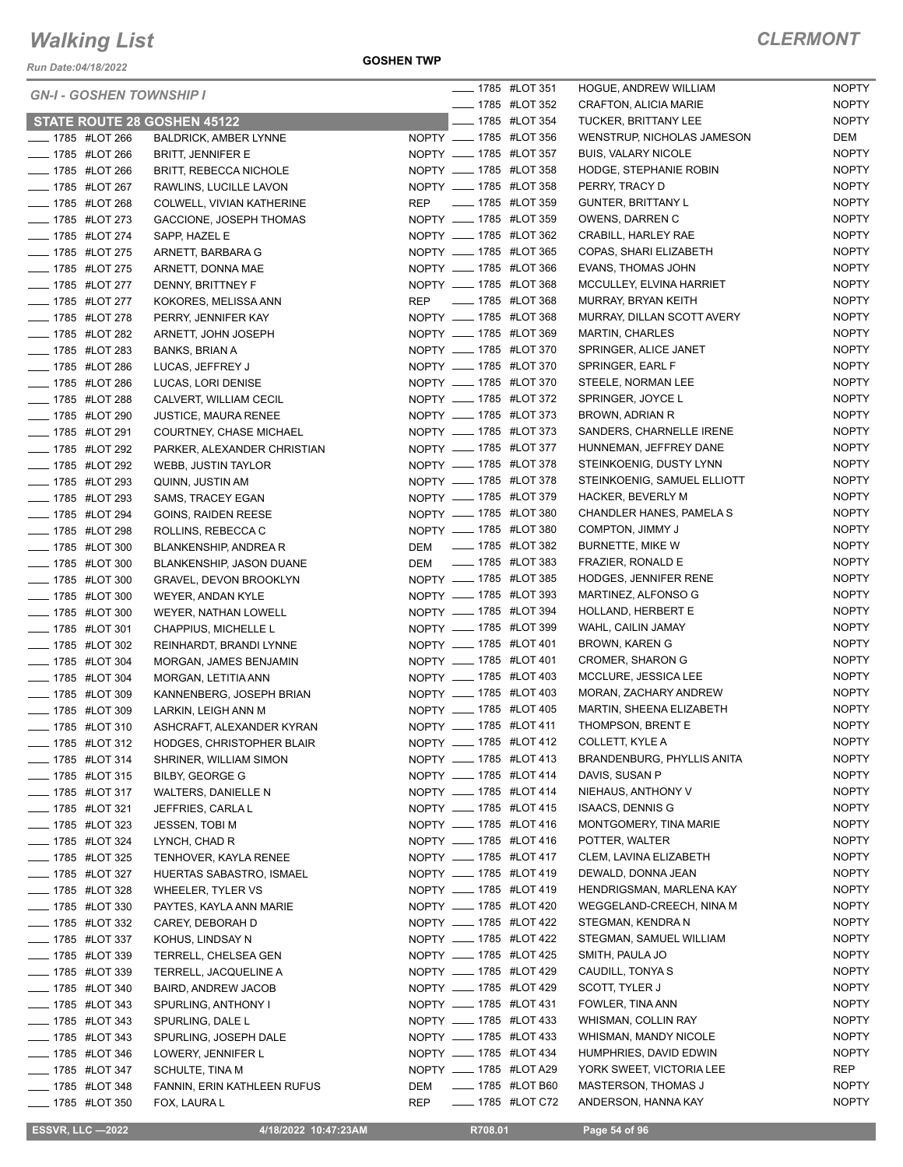*Run Date:04/18/2022*

**GOSHEN TWP**

| <b>GN-I - GOSHEN TOWNSHIP I</b>    |                               |            | <b>______ 1785 #LOT 351</b> |                    | <b>HOGUE, ANDREW WILLIAM</b> | <b>NOPTY</b> |
|------------------------------------|-------------------------------|------------|-----------------------------|--------------------|------------------------------|--------------|
|                                    |                               |            | <b>IMPLE 1785 #LOT 352</b>  |                    | CRAFTON, ALICIA MARIE        | <b>NOPTY</b> |
| <b>STATE ROUTE 28 GOSHEN 45122</b> |                               |            |                             | ____ 1785 #LOT 354 | TUCKER, BRITTANY LEE         | <b>NOPTY</b> |
| <b>INCOLLEGAT 44 266</b>           | <b>BALDRICK, AMBER LYNNE</b>  |            | NOPTY __ 1785 #LOT 356      |                    | WENSTRUP, NICHOLAS JAMESON   | DEM          |
| -4785 #LOT 266                     | <b>BRITT, JENNIFER E</b>      |            | NOPTY __ 1785 #LOT 357      |                    | <b>BUIS, VALARY NICOLE</b>   | <b>NOPTY</b> |
| <b>LEGGE 44 1785 #LOT 266</b>      | <b>BRITT, REBECCA NICHOLE</b> |            | NOPTY __ 1785 #LOT 358      |                    | HODGE, STEPHANIE ROBIN       | <b>NOPTY</b> |
| <b>_____ 1785 #LOT 267</b>         | RAWLINS, LUCILLE LAVON        |            | NOPTY __ 1785 #LOT 358      |                    | PERRY, TRACY D               | <b>NOPTY</b> |
| <b>LEGGE 44 1785 #LOT 268</b>      | COLWELL, VIVIAN KATHERINE     |            | REP __ 1785 #LOT 359        |                    | <b>GUNTER, BRITTANY L</b>    | <b>NOPTY</b> |
| <b>IMPLE 1785 #LOT 273</b>         | GACCIONE, JOSEPH THOMAS       |            | NOPTY __ 1785 #LOT 359      |                    | OWENS, DARREN C              | <b>NOPTY</b> |
| - 1785 #LOT 274                    | SAPP, HAZEL E                 |            | NOPTY __ 1785 #LOT 362      |                    | CRABILL, HARLEY RAE          | <b>NOPTY</b> |
| <b>____ 1785 #LOT 275</b>          | ARNETT, BARBARA G             |            | NOPTY __ 1785 #LOT 365      |                    | COPAS, SHARI ELIZABETH       | <b>NOPTY</b> |
| <b>_____ 1785 #LOT 275</b>         | ARNETT, DONNA MAE             |            | NOPTY __ 1785 #LOT 366      |                    | EVANS, THOMAS JOHN           | <b>NOPTY</b> |
| - 1785 #LOT 277                    | DENNY, BRITTNEY F             |            | NOPTY _____ 1785 #LOT 368   |                    | MCCULLEY, ELVINA HARRIET     | <b>NOPTY</b> |
| <b>_____ 1785 #LOT 277</b>         | KOKORES, MELISSA ANN          |            | REP __ 1785 #LOT 368        |                    | MURRAY, BRYAN KEITH          | <b>NOPTY</b> |
| <b>_____ 1785 #LOT 278</b>         | PERRY, JENNIFER KAY           |            | NOPTY __ 1785 #LOT 368      |                    | MURRAY, DILLAN SCOTT AVERY   | <b>NOPTY</b> |
| <b>LEGGE 44 1785 #LOT 282</b>      | ARNETT, JOHN JOSEPH           |            | NOPTY __ 1785 #LOT 369      |                    | <b>MARTIN, CHARLES</b>       | <b>NOPTY</b> |
| -4785 #LOT 283                     | <b>BANKS, BRIAN A</b>         |            | NOPTY __ 1785 #LOT 370      |                    | SPRINGER, ALICE JANET        | <b>NOPTY</b> |
| LOT 286                            | LUCAS, JEFFREY J              |            | NOPTY __ 1785 #LOT 370      |                    | SPRINGER, EARL F             | <b>NOPTY</b> |
| <b>IMPLE 1785 #LOT 286</b>         | LUCAS, LORI DENISE            |            | NOPTY __ 1785 #LOT 370      |                    | STEELE, NORMAN LEE           | <b>NOPTY</b> |
| -4785 #LOT 288                     | CALVERT, WILLIAM CECIL        |            | NOPTY __ 1785 #LOT 372      |                    | SPRINGER, JOYCE L            | <b>NOPTY</b> |
| <b>_____ 1785 #LOT 290</b>         | <b>JUSTICE, MAURA RENEE</b>   |            | NOPTY __ 1785 #LOT 373      |                    | <b>BROWN, ADRIAN R</b>       | <b>NOPTY</b> |
| <b>______ 1785 #LOT 291</b>        | COURTNEY, CHASE MICHAEL       |            | NOPTY __ 1785 #LOT 373      |                    | SANDERS, CHARNELLE IRENE     | <b>NOPTY</b> |
| <b>LEGGE 44 1785 #LOT 292</b>      | PARKER, ALEXANDER CHRISTIAN   |            | NOPTY __ 1785 #LOT 377      |                    | HUNNEMAN, JEFFREY DANE       | <b>NOPTY</b> |
| <b>LEGGE 1785 #LOT 292</b>         | WEBB, JUSTIN TAYLOR           |            | NOPTY __ 1785 #LOT 378      |                    | STEINKOENIG, DUSTY LYNN      | <b>NOPTY</b> |
| - 1785 #LOT 293                    | QUINN, JUSTIN AM              |            | NOPTY __ 1785 #LOT 378      |                    | STEINKOENIG, SAMUEL ELLIOTT  | <b>NOPTY</b> |
| <b>LEGGE 44 1785 #LOT 293</b>      | SAMS, TRACEY EGAN             |            | NOPTY __ 1785 #LOT 379      |                    | <b>HACKER, BEVERLY M</b>     | <b>NOPTY</b> |
| <b>_____ 1785 #LOT 294</b>         | <b>GOINS, RAIDEN REESE</b>    |            | NOPTY __ 1785 #LOT 380      |                    | CHANDLER HANES, PAMELA S     | <b>NOPTY</b> |
| <b>LEGGE 44 1785 #LOT 298</b>      | ROLLINS, REBECCA C            |            | NOPTY __ 1785 #LOT 380      |                    | COMPTON, JIMMY J             | <b>NOPTY</b> |
| <b>_____ 1785 #LOT 300</b>         | BLANKENSHIP, ANDREA R         |            | DEM __ 1785 #LOT 382        |                    | BURNETTE, MIKE W             | <b>NOPTY</b> |
| - 1785 #LOT 300                    | BLANKENSHIP, JASON DUANE      |            | DEM __ 1785 #LOT 383        |                    | FRAZIER, RONALD E            | <b>NOPTY</b> |
| <b>LEGGE 44 1785 #LOT 300</b>      | <b>GRAVEL, DEVON BROOKLYN</b> |            | NOPTY __ 1785 #LOT 385      |                    | <b>HODGES, JENNIFER RENE</b> | <b>NOPTY</b> |
| - 1785 #LOT 300                    | WEYER, ANDAN KYLE             |            | NOPTY __ 1785 #LOT 393      |                    | MARTINEZ, ALFONSO G          | <b>NOPTY</b> |
| LOT 300                            | WEYER, NATHAN LOWELL          |            | NOPTY _____ 1785 #LOT 394   |                    | HOLLAND, HERBERT E           | <b>NOPTY</b> |
| <b>LEGGE 44 1785 #LOT 301</b>      | CHAPPIUS, MICHELLE L          |            | NOPTY __ 1785 #LOT 399      |                    | WAHL, CAILIN JAMAY           | <b>NOPTY</b> |
| <b>______ 1785 #LOT 302</b>        | REINHARDT, BRANDI LYNNE       |            | NOPTY __ 1785 #LOT 401      |                    | BROWN, KAREN G               | <b>NOPTY</b> |
| <b>LEGGE 44 1785 #LOT 304</b>      | MORGAN, JAMES BENJAMIN        |            | NOPTY __ 1785 #LOT 401      |                    | <b>CROMER, SHARON G</b>      | <b>NOPTY</b> |
| - 1785 #LOT 304                    | MORGAN, LETITIA ANN           |            | NOPTY __ 1785 #LOT 403      |                    | MCCLURE, JESSICA LEE         | <b>NOPTY</b> |
| LOT 309                            | KANNENBERG, JOSEPH BRIAN      |            | NOPTY __ 1785 #LOT 403      |                    | MORAN, ZACHARY ANDREW        | <b>NOPTY</b> |
| <b>LEGGE 44 1785 #LOT 309</b>      | LARKIN, LEIGH ANN M           |            | NOPTY __ 1785 #LOT 405      |                    | MARTIN, SHEENA ELIZABETH     | <b>NOPTY</b> |
| <b>____</b> 1785 #LOT 310          | ASHCRAFT, ALEXANDER KYRAN     |            | NOPTY __ 1785 #LOT 411      |                    | THOMPSON, BRENT E            | <b>NOPTY</b> |
| _ 1785 #LOT 312                    | HODGES, CHRISTOPHER BLAIR     |            | NOPTY __ 1785 #LOT 412      |                    | COLLETT, KYLE A              | <b>NOPTY</b> |
| <b>IVELAGO #LOT 314</b>            | SHRINER, WILLIAM SIMON        |            | NOPTY __ 1785 #LOT 413      |                    | BRANDENBURG, PHYLLIS ANITA   | <b>NOPTY</b> |
| LOT 315                            | BILBY, GEORGE G               |            | NOPTY __ 1785 #LOT 414      |                    | DAVIS, SUSAN P               | <b>NOPTY</b> |
| <b>IMPLE 1785 #LOT 317</b>         | WALTERS, DANIELLE N           |            | NOPTY __ 1785 #LOT 414      |                    | NIEHAUS, ANTHONY V           | <b>NOPTY</b> |
| - 1785 #LOT 321                    | JEFFRIES, CARLA L             |            | NOPTY __ 1785 #LOT 415      |                    | <b>ISAACS, DENNIS G</b>      | <b>NOPTY</b> |
| <b>IMPLE 1785 #LOT 323</b>         | JESSEN, TOBI M                |            | NOPTY __ 1785 #LOT 416      |                    | MONTGOMERY, TINA MARIE       | <b>NOPTY</b> |
| <b>_____</b> 1785 #LOT 324         | LYNCH, CHAD R                 |            | NOPTY __ 1785 #LOT 416      |                    | POTTER, WALTER               | <b>NOPTY</b> |
| <b>IMPLE 1785 #LOT 325</b>         | TENHOVER, KAYLA RENEE         |            | NOPTY __ 1785 #LOT 417      |                    | CLEM, LAVINA ELIZABETH       | <b>NOPTY</b> |
| <b>_____ 1785 #LOT 327</b>         | HUERTAS SABASTRO, ISMAEL      |            | NOPTY __ 1785 #LOT 419      |                    | DEWALD, DONNA JEAN           | <b>NOPTY</b> |
| <b>_____</b> 1785 #LOT 328         | <b>WHEELER, TYLER VS</b>      |            | NOPTY __ 1785 #LOT 419      |                    | HENDRIGSMAN, MARLENA KAY     | <b>NOPTY</b> |
| <b>LEGGE 44 1785 #LOT 330</b>      | PAYTES, KAYLA ANN MARIE       |            | NOPTY __ 1785 #LOT 420      |                    | WEGGELAND-CREECH, NINA M     | <b>NOPTY</b> |
| - 1785 #LOT 332                    | CAREY, DEBORAH D              |            | NOPTY __ 1785 #LOT 422      |                    | STEGMAN, KENDRA N            | <b>NOPTY</b> |
| <b>LEGGE 44LOT 337</b>             | KOHUS, LINDSAY N              |            | NOPTY __ 1785 #LOT 422      |                    | STEGMAN, SAMUEL WILLIAM      | <b>NOPTY</b> |
| <b>_____</b> 1785 #LOT 339         | TERRELL, CHELSEA GEN          |            | NOPTY __ 1785 #LOT 425      |                    | SMITH, PAULA JO              | <b>NOPTY</b> |
| <b>_____</b> 1785 #LOT 339         | TERRELL, JACQUELINE A         |            | NOPTY __ 1785 #LOT 429      |                    | CAUDILL, TONYA S             | <b>NOPTY</b> |
| <b>LEGGE 44 1785 #LOT 340</b>      | <b>BAIRD, ANDREW JACOB</b>    |            | NOPTY __ 1785 #LOT 429      |                    | SCOTT, TYLER J               | <b>NOPTY</b> |
| <b>_____ 1785 #LOT 343</b>         | SPURLING, ANTHONY I           |            | NOPTY __ 1785 #LOT 431      |                    | FOWLER, TINA ANN             | <b>NOPTY</b> |
| <b>LEGGE 44 1785 #LOT 343</b>      | SPURLING, DALE L              |            | NOPTY __ 1785 #LOT 433      |                    | WHISMAN, COLLIN RAY          | <b>NOPTY</b> |
| <b>IVELAGO #LOT 343</b>            | SPURLING, JOSEPH DALE         |            | NOPTY __ 1785 #LOT 433      |                    | WHISMAN, MANDY NICOLE        | <b>NOPTY</b> |
| <b>_____</b> 1785 #LOT 346         | LOWERY, JENNIFER L            |            | NOPTY __ 1785 #LOT 434      |                    | HUMPHRIES, DAVID EDWIN       | <b>NOPTY</b> |
| ____ 1785 #LOT 347                 | SCHULTE, TINA M               |            | NOPTY __ 1785 #LOT A29      |                    | YORK SWEET, VICTORIA LEE     | REP          |
| <b>_____</b> 1785 #LOT 348         | FANNIN, ERIN KATHLEEN RUFUS   | DEM        | <b>IMPLE 1785 #LOT B60</b>  |                    | <b>MASTERSON, THOMAS J</b>   | <b>NOPTY</b> |
| <b>IMPLE 1785 #LOT 350</b>         | FOX, LAURA L                  | <b>REP</b> |                             | ____ 1785 #LOT C72 | ANDERSON, HANNA KAY          | <b>NOPTY</b> |
|                                    |                               |            |                             |                    |                              |              |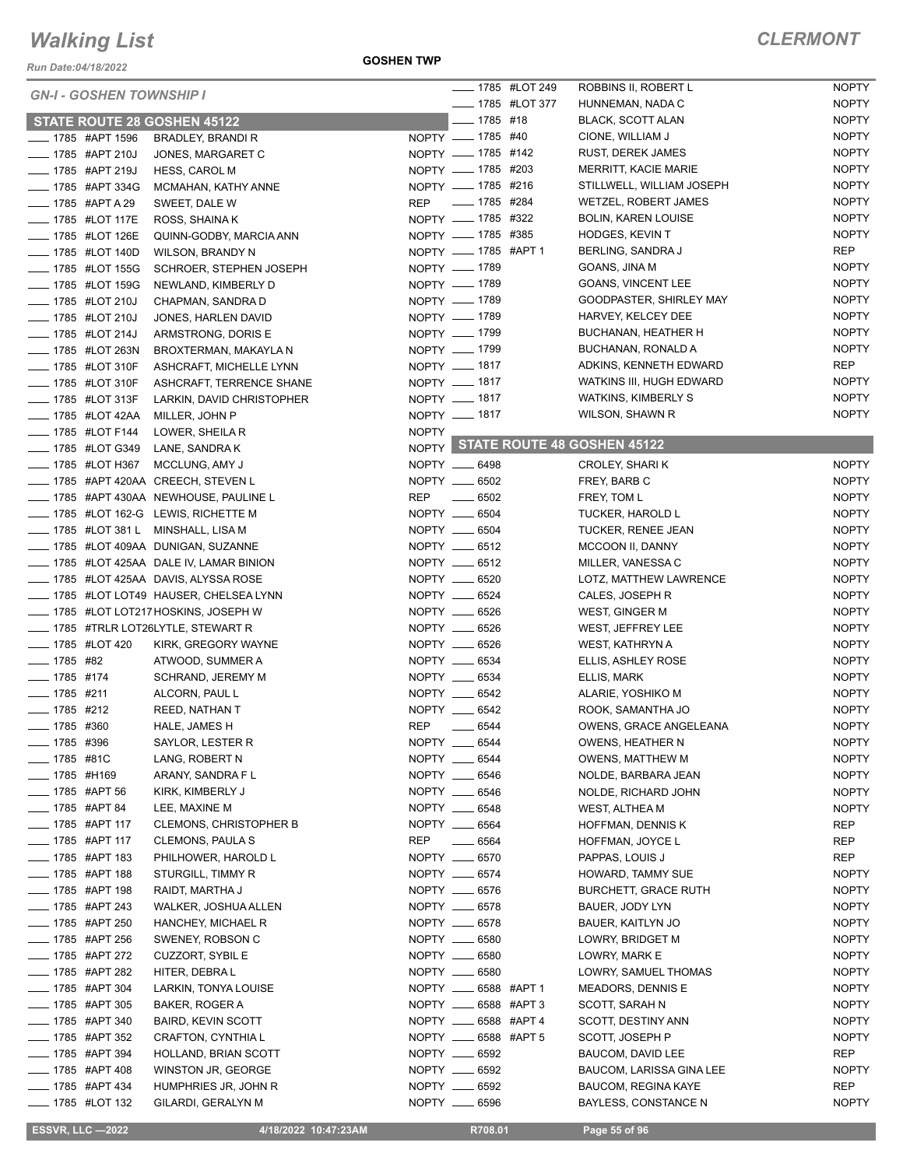*Run Date:04/18/2022*

|                                |                                 |                                           |              |                         | <b>_____ 1785 #LOT 249</b> | ROBBINS II, ROBERT L              | <b>NOPTY</b>                 |
|--------------------------------|---------------------------------|-------------------------------------------|--------------|-------------------------|----------------------------|-----------------------------------|------------------------------|
|                                | <b>GN-I - GOSHEN TOWNSHIP I</b> |                                           |              |                         | ____ 1785 #LOT 377         | HUNNEMAN, NADA C                  | <b>NOPTY</b>                 |
|                                |                                 |                                           |              | $- 1785$ #18            |                            |                                   |                              |
|                                |                                 | <b>STATE ROUTE 28 GOSHEN 45122</b>        |              | NOPTY __ 1785 #40       |                            | <b>BLACK, SCOTT ALAN</b>          | <b>NOPTY</b><br><b>NOPTY</b> |
|                                | _ 1785 #APT 1596                | BRADLEY, BRANDI R                         |              | NOPTY __ 1785 #142      |                            | CIONE, WILLIAM J                  |                              |
|                                | __ 1785 #APT 210J               | JONES, MARGARET C                         |              |                         |                            | <b>RUST, DEREK JAMES</b>          | <b>NOPTY</b>                 |
|                                | __ 1785 #APT 219J               | <b>HESS, CAROL M</b>                      |              | NOPTY __ 1785 #203      |                            | MERRITT, KACIE MARIE              | <b>NOPTY</b>                 |
|                                | ____ 1785 #APT 334G             | MCMAHAN, KATHY ANNE                       |              | NOPTY __ 1785 #216      |                            | STILLWELL, WILLIAM JOSEPH         | <b>NOPTY</b>                 |
|                                | ____ 1785 #APT A 29             | SWEET, DALE W                             | <b>REP</b>   | _____ 1785 #284         |                            | WETZEL, ROBERT JAMES              | <b>NOPTY</b>                 |
|                                | __ 1785 #LOT 117E               | ROSS, SHAINA K                            |              | NOPTY __ 1785 #322      |                            | <b>BOLIN, KAREN LOUISE</b>        | <b>NOPTY</b>                 |
|                                | __ 1785 #LOT 126E               | QUINN-GODBY, MARCIA ANN                   |              | NOPTY __ 1785 #385      |                            | <b>HODGES, KEVIN T</b>            | <b>NOPTY</b>                 |
|                                | __ 1785 #LOT 140D               | WILSON, BRANDY N                          |              | NOPTY __ 1785 #APT 1    |                            | BERLING, SANDRA J                 | REP                          |
|                                | <b>_____ 1785 #LOT 155G</b>     | SCHROER, STEPHEN JOSEPH                   |              | NOPTY __ 1789           |                            | GOANS, JINA M                     | <b>NOPTY</b>                 |
|                                | <b>LEGGE 44 1785 #LOT 159G</b>  | NEWLAND, KIMBERLY D                       |              | NOPTY - 1789            |                            | <b>GOANS, VINCENT LEE</b>         | <b>NOPTY</b>                 |
|                                | <b>LEGGE 44 1785 #LOT 210J</b>  | CHAPMAN, SANDRA D                         |              | NOPTY __ 1789           |                            | GOODPASTER, SHIRLEY MAY           | <b>NOPTY</b>                 |
|                                | <b>_____ 1785 #LOT 210J</b>     | JONES, HARLEN DAVID                       |              | NOPTY __ 1789           |                            | HARVEY, KELCEY DEE                | <b>NOPTY</b>                 |
|                                | _ 1785 #LOT 214J                | ARMSTRONG, DORIS E                        |              | NOPTY __ 1799           |                            | BUCHANAN, HEATHER H               | <b>NOPTY</b>                 |
|                                | _ 1785 #LOT 263N                |                                           |              | NOPTY __ 1799           |                            | BUCHANAN, RONALD A                | <b>NOPTY</b>                 |
|                                |                                 | BROXTERMAN, MAKAYLA N                     |              | NOPTY - 1817            |                            | ADKINS, KENNETH EDWARD            | <b>REP</b>                   |
|                                | - 1785 #LOT 310F                | ASHCRAFT, MICHELLE LYNN                   |              |                         |                            |                                   | <b>NOPTY</b>                 |
|                                | __ 1785 #LOT 310F               | ASHCRAFT, TERRENCE SHANE                  |              | NOPTY __ 1817           |                            | WATKINS III, HUGH EDWARD          |                              |
|                                | <b>_____ 1785 #LOT 313F</b>     | LARKIN, DAVID CHRISTOPHER                 |              | NOPTY - 1817            |                            | <b>WATKINS, KIMBERLY S</b>        | <b>NOPTY</b>                 |
|                                | _____ 1785 #LOT 42AA            | MILLER, JOHN P                            |              | NOPTY __ 1817           |                            | WILSON, SHAWN R                   | <b>NOPTY</b>                 |
|                                | <b>LEGGE 44 1785 #LOT F144</b>  | LOWER, SHEILA R                           | <b>NOPTY</b> |                         |                            |                                   |                              |
|                                | ____ 1785 #LOT G349             | LANE, SANDRA K                            |              |                         |                            | NOPTY STATE ROUTE 48 GOSHEN 45122 |                              |
|                                | __ 1785 #LOT H367               | MCCLUNG, AMY J                            |              | NOPTY __ 6498           |                            | CROLEY, SHARI K                   | <b>NOPTY</b>                 |
|                                |                                 | ___ 1785 #APT 420AA CREECH, STEVEN L      |              | NOPTY __ 6502           |                            | FREY, BARB C                      | <b>NOPTY</b>                 |
|                                |                                 | ___ 1785 #APT 430AA NEWHOUSE, PAULINE L   | <b>REP</b>   | $\frac{1}{2}$ 6502      |                            | FREY, TOM L                       | <b>NOPTY</b>                 |
|                                |                                 | ____ 1785 #LOT 162-G LEWIS, RICHETTE M    |              | NOPTY __ 6504           |                            | TUCKER, HAROLD L                  | <b>NOPTY</b>                 |
|                                |                                 | 1785 #LOT 381 L MINSHALL, LISA M          |              | NOPTY __ 6504           |                            | TUCKER, RENEE JEAN                | <b>NOPTY</b>                 |
|                                |                                 | __ 1785 #LOT 409AA DUNIGAN, SUZANNE       |              | NOPTY __ 6512           |                            | MCCOON II, DANNY                  | <b>NOPTY</b>                 |
|                                |                                 |                                           |              |                         |                            |                                   |                              |
|                                |                                 | $-$ 1785 #LOT 425AA DALE IV, LAMAR BINION |              | NOPTY __ 6512           |                            | MILLER, VANESSA C                 | <b>NOPTY</b>                 |
|                                |                                 | __ 1785 #LOT 425AA DAVIS, ALYSSA ROSE     |              | NOPTY __ 6520           |                            | LOTZ, MATTHEW LAWRENCE            | <b>NOPTY</b>                 |
|                                |                                 | ____ 1785 #LOT LOT49 HAUSER, CHELSEA LYNN |              | NOPTY __ 6524           |                            | CALES, JOSEPH R                   | <b>NOPTY</b>                 |
|                                |                                 | ___ 1785 #LOT LOT217 HOSKINS, JOSEPH W    |              | NOPTY __ 6526           |                            | WEST, GINGER M                    | <b>NOPTY</b>                 |
|                                |                                 | 1785 #TRLR LOT26LYTLE, STEWART R          |              | NOPTY __ 6526           |                            | WEST, JEFFREY LEE                 | <b>NOPTY</b>                 |
| <b>______ 1785 #LOT 420</b>    |                                 | KIRK, GREGORY WAYNE                       |              | NOPTY __ 6526           |                            | WEST, KATHRYN A                   | <b>NOPTY</b>                 |
| $- 1785$ #82                   |                                 | ATWOOD, SUMMER A                          |              | NOPTY __ 6534           |                            | ELLIS, ASHLEY ROSE                | <b>NOPTY</b>                 |
| $- 1785$ #174                  |                                 | <b>SCHRAND, JEREMY M</b>                  |              | NOPTY __ 6534           |                            | ELLIS, MARK                       | <b>NOPTY</b>                 |
| $- 1785$ #211                  |                                 | ALCORN, PAUL L                            |              | NOPTY __ 6542           |                            | ALARIE, YOSHIKO M                 | <b>NOPTY</b>                 |
| $- 1785$ #212                  |                                 | REED, NATHAN T                            |              | NOPTY __ 6542           |                            | ROOK, SAMANTHA JO                 | <b>NOPTY</b>                 |
| $\frac{1}{2}$ 1785 #360        |                                 | HALE, JAMES H                             | <b>REP</b>   | $- 6544$                |                            | <b>OWENS, GRACE ANGELEANA</b>     | <b>NOPTY</b>                 |
| $- 1785$ #396                  |                                 | SAYLOR, LESTER R                          |              | NOPTY __ 6544           |                            | OWENS, HEATHER N                  | <b>NOPTY</b>                 |
| ____ 1785 #81C                 |                                 | LANG, ROBERT N                            |              | NOPTY __ 6544           |                            | <b>OWENS, MATTHEW M</b>           | <b>NOPTY</b>                 |
| ____ 1785 #H169                |                                 | ARANY, SANDRA F L                         |              | NOPTY __ 6546           |                            | NOLDE, BARBARA JEAN               | <b>NOPTY</b>                 |
|                                | _ 1785 #APT 56                  |                                           |              |                         |                            |                                   |                              |
|                                |                                 | KIRK, KIMBERLY J                          |              | NOPTY __ 6546           |                            | NOLDE, RICHARD JOHN               | <b>NOPTY</b>                 |
| ____ 1785 #APT 84              |                                 | LEE, MAXINE M                             |              | NOPTY __ 6548           |                            | WEST, ALTHEA M                    | <b>NOPTY</b>                 |
| ____ 1785 #APT 117             |                                 | <b>CLEMONS, CHRISTOPHER B</b>             |              | NOPTY __ 6564           |                            | HOFFMAN, DENNIS K                 | REP                          |
| ____ 1785 #APT 117             |                                 | <b>CLEMONS, PAULA S</b>                   | REP          | $\sim$ 6564             |                            | HOFFMAN, JOYCE L                  | REP                          |
|                                | ____ 1785 #APT 183              | PHILHOWER, HAROLD L                       |              | NOPTY __ 6570           |                            | PAPPAS, LOUIS J                   | <b>REP</b>                   |
|                                | <sub>—</sub> 1785 #APT 188      | STURGILL, TIMMY R                         |              | NOPTY __ 6574           |                            | HOWARD, TAMMY SUE                 | <b>NOPTY</b>                 |
|                                | _ 1785 #APT 198                 | RAIDT, MARTHA J                           |              | NOPTY __ 6576           |                            | <b>BURCHETT, GRACE RUTH</b>       | <b>NOPTY</b>                 |
|                                | _ 1785 #APT 243                 | WALKER, JOSHUA ALLEN                      |              | NOPTY __ 6578           |                            | BAUER, JODY LYN                   | <b>NOPTY</b>                 |
|                                | _ 1785 #APT 250                 | HANCHEY, MICHAEL R                        |              | NOPTY __ 6578           |                            | BAUER, KAITLYN JO                 | <b>NOPTY</b>                 |
|                                | __ 1785 #APT 256                | SWENEY, ROBSON C                          |              | NOPTY __ 6580           |                            | LOWRY, BRIDGET M                  | <b>NOPTY</b>                 |
|                                | __ 1785 #APT 272                | <b>CUZZORT, SYBIL E</b>                   |              | NOPTY __ 6580           |                            | LOWRY, MARK E                     | <b>NOPTY</b>                 |
|                                | ____ 1785 #APT 282              | HITER, DEBRAL                             |              | NOPTY __ 6580           |                            | LOWRY, SAMUEL THOMAS              | <b>NOPTY</b>                 |
|                                | __ 1785 #APT 304                | LARKIN, TONYA LOUISE                      |              | NOPTY __ 6588 #APT 1    |                            |                                   | <b>NOPTY</b>                 |
|                                |                                 |                                           |              |                         |                            | MEADORS, DENNIS E                 |                              |
|                                | __ 1785 #APT 305                | BAKER, ROGER A                            |              | NOPTY _____ 6588 #APT 3 |                            | SCOTT, SARAH N                    | <b>NOPTY</b>                 |
|                                | <sub>_</sub> __ 1785 #APT 340   | <b>BAIRD, KEVIN SCOTT</b>                 |              | NOPTY _____ 6588 #APT 4 |                            | SCOTT, DESTINY ANN                | <b>NOPTY</b>                 |
|                                | <sub>___</sub> 1785 #APT 352    | CRAFTON, CYNTHIA L                        |              | NOPTY __ 6588 #APT 5    |                            | SCOTT, JOSEPH P                   | <b>NOPTY</b>                 |
|                                | ____ 1785 #APT 394              | HOLLAND, BRIAN SCOTT                      |              | NOPTY __ 6592           |                            | BAUCOM, DAVID LEE                 | REP                          |
| ____ 1785 #APT 408             |                                 | WINSTON JR, GEORGE                        |              | NOPTY __ 6592           |                            | BAUCOM, LARISSA GINA LEE          | <b>NOPTY</b>                 |
| <b>LEGGE 434</b> 1785 #APT 434 |                                 | HUMPHRIES JR, JOHN R                      |              | NOPTY __ 6592           |                            | BAUCOM, REGINA KAYE               | REP                          |
|                                | __ 1785 #LOT 132                | GILARDI, GERALYN M                        |              | NOPTY __ 6596           |                            | BAYLESS, CONSTANCE N              | <b>NOPTY</b>                 |

**ESSVR, LLC -2022 10:47:23AM R708.01 Page 55 of 96**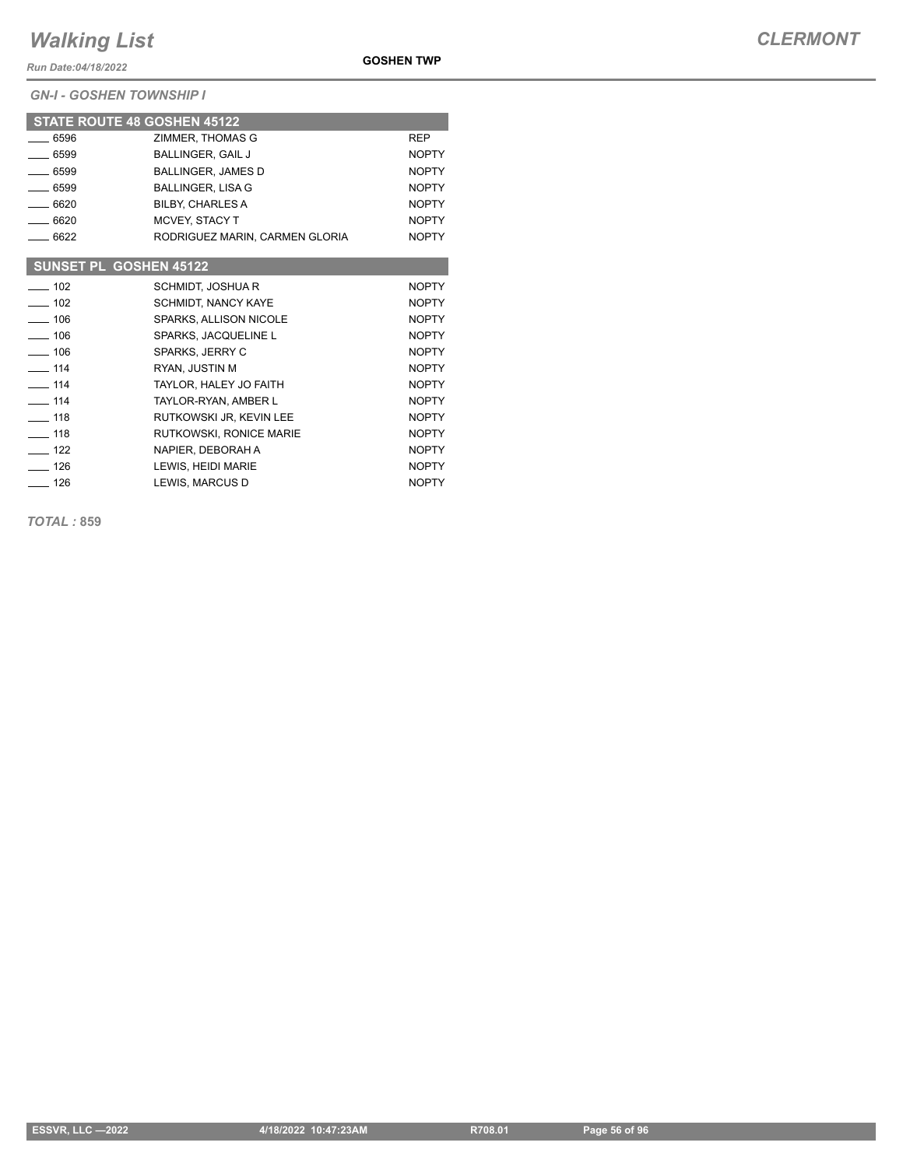*Run Date:04/18/2022*

*GN-I - GOSHEN TOWNSHIP I*

| <b>GOSHEN TWP</b> |  |
|-------------------|--|
|                   |  |

|                              | <b>STATE ROUTE 48 GOSHEN 45122</b> |              |
|------------------------------|------------------------------------|--------------|
| $-6596$                      | ZIMMER. THOMAS G                   | <b>REP</b>   |
| $-6599$                      | <b>BALLINGER, GAIL J</b>           | <b>NOPTY</b> |
| $-6599$                      | <b>BALLINGER, JAMES D</b>          | <b>NOPTY</b> |
| $-6599$                      | <b>BALLINGER, LISA G</b>           | <b>NOPTY</b> |
| $-6620$                      | <b>BILBY. CHARLES A</b>            | <b>NOPTY</b> |
| $-6620$                      | <b>MCVEY, STACY T</b>              | <b>NOPTY</b> |
| $-6622$                      | RODRIGUEZ MARIN, CARMEN GLORIA     | <b>NOPTY</b> |
|                              |                                    |              |
|                              | SUNSET PL GOSHEN 45122             |              |
| $-102$                       | <b>SCHMIDT, JOSHUAR</b>            | <b>NOPTY</b> |
| $-102$                       | <b>SCHMIDT, NANCY KAYE</b>         | <b>NOPTY</b> |
| $-106$                       | SPARKS, ALLISON NICOLE             | <b>NOPTY</b> |
| $-106$                       | SPARKS, JACQUELINE L               | <b>NOPTY</b> |
| $- 106$                      | SPARKS, JERRY C                    | <b>NOPTY</b> |
| $\equiv$ 114                 | RYAN, JUSTIN M                     | <b>NOPTY</b> |
| $- 114$                      | TAYLOR. HALEY JO FAITH             | <b>NOPTY</b> |
| $\overline{\phantom{0}}$ 114 | TAYLOR-RYAN, AMBER L               | <b>NOPTY</b> |
| $\overline{\phantom{0}}$ 118 | RUTKOWSKI JR. KEVIN LEE            | <b>NOPTY</b> |
| $-118$                       | RUTKOWSKI, RONICE MARIE            | <b>NOPTY</b> |
| $-122$                       | NAPIER, DEBORAH A                  | <b>NOPTY</b> |
| $- 126$                      | LEWIS. HEIDI MARIE                 | <b>NOPTY</b> |

126 LEWIS, MARCUS D NOPTY

*TOTAL :* **859**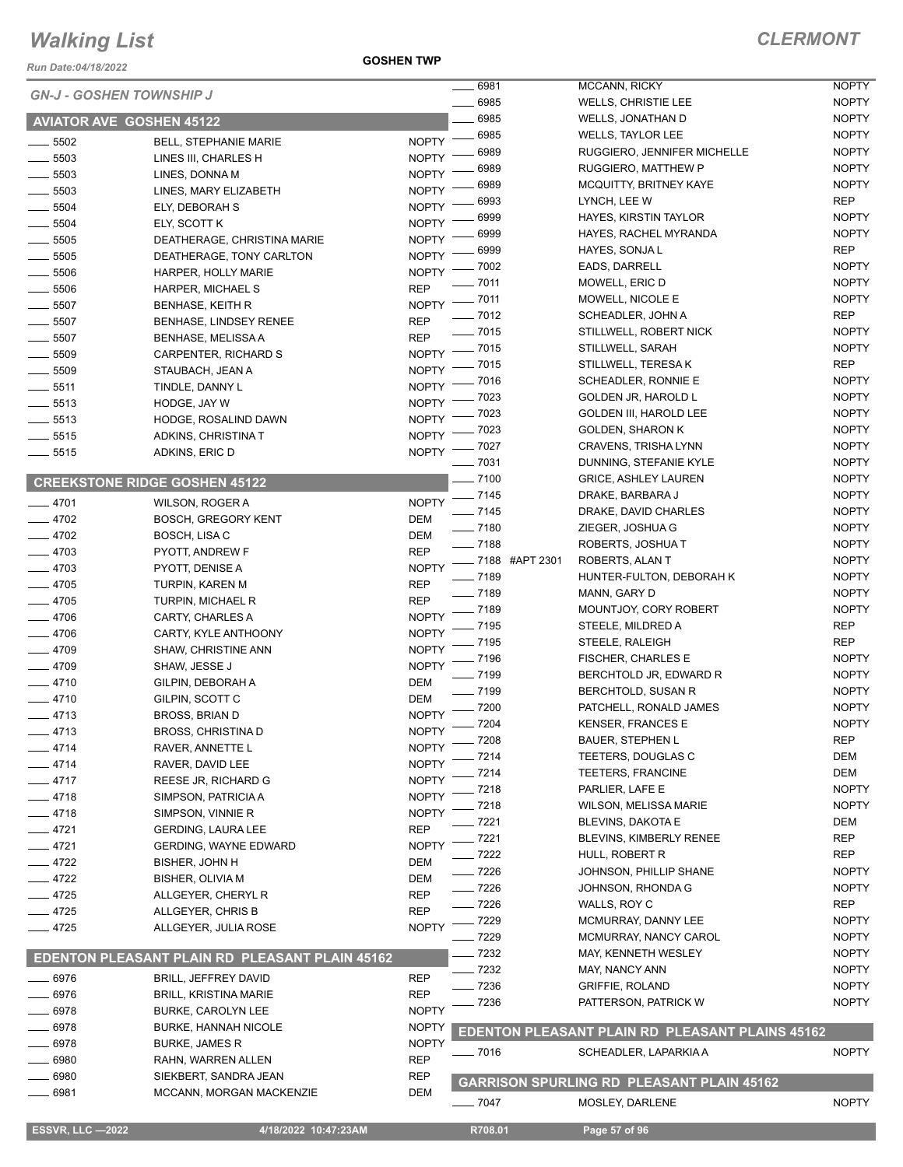*Run Date:04/18/2022*

**GOSHEN TWP**

|                                 |                                                |              | 6981     |                 | MCCANN, RICKY                                          | <b>NOPTY</b> |
|---------------------------------|------------------------------------------------|--------------|----------|-----------------|--------------------------------------------------------|--------------|
| <b>GN-J - GOSHEN TOWNSHIP J</b> |                                                |              | 6985     |                 | <b>WELLS, CHRISTIE LEE</b>                             | <b>NOPTY</b> |
| <b>AVIATOR AVE GOSHEN 45122</b> |                                                |              | 6985     |                 | WELLS, JONATHAN D                                      | <b>NOPTY</b> |
| 5502                            | <b>BELL, STEPHANIE MARIE</b>                   | <b>NOPTY</b> | 6985     |                 | <b>WELLS, TAYLOR LEE</b>                               | <b>NOPTY</b> |
| 5503                            | LINES III, CHARLES H                           | <b>NOPTY</b> | 6989     |                 | RUGGIERO, JENNIFER MICHELLE                            | <b>NOPTY</b> |
| $\frac{1}{2}$ 5503              | LINES, DONNA M                                 | <b>NOPTY</b> | 6989     |                 | RUGGIERO, MATTHEW P                                    | <b>NOPTY</b> |
| 5503                            | LINES, MARY ELIZABETH                          | <b>NOPTY</b> | 6989     |                 | MCQUITTY, BRITNEY KAYE                                 | <b>NOPTY</b> |
| $\frac{1}{2}$ 5504              | ELY, DEBORAH S                                 | <b>NOPTY</b> | 6993     |                 | LYNCH, LEE W                                           | <b>REP</b>   |
| $\frac{1}{2}$ 5504              | ELY, SCOTT K                                   | <b>NOPTY</b> | 6999     |                 | HAYES, KIRSTIN TAYLOR                                  | <b>NOPTY</b> |
| $\frac{1}{2}$ 5505              | DEATHERAGE, CHRISTINA MARIE                    | <b>NOPTY</b> | 6999     |                 | HAYES, RACHEL MYRANDA                                  | <b>NOPTY</b> |
| $\frac{1}{2}$ 5505              | DEATHERAGE, TONY CARLTON                       | <b>NOPTY</b> | 6999     |                 | HAYES, SONJA L                                         | <b>REP</b>   |
| $\frac{1}{2}$ 5506              | HARPER, HOLLY MARIE                            | <b>NOPTY</b> | 7002     |                 | EADS, DARRELL                                          | <b>NOPTY</b> |
| $\frac{1}{2}$ 5506              | HARPER, MICHAEL S                              | <b>REP</b>   | - 7011   |                 | MOWELL, ERIC D                                         | <b>NOPTY</b> |
| $\frac{1}{2}$ 5507              | <b>BENHASE, KEITH R</b>                        | <b>NOPTY</b> | $-7011$  |                 | MOWELL, NICOLE E                                       | <b>NOPTY</b> |
| $\frac{1}{2}$ 5507              | <b>BENHASE, LINDSEY RENEE</b>                  | REP          | $- 7012$ |                 | SCHEADLER, JOHN A                                      | <b>REP</b>   |
| $\frac{1}{2}$ 5507              | <b>BENHASE, MELISSA A</b>                      | <b>REP</b>   | $- 7015$ |                 | STILLWELL, ROBERT NICK                                 | <b>NOPTY</b> |
| $\frac{1}{2}$ 5509              | CARPENTER, RICHARD S                           | <b>NOPTY</b> | $-7015$  |                 | STILLWELL, SARAH                                       | <b>NOPTY</b> |
| $\frac{1}{2}$ 5509              | STAUBACH, JEAN A                               | <b>NOPTY</b> | 7015     |                 | STILLWELL, TERESA K                                    | <b>REP</b>   |
| $\frac{1}{2}$ 5511              |                                                | <b>NOPTY</b> | 7016     |                 | SCHEADLER, RONNIE E                                    | <b>NOPTY</b> |
| $\frac{1}{2}$ 5513              | TINDLE, DANNY L<br>HODGE, JAY W                | <b>NOPTY</b> | 7023     |                 | GOLDEN JR, HAROLD L                                    | <b>NOPTY</b> |
| $\frac{1}{2}$ 5513              |                                                | <b>NOPTY</b> | 7023     |                 | <b>GOLDEN III, HAROLD LEE</b>                          | <b>NOPTY</b> |
| $-5515$                         | HODGE, ROSALIND DAWN                           | <b>NOPTY</b> | 7023     |                 | <b>GOLDEN, SHARON K</b>                                | <b>NOPTY</b> |
|                                 | ADKINS, CHRISTINA T                            | <b>NOPTY</b> | 7027     |                 | CRAVENS, TRISHA LYNN                                   | <b>NOPTY</b> |
| $\frac{1}{2}$ 5515              | ADKINS, ERIC D                                 |              | 7031     |                 | DUNNING, STEFANIE KYLE                                 | <b>NOPTY</b> |
|                                 | <b>CREEKSTONE RIDGE GOSHEN 45122</b>           |              | $-7100$  |                 | <b>GRICE, ASHLEY LAUREN</b>                            | <b>NOPTY</b> |
|                                 |                                                |              | $-7145$  |                 | DRAKE, BARBARA J                                       | <b>NOPTY</b> |
| $-4701$                         | WILSON, ROGER A                                | <b>NOPTY</b> | $-7145$  |                 | DRAKE, DAVID CHARLES                                   | <b>NOPTY</b> |
| $-4702$                         | <b>BOSCH, GREGORY KENT</b>                     | DEM          | $- 7180$ |                 | ZIEGER, JOSHUA G                                       | <b>NOPTY</b> |
| $-4702$                         | BOSCH, LISA C                                  | DEM          | $- 7188$ |                 | ROBERTS, JOSHUAT                                       | <b>NOPTY</b> |
| $-4703$                         | PYOTT, ANDREW F                                | <b>REP</b>   |          | _7188 #APT 2301 | ROBERTS, ALAN T                                        | <b>NOPTY</b> |
| $-4703$                         | PYOTT, DENISE A                                | <b>NOPTY</b> | $-7189$  |                 | HUNTER-FULTON, DEBORAH K                               | <b>NOPTY</b> |
| $-4705$                         | TURPIN, KAREN M                                | <b>REP</b>   | $-7189$  |                 | MANN, GARY D                                           | <b>NOPTY</b> |
| $-4705$                         | <b>TURPIN, MICHAEL R</b>                       | <b>REP</b>   | $-7189$  |                 | MOUNTJOY, CORY ROBERT                                  | <b>NOPTY</b> |
| $-4706$                         | CARTY, CHARLES A                               | <b>NOPTY</b> | 7195     |                 | STEELE, MILDRED A                                      | <b>REP</b>   |
| $-4706$                         | CARTY, KYLE ANTHOONY                           | <b>NOPTY</b> | 7195     |                 | STEELE, RALEIGH                                        | <b>REP</b>   |
| $-4709$                         | SHAW, CHRISTINE ANN                            | <b>NOPTY</b> | 7196     |                 | <b>FISCHER, CHARLES E</b>                              | <b>NOPTY</b> |
| $-4709$                         | SHAW, JESSE J                                  | <b>NOPTY</b> | 7199     |                 | BERCHTOLD JR, EDWARD R                                 | <b>NOPTY</b> |
| $-4710$                         | GILPIN, DEBORAH A                              | DEM          | _ 7199   |                 | BERCHTOLD, SUSAN R                                     | <b>NOPTY</b> |
| $-4710$                         | GILPIN, SCOTT C                                | <b>DEM</b>   | $-7200$  |                 | PATCHELL, RONALD JAMES                                 | <b>NOPTY</b> |
| $-4713$                         | BROSS, BRIAN D                                 | <b>NOPTY</b> | $-7204$  |                 | <b>KENSER, FRANCES E</b>                               | <b>NOPTY</b> |
| 4713                            | <b>BROSS, CHRISTINA D</b>                      | <b>NOPTY</b> | . 7208   |                 | <b>BAUER, STEPHEN L</b>                                | <b>REP</b>   |
| _ 4714                          | RAVER, ANNETTE L                               | <b>NOPTY</b> | 7214     |                 | TEETERS, DOUGLAS C                                     | DEM          |
| 4714                            | RAVER, DAVID LEE                               | <b>NOPTY</b> | 7214     |                 | TEETERS, FRANCINE                                      | <b>DEM</b>   |
| 4717                            | REESE JR, RICHARD G                            | <b>NOPTY</b> | 7218     |                 | PARLIER, LAFE E                                        | <b>NOPTY</b> |
| $-4718$                         | SIMPSON, PATRICIA A                            | <b>NOPTY</b> | 7218     |                 | <b>WILSON, MELISSA MARIE</b>                           | <b>NOPTY</b> |
| 4718                            | SIMPSON, VINNIE R                              | <b>NOPTY</b> | . 7221   |                 | BLEVINS, DAKOTA E                                      | DEM          |
| $-4721$                         | <b>GERDING, LAURA LEE</b>                      | <b>REP</b>   | $-7221$  |                 | BLEVINS, KIMBERLY RENEE                                | <b>REP</b>   |
| $-4721$                         | <b>GERDING, WAYNE EDWARD</b>                   | <b>NOPTY</b> | $-7222$  |                 | HULL, ROBERT R                                         | REP          |
| 4722                            | BISHER, JOHN H                                 | DEM          | _ 7226   |                 | JOHNSON, PHILLIP SHANE                                 | <b>NOPTY</b> |
| - 4722                          | <b>BISHER, OLIVIA M</b>                        | DEM          | $-7226$  |                 | JOHNSON, RHONDA G                                      | <b>NOPTY</b> |
| $-4725$                         | ALLGEYER, CHERYL R                             | <b>REP</b>   | 7226     |                 | WALLS, ROY C                                           | <b>REP</b>   |
| $-4725$                         | ALLGEYER, CHRIS B                              | <b>REP</b>   | - 7229   |                 | MCMURRAY, DANNY LEE                                    | <b>NOPTY</b> |
| $-4725$                         | ALLGEYER, JULIA ROSE                           | <b>NOPTY</b> | $-7229$  |                 | MCMURRAY, NANCY CAROL                                  | <b>NOPTY</b> |
|                                 |                                                |              | $-7232$  |                 | MAY, KENNETH WESLEY                                    | <b>NOPTY</b> |
|                                 | EDENTON PLEASANT PLAIN RD PLEASANT PLAIN 45162 |              | 7232     |                 | MAY, NANCY ANN                                         | <b>NOPTY</b> |
| 6976                            | <b>BRILL, JEFFREY DAVID</b>                    | REP          | 7236     |                 | <b>GRIFFIE, ROLAND</b>                                 | <b>NOPTY</b> |
| 6976                            | <b>BRILL, KRISTINA MARIE</b>                   | <b>REP</b>   | 7236     |                 | PATTERSON, PATRICK W                                   | <b>NOPTY</b> |
| 6978                            | <b>BURKE, CAROLYN LEE</b>                      | <b>NOPTY</b> |          |                 |                                                        |              |
| 6978                            | <b>BURKE, HANNAH NICOLE</b>                    | <b>NOPTY</b> |          |                 | <b>EDENTON PLEASANT PLAIN RD PLEASANT PLAINS 45162</b> |              |
| 6978                            | <b>BURKE, JAMES R</b>                          | <b>NOPTY</b> | $-7016$  |                 | SCHEADLER, LAPARKIA A                                  | <b>NOPTY</b> |
| 6980                            | RAHN, WARREN ALLEN                             | <b>REP</b>   |          |                 |                                                        |              |
| 6980                            | SIEKBERT, SANDRA JEAN                          | <b>REP</b>   |          |                 | <b>GARRISON SPURLING RD PLEASANT PLAIN 45162</b>       |              |
| 6981                            | MCCANN, MORGAN MACKENZIE                       | DEM          |          |                 |                                                        |              |
|                                 |                                                |              | $- 7047$ |                 | MOSLEY, DARLENE                                        | <b>NOPTY</b> |

**ESSVR, LLC -2022 4/18/2022 10:47:23AM** R708.01 **Page 57 of 96**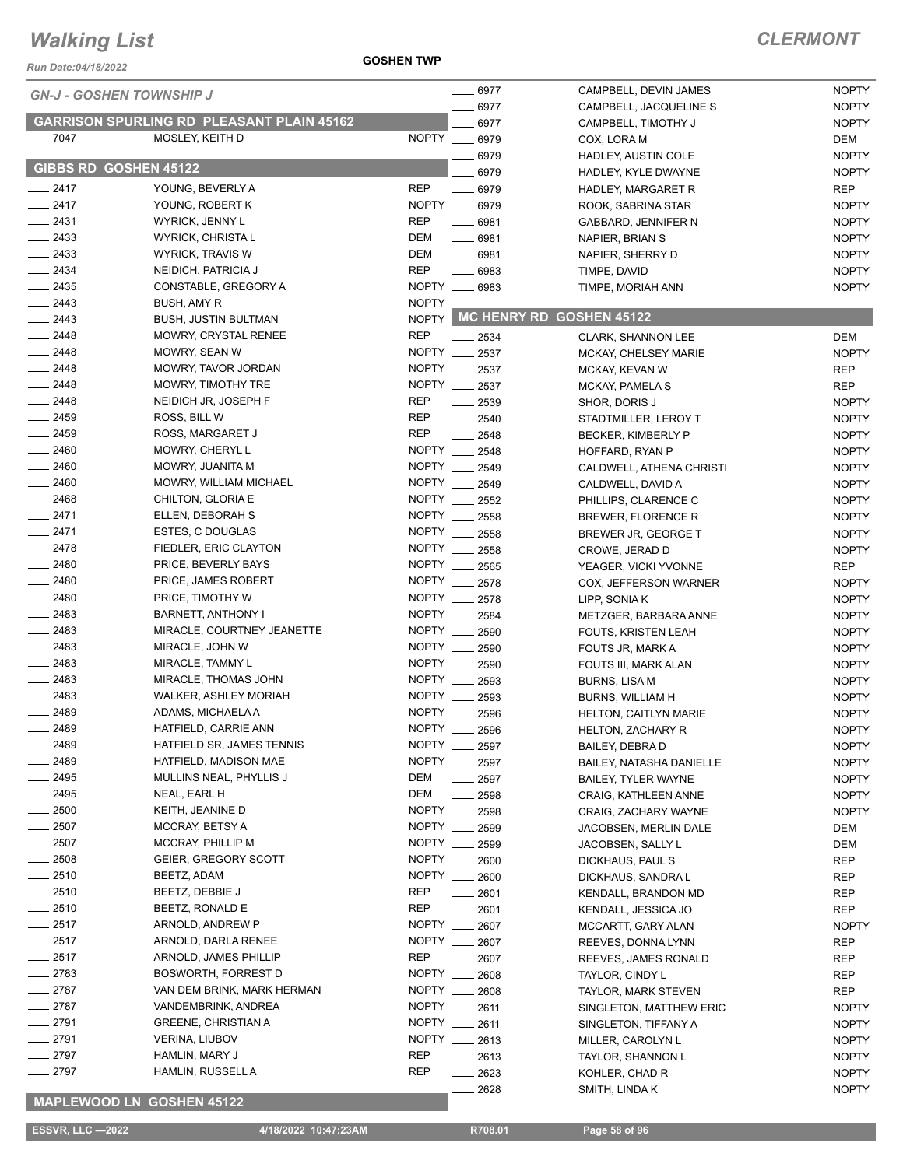#### **GOSHEN TWP**

#### *CLERMONT*

| Run Date:04/18/2022             |                                                   | <b>GOSHEN TWP</b> |                                |                                                        |                              |
|---------------------------------|---------------------------------------------------|-------------------|--------------------------------|--------------------------------------------------------|------------------------------|
| <b>GN-J - GOSHEN TOWNSHIP J</b> |                                                   |                   | $-6977$                        | CAMPBELL, DEVIN JAMES                                  | <b>NOPTY</b>                 |
|                                 |                                                   |                   | 6977                           | CAMPBELL, JACQUELINE S                                 | <b>NOPTY</b>                 |
|                                 | <b>GARRISON SPURLING RD PLEASANT PLAIN 45162</b>  |                   | 6977                           | CAMPBELL, TIMOTHY J                                    | <b>NOPTY</b>                 |
| $-7047$                         | MOSLEY, KEITH D                                   |                   | NOPTY __ 6979                  | COX, LORA M                                            | DEM                          |
|                                 |                                                   |                   | 6979                           | HADLEY, AUSTIN COLE                                    | <b>NOPTY</b>                 |
| GIBBS RD GOSHEN 45122           |                                                   |                   | 6979                           | HADLEY, KYLE DWAYNE                                    | <b>NOPTY</b>                 |
| $-2417$                         | YOUNG, BEVERLY A                                  | <b>REP</b>        | $- 6979$                       | HADLEY, MARGARET R                                     | REP                          |
| $-2417$                         | YOUNG, ROBERT K                                   |                   | NOPTY __ 6979                  | ROOK, SABRINA STAR                                     | <b>NOPTY</b>                 |
| $-2431$                         | <b>WYRICK, JENNY L</b>                            | <b>REP</b>        | $-6981$                        | GABBARD, JENNIFER N                                    | <b>NOPTY</b>                 |
| $\equiv$ 2433                   | WYRICK, CHRISTA L                                 | DEM               | $- 6981$                       | NAPIER, BRIAN S                                        | <b>NOPTY</b>                 |
| $\equiv$ 2433                   | <b>WYRICK, TRAVIS W</b>                           | <b>DEM</b>        | $- 6981$                       | NAPIER, SHERRY D                                       | <b>NOPTY</b>                 |
| $\frac{2434}{2}$                | NEIDICH, PATRICIA J                               | <b>REP</b>        | $\frac{1}{2}$ 6983             | TIMPE, DAVID                                           | <b>NOPTY</b>                 |
| $-2435$                         | CONSTABLE, GREGORY A                              |                   | NOPTY __ 6983                  | TIMPE, MORIAH ANN                                      | <b>NOPTY</b>                 |
| $\frac{2443}{2}$                | BUSH, AMY R                                       | <b>NOPTY</b>      |                                |                                                        |                              |
| $\frac{2443}{2}$                | <b>BUSH, JUSTIN BULTMAN</b>                       |                   |                                | NOPTY MC HENRY RD GOSHEN 45122                         |                              |
| 2448                            | MOWRY, CRYSTAL RENEE                              | <b>REP</b>        | $-2534$                        | <b>CLARK, SHANNON LEE</b>                              | DEM                          |
| 2448                            | MOWRY, SEAN W                                     |                   | NOPTY __ 2537                  | <b>MCKAY, CHELSEY MARIE</b>                            | <b>NOPTY</b>                 |
| $-2448$                         | MOWRY, TAVOR JORDAN                               |                   | NOPTY __ 2537                  | MCKAY, KEVAN W                                         | <b>REP</b>                   |
| 2448                            | MOWRY, TIMOTHY TRE                                |                   | NOPTY __ 2537                  | MCKAY, PAMELA S                                        | <b>REP</b>                   |
| $\frac{1}{2448}$                | NEIDICH JR, JOSEPH F                              | <b>REP</b>        | $\frac{1}{2539}$               | SHOR, DORIS J                                          | <b>NOPTY</b>                 |
| $-2459$                         | ROSS, BILL W                                      | <b>REP</b>        | $-2540$                        | STADTMILLER, LEROY T                                   | <b>NOPTY</b>                 |
| $-2459$                         | ROSS, MARGARET J                                  | <b>REP</b>        | $-2548$                        | BECKER, KIMBERLY P                                     | <b>NOPTY</b>                 |
| $-2460$                         | MOWRY, CHERYL L                                   |                   | NOPTY __ 2548                  | HOFFARD, RYAN P                                        | <b>NOPTY</b>                 |
| 2460                            | MOWRY, JUANITA M                                  |                   | NOPTY __ 2549                  | CALDWELL, ATHENA CHRISTI                               | <b>NOPTY</b>                 |
| $-2460$                         | <b>MOWRY, WILLIAM MICHAEL</b>                     |                   | NOPTY __ 2549                  | CALDWELL, DAVID A                                      | <b>NOPTY</b>                 |
| $\frac{1}{2468}$                | CHILTON, GLORIA E                                 |                   | NOPTY __ 2552                  | PHILLIPS, CLARENCE C                                   | <b>NOPTY</b>                 |
| $-2471$                         | ELLEN, DEBORAH S                                  | NOPTY ___         | 2558                           | BREWER, FLORENCE R                                     | <b>NOPTY</b>                 |
| $-2471$                         | ESTES, C DOUGLAS                                  |                   | NOPTY __ 2558                  | BREWER JR, GEORGE T                                    | <b>NOPTY</b>                 |
| $-2478$                         | FIEDLER, ERIC CLAYTON                             |                   | NOPTY 2558                     | CROWE, JERAD D                                         | <b>NOPTY</b>                 |
| $-2480$                         | PRICE, BEVERLY BAYS                               |                   | NOPTY __ 2565                  | YEAGER, VICKI YVONNE                                   | REP                          |
| 2480                            | PRICE, JAMES ROBERT                               |                   | NOPTY __ 2578                  | COX, JEFFERSON WARNER                                  | <b>NOPTY</b>                 |
| $-2480$                         | PRICE, TIMOTHY W                                  | NOPTY ___         | 2578                           | LIPP, SONIA K                                          | <b>NOPTY</b>                 |
| $\equiv$ 2483                   | BARNETT, ANTHONY I                                | <b>NOPTY</b>      | 2584                           | METZGER, BARBARA ANNE                                  | <b>NOPTY</b>                 |
| $-2483$                         | MIRACLE, COURTNEY JEANETTE                        |                   | NOPTY __ 2590                  | FOUTS, KRISTEN LEAH                                    | <b>NOPTY</b>                 |
| $\frac{2483}{2}$                | MIRACLE, JOHN W                                   |                   | NOPTY __ 2590                  | FOUTS JR, MARK A                                       | <b>NOPTY</b>                 |
| 2483<br>$\frac{1}{2483}$        | MIRACLE, TAMMY L                                  |                   | NOPTY __ 2590<br>NOPTY __ 2593 | FOUTS III, MARK ALAN                                   | <b>NOPTY</b>                 |
| 2483                            | MIRACLE, THOMAS JOHN                              |                   | NOPTY __ 2593                  | <b>BURNS, LISA M</b>                                   | <b>NOPTY</b>                 |
| 2489                            | <b>WALKER, ASHLEY MORIAH</b><br>ADAMS, MICHAELA A | <b>NOPTY</b>      |                                | <b>BURNS, WILLIAM H</b>                                | <b>NOPTY</b>                 |
| 2489                            | HATFIELD, CARRIE ANN                              |                   | 2596<br>NOPTY __ 2596          | <b>HELTON, CAITLYN MARIE</b>                           | <b>NOPTY</b>                 |
| 2489                            | HATFIELD SR, JAMES TENNIS                         |                   | NOPTY __ 2597                  | HELTON, ZACHARY R                                      | <b>NOPTY</b>                 |
| 2489                            | HATFIELD, MADISON MAE                             |                   | NOPTY __ 2597                  | BAILEY, DEBRA D                                        | <b>NOPTY</b>                 |
| 2495                            | MULLINS NEAL, PHYLLIS J                           | DEM               | $-2597$                        | BAILEY, NATASHA DANIELLE<br><b>BAILEY, TYLER WAYNE</b> | <b>NOPTY</b><br><b>NOPTY</b> |
| 2495                            | NEAL, EARL H                                      | DEM               | 2598                           | CRAIG, KATHLEEN ANNE                                   | <b>NOPTY</b>                 |
| $\equiv$ 2500                   | KEITH, JEANINE D                                  | <b>NOPTY</b>      | $\frac{1}{2598}$               | CRAIG, ZACHARY WAYNE                                   | <b>NOPTY</b>                 |
| $=$ 2507                        | <b>MCCRAY, BETSY A</b>                            |                   | NOPTY __ 2599                  | JACOBSEN, MERLIN DALE                                  | DEM                          |
| $\frac{1}{2507}$                | MCCRAY, PHILLIP M                                 | NOPTY ___         | 2599                           | JACOBSEN, SALLY L                                      | DEM                          |
| $\frac{1}{2508}$                | GEIER, GREGORY SCOTT                              |                   | NOPTY __ 2600                  | DICKHAUS, PAUL S                                       | REP                          |
| $-2510$                         | BEETZ, ADAM                                       |                   | NOPTY __ 2600                  | DICKHAUS, SANDRA L                                     | REP                          |
| 2510                            | BEETZ, DEBBIE J                                   | REP               | ____ 2601                      | KENDALL, BRANDON MD                                    | REP                          |
| 2510                            | BEETZ, RONALD E                                   | <b>REP</b>        | $-2601$                        | KENDALL, JESSICA JO                                    | <b>REP</b>                   |
| 2517                            | ARNOLD, ANDREW P                                  | <b>NOPTY</b>      | 2607                           | MCCARTT, GARY ALAN                                     | <b>NOPTY</b>                 |
| 2517                            | ARNOLD, DARLA RENEE                               |                   | NOPTY __ 2607                  | REEVES, DONNA LYNN                                     | REP                          |
| 2517                            | ARNOLD, JAMES PHILLIP                             | <b>REP</b>        | 2607                           | REEVES, JAMES RONALD                                   | REP                          |
| 2783                            | BOSWORTH, FORREST D                               |                   | NOPTY __ 2608                  | TAYLOR, CINDY L                                        | REP                          |
| $-2787$                         | VAN DEM BRINK, MARK HERMAN                        |                   | NOPTY __ 2608                  | <b>TAYLOR, MARK STEVEN</b>                             | REP                          |
| $\_$ 2787                       | VANDEMBRINK, ANDREA                               |                   | NOPTY __ 2611                  | SINGLETON, MATTHEW ERIC                                | <b>NOPTY</b>                 |
| $-2791$                         | <b>GREENE, CHRISTIAN A</b>                        |                   | NOPTY __ 2611                  | SINGLETON, TIFFANY A                                   | <b>NOPTY</b>                 |
| $-2791$                         | <b>VERINA, LIUBOV</b>                             | <b>NOPTY</b>      | $-2613$                        | MILLER, CAROLYN L                                      | <b>NOPTY</b>                 |
| $-2797$                         | HAMLIN, MARY J                                    | <b>REP</b>        | ____ 2613                      | TAYLOR, SHANNON L                                      | <b>NOPTY</b>                 |
| $-2797$                         | <b>HAMLIN, RUSSELL A</b>                          | <b>REP</b>        | $-2623$                        | KOHLER, CHAD R                                         | <b>NOPTY</b>                 |
|                                 |                                                   |                   | 2628                           | SMITH, LINDA K                                         | <b>NOPTY</b>                 |

#### **MAPLEWOOD LN GOSHEN 45122**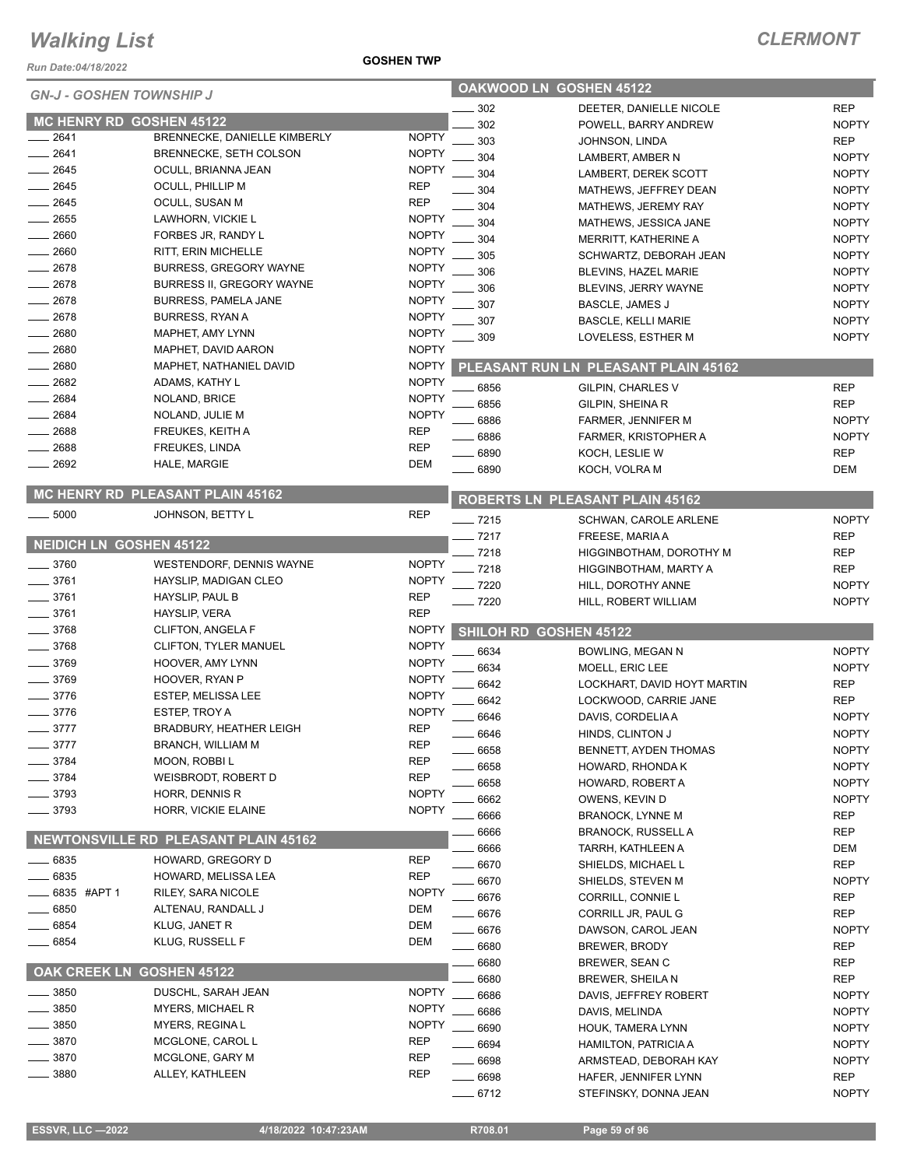*Run Date:04/18/2022*

| <b>GN-J - GOSHEN TOWNSHIP J</b> |                                                      |                              | <b>OAKWOOD LN GOSHEN 45122</b> |                                        |                              |  |
|---------------------------------|------------------------------------------------------|------------------------------|--------------------------------|----------------------------------------|------------------------------|--|
|                                 |                                                      |                              | 302                            | DEETER, DANIELLE NICOLE                | <b>REP</b>                   |  |
|                                 | MC HENRY RD GOSHEN 45122                             |                              | 302                            | POWELL, BARRY ANDREW                   | <b>NOPTY</b>                 |  |
| 2641                            | BRENNECKE, DANIELLE KIMBERLY                         | <b>NOPTY</b>                 | 303                            | JOHNSON, LINDA                         | <b>REP</b>                   |  |
| 2641<br>2645                    | <b>BRENNECKE, SETH COLSON</b><br>OCULL, BRIANNA JEAN | <b>NOPTY</b><br><b>NOPTY</b> | 304                            | LAMBERT, AMBER N                       | <b>NOPTY</b>                 |  |
| 2645                            | OCULL, PHILLIP M                                     | <b>REP</b>                   | 304                            | LAMBERT, DEREK SCOTT                   | <b>NOPTY</b>                 |  |
| 2645                            | OCULL, SUSAN M                                       | <b>REP</b>                   | 304                            | MATHEWS, JEFFREY DEAN                  | <b>NOPTY</b>                 |  |
| 2655                            | LAWHORN, VICKIE L                                    | <b>NOPTY</b>                 | 304                            | MATHEWS, JEREMY RAY                    | <b>NOPTY</b>                 |  |
| 2660                            | FORBES JR, RANDY L                                   | <b>NOPTY</b>                 | 304                            | MATHEWS, JESSICA JANE                  | <b>NOPTY</b>                 |  |
| $-2660$                         | RITT, ERIN MICHELLE                                  | <b>NOPTY</b>                 | 304                            | MERRITT, KATHERINE A                   | <b>NOPTY</b>                 |  |
| 2678                            | <b>BURRESS, GREGORY WAYNE</b>                        | <b>NOPTY</b>                 | 305                            | SCHWARTZ, DEBORAH JEAN                 | <b>NOPTY</b>                 |  |
| $-2678$                         | <b>BURRESS II. GREGORY WAYNE</b>                     | <b>NOPTY</b>                 | 306                            | BLEVINS, HAZEL MARIE                   | <b>NOPTY</b>                 |  |
| 2678                            | BURRESS, PAMELA JANE                                 | <b>NOPTY</b>                 | 306                            | BLEVINS, JERRY WAYNE                   | <b>NOPTY</b>                 |  |
| 2678                            | <b>BURRESS, RYAN A</b>                               | <b>NOPTY</b>                 | 307<br>307                     | BASCLE, JAMES J                        | <b>NOPTY</b><br><b>NOPTY</b> |  |
| 2680                            | MAPHET, AMY LYNN                                     | <b>NOPTY</b>                 | 309                            | <b>BASCLE, KELLI MARIE</b>             | <b>NOPTY</b>                 |  |
| 2680                            | MAPHET, DAVID AARON                                  | <b>NOPTY</b>                 |                                | LOVELESS, ESTHER M                     |                              |  |
| 2680                            | MAPHET, NATHANIEL DAVID                              | <b>NOPTY</b>                 |                                | PLEASANT RUN LN PLEASANT PLAIN 45162   |                              |  |
| 2682                            | ADAMS, KATHY L                                       | <b>NOPTY</b>                 | 6856                           | GILPIN, CHARLES V                      | <b>REP</b>                   |  |
| 2684                            | NOLAND, BRICE                                        | <b>NOPTY</b>                 | 6856                           |                                        | <b>REP</b>                   |  |
| 2684                            | NOLAND, JULIE M                                      | <b>NOPTY</b>                 | 6886                           | GILPIN, SHEINA R<br>FARMER, JENNIFER M | <b>NOPTY</b>                 |  |
| 2688                            | FREUKES, KEITH A                                     | <b>REP</b>                   | 6886                           | FARMER, KRISTOPHER A                   | <b>NOPTY</b>                 |  |
| 2688                            | <b>FREUKES, LINDA</b>                                | <b>REP</b>                   | 6890                           | KOCH, LESLIE W                         | <b>REP</b>                   |  |
| 2692                            | HALE, MARGIE                                         | <b>DEM</b>                   | 6890                           | KOCH, VOLRA M                          | <b>DEM</b>                   |  |
|                                 |                                                      |                              |                                |                                        |                              |  |
|                                 | MC HENRY RD PLEASANT PLAIN 45162                     |                              |                                | <b>ROBERTS LN PLEASANT PLAIN 45162</b> |                              |  |
| $\frac{1}{2}$ 5000              | JOHNSON, BETTY L                                     | <b>REP</b>                   | $- 7215$                       | SCHWAN, CAROLE ARLENE                  | <b>NOPTY</b>                 |  |
|                                 |                                                      |                              | $-7217$                        | FREESE, MARIA A                        | <b>REP</b>                   |  |
|                                 | <b>NEIDICH LN GOSHEN 45122</b>                       |                              | 7218                           | HIGGINBOTHAM, DOROTHY M                | <b>REP</b>                   |  |
| $- 3760$                        | WESTENDORF, DENNIS WAYNE                             | <b>NOPTY</b>                 | 7218                           | HIGGINBOTHAM, MARTY A                  | <b>REP</b>                   |  |
| 3761                            | HAYSLIP, MADIGAN CLEO                                | <b>NOPTY</b>                 | 7220                           | HILL, DOROTHY ANNE                     | <b>NOPTY</b>                 |  |
| 3761                            | HAYSLIP, PAUL B                                      | <b>REP</b>                   | $-7220$                        | HILL, ROBERT WILLIAM                   | <b>NOPTY</b>                 |  |
| 3761                            | <b>HAYSLIP, VERA</b>                                 | <b>REP</b>                   |                                |                                        |                              |  |
| 3768                            | CLIFTON, ANGELA F                                    | <b>NOPTY</b>                 |                                | SHILOH RD GOSHEN 45122                 |                              |  |
| 3768                            | CLIFTON, TYLER MANUEL                                | <b>NOPTY</b>                 | 6634                           | BOWLING, MEGAN N                       | <b>NOPTY</b>                 |  |
| $-3769$                         | HOOVER, AMY LYNN                                     | <b>NOPTY</b>                 | 6634                           | MOELL, ERIC LEE                        | <b>NOPTY</b>                 |  |
| 3769                            | HOOVER, RYAN P                                       | <b>NOPTY</b>                 | 6642                           | LOCKHART, DAVID HOYT MARTIN            | <b>REP</b>                   |  |
| 3776                            | <b>ESTEP, MELISSA LEE</b>                            | <b>NOPTY</b>                 | 6642                           | LOCKWOOD, CARRIE JANE                  | <b>REP</b>                   |  |
| 3776                            | ESTEP, TROY A                                        | <b>NOPTY</b>                 | 6646                           | DAVIS, CORDELIA A                      | <b>NOPTY</b>                 |  |
| $-3777$                         | <b>BRADBURY, HEATHER LEIGH</b>                       | <b>REP</b>                   | 6646                           | HINDS, CLINTON J                       | <b>NOPTY</b>                 |  |
| 3777                            | <b>BRANCH, WILLIAM M</b>                             | <b>REP</b>                   | 6658                           | BENNETT, AYDEN THOMAS                  | <b>NOPTY</b>                 |  |
| 3784                            | MOON, ROBBIL                                         | <b>REP</b>                   | 6658                           | HOWARD, RHONDA K                       | <b>NOPTY</b>                 |  |
| 3784                            | WEISBRODT, ROBERT D                                  | <b>REP</b>                   | 6658                           | HOWARD, ROBERT A                       | <b>NOPTY</b>                 |  |
| 3793                            | <b>HORR, DENNIS R</b>                                | <b>NOPTY</b>                 | 6662                           | OWENS, KEVIN D                         | <b>NOPTY</b>                 |  |
| _ 3793                          | HORR, VICKIE ELAINE                                  | <b>NOPTY</b>                 | 6666                           | <b>BRANOCK, LYNNE M</b>                | REP                          |  |
|                                 |                                                      |                              | 6666                           | BRANOCK, RUSSELL A                     | REP                          |  |
|                                 | <b>NEWTONSVILLE RD PLEASANT PLAIN 45162</b>          |                              | 6666                           | TARRH, KATHLEEN A                      | DEM                          |  |
| $= 6835$                        | HOWARD, GREGORY D                                    | <b>REP</b>                   | 6670                           | SHIELDS, MICHAEL L                     | <b>REP</b>                   |  |
| $-6835$                         | HOWARD, MELISSA LEA                                  | <b>REP</b>                   | 6670                           | SHIELDS, STEVEN M                      | <b>NOPTY</b>                 |  |
| 6835 #APT 1                     | RILEY, SARA NICOLE                                   | <b>NOPTY</b>                 | 6676                           | CORRILL, CONNIE L                      | REP                          |  |
| 6850                            | ALTENAU, RANDALL J                                   | DEM                          | 6676                           | CORRILL JR, PAUL G                     | REP                          |  |
| 6854                            | KLUG, JANET R                                        | DEM                          | 6676                           | DAWSON, CAROL JEAN                     | <b>NOPTY</b>                 |  |
| 6854                            | KLUG, RUSSELL F                                      | <b>DEM</b>                   | 6680                           | <b>BREWER, BRODY</b>                   | <b>REP</b>                   |  |
|                                 |                                                      |                              | 6680                           | BREWER, SEAN C                         | REP                          |  |
|                                 | OAK CREEK LN GOSHEN 45122                            |                              | 6680                           | BREWER, SHEILA N                       | REP                          |  |
| 3850                            | DUSCHL, SARAH JEAN                                   | <b>NOPTY</b>                 | 6686                           | DAVIS, JEFFREY ROBERT                  | <b>NOPTY</b>                 |  |
| 3850                            | <b>MYERS, MICHAEL R</b>                              | <b>NOPTY</b>                 | 6686                           | DAVIS, MELINDA                         | <b>NOPTY</b>                 |  |
| 3850                            | MYERS, REGINA L                                      | <b>NOPTY</b>                 | 6690                           | HOUK, TAMERA LYNN                      | <b>NOPTY</b>                 |  |
| 3870                            | MCGLONE, CAROL L                                     | <b>REP</b>                   | 6694                           | HAMILTON, PATRICIA A                   | <b>NOPTY</b>                 |  |
| 3870                            | MCGLONE, GARY M                                      | REP                          | 6698                           | ARMSTEAD, DEBORAH KAY                  | <b>NOPTY</b>                 |  |
| 3880                            | ALLEY, KATHLEEN                                      | <b>REP</b>                   | 6698                           | HAFER, JENNIFER LYNN                   | <b>REP</b>                   |  |

**GOSHEN TWP**

6712 STEFINSKY, DONNA JEAN NOPTY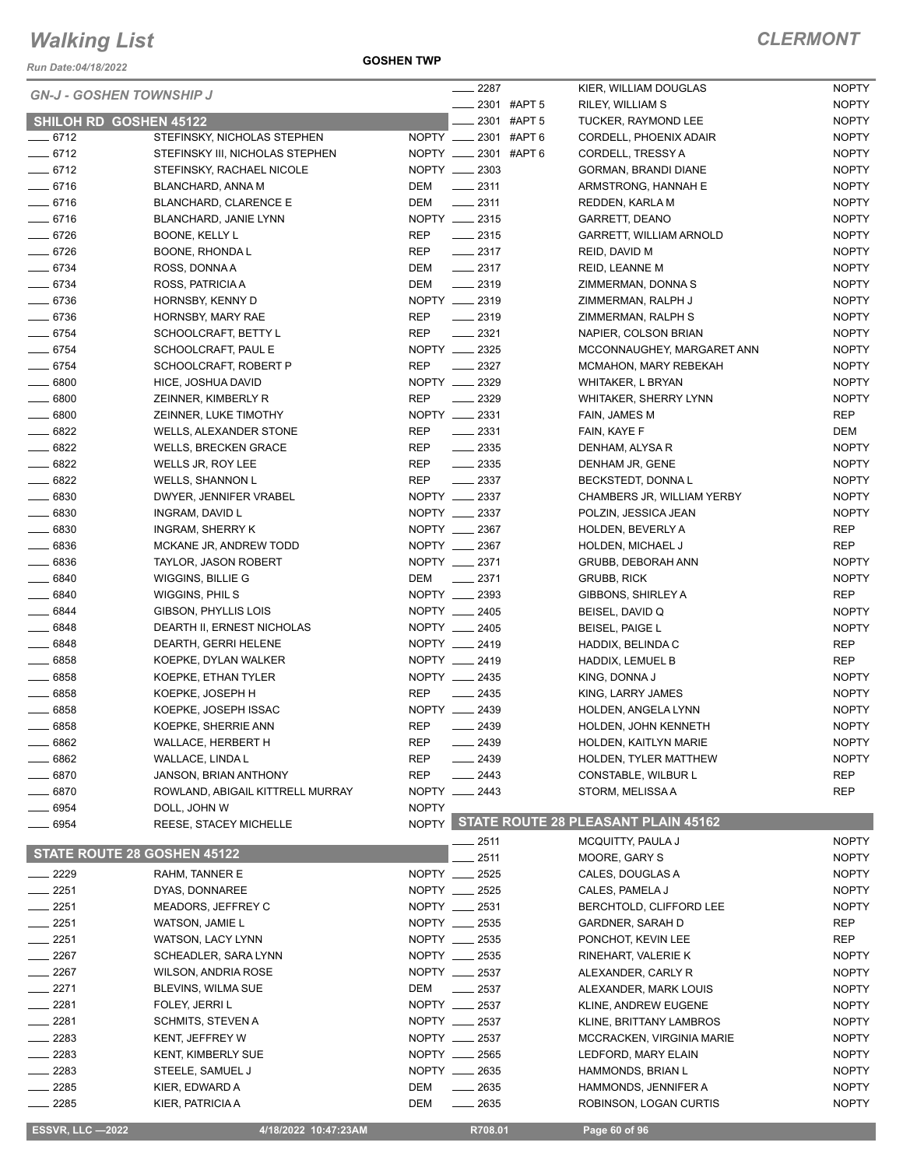*Run Date:04/18/2022*

**GOSHEN TWP**

| <i>ERMON</i><br>w |
|-------------------|
|-------------------|

| <b>ESSVR, LLC -2022</b>         | 4/18/2022 10:47:23AM             |                                | R708.01                 | Page 60 of 96                             |                              |
|---------------------------------|----------------------------------|--------------------------------|-------------------------|-------------------------------------------|------------------------------|
| $- 2285$                        | KIER, PATRICIA A                 | DEM                            | $-2635$                 | ROBINSON, LOGAN CURTIS                    | <b>NOPTY</b>                 |
| $-2285$                         | KIER, EDWARD A                   | DEM                            | $-2635$                 | HAMMONDS, JENNIFER A                      | <b>NOPTY</b>                 |
| $-2283$                         | STEELE, SAMUEL J                 | NOPTY __ 2635                  |                         | <b>HAMMONDS, BRIAN L</b>                  | <b>NOPTY</b>                 |
| $= 2283$                        | <b>KENT, KIMBERLY SUE</b>        | NOPTY __ 2565                  |                         | LEDFORD, MARY ELAIN                       | <b>NOPTY</b>                 |
| $-2283$                         | KENT, JEFFREY W                  | NOPTY __ 2537                  |                         | MCCRACKEN, VIRGINIA MARIE                 | <b>NOPTY</b>                 |
| __ 2281                         | SCHMITS, STEVEN A                | NOPTY __ 2537                  |                         | KLINE, BRITTANY LAMBROS                   | <b>NOPTY</b>                 |
| $-2281$                         | FOLEY, JERRI L                   | NOPTY __ 2537                  |                         | KLINE, ANDREW EUGENE                      | <b>NOPTY</b>                 |
| $-2271$                         | BLEVINS, WILMA SUE               | DEM                            | $\frac{1}{2}$ 2537      | ALEXANDER, MARK LOUIS                     | <b>NOPTY</b>                 |
| $\equiv$ 2267                   | WILSON, ANDRIA ROSE              |                                |                         | ALEXANDER, CARLY R                        | <b>NOPTY</b>                 |
| $\frac{1}{2267}$                | SCHEADLER, SARA LYNN             | NOPTY __ 2535<br>NOPTY __ 2537 |                         | RINEHART, VALERIE K                       | <b>NOPTY</b>                 |
| $-2251$                         | WATSON, LACY LYNN                | NOPTY __ 2535                  |                         | PONCHOT, KEVIN LEE                        | <b>REP</b>                   |
| $-2251$                         | WATSON, JAMIE L                  | NOPTY __ 2535                  |                         | GARDNER, SARAH D                          | REP                          |
|                                 | MEADORS, JEFFREY C               | NOPTY __ 2531                  |                         | BERCHTOLD, CLIFFORD LEE                   | <b>NOPTY</b>                 |
| $-2251$                         |                                  |                                |                         |                                           |                              |
| $-2251$                         | DYAS, DONNAREE                   | NOPTY __ 2525                  |                         | CALES, PAMELA J                           | <b>NOPTY</b>                 |
| $- 2229$                        | RAHM, TANNER E                   | NOPTY __ 2525                  | 2511                    | MOORE, GARY S<br>CALES, DOUGLAS A         | <b>NOPTY</b><br><b>NOPTY</b> |
| STATE ROUTE 28 GOSHEN 45122     |                                  |                                | 2511                    |                                           |                              |
|                                 |                                  |                                |                         | MCQUITTY, PAULA J                         | <b>NOPTY</b>                 |
| $-6954$                         | REESE, STACEY MICHELLE           |                                |                         | NOPTY STATE ROUTE 28 PLEASANT PLAIN 45162 |                              |
| - 6954                          | DOLL, JOHN W                     | <b>NOPTY</b>                   |                         |                                           |                              |
| 6870                            | ROWLAND, ABIGAIL KITTRELL MURRAY | $N$ OPTY $-$                   | _ 2443                  | STORM, MELISSA A                          | <b>REP</b>                   |
| $-6870$                         | <b>JANSON, BRIAN ANTHONY</b>     | <b>REP</b>                     | $-2443$                 | CONSTABLE, WILBUR L                       | <b>REP</b>                   |
| $\frac{1}{2}$ 6862              | WALLACE, LINDA L                 | REP                            | $-2439$                 | HOLDEN, TYLER MATTHEW                     | <b>NOPTY</b>                 |
| 6862                            | WALLACE, HERBERT H               | <b>REP</b>                     | $-2439$                 | HOLDEN, KAITLYN MARIE                     | <b>NOPTY</b>                 |
| $- 6858$                        | KOEPKE, SHERRIE ANN              | <b>REP</b>                     | $-2439$                 | HOLDEN, JOHN KENNETH                      | <b>NOPTY</b>                 |
| $- 6858$                        | KOEPKE, JOSEPH ISSAC             | NOPTY __                       | 2439                    | HOLDEN, ANGELA LYNN                       | <b>NOPTY</b>                 |
| $\frac{1}{2}6858$               | KOEPKE, JOSEPH H                 | <b>REP</b>                     | $-2435$                 | KING, LARRY JAMES                         | <b>NOPTY</b>                 |
| $\frac{1}{2}$ 6858              | KOEPKE, ETHAN TYLER              | NOPTY __ 2435                  |                         | KING, DONNA J                             | <b>NOPTY</b>                 |
| $- 6858$                        | KOEPKE, DYLAN WALKER             | NOPTY __ 2419                  |                         | HADDIX, LEMUEL B                          | <b>REP</b>                   |
| $- 6848$                        | DEARTH, GERRI HELENE             | NOPTY __ 2419                  |                         | HADDIX, BELINDA C                         | REP                          |
| $- 6848$                        | DEARTH II, ERNEST NICHOLAS       | NOPTY __ 2405                  |                         | <b>BEISEL, PAIGE L</b>                    | <b>NOPTY</b>                 |
| $- 6844$                        | GIBSON, PHYLLIS LOIS             | NOPTY __ 2405                  |                         | BEISEL, DAVID Q                           | <b>NOPTY</b>                 |
| $- 6840$                        | WIGGINS, PHILS                   | NOPTY __ 2393                  |                         | GIBBONS, SHIRLEY A                        | <b>REP</b>                   |
| $- 6840$                        | WIGGINS, BILLIE G                | DEM                            | $-2371$                 | <b>GRUBB, RICK</b>                        | <b>NOPTY</b>                 |
| $\frac{1}{2}$ 6836              | <b>TAYLOR, JASON ROBERT</b>      | NOPTY __ 2371                  |                         | GRUBB, DEBORAH ANN                        | <b>NOPTY</b>                 |
| $\frac{1}{2}$ 6836              | MCKANE JR, ANDREW TODD           | NOPTY __ 2367                  |                         | HOLDEN, MICHAEL J                         | <b>REP</b>                   |
| $- 6830$                        | <b>INGRAM, SHERRY K</b>          | NOPTY __ 2367                  |                         | <b>HOLDEN, BEVERLY A</b>                  | REP                          |
| $\frac{1}{2}$ 6830              | INGRAM, DAVID L                  | NOPTY __ 2337                  |                         | POLZIN, JESSICA JEAN                      | <b>NOPTY</b>                 |
| $\frac{1}{2}$ 6830              | DWYER, JENNIFER VRABEL           | NOPTY __ 2337                  |                         | CHAMBERS JR, WILLIAM YERBY                | <b>NOPTY</b>                 |
| $- 6822$                        | <b>WELLS, SHANNON L</b>          | <b>REP</b>                     | $\frac{2337}{2}$        | BECKSTEDT, DONNAL                         | <b>NOPTY</b>                 |
| $- 6822$                        | WELLS JR, ROY LEE                | REP                            | $\frac{2335}{2}$        | DENHAM JR, GENE                           | <b>NOPTY</b>                 |
| $- 6822$                        | <b>WELLS, BRECKEN GRACE</b>      | <b>REP</b>                     | $\frac{1}{2}$ 2335      | DENHAM, ALYSA R                           | <b>NOPTY</b>                 |
| $- 6822$                        | WELLS, ALEXANDER STONE           | REP                            | $\frac{2331}{2}$        | FAIN, KAYE F                              | DEM                          |
| $\frac{1}{2}$ 6800              | ZEINNER, LUKE TIMOTHY            | NOPTY __ 2331                  |                         | FAIN, JAMES M                             | <b>REP</b>                   |
| $- 6800$                        | ZEINNER, KIMBERLY R              | <b>REP</b>                     | $-2329$                 | WHITAKER, SHERRY LYNN                     | <b>NOPTY</b>                 |
| $- 6800$                        | HICE, JOSHUA DAVID               | NOPTY __ 2329                  |                         | <b>WHITAKER, L BRYAN</b>                  | <b>NOPTY</b>                 |
| $- 6754$                        | SCHOOLCRAFT, ROBERT P            | <b>REP</b>                     | $\sim$ 2327             | <b>MCMAHON, MARY REBEKAH</b>              | <b>NOPTY</b>                 |
| $- 6754$                        | SCHOOLCRAFT, PAUL E              | NOPTY __ 2325                  |                         | MCCONNAUGHEY, MARGARET ANN                | <b>NOPTY</b>                 |
| $- 6754$                        | SCHOOLCRAFT, BETTY L             | <b>REP</b>                     | $-2321$                 | NAPIER, COLSON BRIAN                      | <b>NOPTY</b>                 |
| $- 6736$                        | HORNSBY, MARY RAE                | <b>REP</b>                     | $\frac{1}{2319}$        | ZIMMERMAN, RALPH S                        | <b>NOPTY</b>                 |
| $- 6736$                        | HORNSBY, KENNY D                 | NOPTY __ 2319                  |                         | ZIMMERMAN, RALPH J                        | <b>NOPTY</b>                 |
| $- 6734$                        | ROSS, PATRICIA A                 | DEM                            | $-2319$                 | ZIMMERMAN, DONNA S                        | <b>NOPTY</b>                 |
| $- 6734$                        | ROSS, DONNA A                    | DEM                            | $\frac{2317}{2}$        | REID, LEANNE M                            | <b>NOPTY</b>                 |
| $- 6726$                        | BOONE, RHONDA L                  | <b>REP</b>                     | $-2317$                 | REID, DAVID M                             | <b>NOPTY</b>                 |
| $- 6726$                        | <b>BOONE, KELLY L</b>            | <b>REP</b>                     | $\frac{2315}{2}$        | GARRETT, WILLIAM ARNOLD                   | <b>NOPTY</b>                 |
|                                 | BLANCHARD, JANIE LYNN            |                                |                         | GARRETT, DEANO                            |                              |
| $-6716$                         |                                  | NOPTY __ 2315                  |                         |                                           | <b>NOPTY</b>                 |
| $- 6716$                        | <b>BLANCHARD, CLARENCE E</b>     | DEM                            | $-2311$                 | REDDEN, KARLA M                           | <b>NOPTY</b>                 |
| $-6716$                         | BLANCHARD, ANNA M                | DEM                            | $-2311$                 | ARMSTRONG, HANNAH E                       | <b>NOPTY</b>                 |
| $-6712$                         | STEFINSKY, RACHAEL NICOLE        | NOPTY __ 2303                  |                         | GORMAN, BRANDI DIANE                      | <b>NOPTY</b>                 |
| $- 6712$                        | STEFINSKY III, NICHOLAS STEPHEN  |                                | NOPTY _____ 2301 #APT 6 | <b>CORDELL, TRESSY A</b>                  | <b>NOPTY</b>                 |
| $- 6712$                        | STEFINSKY, NICHOLAS STEPHEN      |                                | NOPTY _____ 2301 #APT 6 | CORDELL, PHOENIX ADAIR                    | <b>NOPTY</b>                 |
| <b>SHILOH RD GOSHEN 45122</b>   |                                  |                                | 2301 #APT 5             | TUCKER, RAYMOND LEE                       | <b>NOPTY</b>                 |
| <b>GN-J - GOSHEN TOWNSHIP J</b> |                                  |                                | 2301 #APT 5             | RILEY, WILLIAM S                          | <b>NOPTY</b>                 |
|                                 |                                  |                                | 2287                    | KIER, WILLIAM DOUGLAS                     | <b>NOPTY</b>                 |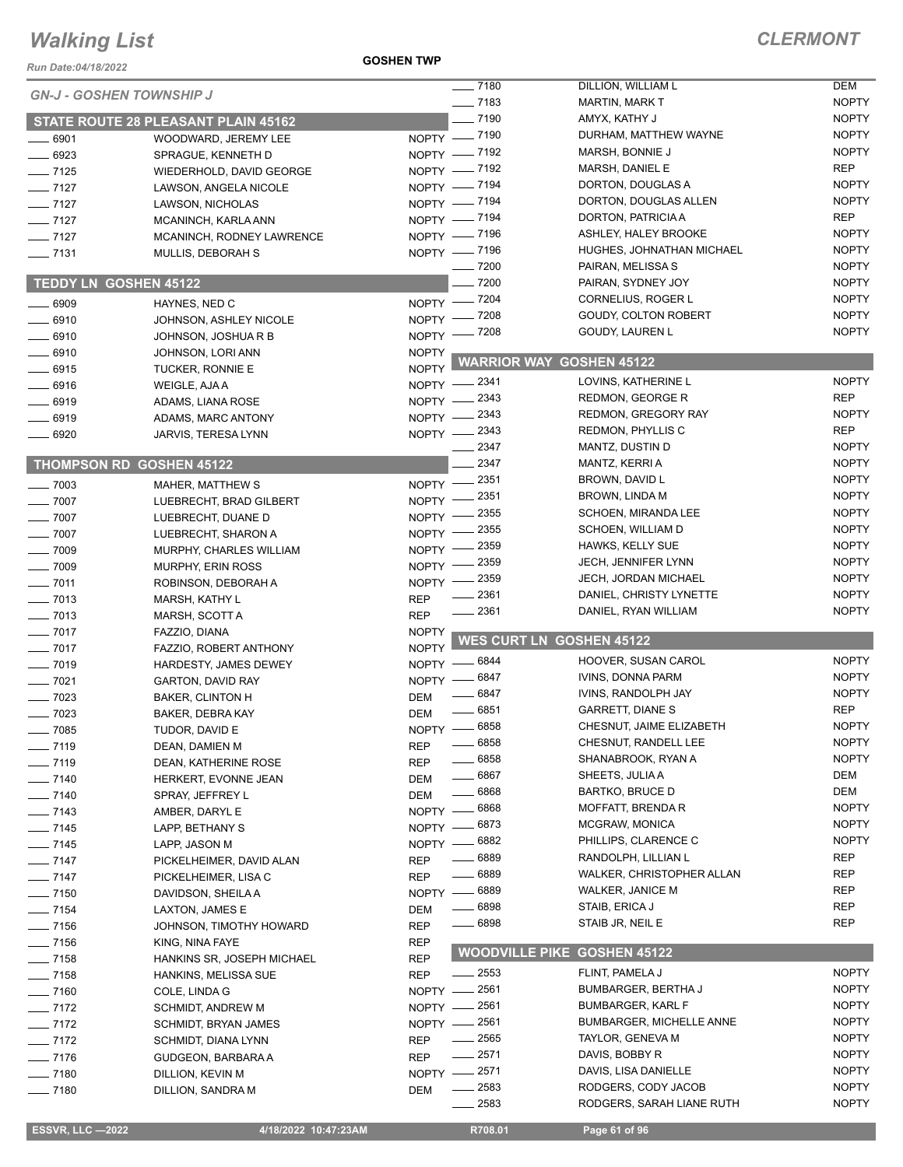#### **GOSHEN TWP**

| Run Date:04/18/2022             |                                                   | <b>GOSHEN TWP</b>         |                       |                                  |                              |
|---------------------------------|---------------------------------------------------|---------------------------|-----------------------|----------------------------------|------------------------------|
| <b>GN-J - GOSHEN TOWNSHIP J</b> |                                                   |                           | $- 7180$              | DILLION, WILLIAM L               | <b>DEM</b>                   |
|                                 |                                                   |                           | $- 7183$              | <b>MARTIN, MARK T</b>            | <b>NOPTY</b>                 |
|                                 | <b>STATE ROUTE 28 PLEASANT PLAIN 45162</b>        |                           | $-7190$               | AMYX, KATHY J                    | <b>NOPTY</b>                 |
| $- 6901$                        | WOODWARD, JEREMY LEE                              |                           | NOPTY - 7190          | DURHAM, MATTHEW WAYNE            | <b>NOPTY</b>                 |
| ___ 6923                        | SPRAGUE, KENNETH D                                |                           | NOPTY - 7192          | MARSH, BONNIE J                  | <b>NOPTY</b>                 |
| $-7125$                         | WIEDERHOLD, DAVID GEORGE                          |                           | NOPTY - 7192          | MARSH, DANIEL E                  | <b>REP</b>                   |
| $-7127$                         | LAWSON, ANGELA NICOLE                             |                           | NOPTY - 7194          | DORTON, DOUGLAS A                | <b>NOPTY</b>                 |
| $- 7127$                        | LAWSON, NICHOLAS                                  |                           | NOPTY - 7194          | DORTON, DOUGLAS ALLEN            | <b>NOPTY</b>                 |
| $- 7127$                        | MCANINCH, KARLA ANN                               |                           | NOPTY - 7194          | DORTON, PATRICIA A               | <b>REP</b>                   |
| $- 7127$                        | MCANINCH, RODNEY LAWRENCE                         |                           | NOPTY - 7196          | ASHLEY, HALEY BROOKE             | <b>NOPTY</b>                 |
| $\frac{1}{2}$ 7131              | MULLIS, DEBORAH S                                 |                           | NOPTY - 7196          | HUGHES, JOHNATHAN MICHAEL        | <b>NOPTY</b>                 |
|                                 |                                                   |                           | $- 7200$              | PAIRAN, MELISSA S                | <b>NOPTY</b>                 |
| TEDDY LN GOSHEN 45122           |                                                   |                           | $-7200$               | PAIRAN, SYDNEY JOY               | <b>NOPTY</b>                 |
| $-6909$                         | HAYNES, NED C                                     |                           | NOPTY - 7204          | CORNELIUS, ROGER L               | <b>NOPTY</b>                 |
| $-6910$                         | JOHNSON, ASHLEY NICOLE                            |                           | NOPTY - 7208          | GOUDY, COLTON ROBERT             | <b>NOPTY</b>                 |
| $- 6910$                        | JOHNSON, JOSHUA R B                               |                           | NOPTY - 7208          | GOUDY, LAUREN L                  | <b>NOPTY</b>                 |
| $- 6910$                        | JOHNSON, LORI ANN                                 | <b>NOPTY</b>              |                       | <b>WARRIOR WAY GOSHEN 45122</b>  |                              |
| $-6915$                         | TUCKER, RONNIE E                                  | <b>NOPTY</b>              |                       |                                  |                              |
| $- 6916$                        | WEIGLE, AJA A                                     |                           | NOPTY -2341           | LOVINS, KATHERINE L              | <b>NOPTY</b>                 |
| $-6919$                         | ADAMS, LIANA ROSE                                 | $NOPTY =$                 | _ 2343                | REDMON, GEORGE R                 | <b>REP</b>                   |
| $-6919$                         | ADAMS, MARC ANTONY                                |                           | NOPTY -2343           | REDMON, GREGORY RAY              | <b>NOPTY</b>                 |
| $-6920$                         | JARVIS, TERESA LYNN                               |                           | NOPTY -2343           | REDMON, PHYLLIS C                | <b>REP</b>                   |
|                                 |                                                   |                           | 2347<br>2347          | MANTZ, DUSTIN D                  | <b>NOPTY</b><br><b>NOPTY</b> |
|                                 | <b>THOMPSON RD GOSHEN 45122</b>                   |                           |                       | MANTZ, KERRI A<br>BROWN, DAVID L | <b>NOPTY</b>                 |
| $- 7003$                        | MAHER, MATTHEW S                                  | NOPTY -                   | _ 2351<br>2351 ـ      | BROWN, LINDA M                   | <b>NOPTY</b>                 |
| $- 7007$                        | LUEBRECHT, BRAD GILBERT                           | NOPTY -                   | 2355                  | SCHOEN, MIRANDA LEE              | <b>NOPTY</b>                 |
| $- 7007$                        | LUEBRECHT, DUANE D                                | NOPTY -                   | - 2355                | SCHOEN, WILLIAM D                | <b>NOPTY</b>                 |
| $- 7007$                        | LUEBRECHT, SHARON A                               | NOPTY -                   | 2359                  | HAWKS, KELLY SUE                 | <b>NOPTY</b>                 |
| $- 7009$                        | MURPHY, CHARLES WILLIAM                           | NOPTY $-$                 | 2359                  | <b>JECH, JENNIFER LYNN</b>       | <b>NOPTY</b>                 |
| $- 7009$                        | MURPHY, ERIN ROSS                                 | NOPTY -                   | 2359                  | <b>JECH, JORDAN MICHAEL</b>      | <b>NOPTY</b>                 |
| $- 7011$                        | ROBINSON, DEBORAH A                               | NOPTY -                   | 2361                  | DANIEL, CHRISTY LYNETTE          | <b>NOPTY</b>                 |
| $- 7013$                        | MARSH, KATHY L                                    | <b>REP</b>                | _ 2361                | DANIEL, RYAN WILLIAM             | <b>NOPTY</b>                 |
| $\frac{1}{2}$ 7013              | MARSH, SCOTT A                                    | <b>REP</b>                |                       |                                  |                              |
| $- 7017$                        | FAZZIO, DIANA                                     | <b>NOPTY</b>              |                       | <b>WES CURT LN GOSHEN 45122</b>  |                              |
| $- 7017$<br>$- 7019$            | FAZZIO, ROBERT ANTHONY                            | <b>NOPTY</b><br>$NOPTY -$ | __ 6844               | HOOVER, SUSAN CAROL              | <b>NOPTY</b>                 |
| $- 7021$                        | HARDESTY, JAMES DEWEY<br><b>GARTON, DAVID RAY</b> |                           | NOPTY - 6847          | IVINS, DONNA PARM                | <b>NOPTY</b>                 |
| $- 7023$                        | <b>BAKER, CLINTON H</b>                           | <b>DEM</b>                | $-6847$               | IVINS, RANDOLPH JAY              | <b>NOPTY</b>                 |
| $- 7023$                        | BAKER, DEBRA KAY                                  | <b>DEM</b>                | $\frac{1}{2}$ 6851    | <b>GARRETT, DIANE S</b>          | <b>REP</b>                   |
| $- 7085$                        | TUDOR, DAVID E                                    |                           | NOPTY -8858           | CHESNUT, JAIME ELIZABETH         | <b>NOPTY</b>                 |
| $-7119$                         | DEAN, DAMIEN M                                    | <b>REP</b>                | 6858                  | CHESNUT, RANDELL LEE             | <b>NOPTY</b>                 |
| $-7119$                         | DEAN, KATHERINE ROSE                              | <b>REP</b>                | $-6858$               | SHANABROOK, RYAN A               | <b>NOPTY</b>                 |
| $- 7140$                        | HERKERT, EVONNE JEAN                              | DEM                       | $- 6867$              | SHEETS, JULIA A                  | DEM                          |
| $- 7140$                        | SPRAY, JEFFREY L                                  | DEM                       | 6868                  | <b>BARTKO, BRUCE D</b>           | DEM                          |
| $- 7143$                        | AMBER, DARYL E                                    | NOPTY -                   | - 6868                | MOFFATT, BRENDA R                | <b>NOPTY</b>                 |
| $- 7145$                        | LAPP, BETHANY S                                   | NOPTY -                   | 6873                  | MCGRAW, MONICA                   | <b>NOPTY</b>                 |
| $- 7145$                        | LAPP, JASON M                                     | NOPTY -                   | _ 6882                | PHILLIPS, CLARENCE C             | <b>NOPTY</b>                 |
| $- 7147$                        | PICKELHEIMER, DAVID ALAN                          | <b>REP</b>                | 6889                  | RANDOLPH, LILLIAN L              | <b>REP</b>                   |
| $- 7147$                        | PICKELHEIMER, LISA C                              | <b>REP</b>                | 6889                  | WALKER, CHRISTOPHER ALLAN        | REP                          |
| $\frac{1}{2}$ 7150              | DAVIDSON, SHEILA A                                | NOPTY -                   | 6889                  | <b>WALKER, JANICE M</b>          | REP                          |
| $- 7154$                        | LAXTON, JAMES E                                   | <b>DEM</b>                | 6898                  | STAIB, ERICA J                   | REP                          |
| $- 7156$                        | JOHNSON, TIMOTHY HOWARD                           | <b>REP</b>                | 6898                  | STAIB JR, NEIL E                 | <b>REP</b>                   |
| $- 7156$                        | KING, NINA FAYE                                   | <b>REP</b>                |                       |                                  |                              |
| $\frac{1}{2}$ 7158              | HANKINS SR, JOSEPH MICHAEL                        | <b>REP</b>                | <b>WOODVILLE PIKE</b> | <b>GOSHEN 45122</b>              |                              |
| $-7158$                         | HANKINS, MELISSA SUE                              | <b>REP</b>                | $\frac{1}{2553}$      | FLINT, PAMELA J                  | <b>NOPTY</b>                 |
| $- 7160$                        | COLE, LINDA G                                     |                           | NOPTY - 2561          | <b>BUMBARGER, BERTHA J</b>       | <b>NOPTY</b>                 |
| $- 7172$                        | <b>SCHMIDT, ANDREW M</b>                          | NOPTY -                   | 2561                  | BUMBARGER, KARL F                | <b>NOPTY</b>                 |
| $- 7172$                        | SCHMIDT, BRYAN JAMES                              |                           | NOPTY -2561           | <b>BUMBARGER, MICHELLE ANNE</b>  | <b>NOPTY</b>                 |
| $- 7172$                        | SCHMIDT, DIANA LYNN                               | <b>REP</b>                | 2565                  | TAYLOR, GENEVA M                 | <b>NOPTY</b>                 |
| $- 7176$                        | GUDGEON, BARBARA A                                | <b>REP</b>                | _ 2571                | DAVIS, BOBBY R                   | <b>NOPTY</b>                 |
| $- 7180$                        | DILLION, KEVIN M                                  | NOPTY -                   | $-2571$               | DAVIS, LISA DANIELLE             | <b>NOPTY</b>                 |
| $- 7180$                        | DILLION, SANDRA M                                 | DEM                       | 2583                  | RODGERS, CODY JACOB              | <b>NOPTY</b>                 |
|                                 |                                                   |                           | 2583                  | RODGERS, SARAH LIANE RUTH        | <b>NOPTY</b>                 |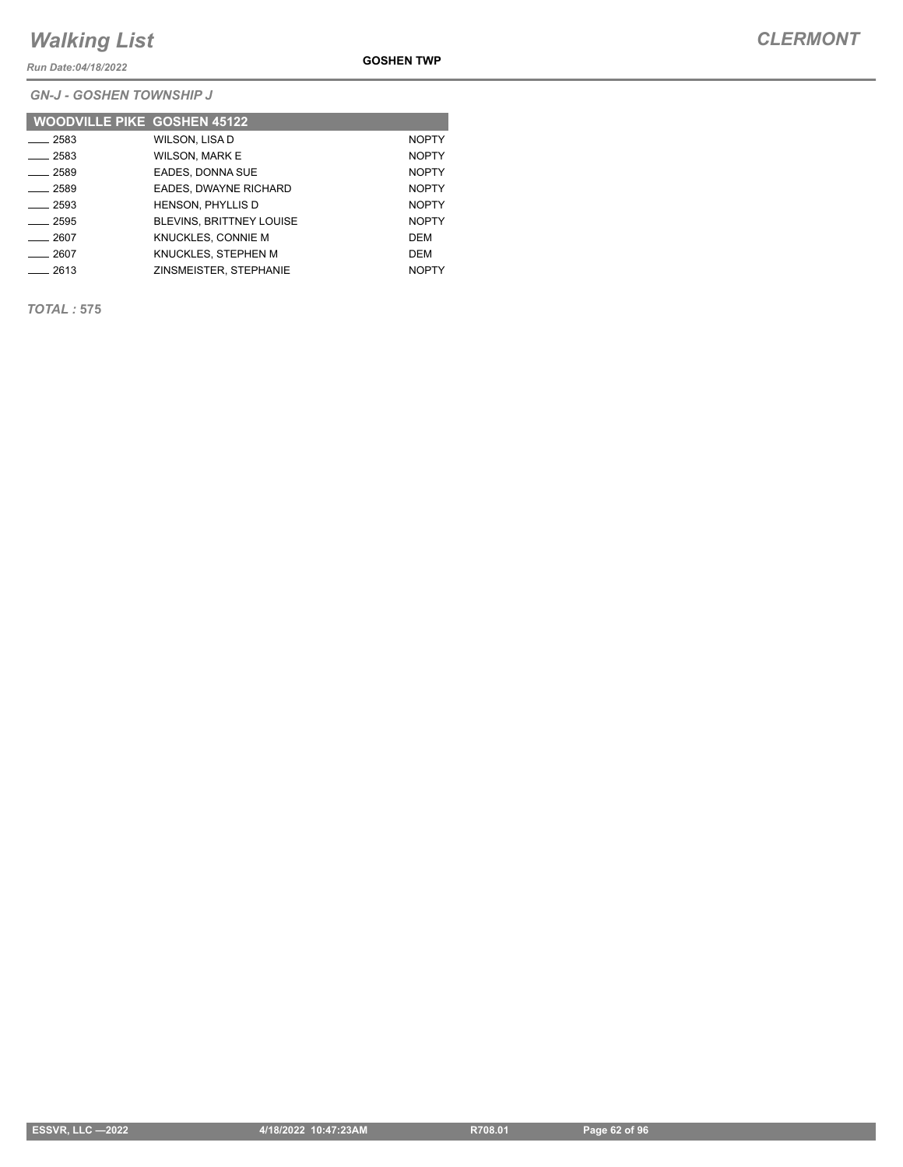*Run Date:04/18/2022*

**GOSHEN TWP**

*GN-J - GOSHEN TOWNSHIP J*

| <b>WOODVILLE PIKE GOSHEN 45122</b> |                                 |              |
|------------------------------------|---------------------------------|--------------|
| 2583                               | WILSON, LISA D                  | <b>NOPTY</b> |
| $-2583$                            | <b>WILSON, MARK E</b>           | <b>NOPTY</b> |
| $-2589$                            | EADES, DONNA SUE                | <b>NOPTY</b> |
| 2589                               | EADES, DWAYNE RICHARD           | <b>NOPTY</b> |
| 2593                               | <b>HENSON, PHYLLIS D</b>        | <b>NOPTY</b> |
| $-2595$                            | <b>BLEVINS, BRITTNEY LOUISE</b> | <b>NOPTY</b> |
| 2607                               | KNUCKLES, CONNIE M              | DEM          |
| 2607                               | KNUCKLES. STEPHEN M             | DEM          |
| 2613                               | ZINSMEISTER, STEPHANIE          | <b>NOPTY</b> |

*TOTAL :* **575**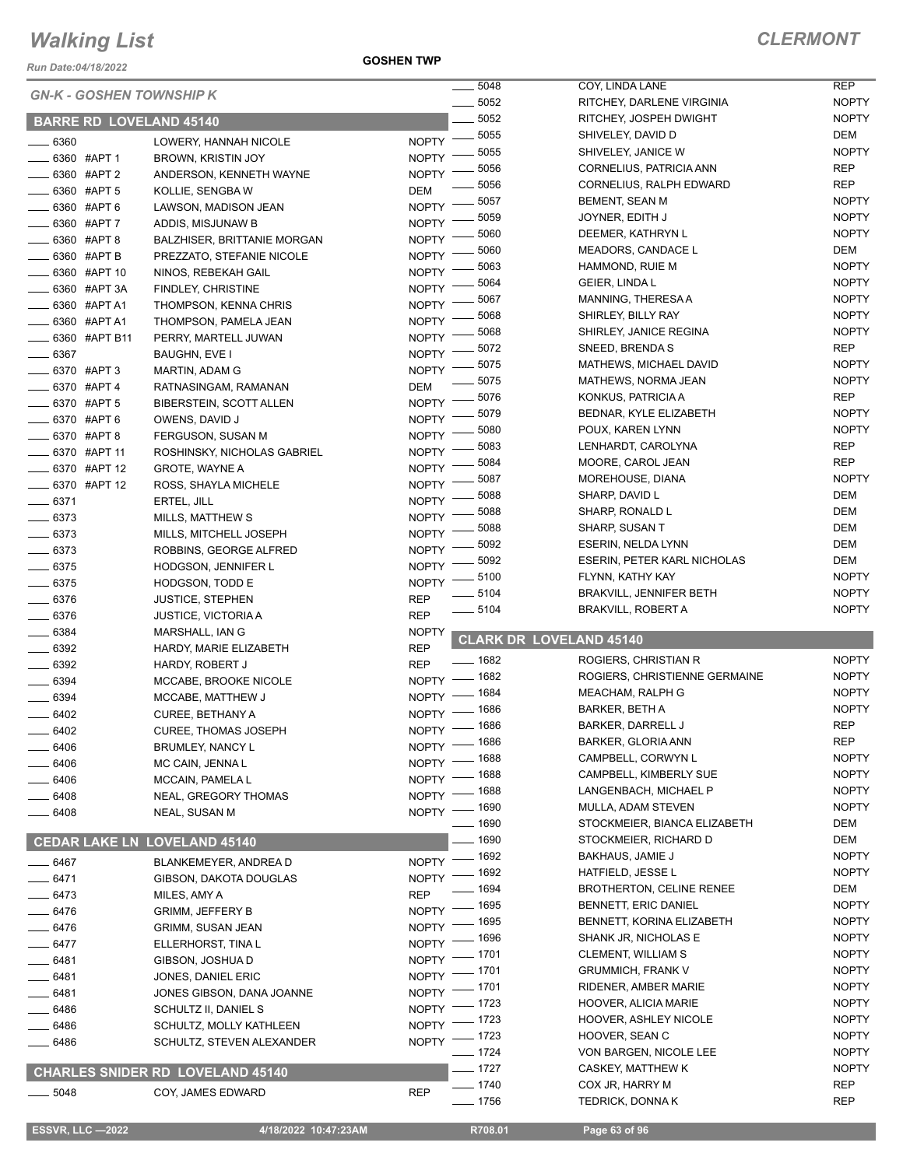*Run Date:04/18/2022*

**GOSHEN TWP**

|                                 |                                         |                    | 5048                 | COY, LINDA LANE                                        | <b>REP</b>               |
|---------------------------------|-----------------------------------------|--------------------|----------------------|--------------------------------------------------------|--------------------------|
| <b>GN-K - GOSHEN TOWNSHIP K</b> |                                         |                    | 5052                 | RITCHEY, DARLENE VIRGINIA                              | <b>NOPTY</b>             |
| <b>BARRE RD LOVELAND 45140</b>  |                                         |                    | 5052                 | RITCHEY, JOSPEH DWIGHT                                 | <b>NOPTY</b>             |
|                                 |                                         |                    | 5055                 | SHIVELEY, DAVID D                                      | DEM                      |
| 6360                            | LOWERY, HANNAH NICOLE                   | <b>NOPTY</b>       | 5055                 | SHIVELEY, JANICE W                                     | <b>NOPTY</b>             |
| 6360 #APT 1                     | BROWN, KRISTIN JOY                      | <b>NOPTY</b>       | 5056                 | CORNELIUS, PATRICIA ANN                                | <b>REP</b>               |
| 6360 #APT 2                     | ANDERSON, KENNETH WAYNE                 | <b>NOPTY</b>       | 5056                 | CORNELIUS, RALPH EDWARD                                | <b>REP</b>               |
| 6360 #APT 5                     | KOLLIE, SENGBA W                        | DEM                | 5057                 | BEMENT, SEAN M                                         | <b>NOPTY</b>             |
| 6360 #APT 6                     | LAWSON, MADISON JEAN                    | <b>NOPTY</b>       | 5059                 | JOYNER, EDITH J                                        | <b>NOPTY</b>             |
| 6360 #APT 7                     | ADDIS, MISJUNAW B                       | <b>NOPTY</b>       | 5060                 | DEEMER, KATHRYN L                                      | <b>NOPTY</b>             |
| 6360 #APT 8                     | <b>BALZHISER, BRITTANIE MORGAN</b>      | <b>NOPTY</b>       | 5060                 | MEADORS, CANDACE L                                     | DEM                      |
| 6360 #APT B                     | PREZZATO, STEFANIE NICOLE               | <b>NOPTY</b>       | 5063                 | HAMMOND, RUIE M                                        | <b>NOPTY</b>             |
| 6360 #APT 10                    | NINOS, REBEKAH GAIL                     | <b>NOPTY</b>       | 5064                 | GEIER, LINDA L                                         | <b>NOPTY</b>             |
| 6360 #APT 3A                    | <b>FINDLEY, CHRISTINE</b>               | <b>NOPTY</b>       | 5067                 | MANNING, THERESA A                                     | <b>NOPTY</b>             |
| 6360 #APT A1                    | THOMPSON, KENNA CHRIS                   | <b>NOPTY</b>       | 5068                 | SHIRLEY, BILLY RAY                                     | <b>NOPTY</b>             |
| 6360 #APT A1                    | THOMPSON, PAMELA JEAN                   | <b>NOPTY</b>       | 5068                 | SHIRLEY, JANICE REGINA                                 | <b>NOPTY</b>             |
| 6360 #APT B11                   | PERRY, MARTELL JUWAN                    | <b>NOPTY</b>       | 5072                 | SNEED, BRENDA S                                        | <b>REP</b>               |
| 6367                            | BAUGHN, EVE I                           | <b>NOPTY</b>       | 5075                 | MATHEWS, MICHAEL DAVID                                 | <b>NOPTY</b>             |
| 6370 #APT 3                     | MARTIN, ADAM G                          | <b>NOPTY</b>       | 5075                 | MATHEWS, NORMA JEAN                                    | <b>NOPTY</b>             |
| 6370 #APT 4                     | RATNASINGAM, RAMANAN                    | DEM                | 5076                 | KONKUS, PATRICIA A                                     | <b>REP</b>               |
| 6370 #APT 5                     | BIBERSTEIN, SCOTT ALLEN                 | <b>NOPTY</b>       | 5079                 | BEDNAR, KYLE ELIZABETH                                 | <b>NOPTY</b>             |
| 6370 #APT 6                     | OWENS, DAVID J                          | <b>NOPTY</b>       | 5080                 | POUX, KAREN LYNN                                       | <b>NOPTY</b>             |
| 6370 #APT 8                     | FERGUSON, SUSAN M                       | <b>NOPTY</b>       | 5083                 | LENHARDT, CAROLYNA                                     | <b>REP</b>               |
| 6370 #APT 11                    | ROSHINSKY, NICHOLAS GABRIEL             | <b>NOPTY</b>       | 5084                 | MOORE, CAROL JEAN                                      | <b>REP</b>               |
| 6370 #APT 12                    | <b>GROTE, WAYNE A</b>                   | <b>NOPTY</b>       | 5087                 | MOREHOUSE, DIANA                                       | <b>NOPTY</b>             |
| 6370 #APT 12                    | ROSS, SHAYLA MICHELE                    | <b>NOPTY</b>       | 5088                 | SHARP, DAVID L                                         | <b>DEM</b>               |
| $- 6371$                        | ERTEL, JILL                             | <b>NOPTY</b>       | 5088                 | SHARP, RONALD L                                        | <b>DEM</b>               |
| $- 6373$                        | MILLS, MATTHEW S                        | <b>NOPTY</b>       | 5088                 | SHARP, SUSAN T                                         | DEM                      |
| $-6373$                         | MILLS, MITCHELL JOSEPH                  | <b>NOPTY</b>       | 5092                 | ESERIN, NELDA LYNN                                     | DEM                      |
| $- 6373$                        | ROBBINS, GEORGE ALFRED                  | <b>NOPTY</b>       |                      |                                                        | DEM                      |
| $-6375$                         | HODGSON, JENNIFER L                     | <b>NOPTY</b>       | 5092<br>5100         | <b>ESERIN, PETER KARL NICHOLAS</b><br>FLYNN, KATHY KAY | <b>NOPTY</b>             |
| $- 6375$                        | HODGSON, TODD E                         | <b>NOPTY</b>       | 5104                 |                                                        | <b>NOPTY</b>             |
|                                 |                                         |                    |                      |                                                        |                          |
| 6376                            | <b>JUSTICE, STEPHEN</b>                 | <b>REP</b>         |                      | <b>BRAKVILL, JENNIFER BETH</b>                         |                          |
| $- 6376$                        | <b>JUSTICE, VICTORIA A</b>              | <b>REP</b>         | 5104                 | <b>BRAKVILL, ROBERT A</b>                              | <b>NOPTY</b>             |
| $- 6384$                        | MARSHALL, IAN G                         | <b>NOPTY</b>       |                      |                                                        |                          |
| 6392                            | HARDY, MARIE ELIZABETH                  | <b>REP</b>         |                      | <b>CLARK DR LOVELAND 45140</b>                         |                          |
| $- 6392$                        | <b>HARDY, ROBERT J</b>                  | <b>REP</b>         | $- 1682$             | ROGIERS, CHRISTIAN R                                   | <b>NOPTY</b>             |
| 6394                            | MCCABE, BROOKE NICOLE                   |                    | NOPTY - 1682         | ROGIERS, CHRISTIENNE GERMAINE                          | <b>NOPTY</b>             |
| $- 6394$                        | MCCABE, MATTHEW J                       | <b>NOPTY</b>       | $-1684$              | MEACHAM, RALPH G                                       | <b>NOPTY</b>             |
| 6402                            | <b>CUREE, BETHANY A</b>                 | <b>NOPTY</b>       | 1686                 | BARKER, BETH A                                         | <b>NOPTY</b>             |
| 6402                            | <b>CUREE, THOMAS JOSEPH</b>             |                    | NOPTY - 1686         | <b>BARKER, DARRELL J</b>                               | <b>REP</b>               |
| 6406                            | BRUMLEY, NANCY L                        |                    | NOPTY - 1686         | BARKER, GLORIA ANN                                     | <b>REP</b>               |
| 6406                            | MC CAIN, JENNA L                        |                    | NOPTY - 1688         | CAMPBELL, CORWYN L                                     | <b>NOPTY</b>             |
| $-6406$                         | MCCAIN, PAMELA L                        | $NOPTY =$          | _ 1688               | CAMPBELL, KIMBERLY SUE                                 | <b>NOPTY</b>             |
| $-6408$                         | NEAL, GREGORY THOMAS                    | $NOPTY =$          | $-1688$              | LANGENBACH, MICHAEL P                                  | <b>NOPTY</b>             |
| $-6408$                         | NEAL, SUSAN M                           |                    | NOPTY - 1690         | MULLA, ADAM STEVEN                                     | <b>NOPTY</b>             |
|                                 |                                         |                    | $- 1690$             | STOCKMEIER, BIANCA ELIZABETH                           | DEM                      |
|                                 | <b>CEDAR LAKE LN LOVELAND 45140</b>     |                    | $-1690$              | STOCKMEIER, RICHARD D                                  | DEM                      |
| ____ 6467                       | BLANKEMEYER, ANDREA D                   |                    | NOPTY - 1692         | <b>BAKHAUS, JAMIE J</b>                                | <b>NOPTY</b>             |
| __ 6471                         | GIBSON, DAKOTA DOUGLAS                  | NOPTY -            | _ 1692               | HATFIELD, JESSE L                                      | <b>NOPTY</b>             |
| $-6473$                         | MILES, AMY A                            | <b>REP</b>         | _ 1694               | <b>BROTHERTON, CELINE RENEE</b>                        | DEM                      |
| _ 6476                          | <b>GRIMM, JEFFERY B</b>                 | <b>NOPTY</b>       | _ 1695               | <b>BENNETT, ERIC DANIEL</b>                            | <b>NOPTY</b>             |
| $-6476$                         | <b>GRIMM, SUSAN JEAN</b>                | <b>NOPTY</b>       | - 1695               | BENNETT, KORINA ELIZABETH                              | <b>NOPTY</b>             |
| ____ 6477                       | ELLERHORST, TINA L                      | NOPTY -            | _ 1696               | SHANK JR, NICHOLAS E                                   | <b>NOPTY</b>             |
| 6481                            | GIBSON, JOSHUA D                        |                    | NOPTY - 1701         | CLEMENT, WILLIAM S                                     | <b>NOPTY</b>             |
| 6481                            | JONES, DANIEL ERIC                      |                    | NOPTY - 1701         | <b>GRUMMICH, FRANK V</b>                               | <b>NOPTY</b>             |
| 6481                            | JONES GIBSON, DANA JOANNE               | $NOPTY =$          | $-1701$              | RIDENER, AMBER MARIE                                   | <b>NOPTY</b>             |
| $-6486$                         | SCHULTZ II, DANIEL S                    | NOPTY <sup>-</sup> | _ 1723               | <b>HOOVER, ALICIA MARIE</b>                            | <b>NOPTY</b>             |
| $-6486$                         | SCHULTZ, MOLLY KATHLEEN                 | NOPTY <sup>-</sup> | _ 1723               | <b>HOOVER, ASHLEY NICOLE</b>                           | <b>NOPTY</b>             |
| _ 6486                          | SCHULTZ, STEVEN ALEXANDER               |                    | NOPTY - 1723         | HOOVER, SEAN C                                         | <b>NOPTY</b>             |
|                                 |                                         |                    | $- 1724$             | VON BARGEN, NICOLE LEE                                 | <b>NOPTY</b>             |
|                                 | <b>CHARLES SNIDER RD LOVELAND 45140</b> |                    | $- 1727$             | CASKEY, MATTHEW K                                      | <b>NOPTY</b>             |
| $- 5048$                        | COY, JAMES EDWARD                       | <b>REP</b>         | $- 1740$<br>$- 1756$ | COX JR, HARRY M<br>TEDRICK, DONNA K                    | <b>REP</b><br><b>REP</b> |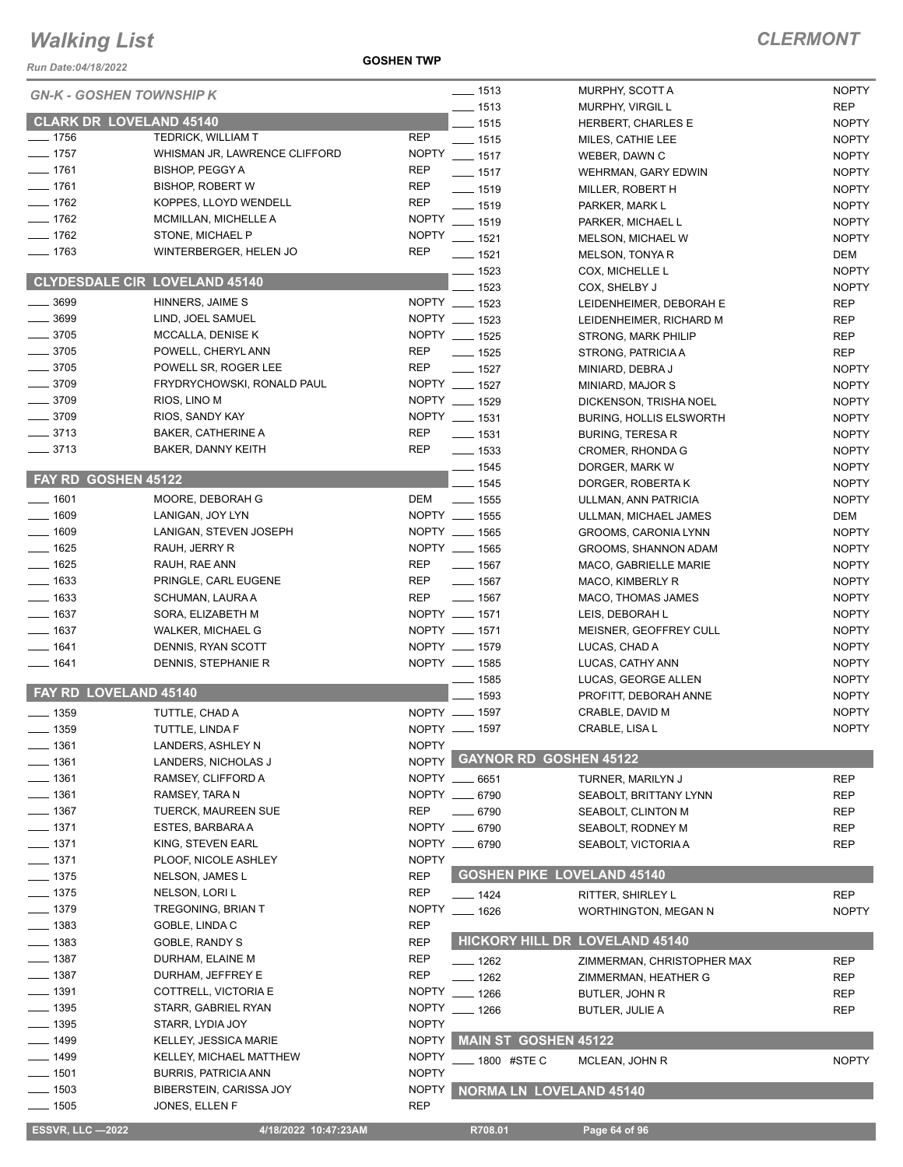*Run Date:04/18/2022*

**GOSHEN TWP**

| <b>ESSVR, LLC-2022</b>          | 4/18/2022 10:47:23AM                 |                                |                    | R708.01                           | Page 64 of 96                                 |                              |
|---------------------------------|--------------------------------------|--------------------------------|--------------------|-----------------------------------|-----------------------------------------------|------------------------------|
| $- 1505$                        | JONES, ELLEN F                       | <b>REP</b>                     |                    |                                   |                                               |                              |
| $- 1503$                        | BIBERSTEIN, CARISSA JOY              | <b>NOPTY</b>                   |                    | <b>NORMA LN LOVELAND 45140</b>    |                                               |                              |
| $\equiv$ 1501                   | <b>BURRIS, PATRICIA ANN</b>          | <b>NOPTY</b>                   |                    |                                   |                                               |                              |
| ___ 1499                        | KELLEY, MICHAEL MATTHEW              | <b>NOPTY</b>                   |                    | _ 1800 #STE C                     | MCLEAN, JOHN R                                | <b>NOPTY</b>                 |
| $- 1499$                        | KELLEY, JESSICA MARIE                | <b>NOPTY</b>                   |                    | MAIN ST GOSHEN 45122              |                                               |                              |
| $- 1395$                        | STARR, LYDIA JOY                     | <b>NOPTY</b>                   |                    |                                   |                                               |                              |
| __ 1395                         | STARR, GABRIEL RYAN                  | <b>NOPTY</b>                   |                    | $-1266$                           | <b>BUTLER, JULIE A</b>                        | <b>REP</b>                   |
| $- 1391$                        | COTTRELL, VICTORIA E                 | <b>NOPTY</b>                   |                    | $-1266$                           | BUTLER, JOHN R                                | <b>REP</b>                   |
| __ 1387                         | DURHAM, JEFFREY E                    | <b>REP</b>                     |                    | $-1262$                           | ZIMMERMAN, HEATHER G                          | <b>REP</b>                   |
| ____ 1387                       | DURHAM, ELAINE M                     | <b>REP</b>                     |                    | $-1262$                           | ZIMMERMAN, CHRISTOPHER MAX                    | REP                          |
| $\frac{1}{2}$ 1383              | GOBLE, RANDY S                       | <b>REP</b>                     |                    |                                   | HICKORY HILL DR LOVELAND 45140                |                              |
| $- 1383$                        | GOBLE, LINDA C                       | <b>REP</b>                     |                    |                                   |                                               |                              |
| $- 1379$                        | TREGONING, BRIAN T                   | <b>NOPTY</b>                   |                    | $- 1626$                          | <b>WORTHINGTON, MEGAN N</b>                   | <b>NOPTY</b>                 |
| $\frac{1}{2}$ 1375              | NELSON, LORI L                       | <b>REP</b>                     |                    | $- 1424$                          | RITTER, SHIRLEY L                             | <b>REP</b>                   |
| $- 1375$                        | NELSON, JAMES L                      | <b>REP</b>                     |                    | <b>GOSHEN PIKE LOVELAND 45140</b> |                                               |                              |
| ____ 1371                       | PLOOF, NICOLE ASHLEY                 | <b>NOPTY</b>                   |                    |                                   |                                               |                              |
| $\frac{1}{2}$ 1371              | KING, STEVEN EARL                    | NOPTY __ 6790                  |                    |                                   | SEABOLT, VICTORIA A                           | <b>REP</b>                   |
| $- 1371$                        | ESTES, BARBARA A                     | NOPTY __ 6790                  |                    |                                   | SEABOLT, RODNEY M                             | <b>REP</b>                   |
| ___ 1367                        | <b>TUERCK, MAUREEN SUE</b>           | <b>REP</b>                     |                    | $- 6790$                          | SEABOLT, CLINTON M                            | <b>REP</b>                   |
| $- 1361$                        | RAMSEY, TARA N                       | NOPTY __ 6790                  |                    |                                   | SEABOLT, BRITTANY LYNN                        | <b>REP</b>                   |
| $-1361$                         | RAMSEY, CLIFFORD A                   | NOPTY __ 6651                  |                    |                                   | TURNER, MARILYN J                             | <b>REP</b>                   |
| 1361                            | LANDERS, NICHOLAS J                  | <b>NOPTY</b>                   |                    | <b>GAYNOR RD GOSHEN 45122</b>     |                                               |                              |
| $-1361$                         | LANDERS, ASHLEY N                    | <b>NOPTY</b>                   |                    |                                   |                                               |                              |
| $\frac{1}{2}$ 1359              | TUTTLE, LINDA F                      | NOPTY __ 1597                  |                    |                                   | CRABLE, LISA L                                | <b>NOPTY</b>                 |
| $\frac{1}{2}$ 1359              | TUTTLE, CHAD A                       | NOPTY __ 1597                  |                    |                                   | CRABLE, DAVID M                               | <b>NOPTY</b>                 |
| FAY RD LOVELAND 45140           |                                      |                                |                    | 1593                              | PROFITT, DEBORAH ANNE                         | <b>NOPTY</b>                 |
|                                 |                                      |                                |                    | $\frac{1}{2}$ 1585                | LUCAS, GEORGE ALLEN                           | <b>NOPTY</b>                 |
| $- 1641$                        | DENNIS, STEPHANIE R                  | NOPTY __ 1585                  |                    |                                   | LUCAS, CATHY ANN                              | <b>NOPTY</b>                 |
| $- 1641$                        | DENNIS, RYAN SCOTT                   | NOPTY __ 1579                  |                    |                                   | LUCAS, CHAD A                                 | <b>NOPTY</b>                 |
| $- 1637$                        | WALKER, MICHAEL G                    | NOPTY __ 1571                  |                    |                                   | MEISNER, GEOFFREY CULL                        | <b>NOPTY</b>                 |
| $- 1637$                        | SORA, ELIZABETH M                    | NOPTY __ 1571                  |                    |                                   | LEIS, DEBORAH L                               | <b>NOPTY</b>                 |
| $- 1633$                        | SCHUMAN, LAURA A                     | <b>REP</b>                     |                    | $\frac{1}{2}$ 1567                | MACO, THOMAS JAMES                            | <b>NOPTY</b>                 |
| $\equiv$ 1633                   | PRINGLE, CARL EUGENE                 | REP                            |                    | $- 1567$                          | MACO, KIMBERLY R                              | <b>NOPTY</b>                 |
| $- 1625$                        | RAUH, RAE ANN                        | <b>REP</b>                     |                    | $\frac{1}{2}$ 1567                | MACO, GABRIELLE MARIE                         | <b>NOPTY</b>                 |
| $- 1625$                        | RAUH, JERRY R                        | NOPTY __ 1565                  |                    |                                   | GROOMS, SHANNON ADAM                          | <b>NOPTY</b>                 |
| $- 1609$                        | LANIGAN, STEVEN JOSEPH               | NOPTY __ 1565                  |                    |                                   | GROOMS, CARONIA LYNN                          | <b>NOPTY</b>                 |
| $- 1609$                        | LANIGAN, JOY LYN                     | NOPTY __ 1555                  |                    |                                   | ULLMAN, ANN PATRICIA<br>ULLMAN, MICHAEL JAMES | DEM                          |
| $- 1601$                        | MOORE, DEBORAH G                     | DEM ______ 1555                |                    |                                   | DORGER, ROBERTA K                             | <b>NOPTY</b>                 |
| FAY RD GOSHEN 45122             |                                      |                                |                    | $- 1545$                          | DORGER, MARK W                                | <b>NOPTY</b>                 |
|                                 |                                      |                                | $- 1545$           |                                   | CROMER, RHONDA G                              | <b>NOPTY</b><br><b>NOPTY</b> |
| $- 3713$                        | BAKER, DANNY KEITH                   | <b>REP</b>                     |                    | $- 1531$<br>$\frac{1}{2}$ 1533    | <b>BURING, TERESA R</b>                       | <b>NOPTY</b>                 |
| $-3713$                         | <b>BAKER, CATHERINE A</b>            | REP                            |                    |                                   | <b>BURING, HOLLIS ELSWORTH</b>                | <b>NOPTY</b>                 |
| $- 3709$                        | RIOS, LINO M<br>RIOS, SANDY KAY      | NOPTY __ 1531                  |                    |                                   | DICKENSON, TRISHA NOEL                        | <b>NOPTY</b>                 |
| $-3709$                         | FRYDRYCHOWSKI, RONALD PAUL           | NOPTY __ 1527<br>NOPTY __ 1529 |                    |                                   | MINIARD, MAJOR S                              | <b>NOPTY</b>                 |
| $- 3705$<br>$-3709$             | POWELL SR, ROGER LEE                 | <b>REP</b>                     |                    | $- 1527$                          | MINIARD, DEBRA J                              | <b>NOPTY</b>                 |
| $- 3705$                        | POWELL, CHERYL ANN                   | <b>REP</b>                     |                    | $- 1525$                          | STRONG, PATRICIA A                            | <b>REP</b>                   |
| $- 3705$                        | MCCALLA, DENISE K                    | NOPTY __ 1525                  |                    |                                   | <b>STRONG, MARK PHILIP</b>                    | <b>REP</b>                   |
| $- 3699$                        | LIND, JOEL SAMUEL                    | NOPTY __ 1523                  |                    |                                   | LEIDENHEIMER, RICHARD M                       | <b>REP</b>                   |
| $\frac{1}{2}$ 3699              | HINNERS, JAIME S                     | NOPTY __ 1523                  |                    |                                   | LEIDENHEIMER, DEBORAH E                       | <b>REP</b>                   |
|                                 |                                      |                                |                    | $-1523$                           | COX, SHELBY J                                 | <b>NOPTY</b>                 |
|                                 | <b>CLYDESDALE CIR LOVELAND 45140</b> |                                |                    | $- 1523$                          | COX, MICHELLE L                               | <b>NOPTY</b>                 |
| $- 1763$                        | WINTERBERGER, HELEN JO               | <b>REP</b>                     |                    | $- 1521$                          | MELSON, TONYA R                               | DEM                          |
| $- 1762$                        | STONE, MICHAEL P                     | NOPTY __ 1521                  |                    |                                   | <b>MELSON, MICHAEL W</b>                      | <b>NOPTY</b>                 |
| $- 1762$                        | MCMILLAN, MICHELLE A                 | <b>NOPTY</b>                   |                    | $- 1519$                          | PARKER, MICHAEL L                             | <b>NOPTY</b>                 |
| $- 1762$                        | KOPPES, LLOYD WENDELL                | <b>REP</b>                     |                    | $-1519$                           | PARKER, MARK L                                | <b>NOPTY</b>                 |
| $- 1761$                        | <b>BISHOP, ROBERT W</b>              | <b>REP</b>                     |                    | $- 1519$                          | MILLER, ROBERT H                              | <b>NOPTY</b>                 |
| $- 1761$                        | <b>BISHOP, PEGGY A</b>               | <b>REP</b>                     |                    | $- 1517$                          | WEHRMAN, GARY EDWIN                           | <b>NOPTY</b>                 |
| $- 1757$                        | WHISMAN JR, LAWRENCE CLIFFORD        | <b>NOPTY</b>                   | $\frac{1}{2}$ 1517 |                                   | WEBER, DAWN C                                 | <b>NOPTY</b>                 |
| $- 1756$                        | <b>TEDRICK, WILLIAM T</b>            | <b>REP</b>                     |                    | $- 1515$                          | MILES, CATHIE LEE                             | <b>NOPTY</b>                 |
| <b>CLARK DR LOVELAND 45140</b>  |                                      |                                |                    | $-1515$                           | HERBERT, CHARLES E                            | <b>NOPTY</b>                 |
|                                 |                                      |                                |                    | $- 1513$                          | <b>MURPHY, VIRGIL L</b>                       | <b>REP</b>                   |
| <b>GN-K - GOSHEN TOWNSHIP K</b> |                                      |                                |                    | $- 1513$                          | MURPHY, SCOTT A                               | <b>NOPTY</b>                 |
|                                 |                                      |                                |                    |                                   |                                               |                              |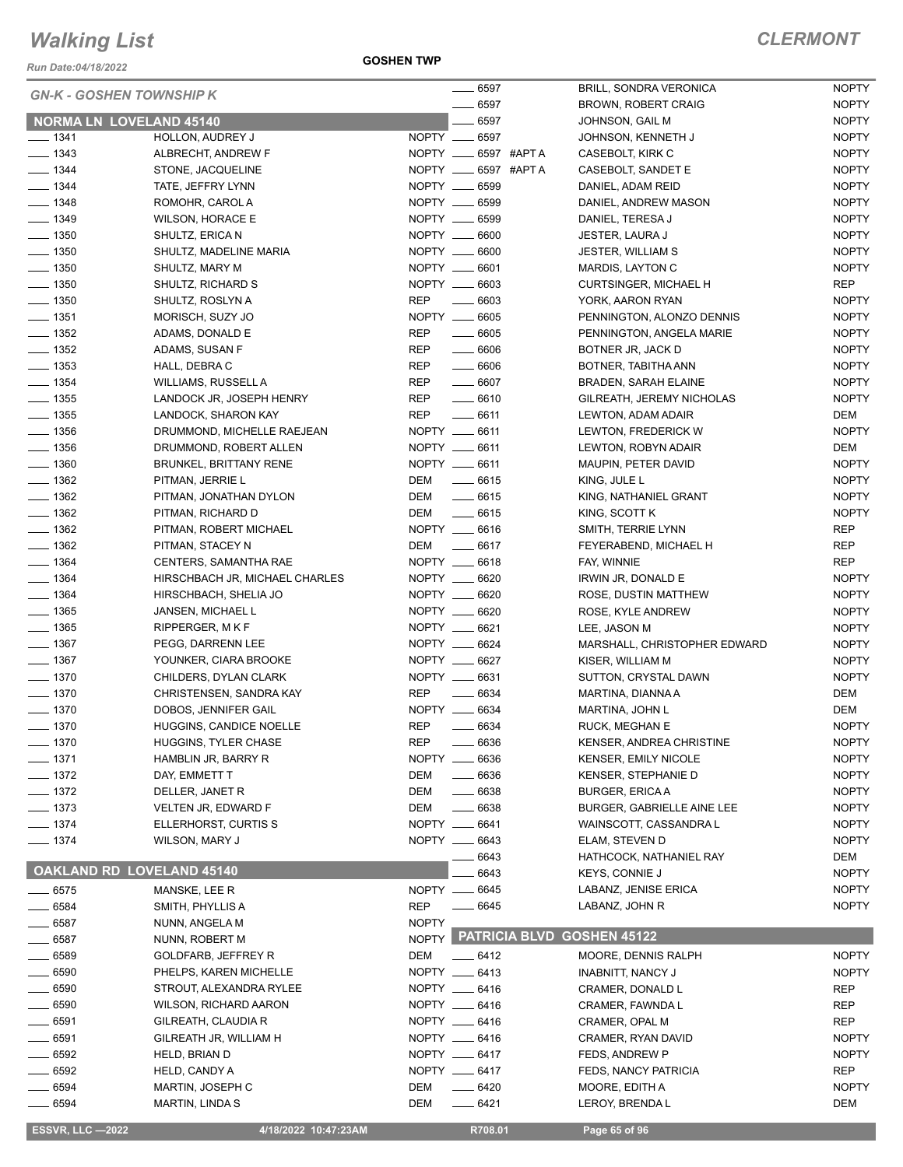*Run Date:04/18/2022*

**GOSHEN TWP**

| <b>GN-K - GOSHEN TOWNSHIP K</b>          |                                      |              | $\frac{1}{2}$ 6597             | <b>BRILL, SONDRA VERONICA</b>                 | <b>NOPTY</b>        |
|------------------------------------------|--------------------------------------|--------------|--------------------------------|-----------------------------------------------|---------------------|
|                                          |                                      |              | $- 6597$                       | <b>BROWN, ROBERT CRAIG</b>                    | <b>NOPTY</b>        |
| <b>NORMA LN LOVELAND 45140</b>           |                                      |              | 6597                           | JOHNSON, GAIL M                               | <b>NOPTY</b>        |
| $- 1341$                                 | <b>HOLLON, AUDREY J</b>              |              | NOPTY __ 6597                  | JOHNSON, KENNETH J                            | <b>NOPTY</b>        |
| $- 1343$                                 | ALBRECHT, ANDREW F                   |              | NOPTY __ 6597 #APTA            | CASEBOLT, KIRK C                              | <b>NOPTY</b>        |
| $- 1344$                                 | STONE, JACQUELINE                    |              | NOPTY __ 6597 #APTA            | CASEBOLT, SANDET E                            | <b>NOPTY</b>        |
| $- 1344$                                 | TATE, JEFFRY LYNN                    |              | NOPTY __ 6599                  | DANIEL, ADAM REID                             | <b>NOPTY</b>        |
| $- 1348$                                 | ROMOHR, CAROL A                      |              | NOPTY __ 6599                  | DANIEL, ANDREW MASON                          | <b>NOPTY</b>        |
| $- 1349$                                 | <b>WILSON, HORACE E</b>              |              | NOPTY __ 6599                  | DANIEL, TERESA J                              | <b>NOPTY</b>        |
| $- 1350$                                 | SHULTZ, ERICA N                      |              | NOPTY __ 6600                  | JESTER, LAURA J                               | <b>NOPTY</b>        |
| $-1350$                                  | SHULTZ, MADELINE MARIA               |              | NOPTY __ 6600                  | <b>JESTER, WILLIAM S</b>                      | <b>NOPTY</b>        |
| $\frac{1}{2}$ 1350                       | SHULTZ, MARY M                       |              | NOPTY __ 6601<br>NOPTY __ 6603 | MARDIS, LAYTON C                              | <b>NOPTY</b><br>REP |
| $\frac{1}{2}$ 1350<br>$\frac{1}{2}$ 1350 | SHULTZ, RICHARD S                    | <b>REP</b>   | $- 6603$                       | <b>CURTSINGER, MICHAEL H</b>                  | <b>NOPTY</b>        |
| $- 1351$                                 | SHULTZ, ROSLYN A<br>MORISCH, SUZY JO |              | NOPTY __ 6605                  | YORK, AARON RYAN<br>PENNINGTON, ALONZO DENNIS | <b>NOPTY</b>        |
| $\frac{1}{2}$ 1352                       | ADAMS, DONALD E                      | REP          | $- 6605$                       | PENNINGTON, ANGELA MARIE                      | <b>NOPTY</b>        |
| $\frac{1}{2}$ 1352                       | ADAMS, SUSAN F                       | REP          | $- 6606$                       | BOTNER JR, JACK D                             | <b>NOPTY</b>        |
| $\frac{1}{2}$ 1353                       | HALL, DEBRA C                        | REP          | $\frac{1}{2}$ 6606             | BOTNER, TABITHA ANN                           | <b>NOPTY</b>        |
| $- 1354$                                 | WILLIAMS, RUSSELL A                  | <b>REP</b>   | $\frac{1}{2}$ 6607             | BRADEN, SARAH ELAINE                          | <b>NOPTY</b>        |
| $\frac{1}{2}$ 1355                       | LANDOCK JR, JOSEPH HENRY             | REP          | $- 6610$                       | GILREATH, JEREMY NICHOLAS                     | <b>NOPTY</b>        |
| $\frac{1}{2}$ 1355                       | LANDOCK, SHARON KAY                  | REP          | $-6611$                        | LEWTON, ADAM ADAIR                            | DEM                 |
| $- 1356$                                 | DRUMMOND, MICHELLE RAEJEAN           |              | NOPTY __ 6611                  | LEWTON, FREDERICK W                           | <b>NOPTY</b>        |
| $- 1356$                                 | DRUMMOND, ROBERT ALLEN               |              | NOPTY __ 6611                  | LEWTON, ROBYN ADAIR                           | DEM                 |
| $- 1360$                                 | <b>BRUNKEL, BRITTANY RENE</b>        |              | NOPTY __ 6611                  | MAUPIN, PETER DAVID                           | <b>NOPTY</b>        |
| $\frac{1}{2}$ 1362                       | PITMAN, JERRIE L                     |              | DEM __ 6615                    | KING, JULE L                                  | <b>NOPTY</b>        |
| $\frac{1}{2}$ 1362                       | PITMAN, JONATHAN DYLON               | DEM          | $-6615$                        | KING, NATHANIEL GRANT                         | <b>NOPTY</b>        |
| $- 1362$                                 | PITMAN, RICHARD D                    | DEM          | $\frac{1}{2}$ 6615             | KING, SCOTT K                                 | <b>NOPTY</b>        |
| $\frac{1}{2}$ 1362                       | PITMAN, ROBERT MICHAEL               |              | NOPTY __ 6616                  | SMITH, TERRIE LYNN                            | REP                 |
| $\frac{1}{2}$ 1362                       | PITMAN, STACEY N                     |              | DEM _______ 6617               | FEYERABEND, MICHAEL H                         | REP                 |
| $- 1364$                                 | CENTERS, SAMANTHA RAE                |              | NOPTY __ 6618                  | FAY, WINNIE                                   | <b>REP</b>          |
| $- 1364$                                 | HIRSCHBACH JR, MICHAEL CHARLES       |              | NOPTY __ 6620                  | IRWIN JR, DONALD E                            | <b>NOPTY</b>        |
| $- 1364$                                 | HIRSCHBACH, SHELIA JO                |              | NOPTY __ 6620                  | ROSE, DUSTIN MATTHEW                          | <b>NOPTY</b>        |
| $- 1365$                                 | JANSEN, MICHAEL L                    |              | NOPTY __ 6620                  | ROSE, KYLE ANDREW                             | <b>NOPTY</b>        |
| $- 1365$                                 | RIPPERGER, MKF                       |              | NOPTY __ 6621                  | LEE, JASON M                                  | <b>NOPTY</b>        |
| $- 1367$                                 | PEGG, DARRENN LEE                    |              | NOPTY __ 6624                  | MARSHALL, CHRISTOPHER EDWARD                  | <b>NOPTY</b>        |
| $- 1367$                                 | YOUNKER, CIARA BROOKE                |              | NOPTY __ 6627                  | KISER, WILLIAM M                              | <b>NOPTY</b>        |
| $- 1370$                                 | CHILDERS, DYLAN CLARK                |              | NOPTY __ 6631                  | SUTTON, CRYSTAL DAWN                          | <b>NOPTY</b>        |
| $- 1370$                                 | CHRISTENSEN, SANDRA KAY              | <b>REP</b>   | $\frac{1}{1}$ 6634             | MARTINA, DIANNA A                             | DEM                 |
| $- 1370$                                 | DOBOS, JENNIFER GAIL                 |              | NOPTY __ 6634                  | MARTINA, JOHN L                               | DEM                 |
| $- 1370$                                 | HUGGINS, CANDICE NOELLE              | <b>REP</b>   | $- 6634$                       | <b>RUCK, MEGHAN E</b>                         | <b>NOPTY</b>        |
| $- 1370$                                 | <b>HUGGINS, TYLER CHASE</b>          | <b>REP</b>   | 6636                           | KENSER, ANDREA CHRISTINE                      | <b>NOPTY</b>        |
| $- 1371$                                 | HAMBLIN JR, BARRY R                  |              | NOPTY __ 6636                  | <b>KENSER, EMILY NICOLE</b>                   | <b>NOPTY</b>        |
| $- 1372$                                 | DAY, EMMETT T                        | DEM          | $- 6636$                       | KENSER, STEPHANIE D                           | <b>NOPTY</b>        |
| $-1372$                                  | DELLER, JANET R                      | DEM          | $- 6638$                       | <b>BURGER, ERICAA</b>                         | <b>NOPTY</b>        |
| $- 1373$                                 | VELTEN JR, EDWARD F                  | DEM          | $- 6638$                       | BURGER, GABRIELLE AINE LEE                    | <b>NOPTY</b>        |
| $- 1374$                                 | ELLERHORST, CURTIS S                 |              | NOPTY __ 6641                  | WAINSCOTT, CASSANDRA L                        | <b>NOPTY</b>        |
| $- 1374$                                 | WILSON, MARY J                       |              | NOPTY __ 6643                  | ELAM, STEVEN D                                | <b>NOPTY</b>        |
|                                          |                                      |              | 6643                           | HATHCOCK, NATHANIEL RAY                       | DEM                 |
| OAKLAND RD LOVELAND 45140                |                                      |              | 6643                           | <b>KEYS, CONNIE J</b>                         | <b>NOPTY</b>        |
| $\frac{1}{2}$ 6575                       | MANSKE, LEE R                        |              | NOPTY __ 6645                  | LABANZ, JENISE ERICA                          | <b>NOPTY</b>        |
| $- 6584$                                 | SMITH, PHYLLIS A                     | <b>REP</b>   | $- 6645$                       | LABANZ, JOHN R                                | <b>NOPTY</b>        |
| $-6587$                                  | NUNN, ANGELA M                       | <b>NOPTY</b> |                                |                                               |                     |
| $- 6587$                                 | NUNN, ROBERT M                       |              |                                | NOPTY PATRICIA BLVD GOSHEN 45122              |                     |
| $-6589$                                  | GOLDFARB, JEFFREY R                  | DEM          | $-6412$                        | MOORE, DENNIS RALPH                           | <b>NOPTY</b>        |
| $-6590$                                  | PHELPS, KAREN MICHELLE               |              | NOPTY __ 6413                  | <b>INABNITT, NANCY J</b>                      | <b>NOPTY</b>        |
| $-6590$                                  | STROUT, ALEXANDRA RYLEE              |              | NOPTY __ 6416                  | CRAMER, DONALD L                              | REP                 |
| 6590                                     | WILSON, RICHARD AARON                |              | NOPTY __ 6416                  | CRAMER, FAWNDA L                              | REP                 |
| - 6591                                   | GILREATH, CLAUDIA R                  |              | NOPTY __ 6416                  | CRAMER, OPAL M                                | REP                 |
| 6591                                     | GILREATH JR, WILLIAM H               |              | NOPTY __ 6416                  | CRAMER, RYAN DAVID                            | <b>NOPTY</b>        |
| _ 6592                                   | HELD, BRIAN D                        |              | NOPTY __ 6417                  | FEDS, ANDREW P                                | <b>NOPTY</b>        |
| $-6592$                                  | HELD, CANDY A                        |              | NOPTY __ 6417                  | <b>FEDS, NANCY PATRICIA</b>                   | REP                 |
| 6594                                     | MARTIN, JOSEPH C                     | DEM          | $-6420$                        | MOORE, EDITH A                                | <b>NOPTY</b>        |
| $- 6594$                                 | <b>MARTIN, LINDA S</b>               | DEM          | $-6421$                        | LEROY, BRENDA L                               | DEM                 |
| <b>ESSVR, LLC -2022</b>                  | 4/18/2022 10:47:23AM                 |              | R708.01                        | Page 65 of 96                                 |                     |
|                                          |                                      |              |                                |                                               |                     |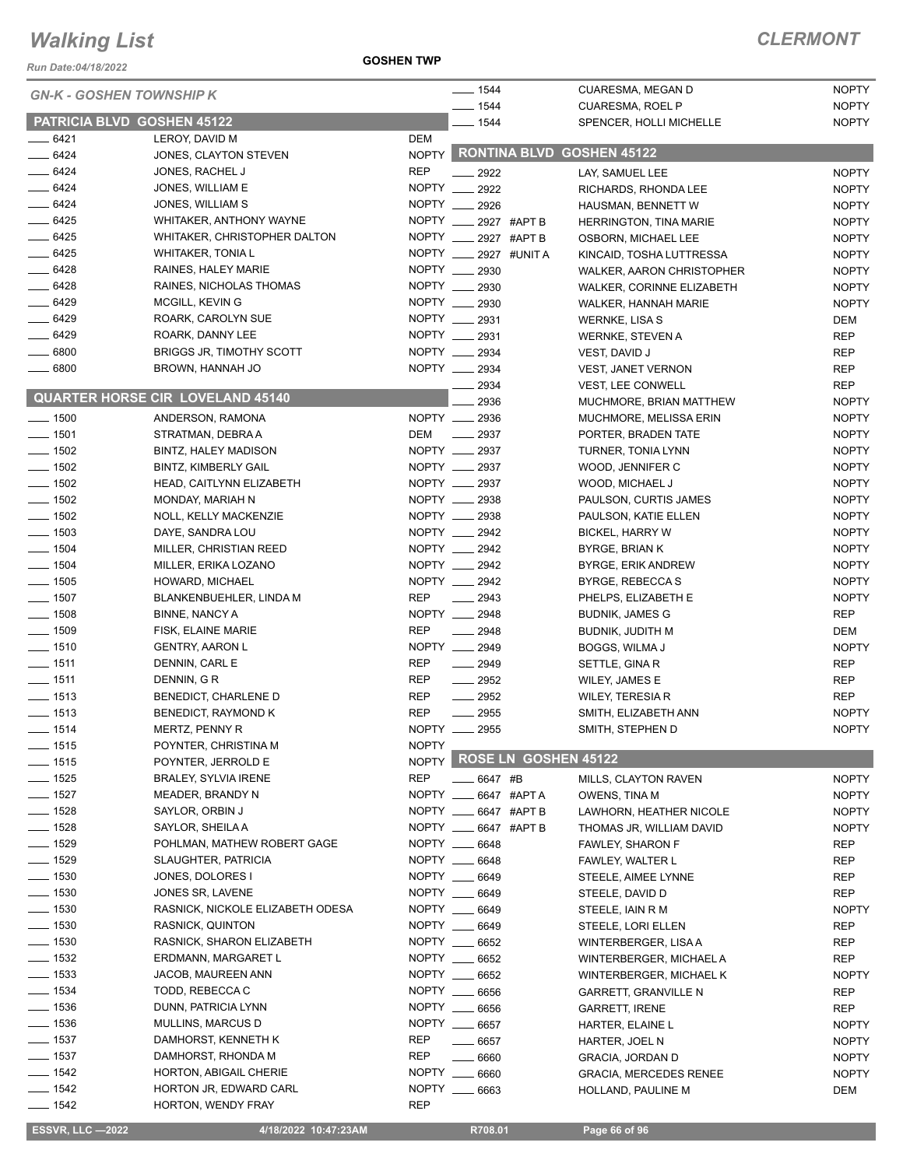#### *Run Date:04/18/2022*

**GOSHEN TWP**

#### *CLERMONT*

| <b>GN-K - GOSHEN TOWNSHIP K</b> |                                         | $- 1544$     | CUARESMA, MEGAN D     | <b>NOPTY</b>                                       |                              |
|---------------------------------|-----------------------------------------|--------------|-----------------------|----------------------------------------------------|------------------------------|
| PATRICIA BLVD GOSHEN 45122      |                                         |              | $-1544$<br>$-1544$    | <b>CUARESMA, ROEL P</b><br>SPENCER, HOLLI MICHELLE | <b>NOPTY</b><br><b>NOPTY</b> |
| $-6421$                         | LEROY, DAVID M                          | DEM          |                       |                                                    |                              |
| $-6424$                         | JONES, CLAYTON STEVEN                   |              |                       | NOPTY RONTINA BLVD GOSHEN 45122                    |                              |
| $- 6424$                        | JONES, RACHEL J                         | <b>REP</b>   | $-2922$               | LAY, SAMUEL LEE                                    | <b>NOPTY</b>                 |
| $-6424$                         | JONES, WILLIAM E                        | NOPTY ___    | 2922                  | RICHARDS, RHONDA LEE                               | <b>NOPTY</b>                 |
| $-6424$                         | JONES, WILLIAM S                        |              | NOPTY __ 2926         | HAUSMAN, BENNETT W                                 | <b>NOPTY</b>                 |
| $- 6425$                        | WHITAKER, ANTHONY WAYNE                 |              | NOPTY __ 2927 #APT B  | HERRINGTON, TINA MARIE                             | <b>NOPTY</b>                 |
| $- 6425$                        | WHITAKER, CHRISTOPHER DALTON            |              | NOPTY __ 2927 #APT B  | OSBORN, MICHAEL LEE                                | <b>NOPTY</b>                 |
| $- 6425$                        | <b>WHITAKER, TONIA L</b>                |              | NOPTY __ 2927 #UNIT A | KINCAID, TOSHA LUTTRESSA                           | <b>NOPTY</b>                 |
| $-6428$                         | RAINES, HALEY MARIE                     |              | NOPTY __ 2930         | WALKER, AARON CHRISTOPHER                          | <b>NOPTY</b>                 |
| $-6428$                         | RAINES, NICHOLAS THOMAS                 |              | NOPTY __ 2930         | WALKER, CORINNE ELIZABETH                          | <b>NOPTY</b>                 |
| $- 6429$                        | MCGILL, KEVIN G                         |              | NOPTY __ 2930         | WALKER, HANNAH MARIE                               | <b>NOPTY</b>                 |
| $- 6429$                        | ROARK, CAROLYN SUE                      |              | NOPTY __ 2931         | <b>WERNKE, LISA S</b>                              | DEM                          |
| $-6429$                         | ROARK, DANNY LEE                        |              | NOPTY __ 2931         | <b>WERNKE, STEVEN A</b>                            | <b>REP</b>                   |
| $\frac{1}{2}$ 6800              | <b>BRIGGS JR, TIMOTHY SCOTT</b>         |              | NOPTY __ 2934         | VEST, DAVID J                                      | <b>REP</b>                   |
| $\frac{1}{2}$ 6800              | BROWN, HANNAH JO                        |              | NOPTY __ 2934         | VEST, JANET VERNON                                 | <b>REP</b>                   |
|                                 |                                         |              | $\frac{2934}{ }$      | <b>VEST, LEE CONWELL</b>                           | <b>REP</b>                   |
|                                 | <b>QUARTER HORSE CIR LOVELAND 45140</b> |              | 2936                  | MUCHMORE, BRIAN MATTHEW                            | <b>NOPTY</b>                 |
| $\frac{1}{2}$ 1500              | ANDERSON, RAMONA                        |              | NOPTY __ 2936         | MUCHMORE, MELISSA ERIN                             | <b>NOPTY</b>                 |
| $\frac{1}{2}$ 1501              | STRATMAN, DEBRA A                       | DEM          | $\sim$ 2937           | PORTER, BRADEN TATE                                | <b>NOPTY</b>                 |
| $- 1502$                        | BINTZ, HALEY MADISON                    |              | NOPTY __ 2937         | TURNER, TONIA LYNN                                 | <b>NOPTY</b>                 |
| $- 1502$                        | <b>BINTZ, KIMBERLY GAIL</b>             |              | NOPTY __ 2937         | WOOD, JENNIFER C                                   | <b>NOPTY</b>                 |
| $- 1502$                        | HEAD, CAITLYNN ELIZABETH                |              | NOPTY __ 2937         | WOOD, MICHAEL J                                    | <b>NOPTY</b>                 |
| $- 1502$                        | MONDAY, MARIAH N                        |              | NOPTY __ 2938         | PAULSON, CURTIS JAMES                              | <b>NOPTY</b>                 |
| $\frac{1}{2}$ 1502              | NOLL, KELLY MACKENZIE                   |              | NOPTY __ 2938         | PAULSON, KATIE ELLEN                               | <b>NOPTY</b>                 |
| $- 1503$                        | DAYE, SANDRA LOU                        |              | NOPTY __ 2942         | <b>BICKEL, HARRY W</b>                             | <b>NOPTY</b>                 |
| $- 1504$                        | MILLER, CHRISTIAN REED                  |              | NOPTY __ 2942         | BYRGE, BRIAN K                                     | <b>NOPTY</b>                 |
| $- 1504$                        | MILLER, ERIKA LOZANO                    |              | NOPTY __ 2942         | BYRGE, ERIK ANDREW                                 | <b>NOPTY</b>                 |
| $- 1505$                        | HOWARD, MICHAEL                         |              | NOPTY __ 2942         | BYRGE, REBECCA S                                   | <b>NOPTY</b>                 |
| $\frac{1}{2}$ 1507              | BLANKENBUEHLER, LINDA M                 | <b>REP</b>   | $\frac{1}{2943}$      | PHELPS, ELIZABETH E                                | <b>NOPTY</b>                 |
| $- 1508$                        | <b>BINNE, NANCY A</b>                   |              | NOPTY __ 2948         | <b>BUDNIK, JAMES G</b>                             | <b>REP</b>                   |
| $\frac{1}{2}$ 1509              | FISK, ELAINE MARIE                      | <b>REP</b>   | $-2948$               | <b>BUDNIK, JUDITH M</b>                            | DEM                          |
| $- 1510$                        | <b>GENTRY, AARON L</b>                  |              | NOPTY __ 2949         | BOGGS, WILMA J                                     | <b>NOPTY</b>                 |
| $- 1511$                        | DENNIN, CARL E                          | <b>REP</b>   | $-2949$               | SETTLE, GINA R                                     | <b>REP</b>                   |
| $- 1511$                        | DENNIN, GR                              | <b>REP</b>   | $\frac{1}{2952}$      | WILEY, JAMES E                                     | <b>REP</b>                   |
| $- 1513$                        | BENEDICT, CHARLENE D                    | <b>REP</b>   | $\frac{1}{2}$ 2952    | <b>WILEY, TERESIA R</b>                            | <b>REP</b>                   |
| $- 1513$                        | BENEDICT, RAYMOND K                     | <b>REP</b>   | $-2955$               | SMITH, ELIZABETH ANN                               | <b>NOPTY</b>                 |
| _ 1514                          | MERTZ, PENNY R                          | NOPTY __     | 2955                  | SMITH, STEPHEN D                                   | <b>NOPTY</b>                 |
| $- 1515$                        | POYNTER, CHRISTINA M                    | <b>NOPTY</b> |                       |                                                    |                              |
| $- 1515$                        | POYNTER, JERROLD E                      | <b>NOPTY</b> | ROSE LN GOSHEN 45122  |                                                    |                              |
| $- 1525$                        | <b>BRALEY, SYLVIA IRENE</b>             | <b>REP</b>   | 6647 #B               | MILLS, CLAYTON RAVEN                               | <b>NOPTY</b>                 |
| $- 1527$                        | MEADER, BRANDY N                        |              | NOPTY __ 6647 #APTA   | OWENS, TINA M                                      | <b>NOPTY</b>                 |
| $\frac{1}{2}$ 1528              | SAYLOR, ORBIN J                         |              | NOPTY __ 6647 #APT B  | LAWHORN, HEATHER NICOLE                            | <b>NOPTY</b>                 |
| $- 1528$                        | SAYLOR, SHEILA A                        | NOPTY __     | 6647 #APT B           | THOMAS JR, WILLIAM DAVID                           | <b>NOPTY</b>                 |
| $- 1529$                        | POHLMAN, MATHEW ROBERT GAGE             |              | NOPTY __ 6648         | <b>FAWLEY, SHARON F</b>                            | <b>REP</b>                   |
| $- 1529$                        | SLAUGHTER, PATRICIA                     |              | NOPTY __ 6648         | FAWLEY, WALTER L                                   | <b>REP</b>                   |
| $- 1530$                        | JONES, DOLORES I                        |              | NOPTY __ 6649         | STEELE, AIMEE LYNNE                                | REP                          |
| $\frac{1}{2}$ 1530              | JONES SR, LAVENE                        |              | NOPTY __ 6649         | STEELE, DAVID D                                    | <b>REP</b>                   |
| $- 1530$                        | RASNICK, NICKOLE ELIZABETH ODESA        |              | NOPTY __ 6649         | STEELE, IAIN R M                                   | <b>NOPTY</b>                 |
| $\frac{1}{2}$ 1530              | RASNICK, QUINTON                        |              | NOPTY __ 6649         | STEELE, LORI ELLEN                                 | REP                          |
| $\frac{1}{2}$ 1530              | RASNICK, SHARON ELIZABETH               |              | NOPTY __ 6652         | WINTERBERGER, LISA A                               | <b>REP</b>                   |
| $- 1532$                        | ERDMANN, MARGARET L                     |              | NOPTY __ 6652         | WINTERBERGER, MICHAEL A                            | REP                          |
| $\frac{1}{2}$ 1533              | JACOB, MAUREEN ANN                      |              | NOPTY __ 6652         | WINTERBERGER, MICHAEL K                            | <b>NOPTY</b>                 |
| $- 1534$                        | TODD, REBECCA C                         | NOPTY __     | 6656                  | <b>GARRETT, GRANVILLE N</b>                        | REP                          |
| $- 1536$                        | DUNN, PATRICIA LYNN                     |              | NOPTY __ 6656         | <b>GARRETT, IRENE</b>                              | <b>REP</b>                   |
| $- 1536$                        | MULLINS, MARCUS D                       |              | NOPTY __ 6657         | HARTER, ELAINE L                                   | <b>NOPTY</b>                 |
| $\frac{1}{2}$ 1537              | DAMHORST, KENNETH K                     | <b>REP</b>   | $- 6657$              | HARTER, JOEL N                                     | <b>NOPTY</b>                 |
| $\frac{1}{2}$ 1537              | DAMHORST, RHONDA M                      | REP          | $- 6660$              | <b>GRACIA, JORDAN D</b>                            | <b>NOPTY</b>                 |
| $- 1542$                        | HORTON, ABIGAIL CHERIE                  |              | NOPTY __ 6660         | <b>GRACIA, MERCEDES RENEE</b>                      | <b>NOPTY</b>                 |
| $- 1542$                        | HORTON JR, EDWARD CARL                  |              | NOPTY __ 6663         | HOLLAND, PAULINE M                                 | DEM                          |
| $- 1542$                        | HORTON, WENDY FRAY                      | <b>REP</b>   |                       |                                                    |                              |

**ESSVR, LLC -2022 4/18/2022 10:47:23AM** R708.01 **Page 66 of 96**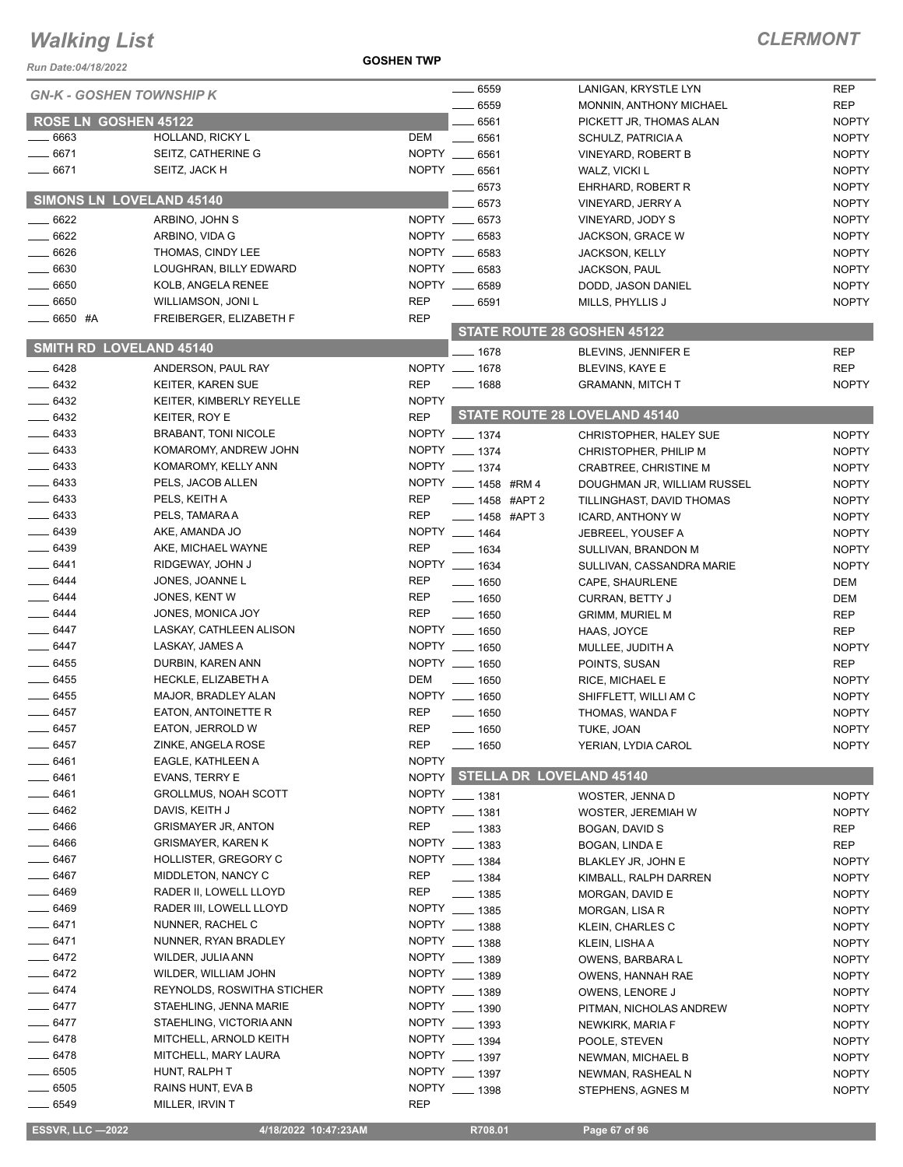#### *Run Date:04/18/2022*

#### **GOSHEN TWP**

| <b>GN-K - GOSHEN TOWNSHIP K</b> |                             |              | $- 6559$                  | LANIGAN, KRYSTLE LYN          | <b>REP</b>   |
|---------------------------------|-----------------------------|--------------|---------------------------|-------------------------------|--------------|
|                                 |                             |              | 6559                      | MONNIN, ANTHONY MICHAEL       | <b>REP</b>   |
| ROSE LN GOSHEN 45122            |                             |              | 6561                      | PICKETT JR, THOMAS ALAN       | <b>NOPTY</b> |
| 6663                            | HOLLAND, RICKY L            | DEM          | 6561                      | SCHULZ, PATRICIA A            | <b>NOPTY</b> |
| 6671                            | SEITZ, CATHERINE G          | NOPTY __     | 6561                      | VINEYARD, ROBERT B            | <b>NOPTY</b> |
| 6671                            | SEITZ, JACK H               |              | NOPTY __ 6561             | WALZ, VICKI L                 | <b>NOPTY</b> |
|                                 |                             |              | 6573                      | EHRHARD, ROBERT R             | <b>NOPTY</b> |
| SIMONS LN LOVELAND 45140        |                             |              | 6573                      | VINEYARD, JERRY A             | <b>NOPTY</b> |
| 6622                            | ARBINO, JOHN S              |              | NOPTY __ 6573             | VINEYARD, JODY S              | <b>NOPTY</b> |
| 6622                            | ARBINO, VIDA G              |              | NOPTY __ 6583             | JACKSON, GRACE W              | <b>NOPTY</b> |
| $-6626$                         | THOMAS, CINDY LEE           |              | NOPTY __ 6583             | <b>JACKSON, KELLY</b>         | <b>NOPTY</b> |
| 6630                            | LOUGHRAN, BILLY EDWARD      |              | NOPTY __ 6583             | <b>JACKSON, PAUL</b>          | <b>NOPTY</b> |
| $-6650$                         | KOLB, ANGELA RENEE          |              | NOPTY __ 6589             | DODD, JASON DANIEL            | <b>NOPTY</b> |
| 6650                            | WILLIAMSON, JONI L          | <b>REP</b>   | $\frac{1}{2}$ 6591        | MILLS, PHYLLIS J              | <b>NOPTY</b> |
| — 6650 #A                       | FREIBERGER, ELIZABETH F     | <b>REP</b>   |                           |                               |              |
|                                 |                             |              |                           | STATE ROUTE 28 GOSHEN 45122   |              |
| <b>SMITH RD LOVELAND 45140</b>  |                             |              |                           |                               |              |
|                                 |                             |              | $-1678$                   | BLEVINS, JENNIFER E           | <b>REP</b>   |
| $-6428$                         | ANDERSON, PAUL RAY          |              | NOPTY __ 1678             | <b>BLEVINS, KAYE E</b>        | <b>REP</b>   |
| 6432                            | KEITER, KAREN SUE           | <b>REP</b>   | ____ 1688                 | <b>GRAMANN, MITCH T</b>       | <b>NOPTY</b> |
| $-6432$                         | KEITER, KIMBERLY REYELLE    | <b>NOPTY</b> |                           |                               |              |
| $-6432$                         | KEITER, ROY E               | <b>REP</b>   |                           | STATE ROUTE 28 LOVELAND 45140 |              |
| $- 6433$                        | <b>BRABANT, TONI NICOLE</b> |              | NOPTY __ 1374             | CHRISTOPHER, HALEY SUE        | <b>NOPTY</b> |
| $- 6433$                        | KOMAROMY, ANDREW JOHN       |              | NOPTY __ 1374             | CHRISTOPHER, PHILIP M         | <b>NOPTY</b> |
| $-6433$                         | KOMAROMY, KELLY ANN         |              | NOPTY __ 1374             | CRABTREE, CHRISTINE M         | <b>NOPTY</b> |
| $- 6433$                        | PELS, JACOB ALLEN           |              | NOPTY _____ 1458 #RM 4    | DOUGHMAN JR, WILLIAM RUSSEL   | <b>NOPTY</b> |
| $- 6433$                        | PELS, KEITH A               | <b>REP</b>   | $\frac{1}{2}$ 1458 #APT 2 | TILLINGHAST, DAVID THOMAS     | <b>NOPTY</b> |
| $- 6433$                        | PELS, TAMARA A              | <b>REP</b>   | $- 1458$ #APT 3           | ICARD, ANTHONY W              | <b>NOPTY</b> |
| $- 6439$                        | AKE, AMANDA JO              |              | NOPTY __ 1464             | JEBREEL, YOUSEF A             | <b>NOPTY</b> |
| $-6439$                         | AKE, MICHAEL WAYNE          | <b>REP</b>   | $- 1634$                  | SULLIVAN, BRANDON M           | <b>NOPTY</b> |
| $-6441$                         | RIDGEWAY, JOHN J            |              | NOPTY __ 1634             |                               | <b>NOPTY</b> |
|                                 |                             |              |                           | SULLIVAN, CASSANDRA MARIE     |              |
| 6444                            | JONES, JOANNE L             | <b>REP</b>   | $- 1650$                  | CAPE, SHAURLENE               | DEM          |
| 6444                            | JONES, KENT W               | REP          | $- 1650$                  | CURRAN, BETTY J               | DEM          |
| 6444                            | JONES, MONICA JOY           | <b>REP</b>   | $- 1650$                  | <b>GRIMM, MURIEL M</b>        | <b>REP</b>   |
| 6447                            | LASKAY, CATHLEEN ALISON     |              | NOPTY __ 1650             | HAAS, JOYCE                   | <b>REP</b>   |
| $-6447$                         | LASKAY, JAMES A             |              | NOPTY __ 1650             | MULLEE, JUDITH A              | <b>NOPTY</b> |
| $- 6455$                        | DURBIN, KAREN ANN           |              | NOPTY __ 1650             | POINTS, SUSAN                 | <b>REP</b>   |
| $- 6455$                        | HECKLE, ELIZABETH A         | DEM          | $- 1650$                  | RICE, MICHAEL E               | <b>NOPTY</b> |
| $- 6455$                        | MAJOR, BRADLEY ALAN         |              | NOPTY __ 1650             | SHIFFLETT, WILLI AM C         | <b>NOPTY</b> |
| 6457                            | EATON, ANTOINETTE R         | <b>REP</b>   | $- 1650$                  | THOMAS, WANDA F               | <b>NOPTY</b> |
| 6457                            | EATON, JERROLD W            | <b>REP</b>   | 1650                      | TUKE, JOAN                    | <b>NOPTY</b> |
| 6457                            | ZINKE, ANGELA ROSE          | <b>REP</b>   | $- 1650$                  | YERIAN, LYDIA CAROL           | <b>NOPTY</b> |
| 6461                            | EAGLE, KATHLEEN A           | <b>NOPTY</b> |                           |                               |              |
| 6461                            | <b>EVANS, TERRY E</b>       | <b>NOPTY</b> |                           | STELLA DR LOVELAND 45140      |              |
| 6461                            | <b>GROLLMUS, NOAH SCOTT</b> | <b>NOPTY</b> | $- 1381$                  | WOSTER, JENNA D               | <b>NOPTY</b> |
| $- 6462$                        | DAVIS, KEITH J              | <b>NOPTY</b> | $\frac{1}{2}$ 1381        | WOSTER, JEREMIAH W            | <b>NOPTY</b> |
| 6466                            | <b>GRISMAYER JR, ANTON</b>  | <b>REP</b>   | $- 1383$                  | BOGAN, DAVID S                | REP          |
| _ 6466                          | <b>GRISMAYER, KAREN K</b>   | <b>NOPTY</b> | $\frac{1}{2}$ 1383        | <b>BOGAN, LINDA E</b>         | <b>REP</b>   |
| $-6467$                         | <b>HOLLISTER, GREGORY C</b> | <b>NOPTY</b> | $- 1384$                  |                               | <b>NOPTY</b> |
| 6467                            | MIDDLETON, NANCY C          | <b>REP</b>   |                           | BLAKLEY JR, JOHN E            |              |
| $-6469$                         | RADER II, LOWELL LLOYD      | <b>REP</b>   | $- 1384$                  | KIMBALL, RALPH DARREN         | <b>NOPTY</b> |
|                                 |                             |              | $- 1385$                  | MORGAN, DAVID E               | <b>NOPTY</b> |
| 6469                            | RADER III, LOWELL LLOYD     |              | NOPTY __ 1385             | MORGAN, LISA R                | <b>NOPTY</b> |
| __ 6471                         | NUNNER, RACHEL C            |              | NOPTY __ 1388             | KLEIN, CHARLES C              | <b>NOPTY</b> |
| 6471                            | NUNNER, RYAN BRADLEY        |              | NOPTY __ 1388             | KLEIN, LISHA A                | <b>NOPTY</b> |
| 6472                            | WILDER, JULIA ANN           | NOPTY        | $- 1389$                  | OWENS, BARBARA L              | <b>NOPTY</b> |
| $-6472$                         | WILDER, WILLIAM JOHN        |              | NOPTY __ 1389             | OWENS, HANNAH RAE             | <b>NOPTY</b> |
| $-6474$                         | REYNOLDS, ROSWITHA STICHER  |              | NOPTY __ 1389             | OWENS, LENORE J               | <b>NOPTY</b> |
| __ 6477                         | STAEHLING, JENNA MARIE      |              | NOPTY __ 1390             | PITMAN, NICHOLAS ANDREW       | <b>NOPTY</b> |
| $- 6477$                        | STAEHLING, VICTORIA ANN     |              | NOPTY __ 1393             | NEWKIRK, MARIA F              | <b>NOPTY</b> |
| 6478                            | MITCHELL, ARNOLD KEITH      |              | NOPTY __ 1394             | POOLE, STEVEN                 | <b>NOPTY</b> |
| $-6478$                         | MITCHELL, MARY LAURA        |              | NOPTY __ 1397             | NEWMAN, MICHAEL B             | <b>NOPTY</b> |
| $-6505$                         | HUNT, RALPH T               |              | NOPTY __ 1397             | NEWMAN, RASHEAL N             | <b>NOPTY</b> |
| $-6505$                         | RAINS HUNT, EVA B           |              | NOPTY __ 1398             |                               | <b>NOPTY</b> |
| $-6549$                         | MILLER, IRVIN T             | <b>REP</b>   |                           | STEPHENS, AGNES M             |              |
|                                 |                             |              |                           |                               |              |
| <b>ESSVR, LLC -2022</b>         | 4/18/2022 10:47:23AM        |              | R708.01                   | Page 67 of 96                 |              |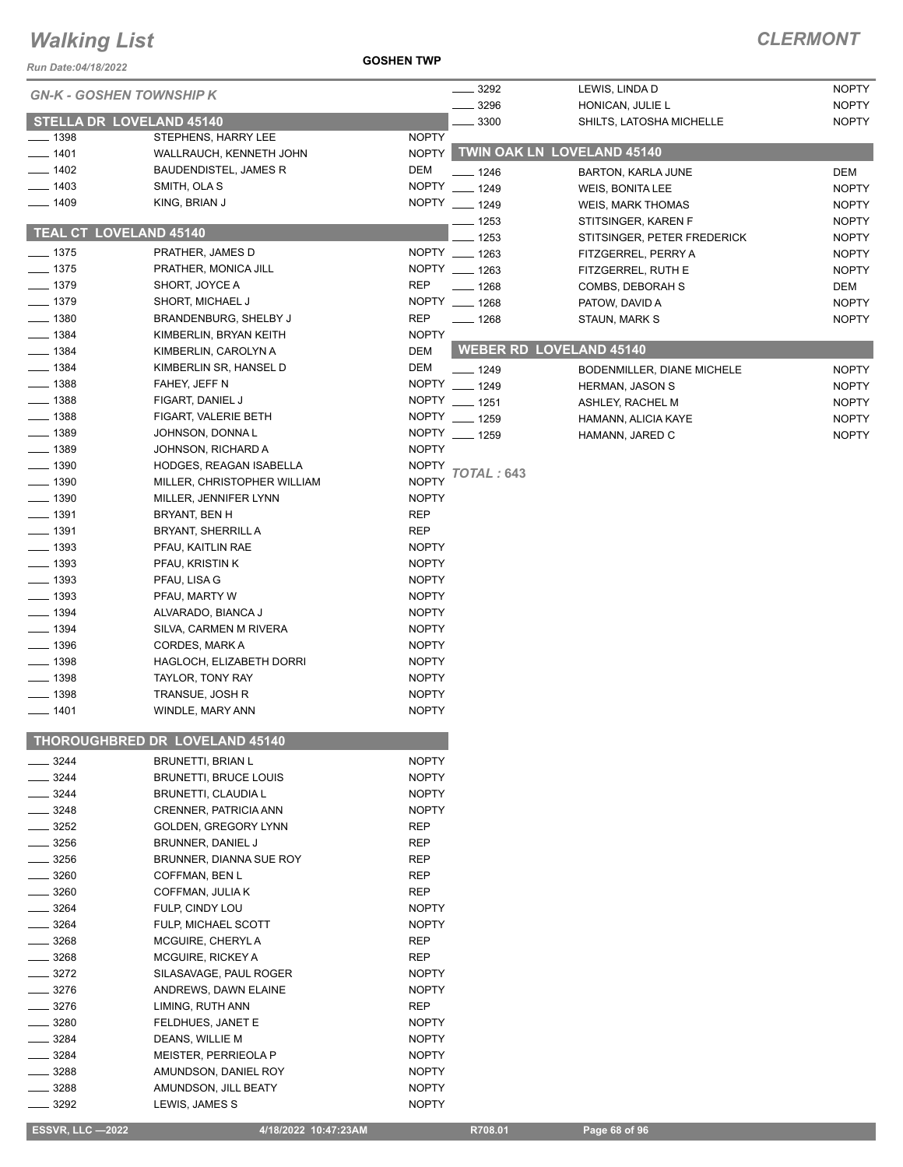*Run Date:04/18/2022*

#### **GOSHEN TWP**

| <b>GN-K - GOSHEN TOWNSHIP K</b> |                                                      |                              | 3292                  | LEWIS, LINDA D                                     | <b>NOPTY</b>                 |
|---------------------------------|------------------------------------------------------|------------------------------|-----------------------|----------------------------------------------------|------------------------------|
|                                 |                                                      |                              | 3296                  | HONICAN, JULIE L                                   | <b>NOPTY</b>                 |
| <b>STELLA DR LOVELAND 45140</b> |                                                      |                              | 3300                  | SHILTS, LATOSHA MICHELLE                           | <b>NOPTY</b>                 |
| $\frac{1}{2}$ 1398              | STEPHENS, HARRY LEE                                  | <b>NOPTY</b>                 |                       |                                                    |                              |
| $- 1401$                        | WALLRAUCH, KENNETH JOHN                              | <b>NOPTY</b>                 |                       | <b>TWIN OAK LN LOVELAND 45140</b>                  |                              |
| $-1402$                         | <b>BAUDENDISTEL, JAMES R</b>                         | <b>DEM</b>                   | $-1246$               | <b>BARTON, KARLA JUNE</b>                          | <b>DEM</b>                   |
| $-1403$                         | SMITH, OLA S                                         | <b>NOPTY</b>                 | $- 1249$              | WEIS, BONITA LEE                                   | <b>NOPTY</b>                 |
| $- 1409$                        | KING, BRIAN J                                        |                              | NOPTY __ 1249         | <b>WEIS, MARK THOMAS</b>                           | <b>NOPTY</b>                 |
| <b>TEAL CT LOVELAND 45140</b>   |                                                      |                              | — 1253                | STITSINGER, KAREN F                                | <b>NOPTY</b>                 |
| $- 1375$                        | PRATHER, JAMES D                                     |                              | 1253<br>NOPTY __ 1263 | STITSINGER, PETER FREDERICK<br>FITZGERREL, PERRY A | <b>NOPTY</b><br><b>NOPTY</b> |
| $- 1375$                        | PRATHER, MONICA JILL                                 |                              | NOPTY __ 1263         | FITZGERREL, RUTH E                                 | <b>NOPTY</b>                 |
| $- 1379$                        | SHORT, JOYCE A                                       | <b>REP</b>                   | $- 1268$              | COMBS, DEBORAH S                                   | DEM                          |
| $- 1379$                        | SHORT, MICHAEL J                                     |                              | NOPTY __ 1268         | PATOW, DAVID A                                     | <b>NOPTY</b>                 |
| $- 1380$                        | <b>BRANDENBURG, SHELBY J</b>                         | <b>REP</b>                   | $- 1268$              | STAUN, MARK S                                      | <b>NOPTY</b>                 |
| $- 1384$                        | KIMBERLIN, BRYAN KEITH                               | <b>NOPTY</b>                 |                       |                                                    |                              |
| $- 1384$                        | KIMBERLIN, CAROLYN A                                 | <b>DEM</b>                   |                       | <b>WEBER RD LOVELAND 45140</b>                     |                              |
| $-1384$                         | KIMBERLIN SR, HANSEL D                               | DEM                          | $- 1249$              | BODENMILLER, DIANE MICHELE                         | <b>NOPTY</b>                 |
| $-1388$                         | FAHEY, JEFF N                                        | <b>NOPTY</b>                 | $- 1249$              | <b>HERMAN, JASON S</b>                             | <b>NOPTY</b>                 |
| $-1388$                         | FIGART, DANIEL J                                     |                              | NOPTY __ 1251         | ASHLEY, RACHEL M                                   | <b>NOPTY</b>                 |
| $\frac{1}{2}$ 1388              | FIGART, VALERIE BETH                                 |                              | NOPTY __ 1259         | HAMANN, ALICIA KAYE                                | <b>NOPTY</b>                 |
| $- 1389$                        | JOHNSON, DONNA L                                     |                              | NOPTY __ 1259         | HAMANN, JARED C                                    | <b>NOPTY</b>                 |
| $- 1389$                        | JOHNSON, RICHARD A                                   | <b>NOPTY</b><br><b>NOPTY</b> |                       |                                                    |                              |
| $- 1390$<br>$- 1390$            | HODGES, REAGAN ISABELLA                              | <b>NOPTY</b>                 | TOTAL : 643           |                                                    |                              |
| $- 1390$                        | MILLER, CHRISTOPHER WILLIAM<br>MILLER, JENNIFER LYNN | <b>NOPTY</b>                 |                       |                                                    |                              |
| $- 1391$                        | BRYANT, BEN H                                        | <b>REP</b>                   |                       |                                                    |                              |
| $\frac{1}{2}$ 1391              | <b>BRYANT, SHERRILL A</b>                            | <b>REP</b>                   |                       |                                                    |                              |
| $\frac{1}{2}$ 1393              | PFAU, KAITLIN RAE                                    | <b>NOPTY</b>                 |                       |                                                    |                              |
| $- 1393$                        | PFAU, KRISTIN K                                      | <b>NOPTY</b>                 |                       |                                                    |                              |
| $\frac{1}{2}$ 1393              | PFAU, LISA G                                         | <b>NOPTY</b>                 |                       |                                                    |                              |
| — 1393                          | PFAU, MARTY W                                        | <b>NOPTY</b>                 |                       |                                                    |                              |
| $-1394$                         | ALVARADO, BIANCA J                                   | <b>NOPTY</b>                 |                       |                                                    |                              |
| $-1394$                         | SILVA, CARMEN M RIVERA                               | <b>NOPTY</b>                 |                       |                                                    |                              |
| $- 1396$                        | <b>CORDES, MARK A</b>                                | <b>NOPTY</b>                 |                       |                                                    |                              |
| $- 1398$                        | HAGLOCH, ELIZABETH DORRI                             | <b>NOPTY</b>                 |                       |                                                    |                              |
| $- 1398$                        | TAYLOR, TONY RAY                                     | <b>NOPTY</b>                 |                       |                                                    |                              |
| $\frac{1}{2}$ 1398              | TRANSUE, JOSH R                                      | <b>NOPTY</b>                 |                       |                                                    |                              |
| $- 1401$                        | WINDLE, MARY ANN                                     | <b>NOPTY</b>                 |                       |                                                    |                              |
|                                 | THOROUGHBRED DR LOVELAND 45140                       |                              |                       |                                                    |                              |
| 3244                            | <b>BRUNETTI, BRIAN L</b>                             | <b>NOPTY</b>                 |                       |                                                    |                              |
| 3244                            | <b>BRUNETTI, BRUCE LOUIS</b>                         | <b>NOPTY</b>                 |                       |                                                    |                              |
| 3244                            | <b>BRUNETTI, CLAUDIA L</b>                           | <b>NOPTY</b>                 |                       |                                                    |                              |
| 3248                            | CRENNER, PATRICIA ANN                                | <b>NOPTY</b>                 |                       |                                                    |                              |
| 3252                            | GOLDEN, GREGORY LYNN                                 | <b>REP</b>                   |                       |                                                    |                              |
| 3256<br>3256                    | BRUNNER, DANIEL J                                    | <b>REP</b>                   |                       |                                                    |                              |
| 3260                            | BRUNNER, DIANNA SUE ROY<br>COFFMAN, BEN L            | REP<br><b>REP</b>            |                       |                                                    |                              |
| 3260                            | COFFMAN, JULIA K                                     | <b>REP</b>                   |                       |                                                    |                              |
| 3264                            | FULP, CINDY LOU                                      | <b>NOPTY</b>                 |                       |                                                    |                              |
| 3264                            | FULP, MICHAEL SCOTT                                  | <b>NOPTY</b>                 |                       |                                                    |                              |
| 3268                            | MCGUIRE, CHERYL A                                    | <b>REP</b>                   |                       |                                                    |                              |
| 3268                            | MCGUIRE, RICKEY A                                    | <b>REP</b>                   |                       |                                                    |                              |
| 3272                            | SILASAVAGE, PAUL ROGER                               | <b>NOPTY</b>                 |                       |                                                    |                              |
| 3276                            | ANDREWS, DAWN ELAINE                                 | <b>NOPTY</b>                 |                       |                                                    |                              |
| 3276                            | LIMING, RUTH ANN                                     | <b>REP</b>                   |                       |                                                    |                              |
| 3280                            | FELDHUES, JANET E                                    | <b>NOPTY</b>                 |                       |                                                    |                              |
| 3284                            | DEANS, WILLIE M                                      | <b>NOPTY</b>                 |                       |                                                    |                              |
| 3284                            | MEISTER, PERRIEOLA P                                 | <b>NOPTY</b>                 |                       |                                                    |                              |
| 3288                            | AMUNDSON, DANIEL ROY                                 | <b>NOPTY</b>                 |                       |                                                    |                              |
| 3288<br>3292                    | AMUNDSON, JILL BEATY                                 | <b>NOPTY</b><br><b>NOPTY</b> |                       |                                                    |                              |
|                                 | LEWIS, JAMES S                                       |                              |                       |                                                    |                              |
| <b>ESSVR, LLC-2022</b>          | 4/18/2022 10:47:23AM                                 |                              | R708.01               | Page 68 of 96                                      |                              |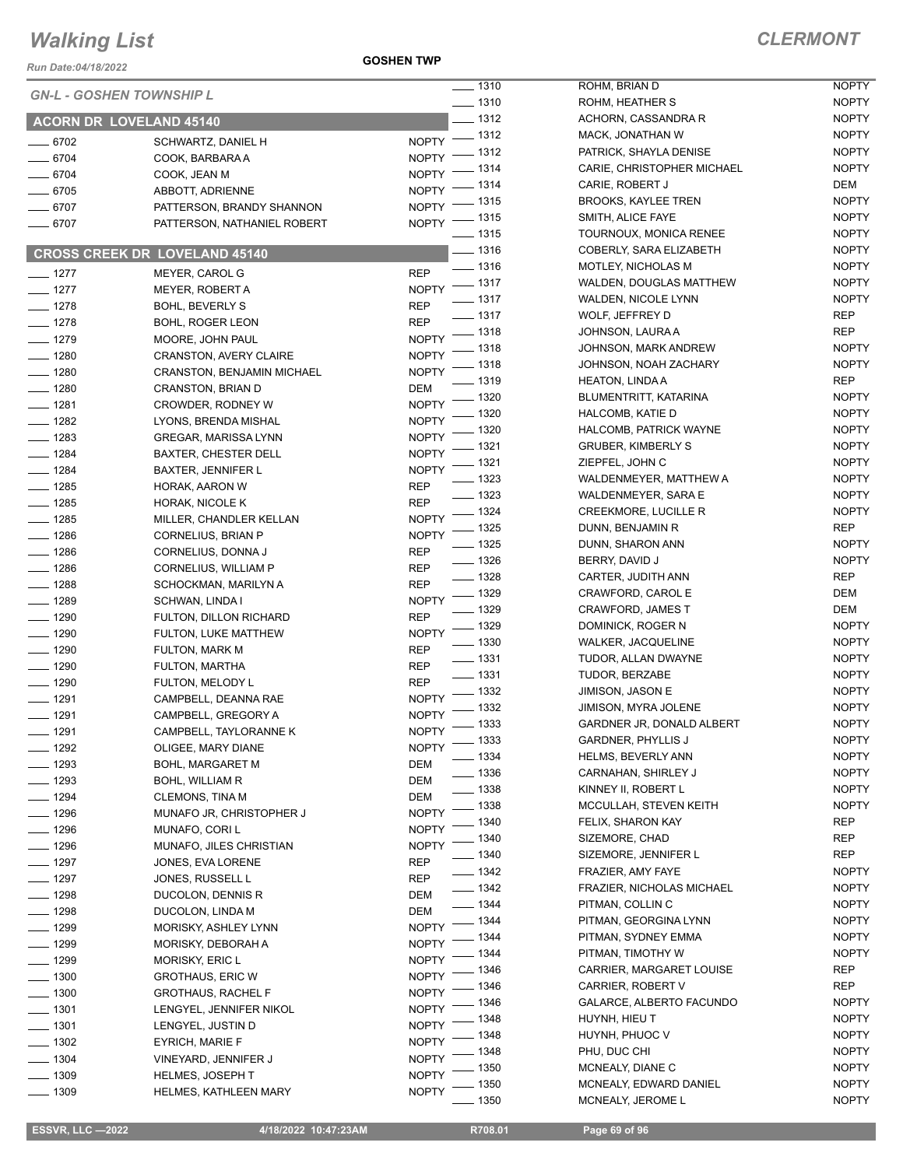*Run Date:04/18/2022*

**GOSHEN TWP**

|                    | <b>GN-L - GOSHEN TOWNSHIP L</b>      | $- 1310$                           | ROHM, BRIAN D                                    |
|--------------------|--------------------------------------|------------------------------------|--------------------------------------------------|
|                    |                                      | $- 1310$                           | ROHM, HEATHER S                                  |
|                    | <b>ACORN DR LOVELAND 45140</b>       | $-1312$                            | ACHORN, CASSAN                                   |
| $- 6702$           | SCHWARTZ, DANIEL H                   | NOPTY - 1312                       | MACK, JONATHAN                                   |
| $- 6704$           | COOK, BARBARA A                      | $-1312$<br>NOPTY -                 | PATRICK, SHAYLA I                                |
| $- 6704$           | COOK, JEAN M                         | _ 1314<br>NOPTY -                  | CARIE, CHRISTOPH                                 |
| $- 6705$           | ABBOTT, ADRIENNE                     | $-1314$<br>NOPTY <sup>-</sup>      | CARIE, ROBERT J                                  |
| $- 6707$           | PATTERSON, BRANDY SHANNON            | NOPTY - 1315                       | BROOKS, KAYLEE                                   |
| 6707               | PATTERSON, NATHANIEL ROBERT          | $- 1315$<br><b>NOPTY</b>           | SMITH, ALICE FAYE                                |
|                    |                                      | —— 1315                            | <b>TOURNOUX, MONK</b>                            |
|                    | <b>CROSS CREEK DR LOVELAND 45140</b> | $- 1316$                           | COBERLY, SARA EL                                 |
| $- 1277$           | MEYER, CAROL G                       | $-1316$<br><b>REP</b>              | <b>MOTLEY, NICHOLA</b>                           |
| $- 1277$           | MEYER, ROBERT A                      | $-1317$<br><b>NOPTY</b>            | WALDEN, DOUGLA                                   |
| $- 1278$           | <b>BOHL, BEVERLY S</b>               | $- 1317$<br><b>REP</b>             | WALDEN, NICOLE L                                 |
| $- 1278$           | BOHL, ROGER LEON                     | $- 1317$<br><b>REP</b>             | WOLF, JEFFREY D                                  |
| $- 1279$           | MOORE, JOHN PAUL                     | $- 1318$<br><b>NOPTY</b>           | JOHNSON, LAURA                                   |
| $- 1280$           | <b>CRANSTON, AVERY CLAIRE</b>        | 1318<br><b>NOPTY</b>               | JOHNSON, MARK A<br>JOHNSON, NOAH Z               |
| $- 1280$           | CRANSTON, BENJAMIN MICHAEL           | _ 1318<br><b>NOPTY</b>             |                                                  |
| $- 1280$           | CRANSTON, BRIAN D                    | . 1319<br>DEM                      | HEATON, LINDA A                                  |
| $- 1281$           | CROWDER, RODNEY W                    | - 1320<br><b>NOPTY</b><br>$-1320$  | <b>BLUMENTRITT, KAT</b>                          |
| $- 1282$           | LYONS, BRENDA MISHAL                 | NOPTY <sup>-</sup>                 | HALCOMB, KATIE D                                 |
| $- 1283$           | <b>GREGAR, MARISSA LYNN</b>          | $-1320$<br><b>NOPTY</b><br>$-1321$ | <b>HALCOMB, PATRIC</b><br><b>GRUBER, KIMBERL</b> |
| $- 1284$           | <b>BAXTER, CHESTER DELL</b>          | <b>NOPTY</b><br>- 1321             |                                                  |
| $- 1284$           | <b>BAXTER, JENNIFER L</b>            | <b>NOPTY</b><br>$-1323$            | ZIEPFEL, JOHN C<br>WALDENMEYER, M                |
| $- 1285$           | HORAK, AARON W                       | <b>REP</b><br>$- 1323$             | WALDENMEYER, S.                                  |
| $- 1285$           | HORAK, NICOLE K                      | <b>REP</b><br>$-1324$              | <b>CREEKMORE, LUC</b>                            |
| $- 1285$           | MILLER, CHANDLER KELLAN              | <b>NOPTY</b><br>__ 1325            | DUNN, BENJAMIN F                                 |
| $- 1286$           | CORNELIUS, BRIAN P                   | <b>NOPTY</b><br>$- 1325$           | DUNN, SHARON AN                                  |
| $- 1286$           | CORNELIUS, DONNA J                   | <b>REP</b><br>$- 1326$             | BERRY, DAVID J                                   |
| $- 1286$           | CORNELIUS, WILLIAM P                 | <b>REP</b><br>$- 1328$             | CARTER, JUDITH A                                 |
| $- 1288$           | SCHOCKMAN, MARILYN A                 | <b>REP</b><br>$-1329$              | CRAWFORD, CARC                                   |
| $- 1289$           | SCHWAN, LINDA I                      | <b>NOPTY</b><br>_ 1329             | CRAWFORD, JAME                                   |
| $- 1290$           | FULTON, DILLON RICHARD               | <b>REP</b><br>__ 1329              | DOMINICK, ROGER                                  |
| $- 1290$           | FULTON, LUKE MATTHEW                 | <b>NOPTY</b><br>$- 1330$           | <b>WALKER, JACQUEL</b>                           |
| $- 1290$           | FULTON, MARK M                       | <b>REP</b><br>$\frac{1}{2}$ 1331   | TUDOR, ALLAN DW                                  |
| $- 1290$           | FULTON, MARTHA                       | REP<br>$- 1331$                    | TUDOR, BERZABE                                   |
| $- 1290$           | FULTON, MELODY L                     | <b>REP</b><br>$- 1332$             | JIMISON, JASON E                                 |
| $- 1291$           | CAMPBELL, DEANNA RAE                 | <b>NOPTY</b><br>- 1332             | JIMISON, MYRA JOI                                |
| $- 1291$           | CAMPBELL, GREGORY A                  | <b>NOPTY</b><br>- 1333             | <b>GARDNER JR, DON</b>                           |
| $- 1291$           | CAMPBELL, TAYLORANNE K               | <b>NOPTY</b><br>$-1333$            | <b>GARDNER, PHYLLI</b>                           |
| ____ 1292          | OLIGEE, MARY DIANE                   | <b>NOPTY</b><br>$-1334$            | HELMS, BEVERLY A                                 |
| $- 1293$           | <b>BOHL, MARGARET M</b>              | DEM<br>_ 1336                      | CARNAHAN, SHIRL                                  |
| $- 1293$           | BOHL, WILLIAM R                      | DEM<br>$-1338$                     | KINNEY II, ROBERT                                |
| $- 1294$           | <b>CLEMONS, TINA M</b>               | DEM<br>$-1338$                     | MCCULLAH, STEVE                                  |
| $- 1296$           | MUNAFO JR, CHRISTOPHER J             | <b>NOPTY</b><br>- 1340             | FELIX, SHARON KA                                 |
| $- 1296$           | MUNAFO, CORI L                       | <b>NOPTY</b><br>. 1340             | SIZEMORE, CHAD                                   |
| $- 1296$           | MUNAFO, JILES CHRISTIAN              | <b>NOPTY</b><br>__ 1340            | SIZEMORE, JENNIF                                 |
| $- 1297$           | JONES, EVA LORENE                    | REP<br>$-1342$                     | FRAZIER, AMY FAY                                 |
| $-1297$            | JONES, RUSSELL L                     | REP<br>- 1342                      | FRAZIER, NICHOLA                                 |
| $- 1298$           | DUCOLON, DENNIS R                    | DEM<br>- 1344                      | PITMAN, COLLIN C                                 |
| $- 1298$           | DUCOLON, LINDA M                     | DEM<br>. 1344                      | PITMAN, GEORGIN.                                 |
| $- 1299$           | MORISKY, ASHLEY LYNN                 | <b>NOPTY</b><br>1344               | PITMAN, SYDNEY E                                 |
| $- 1299$           | MORISKY, DEBORAH A                   | <b>NOPTY</b><br>. 1344             | PITMAN, TIMOTHY                                  |
| $- 1299$           | MORISKY, ERIC L                      | <b>NOPTY</b><br>. 1346             | CARRIER, MARGAF                                  |
| $\frac{1}{2}$ 1300 | <b>GROTHAUS, ERIC W</b>              | <b>NOPTY</b><br>1346               | <b>CARRIER, ROBERT</b>                           |
| $- 1300$           | <b>GROTHAUS, RACHEL F</b>            | NOPTY<br>1346                      | <b>GALARCE, ALBERT</b>                           |
| $-1301$            | LENGYEL, JENNIFER NIKOL              | <b>NOPTY</b><br>1348               | HUYNH, HIEU T                                    |
| $- 1301$           | LENGYEL, JUSTIN D                    | <b>NOPTY</b><br>. 1348             | HUYNH, PHUOC V                                   |
| $- 1302$           | <b>EYRICH, MARIE F</b>               | <b>NOPTY</b><br>1348               | PHU, DUC CHI                                     |
| $- 1304$           | VINEYARD, JENNIFER J                 | <b>NOPTY</b><br>1350               | MCNEALY, DIANE C                                 |
| $- 1309$           | <b>HELMES, JOSEPH T</b>              | <b>NOPTY</b><br>1350               | MCNEALY, EDWARI                                  |
| $- 1309$           | HELMES, KATHLEEN MARY                | <b>NOPTY</b><br>1350               | <b>MCNEALY, JEROME</b>                           |

| 1310 | ROHM, BRIAN D                 | NOPTY                      |
|------|-------------------------------|----------------------------|
| 1310 | ROHM, HEATHER S               | <b>NOPTY</b>               |
| 1312 | ACHORN, CASSANDRA R           | <b>NOPTY</b>               |
| 1312 | MACK, JONATHAN W              | <b>NOPTY</b>               |
| 1312 | PATRICK, SHAYLA DENISE        | <b>NOPTY</b>               |
| 1314 | CARIE, CHRISTOPHER MICHAEL    | <b>NOPTY</b>               |
| 1314 | CARIE, ROBERT J               | DEM                        |
| 1315 | BROOKS, KAYLEE TREN           | <b>NOPTY</b>               |
| 1315 | SMITH, ALICE FAYE             | <b>NOPTY</b>               |
| 1315 | TOURNOUX, MONICA RENEE        | <b>NOPTY</b>               |
| 1316 | COBERLY, SARA ELIZABETH       | <b>NOPTY</b>               |
| 1316 | MOTLEY, NICHOLAS M            | <b>NOPTY</b>               |
| 1317 | WALDEN, DOUGLAS MATTHEW       | <b>NOPTY</b>               |
| 1317 | WALDEN, NICOLE LYNN           | <b>NOPTY</b>               |
| 1317 | WOLF, JEFFREY D               | REP                        |
| 1318 | JOHNSON, LAURA A              | REP                        |
|      |                               |                            |
| 1318 | JOHNSON, MARK ANDREW          | <b>NOPTY</b>               |
| 1318 | JOHNSON, NOAH ZACHARY         | <b>NOPTY</b><br><b>REP</b> |
| 1319 | <b>HEATON, LINDA A</b>        |                            |
| 1320 | BLUMENTRITT, KATARINA         | <b>NOPTY</b>               |
| 1320 | <b>HALCOMB, KATIE D</b>       | <b>NOPTY</b>               |
| 1320 | <b>HALCOMB, PATRICK WAYNE</b> | <b>NOPTY</b>               |
| 1321 | <b>GRUBER, KIMBERLY S</b>     | <b>NOPTY</b>               |
| 1321 | ZIEPFEL, JOHN C               | <b>NOPTY</b>               |
| 1323 | WALDENMEYER, MATTHEW A        | <b>NOPTY</b>               |
| 1323 | WALDENMEYER, SARA E           | <b>NOPTY</b>               |
| 1324 | <b>CREEKMORE, LUCILLE R</b>   | <b>NOPTY</b>               |
| 1325 | DUNN, BENJAMIN R              | REP                        |
| 1325 | DUNN, SHARON ANN              | <b>NOPTY</b>               |
| 1326 | BERRY, DAVID J                | <b>NOPTY</b>               |
| 1328 | CARTER, JUDITH ANN            | REP                        |
| 1329 | CRAWFORD, CAROL E             | DEM                        |
| 1329 | <b>CRAWFORD, JAMES T</b>      | DEM                        |
| 1329 | DOMINICK, ROGER N             | <b>NOPTY</b>               |
| 1330 | <b>WALKER, JACQUELINE</b>     | <b>NOPTY</b>               |
| 1331 | TUDOR, ALLAN DWAYNE           | <b>NOPTY</b>               |
| 1331 | TUDOR, BERZABE                | <b>NOPTY</b>               |
| 1332 | JIMISON, JASON E              | <b>NOPTY</b>               |
| 1332 | JIMISON, MYRA JOLENE          | <b>NOPTY</b>               |
| 1333 | GARDNER JR, DONALD ALBERT     | <b>NOPTY</b>               |
| 1333 | <b>GARDNER, PHYLLIS J</b>     | <b>NOPTY</b>               |
| 1334 | <b>HELMS, BEVERLY ANN</b>     | <b>NOPTY</b>               |
| 1336 | CARNAHAN, SHIRLEY J           | <b>NOPTY</b>               |
| 1338 | KINNEY II. ROBERT L           | <b>NOPTY</b>               |
| 1338 | MCCULLAH, STEVEN KEITH        | <b>NOPTY</b>               |
| 1340 | FELIX, SHARON KAY             | <b>REP</b>                 |
| 1340 | SIZEMORE, CHAD                | REP                        |
| 1340 | SIZEMORE, JENNIFER L          | REP                        |
| 1342 | FRAZIER, AMY FAYE             | <b>NOPTY</b>               |
| 1342 | FRAZIER, NICHOLAS MICHAEL     | <b>NOPTY</b>               |
| 1344 | PITMAN, COLLIN C              | <b>NOPTY</b>               |
| 1344 | PITMAN, GEORGINA LYNN         | <b>NOPTY</b>               |
| 1344 | PITMAN, SYDNEY EMMA           | <b>NOPTY</b>               |
| 1344 | PITMAN, TIMOTHY W             | <b>NOPTY</b>               |
| 1346 | CARRIER, MARGARET LOUISE      | <b>REP</b>                 |
| 1346 | CARRIER, ROBERT V             | REP                        |
| 1346 | GALARCE, ALBERTO FACUNDO      | <b>NOPTY</b>               |
| 1348 | HUYNH, HIEU T                 | <b>NOPTY</b>               |
| 1348 | HUYNH, PHUOC V                | <b>NOPTY</b>               |
| 1348 | PHU, DUC CHI                  | <b>NOPTY</b>               |
| 1350 | MCNEALY, DIANE C              | <b>NOPTY</b>               |
| 1350 | MCNEALY, EDWARD DANIEL        | <b>NOPTY</b>               |
| 1350 | MCNEALY, JEROME L             | <b>NOPTY</b>               |
|      |                               |                            |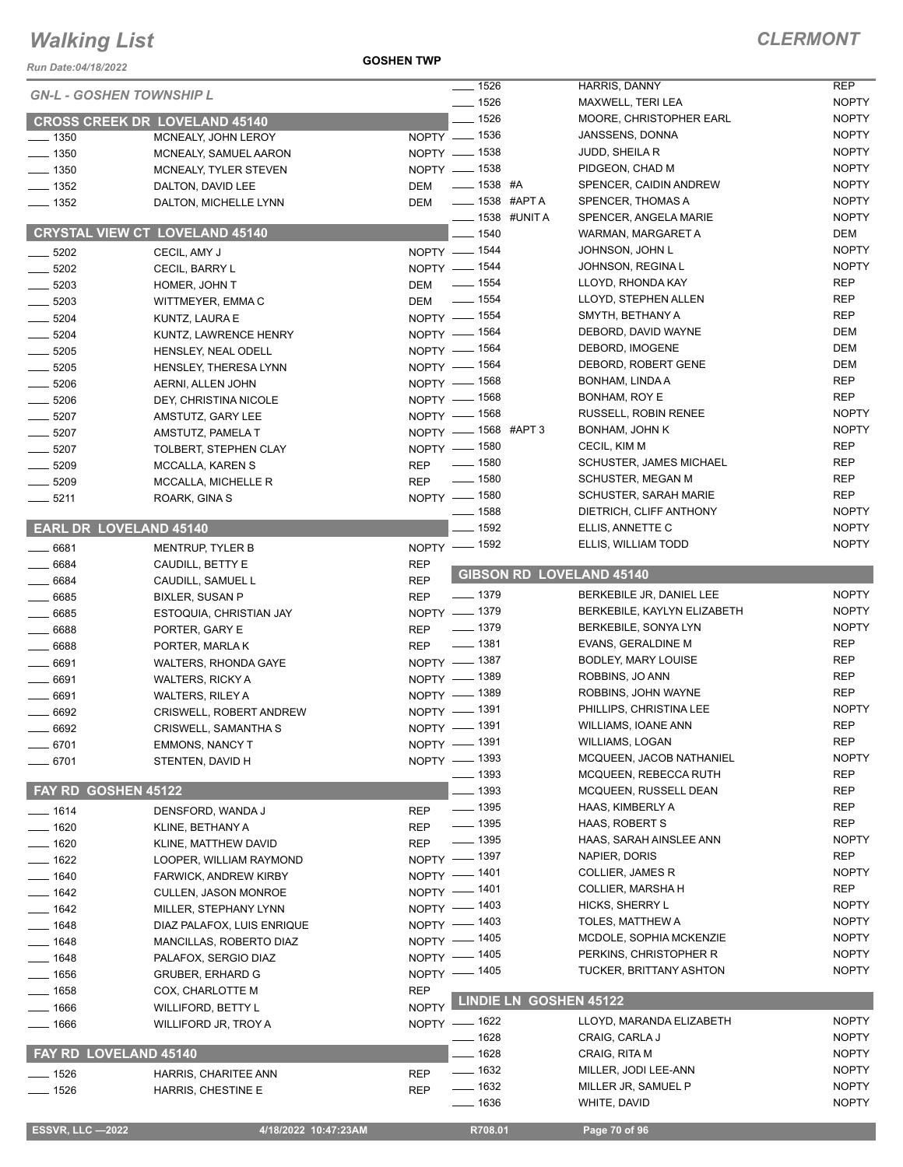*Run Date:04/18/2022*

**GOSHEN TWP**

|                                 |                                             |              | $- 1526$             | <b>HARRIS, DANNY</b>            | <b>REP</b>   |
|---------------------------------|---------------------------------------------|--------------|----------------------|---------------------------------|--------------|
| <b>GN-L - GOSHEN TOWNSHIP L</b> |                                             |              | $- 1526$             | MAXWELL, TERI LEA               | <b>NOPTY</b> |
|                                 | <b>CROSS CREEK DR LOVELAND 45140</b>        |              | $- 1526$             | MOORE, CHRISTOPHER EARL         | <b>NOPTY</b> |
| $\frac{1}{2}$ 1350              | MCNEALY, JOHN LEROY                         |              | NOPTY - 1536         | JANSSENS, DONNA                 | <b>NOPTY</b> |
| $- 1350$                        | MCNEALY, SAMUEL AARON                       |              | NOPTY - 1538         | JUDD, SHEILA R                  | <b>NOPTY</b> |
| $\frac{1}{2}$ 1350              | MCNEALY, TYLER STEVEN                       |              | NOPTY - 1538         | PIDGEON, CHAD M                 | <b>NOPTY</b> |
| $- 1352$                        | DALTON, DAVID LEE                           | DEM          | $\frac{1}{1538}$ #A  | SPENCER, CAIDIN ANDREW          | <b>NOPTY</b> |
| $- 1352$                        | DALTON, MICHELLE LYNN                       | DEM          | <b>LE 1538 #APTA</b> | SPENCER, THOMAS A               | <b>NOPTY</b> |
|                                 |                                             |              | ____ 1538 #UNIT A    | SPENCER, ANGELA MARIE           | <b>NOPTY</b> |
|                                 | <b>CRYSTAL VIEW CT LOVELAND 45140</b>       |              | $- 1540$             | WARMAN, MARGARET A              | DEM          |
|                                 |                                             |              | NOPTY - 1544         | JOHNSON, JOHN L                 | <b>NOPTY</b> |
| $\frac{1}{2}$ 5202              | CECIL, AMY J                                |              | NOPTY - 1544         | JOHNSON, REGINA L               | <b>NOPTY</b> |
| $\frac{1}{2}$ 5202              | CECIL, BARRY L                              |              |                      | LLOYD, RHONDA KAY               | <b>REP</b>   |
| $- 5203$                        | HOMER, JOHN T                               |              | DEM - 1554           |                                 |              |
| $\frac{1}{2}$ 5203              | WITTMEYER, EMMA C                           |              | DEM - 1554           | LLOYD, STEPHEN ALLEN            | <b>REP</b>   |
| $- 5204$                        | KUNTZ, LAURA E                              |              | NOPTY - 1554         | SMYTH, BETHANY A                | <b>REP</b>   |
| $- 5204$                        | KUNTZ, LAWRENCE HENRY                       |              | NOPTY - 1564         | DEBORD, DAVID WAYNE             | DEM          |
| $\frac{1}{2}$ 5205              | HENSLEY, NEAL ODELL                         |              | NOPTY $-$ 1564       | DEBORD, IMOGENE                 | <b>DEM</b>   |
| $\frac{1}{2}$ 5205              | HENSLEY, THERESA LYNN                       |              | NOPTY - 1564         | DEBORD, ROBERT GENE             | <b>DEM</b>   |
| $- 5206$                        | AERNI, ALLEN JOHN                           |              | NOPTY - 1568         | BONHAM, LINDA A                 | <b>REP</b>   |
| $- 5206$                        | DEY, CHRISTINA NICOLE                       |              | NOPTY - 1568         | BONHAM, ROY E                   | <b>REP</b>   |
| $\frac{1}{2}$ 5207              | AMSTUTZ, GARY LEE                           |              | NOPTY - 1568         | RUSSELL, ROBIN RENEE            | <b>NOPTY</b> |
| $- 5207$                        | AMSTUTZ, PAMELA T                           |              | NOPTY - 1568 #APT 3  | <b>BONHAM, JOHN K</b>           | <b>NOPTY</b> |
| $\frac{1}{2}$ 5207              | TOLBERT, STEPHEN CLAY                       |              | NOPTY - 1580         | CECIL, KIM M                    | <b>REP</b>   |
| $\frac{1}{2}$ 5209              | <b>MCCALLA, KAREN S</b>                     | <b>REP</b>   | $\frac{1}{2}$ 1580   | <b>SCHUSTER, JAMES MICHAEL</b>  | <b>REP</b>   |
| $- 5209$                        | MCCALLA, MICHELLE R                         | <b>REP</b>   | $\frac{1}{2}$ 1580   | <b>SCHUSTER, MEGAN M</b>        | <b>REP</b>   |
| $-5211$                         | ROARK, GINA S                               |              | NOPTY - 1580         | SCHUSTER, SARAH MARIE           | <b>REP</b>   |
|                                 |                                             |              | $- 1588$             | DIETRICH, CLIFF ANTHONY         | <b>NOPTY</b> |
| <b>EARL DR LOVELAND 45140</b>   |                                             |              | $- 1592$             | ELLIS, ANNETTE C                | <b>NOPTY</b> |
| 6681                            | MENTRUP, TYLER B                            |              | NOPTY - 1592         | ELLIS, WILLIAM TODD             | <b>NOPTY</b> |
| $- 6684$                        | CAUDILL, BETTY E                            | <b>REP</b>   |                      |                                 |              |
| $- 6684$                        |                                             | <b>REP</b>   |                      | <b>GIBSON RD LOVELAND 45140</b> |              |
| $\frac{1}{2}$ 6685              | CAUDILL, SAMUEL L<br><b>BIXLER, SUSAN P</b> | <b>REP</b>   | $- 1379$             | BERKEBILE JR, DANIEL LEE        | <b>NOPTY</b> |
|                                 |                                             |              | NOPTY - 1379         | BERKEBILE, KAYLYN ELIZABETH     | <b>NOPTY</b> |
| $- 6685$<br>6688                | ESTOQUIA, CHRISTIAN JAY                     | <b>REP</b>   | $\frac{1}{2}$ 1379   | BERKEBILE, SONYA LYN            | <b>NOPTY</b> |
|                                 | PORTER, GARY E                              |              | $\frac{1381}{1381}$  | EVANS, GERALDINE M              | <b>REP</b>   |
| $- 6688$                        | PORTER, MARLAK                              | <b>REP</b>   | NOPTY - 1387         | <b>BODLEY, MARY LOUISE</b>      | <b>REP</b>   |
| $- 6691$                        | <b>WALTERS, RHONDA GAYE</b>                 |              |                      | ROBBINS, JO ANN                 | <b>REP</b>   |
| $- 6691$                        | <b>WALTERS, RICKY A</b>                     |              | NOPTY - 1389         |                                 | <b>REP</b>   |
| $- 6691$                        | <b>WALTERS, RILEY A</b>                     |              | NOPTY - 1389         | ROBBINS, JOHN WAYNE             |              |
| 6692                            | <b>CRISWELL, ROBERT ANDREW</b>              |              | NOPTY - 1391         | PHILLIPS, CHRISTINA LEE         | <b>NOPTY</b> |
| 6692                            | CRISWELL, SAMANTHA S                        |              | NOPTY - 1391         | WILLIAMS, IOANE ANN             | <b>REP</b>   |
| $-6701$                         | <b>EMMONS, NANCY T</b>                      |              | NOPTY - 1391         | WILLIAMS, LOGAN                 | <b>REP</b>   |
| $- 6701$                        | STENTEN, DAVID H                            |              | NOPTY - 1393         | MCQUEEN, JACOB NATHANIEL        | <b>NOPTY</b> |
|                                 |                                             |              | $\frac{1}{2}$ 1393   | MCQUEEN, REBECCA RUTH           | <b>REP</b>   |
| FAY RD GOSHEN 45122             |                                             |              | $-1393$              | MCQUEEN, RUSSELL DEAN           | <b>REP</b>   |
| $- 1614$                        | DENSFORD, WANDA J                           | <b>REP</b>   | $- 1395$             | HAAS, KIMBERLY A                | REP          |
| $- 1620$                        | KLINE, BETHANY A                            | <b>REP</b>   | $\frac{1}{2}$ 1395   | <b>HAAS, ROBERT S</b>           | <b>REP</b>   |
| $- 1620$                        | KLINE, MATTHEW DAVID                        | <b>REP</b>   | $\frac{1}{2}$ 1395   | HAAS, SARAH AINSLEE ANN         | <b>NOPTY</b> |
| $-1622$                         | LOOPER, WILLIAM RAYMOND                     |              | NOPTY - 1397         | NAPIER, DORIS                   | <b>REP</b>   |
| $- 1640$                        | <b>FARWICK, ANDREW KIRBY</b>                |              | NOPTY - 1401         | COLLIER, JAMES R                | <b>NOPTY</b> |
| $- 1642$                        | CULLEN, JASON MONROE                        |              | NOPTY - 1401         | <b>COLLIER, MARSHA H</b>        | <b>REP</b>   |
| $- 1642$                        | MILLER, STEPHANY LYNN                       |              | NOPTY - 1403         | HICKS, SHERRY L                 | <b>NOPTY</b> |
| $- 1648$                        | DIAZ PALAFOX, LUIS ENRIQUE                  |              | NOPTY - 1403         | TOLES, MATTHEW A                | <b>NOPTY</b> |
| ____ 1648                       | MANCILLAS, ROBERTO DIAZ                     |              | NOPTY - 1405         | MCDOLE, SOPHIA MCKENZIE         | <b>NOPTY</b> |
|                                 |                                             |              | NOPTY - 1405         | PERKINS, CHRISTOPHER R          | <b>NOPTY</b> |
| $-1648$                         | PALAFOX, SERGIO DIAZ                        |              | NOPTY - 1405         | <b>TUCKER, BRITTANY ASHTON</b>  | <b>NOPTY</b> |
| 1656                            | <b>GRUBER, ERHARD G</b>                     |              |                      |                                 |              |
| $-1658$                         | COX, CHARLOTTE M                            | <b>REP</b>   |                      | <b>LINDIE LN GOSHEN 45122</b>   |              |
| $-1666$                         | WILLIFORD, BETTY L                          | <b>NOPTY</b> |                      | LLOYD, MARANDA ELIZABETH        |              |
| ___ 1666                        | WILLIFORD JR, TROY A                        |              | NOPTY - 1622         |                                 | <b>NOPTY</b> |
|                                 |                                             |              | __ 1628              | CRAIG, CARLA J                  | <b>NOPTY</b> |
| FAY RD LOVELAND 45140           |                                             |              | $-1628$              | CRAIG, RITA M                   | <b>NOPTY</b> |
| ___ 1526                        | HARRIS, CHARITEE ANN                        | <b>REP</b>   | $- 1632$             | MILLER, JODI LEE-ANN            | <b>NOPTY</b> |
| $- 1526$                        | HARRIS, CHESTINE E                          | <b>REP</b>   | $- 1632$             | MILLER JR, SAMUEL P             | <b>NOPTY</b> |
|                                 |                                             |              | $- 1636$             | WHITE, DAVID                    | <b>NOPTY</b> |
| <b>ESSVR, LLC -2022</b>         | 4/18/2022 10:47:23AM                        |              | R708.01              | Page 70 of 96                   |              |
|                                 |                                             |              |                      |                                 |              |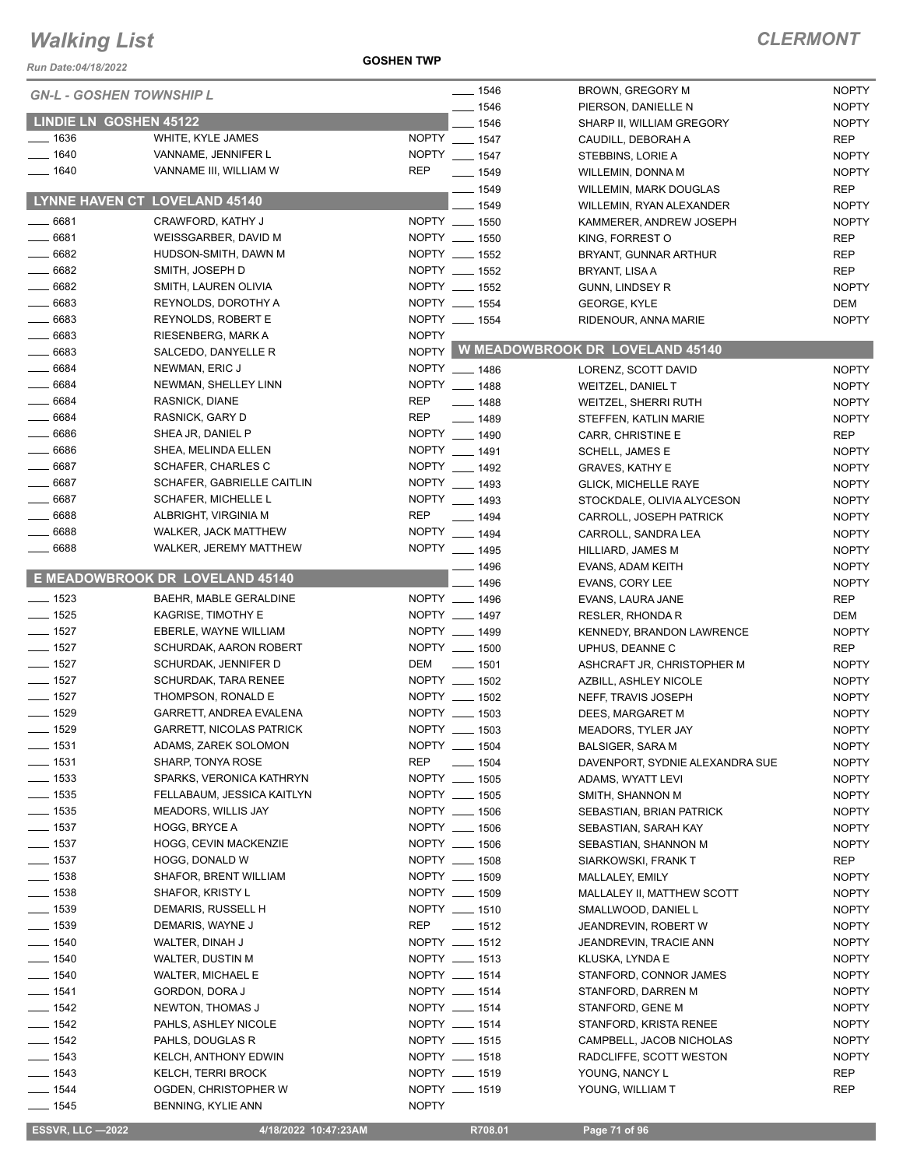*Run Date:04/18/2022*

**GOSHEN TWP**

| <b>GN-L - GOSHEN TOWNSHIP L</b> |                                   | $- 1546$                  | <b>BROWN, GREGORY M</b>               | <b>NOPTY</b> |
|---------------------------------|-----------------------------------|---------------------------|---------------------------------------|--------------|
|                                 |                                   | $-1546$                   | PIERSON, DANIELLE N                   | <b>NOPTY</b> |
| <b>LINDIE LN GOSHEN 45122</b>   |                                   | $-1546$                   | SHARP II, WILLIAM GREGORY             | <b>NOPTY</b> |
| $- 1636$                        | WHITE, KYLE JAMES                 | NOPTY __ 1547             | CAUDILL, DEBORAH A                    | <b>REP</b>   |
| $- 1640$                        | VANNAME, JENNIFER L               | NOPTY __ 1547             | STEBBINS, LORIE A                     | <b>NOPTY</b> |
| $- 1640$                        | VANNAME III, WILLIAM W            | <b>REP</b><br>$- 1549$    | WILLEMIN, DONNA M                     | <b>NOPTY</b> |
|                                 |                                   | __ 1549                   | WILLEMIN, MARK DOUGLAS                | <b>REP</b>   |
|                                 | LYNNE HAVEN CT LOVELAND 45140     | 1549                      | WILLEMIN, RYAN ALEXANDER              | <b>NOPTY</b> |
| $- 6681$                        | CRAWFORD, KATHY J                 | NOPTY __ 1550             | KAMMERER, ANDREW JOSEPH               | <b>NOPTY</b> |
| $- 6681$                        | WEISSGARBER, DAVID M              | NOPTY __ 1550             | KING, FORREST O                       | <b>REP</b>   |
| $- 6682$                        | HUDSON-SMITH, DAWN M              | NOPTY __ 1552             | BRYANT, GUNNAR ARTHUR                 | <b>REP</b>   |
| $- 6682$                        | SMITH, JOSEPH D                   | NOPTY __ 1552             | BRYANT, LISA A                        | <b>REP</b>   |
| $- 6682$                        | SMITH, LAUREN OLIVIA              | NOPTY __ 1552             | GUNN, LINDSEY R                       | <b>NOPTY</b> |
| $- 6683$                        | REYNOLDS, DOROTHY A               | NOPTY __ 1554             | <b>GEORGE, KYLE</b>                   | DEM          |
| $- 6683$                        | <b>REYNOLDS, ROBERT E</b>         | NOPTY __ 1554             | RIDENOUR, ANNA MARIE                  | <b>NOPTY</b> |
| $- 6683$                        | RIESENBERG, MARK A                | <b>NOPTY</b>              |                                       |              |
| $- 6683$                        | SALCEDO, DANYELLE R               |                           | NOPTY W MEADOWBROOK DR LOVELAND 45140 |              |
| $- 6684$                        | NEWMAN, ERIC J                    | NOPTY __ 1486             | LORENZ, SCOTT DAVID                   | <b>NOPTY</b> |
| $- 6684$                        | NEWMAN, SHELLEY LINN              | NOPTY __ 1488             | <b>WEITZEL, DANIEL T</b>              | <b>NOPTY</b> |
| 6684                            | RASNICK, DIANE                    | <b>REP</b><br>$- 1488$    | WEITZEL, SHERRI RUTH                  | <b>NOPTY</b> |
| $- 6684$                        | RASNICK, GARY D                   | <b>REP</b><br>$- 1489$    | STEFFEN, KATLIN MARIE                 | <b>NOPTY</b> |
| $- 6686$                        | SHEA JR, DANIEL P                 | NOPTY __ 1490             | CARR, CHRISTINE E                     | <b>REP</b>   |
| $- 6686$                        | SHEA, MELINDA ELLEN               | NOPTY __ 1491             | SCHELL, JAMES E                       | <b>NOPTY</b> |
| $- 6687$                        | <b>SCHAFER, CHARLES C</b>         | NOPTY __ 1492             | <b>GRAVES, KATHY E</b>                | <b>NOPTY</b> |
| $- 6687$                        | <b>SCHAFER, GABRIELLE CAITLIN</b> | NOPTY __ 1493             | <b>GLICK, MICHELLE RAYE</b>           | <b>NOPTY</b> |
| $- 6687$                        | SCHAFER, MICHELLE L               | NOPTY __ 1493             | STOCKDALE, OLIVIA ALYCESON            | <b>NOPTY</b> |
| $- 6688$                        | ALBRIGHT, VIRGINIA M              | <b>REP</b><br>$- 1494$    | CARROLL, JOSEPH PATRICK               | <b>NOPTY</b> |
| $- 6688$                        | WALKER, JACK MATTHEW              | NOPTY __ 1494             | CARROLL, SANDRA LEA                   | <b>NOPTY</b> |
| $- 6688$                        | WALKER, JEREMY MATTHEW            | NOPTY __ 1495             | HILLIARD, JAMES M                     | <b>NOPTY</b> |
|                                 |                                   | $-1496$                   | EVANS, ADAM KEITH                     | <b>NOPTY</b> |
|                                 | E MEADOWBROOK DR LOVELAND 45140   | 1496                      | EVANS, CORY LEE                       | <b>NOPTY</b> |
| $- 1523$                        | BAEHR, MABLE GERALDINE            | NOPTY __ 1496             | EVANS, LAURA JANE                     | <b>REP</b>   |
| $\frac{1}{2}$ 1525              | <b>KAGRISE, TIMOTHY E</b>         | NOPTY __ 1497             | RESLER, RHONDA R                      | <b>DEM</b>   |
| $\frac{1}{2}$ 1527              | EBERLE, WAYNE WILLIAM             | NOPTY __ 1499             | KENNEDY, BRANDON LAWRENCE             | <b>NOPTY</b> |
| $- 1527$                        | SCHURDAK, AARON ROBERT            | NOPTY __ 1500             | UPHUS, DEANNE C                       | <b>REP</b>   |
| $- 1527$                        | SCHURDAK, JENNIFER D              | DEM<br>$\frac{1}{2}$ 1501 | ASHCRAFT JR, CHRISTOPHER M            | <b>NOPTY</b> |
| $- 1527$                        | <b>SCHURDAK, TARA RENEE</b>       | NOPTY __ 1502             | AZBILL, ASHLEY NICOLE                 | <b>NOPTY</b> |
| $- 1527$                        | THOMPSON, RONALD E                | NOPTY __ 1502             | NEFF, TRAVIS JOSEPH                   | <b>NOPTY</b> |
| $- 1529$                        | GARRETT, ANDREA EVALENA           | NOPTY __ 1503             | DEES, MARGARET M                      | <b>NOPTY</b> |
| $\frac{1}{2}$ 1529              | <b>GARRETT, NICOLAS PATRICK</b>   | NOPTY __ 1503             | MEADORS, TYLER JAY                    | <b>NOPTY</b> |
| $- 1531$                        | ADAMS, ZAREK SOLOMON              | NOPTY __ 1504             | <b>BALSIGER, SARA M</b>               | <b>NOPTY</b> |
| $- 1531$                        | SHARP, TONYA ROSE                 | <b>REP</b><br>$- 1504$    | DAVENPORT, SYDNIE ALEXANDRA SUE       | <b>NOPTY</b> |
| $\frac{1}{2}$ 1533              | SPARKS, VERONICA KATHRYN          | NOPTY __ 1505             | ADAMS, WYATT LEVI                     | <b>NOPTY</b> |
| $\frac{1}{2}$ 1535              | FELLABAUM, JESSICA KAITLYN        | NOPTY __ 1505             | SMITH, SHANNON M                      | <b>NOPTY</b> |
| $\frac{1}{2}$ 1535              | MEADORS, WILLIS JAY               | NOPTY __ 1506             | SEBASTIAN, BRIAN PATRICK              | <b>NOPTY</b> |
| $\frac{1}{2}$ 1537              | <b>HOGG, BRYCE A</b>              | NOPTY __ 1506             | SEBASTIAN, SARAH KAY                  | <b>NOPTY</b> |
| $\frac{1}{2}$ 1537              | HOGG, CEVIN MACKENZIE             | NOPTY __ 1506             | SEBASTIAN, SHANNON M                  | <b>NOPTY</b> |
| $\frac{1}{2}$ 1537              | HOGG, DONALD W                    | NOPTY __ 1508             | SIARKOWSKI, FRANK T                   | REP          |
| $- 1538$                        | <b>SHAFOR, BRENT WILLIAM</b>      | NOPTY __ 1509             | MALLALEY, EMILY                       | <b>NOPTY</b> |
| $- 1538$                        | SHAFOR, KRISTY L                  | NOPTY __ 1509             | MALLALEY II, MATTHEW SCOTT            | <b>NOPTY</b> |
| $\frac{1}{2}$ 1539              | DEMARIS, RUSSELL H                | NOPTY __ 1510             | SMALLWOOD, DANIEL L                   | <b>NOPTY</b> |
| $\frac{1}{2}$ 1539              | DEMARIS, WAYNE J                  | REP<br>$\frac{1}{2}$ 1512 | JEANDREVIN, ROBERT W                  | <b>NOPTY</b> |
| $- 1540$                        | WALTER, DINAH J                   | NOPTY __ 1512             | JEANDREVIN, TRACIE ANN                | <b>NOPTY</b> |
| $\frac{1}{2}$ 1540              | WALTER, DUSTIN M                  | NOPTY __ 1513             | KLUSKA, LYNDA E                       | <b>NOPTY</b> |
| $- 1540$                        | WALTER, MICHAEL E                 | NOPTY __ 1514             | STANFORD, CONNOR JAMES                | <b>NOPTY</b> |
| $- 1541$                        | GORDON, DORA J                    | NOPTY __ 1514             | STANFORD, DARREN M                    | <b>NOPTY</b> |
| $- 1542$                        | NEWTON, THOMAS J                  | NOPTY __ 1514             | STANFORD, GENE M                      | <b>NOPTY</b> |
| $- 1542$                        | PAHLS, ASHLEY NICOLE              | NOPTY __ 1514             | STANFORD, KRISTA RENEE                | <b>NOPTY</b> |
| $- 1542$                        | PAHLS, DOUGLAS R                  | NOPTY __ 1515             | CAMPBELL, JACOB NICHOLAS              | <b>NOPTY</b> |
| $- 1543$                        | KELCH, ANTHONY EDWIN              | NOPTY __ 1518             | RADCLIFFE, SCOTT WESTON               | <b>NOPTY</b> |
| $- 1543$                        | KELCH, TERRI BROCK                | NOPTY __ 1519             | YOUNG, NANCY L                        | REP          |
| $- 1544$                        | OGDEN, CHRISTOPHER W              | NOPTY __ 1519             | YOUNG, WILLIAM T                      | <b>REP</b>   |
| $- 1545$                        | BENNING, KYLIE ANN                | <b>NOPTY</b>              |                                       |              |

 **ESSVR, LLC —2022 4/18/2022 10:47:23AM R708.01 Page 71 of 96**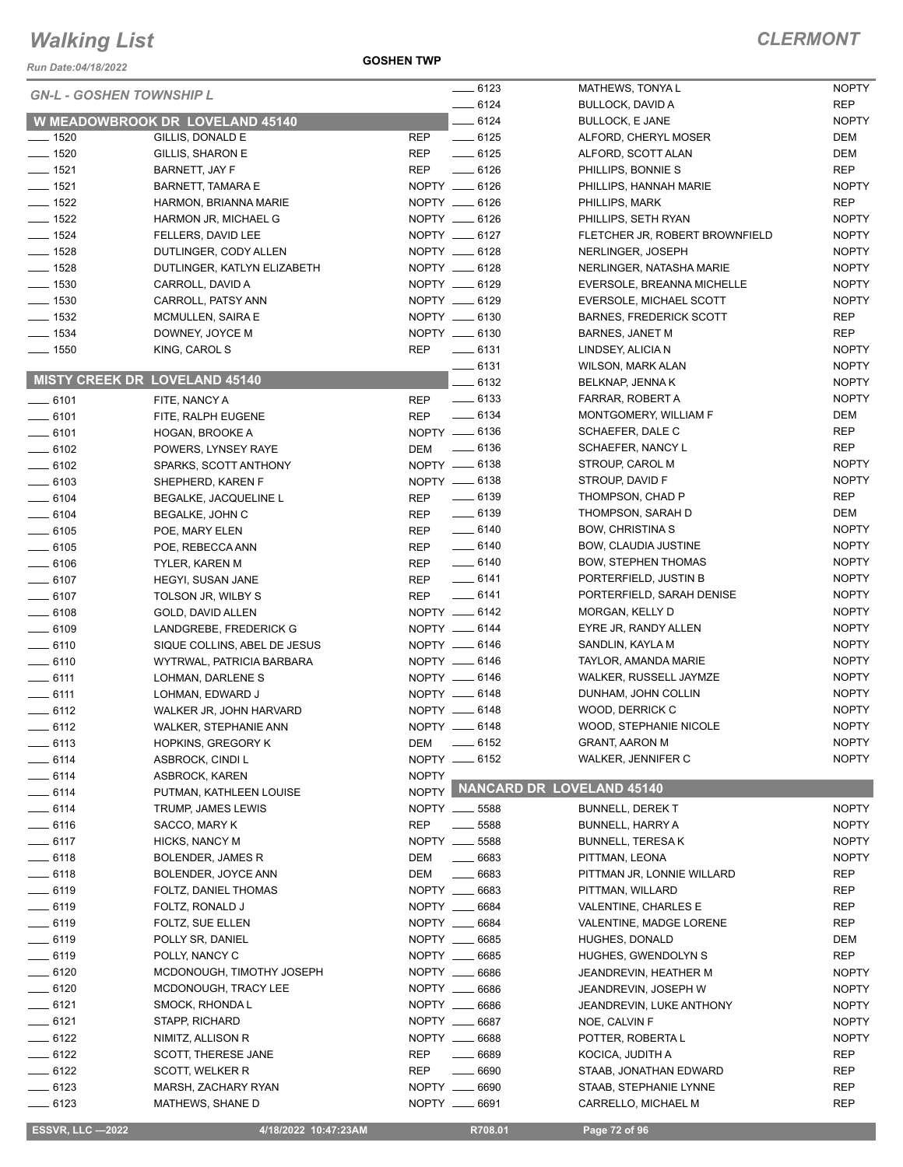*Run Date:04/18/2022*

**GOSHEN TWP**

| <b>GN-L - GOSHEN TOWNSHIP L</b> |                                 |              | $- 6123$                        | MATHEWS, TONYAL                | <b>NOPTY</b> |
|---------------------------------|---------------------------------|--------------|---------------------------------|--------------------------------|--------------|
|                                 |                                 | $-6124$      | <b>BULLOCK, DAVID A</b>         | <b>REP</b>                     |              |
|                                 | W MEADOWBROOK DR LOVELAND 45140 |              | $- 6124$                        | <b>BULLOCK, E JANE</b>         | <b>NOPTY</b> |
| $- 1520$                        | GILLIS, DONALD E                | REP          | $-6125$                         | ALFORD, CHERYL MOSER           | DEM          |
| $- 1520$                        | GILLIS, SHARON E                | <b>REP</b>   | $-6125$                         | ALFORD, SCOTT ALAN             | DEM          |
| $- 1521$                        | BARNETT, JAY F                  | <b>REP</b>   | $-6126$                         | PHILLIPS, BONNIE S             | <b>REP</b>   |
| $- 1521$                        | BARNETT, TAMARA E               |              | NOPTY __ 6126                   | PHILLIPS, HANNAH MARIE         | <b>NOPTY</b> |
| $\frac{1}{2}$ 1522              | HARMON, BRIANNA MARIE           |              | NOPTY __ 6126                   | PHILLIPS, MARK                 | <b>REP</b>   |
| $- 1522$                        | HARMON JR, MICHAEL G            |              | NOPTY __ 6126                   | PHILLIPS, SETH RYAN            | <b>NOPTY</b> |
| $\frac{1}{2}$ 1524              | FELLERS, DAVID LEE              |              | NOPTY __ 6127                   | FLETCHER JR, ROBERT BROWNFIELD | <b>NOPTY</b> |
| $\frac{1}{2}$ 1528              | DUTLINGER, CODY ALLEN           |              | NOPTY __ 6128                   | NERLINGER, JOSEPH              | <b>NOPTY</b> |
| $- 1528$                        | DUTLINGER, KATLYN ELIZABETH     |              | NOPTY __ 6128                   | NERLINGER, NATASHA MARIE       | <b>NOPTY</b> |
| $\frac{1}{2}$ 1530              | CARROLL, DAVID A                |              | NOPTY __ 6129                   | EVERSOLE, BREANNA MICHELLE     | <b>NOPTY</b> |
| $- 1530$                        | CARROLL, PATSY ANN              |              | NOPTY __ 6129                   | EVERSOLE, MICHAEL SCOTT        | <b>NOPTY</b> |
| $- 1532$                        | MCMULLEN, SAIRA E               |              | NOPTY __ 6130                   | <b>BARNES, FREDERICK SCOTT</b> | <b>REP</b>   |
| $\frac{1}{2}$ 1534              | DOWNEY, JOYCE M                 |              | NOPTY __ 6130                   | BARNES, JANET M                | REP          |
| $- 1550$                        | KING, CAROL S                   | <b>REP</b>   | $\frac{1}{2}$ 6131              | LINDSEY, ALICIA N              | <b>NOPTY</b> |
|                                 |                                 |              | $-6131$                         | WILSON, MARK ALAN              | <b>NOPTY</b> |
|                                 | MISTY CREEK DR LOVELAND 45140   |              | 6132                            | BELKNAP, JENNA K               | <b>NOPTY</b> |
|                                 |                                 |              |                                 |                                |              |
| $-6101$                         | FITE, NANCY A                   | <b>REP</b>   | $\frac{1}{2}$ 6133              | FARRAR, ROBERT A               | <b>NOPTY</b> |
| $- 6101$                        | FITE, RALPH EUGENE              | REP          | $\frac{1}{2}$ 6134              | MONTGOMERY, WILLIAM F          | DEM          |
| $-6101$                         | HOGAN, BROOKE A                 |              | NOPTY __ 6136                   | SCHAEFER, DALE C               | <b>REP</b>   |
| $\frac{1}{2}$ 6102              | POWERS, LYNSEY RAYE             | DEM          | $- 6136$                        | SCHAEFER, NANCY L              | <b>REP</b>   |
| $\frac{1}{2}$ 6102              | SPARKS, SCOTT ANTHONY           |              | NOPTY __ 6138                   | STROUP, CAROL M                | <b>NOPTY</b> |
| $- 6103$                        | SHEPHERD, KAREN F               |              | NOPTY __ 6138                   | STROUP, DAVID F                | <b>NOPTY</b> |
| $- 6104$                        | BEGALKE, JACQUELINE L           | <b>REP</b>   | $- 6139$                        | THOMPSON, CHAD P               | <b>REP</b>   |
| $- 6104$                        | BEGALKE, JOHN C                 | REP          | $\frac{1}{2}$ 6139              | THOMPSON, SARAH D              | DEM          |
| $- 6105$                        | POE, MARY ELEN                  | REP          | $-6140$                         | <b>BOW, CHRISTINA S</b>        | <b>NOPTY</b> |
| $\frac{1}{2}$ 6105              | POE, REBECCA ANN                | <b>REP</b>   | $-6140$                         | <b>BOW, CLAUDIA JUSTINE</b>    | <b>NOPTY</b> |
| $- 6106$                        | <b>TYLER, KAREN M</b>           | <b>REP</b>   | $\frac{1}{2}$ 6140              | <b>BOW, STEPHEN THOMAS</b>     | <b>NOPTY</b> |
| $- 6107$                        | <b>HEGYI, SUSAN JANE</b>        | <b>REP</b>   | $-6141$                         | PORTERFIELD, JUSTIN B          | <b>NOPTY</b> |
| $- 6107$                        | TOLSON JR, WILBY S              | <b>REP</b>   | $-6141$                         | PORTERFIELD, SARAH DENISE      | <b>NOPTY</b> |
| $- 6108$                        | GOLD, DAVID ALLEN               |              | NOPTY -6142                     | MORGAN, KELLY D                | <b>NOPTY</b> |
| $- 6109$                        | LANDGREBE, FREDERICK G          |              | NOPTY __ 6144                   | EYRE JR, RANDY ALLEN           | <b>NOPTY</b> |
| $- 6110$                        | SIQUE COLLINS, ABEL DE JESUS    |              | NOPTY -6146                     | SANDLIN, KAYLA M               | <b>NOPTY</b> |
| $-6110$                         | WYTRWAL, PATRICIA BARBARA       |              | NOPTY __ 6146                   | TAYLOR, AMANDA MARIE           | <b>NOPTY</b> |
| $\frac{1}{2}$ 6111              | LOHMAN, DARLENE S               |              | NOPTY __ 6146                   | WALKER, RUSSELL JAYMZE         | <b>NOPTY</b> |
| $\frac{1}{2}$ 6111              | LOHMAN, EDWARD J                |              | NOPTY -6148                     | DUNHAM, JOHN COLLIN            | <b>NOPTY</b> |
| $-6112$                         | WALKER JR, JOHN HARVARD         |              | NOPTY __ 6148                   | WOOD, DERRICK C                | <b>NOPTY</b> |
|                                 |                                 |              | NOPTY __ 6148                   | WOOD, STEPHANIE NICOLE         | <b>NOPTY</b> |
| $-6112$                         | <b>WALKER, STEPHANIE ANN</b>    |              |                                 |                                |              |
| —— 6113                         | <b>HOPKINS, GREGORY K</b>       | DEM          | $- 6152$                        | <b>GRANT, AARON M</b>          | <b>NOPTY</b> |
| $-6114$                         | ASBROCK, CINDI L                |              | NOPTY -6152                     | <b>WALKER, JENNIFER C</b>      | <b>NOPTY</b> |
| $-6114$                         | ASBROCK, KAREN                  | <b>NOPTY</b> | NOPTY NANCARD DR LOVELAND 45140 |                                |              |
| $-6114$                         | PUTMAN, KATHLEEN LOUISE         |              |                                 |                                |              |
| $-6114$                         | TRUMP, JAMES LEWIS              |              | NOPTY __ 5588                   | <b>BUNNELL, DEREK T</b>        | <b>NOPTY</b> |
| $- 6116$                        | SACCO, MARY K                   | <b>REP</b>   | $\frac{1}{2}$ 5588              | <b>BUNNELL, HARRY A</b>        | <b>NOPTY</b> |
| $-6117$                         | HICKS, NANCY M                  |              | NOPTY __ 5588                   | <b>BUNNELL, TERESAK</b>        | <b>NOPTY</b> |
| $-6118$                         | <b>BOLENDER, JAMES R</b>        | DEM          | $- 6683$                        | PITTMAN, LEONA                 | <b>NOPTY</b> |
| $- 6118$                        | BOLENDER, JOYCE ANN             | DEM          | $- 6683$                        | PITTMAN JR, LONNIE WILLARD     | REP          |
| $-6119$                         | FOLTZ, DANIEL THOMAS            |              | NOPTY __ 6683                   | PITTMAN, WILLARD               | REP          |
| $- 6119$                        | FOLTZ, RONALD J                 |              | NOPTY __ 6684                   | VALENTINE, CHARLES E           | REP          |
| <u>—</u> — 6119                 | FOLTZ, SUE ELLEN                |              | NOPTY __ 6684                   | VALENTINE, MADGE LORENE        | REP          |
| $-6119$                         | POLLY SR, DANIEL                |              | NOPTY __ 6685                   | HUGHES, DONALD                 | DEM          |
| $-6119$                         | POLLY, NANCY C                  |              | NOPTY __ 6685                   | HUGHES, GWENDOLYN S            | REP          |
| $- 6120$                        | MCDONOUGH, TIMOTHY JOSEPH       |              | NOPTY __ 6686                   | JEANDREVIN, HEATHER M          | <b>NOPTY</b> |
| $- 6120$                        | MCDONOUGH, TRACY LEE            |              | NOPTY __ 6686                   | JEANDREVIN, JOSEPH W           | <b>NOPTY</b> |
| $-6121$                         | SMOCK, RHONDA L                 |              | NOPTY __ 6686                   | JEANDREVIN, LUKE ANTHONY       | <b>NOPTY</b> |
| $-6121$                         | STAPP, RICHARD                  |              | NOPTY __ 6687                   | NOE, CALVIN F                  | <b>NOPTY</b> |
| $-6122$                         | NIMITZ, ALLISON R               |              | NOPTY __ 6688                   | POTTER, ROBERTA L              | <b>NOPTY</b> |
| $-6122$                         | SCOTT, THERESE JANE             | REP          | $\frac{1}{2}$ 6689              | KOCICA, JUDITH A               | REP          |
|                                 |                                 |              |                                 |                                |              |
| $-6122$                         | SCOTT, WELKER R                 | <b>REP</b>   | $- 6690$                        | STAAB, JONATHAN EDWARD         | REP          |
| $-6123$                         | MARSH, ZACHARY RYAN             |              | NOPTY __ 6690                   | STAAB, STEPHANIE LYNNE         | REP          |
| $-6123$                         | MATHEWS, SHANE D                |              | NOPTY __ 6691                   | CARRELLO, MICHAEL M            | REP          |

 **ESSVR, LLC —2022 4/18/2022 10:47:23AM R708.01 Page 72 of 96**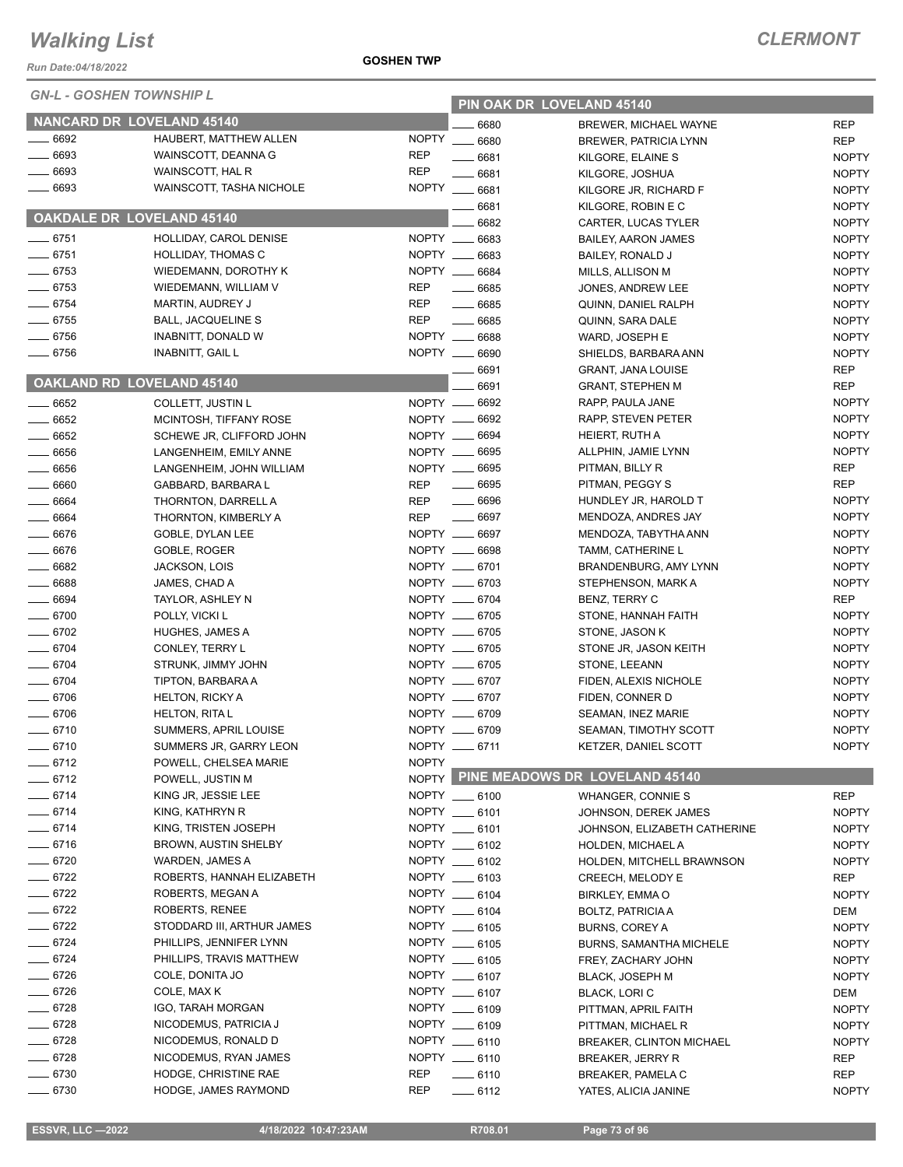| <b>ESSVR, LLC -2022</b> | 4/18/2022 10:47:23AM | R708.01 | Page 73 of 96 |
|-------------------------|----------------------|---------|---------------|

| 8/2022 10:47:23AM |  |
|-------------------|--|
|                   |  |

| <b>UN-L - UUSHEN TUWNSHIP L</b>  |                             |              |               | PIN OAK DR LOVELAND 45140            |              |
|----------------------------------|-----------------------------|--------------|---------------|--------------------------------------|--------------|
| <b>NANCARD DR LOVELAND 45140</b> |                             |              | 6680          | BREWER, MICHAEL WAYNE                | <b>REP</b>   |
| $-6692$                          | HAUBERT, MATTHEW ALLEN      | <b>NOPTY</b> | $- 6680$      | <b>BREWER, PATRICIA LYNN</b>         | <b>REP</b>   |
| 6693                             | WAINSCOTT, DEANNA G         | <b>REP</b>   | 6681          | KILGORE, ELAINE S                    | <b>NOPTY</b> |
| 6693                             | WAINSCOTT, HAL R            | <b>REP</b>   | 6681          | KILGORE, JOSHUA                      | <b>NOPTY</b> |
| 6693                             | WAINSCOTT, TASHA NICHOLE    |              | NOPTY __ 6681 | KILGORE JR, RICHARD F                | <b>NOPTY</b> |
|                                  |                             |              | 6681          | KILGORE, ROBIN E C                   | <b>NOPTY</b> |
| <b>OAKDALE DR LOVELAND 45140</b> |                             |              | 6682          | CARTER, LUCAS TYLER                  | <b>NOPTY</b> |
| $\frac{1}{2}$ 6751               | HOLLIDAY, CAROL DENISE      |              | NOPTY __ 6683 | BAILEY, AARON JAMES                  | <b>NOPTY</b> |
| $- 6751$                         | <b>HOLLIDAY, THOMAS C</b>   | NOPTY __     | 6683          | BAILEY, RONALD J                     | <b>NOPTY</b> |
| $-6753$                          | WIEDEMANN, DOROTHY K        |              | NOPTY __ 6684 | MILLS, ALLISON M                     | <b>NOPTY</b> |
| $- 6753$                         | WIEDEMANN, WILLIAM V        | <b>REP</b>   | $- 6685$      | JONES, ANDREW LEE                    | <b>NOPTY</b> |
| $- 6754$                         | MARTIN, AUDREY J            | <b>REP</b>   | $- 6685$      | QUINN, DANIEL RALPH                  | <b>NOPTY</b> |
| $- 6755$                         | <b>BALL, JACQUELINE S</b>   | <b>REP</b>   | $- 6685$      | QUINN, SARA DALE                     | <b>NOPTY</b> |
| $- 6756$                         | INABNITT, DONALD W          |              | NOPTY __ 6688 | WARD, JOSEPH E                       | <b>NOPTY</b> |
| $- 6756$                         | <b>INABNITT, GAIL L</b>     |              | NOPTY __ 6690 | SHIELDS, BARBARA ANN                 | <b>NOPTY</b> |
|                                  |                             |              | 6691          | <b>GRANT, JANA LOUISE</b>            | <b>REP</b>   |
| OAKLAND RD LOVELAND 45140        |                             |              | 6691          | <b>GRANT, STEPHEN M</b>              | <b>REP</b>   |
| $- 6652$                         | COLLETT, JUSTIN L           |              | NOPTY __ 6692 | RAPP, PAULA JANE                     | <b>NOPTY</b> |
| $- 6652$                         | MCINTOSH, TIFFANY ROSE      |              | NOPTY __ 6692 | RAPP, STEVEN PETER                   | <b>NOPTY</b> |
| $- 6652$                         | SCHEWE JR, CLIFFORD JOHN    |              | NOPTY __ 6694 | HEIERT, RUTH A                       | <b>NOPTY</b> |
| 6656                             | LANGENHEIM, EMILY ANNE      |              | NOPTY __ 6695 | ALLPHIN, JAMIE LYNN                  | <b>NOPTY</b> |
| $\frac{1}{2}$ 6656               | LANGENHEIM, JOHN WILLIAM    |              | NOPTY __ 6695 | PITMAN, BILLY R                      | <b>REP</b>   |
| 6660                             | GABBARD, BARBARA L          | <b>REP</b>   | $- 6695$      | PITMAN, PEGGY S                      | <b>REP</b>   |
| $- 6664$                         | THORNTON, DARRELL A         | <b>REP</b>   | $- 6696$      | HUNDLEY JR, HAROLD T                 | <b>NOPTY</b> |
| $- 6664$                         | THORNTON, KIMBERLY A        | <b>REP</b>   | $- 6697$      | MENDOZA, ANDRES JAY                  | <b>NOPTY</b> |
| 6676                             | GOBLE, DYLAN LEE            |              | NOPTY __ 6697 | MENDOZA, TABYTHA ANN                 | <b>NOPTY</b> |
| $- 6676$                         | GOBLE, ROGER                |              | NOPTY __ 6698 | TAMM, CATHERINE L                    | <b>NOPTY</b> |
| 6682                             | JACKSON, LOIS               |              | NOPTY __ 6701 | BRANDENBURG, AMY LYNN                | <b>NOPTY</b> |
| 6688                             | JAMES, CHAD A               |              | NOPTY __ 6703 | STEPHENSON, MARK A                   | <b>NOPTY</b> |
| 6694                             | TAYLOR, ASHLEY N            |              | NOPTY __ 6704 | BENZ, TERRY C                        | REP          |
| 6700                             | POLLY, VICKI L              |              | NOPTY __ 6705 | STONE, HANNAH FAITH                  | <b>NOPTY</b> |
| $- 6702$                         | <b>HUGHES, JAMES A</b>      |              | NOPTY __ 6705 | STONE, JASON K                       | <b>NOPTY</b> |
| $- 6704$                         | CONLEY, TERRY L             |              | NOPTY __ 6705 | STONE JR, JASON KEITH                | <b>NOPTY</b> |
| $- 6704$                         | STRUNK, JIMMY JOHN          |              | NOPTY __ 6705 | STONE, LEEANN                        | <b>NOPTY</b> |
| $- 6704$                         | TIPTON, BARBARA A           |              | NOPTY __ 6707 | FIDEN, ALEXIS NICHOLE                | <b>NOPTY</b> |
| $- 6706$                         | <b>HELTON, RICKY A</b>      |              | NOPTY __ 6707 | FIDEN, CONNER D                      | <b>NOPTY</b> |
| $- 6706$                         | <b>HELTON, RITA L</b>       |              | NOPTY __ 6709 | SEAMAN, INEZ MARIE                   | <b>NOPTY</b> |
| $-6710$                          | SUMMERS, APRIL LOUISE       |              | NOPTY __ 6709 | SEAMAN, TIMOTHY SCOTT                | <b>NOPTY</b> |
| $-6710$                          | SUMMERS JR, GARRY LEON      |              | NOPTY __ 6711 | KETZER, DANIEL SCOTT                 | <b>NOPTY</b> |
| —— 6712                          | POWELL, CHELSEA MARIE       | <b>NOPTY</b> |               |                                      |              |
| $-6712$                          | POWELL, JUSTIN M            |              |               | NOPTY PINE MEADOWS DR LOVELAND 45140 |              |
| $-6714$                          | KING JR, JESSIE LEE         |              | NOPTY __ 6100 | <b>WHANGER, CONNIE S</b>             | <b>REP</b>   |
| $- 6714$                         | KING, KATHRYN R             |              | NOPTY __ 6101 | JOHNSON, DEREK JAMES                 | <b>NOPTY</b> |
| $- 6714$                         | KING, TRISTEN JOSEPH        |              | NOPTY __ 6101 | JOHNSON, ELIZABETH CATHERINE         | <b>NOPTY</b> |
| $- 6716$                         | <b>BROWN, AUSTIN SHELBY</b> |              | NOPTY __ 6102 | HOLDEN, MICHAEL A                    | <b>NOPTY</b> |
| $-6720$                          | WARDEN, JAMES A             |              | NOPTY __ 6102 | HOLDEN, MITCHELL BRAWNSON            | <b>NOPTY</b> |
| $- 6722$                         | ROBERTS, HANNAH ELIZABETH   |              | NOPTY __ 6103 | CREECH, MELODY E                     | REP          |
| $- 6722$                         | ROBERTS, MEGAN A            |              | NOPTY __ 6104 | <b>BIRKLEY, EMMA O</b>               | <b>NOPTY</b> |
| $- 6722$                         | ROBERTS, RENEE              |              | NOPTY __ 6104 | <b>BOLTZ, PATRICIA A</b>             | DEM          |
| $- 6722$                         | STODDARD III, ARTHUR JAMES  |              | NOPTY __ 6105 | <b>BURNS, COREY A</b>                | <b>NOPTY</b> |
| $-6724$                          | PHILLIPS, JENNIFER LYNN     |              | NOPTY __ 6105 | <b>BURNS, SAMANTHA MICHELE</b>       | <b>NOPTY</b> |
| $- 6724$                         | PHILLIPS, TRAVIS MATTHEW    |              | NOPTY __ 6105 | FREY, ZACHARY JOHN                   | <b>NOPTY</b> |
| $-6726$                          | COLE, DONITA JO             |              | NOPTY __ 6107 | <b>BLACK, JOSEPH M</b>               | <b>NOPTY</b> |
| $-6726$                          | COLE, MAX K                 |              | NOPTY __ 6107 | <b>BLACK, LORIC</b>                  | DEM          |
| $- 6728$                         | IGO, TARAH MORGAN           |              | NOPTY __ 6109 | PITTMAN, APRIL FAITH                 | <b>NOPTY</b> |
| $-6728$                          | NICODEMUS, PATRICIA J       |              | NOPTY __ 6109 | PITTMAN, MICHAEL R                   | <b>NOPTY</b> |
| $- 6728$                         | NICODEMUS, RONALD D         |              | NOPTY __ 6110 | <b>BREAKER, CLINTON MICHAEL</b>      | <b>NOPTY</b> |
| $- 6728$                         | NICODEMUS, RYAN JAMES       |              | NOPTY __ 6110 | <b>BREAKER, JERRY R</b>              | REP          |
| $\frac{1}{2}$ 6730               | HODGE, CHRISTINE RAE        | REP          | $- 6110$      | BREAKER, PAMELA C                    | <b>REP</b>   |
| $-6730$                          | <b>HODGE, JAMES RAYMOND</b> | <b>REP</b>   | $\_\_6112$    | YATES, ALICIA JANINE                 | <b>NOPTY</b> |
|                                  |                             |              |               |                                      |              |

*Run Date:04/18/2022*

*GN-L - GOSHEN TOWNSHIP L*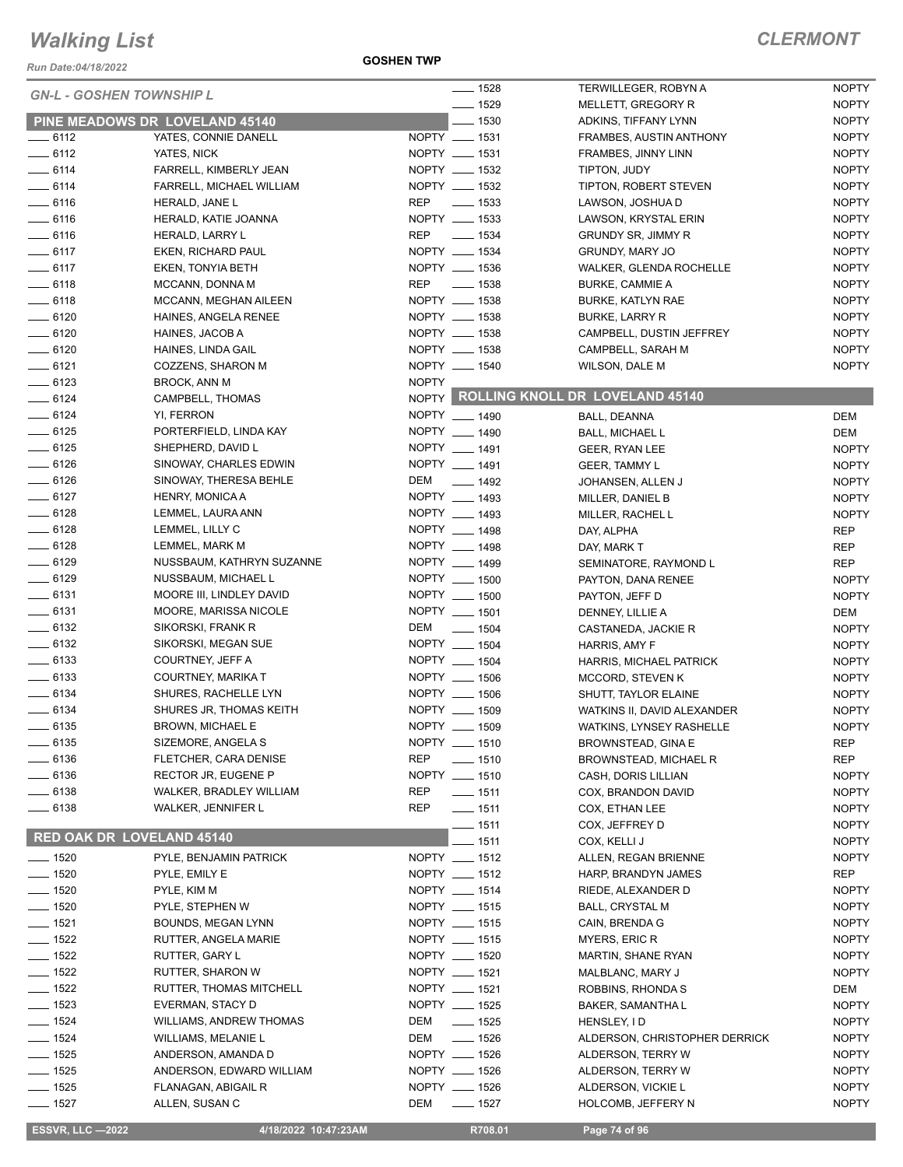*Run Date:04/18/2022*

**GOSHEN TWP**

| <b>GN-L - GOSHEN TOWNSHIP L</b>  |                                | $- 1528$                  | <b>TERWILLEGER, ROBYN A</b>           | <b>NOPTY</b> |
|----------------------------------|--------------------------------|---------------------------|---------------------------------------|--------------|
|                                  |                                | $- 1529$                  | MELLETT, GREGORY R                    | <b>NOPTY</b> |
|                                  | PINE MEADOWS DR LOVELAND 45140 | $\frac{1}{2}$ 1530        | ADKINS, TIFFANY LYNN                  | <b>NOPTY</b> |
| $-6112$                          | YATES, CONNIE DANELL           | NOPTY __ 1531             | FRAMBES, AUSTIN ANTHONY               | <b>NOPTY</b> |
| $-6112$                          | YATES, NICK                    | NOPTY __ 1531             | FRAMBES, JINNY LINN                   | <b>NOPTY</b> |
| $-6114$                          | FARRELL, KIMBERLY JEAN         | NOPTY __ 1532             | TIPTON, JUDY                          | <b>NOPTY</b> |
| $-6114$                          | FARRELL, MICHAEL WILLIAM       | NOPTY __ 1532             | TIPTON, ROBERT STEVEN                 | <b>NOPTY</b> |
| $- 6116$                         | HERALD, JANE L                 | $\sim$ 1533<br>REP        | LAWSON, JOSHUA D                      | <b>NOPTY</b> |
| $-6116$                          | HERALD, KATIE JOANNA           | NOPTY __ 1533             | LAWSON, KRYSTAL ERIN                  | <b>NOPTY</b> |
| $- 6116$                         | HERALD, LARRY L                | REP<br>______ 1534        | <b>GRUNDY SR, JIMMY R</b>             | <b>NOPTY</b> |
| $-6117$                          | EKEN, RICHARD PAUL             | NOPTY __ 1534             | <b>GRUNDY, MARY JO</b>                | <b>NOPTY</b> |
| $-6117$                          | EKEN, TONYIA BETH              | NOPTY __ 1536             | WALKER, GLENDA ROCHELLE               | <b>NOPTY</b> |
| $-6118$                          | MCCANN, DONNA M                | REP __ 1538               | <b>BURKE, CAMMIE A</b>                | <b>NOPTY</b> |
| $-6118$                          | MCCANN, MEGHAN AILEEN          | NOPTY __ 1538             | <b>BURKE, KATLYN RAE</b>              | <b>NOPTY</b> |
| $- 6120$                         |                                |                           |                                       |              |
|                                  | HAINES, ANGELA RENEE           | NOPTY __ 1538             | <b>BURKE, LARRY R</b>                 | <b>NOPTY</b> |
| $- 6120$                         | HAINES, JACOB A                | NOPTY __ 1538             | CAMPBELL, DUSTIN JEFFREY              | <b>NOPTY</b> |
| $- 6120$                         | HAINES, LINDA GAIL             | NOPTY __ 1538             | CAMPBELL, SARAH M                     | <b>NOPTY</b> |
| $-6121$                          | COZZENS, SHARON M              | NOPTY __ 1540             | <b>WILSON, DALE M</b>                 | <b>NOPTY</b> |
| $-6123$                          | <b>BROCK, ANN M</b>            | <b>NOPTY</b>              |                                       |              |
| $- 6124$                         | CAMPBELL, THOMAS               |                           | NOPTY ROLLING KNOLL DR LOVELAND 45140 |              |
| $-6124$                          | YI, FERRON                     | NOPTY __ 1490             | BALL, DEANNA                          | DEM          |
| $- 6125$                         | PORTERFIELD, LINDA KAY         | NOPTY __ 1490             | <b>BALL, MICHAEL L</b>                | DEM          |
| $- 6125$                         | SHEPHERD, DAVID L              | NOPTY __ 1491             | GEER, RYAN LEE                        | <b>NOPTY</b> |
| $-6126$                          | SINOWAY, CHARLES EDWIN         | NOPTY __ 1491             | <b>GEER, TAMMY L</b>                  | <b>NOPTY</b> |
| $- 6126$                         | SINOWAY, THERESA BEHLE         | DEM<br>$\frac{1}{2}$ 1492 | JOHANSEN, ALLEN J                     | <b>NOPTY</b> |
| $-6127$                          | HENRY, MONICA A                | NOPTY __ 1493             | MILLER, DANIEL B                      | <b>NOPTY</b> |
| $-6128$                          | LEMMEL, LAURA ANN              | NOPTY __ 1493             | MILLER, RACHEL L                      | <b>NOPTY</b> |
| $-6128$                          | LEMMEL, LILLY C                | NOPTY __ 1498             | DAY, ALPHA                            | <b>REP</b>   |
| $- 6128$                         | LEMMEL, MARK M                 | NOPTY __ 1498             | DAY, MARK T                           | <b>REP</b>   |
| $- 6129$                         | NUSSBAUM, KATHRYN SUZANNE      | NOPTY __ 1499             | SEMINATORE, RAYMOND L                 | <b>REP</b>   |
| $- 6129$                         | NUSSBAUM, MICHAEL L            | NOPTY __ 1500             |                                       |              |
|                                  |                                | NOPTY __ 1500             | PAYTON, DANA RENEE                    | <b>NOPTY</b> |
| $-6131$                          | MOORE III, LINDLEY DAVID       |                           | PAYTON, JEFF D                        | <b>NOPTY</b> |
| $-6131$                          | MOORE, MARISSA NICOLE          | NOPTY __ 1501             | DENNEY, LILLIE A                      | DEM          |
| $- 6132$                         | SIKORSKI, FRANK R              | DEM<br>$- 1504$           | CASTANEDA, JACKIE R                   | <b>NOPTY</b> |
| $- 6132$                         | SIKORSKI, MEGAN SUE            | NOPTY __ 1504             | HARRIS, AMY F                         | <b>NOPTY</b> |
| $- 6133$                         | COURTNEY, JEFF A               | NOPTY __ 1504             | HARRIS, MICHAEL PATRICK               | <b>NOPTY</b> |
| $- 6133$                         | COURTNEY, MARIKA T             | NOPTY __ 1506             | MCCORD, STEVEN K                      | <b>NOPTY</b> |
| $- 6134$                         | SHURES, RACHELLE LYN           | NOPTY __ 1506             | SHUTT, TAYLOR ELAINE                  | <b>NOPTY</b> |
| $-6134$                          | SHURES JR, THOMAS KEITH        | NOPTY __ 1509             | WATKINS II, DAVID ALEXANDER           | <b>NOPTY</b> |
| $- 6135$                         | <b>BROWN, MICHAEL E</b>        | NOPTY __ 1509             | WATKINS, LYNSEY RASHELLE              | <b>NOPTY</b> |
| $-6135$                          | SIZEMORE, ANGELA S             | NOPTY __ 1510             | BROWNSTEAD, GINA E                    | REP          |
| $- 6136$                         | FLETCHER, CARA DENISE          | <b>REP</b><br>$- 1510$    | BROWNSTEAD, MICHAEL R                 | REP          |
| $\frac{1}{2}$ 6136               | RECTOR JR, EUGENE P            | NOPTY __ 1510             | CASH, DORIS LILLIAN                   | <b>NOPTY</b> |
| $- 6138$                         | WALKER, BRADLEY WILLIAM        | <b>REP</b><br>$- 1511$    | COX, BRANDON DAVID                    | <b>NOPTY</b> |
| ____ 6138                        | <b>WALKER, JENNIFER L</b>      | REP<br>$- 1511$           | COX, ETHAN LEE                        | <b>NOPTY</b> |
|                                  |                                | $-1511$                   | COX, JEFFREY D                        | <b>NOPTY</b> |
| <b>RED OAK DR LOVELAND 45140</b> |                                | $-$ 1511                  |                                       | <b>NOPTY</b> |
|                                  |                                | NOPTY __ 1512             | COX, KELLI J                          |              |
| $- 1520$                         | PYLE, BENJAMIN PATRICK         |                           | ALLEN, REGAN BRIENNE                  | <b>NOPTY</b> |
| $- 1520$                         | PYLE, EMILY E                  | NOPTY __ 1512             | HARP, BRANDYN JAMES                   | <b>REP</b>   |
| $- 1520$                         | PYLE, KIM M                    | NOPTY __ 1514             | RIEDE, ALEXANDER D                    | <b>NOPTY</b> |
| $\frac{1}{2}$ 1520               | PYLE, STEPHEN W                | NOPTY __ 1515             | <b>BALL, CRYSTAL M</b>                | <b>NOPTY</b> |
| $- 1521$                         | BOUNDS, MEGAN LYNN             | NOPTY __ 1515             | CAIN, BRENDA G                        | <b>NOPTY</b> |
| $- 1522$                         | RUTTER, ANGELA MARIE           | NOPTY __ 1515             | MYERS, ERIC R                         | <b>NOPTY</b> |
| $- 1522$                         | RUTTER, GARY L                 | NOPTY __ 1520             | MARTIN, SHANE RYAN                    | <b>NOPTY</b> |
| $- 1522$                         | RUTTER, SHARON W               | NOPTY __ 1521             | MALBLANC, MARY J                      | <b>NOPTY</b> |
| $\frac{1}{2}$ 1522               | RUTTER, THOMAS MITCHELL        | NOPTY __ 1521             | ROBBINS, RHONDA S                     | DEM          |
| $- 1523$                         | EVERMAN, STACY D               | NOPTY __ 1525             | BAKER, SAMANTHA L                     | <b>NOPTY</b> |
| $- 1524$                         | <b>WILLIAMS, ANDREW THOMAS</b> | $- 1525$<br>DEM           | HENSLEY, ID                           | <b>NOPTY</b> |
| $- 1524$                         | WILLIAMS, MELANIE L            | $- 1526$<br>DEM           | ALDERSON, CHRISTOPHER DERRICK         | <b>NOPTY</b> |
| $- 1525$                         | ANDERSON, AMANDA D             | NOPTY __ 1526             | ALDERSON, TERRY W                     | <b>NOPTY</b> |
| $- 1525$                         | ANDERSON, EDWARD WILLIAM       | NOPTY __ 1526             | ALDERSON, TERRY W                     | <b>NOPTY</b> |
| $- 1525$                         |                                | NOPTY __ 1526             |                                       | <b>NOPTY</b> |
|                                  | FLANAGAN, ABIGAIL R            |                           | ALDERSON, VICKIE L                    |              |
| $- 1527$                         | ALLEN, SUSAN C                 | DEM<br>_____ 1527         | HOLCOMB, JEFFERY N                    | <b>NOPTY</b> |

**ESSVR, LLC -2022 4/18/2022 10:47:23AM** R708.01 **Page 74 of 96**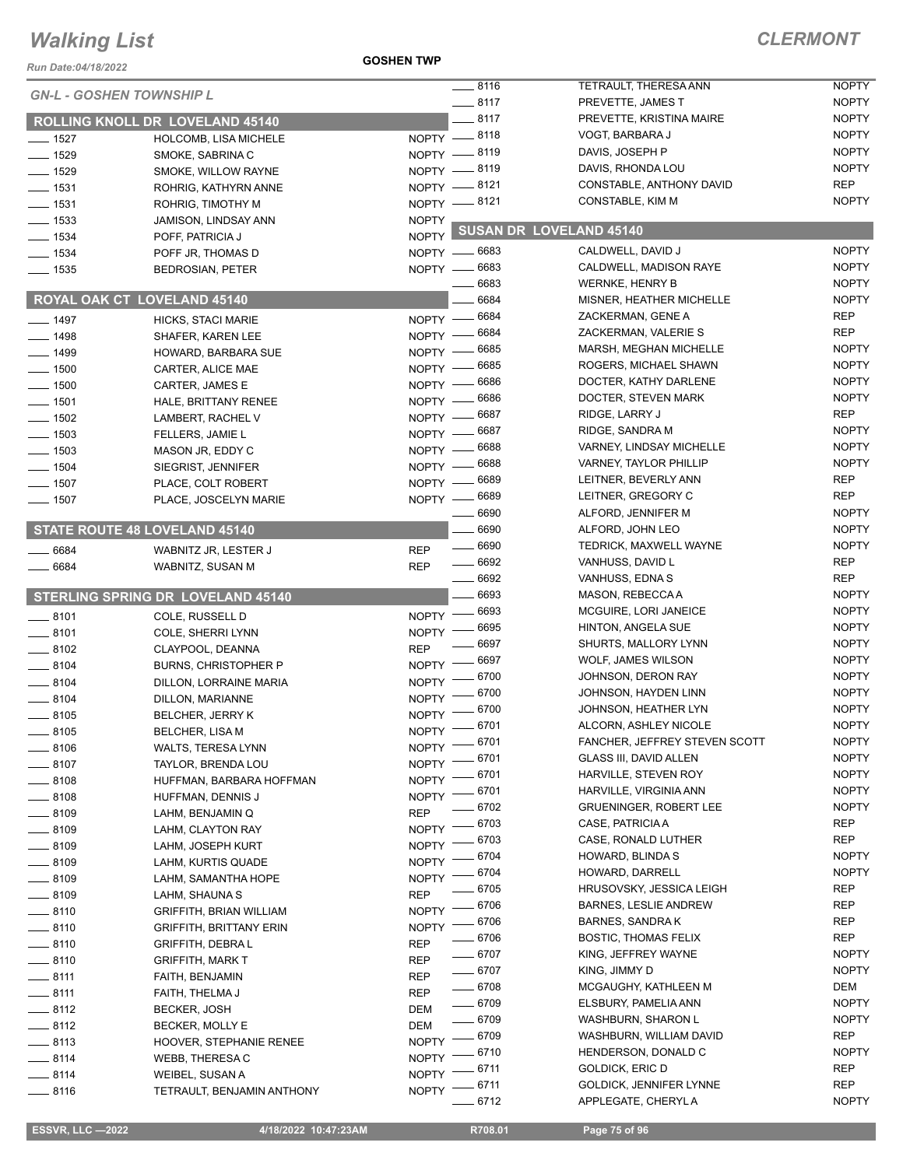#### **GOSHEN TWP**

| Run Date:04/18/2022 |                                          |                        |         |                                      |                              |
|---------------------|------------------------------------------|------------------------|---------|--------------------------------------|------------------------------|
|                     | <b>GN-L - GOSHEN TOWNSHIP L</b>          | $-8116$                |         | TETRAULT, THERESA ANN                | <b>NOPTY</b>                 |
|                     |                                          | $-8117$                |         | PREVETTE, JAMES T                    | <b>NOPTY</b>                 |
|                     | ROLLING KNOLL DR LOVELAND 45140          | $-8117$                |         | PREVETTE, KRISTINA MAIRE             | <b>NOPTY</b>                 |
| $- 1527$            | HOLCOMB, LISA MICHELE                    | NOPTY -8118            |         | VOGT, BARBARA J                      | <b>NOPTY</b><br><b>NOPTY</b> |
| $- 1529$            | SMOKE, SABRINA C                         | NOPTY -8119            |         | DAVIS, JOSEPH P<br>DAVIS, RHONDA LOU | <b>NOPTY</b>                 |
| $- 1529$            | SMOKE, WILLOW RAYNE                      | NOPTY -8119            |         |                                      | <b>REP</b>                   |
| $- 1531$            | ROHRIG, KATHYRN ANNE                     | NOPTY -8121            |         | CONSTABLE, ANTHONY DAVID             | <b>NOPTY</b>                 |
| $- 1531$            | ROHRIG, TIMOTHY M                        | NOPTY -8121            |         | CONSTABLE, KIM M                     |                              |
| $\frac{1}{2}$ 1533  | JAMISON, LINDSAY ANN                     | <b>NOPTY</b>           |         | SUSAN DR LOVELAND 45140              |                              |
| $- 1534$            | POFF, PATRICIA J                         | NOPTY <sup>L</sup>     |         |                                      |                              |
| $- 1534$            | POFF JR, THOMAS D                        | NOPTY - 6683           |         | CALDWELL, DAVID J                    | <b>NOPTY</b>                 |
| $\frac{1}{2}$ 1535  | <b>BEDROSIAN, PETER</b>                  | NOPTY -6683            |         | CALDWELL, MADISON RAYE               | <b>NOPTY</b>                 |
|                     |                                          |                        | 6683    | <b>WERNKE, HENRY B</b>               | <b>NOPTY</b>                 |
|                     | ROYAL OAK CT LOVELAND 45140              |                        | 6684    | MISNER, HEATHER MICHELLE             | <b>NOPTY</b>                 |
| $-1497$             | HICKS, STACI MARIE                       | NOPTY - 6684           |         | ZACKERMAN, GENE A                    | <b>REP</b>                   |
| $-1498$             | SHAFER, KAREN LEE                        | $NOPTY -$              | 6684    | ZACKERMAN, VALERIE S                 | <b>REP</b>                   |
| $-1499$             | HOWARD, BARBARA SUE                      | $N$ OPTY $-$           | 6685    | MARSH, MEGHAN MICHELLE               | <b>NOPTY</b>                 |
| $-1500$             | CARTER, ALICE MAE                        | NOPTY -                | 6685    | ROGERS, MICHAEL SHAWN                | <b>NOPTY</b>                 |
| $- 1500$            | CARTER, JAMES E                          | $N$ OPTY $-$           | - 6686  | DOCTER, KATHY DARLENE                | <b>NOPTY</b>                 |
| $- 1501$            | HALE, BRITTANY RENEE                     | NOPTY - 6686           |         | DOCTER, STEVEN MARK                  | <b>NOPTY</b>                 |
| $- 1502$            | LAMBERT, RACHEL V                        | $NOPTY -$              | 6687    | RIDGE, LARRY J                       | <b>REP</b>                   |
| $-1503$             | FELLERS, JAMIE L                         | $N$ OPTY $-$           | - 6687  | RIDGE, SANDRA M                      | <b>NOPTY</b>                 |
| $\frac{1}{2}$ 1503  | MASON JR, EDDY C                         | $NOPTY -$              | 6688    | VARNEY, LINDSAY MICHELLE             | <b>NOPTY</b>                 |
| $- 1504$            | SIEGRIST, JENNIFER                       | $NOPTY -$              | 6688    | <b>VARNEY, TAYLOR PHILLIP</b>        | <b>NOPTY</b>                 |
| $\frac{1}{2}$ 1507  | PLACE, COLT ROBERT                       | $NOPTY -$              | - 6689  | LEITNER, BEVERLY ANN                 | <b>REP</b>                   |
| $- 1507$            | PLACE, JOSCELYN MARIE                    | $NOPTY -$              | _ 6689  | LEITNER, GREGORY C                   | <b>REP</b>                   |
|                     |                                          |                        | 6690    | ALFORD, JENNIFER M                   | <b>NOPTY</b>                 |
|                     | <b>STATE ROUTE 48 LOVELAND 45140</b>     |                        | 6690    | ALFORD, JOHN LEO                     | <b>NOPTY</b>                 |
| $-6684$             | WABNITZ JR, LESTER J                     | <b>REP</b>             | 6690    | TEDRICK, MAXWELL WAYNE               | <b>NOPTY</b>                 |
| 6684                | WABNITZ, SUSAN M                         | $- 6692$<br><b>REP</b> |         | VANHUSS, DAVID L                     | <b>REP</b>                   |
|                     |                                          |                        | 6692    | VANHUSS, EDNA S                      | <b>REP</b>                   |
|                     | <b>STERLING SPRING DR LOVELAND 45140</b> |                        | 6693    | MASON, REBECCA A                     | <b>NOPTY</b>                 |
| $\frac{1}{2}$ 8101  | COLE, RUSSELL D                          | <b>NOPTY</b>           | 6693    | MCGUIRE, LORI JANEICE                | <b>NOPTY</b>                 |
| $-8101$             | COLE, SHERRI LYNN                        | <b>NOPTY</b>           | 6695    | <b>HINTON, ANGELA SUE</b>            | <b>NOPTY</b>                 |
| $-8102$             | CLAYPOOL, DEANNA                         | <b>REP</b>             | 6697    | SHURTS, MALLORY LYNN                 | <b>NOPTY</b>                 |
| $\frac{1}{2}$ 8104  | <b>BURNS, CHRISTOPHER P</b>              | NOPTY -                | 6697    | WOLF, JAMES WILSON                   | <b>NOPTY</b>                 |
| $-8104$             | DILLON, LORRAINE MARIA                   | NOPTY <sup>-</sup>     | 6700    | JOHNSON, DERON RAY                   | <b>NOPTY</b>                 |
| $\frac{1}{2}$ 8104  | DILLON, MARIANNE                         | <b>NOPTY</b>           | 6700    | JOHNSON, HAYDEN LINN                 | <b>NOPTY</b>                 |
| $- 8105$            | <b>BELCHER, JERRY K</b>                  | <b>NOPTY</b>           | 6700    | JOHNSON, HEATHER LYN                 | <b>NOPTY</b>                 |
| __ 8105             | <b>BELCHER, LISA M</b>                   | $- 6701$<br>NOPTY      |         | ALCORN, ASHLEY NICOLE                | <b>NOPTY</b>                 |
| $- 8106$            | WALTS, TERESA LYNN                       | NOPTY -                | $-6701$ | FANCHER, JEFFREY STEVEN SCOTT        | <b>NOPTY</b>                 |
| $-8107$             | TAYLOR, BRENDA LOU                       | NOPTY <sup>-</sup>     | - 6701  | <b>GLASS III, DAVID ALLEN</b>        | <b>NOPTY</b>                 |
| $\frac{1}{2}$ 8108  | HUFFMAN, BARBARA HOFFMAN                 | $NOPTY =$              | 6701    | HARVILLE, STEVEN ROY                 | <b>NOPTY</b>                 |
| __ 8108             | HUFFMAN, DENNIS J                        | $NOPTY$ -              | 6701    | HARVILLE, VIRGINIA ANN               | <b>NOPTY</b>                 |
| $-8109$             | LAHM, BENJAMIN Q                         | <b>REP</b>             | 6702    | <b>GRUENINGER, ROBERT LEE</b>        | <b>NOPTY</b>                 |
| $-8109$             | LAHM, CLAYTON RAY                        | <b>NOPTY</b>           | 6703    | CASE, PATRICIA A                     | <b>REP</b>                   |
| __ 8109             | LAHM, JOSEPH KURT                        | <b>NOPTY</b>           | 6703    | CASE, RONALD LUTHER                  | <b>REP</b>                   |
| $\frac{1}{2}$ 8109  | LAHM, KURTIS QUADE                       | <b>NOPTY</b>           | 6704    | HOWARD, BLINDA S                     | <b>NOPTY</b>                 |
| __ 8109             | LAHM, SAMANTHA HOPE                      | <b>NOPTY</b>           | 6704    | HOWARD, DARRELL                      | <b>NOPTY</b>                 |
| $-8109$             | LAHM, SHAUNA S                           | <b>REP</b>             | 6705    | HRUSOVSKY, JESSICA LEIGH             | <b>REP</b>                   |
| $-8110$             | <b>GRIFFITH, BRIAN WILLIAM</b>           | <b>NOPTY</b>           | 6706    | <b>BARNES, LESLIE ANDREW</b>         | <b>REP</b>                   |
| $= 8110$            | <b>GRIFFITH, BRITTANY ERIN</b>           | <b>NOPTY</b>           | $-6706$ | <b>BARNES, SANDRAK</b>               | REP                          |
| $-8110$             | GRIFFITH, DEBRA L                        | <b>REP</b>             | $=6706$ | <b>BOSTIC, THOMAS FELIX</b>          | <b>REP</b>                   |
| $-8110$             | <b>GRIFFITH, MARK T</b>                  | $- 6707$<br><b>REP</b> |         | KING, JEFFREY WAYNE                  | <b>NOPTY</b>                 |
| $-8111$             | FAITH, BENJAMIN                          | $- 6707$<br><b>REP</b> |         | KING, JIMMY D                        | <b>NOPTY</b>                 |
| $-8111$             | FAITH, THELMA J                          | $- 6708$<br><b>REP</b> |         | MCGAUGHY, KATHLEEN M                 | DEM                          |
| $-8112$             | <b>BECKER, JOSH</b>                      | $- 6709$<br>DEM        |         | ELSBURY, PAMELIA ANN                 | <b>NOPTY</b>                 |
| $-8112$             | BECKER, MOLLY E                          | $- 6709$<br><b>DEM</b> |         | WASHBURN, SHARON L                   | <b>NOPTY</b>                 |
| $-8113$             | HOOVER, STEPHANIE RENEE                  | <b>NOPTY</b>           | _ 6709  | WASHBURN, WILLIAM DAVID              | <b>REP</b>                   |
| $-8114$             | WEBB, THERESA C                          | <b>NOPTY</b>           | 6710    | HENDERSON, DONALD C                  | <b>NOPTY</b>                 |
| $-8114$             | WEIBEL, SUSAN A                          | <b>NOPTY</b>           | 6711    | GOLDICK, ERIC D                      | <b>REP</b>                   |
| $-8116$             | TETRAULT, BENJAMIN ANTHONY               | NOPTY <sup>-</sup>     | 6711    | GOLDICK, JENNIFER LYNNE              | <b>REP</b>                   |
|                     |                                          |                        | 6712    | APPLEGATE, CHERYLA                   | <b>NOPTY</b>                 |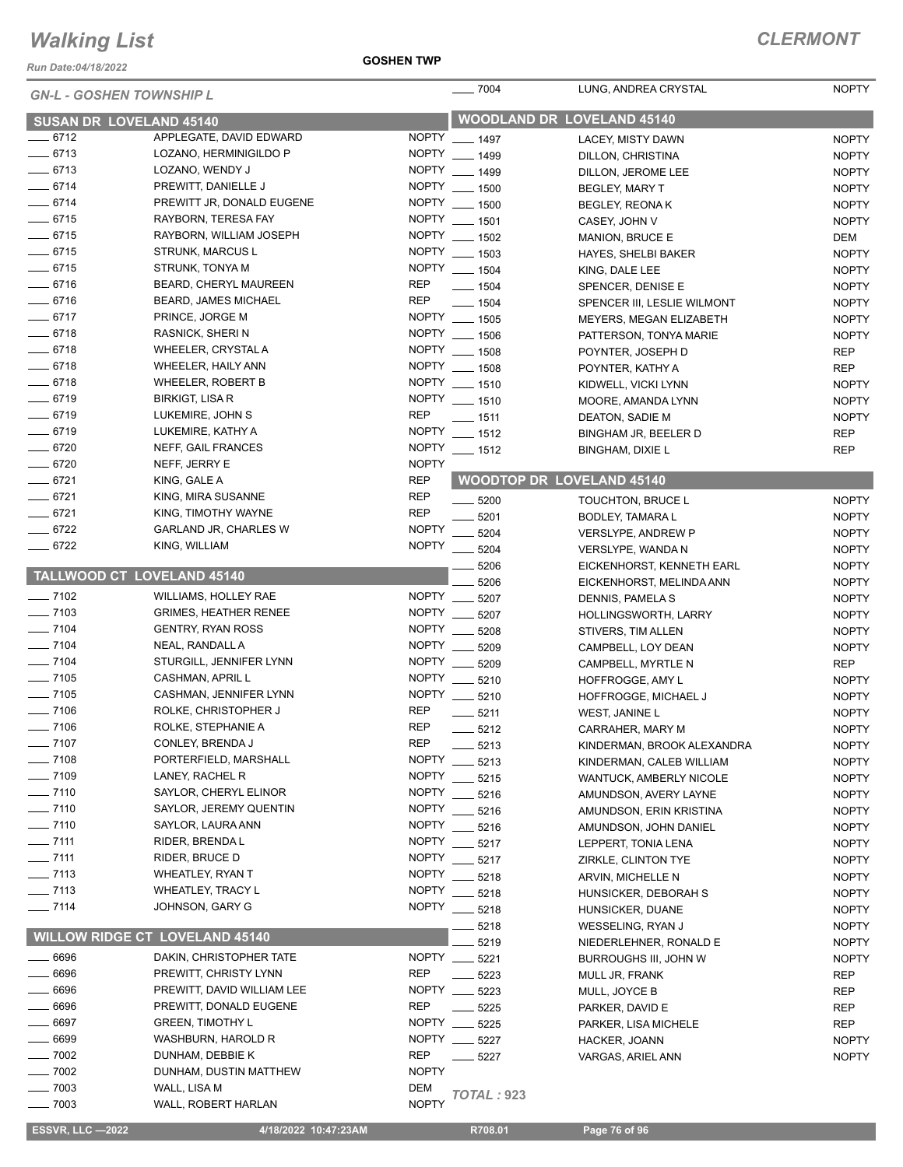*Run Date:04/18/2022*

#### **GOSHEN TWP**

| <b>GN-L - GOSHEN TOWNSHIP L</b> |                                       |              | $- 7004$                          | LUNG, ANDREA CRYSTAL           | <b>NOPTY</b> |
|---------------------------------|---------------------------------------|--------------|-----------------------------------|--------------------------------|--------------|
| <b>SUSAN DR LOVELAND 45140</b>  |                                       |              | <b>WOODLAND DR LOVELAND 45140</b> |                                |              |
| $-6712$                         | APPLEGATE, DAVID EDWARD               | <b>NOPTY</b> | $- 1497$                          | <b>LACEY. MISTY DAWN</b>       | <b>NOPTY</b> |
| $-6713$                         | LOZANO, HERMINIGILDO P                |              | NOPTY __ 1499                     | DILLON, CHRISTINA              | <b>NOPTY</b> |
| $- 6713$                        | LOZANO, WENDY J                       |              | NOPTY __ 1499                     | DILLON, JEROME LEE             | <b>NOPTY</b> |
| $-6714$                         | PREWITT, DANIELLE J                   |              | NOPTY __ 1500                     | BEGLEY, MARY T                 | <b>NOPTY</b> |
| $- 6714$                        | PREWITT JR, DONALD EUGENE             |              | NOPTY __ 1500                     | <b>BEGLEY, REONAK</b>          | <b>NOPTY</b> |
| $-6715$                         | RAYBORN, TERESA FAY                   |              | NOPTY __ 1501                     | CASEY, JOHN V                  | <b>NOPTY</b> |
| $- 6715$                        | RAYBORN, WILLIAM JOSEPH               |              | NOPTY __ 1502                     | MANION, BRUCE E                | DEM          |
| $- 6715$                        | <b>STRUNK, MARCUS L</b>               |              | NOPTY __ 1503                     | <b>HAYES, SHELBI BAKER</b>     | <b>NOPTY</b> |
| $- 6715$                        | STRUNK, TONYA M                       |              | NOPTY __ 1504                     | KING, DALE LEE                 | <b>NOPTY</b> |
| $- 6716$                        | BEARD, CHERYL MAUREEN                 | <b>REP</b>   | $- 1504$                          | SPENCER, DENISE E              | <b>NOPTY</b> |
| $-6716$                         | BEARD, JAMES MICHAEL                  | <b>REP</b>   | $- 1504$                          | SPENCER III, LESLIE WILMONT    | <b>NOPTY</b> |
| $-6717$                         | PRINCE, JORGE M                       |              | NOPTY __ 1505                     | MEYERS, MEGAN ELIZABETH        | <b>NOPTY</b> |
| $-6718$                         | <b>RASNICK, SHERI N</b>               |              | NOPTY __ 1506                     | PATTERSON, TONYA MARIE         | <b>NOPTY</b> |
| $- 6718$                        | WHEELER, CRYSTAL A                    |              | NOPTY __ 1508                     | POYNTER, JOSEPH D              | <b>REP</b>   |
| $-6718$                         | WHEELER, HAILY ANN                    |              | NOPTY __ 1508                     | POYNTER, KATHY A               | <b>REP</b>   |
| $-6718$                         | <b>WHEELER, ROBERT B</b>              |              | NOPTY __ 1510                     | KIDWELL, VICKI LYNN            | <b>NOPTY</b> |
| $- 6719$                        | <b>BIRKIGT, LISA R</b>                |              | NOPTY __ 1510                     | MOORE, AMANDA LYNN             | <b>NOPTY</b> |
| $- 6719$                        | LUKEMIRE, JOHN S                      | <b>REP</b>   | $- 1511$                          | DEATON, SADIE M                | <b>NOPTY</b> |
| $- 6719$                        | LUKEMIRE, KATHY A                     |              | NOPTY __ 1512                     | BINGHAM JR, BEELER D           | <b>REP</b>   |
| $- 6720$                        | NEFF, GAIL FRANCES                    | <b>NOPTY</b> | $- 1512$                          | <b>BINGHAM, DIXIE L</b>        | <b>REP</b>   |
| $- 6720$                        | NEFF, JERRY E                         | <b>NOPTY</b> |                                   |                                |              |
| $-6721$                         | KING, GALE A                          | <b>REP</b>   | <b>WOODTOP DR LOVELAND 45140</b>  |                                |              |
| $- 6721$                        | KING, MIRA SUSANNE                    | <b>REP</b>   | $- 5200$                          | TOUCHTON, BRUCE L              | <b>NOPTY</b> |
| $-6721$                         | KING, TIMOTHY WAYNE                   | <b>REP</b>   | 5201                              | BODLEY, TAMARA L               | <b>NOPTY</b> |
| $- 6722$                        | GARLAND JR, CHARLES W                 | <b>NOPTY</b> | 5204                              | <b>VERSLYPE, ANDREW P</b>      | <b>NOPTY</b> |
| 6722                            | KING, WILLIAM                         | <b>NOPTY</b> | $-5204$                           | VERSLYPE, WANDA N              | <b>NOPTY</b> |
|                                 |                                       |              | 5206                              | EICKENHORST, KENNETH EARL      | <b>NOPTY</b> |
| TALLWOOD CT LOVELAND 45140      |                                       |              | 5206                              | EICKENHORST, MELINDA ANN       | <b>NOPTY</b> |
| $- 7102$                        | <b>WILLIAMS, HOLLEY RAE</b>           | <b>NOPTY</b> | 5207                              | DENNIS, PAMELA S               | <b>NOPTY</b> |
| $- 7103$                        | <b>GRIMES, HEATHER RENEE</b>          | <b>NOPTY</b> | 5207                              | HOLLINGSWORTH, LARRY           | <b>NOPTY</b> |
| $- 7104$                        | <b>GENTRY, RYAN ROSS</b>              | <b>NOPTY</b> | 5208                              | STIVERS, TIM ALLEN             | <b>NOPTY</b> |
| $- 7104$                        | NEAL, RANDALL A                       | <b>NOPTY</b> | 5209                              | CAMPBELL, LOY DEAN             | <b>NOPTY</b> |
| $\frac{1}{2}$ 7104              | STURGILL, JENNIFER LYNN               |              | NOPTY __ 5209                     | CAMPBELL, MYRTLE N             | <b>REP</b>   |
| $- 7105$                        | CASHMAN, APRIL L                      |              | NOPTY _____ 5210                  | HOFFROGGE, AMY L               | <b>NOPTY</b> |
| $- 7105$                        | CASHMAN, JENNIFER LYNN                |              | NOPTY __ 5210                     | HOFFROGGE, MICHAEL J           | <b>NOPTY</b> |
| $- 7106$                        | ROLKE, CHRISTOPHER J                  | <b>REP</b>   | $-5211$                           | WEST, JANINE L                 | <b>NOPTY</b> |
| $- 7106$                        | ROLKE, STEPHANIE A                    | <b>REP</b>   | $-5212$                           | CARRAHER, MARY M               | <b>NOPTY</b> |
| $-7107$                         | CONLEY, BRENDA J                      | <b>REP</b>   | $-5213$                           | KINDERMAN, BROOK ALEXANDRA     | <b>NOPTY</b> |
| $- 7108$                        | PORTERFIELD, MARSHALL                 |              | NOPTY _____ 5213                  | KINDERMAN, CALEB WILLIAM       | <b>NOPTY</b> |
| $-7109$                         | LANEY, RACHEL R                       |              | NOPTY __ 5215                     | <b>WANTUCK, AMBERLY NICOLE</b> | <b>NOPTY</b> |
| $- 7110$                        | SAYLOR, CHERYL ELINOR                 |              | NOPTY __ 5216                     | AMUNDSON, AVERY LAYNE          | <b>NOPTY</b> |
| $- 7110$                        | SAYLOR, JEREMY QUENTIN                |              | NOPTY __ 5216                     | AMUNDSON, ERIN KRISTINA        | <b>NOPTY</b> |
| $- 7110$                        | SAYLOR, LAURA ANN                     |              | NOPTY __ 5216                     | AMUNDSON, JOHN DANIEL          | <b>NOPTY</b> |
| $- 7111$                        | RIDER, BRENDA L                       |              | NOPTY ____ 5217                   | LEPPERT, TONIA LENA            | <b>NOPTY</b> |
| $- 7111$                        | RIDER, BRUCE D                        |              | NOPTY _____ 5217                  | ZIRKLE, CLINTON TYE            | <b>NOPTY</b> |
| $- 7113$                        | WHEATLEY, RYAN T                      |              | NOPTY __ 5218                     | ARVIN, MICHELLE N              | <b>NOPTY</b> |
| $- 7113$                        | <b>WHEATLEY, TRACY L</b>              |              | NOPTY ____ 5218                   | HUNSICKER, DEBORAH S           | <b>NOPTY</b> |
| $- 7114$                        | JOHNSON, GARY G                       |              | NOPTY __ 5218                     | HUNSICKER, DUANE               | <b>NOPTY</b> |
|                                 |                                       |              | $-5218$                           | WESSELING, RYAN J              | <b>NOPTY</b> |
|                                 | <b>WILLOW RIDGE CT LOVELAND 45140</b> |              | 5219                              | NIEDERLEHNER, RONALD E         | <b>NOPTY</b> |
| _ 6696                          | DAKIN, CHRISTOPHER TATE               |              | NOPTY __ 5221                     | BURROUGHS III, JOHN W          | <b>NOPTY</b> |
| $- 6696$                        | PREWITT, CHRISTY LYNN                 | <b>REP</b>   | $\frac{1}{2}$ 5223                | MULL JR, FRANK                 | REP          |
| $-6696$                         | PREWITT, DAVID WILLIAM LEE            |              | NOPTY __ 5223                     | MULL, JOYCE B                  | REP          |
| 6696                            | PREWITT, DONALD EUGENE                | REP          | $- 5225$                          | PARKER, DAVID E                | REP          |
| 6697                            | <b>GREEN, TIMOTHY L</b>               |              | NOPTY __ 5225                     | PARKER, LISA MICHELE           | REP          |
| 6699                            | WASHBURN, HAROLD R                    |              | NOPTY __ 5227                     | HACKER, JOANN                  | <b>NOPTY</b> |
| $-7002$                         | DUNHAM, DEBBIE K                      | <b>REP</b>   | 5227                              | VARGAS, ARIEL ANN              | <b>NOPTY</b> |
| $-7002$                         | DUNHAM, DUSTIN MATTHEW                | <b>NOPTY</b> |                                   |                                |              |
| $-7003$                         | WALL, LISA M                          | DEM          | <b>TOTAL: 923</b>                 |                                |              |
| $- 7003$                        | WALL, ROBERT HARLAN                   | <b>NOPTY</b> |                                   |                                |              |

**ESSVR, LLC -2022 4/18/2022 10:47:23AM** R708.01 **Page 76 of 96**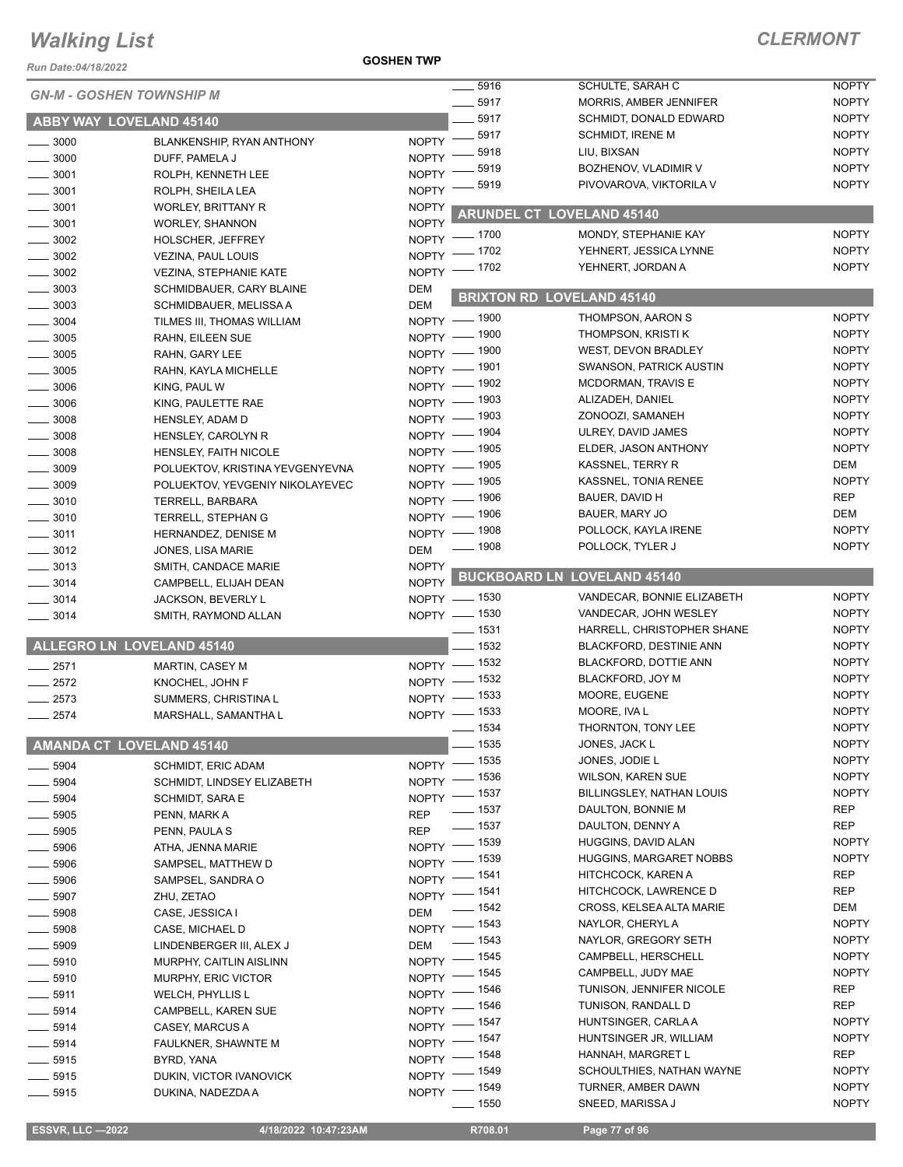*Run Date:04/18/2022*

**GOSHEN TWP**

| KUII Dale.04/10/Z0ZZ | <b>GN-M - GOSHEN TOWNSHIP M</b>  |              | $-5916$            | SCHULTE, SARAH C                    | <b>NOPTY</b>                 |
|----------------------|----------------------------------|--------------|--------------------|-------------------------------------|------------------------------|
|                      |                                  |              | 5917               | <b>MORRIS, AMBER JENNIFER</b>       | <b>NOPTY</b>                 |
|                      | ABBY WAY LOVELAND 45140          |              | 5917<br>5917       | <b>SCHMIDT, DONALD EDWARD</b>       | <b>NOPTY</b>                 |
| $\frac{1}{2}$ 3000   | BLANKENSHIP, RYAN ANTHONY        | $NOPTY$ ––   |                    | <b>SCHMIDT, IRENE M</b>             | <b>NOPTY</b>                 |
| $\frac{1}{2}$ 3000   | DUFF, PAMELA J                   | NOPTY -      | 5918               | LIU, BIXSAN<br>BOZHENOV, VLADIMIR V | <b>NOPTY</b><br><b>NOPTY</b> |
| $- 3001$             | ROLPH, KENNETH LEE               | <b>NOPTY</b> | 5919               |                                     | <b>NOPTY</b>                 |
| $- 3001$             | ROLPH, SHEILA LEA                | <b>NOPTY</b> | 5919               | PIVOVAROVA, VIKTORILA V             |                              |
| $\frac{1}{2}$ 3001   | <b>WORLEY, BRITTANY R</b>        | <b>NOPTY</b> |                    | <b>ARUNDEL CT LOVELAND 45140</b>    |                              |
| $- 3001$             | <b>WORLEY, SHANNON</b>           | <b>NOPTY</b> |                    |                                     |                              |
| $\frac{1}{2}$ 3002   | HOLSCHER, JEFFREY                | <b>NOPTY</b> | _ 1700             | MONDY. STEPHANIE KAY                | <b>NOPTY</b>                 |
| $\frac{1}{2}$ 3002   | <b>VEZINA, PAUL LOUIS</b>        | NOPTY -      | 1702               | YEHNERT, JESSICA LYNNE              | <b>NOPTY</b>                 |
| $\frac{1}{2}$ 3002   | <b>VEZINA, STEPHANIE KATE</b>    | NOPTY - 1702 |                    | YEHNERT, JORDAN A                   | <b>NOPTY</b>                 |
| $\frac{1}{2}$ 3003   | SCHMIDBAUER, CARY BLAINE         | <b>DEM</b>   |                    | <b>BRIXTON RD LOVELAND 45140</b>    |                              |
| $\frac{1}{2}$ 3003   | SCHMIDBAUER, MELISSA A           | <b>DEM</b>   |                    |                                     |                              |
| $\frac{1}{2}$ 3004   | TILMES III, THOMAS WILLIAM       | NOPTY - 1900 |                    | THOMPSON, AARON S                   | <b>NOPTY</b>                 |
| $\frac{1}{2}$ 3005   | RAHN, EILEEN SUE                 | NOPTY - 1900 |                    | THOMPSON, KRISTI K                  | <b>NOPTY</b>                 |
| $\frac{1}{2}$ 3005   | RAHN, GARY LEE                   | NOPTY - 1900 |                    | WEST, DEVON BRADLEY                 | <b>NOPTY</b>                 |
| $\frac{1}{2}$ 3005   | RAHN, KAYLA MICHELLE             | NOPTY - 1901 |                    | <b>SWANSON, PATRICK AUSTIN</b>      | <b>NOPTY</b>                 |
| $\frac{1}{2}$ 3006   | KING, PAUL W                     | NOPTY - 1902 |                    | <b>MCDORMAN, TRAVIS E</b>           | <b>NOPTY</b>                 |
| $\frac{1}{2}$ 3006   | KING, PAULETTE RAE               | NOPTY - 1903 |                    | ALIZADEH, DANIEL                    | <b>NOPTY</b>                 |
| $- 3008$             | <b>HENSLEY, ADAM D</b>           | NOPTY - 1903 |                    | ZONOOZI, SAMANEH                    | <b>NOPTY</b>                 |
| $\frac{1}{2}$ 3008   | HENSLEY, CAROLYN R               | NOPTY - 1904 |                    | ULREY, DAVID JAMES                  | <b>NOPTY</b>                 |
| $\frac{1}{2}$ 3008   | HENSLEY, FAITH NICOLE            | NOPTY - 1905 |                    | ELDER, JASON ANTHONY                | <b>NOPTY</b>                 |
| $\frac{1}{2}$ 3009   | POLUEKTOV, KRISTINA YEVGENYEVNA  | NOPTY - 1905 |                    | KASSNEL, TERRY R                    | DEM                          |
| $\frac{1}{2}$ 3009   | POLUEKTOV, YEVGENIY NIKOLAYEVEC  | $N$ OPTY $-$ | _ 1905             | KASSNEL, TONIA RENEE                | <b>NOPTY</b>                 |
| $- 3010$             | TERRELL, BARBARA                 | NOPTY - 1906 |                    | BAUER, DAVID H                      | <b>REP</b>                   |
| $\frac{1}{2}$ 3010   | TERRELL, STEPHAN G               | NOPTY - 1906 |                    | BAUER, MARY JO                      | <b>DEM</b>                   |
| $\frac{1}{2}$ 3011   | HERNANDEZ, DENISE M              | NOPTY - 1908 |                    | POLLOCK, KAYLA IRENE                | <b>NOPTY</b>                 |
| $- 3012$             | JONES, LISA MARIE                | <b>DEM</b>   | $- 1908$           | POLLOCK, TYLER J                    | <b>NOPTY</b>                 |
| $\frac{1}{2}$ 3013   | SMITH, CANDACE MARIE             | <b>NOPTY</b> |                    | <b>BUCKBOARD LN LOVELAND 45140</b>  |                              |
| $\frac{1}{2}$ 3014   | CAMPBELL, ELIJAH DEAN            | <b>NOPTY</b> |                    |                                     |                              |
| $-3014$              | JACKSON, BEVERLY L               | NOPTY - 1530 |                    | VANDECAR, BONNIE ELIZABETH          | <b>NOPTY</b>                 |
| $- 3014$             | SMITH, RAYMOND ALLAN             | NOPTY - 1530 |                    | VANDECAR, JOHN WESLEY               | <b>NOPTY</b>                 |
|                      |                                  |              | $\frac{1}{2}$ 1531 | HARRELL, CHRISTOPHER SHANE          | <b>NOPTY</b>                 |
|                      | <b>ALLEGRO LN LOVELAND 45140</b> |              | $- 1532$           | <b>BLACKFORD, DESTINIE ANN</b>      | <b>NOPTY</b>                 |
| $-2571$              | <b>MARTIN, CASEY M</b>           | NOPTY - 1532 |                    | BLACKFORD, DOTTIE ANN               | <b>NOPTY</b>                 |
| $\frac{1}{2572}$     | KNOCHEL, JOHN F                  | NOPTY - 1532 |                    | BLACKFORD, JOY M                    | <b>NOPTY</b>                 |
| $-2573$              | SUMMERS, CHRISTINA L             | $NOPTY$ -    | $-1533$            | MOORE, EUGENE                       | <b>NOPTY</b>                 |
| $-2574$              | MARSHALL, SAMANTHA L             | NOPTY - 1533 |                    | MOORE, IVA L                        | <b>NOPTY</b>                 |
|                      |                                  |              | 1534               | THORNTON, TONY LEE                  | <b>NOPTY</b>                 |
|                      | <b>AMANDA CT LOVELAND 45140</b>  |              | $- 1535$           | JONES, JACK L                       | <b>NOPTY</b>                 |
| $-5904$              | <b>SCHMIDT, ERIC ADAM</b>        | NOPTY - 1535 |                    | JONES, JODIE L                      | <b>NOPTY</b>                 |
| $-5904$              | SCHMIDT, LINDSEY ELIZABETH       | NOPTY - 1536 |                    | <b>WILSON, KAREN SUE</b>            | <b>NOPTY</b>                 |
| $- 5904$             | SCHMIDT, SARA E                  | NOPTY - 1537 |                    | BILLINGSLEY, NATHAN LOUIS           | <b>NOPTY</b>                 |
| .5905                | PENN, MARK A                     | <b>REP</b>   | $\frac{1}{2}$ 1537 | DAULTON, BONNIE M                   | REP                          |
| $-5905$              | PENN, PAULA S                    | <b>REP</b>   | $\frac{1}{2}$ 1537 | DAULTON, DENNY A                    | REP                          |
| 5906                 | ATHA, JENNA MARIE                | NOPTY - 1539 |                    | HUGGINS, DAVID ALAN                 | <b>NOPTY</b>                 |
| - 5906               | SAMPSEL, MATTHEW D               | NOPTY - 1539 |                    | <b>HUGGINS, MARGARET NOBBS</b>      | <b>NOPTY</b>                 |
| $-5906$              | SAMPSEL, SANDRA O                | NOPTY - 1541 |                    | HITCHCOCK, KAREN A                  | REP                          |
| $-5907$              | ZHU, ZETAO                       | NOPTY - 1541 |                    | HITCHCOCK, LAWRENCE D               | <b>REP</b>                   |
| $\frac{1}{2}$ 5908   | CASE, JESSICA I                  | <b>DEM</b>   | $\frac{1}{2}$ 1542 | CROSS, KELSEA ALTA MARIE            | DEM                          |
| $\frac{1}{2}$ 5908   | CASE, MICHAEL D                  | NOPTY - 1543 |                    | NAYLOR, CHERYL A                    | <b>NOPTY</b>                 |
| $\frac{1}{2}$ 5909   | LINDENBERGER III, ALEX J         | <b>DEM</b>   | $\frac{1}{2}$ 1543 | NAYLOR, GREGORY SETH                | <b>NOPTY</b>                 |
| $\frac{1}{2}$ 5910   | MURPHY, CAITLIN AISLINN          | NOPTY - 1545 |                    | CAMPBELL, HERSCHELL                 | <b>NOPTY</b>                 |
| $-5910$              | <b>MURPHY, ERIC VICTOR</b>       | NOPTY - 1545 |                    | CAMPBELL, JUDY MAE                  | <b>NOPTY</b>                 |
| $\frac{1}{2}$ 5911   | <b>WELCH, PHYLLIS L</b>          | NOPTY - 1546 |                    | TUNISON, JENNIFER NICOLE            | REP                          |
| $\frac{1}{2}$ 5914   | CAMPBELL, KAREN SUE              | NOPTY - 1546 |                    | TUNISON, RANDALL D                  | REP                          |
| $\frac{1}{2}$ 5914   | CASEY, MARCUS A                  | NOPTY - 1547 |                    | HUNTSINGER, CARLA A                 | <b>NOPTY</b>                 |
| $- 5914$             | FAULKNER, SHAWNTE M              | NOPTY - 1547 |                    | HUNTSINGER JR, WILLIAM              | <b>NOPTY</b>                 |
| $-5915$              | BYRD, YANA                       | NOPTY - 1548 |                    | HANNAH, MARGRET L                   | REP                          |
| $-5915$              | DUKIN, VICTOR IVANOVICK          | NOPTY - 1549 |                    | SCHOULTHIES, NATHAN WAYNE           | <b>NOPTY</b>                 |
| $-5915$              | DUKINA, NADEZDA A                | NOPTY - 1549 |                    | TURNER, AMBER DAWN                  | <b>NOPTY</b>                 |
|                      |                                  |              | 1550               | SNEED, MARISSA J                    | <b>NOPTY</b>                 |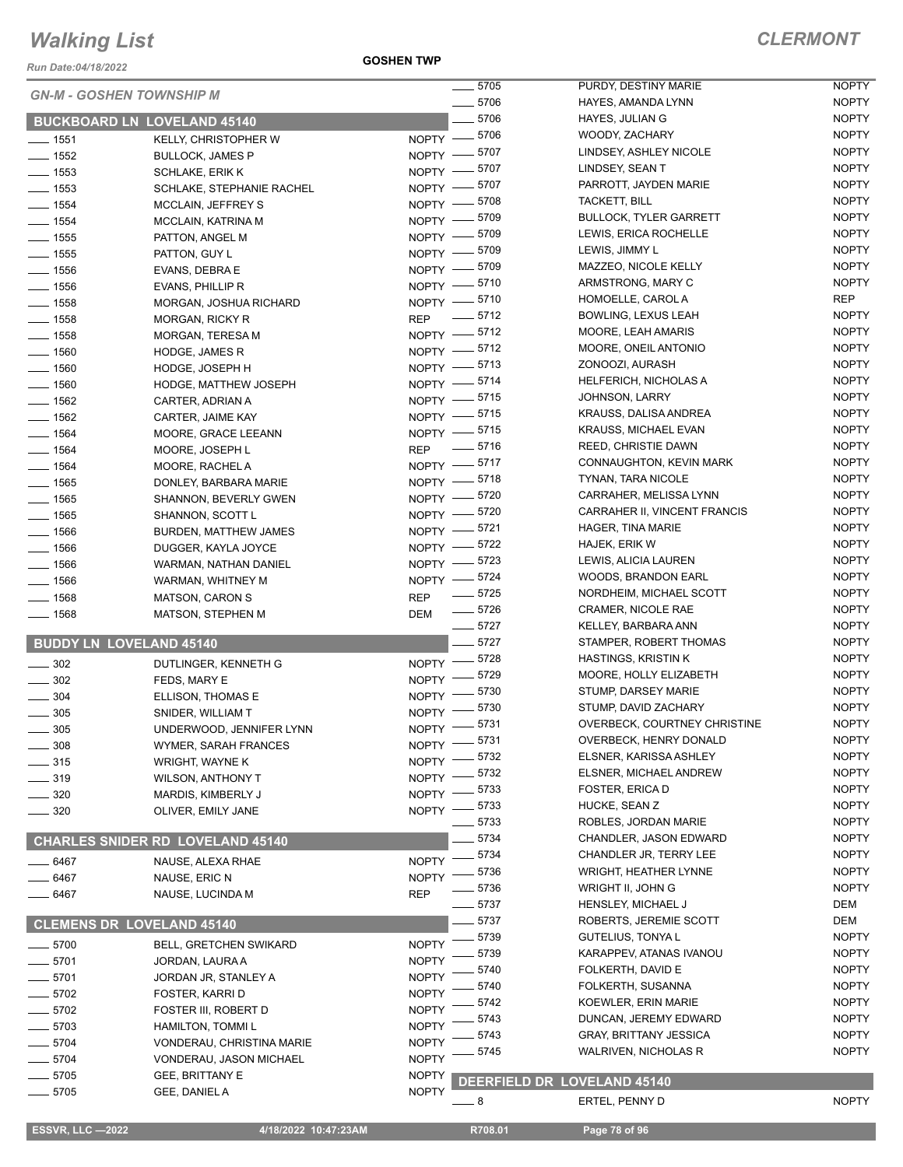*Run Date:04/18/2022*

**GOSHEN TWP**

|                    | <b>GN-M - GOSHEN TOWNSHIP M</b>         | $\frac{1}{2}$ 5705               | PURDY, DESTINY MARIE               | <b>NOPTY</b> |
|--------------------|-----------------------------------------|----------------------------------|------------------------------------|--------------|
|                    |                                         | $- 5706$                         | HAYES, AMANDA LYNN                 | <b>NOPTY</b> |
|                    | <b>BUCKBOARD LN LOVELAND 45140</b>      | $- 5706$                         | HAYES, JULIAN G                    | <b>NOPTY</b> |
| $- 1551$           | KELLY, CHRISTOPHER W                    | NOPTY -8706                      | WOODY, ZACHARY                     | <b>NOPTY</b> |
| $\frac{1}{2}$ 1552 | <b>BULLOCK, JAMES P</b>                 | NOPTY -8707                      | LINDSEY, ASHLEY NICOLE             | <b>NOPTY</b> |
| $- 1553$           | <b>SCHLAKE, ERIK K</b>                  | NOPTY -8707                      | LINDSEY, SEAN T                    | <b>NOPTY</b> |
| $\frac{1}{2}$ 1553 | SCHLAKE, STEPHANIE RACHEL               | NOPTY -8707                      | PARROTT, JAYDEN MARIE              | <b>NOPTY</b> |
| $- 1554$           | <b>MCCLAIN, JEFFREY S</b>               | NOPTY -8708                      | TACKETT, BILL                      | <b>NOPTY</b> |
| $- 1554$           | MCCLAIN, KATRINA M                      | NOPTY -8709                      | <b>BULLOCK, TYLER GARRETT</b>      | <b>NOPTY</b> |
| $\frac{1}{2}$ 1555 | PATTON, ANGEL M                         | NOPTY -8709                      | LEWIS, ERICA ROCHELLE              | <b>NOPTY</b> |
| $\frac{1}{2}$ 1555 | PATTON, GUY L                           | NOPTY -8709                      | LEWIS, JIMMY L                     | <b>NOPTY</b> |
| $\frac{1}{2}$ 1556 | EVANS, DEBRA E                          | NOPTY -8709                      | MAZZEO, NICOLE KELLY               | <b>NOPTY</b> |
| $- 1556$           |                                         | NOPTY - 5710                     | ARMSTRONG, MARY C                  | <b>NOPTY</b> |
|                    | EVANS, PHILLIP R                        | NOPTY - 5710                     | HOMOELLE, CAROL A                  | <b>REP</b>   |
| $- 1558$           | MORGAN, JOSHUA RICHARD                  | $- 5712$                         | BOWLING, LEXUS LEAH                | <b>NOPTY</b> |
| $- 1558$           | <b>MORGAN, RICKY R</b>                  | <b>REP</b><br>NOPTY -8712        | MOORE, LEAH AMARIS                 | <b>NOPTY</b> |
| $- 1558$           | MORGAN, TERESA M                        | NOPTY -8712                      | MOORE, ONEIL ANTONIO               | <b>NOPTY</b> |
| $- 1560$           | HODGE, JAMES R                          | NOPTY -8713                      | ZONOOZI, AURASH                    | <b>NOPTY</b> |
| $- 1560$           | HODGE, JOSEPH H                         |                                  | <b>HELFERICH, NICHOLAS A</b>       | <b>NOPTY</b> |
| $- 1560$           | HODGE, MATTHEW JOSEPH                   | NOPTY - 5714                     | <b>JOHNSON, LARRY</b>              | <b>NOPTY</b> |
| $- 1562$           | CARTER, ADRIAN A                        | NOPTY -8715                      |                                    | <b>NOPTY</b> |
| $- 1562$           | CARTER, JAIME KAY                       | NOPTY - 5715                     | KRAUSS, DALISA ANDREA              |              |
| $- 1564$           | MOORE, GRACE LEEANN                     | NOPTY - 5715                     | <b>KRAUSS, MICHAEL EVAN</b>        | <b>NOPTY</b> |
| $- 1564$           | MOORE, JOSEPH L                         | REP - 5716                       | REED, CHRISTIE DAWN                | <b>NOPTY</b> |
| $- 1564$           | MOORE, RACHEL A                         | NOPTY -8717                      | CONNAUGHTON, KEVIN MARK            | <b>NOPTY</b> |
| $- 1565$           | DONLEY, BARBARA MARIE                   | NOPTY -8718                      | TYNAN, TARA NICOLE                 | <b>NOPTY</b> |
| $- 1565$           | <b>SHANNON, BEVERLY GWEN</b>            | NOPTY -8720                      | CARRAHER, MELISSA LYNN             | <b>NOPTY</b> |
| $\frac{1}{2}$ 1565 | SHANNON, SCOTT L                        | NOPTY - 5720                     | CARRAHER II, VINCENT FRANCIS       | <b>NOPTY</b> |
| $- 1566$           | <b>BURDEN, MATTHEW JAMES</b>            | NOPTY -8721                      | HAGER, TINA MARIE                  | <b>NOPTY</b> |
| $- 1566$           | DUGGER, KAYLA JOYCE                     | NOPTY -8722                      | HAJEK, ERIK W                      | <b>NOPTY</b> |
| $- 1566$           | WARMAN, NATHAN DANIEL                   | NOPTY -8723                      | LEWIS, ALICIA LAUREN               | <b>NOPTY</b> |
| $- 1566$           | WARMAN, WHITNEY M                       | NOPTY -8724                      | WOODS, BRANDON EARL                | <b>NOPTY</b> |
| $- 1568$           | <b>MATSON, CARON S</b>                  | $\frac{1}{2}$ 5725<br><b>REP</b> | NORDHEIM, MICHAEL SCOTT            | <b>NOPTY</b> |
| $- 1568$           | MATSON, STEPHEN M                       | $\frac{1}{2}$ 5726<br><b>DEM</b> | CRAMER, NICOLE RAE                 | <b>NOPTY</b> |
|                    |                                         | $-5727$                          | KELLEY, BARBARA ANN                | <b>NOPTY</b> |
|                    | <b>BUDDY LN LOVELAND 45140</b>          | $-5727$                          | STAMPER, ROBERT THOMAS             | <b>NOPTY</b> |
| $\frac{1}{2}$ 302  | DUTLINGER, KENNETH G                    | NOPTY -8728                      | <b>HASTINGS, KRISTIN K</b>         | <b>NOPTY</b> |
| $- 302$            | FEDS, MARY E                            | 5729<br>$NOPTY$ -                | MOORE, HOLLY ELIZABETH             | <b>NOPTY</b> |
| $- 304$            | ELLISON, THOMAS E                       | NOPTY -8730                      | STUMP, DARSEY MARIE                | <b>NOPTY</b> |
| $\frac{1}{2}$ 305  | SNIDER, WILLIAM T                       | NOPTY -8730                      | STUMP, DAVID ZACHARY               | <b>NOPTY</b> |
| $\frac{1}{2}$ 305  | UNDERWOOD, JENNIFER LYNN                | NOPTY -8731                      | OVERBECK, COURTNEY CHRISTINE       | <b>NOPTY</b> |
|                    |                                         | NOPTY -8731                      | OVERBECK, HENRY DONALD             | <b>NOPTY</b> |
| 308                | WYMER, SARAH FRANCES                    | $=$ 5732                         | ELSNER, KARISSA ASHLEY             | <b>NOPTY</b> |
| $- 315$            | WRIGHT, WAYNE K                         | NOPTY =<br>5732                  | ELSNER, MICHAEL ANDREW             | <b>NOPTY</b> |
| $=$ 319            | <b>WILSON, ANTHONY T</b>                | <b>NOPTY</b><br>5733             | FOSTER, ERICA D                    | <b>NOPTY</b> |
| - 320              | MARDIS, KIMBERLY J                      | NOPTY -<br>_ 5733                | HUCKE, SEAN Z                      | <b>NOPTY</b> |
| 320                | OLIVER, EMILY JANE                      | $NOPTY =$<br>5733                | ROBLES, JORDAN MARIE               | <b>NOPTY</b> |
|                    |                                         | 5734                             | CHANDLER, JASON EDWARD             | <b>NOPTY</b> |
|                    | <b>CHARLES SNIDER RD LOVELAND 45140</b> | 5734                             | CHANDLER JR, TERRY LEE             | <b>NOPTY</b> |
| $-6467$            | NAUSE, ALEXA RHAE                       | <b>NOPTY</b>                     |                                    | <b>NOPTY</b> |
| $-6467$            | NAUSE, ERIC N                           | 5736<br><b>NOPTY</b>             | <b>WRIGHT, HEATHER LYNNE</b>       |              |
| _ 6467             | NAUSE, LUCINDA M                        | 5736<br><b>REP</b>               | WRIGHT II, JOHN G                  | <b>NOPTY</b> |
|                    |                                         | 5737                             | HENSLEY, MICHAEL J                 | DEM          |
|                    | <b>CLEMENS DR LOVELAND 45140</b>        | $-5737$                          | ROBERTS, JEREMIE SCOTT             | DEM          |
| $-5700$            | <b>BELL, GRETCHEN SWIKARD</b>           | 5739<br><b>NOPTY</b>             | GUTELIUS, TONYA L                  | <b>NOPTY</b> |
| $-5701$            | JORDAN, LAURA A                         | 5739<br><b>NOPTY</b>             | KARAPPEV, ATANAS IVANOU            | <b>NOPTY</b> |
| $-5701$            | JORDAN JR, STANLEY A                    | 5740<br><b>NOPTY</b>             | FOLKERTH, DAVID E                  | <b>NOPTY</b> |
| $-5702$            | FOSTER, KARRI D                         | 5740<br><b>NOPTY</b>             | FOLKERTH, SUSANNA                  | <b>NOPTY</b> |
| $-5702$            | FOSTER III, ROBERT D                    | 5742<br><b>NOPTY</b>             | KOEWLER, ERIN MARIE                | <b>NOPTY</b> |
| $-5703$            | HAMILTON, TOMMI L                       | 5743<br><b>NOPTY</b>             | DUNCAN, JEREMY EDWARD              | <b>NOPTY</b> |
| $-5704$            | VONDERAU, CHRISTINA MARIE               | 5743<br><b>NOPTY</b>             | <b>GRAY, BRITTANY JESSICA</b>      | <b>NOPTY</b> |
| $-5704$            | VONDERAU, JASON MICHAEL                 | 5745<br><b>NOPTY</b>             | <b>WALRIVEN, NICHOLAS R</b>        | <b>NOPTY</b> |
| $-5705$            | GEE, BRITTANY E                         | <b>NOPTY</b>                     |                                    |              |
| $-5705$            | GEE, DANIEL A                           | <b>NOPTY</b>                     | <b>DEERFIELD DR LOVELAND 45140</b> |              |
|                    |                                         | - 8                              | ERTEL, PENNY D                     | <b>NOPTY</b> |
|                    |                                         |                                  |                                    |              |

**ESSVR, LLC -2022 4/18/2022 10:47:23AM R708.01** Page 78 of 96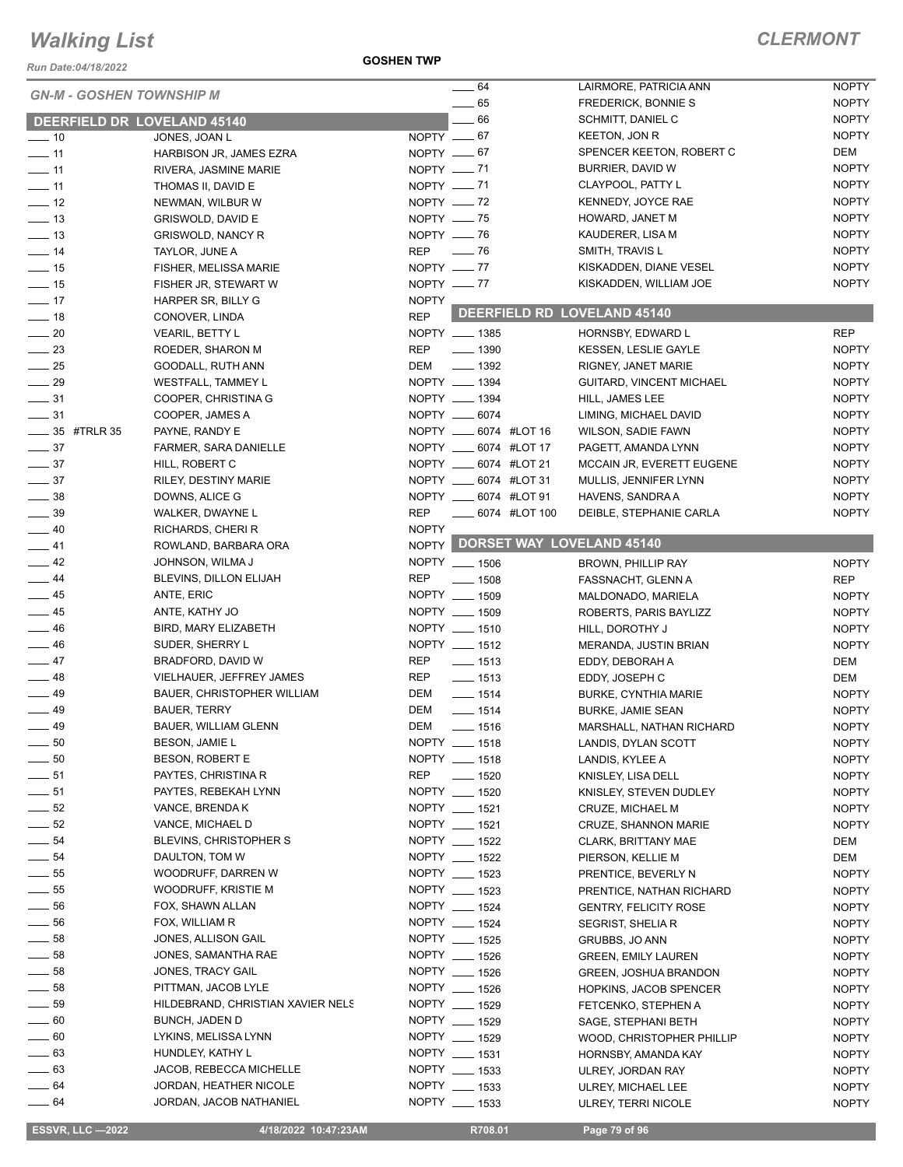*Run Date:04/18/2022*

#### **GOSHEN TWP**

| <b>GN-M - GOSHEN TOWNSHIP M</b> |                                   |              | $\frac{1}{2}$ 64       | LAIRMORE, PATRICIA ANN          | <b>NOPTY</b> |
|---------------------------------|-----------------------------------|--------------|------------------------|---------------------------------|--------------|
|                                 |                                   |              | $\equiv$ 65            | FREDERICK, BONNIE S             | <b>NOPTY</b> |
| DEERFIELD DR LOVELAND 45140     |                                   |              | $-66$                  | SCHMITT, DANIEL C               | <b>NOPTY</b> |
| $\frac{1}{2}$ 10                | JONES, JOAN L                     | NOPTY $-67$  |                        | KEETON, JON R                   | <b>NOPTY</b> |
| $\frac{1}{2}$ 11                | HARBISON JR, JAMES EZRA           | $NOPTY = 67$ |                        | SPENCER KEETON, ROBERT C        | DEM          |
| $\overline{\phantom{0}}$ 11     | RIVERA, JASMINE MARIE             | NOPTY $- 71$ |                        | BURRIER, DAVID W                | <b>NOPTY</b> |
| $-11$                           | THOMAS II, DAVID E                | NOPTY $-$ 71 |                        | CLAYPOOL, PATTY L               | <b>NOPTY</b> |
| $\frac{1}{2}$                   | NEWMAN, WILBUR W                  | NOPTY $-$ 72 |                        | KENNEDY, JOYCE RAE              | <b>NOPTY</b> |
| $\frac{1}{2}$ 13                | GRISWOLD, DAVID E                 | NOPTY $- 75$ |                        | HOWARD, JANET M                 | <b>NOPTY</b> |
| $\frac{1}{2}$ 13                | <b>GRISWOLD, NANCY R</b>          | NOPTY - 76   |                        | KAUDERER, LISA M                | <b>NOPTY</b> |
| $-14$                           | TAYLOR, JUNE A                    | REP - 76     |                        | SMITH, TRAVIS L                 | <b>NOPTY</b> |
| $\frac{1}{15}$                  | FISHER, MELISSA MARIE             | NOPTY $-$ 77 |                        | KISKADDEN, DIANE VESEL          | <b>NOPTY</b> |
| $\frac{1}{15}$                  | FISHER JR, STEWART W              | NOPTY $- 77$ |                        | KISKADDEN, WILLIAM JOE          | <b>NOPTY</b> |
| $-17$                           | HARPER SR, BILLY G                | <b>NOPTY</b> |                        |                                 |              |
| $-18$                           | CONOVER, LINDA                    | <b>REP</b>   |                        | DEERFIELD RD LOVELAND 45140     |              |
| $\frac{1}{20}$                  | <b>VEARIL, BETTY L</b>            |              | NOPTY __ 1385          | HORNSBY, EDWARD L               | <b>REP</b>   |
| $\frac{1}{2}$ 23                |                                   | REP          | $\frac{1}{2}$ 1390     | <b>KESSEN, LESLIE GAYLE</b>     | <b>NOPTY</b> |
| $\frac{1}{25}$                  | ROEDER, SHARON M                  | DEM          | $\frac{1}{2}$ 1392     |                                 | <b>NOPTY</b> |
|                                 | GOODALL, RUTH ANN                 |              |                        | RIGNEY, JANET MARIE             |              |
| $\frac{1}{29}$                  | WESTFALL, TAMMEY L                |              | NOPTY __ 1394          | GUITARD, VINCENT MICHAEL        | <b>NOPTY</b> |
| $\frac{1}{2}$ 31                | COOPER, CHRISTINA G               |              | NOPTY __ 1394          | HILL, JAMES LEE                 | <b>NOPTY</b> |
| $\frac{1}{2}$ 31                | COOPER, JAMES A                   |              | NOPTY __ 6074          | LIMING, MICHAEL DAVID           | <b>NOPTY</b> |
| _____ 35 #TRLR 35               | PAYNE, RANDY E                    |              | NOPTY __ 6074 #LOT 16  | WILSON, SADIE FAWN              | <b>NOPTY</b> |
| $\frac{1}{2}$ 37                | <b>FARMER, SARA DANIELLE</b>      |              | NOPTY __ 6074 #LOT 17  | PAGETT, AMANDA LYNN             | <b>NOPTY</b> |
| $\frac{1}{2}$ 37                | HILL, ROBERT C                    |              | NOPTY __ 6074 #LOT 21  | MCCAIN JR, EVERETT EUGENE       | <b>NOPTY</b> |
| $\frac{1}{2}$ 37                | RILEY, DESTINY MARIE              |              | NOPTY __ 6074 #LOT 31  | MULLIS, JENNIFER LYNN           | <b>NOPTY</b> |
| $\frac{1}{2}$ 38                | DOWNS, ALICE G                    |              | NOPTY __ 6074 #LOT 91  | HAVENS, SANDRA A                | <b>NOPTY</b> |
| $\frac{1}{2}$ 39                | WALKER, DWAYNE L                  | <b>REP</b>   | <b>LEGOT4 #LOT 100</b> | DEIBLE, STEPHANIE CARLA         | <b>NOPTY</b> |
| $\frac{1}{2}$ 40                | RICHARDS, CHERI R                 | <b>NOPTY</b> |                        |                                 |              |
| $-41$                           | ROWLAND, BARBARA ORA              |              |                        | NOPTY DORSET WAY LOVELAND 45140 |              |
| $-42$                           | JOHNSON, WILMA J                  |              | NOPTY __ 1506          | <b>BROWN, PHILLIP RAY</b>       | <b>NOPTY</b> |
| $\frac{1}{2}$ 44                | BLEVINS, DILLON ELIJAH            | <b>REP</b>   | $\frac{1}{2}$ 1508     | FASSNACHT, GLENN A              | REP          |
| $-45$                           | ANTE, ERIC                        |              | NOPTY __ 1509          | MALDONADO, MARIELA              | <b>NOPTY</b> |
| $-45$                           | ANTE, KATHY JO                    |              | NOPTY __ 1509          | ROBERTS, PARIS BAYLIZZ          | <b>NOPTY</b> |
| $-46$                           | BIRD, MARY ELIZABETH              |              | NOPTY __ 1510          | HILL, DOROTHY J                 | <b>NOPTY</b> |
| $-46$                           | SUDER, SHERRY L                   |              | NOPTY __ 1512          | MERANDA, JUSTIN BRIAN           | <b>NOPTY</b> |
| $-47$                           | BRADFORD, DAVID W                 | REP          | $- 1513$               | EDDY, DEBORAH A                 | DEM          |
| $\_\_48$                        | VIELHAUER, JEFFREY JAMES          | REP          | $- 1513$               | EDDY, JOSEPH C                  | DEM          |
| $-49$                           | BAUER, CHRISTOPHER WILLIAM        | DEM          | $- 1514$               | <b>BURKE, CYNTHIA MARIE</b>     | <b>NOPTY</b> |
| $-49$                           | <b>BAUER, TERRY</b>               | <b>DEM</b>   | $- 1514$               | <b>BURKE, JAMIE SEAN</b>        | <b>NOPTY</b> |
| $-49$                           | <b>BAUER, WILLIAM GLENN</b>       | <b>DEM</b>   | $- 1516$               | MARSHALL, NATHAN RICHARD        | <b>NOPTY</b> |
| $\sim$ 50                       | BESON, JAMIE L                    |              | NOPTY __ 1518          | LANDIS, DYLAN SCOTT             | <b>NOPTY</b> |
| $\sim$ 50                       | BESON, ROBERT E                   |              | NOPTY __ 1518          | LANDIS, KYLEE A                 | <b>NOPTY</b> |
| $\frac{1}{2}$ 51                | PAYTES, CHRISTINA R               | REP          | $- 1520$               | KNISLEY, LISA DELL              | <b>NOPTY</b> |
| $\frac{1}{2}$ 51                | PAYTES, REBEKAH LYNN              |              | NOPTY __ 1520          | KNISLEY, STEVEN DUDLEY          | <b>NOPTY</b> |
| $\frac{1}{2}$ 52                | VANCE, BRENDA K                   |              | NOPTY __ 1521          | CRUZE, MICHAEL M                | <b>NOPTY</b> |
| $\frac{1}{2}$ 52                | VANCE, MICHAEL D                  |              | NOPTY __ 1521          | CRUZE, SHANNON MARIE            | <b>NOPTY</b> |
| $\frac{1}{2}$ 54                | BLEVINS, CHRISTOPHER S            |              | NOPTY __ 1522          | CLARK, BRITTANY MAE             | DEM          |
| $\frac{1}{2}$ 54                | DAULTON, TOM W                    |              | NOPTY __ 1522          | PIERSON, KELLIE M               | DEM          |
| $\frac{1}{2}$ 55                | WOODRUFF, DARREN W                |              | NOPTY __ 1523          | PRENTICE, BEVERLY N             | <b>NOPTY</b> |
| $\frac{1}{2}$ 55                | WOODRUFF, KRISTIE M               |              | NOPTY __ 1523          | PRENTICE, NATHAN RICHARD        | <b>NOPTY</b> |
| $\frac{1}{2}$ 56                | FOX, SHAWN ALLAN                  |              | NOPTY __ 1524          | <b>GENTRY, FELICITY ROSE</b>    | <b>NOPTY</b> |
| $\frac{1}{2}$ 56                | FOX, WILLIAM R                    |              | NOPTY __ 1524          | SEGRIST, SHELIA R               | <b>NOPTY</b> |
| $\frac{1}{2}$ 58                | JONES, ALLISON GAIL               |              | NOPTY __ 1525          | GRUBBS, JO ANN                  | <b>NOPTY</b> |
| $\frac{1}{2}$ 58                | JONES, SAMANTHA RAE               |              | NOPTY __ 1526          | <b>GREEN, EMILY LAUREN</b>      | <b>NOPTY</b> |
| $\frac{1}{2}$ 58                | JONES, TRACY GAIL                 |              | NOPTY __ 1526          | GREEN, JOSHUA BRANDON           | <b>NOPTY</b> |
| $\frac{1}{2}$ 58                | PITTMAN, JACOB LYLE               |              | NOPTY __ 1526          | <b>HOPKINS, JACOB SPENCER</b>   | <b>NOPTY</b> |
| $\frac{1}{2}$ 59                | HILDEBRAND, CHRISTIAN XAVIER NELS |              | NOPTY __ 1529          | FETCENKO, STEPHEN A             | <b>NOPTY</b> |
| $\sim$ 60                       | <b>BUNCH, JADEN D</b>             |              | NOPTY __ 1529          | SAGE, STEPHANI BETH             | <b>NOPTY</b> |
| $- 60$                          | LYKINS, MELISSA LYNN              |              | NOPTY __ 1529          |                                 |              |
| $\frac{1}{2}$ 63                | HUNDLEY, KATHY L                  |              |                        | WOOD, CHRISTOPHER PHILLIP       | <b>NOPTY</b> |
| $\frac{1}{2}$ 63                |                                   |              | NOPTY __ 1531          | HORNSBY, AMANDA KAY             | <b>NOPTY</b> |
|                                 | JACOB, REBECCA MICHELLE           |              | NOPTY __ 1533          | ULREY, JORDAN RAY               | <b>NOPTY</b> |
| $\frac{1}{2}$ 64                | JORDAN, HEATHER NICOLE            |              | NOPTY __ 1533          | ULREY, MICHAEL LEE              | <b>NOPTY</b> |
| $\frac{1}{2}$ 64                | JORDAN, JACOB NATHANIEL           |              | NOPTY __ 1533          | ULREY, TERRI NICOLE             | <b>NOPTY</b> |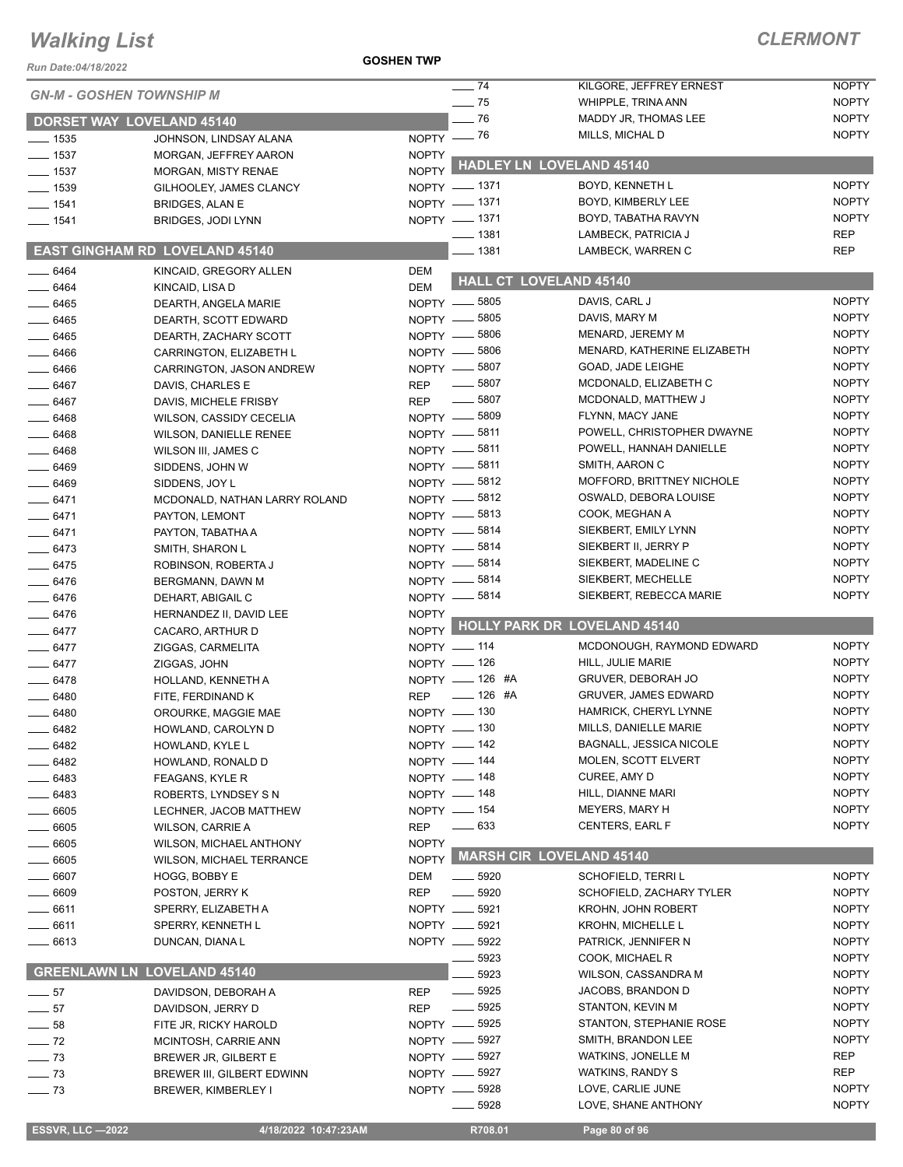## *CLERMONT*

| Run Date:04/18/2022             |                                              | <b>GOSHEN TWP</b> |                            |                                    |              |
|---------------------------------|----------------------------------------------|-------------------|----------------------------|------------------------------------|--------------|
| <b>GN-M - GOSHEN TOWNSHIP M</b> |                                              |                   | $-74$                      | KILGORE, JEFFREY ERNEST            | <b>NOPTY</b> |
|                                 |                                              |                   | $-75$                      | WHIPPLE, TRINA ANN                 | <b>NOPTY</b> |
|                                 | <b>DORSET WAY LOVELAND 45140</b>             |                   | $-76$                      | MADDY JR, THOMAS LEE               | <b>NOPTY</b> |
| $- 1535$                        | JOHNSON, LINDSAY ALANA                       |                   | NOPTY - 76                 | MILLS, MICHAL D                    | <b>NOPTY</b> |
| $\frac{1}{2}$ 1537              | MORGAN, JEFFREY AARON                        | <b>NOPTY</b>      |                            | <b>HADLEY LN LOVELAND 45140</b>    |              |
| $\frac{1}{2}$ 1537              | <b>MORGAN, MISTY RENAE</b>                   | <b>NOPTY</b>      | NOPTY - 1371               | BOYD, KENNETH L                    | <b>NOPTY</b> |
| $-1539$<br>$- 1541$             | GILHOOLEY, JAMES CLANCY                      |                   | NOPTY - 1371               | BOYD, KIMBERLY LEE                 | <b>NOPTY</b> |
| $- 1541$                        | <b>BRIDGES, ALAN E</b><br>BRIDGES, JODI LYNN |                   | NOPTY - 1371               | BOYD, TABATHA RAVYN                | <b>NOPTY</b> |
|                                 |                                              |                   | —— 1381                    | LAMBECK, PATRICIA J                | <b>REP</b>   |
|                                 | <b>EAST GINGHAM RD LOVELAND 45140</b>        |                   | 1381                       | LAMBECK, WARREN C                  | <b>REP</b>   |
| $- 6464$                        | KINCAID, GREGORY ALLEN                       | <b>DEM</b>        |                            | <b>HALL CT LOVELAND 45140</b>      |              |
| $- 6464$                        | KINCAID, LISA D                              | <b>DEM</b>        |                            |                                    | <b>NOPTY</b> |
| $-6465$                         | DEARTH, ANGELA MARIE                         |                   | NOPTY -8805                | DAVIS, CARL J<br>DAVIS, MARY M     | <b>NOPTY</b> |
| $- 6465$                        | DEARTH, SCOTT EDWARD                         |                   | NOPTY -8805<br>NOPTY -8806 | MENARD, JEREMY M                   | <b>NOPTY</b> |
| $-6465$<br>$- 6466$             | DEARTH, ZACHARY SCOTT                        |                   | NOPTY -8806                | MENARD, KATHERINE ELIZABETH        | <b>NOPTY</b> |
| $- 6466$                        | CARRINGTON, ELIZABETH L                      |                   | NOPTY -8807                | GOAD, JADE LEIGHE                  | <b>NOPTY</b> |
|                                 | CARRINGTON, JASON ANDREW                     | <b>REP</b>        | $\frac{1}{2}$ 5807         | MCDONALD, ELIZABETH C              | <b>NOPTY</b> |
| __ 6467<br>$- 6467$             | DAVIS, CHARLES E<br>DAVIS, MICHELE FRISBY    | <b>REP</b>        | $\frac{1}{2}$ 5807         | MCDONALD, MATTHEW J                | <b>NOPTY</b> |
| .6468                           | WILSON, CASSIDY CECELIA                      |                   | NOPTY -8809                | FLYNN, MACY JANE                   | <b>NOPTY</b> |
| $-6468$                         | <b>WILSON, DANIELLE RENEE</b>                |                   | NOPTY -8811                | POWELL, CHRISTOPHER DWAYNE         | <b>NOPTY</b> |
| $- 6468$                        | WILSON III, JAMES C                          |                   | NOPTY -8811                | POWELL, HANNAH DANIELLE            | <b>NOPTY</b> |
| $- 6469$                        | SIDDENS, JOHN W                              |                   | NOPTY -8811                | SMITH, AARON C                     | <b>NOPTY</b> |
| $- 6469$                        | SIDDENS, JOY L                               |                   | NOPTY -8812                | MOFFORD, BRITTNEY NICHOLE          | <b>NOPTY</b> |
| $-6471$                         | MCDONALD, NATHAN LARRY ROLAND                |                   | NOPTY -8812                | OSWALD, DEBORA LOUISE              | <b>NOPTY</b> |
| $-6471$                         | PAYTON, LEMONT                               |                   | NOPTY -8813                | COOK, MEGHAN A                     | <b>NOPTY</b> |
| $-6471$                         | PAYTON, TABATHA A                            |                   | NOPTY -8814                | SIEKBERT, EMILY LYNN               | <b>NOPTY</b> |
| $- 6473$                        | SMITH, SHARON L                              |                   | NOPTY -8814                | SIEKBERT II, JERRY P               | <b>NOPTY</b> |
| $- 6475$                        | ROBINSON, ROBERTA J                          |                   | NOPTY -8814                | SIEKBERT, MADELINE C               | <b>NOPTY</b> |
| $- 6476$                        | BERGMANN, DAWN M                             |                   | NOPTY - 5814               | SIEKBERT, MECHELLE                 | <b>NOPTY</b> |
| $- 6476$                        | DEHART, ABIGAIL C                            |                   | NOPTY - 5814               | SIEKBERT, REBECCA MARIE            | <b>NOPTY</b> |
| $- 6476$                        | HERNANDEZ II, DAVID LEE                      | <b>NOPTY</b>      |                            |                                    |              |
| $-6477$                         | CACARO, ARTHUR D                             |                   |                            | NOPTY HOLLY PARK DR LOVELAND 45140 |              |
| $- 6477$                        | ZIGGAS, CARMELITA                            |                   | NOPTY - 114                | MCDONOUGH, RAYMOND EDWARD          | <b>NOPTY</b> |
| $-6477$                         | ZIGGAS, JOHN                                 |                   | NOPTY - 126                | HILL, JULIE MARIE                  | <b>NOPTY</b> |
| $- 6478$                        | HOLLAND, KENNETH A                           |                   | NOPTY - 126 #A             | <b>GRUVER, DEBORAH JO</b>          | <b>NOPTY</b> |
| $- 6480$                        | FITE, FERDINAND K                            | <b>REP</b>        | $- 126$ #A                 | <b>GRUVER, JAMES EDWARD</b>        | <b>NOPTY</b> |
| 6480                            | OROURKE, MAGGIE MAE                          |                   | NOPTY - 130                | HAMRICK, CHERYL LYNNE              | <b>NOPTY</b> |
| 6482                            | HOWLAND, CAROLYN D                           |                   | NOPTY $- 130$              | MILLS, DANIELLE MARIE              | <b>NOPTY</b> |
| 6482                            | HOWLAND, KYLE L                              |                   | NOPTY - 142                | BAGNALL, JESSICA NICOLE            | <b>NOPTY</b> |
| - 6482                          | HOWLAND, RONALD D                            |                   | NOPTY - 144                | MOLEN, SCOTT ELVERT                | <b>NOPTY</b> |
| 6483                            | FEAGANS, KYLE R                              |                   | NOPTY - 148                | CUREE, AMY D                       | <b>NOPTY</b> |
| 6483                            | ROBERTS, LYNDSEY S N                         |                   | NOPTY __ 148               | HILL, DIANNE MARI                  | <b>NOPTY</b> |
| 6605                            | LECHNER, JACOB MATTHEW                       |                   | NOPTY $- 154$              | MEYERS, MARY H                     | <b>NOPTY</b> |
| 6605                            | WILSON, CARRIE A                             | <b>REP</b>        | $- 633$                    | <b>CENTERS, EARL F</b>             | <b>NOPTY</b> |
| $=$ 6605                        | WILSON, MICHAEL ANTHONY                      | <b>NOPTY</b>      |                            |                                    |              |
| $-6605$                         | WILSON, MICHAEL TERRANCE                     |                   |                            | NOPTY MARSH CIR LOVELAND 45140     |              |
| _ 6607                          | HOGG, BOBBY E                                | DEM               | $\frac{1}{2}$ 5920         | <b>SCHOFIELD, TERRIL</b>           | <b>NOPTY</b> |
| $-6609$                         | POSTON, JERRY K                              | <b>REP</b>        | $\_\_$ 5920                | SCHOFIELD, ZACHARY TYLER           | <b>NOPTY</b> |
| 6611                            | SPERRY, ELIZABETH A                          |                   | NOPTY __ 5921              | <b>KROHN, JOHN ROBERT</b>          | <b>NOPTY</b> |
| . 6611                          | SPERRY, KENNETH L                            |                   | NOPTY __ 5921              | <b>KROHN, MICHELLE L</b>           | <b>NOPTY</b> |
| 6613                            | DUNCAN, DIANA L                              |                   | NOPTY __ 5922              | PATRICK, JENNIFER N                | <b>NOPTY</b> |
|                                 |                                              |                   | 5923                       | COOK, MICHAEL R                    | <b>NOPTY</b> |
|                                 | <b>GREENLAWN LN LOVELAND 45140</b>           |                   | 5923                       | WILSON, CASSANDRA M                | <b>NOPTY</b> |
| $\frac{1}{2}$ 57                | DAVIDSON, DEBORAH A                          | <b>REP</b>        | $\frac{1}{2}$ 5925         | JACOBS, BRANDON D                  | <b>NOPTY</b> |
| $-57$                           | DAVIDSON, JERRY D                            | <b>REP</b>        | $\frac{1}{2}$ 5925         | STANTON, KEVIN M                   | <b>NOPTY</b> |
| $=$ 58                          | FITE JR, RICKY HAROLD                        |                   | NOPTY -6925                | STANTON, STEPHANIE ROSE            | <b>NOPTY</b> |
| $\frac{1}{2}$ 72                | MCINTOSH, CARRIE ANN                         |                   | NOPTY -6927                | SMITH, BRANDON LEE                 | <b>NOPTY</b> |
| $\frac{1}{2}$ 73                | BREWER JR, GILBERT E                         |                   | NOPTY -8927                | WATKINS, JONELLE M                 | REP          |
| $\frac{1}{2}$ 73                | BREWER III, GILBERT EDWINN                   |                   | NOPTY -8927                | <b>WATKINS, RANDY S</b>            | <b>REP</b>   |
| $- 73$                          | BREWER, KIMBERLEY I                          |                   | NOPTY __ 5928              | LOVE, CARLIE JUNE                  | <b>NOPTY</b> |
|                                 |                                              |                   | . 5928                     | LOVE, SHANE ANTHONY                | <b>NOPTY</b> |

**ESSVR, LLC -2022 4/18/2022 10:47:23AM R708.01 Page 80 of 96**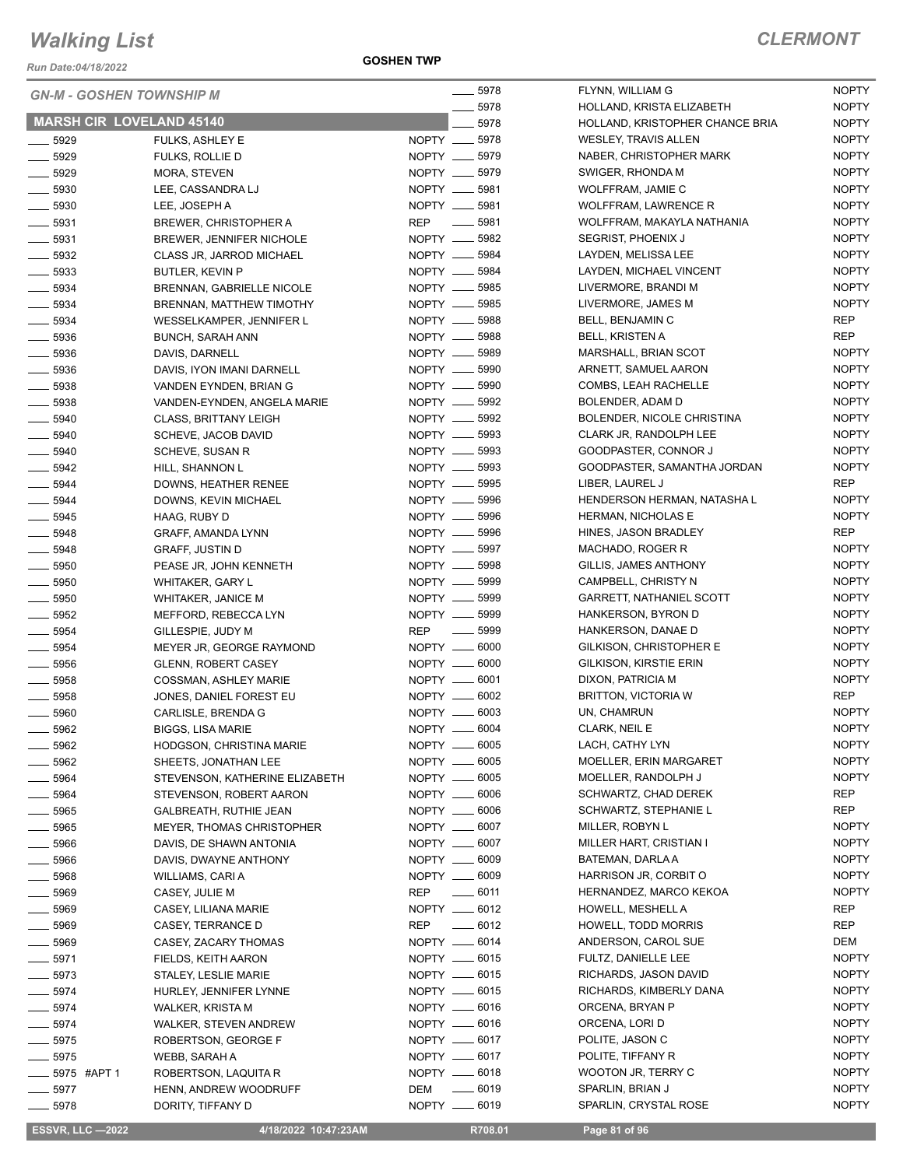*Run Date:04/18/2022*

**GOSHEN TWP**

| <b>GN-M - GOSHEN TOWNSHIP M</b> |                                  | ____ 5978                        | FLYNN, WILLIAM G                | <b>NOPTY</b>                 |
|---------------------------------|----------------------------------|----------------------------------|---------------------------------|------------------------------|
|                                 |                                  | 5978                             | HOLLAND, KRISTA ELIZABETH       | <b>NOPTY</b>                 |
| <b>MARSH CIR LOVELAND 45140</b> |                                  | 5978                             | HOLLAND, KRISTOPHER CHANCE BRIA | <b>NOPTY</b>                 |
| $-5929$                         | <b>FULKS, ASHLEY E</b>           | NOPTY __ 5978                    | <b>WESLEY, TRAVIS ALLEN</b>     | <b>NOPTY</b>                 |
| 5929                            | <b>FULKS, ROLLIE D</b>           | NOPTY __ 5979                    | NABER, CHRISTOPHER MARK         | <b>NOPTY</b>                 |
| $- 5929$                        | MORA, STEVEN                     | NOPTY __ 5979                    | SWIGER, RHONDA M                | <b>NOPTY</b>                 |
| $- 5930$                        | LEE, CASSANDRA LJ                | NOPTY __ 5981                    | WOLFFRAM, JAMIE C               | <b>NOPTY</b>                 |
| $\equiv$ 5930                   | LEE, JOSEPH A                    | NOPTY __ 5981                    | <b>WOLFFRAM, LAWRENCE R</b>     | <b>NOPTY</b>                 |
| $\frac{1}{2}$ 5931              | <b>BREWER, CHRISTOPHER A</b>     | REP __ 5981                      | WOLFFRAM, MAKAYLA NATHANIA      | <b>NOPTY</b>                 |
| $\frac{1}{2}$ 5931              | BREWER, JENNIFER NICHOLE         | NOPTY __ 5982                    | SEGRIST, PHOENIX J              | <b>NOPTY</b>                 |
| $\frac{1}{2}$ 5932              | CLASS JR, JARROD MICHAEL         | NOPTY __ 5984                    | LAYDEN, MELISSA LEE             | <b>NOPTY</b>                 |
| $\frac{1}{2}$ 5933              | <b>BUTLER, KEVIN P</b>           | NOPTY __ 5984                    | LAYDEN, MICHAEL VINCENT         | <b>NOPTY</b>                 |
| $\frac{1}{2}$ 5934              | BRENNAN, GABRIELLE NICOLE        | NOPTY __ 5985                    | LIVERMORE, BRANDI M             | <b>NOPTY</b>                 |
| $-5934$                         | BRENNAN, MATTHEW TIMOTHY         | NOPTY __ 5985                    | LIVERMORE, JAMES M              | <b>NOPTY</b>                 |
| $-5934$                         | WESSELKAMPER, JENNIFER L         | NOPTY __ 5988                    | BELL, BENJAMIN C                | <b>REP</b>                   |
| $\frac{1}{2}$ 5936              | <b>BUNCH, SARAH ANN</b>          | NOPTY __ 5988                    | <b>BELL, KRISTEN A</b>          | <b>REP</b>                   |
| $\frac{1}{2}$ 5936              | DAVIS, DARNELL                   | NOPTY __ 5989                    | MARSHALL, BRIAN SCOT            | <b>NOPTY</b>                 |
| $\frac{1}{2}$ 5936              | DAVIS, IYON IMANI DARNELL        | NOPTY __ 5990                    | ARNETT, SAMUEL AARON            | <b>NOPTY</b>                 |
| $\frac{1}{2}$ 5938              | VANDEN EYNDEN, BRIAN G           | NOPTY __ 5990                    | COMBS, LEAH RACHELLE            | <b>NOPTY</b>                 |
| $\frac{1}{2}$ 5938              | VANDEN-EYNDEN, ANGELA MARIE      | NOPTY __ 5992                    | BOLENDER, ADAM D                | <b>NOPTY</b>                 |
| $- 5940$                        | <b>CLASS, BRITTANY LEIGH</b>     | NOPTY __ 5992                    | BOLENDER, NICOLE CHRISTINA      | <b>NOPTY</b>                 |
| $\frac{1}{2}$ 5940              | SCHEVE, JACOB DAVID              | NOPTY __ 5993                    | CLARK JR, RANDOLPH LEE          | <b>NOPTY</b>                 |
| $- 5940$                        | SCHEVE, SUSAN R                  | NOPTY __ 5993                    | GOODPASTER, CONNOR J            | <b>NOPTY</b>                 |
| $\frac{1}{2}$ 5942              | HILL, SHANNON L                  | NOPTY __ 5993                    | GOODPASTER, SAMANTHA JORDAN     | <b>NOPTY</b>                 |
| $\frac{1}{2}$ 5944              | DOWNS, HEATHER RENEE             | NOPTY __ 5995                    | LIBER, LAUREL J                 | <b>REP</b>                   |
| $\frac{1}{2}$ 5944              | DOWNS, KEVIN MICHAEL             | NOPTY __ 5996                    | HENDERSON HERMAN, NATASHA L     | <b>NOPTY</b>                 |
| $\frac{1}{2}$ 5945              | HAAG, RUBY D                     | NOPTY __ 5996                    | <b>HERMAN, NICHOLAS E</b>       | <b>NOPTY</b>                 |
| ____ 5948                       | GRAFF, AMANDA LYNN               | NOPTY __ 5996                    | HINES, JASON BRADLEY            | <b>REP</b>                   |
| $-5948$                         | <b>GRAFF, JUSTIN D</b>           | NOPTY __ 5997                    | MACHADO, ROGER R                | <b>NOPTY</b>                 |
| $-5950$                         | PEASE JR, JOHN KENNETH           | NOPTY __ 5998                    | GILLIS, JAMES ANTHONY           | <b>NOPTY</b>                 |
| $\frac{1}{2}$ 5950              | <b>WHITAKER, GARY L</b>          | NOPTY __ 5999                    | CAMPBELL, CHRISTY N             | <b>NOPTY</b>                 |
| $- 5950$                        | <b>WHITAKER, JANICE M</b>        | NOPTY __ 5999                    | <b>GARRETT, NATHANIEL SCOTT</b> | <b>NOPTY</b>                 |
| $\frac{1}{2}$ 5952              | MEFFORD, REBECCA LYN             | NOPTY __ 5999                    | HANKERSON, BYRON D              | <b>NOPTY</b>                 |
| $\frac{1}{2}$ 5954              | GILLESPIE, JUDY M                | <b>REP</b><br>$\frac{1}{2}$ 5999 | HANKERSON, DANAE D              | <b>NOPTY</b>                 |
| $- 5954$                        | MEYER JR, GEORGE RAYMOND         | NOPTY __ 6000                    | GILKISON, CHRISTOPHER E         | <b>NOPTY</b>                 |
| $\frac{1}{2}$ 5956              | <b>GLENN, ROBERT CASEY</b>       | NOPTY __ 6000                    | GILKISON, KIRSTIE ERIN          | <b>NOPTY</b>                 |
| $- 5958$                        | COSSMAN, ASHLEY MARIE            | NOPTY __ 6001                    | DIXON, PATRICIA M               | <b>NOPTY</b>                 |
| $\frac{1}{2}$ 5958              | JONES, DANIEL FOREST EU          | NOPTY __ 6002                    | <b>BRITTON, VICTORIA W</b>      | <b>REP</b>                   |
| $\frac{1}{2}$ 5960              | CARLISLE, BRENDA G               | NOPTY __ 6003                    | UN, CHAMRUN                     | <b>NOPTY</b><br><b>NOPTY</b> |
| 5962                            | BIGGS, LISA MARIE                | NOPTY __ 6004                    | CLARK, NEIL E                   |                              |
| $\frac{1}{2}$ 5962              | HODGSON, CHRISTINA MARIE         | NOPTY __ 6005                    | LACH, CATHY LYN                 | <b>NOPTY</b>                 |
| —— 5962                         | SHEETS, JONATHAN LEE             | NOPTY __ 6005                    | MOELLER, ERIN MARGARET          | <b>NOPTY</b>                 |
| $\frac{1}{2}$ 5964              | STEVENSON, KATHERINE ELIZABETH   | NOPTY __ 6005<br>NOPTY __ 6006   | MOELLER, RANDOLPH J             | <b>NOPTY</b><br>REP          |
| $\frac{1}{2}$ 5964              | STEVENSON, ROBERT AARON          |                                  | SCHWARTZ, CHAD DEREK            | <b>REP</b>                   |
| $- 5965$                        | GALBREATH, RUTHIE JEAN           | NOPTY __ 6006                    | SCHWARTZ, STEPHANIE L           |                              |
| ____ 5965                       | <b>MEYER, THOMAS CHRISTOPHER</b> | NOPTY __ 6007                    | MILLER, ROBYN L                 | <b>NOPTY</b>                 |
| 5966                            | DAVIS, DE SHAWN ANTONIA          | NOPTY __ 6007                    | MILLER HART, CRISTIAN I         | <b>NOPTY</b>                 |
| - 5966                          | DAVIS, DWAYNE ANTHONY            | NOPTY __ 6009                    | BATEMAN, DARLA A                | <b>NOPTY</b>                 |
| $-5968$                         | WILLIAMS, CARI A                 | NOPTY __ 6009                    | HARRISON JR, CORBIT O           | <b>NOPTY</b>                 |
| 5969                            | CASEY, JULIE M                   | $- 6011$<br>REP                  | HERNANDEZ, MARCO KEKOA          | <b>NOPTY</b>                 |
| __ 5969                         | CASEY, LILIANA MARIE             | NOPTY __ 6012                    | HOWELL, MESHELL A               | REP                          |
| —— 5969                         | CASEY, TERRANCE D                | $-6012$<br><b>REP</b>            | HOWELL, TODD MORRIS             | <b>REP</b>                   |
| $- 5969$                        | CASEY, ZACARY THOMAS             | NOPTY __ 6014                    | ANDERSON, CAROL SUE             | DEM                          |
| $- 5971$                        | FIELDS, KEITH AARON              | NOPTY __ 6015                    | FULTZ, DANIELLE LEE             | <b>NOPTY</b>                 |
| $-5973$                         | <b>STALEY, LESLIE MARIE</b>      | NOPTY __ 6015                    | RICHARDS, JASON DAVID           | <b>NOPTY</b>                 |
| $- 5974$                        | HURLEY, JENNIFER LYNNE           | NOPTY __ 6015                    | RICHARDS, KIMBERLY DANA         | <b>NOPTY</b>                 |
| $- 5974$                        | WALKER, KRISTA M                 | NOPTY __ 6016                    | ORCENA, BRYAN P                 | <b>NOPTY</b>                 |
| $- 5974$                        | WALKER, STEVEN ANDREW            | NOPTY __ 6016                    | ORCENA, LORI D                  | <b>NOPTY</b>                 |
| $\frac{1}{2}$ 5975              | ROBERTSON, GEORGE F              | NOPTY __ 6017                    | POLITE, JASON C                 | <b>NOPTY</b>                 |
| $-5975$                         | WEBB, SARAH A                    | NOPTY __ 6017                    | POLITE, TIFFANY R               | <b>NOPTY</b>                 |
| ____ 5975 #APT 1                | ROBERTSON, LAQUITA R             | NOPTY __ 6018                    | WOOTON JR, TERRY C              | <b>NOPTY</b>                 |
| $-5977$                         | HENN, ANDREW WOODRUFF            | <b>DEM</b><br>$\frac{1}{2}$ 6019 | SPARLIN, BRIAN J                | <b>NOPTY</b>                 |
| $\frac{1}{2}$ 5978              | DORITY, TIFFANY D                | NOPTY __ 6019                    | SPARLIN, CRYSTAL ROSE           | <b>NOPTY</b>                 |

**ESSVR, LLC -2022 4/18/2022 10:47:23AM R708.01 Page 81 of 96**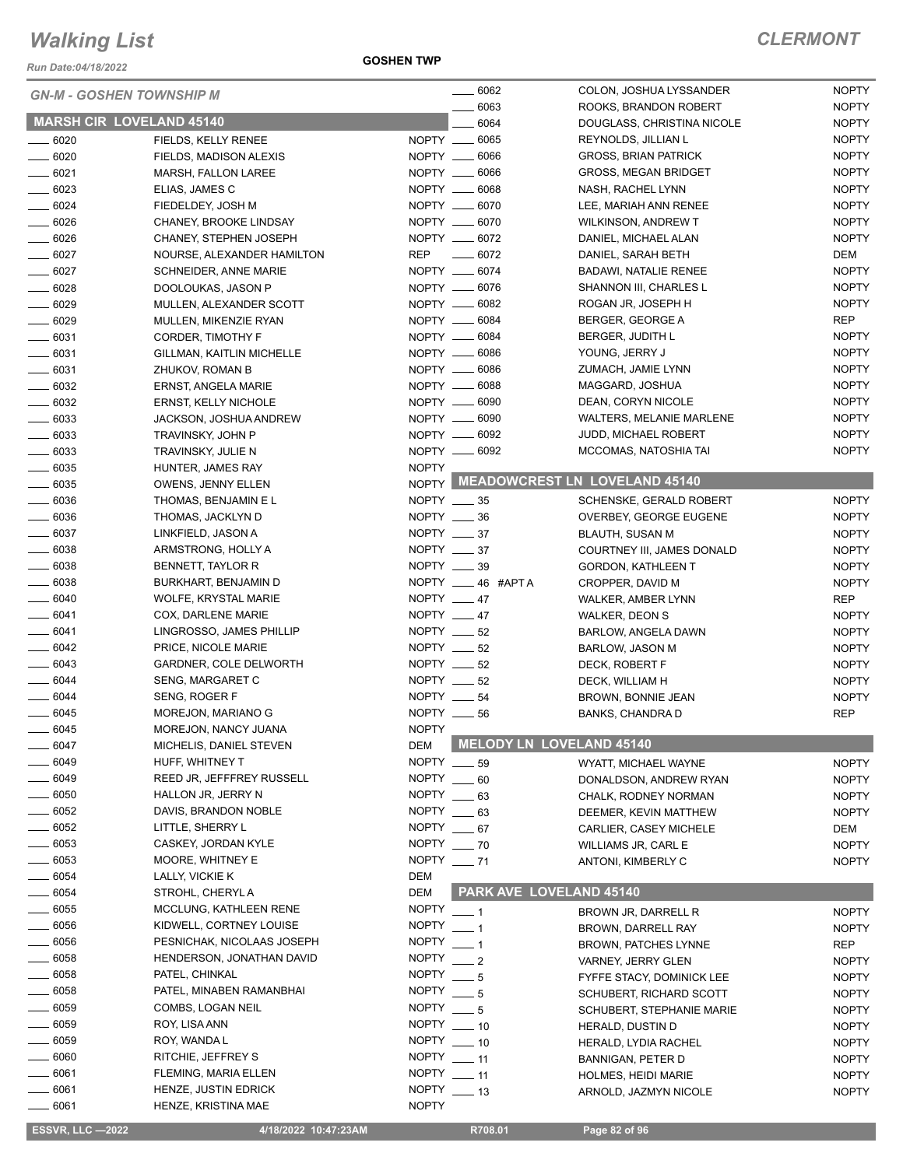*Run Date:04/18/2022*

| <b>GN-M - GOSHEN TOWNSHIP M</b> |                                             |               | —— 6062                      | COLON, JOSHUA LYSSANDER                            | <b>NOPTY</b>        |
|---------------------------------|---------------------------------------------|---------------|------------------------------|----------------------------------------------------|---------------------|
|                                 |                                             |               | 6063                         | ROOKS, BRANDON ROBERT                              | <b>NOPTY</b>        |
| <b>MARSH CIR LOVELAND 45140</b> |                                             |               | 6064                         | DOUGLASS, CHRISTINA NICOLE                         | <b>NOPTY</b>        |
| $- 6020$                        | FIELDS, KELLY RENEE                         |               | NOPTY __ 6065                | REYNOLDS, JILLIAN L                                | <b>NOPTY</b>        |
| $- 6020$                        | FIELDS, MADISON ALEXIS                      |               | NOPTY __ 6066                | <b>GROSS, BRIAN PATRICK</b>                        | <b>NOPTY</b>        |
| $- 6021$                        | MARSH, FALLON LAREE                         |               | NOPTY __ 6066                | <b>GROSS, MEGAN BRIDGET</b>                        | <b>NOPTY</b>        |
| $\frac{1}{2}$ 6023              | ELIAS, JAMES C                              |               | NOPTY __ 6068                | NASH, RACHEL LYNN                                  | <b>NOPTY</b>        |
| $- 6024$                        | FIEDELDEY, JOSH M                           |               | NOPTY __ 6070                | LEE, MARIAH ANN RENEE                              | <b>NOPTY</b>        |
| $- 6026$                        | CHANEY, BROOKE LINDSAY                      |               | NOPTY __ 6070                | <b>WILKINSON, ANDREW T</b>                         | <b>NOPTY</b>        |
| $- 6026$                        | CHANEY, STEPHEN JOSEPH                      |               | NOPTY __ 6072<br>REP $-6072$ | DANIEL, MICHAEL ALAN                               | <b>NOPTY</b>        |
| $- 6027$<br>$- 6027$            | NOURSE, ALEXANDER HAMILTON                  |               | NOPTY __ 6074                | DANIEL, SARAH BETH<br><b>BADAWI, NATALIE RENEE</b> | DEM<br><b>NOPTY</b> |
| $- 6028$                        | SCHNEIDER, ANNE MARIE<br>DOOLOUKAS, JASON P |               | NOPTY __ 6076                | SHANNON III, CHARLES L                             | <b>NOPTY</b>        |
| $- 6029$                        | MULLEN, ALEXANDER SCOTT                     |               | NOPTY __ 6082                | ROGAN JR, JOSEPH H                                 | <b>NOPTY</b>        |
| $- 6029$                        | MULLEN, MIKENZIE RYAN                       |               | NOPTY __ 6084                | BERGER, GEORGE A                                   | REP                 |
| $- 6031$                        | CORDER, TIMOTHY F                           |               | NOPTY __ 6084                | BERGER, JUDITH L                                   | <b>NOPTY</b>        |
| $- 6031$                        | GILLMAN, KAITLIN MICHELLE                   |               | NOPTY __ 6086                | YOUNG, JERRY J                                     | <b>NOPTY</b>        |
| $- 6031$                        | ZHUKOV, ROMAN B                             |               | NOPTY __ 6086                | ZUMACH, JAMIE LYNN                                 | <b>NOPTY</b>        |
| $\frac{1}{2}$ 6032              | ERNST, ANGELA MARIE                         |               | NOPTY __ 6088                | MAGGARD, JOSHUA                                    | <b>NOPTY</b>        |
| $\frac{1}{2}$ 6032              | ERNST, KELLY NICHOLE                        |               | NOPTY __ 6090                | DEAN, CORYN NICOLE                                 | <b>NOPTY</b>        |
| $- 6033$                        | JACKSON, JOSHUA ANDREW                      |               | NOPTY __ 6090                | WALTERS, MELANIE MARLENE                           | <b>NOPTY</b>        |
| $\frac{1}{2}$ 6033              | TRAVINSKY, JOHN P                           |               | NOPTY __ 6092                | JUDD, MICHAEL ROBERT                               | <b>NOPTY</b>        |
| $\frac{1}{2}$ 6033              | TRAVINSKY, JULIE N                          |               | NOPTY __ 6092                | MCCOMAS, NATOSHIA TAI                              | <b>NOPTY</b>        |
| $- 6035$                        | HUNTER, JAMES RAY                           | <b>NOPTY</b>  |                              |                                                    |                     |
| $\frac{1}{2}$ 6035              | OWENS, JENNY ELLEN                          |               |                              | NOPTY MEADOWCREST LN LOVELAND 45140                |                     |
| $\frac{1}{2}$ 6036              | THOMAS, BENJAMIN E L                        |               | NOPTY $\_\_\$ 35             | SCHENSKE, GERALD ROBERT                            | <b>NOPTY</b>        |
| $\frac{1}{2}$ 6036              | THOMAS, JACKLYN D                           |               | NOPTY ____ 36                | OVERBEY, GEORGE EUGENE                             | <b>NOPTY</b>        |
| $\frac{1}{2}$ 6037              | LINKFIELD, JASON A                          |               | NOPTY _____ 37               | <b>BLAUTH, SUSAN M</b>                             | <b>NOPTY</b>        |
| $- 6038$                        | ARMSTRONG, HOLLY A                          |               | NOPTY __ 37                  | COURTNEY III, JAMES DONALD                         | <b>NOPTY</b>        |
| $\frac{1}{2}$ 6038              | BENNETT, TAYLOR R                           | NOPTY __ 39   |                              | <b>GORDON, KATHLEEN T</b>                          | <b>NOPTY</b>        |
| $- 6038$                        | BURKHART, BENJAMIN D                        |               | NOPTY __ 46 #APTA            | CROPPER, DAVID M                                   | <b>NOPTY</b>        |
| $\frac{1}{2}$ 6040              | WOLFE, KRYSTAL MARIE                        | NOPTY __ 47   |                              | WALKER, AMBER LYNN                                 | <b>REP</b>          |
| $\frac{1}{2}$ 6041              | COX, DARLENE MARIE                          |               | NOPTY __ 47                  | <b>WALKER, DEON S</b>                              | <b>NOPTY</b>        |
| $- 6041$                        | LINGROSSO, JAMES PHILLIP                    |               | NOPTY __ 52                  | BARLOW, ANGELA DAWN                                | <b>NOPTY</b>        |
| $- 6042$                        | PRICE, NICOLE MARIE                         |               | NOPTY __ 52                  | BARLOW, JASON M                                    | <b>NOPTY</b>        |
| $- 6043$                        | GARDNER, COLE DELWORTH                      |               | NOPTY __ 52                  | DECK, ROBERT F                                     | <b>NOPTY</b>        |
| $\frac{1}{2}$ 6044              | SENG, MARGARET C                            |               | NOPTY __ 52                  | DECK, WILLIAM H                                    | <b>NOPTY</b>        |
| $- 6044$                        | SENG, ROGER F                               |               | NOPTY __ 54                  | BROWN, BONNIE JEAN                                 | <b>NOPTY</b>        |
| $\frac{1}{2}$ 6045              | MOREJON, MARIANO G                          |               | NOPTY $- 56$                 | <b>BANKS, CHANDRA D</b>                            | <b>REP</b>          |
| $- 6045$                        | MOREJON, NANCY JUANA                        | <b>NOPTY</b>  |                              |                                                    |                     |
| —— 6047                         | MICHELIS, DANIEL STEVEN                     | DEM           | MELODY LN LOVELAND 45140     |                                                    |                     |
| 6049                            | HUFF, WHITNEY T                             | NOPTY ____ 59 |                              | WYATT, MICHAEL WAYNE                               | <b>NOPTY</b>        |
| $-6049$                         | REED JR, JEFFFREY RUSSELL                   | NOPTY __ 60   |                              | DONALDSON, ANDREW RYAN                             | <b>NOPTY</b>        |
| $\frac{1}{2}$ 6050              | HALLON JR, JERRY N                          | NOPTY __ 63   |                              | CHALK, RODNEY NORMAN                               | <b>NOPTY</b>        |
| $-6052$                         | DAVIS, BRANDON NOBLE                        |               | NOPTY $-63$                  | DEEMER, KEVIN MATTHEW                              | <b>NOPTY</b>        |
| $- 6052$                        | LITTLE, SHERRY L                            |               | NOPTY $-67$                  | CARLIER, CASEY MICHELE                             | DEM                 |
| 6053                            | CASKEY, JORDAN KYLE                         | NOPTY $-$ 70  |                              | WILLIAMS JR, CARL E                                | <b>NOPTY</b>        |
| 6053                            | MOORE, WHITNEY E                            | NOPTY $-$ 71  |                              | ANTONI, KIMBERLY C                                 | <b>NOPTY</b>        |
| 6054                            | LALLY, VICKIE K                             | DEM           |                              |                                                    |                     |
| 6054                            | STROHL, CHERYLA                             | DEM           | PARK AVE LOVELAND 45140      |                                                    |                     |
| $-6055$                         | MCCLUNG, KATHLEEN RENE                      | NOPTY $-1$    |                              | BROWN JR, DARRELL R                                | <b>NOPTY</b>        |
| 6056                            | KIDWELL, CORTNEY LOUISE                     | <b>NOPTY</b>  | $-1$                         | BROWN, DARRELL RAY                                 | <b>NOPTY</b>        |
| 6056                            | PESNICHAK, NICOLAAS JOSEPH                  | <b>NOPTY</b>  | $-1$                         | <b>BROWN, PATCHES LYNNE</b>                        | <b>REP</b>          |
| 6058                            | HENDERSON, JONATHAN DAVID                   | <b>NOPTY</b>  | $-2$                         | <b>VARNEY, JERRY GLEN</b>                          | <b>NOPTY</b>        |
| 6058                            | PATEL, CHINKAL                              | <b>NOPTY</b>  | $-5$                         | <b>FYFFE STACY, DOMINICK LEE</b>                   | <b>NOPTY</b>        |
| $- 6058$                        | PATEL, MINABEN RAMANBHAI                    | <b>NOPTY</b>  | $-5$                         | SCHUBERT, RICHARD SCOTT                            | <b>NOPTY</b>        |
| $-6059$                         | COMBS, LOGAN NEIL                           | <b>NOPTY</b>  | . 5                          | SCHUBERT, STEPHANIE MARIE                          | <b>NOPTY</b>        |
| $-6059$                         | ROY, LISA ANN                               | <b>NOPTY</b>  | $-10$                        | <b>HERALD, DUSTIN D</b>                            | <b>NOPTY</b>        |
| $- 6059$                        | ROY, WANDA L                                | NOPTY $-10$   |                              | HERALD, LYDIA RACHEL                               | <b>NOPTY</b>        |
| 6060                            | RITCHIE, JEFFREY S                          | <b>NOPTY</b>  | $\overline{\phantom{0}}$ 11  | BANNIGAN, PETER D                                  | <b>NOPTY</b>        |
| $-6061$                         | FLEMING, MARIA ELLEN                        | <b>NOPTY</b>  | $\overline{\phantom{0}}$ 11  | HOLMES, HEIDI MARIE                                | <b>NOPTY</b>        |
| 6061                            | HENZE, JUSTIN EDRICK                        | <b>NOPTY</b>  | $\equiv$ 13                  | ARNOLD, JAZMYN NICOLE                              | <b>NOPTY</b>        |
| 6061                            | HENZE, KRISTINA MAE                         | <b>NOPTY</b>  |                              |                                                    |                     |
| <b>ESSVR, LLC -2022</b>         | 4/18/2022 10:47:23AM                        |               | R708.01                      | Page 82 of 96                                      |                     |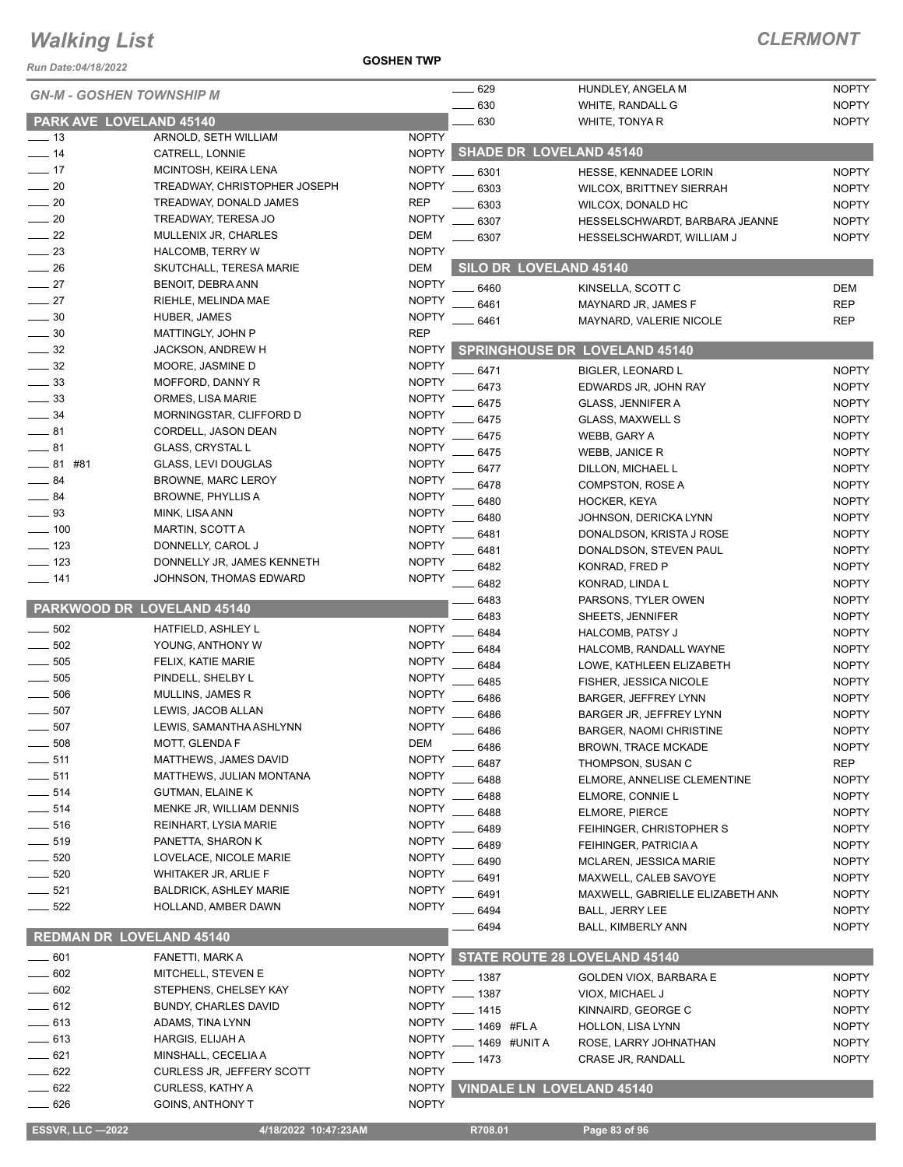*Run Date:04/18/2022*

| <b>GN-M - GOSHEN TOWNSHIP M</b>             |                                  |              | 629<br>630     | HUNDLEY, ANGELA M                    | <b>NOPTY</b> |
|---------------------------------------------|----------------------------------|--------------|----------------|--------------------------------------|--------------|
|                                             |                                  |              |                | WHITE, RANDALL G<br>WHITE, TONYA R   | <b>NOPTY</b> |
| PARK AVE LOVELAND 45140<br>$\frac{1}{2}$ 13 | ARNOLD, SETH WILLIAM             | <b>NOPTY</b> | 630            |                                      | <b>NOPTY</b> |
| $\frac{1}{2}$ 14                            | CATRELL, LONNIE                  |              |                | NOPTY SHADE DR LOVELAND 45140        |              |
| $-17$                                       | MCINTOSH, KEIRA LENA             | <b>NOPTY</b> | 6301           | HESSE, KENNADEE LORIN                | <b>NOPTY</b> |
| $\sim$ 20                                   | TREADWAY, CHRISTOPHER JOSEPH     | <b>NOPTY</b> | 6303           | <b>WILCOX, BRITTNEY SIERRAH</b>      | <b>NOPTY</b> |
| $-20$                                       | TREADWAY, DONALD JAMES           | <b>REP</b>   | 6303           | WILCOX, DONALD HC                    | <b>NOPTY</b> |
| $\sim$ 20                                   | TREADWAY, TERESA JO              | <b>NOPTY</b> | 6307           | HESSELSCHWARDT, BARBARA JEANNE       | <b>NOPTY</b> |
| $\sim$ 22                                   | MULLENIX JR, CHARLES             | <b>DEM</b>   | .6307          | HESSELSCHWARDT, WILLIAM J            | <b>NOPTY</b> |
| $\frac{1}{2}$ 23                            | <b>HALCOMB, TERRY W</b>          | <b>NOPTY</b> |                |                                      |              |
| $\frac{1}{26}$                              | SKUTCHALL, TERESA MARIE          | <b>DEM</b>   |                | <b>SILO DR LOVELAND 45140</b>        |              |
| $\frac{1}{27}$                              | BENOIT, DEBRA ANN                | <b>NOPTY</b> | 6460           | KINSELLA, SCOTT C                    | <b>DEM</b>   |
| $-27$                                       | RIEHLE, MELINDA MAE              | <b>NOPTY</b> | 6461           | MAYNARD JR, JAMES F                  | <b>REP</b>   |
| $\frac{1}{2}$ 30                            | HUBER, JAMES                     | <b>NOPTY</b> | 6461           | MAYNARD, VALERIE NICOLE              | REP          |
| $\frac{1}{2}$ 30                            | MATTINGLY, JOHN P                | <b>REP</b>   |                |                                      |              |
| $\frac{1}{2}$ 32                            | JACKSON, ANDREW H                | <b>NOPTY</b> |                | <b>SPRINGHOUSE DR LOVELAND 45140</b> |              |
| $\frac{1}{2}$ 32                            | MOORE, JASMINE D                 | <b>NOPTY</b> | 6471           | <b>BIGLER, LEONARD L</b>             | <b>NOPTY</b> |
| $\frac{1}{2}$ 33                            | MOFFORD, DANNY R                 | <b>NOPTY</b> | 6473           | EDWARDS JR, JOHN RAY                 | <b>NOPTY</b> |
| $\frac{1}{2}$ 33                            | ORMES, LISA MARIE                | <b>NOPTY</b> | 6475           | GLASS, JENNIFER A                    | <b>NOPTY</b> |
| $\frac{1}{2}$ 34                            | MORNINGSTAR, CLIFFORD D          | <b>NOPTY</b> | 6475           | <b>GLASS, MAXWELL S</b>              | <b>NOPTY</b> |
| $-81$                                       | CORDELL, JASON DEAN              | <b>NOPTY</b> | 6475           | WEBB, GARY A                         | <b>NOPTY</b> |
| $-81$                                       | <b>GLASS, CRYSTAL L</b>          | <b>NOPTY</b> | 6475           | <b>WEBB, JANICE R</b>                | <b>NOPTY</b> |
| $-81$ #81                                   | <b>GLASS, LEVI DOUGLAS</b>       | <b>NOPTY</b> | 6477           | DILLON, MICHAEL L                    | <b>NOPTY</b> |
| $-84$                                       | <b>BROWNE, MARC LEROY</b>        | <b>NOPTY</b> | 6478           | COMPSTON, ROSE A                     | <b>NOPTY</b> |
| $\frac{1}{2}$ 84                            | <b>BROWNE, PHYLLIS A</b>         | <b>NOPTY</b> | 6480           | HOCKER, KEYA                         | <b>NOPTY</b> |
| $\equiv$ 93                                 | MINK, LISA ANN                   | <b>NOPTY</b> | 6480           | JOHNSON, DERICKA LYNN                | <b>NOPTY</b> |
| $-100$                                      | <b>MARTIN, SCOTT A</b>           | <b>NOPTY</b> | 6481           | DONALDSON, KRISTA J ROSE             | <b>NOPTY</b> |
| $\frac{1}{2}$ 123                           | DONNELLY, CAROL J                | <b>NOPTY</b> | 6481           | DONALDSON, STEVEN PAUL               | <b>NOPTY</b> |
| $\equiv$ 123                                | DONNELLY JR, JAMES KENNETH       | <b>NOPTY</b> | 6482           | KONRAD, FRED P                       | <b>NOPTY</b> |
| $- 141$                                     | JOHNSON, THOMAS EDWARD           | <b>NOPTY</b> | 6482           | KONRAD, LINDA L                      | <b>NOPTY</b> |
|                                             |                                  |              | 6483           | PARSONS, TYLER OWEN                  | <b>NOPTY</b> |
| PARKWOOD DR LOVELAND 45140                  |                                  |              | 6483           | SHEETS, JENNIFER                     | <b>NOPTY</b> |
| 502                                         | HATFIELD, ASHLEY L               | <b>NOPTY</b> | 6484           | HALCOMB, PATSY J                     | <b>NOPTY</b> |
| 502                                         | YOUNG, ANTHONY W                 | <b>NOPTY</b> | 6484           | HALCOMB, RANDALL WAYNE               | <b>NOPTY</b> |
| 505                                         | FELIX, KATIE MARIE               | <b>NOPTY</b> | 6484           | LOWE, KATHLEEN ELIZABETH             | <b>NOPTY</b> |
| 505                                         | PINDELL, SHELBY L                | <b>NOPTY</b> | 6485           | FISHER, JESSICA NICOLE               | <b>NOPTY</b> |
| 506                                         | MULLINS, JAMES R                 | <b>NOPTY</b> | 6486           | <b>BARGER, JEFFREY LYNN</b>          | <b>NOPTY</b> |
| 507                                         | LEWIS, JACOB ALLAN               | <b>NOPTY</b> | 6486           | BARGER JR, JEFFREY LYNN              | <b>NOPTY</b> |
| 507                                         | LEWIS, SAMANTHA ASHLYNN          | <b>NOPTY</b> | 6486           | <b>BARGER, NAOMI CHRISTINE</b>       | <b>NOPTY</b> |
| 508                                         | MOTT, GLENDA F                   | <b>DEM</b>   | 6486           | <b>BROWN, TRACE MCKADE</b>           | <b>NOPTY</b> |
| 511                                         | MATTHEWS, JAMES DAVID            | <b>NOPTY</b> | 6487           | THOMPSON, SUSAN C                    | <b>REP</b>   |
| $-511$                                      | MATTHEWS, JULIAN MONTANA         | <b>NOPTY</b> | 6488           | ELMORE, ANNELISE CLEMENTINE          | <b>NOPTY</b> |
| 514                                         | GUTMAN, ELAINE K                 | <b>NOPTY</b> | 6488           | ELMORE, CONNIE L                     | <b>NOPTY</b> |
| $-514$                                      | MENKE JR, WILLIAM DENNIS         | <b>NOPTY</b> | 6488           | <b>ELMORE, PIERCE</b>                | <b>NOPTY</b> |
| $- 516$                                     | REINHART, LYSIA MARIE            | <b>NOPTY</b> | 6489           | FEIHINGER, CHRISTOPHER S             | <b>NOPTY</b> |
| ____ 519                                    | PANETTA, SHARON K                | <b>NOPTY</b> | 6489           | FEIHINGER, PATRICIA A                | <b>NOPTY</b> |
| $- 520$                                     | LOVELACE, NICOLE MARIE           | <b>NOPTY</b> | 6490           | <b>MCLAREN, JESSICA MARIE</b>        | <b>NOPTY</b> |
| 520                                         | WHITAKER JR, ARLIE F             | <b>NOPTY</b> | 6491           | MAXWELL, CALEB SAVOYE                | <b>NOPTY</b> |
| $- 521$                                     | <b>BALDRICK, ASHLEY MARIE</b>    | <b>NOPTY</b> | 6491           | MAXWELL, GABRIELLE ELIZABETH ANN     | NOPTY        |
| $- 522$                                     | HOLLAND, AMBER DAWN              | <b>NOPTY</b> | 6494           | <b>BALL, JERRY LEE</b>               | <b>NOPTY</b> |
| <b>REDMAN DR LOVELAND 45140</b>             |                                  |              | 6494           | BALL, KIMBERLY ANN                   | <b>NOPTY</b> |
| $\frac{1}{2}$ 601                           | FANETTI, MARK A                  | <b>NOPTY</b> |                | STATE ROUTE 28 LOVELAND 45140        |              |
| 602                                         | MITCHELL, STEVEN E               | <b>NOPTY</b> |                |                                      |              |
| 602                                         | STEPHENS, CHELSEY KAY            | <b>NOPTY</b> | $-1387$        | GOLDEN VIOX, BARBARA E               | <b>NOPTY</b> |
| $-612$                                      | <b>BUNDY, CHARLES DAVID</b>      | <b>NOPTY</b> | $-1387$        | VIOX, MICHAEL J                      | <b>NOPTY</b> |
| $-613$                                      | ADAMS, TINA LYNN                 | <b>NOPTY</b> | $-1415$        | KINNAIRD, GEORGE C                   | <b>NOPTY</b> |
| $-613$                                      | HARGIS, ELIJAH A                 | <b>NOPTY</b> | 1469 #FLA      | HOLLON, LISA LYNN                    | <b>NOPTY</b> |
| $-621$                                      | MINSHALL, CECELIA A              | <b>NOPTY</b> | _ 1469 #UNIT A | ROSE, LARRY JOHNATHAN                | <b>NOPTY</b> |
| $- 622$                                     | <b>CURLESS JR, JEFFERY SCOTT</b> | <b>NOPTY</b> | $-1473$        | CRASE JR, RANDALL                    | <b>NOPTY</b> |
| 622                                         | CURLESS, KATHY A                 | <b>NOPTY</b> |                | <b>VINDALE LN LOVELAND 45140</b>     |              |
| $\equiv$ 626                                | <b>GOINS, ANTHONY T</b>          | <b>NOPTY</b> |                |                                      |              |
|                                             |                                  |              |                |                                      |              |
| <b>ESSVR, LLC -2022</b>                     | 4/18/2022 10:47:23AM             |              | R708.01        | Page 83 of 96                        |              |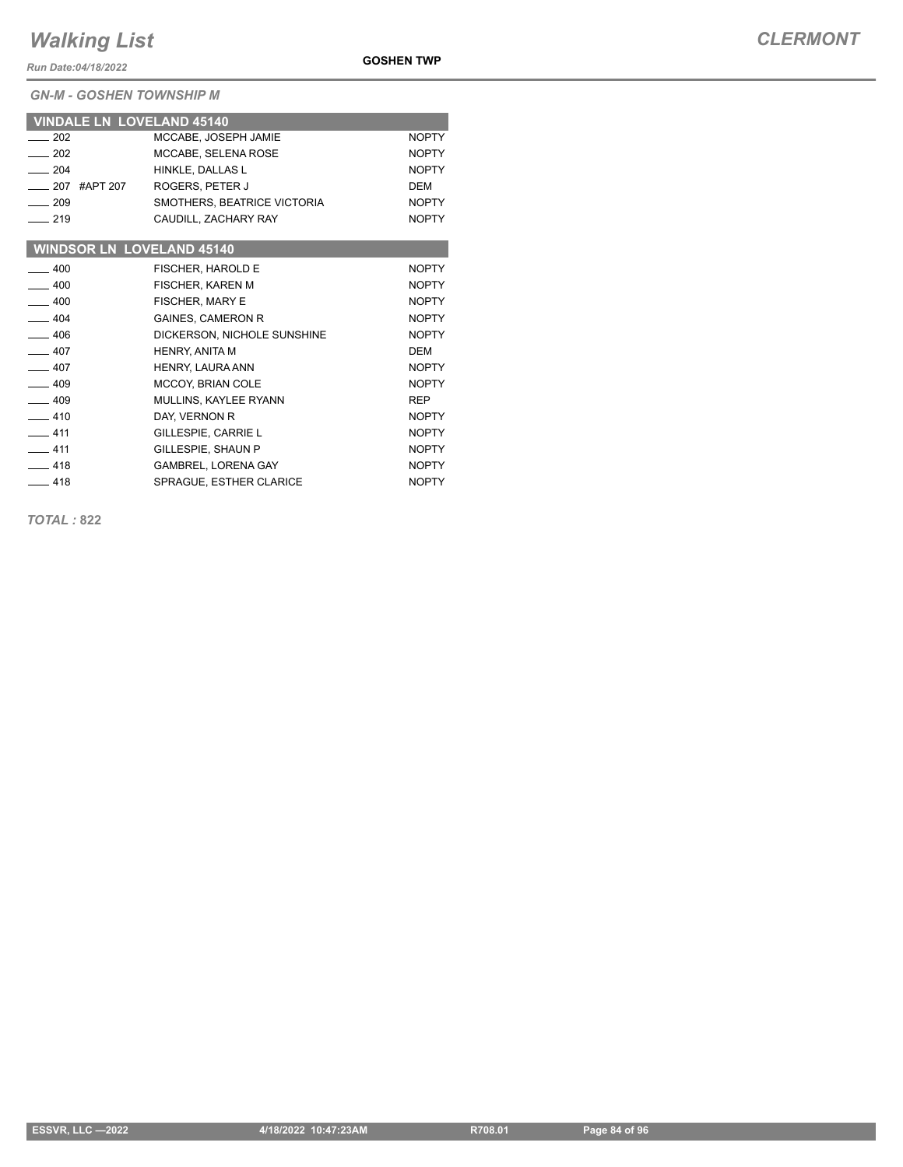*Run Date:04/18/2022*

*GN-M - GOSHEN TOWNSHIP M*

| <b>VINDALE LN LOVELAND 45140</b> |                             |              |
|----------------------------------|-----------------------------|--------------|
| 202                              | MCCABE, JOSEPH JAMIE        | <b>NOPTY</b> |
| $-202$                           | MCCABE, SELENA ROSE         | <b>NOPTY</b> |
| $-204$                           | HINKLE, DALLAS L            | <b>NOPTY</b> |
| #APT 207<br>$-207$               | ROGERS, PETER J             | <b>DEM</b>   |
| $-209$                           | SMOTHERS, BEATRICE VICTORIA | <b>NOPTY</b> |
| $-219$                           | CAUDILL, ZACHARY RAY        | <b>NOPTY</b> |
|                                  |                             |              |
| <b>WINDSOR LN LOVELAND 45140</b> |                             |              |
| $-400$                           | <b>FISCHER, HAROLD E</b>    | <b>NOPTY</b> |
| $-400$                           | <b>FISCHER, KAREN M</b>     | <b>NOPTY</b> |
| $-400$                           | <b>FISCHER, MARY E</b>      | <b>NOPTY</b> |
| $-404$                           | <b>GAINES, CAMERON R</b>    | <b>NOPTY</b> |
| $-406$                           | DICKERSON, NICHOLE SUNSHINE | <b>NOPTY</b> |
| $-407$                           | <b>HENRY, ANITA M</b>       | DEM          |
| $-407$                           | <b>HENRY, LAURA ANN</b>     | <b>NOPTY</b> |
| $-409$                           | <b>MCCOY, BRIAN COLE</b>    | <b>NOPTY</b> |

| ____ 409 | <b>MCCOY, BRIAN COLE</b> | <b>NUPIY</b> |
|----------|--------------------------|--------------|
| —— 409   | MULLINS, KAYLEE RYANN    | <b>REP</b>   |
| —— 410   | DAY. VERNON R            | <b>NOPTY</b> |
| $-411$   | GILLESPIE, CARRIE L      | <b>NOPTY</b> |
| —— 411   | GILLESPIE, SHAUN P       | <b>NOPTY</b> |
| $-418$   | GAMBREL, LORENA GAY      | <b>NOPTY</b> |
| —— 418   | SPRAGUE, ESTHER CLARICE  | <b>NOPTY</b> |

*TOTAL :* **822**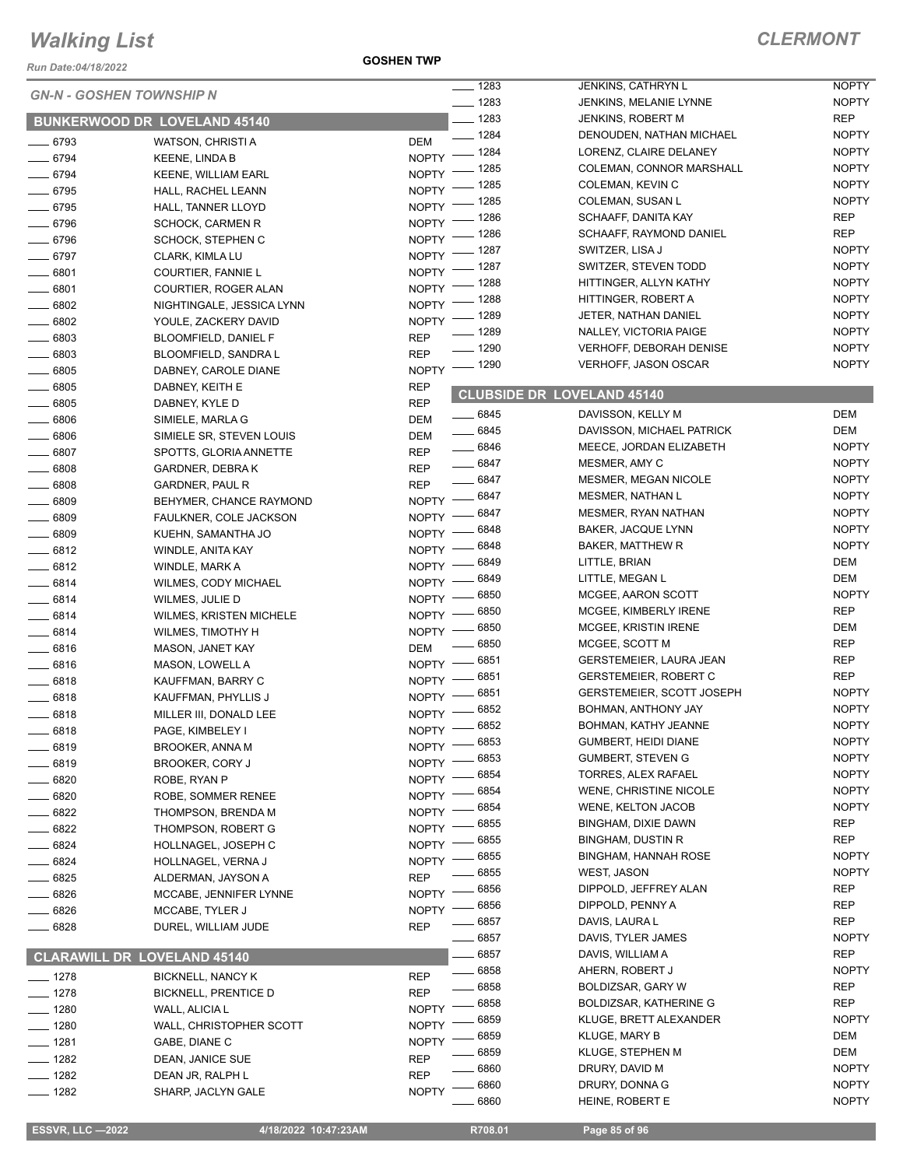*Run Date:04/18/2022*

**GOSHEN TWP**

| <b>GN-N - GOSHEN TOWNSHIP N</b>     |                                | $- 1283$           | JENKINS, CATHRYN L                | <b>NOPTY</b>                     |              |
|-------------------------------------|--------------------------------|--------------------|-----------------------------------|----------------------------------|--------------|
|                                     |                                |                    | $- 1283$                          | JENKINS, MELANIE LYNNE           | <b>NOPTY</b> |
| <b>BUNKERWOOD DR LOVELAND 45140</b> |                                |                    | $- 1283$                          | JENKINS, ROBERT M                | REP          |
| $- 6793$                            | WATSON, CHRISTI A              | <b>DEM</b>         | $- 1284$                          | DENOUDEN, NATHAN MICHAEL         | <b>NOPTY</b> |
| $- 6794$                            | <b>KEENE, LINDA B</b>          |                    | NOPTY - 1284                      | LORENZ, CLAIRE DELANEY           | <b>NOPTY</b> |
| $- 6794$                            | <b>KEENE, WILLIAM EARL</b>     |                    | NOPTY - 1285                      | COLEMAN, CONNOR MARSHALL         | <b>NOPTY</b> |
| $- 6795$                            | HALL, RACHEL LEANN             | $N$ OPTY $-$       | $-1285$                           | COLEMAN, KEVIN C                 | <b>NOPTY</b> |
| $- 6795$                            | HALL, TANNER LLOYD             | <b>NOPTY</b>       | _ 1285                            | COLEMAN, SUSAN L                 | <b>NOPTY</b> |
| $\frac{1}{2}$ 6796                  | <b>SCHOCK, CARMEN R</b>        | <b>NOPTY</b>       | _ 1286                            | SCHAAFF, DANITA KAY              | <b>REP</b>   |
| $- 6796$                            | SCHOCK, STEPHEN C              | NOPTY <sup>-</sup> | _ 1286                            | SCHAAFF, RAYMOND DANIEL          | <b>REP</b>   |
| $- 6797$                            | CLARK, KIMLA LU                |                    | NOPTY - 1287                      | SWITZER, LISA J                  | <b>NOPTY</b> |
| $- 6801$                            | COURTIER, FANNIE L             |                    | NOPTY - 1287                      | SWITZER, STEVEN TODD             | <b>NOPTY</b> |
| $- 6801$                            | COURTIER, ROGER ALAN           |                    | NOPTY - 1288                      | HITTINGER, ALLYN KATHY           | <b>NOPTY</b> |
| $\frac{1}{2}$ 6802                  | NIGHTINGALE, JESSICA LYNN      |                    | NOPTY - 1288                      | HITTINGER, ROBERT A              | <b>NOPTY</b> |
| $- 6802$                            | YOULE, ZACKERY DAVID           | $NOPTY =$          | _ 1289                            | JETER, NATHAN DANIEL             | <b>NOPTY</b> |
| $\frac{1}{2}$ 6803                  | <b>BLOOMFIELD, DANIEL F</b>    | <b>REP</b>         | $- 1289$                          | NALLEY, VICTORIA PAIGE           | <b>NOPTY</b> |
| $- 6803$                            | BLOOMFIELD, SANDRA L           | <b>REP</b>         | $- 1290$                          | <b>VERHOFF, DEBORAH DENISE</b>   | <b>NOPTY</b> |
| $\frac{1}{2}$ 6805                  | DABNEY, CAROLE DIANE           |                    | NOPTY - 1290                      | <b>VERHOFF, JASON OSCAR</b>      | <b>NOPTY</b> |
| $- 6805$                            | DABNEY, KEITH E                | <b>REP</b>         |                                   |                                  |              |
| $\frac{1}{2}$ 6805                  | DABNEY, KYLE D                 | <b>REP</b>         | <b>CLUBSIDE DR LOVELAND 45140</b> |                                  |              |
| $\frac{1}{2}$ 6806                  | SIMIELE, MARLA G               | DEM                | $\frac{1}{2}$ 6845                | DAVISSON, KELLY M                | DEM          |
|                                     | SIMIELE SR, STEVEN LOUIS       | DEM                | $- 6845$                          | DAVISSON, MICHAEL PATRICK        | <b>DEM</b>   |
| $\frac{1}{2}$ 6806                  |                                |                    | $\frac{1}{2}$ 6846                | MEECE, JORDAN ELIZABETH          | <b>NOPTY</b> |
| $- 6807$                            | SPOTTS, GLORIA ANNETTE         | <b>REP</b>         | $- 6847$                          | MESMER, AMY C                    | <b>NOPTY</b> |
| $\frac{1}{2}$ 6808                  | <b>GARDNER, DEBRAK</b>         | <b>REP</b>         | $\frac{1}{2}$ 6847                | <b>MESMER, MEGAN NICOLE</b>      | <b>NOPTY</b> |
| $- 6808$                            | GARDNER, PAUL R                | <b>REP</b>         | NOPTY - 6847                      | <b>MESMER, NATHAN L</b>          | <b>NOPTY</b> |
| $- 6809$                            | BEHYMER, CHANCE RAYMOND        |                    | NOPTY -8847                       | MESMER, RYAN NATHAN              | <b>NOPTY</b> |
| $- 6809$                            | FAULKNER, COLE JACKSON         |                    | 6848                              | BAKER, JACQUE LYNN               | <b>NOPTY</b> |
| $\frac{1}{2}$ 6809                  | KUEHN, SAMANTHA JO             | $N$ OPTY $-$       | _ 6848                            | <b>BAKER, MATTHEW R</b>          | <b>NOPTY</b> |
| $- 6812$                            | WINDLE, ANITA KAY              | $N$ OPTY $-$       | - 6849                            | LITTLE, BRIAN                    | DEM          |
| $-6812$                             | WINDLE, MARK A                 | $NOPTY =$          | 6849                              | LITTLE, MEGAN L                  | <b>DEM</b>   |
| $- 6814$                            | <b>WILMES, CODY MICHAEL</b>    | $NOPTY =$          | 6850                              | MCGEE, AARON SCOTT               | <b>NOPTY</b> |
| $- 6814$                            | WILMES, JULIE D                | $NOPTY$ –          | 6850                              | MCGEE, KIMBERLY IRENE            | <b>REP</b>   |
| $- 6814$                            | <b>WILMES, KRISTEN MICHELE</b> | $NOPTY$ –          | 6850                              | MCGEE, KRISTIN IRENE             | DEM          |
| $- 6814$                            | WILMES, TIMOTHY H              | $NOPTY$ –          | 6850                              | MCGEE, SCOTT M                   | <b>REP</b>   |
| $-6816$                             | MASON, JANET KAY               | <b>DEM</b>         | _ 6851                            |                                  | <b>REP</b>   |
| $- 6816$                            | MASON, LOWELL A                | $N$ OPTY $-$       |                                   | GERSTEMEIER, LAURA JEAN          |              |
| $- 6818$                            | KAUFFMAN, BARRY C              |                    | NOPTY -8851                       | <b>GERSTEMEIER, ROBERT C</b>     | <b>REP</b>   |
| $-6818$                             | KAUFFMAN, PHYLLIS J            | $N$ OPTY $-$       | _ 6851                            | <b>GERSTEMEIER, SCOTT JOSEPH</b> | <b>NOPTY</b> |
| $- 6818$                            | MILLER III, DONALD LEE         | $N$ OPTY $-$       | 6852                              | BOHMAN, ANTHONY JAY              | <b>NOPTY</b> |
| $-6818$                             | PAGE, KIMBELEY I               |                    | NOPTY -8852                       | BOHMAN, KATHY JEANNE             | <b>NOPTY</b> |
| $-6819$                             | <b>BROOKER, ANNA M</b>         | $N$ OPTY $-$       | _ 6853                            | GUMBERT, HEIDI DIANE             | <b>NOPTY</b> |
| 6819                                | BROOKER, CORY J                | NOPTY -            | 6853                              | <b>GUMBERT, STEVEN G</b>         | <b>NOPTY</b> |
| $-6820$                             | ROBE, RYAN P                   | <b>NOPTY</b>       | 6854                              | TORRES, ALEX RAFAEL              | <b>NOPTY</b> |
| $-6820$                             | ROBE, SOMMER RENEE             | <b>NOPTY</b>       | 6854                              | WENE, CHRISTINE NICOLE           | <b>NOPTY</b> |
| 6822                                | THOMPSON, BRENDA M             | NOPTY ·            | 6854                              | <b>WENE, KELTON JACOB</b>        | <b>NOPTY</b> |
| - 6822                              | THOMPSON, ROBERT G             | NOPTY -            | 6855                              | BINGHAM, DIXIE DAWN              | <b>REP</b>   |
| $-6824$                             | HOLLNAGEL, JOSEPH C            | NOPTY -            | 6855                              | <b>BINGHAM, DUSTIN R</b>         | <b>REP</b>   |
| __ 6824                             | HOLLNAGEL, VERNA J             | <b>NOPTY</b>       | 6855                              | <b>BINGHAM, HANNAH ROSE</b>      | <b>NOPTY</b> |
| $- 6825$                            | ALDERMAN, JAYSON A             | <b>REP</b>         | 6855                              | <b>WEST, JASON</b>               | <b>NOPTY</b> |
| 6826                                | MCCABE, JENNIFER LYNNE         | <b>NOPTY</b>       | 6856                              | DIPPOLD, JEFFREY ALAN            | <b>REP</b>   |
| _ 6826                              | MCCABE, TYLER J                | <b>NOPTY</b>       | 6856                              | DIPPOLD, PENNY A                 | <b>REP</b>   |
| 6828                                | DUREL, WILLIAM JUDE            | <b>REP</b>         | 6857                              | DAVIS, LAURA L                   | <b>REP</b>   |
|                                     |                                |                    | 6857                              | DAVIS, TYLER JAMES               | <b>NOPTY</b> |
| <b>CLARAWILL DR LOVELAND 45140</b>  |                                |                    | 6857                              | DAVIS, WILLIAM A                 | <b>REP</b>   |
| ___ 1278                            | <b>BICKNELL, NANCY K</b>       | <b>REP</b>         | 6858                              | AHERN, ROBERT J                  | <b>NOPTY</b> |
| $- 1278$                            | <b>BICKNELL, PRENTICE D</b>    | <b>REP</b>         | 6858                              | BOLDIZSAR, GARY W                | REP          |
| $- 1280$                            | WALL, ALICIA L                 | <b>NOPTY</b>       | 6858                              | <b>BOLDIZSAR, KATHERINE G</b>    | <b>REP</b>   |
| $- 1280$                            | WALL, CHRISTOPHER SCOTT        | <b>NOPTY</b>       | 6859                              | KLUGE, BRETT ALEXANDER           | <b>NOPTY</b> |
| —— 1281                             | GABE, DIANE C                  | <b>NOPTY</b>       | 6859                              | <b>KLUGE, MARY B</b>             | DEM          |
| $- 1282$                            | DEAN, JANICE SUE               | <b>REP</b>         | 6859                              | KLUGE, STEPHEN M                 | DEM          |
| $- 1282$                            | DEAN JR, RALPH L               | <b>REP</b>         | 6860                              | DRURY, DAVID M                   | <b>NOPTY</b> |
| $- 1282$                            | SHARP, JACLYN GALE             | <b>NOPTY</b>       | 6860                              | DRURY, DONNA G                   | <b>NOPTY</b> |
|                                     |                                |                    | 6860                              | HEINE, ROBERT E                  | <b>NOPTY</b> |

 **ESSVR, LLC —2022 4/18/2022 10:47:23AM R708.01 Page 85 of 96**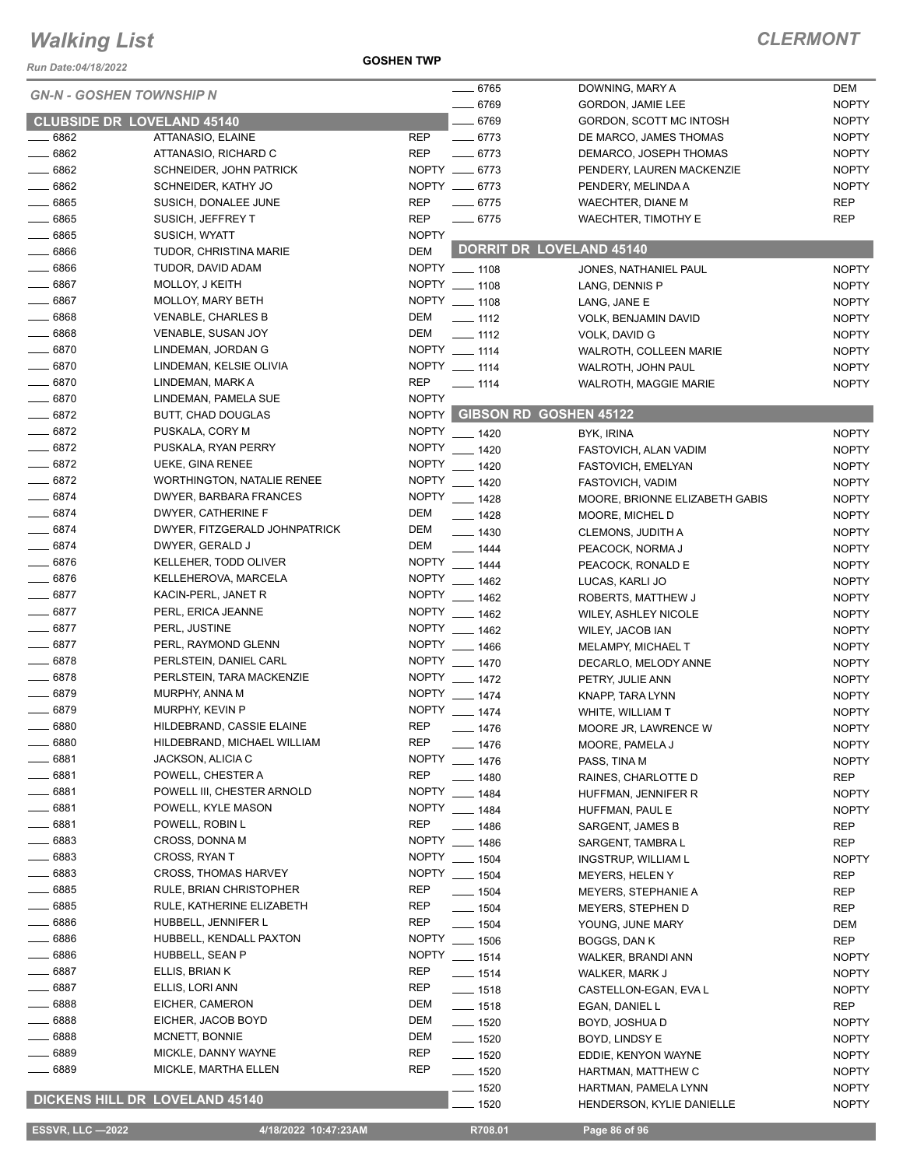*Run Date:04/18/2022*

#### **GOSHEN TWP**

| <b>GN-N - GOSHEN TOWNSHIP N</b>   |                                       |              | $- 6765$           | DOWNING, MARY A                 | <b>DEM</b>   |
|-----------------------------------|---------------------------------------|--------------|--------------------|---------------------------------|--------------|
|                                   |                                       |              | $- 6769$           | GORDON, JAMIE LEE               | <b>NOPTY</b> |
| <b>CLUBSIDE DR LOVELAND 45140</b> |                                       |              | $- 6769$           | GORDON, SCOTT MC INTOSH         | <b>NOPTY</b> |
| 6862                              | ATTANASIO, ELAINE                     | <b>REP</b>   | $- 6773$           | DE MARCO, JAMES THOMAS          | <b>NOPTY</b> |
| $- 6862$                          | ATTANASIO, RICHARD C                  | <b>REP</b>   | $-6773$            | DEMARCO, JOSEPH THOMAS          | <b>NOPTY</b> |
| $- 6862$                          | <b>SCHNEIDER, JOHN PATRICK</b>        |              | NOPTY __ 6773      | PENDERY, LAUREN MACKENZIE       | <b>NOPTY</b> |
| $- 6862$                          | SCHNEIDER, KATHY JO                   |              | NOPTY __ 6773      | PENDERY, MELINDA A              | <b>NOPTY</b> |
| $- 6865$                          | SUSICH, DONALEE JUNE                  | <b>REP</b>   | $- 6775$           | WAECHTER, DIANE M               | <b>REP</b>   |
| 6865                              | SUSICH, JEFFREY T                     | <b>REP</b>   | $- 6775$           | <b>WAECHTER, TIMOTHY E</b>      | <b>REP</b>   |
| $- 6865$                          | SUSICH, WYATT                         | <b>NOPTY</b> |                    |                                 |              |
| 6866                              | <b>TUDOR, CHRISTINA MARIE</b>         | <b>DEM</b>   |                    | <b>DORRIT DR LOVELAND 45140</b> |              |
| $- 6866$                          | TUDOR, DAVID ADAM                     |              | NOPTY 1108         | JONES, NATHANIEL PAUL           | <b>NOPTY</b> |
| $- 6867$                          | MOLLOY, J KEITH                       |              | NOPTY __ 1108      | LANG, DENNIS P                  | <b>NOPTY</b> |
| $- 6867$                          | MOLLOY, MARY BETH                     |              | NOPTY __ 1108      | LANG, JANE E                    | <b>NOPTY</b> |
| $- 6868$                          | <b>VENABLE, CHARLES B</b>             | DEM          | $\frac{1}{2}$ 1112 | VOLK, BENJAMIN DAVID            | <b>NOPTY</b> |
| $- 6868$                          | <b>VENABLE, SUSAN JOY</b>             | DEM          | $\equiv$ 1112      | VOLK, DAVID G                   | <b>NOPTY</b> |
| $- 6870$                          | LINDEMAN, JORDAN G                    |              | NOPTY __ 1114      | WALROTH, COLLEEN MARIE          | <b>NOPTY</b> |
| $- 6870$                          | LINDEMAN, KELSIE OLIVIA               |              | NOPTY __ 1114      | WALROTH, JOHN PAUL              | <b>NOPTY</b> |
| $- 6870$                          | LINDEMAN, MARK A                      | <b>REP</b>   | $- 1114$           |                                 | <b>NOPTY</b> |
| $- 6870$                          | LINDEMAN, PAMELA SUE                  | <b>NOPTY</b> |                    | <b>WALROTH, MAGGIE MARIE</b>    |              |
| $- 6872$                          |                                       |              |                    | NOPTY GIBSON RD GOSHEN 45122    |              |
|                                   | BUTT, CHAD DOUGLAS                    |              |                    |                                 |              |
| $- 6872$                          | PUSKALA, CORY M                       |              | NOPTY __ 1420      | BYK, IRINA                      | <b>NOPTY</b> |
| $- 6872$                          | PUSKALA, RYAN PERRY                   |              | NOPTY __ 1420      | FASTOVICH, ALAN VADIM           | <b>NOPTY</b> |
| $- 6872$                          | UEKE, GINA RENEE                      |              | NOPTY __ 1420      | FASTOVICH, EMELYAN              | <b>NOPTY</b> |
| $-6872$                           | <b>WORTHINGTON, NATALIE RENEE</b>     |              | NOPTY __ 1420      | FASTOVICH, VADIM                | <b>NOPTY</b> |
| $- 6874$                          | DWYER, BARBARA FRANCES                |              | NOPTY __ 1428      | MOORE, BRIONNE ELIZABETH GABIS  | <b>NOPTY</b> |
| $- 6874$                          | DWYER, CATHERINE F                    | DEM          | $- 1428$           | MOORE, MICHEL D                 | <b>NOPTY</b> |
| $- 6874$                          | DWYER, FITZGERALD JOHNPATRICK         | DEM          | $- 1430$           | CLEMONS, JUDITH A               | <b>NOPTY</b> |
| $- 6874$                          | DWYER, GERALD J                       | DEM          | $- 1444$           | PEACOCK, NORMA J                | <b>NOPTY</b> |
| $- 6876$                          | KELLEHER, TODD OLIVER                 |              | NOPTY __ 1444      | PEACOCK, RONALD E               | <b>NOPTY</b> |
| $- 6876$                          | KELLEHEROVA, MARCELA                  |              | NOPTY __ 1462      | LUCAS, KARLI JO                 | <b>NOPTY</b> |
| $- 6877$                          | KACIN-PERL, JANET R                   |              | NOPTY __ 1462      | ROBERTS, MATTHEW J              | <b>NOPTY</b> |
| $- 6877$                          | PERL, ERICA JEANNE                    |              | NOPTY __ 1462      | <b>WILEY, ASHLEY NICOLE</b>     | <b>NOPTY</b> |
| $- 6877$                          | PERL, JUSTINE                         |              | NOPTY __ 1462      | WILEY, JACOB IAN                | <b>NOPTY</b> |
| $- 6877$                          | PERL, RAYMOND GLENN                   |              | NOPTY __ 1466      | MELAMPY, MICHAEL T              | <b>NOPTY</b> |
| $- 6878$                          | PERLSTEIN, DANIEL CARL                |              | NOPTY __ 1470      | DECARLO, MELODY ANNE            | <b>NOPTY</b> |
| $- 6878$                          | PERLSTEIN, TARA MACKENZIE             |              | NOPTY __ 1472      | PETRY, JULIE ANN                | <b>NOPTY</b> |
| $- 6879$                          | MURPHY, ANNA M                        |              | NOPTY __ 1474      | KNAPP, TARA LYNN                | <b>NOPTY</b> |
| _ 6879                            | MURPHY, KEVIN P                       | <b>NOPTY</b> | $-1474$            | WHITE, WILLIAM T                | <b>NOPTY</b> |
| - 6880                            | HILDEBRAND, CASSIE ELAINE             | <b>REP</b>   | _ 1476             | MOORE JR, LAWRENCE W            | <b>NOPTY</b> |
| 6880                              | HILDEBRAND, MICHAEL WILLIAM           | <b>REP</b>   | _ 1476             | MOORE, PAMELA J                 | <b>NOPTY</b> |
| 6881                              | JACKSON, ALICIA C                     | <b>NOPTY</b> | $-1476$            | PASS, TINA M                    | <b>NOPTY</b> |
| 6881                              | POWELL, CHESTER A                     | <b>REP</b>   | $-1480$            |                                 | <b>REP</b>   |
| 6881                              | POWELL III, CHESTER ARNOLD            | <b>NOPTY</b> |                    | RAINES, CHARLOTTE D             |              |
| 6881                              | POWELL, KYLE MASON                    | <b>NOPTY</b> | $- 1484$           | HUFFMAN, JENNIFER R             | <b>NOPTY</b> |
| _ 6881                            | POWELL, ROBIN L                       | <b>REP</b>   | $- 1484$           | HUFFMAN, PAUL E                 | <b>NOPTY</b> |
| ____ 6883                         | CROSS, DONNA M                        | <b>NOPTY</b> | _ 1486             | SARGENT, JAMES B                | <b>REP</b>   |
|                                   |                                       |              | $-1486$            | SARGENT, TAMBRA L               | <b>REP</b>   |
| $-6883$                           | CROSS, RYAN T                         |              | NOPTY __ 1504      | <b>INGSTRUP, WILLIAM L</b>      | <b>NOPTY</b> |
| 6883                              | <b>CROSS, THOMAS HARVEY</b>           | <b>NOPTY</b> | $- 1504$           | MEYERS, HELEN Y                 | REP          |
| $-6885$                           | RULE, BRIAN CHRISTOPHER               | REP          | $- 1504$           | <b>MEYERS, STEPHANIE A</b>      | REP          |
| 6885                              | RULE, KATHERINE ELIZABETH             | <b>REP</b>   | $\frac{1}{2}$ 1504 | MEYERS, STEPHEN D               | REP          |
| - 6886                            | HUBBELL, JENNIFER L                   | <b>REP</b>   | $- 1504$           | YOUNG, JUNE MARY                | DEM          |
| - 6886                            | HUBBELL, KENDALL PAXTON               | <b>NOPTY</b> | $- 1506$           | BOGGS, DAN K                    | <b>REP</b>   |
| 6886                              | HUBBELL, SEAN P                       |              | NOPTY __ 1514      | WALKER, BRANDI ANN              | <b>NOPTY</b> |
| 6887                              | ELLIS, BRIAN K                        | <b>REP</b>   | $- 1514$           | WALKER, MARK J                  | <b>NOPTY</b> |
| 6887                              | ELLIS, LORI ANN                       | <b>REP</b>   | $- 1518$           | CASTELLON-EGAN, EVA L           | <b>NOPTY</b> |
| 6888                              | EICHER, CAMERON                       | DEM          | $- 1518$           | EGAN, DANIEL L                  | <b>REP</b>   |
| 6888                              | EICHER, JACOB BOYD                    | DEM          | $- 1520$           | BOYD, JOSHUA D                  | <b>NOPTY</b> |
| 6888                              | MCNETT, BONNIE                        | <b>DEM</b>   | —— 1520            | BOYD, LINDSY E                  | <b>NOPTY</b> |
| - 6889                            | MICKLE, DANNY WAYNE                   | REP          | ____ 1520          | EDDIE, KENYON WAYNE             | <b>NOPTY</b> |
| 6889                              | MICKLE, MARTHA ELLEN                  | <b>REP</b>   | $- 1520$           | HARTMAN, MATTHEW C              | <b>NOPTY</b> |
|                                   |                                       |              | $-1520$            | HARTMAN, PAMELA LYNN            | <b>NOPTY</b> |
|                                   | <b>DICKENS HILL DR LOVELAND 45140</b> |              | $-1520$            | HENDERSON, KYLIE DANIELLE       | <b>NOPTY</b> |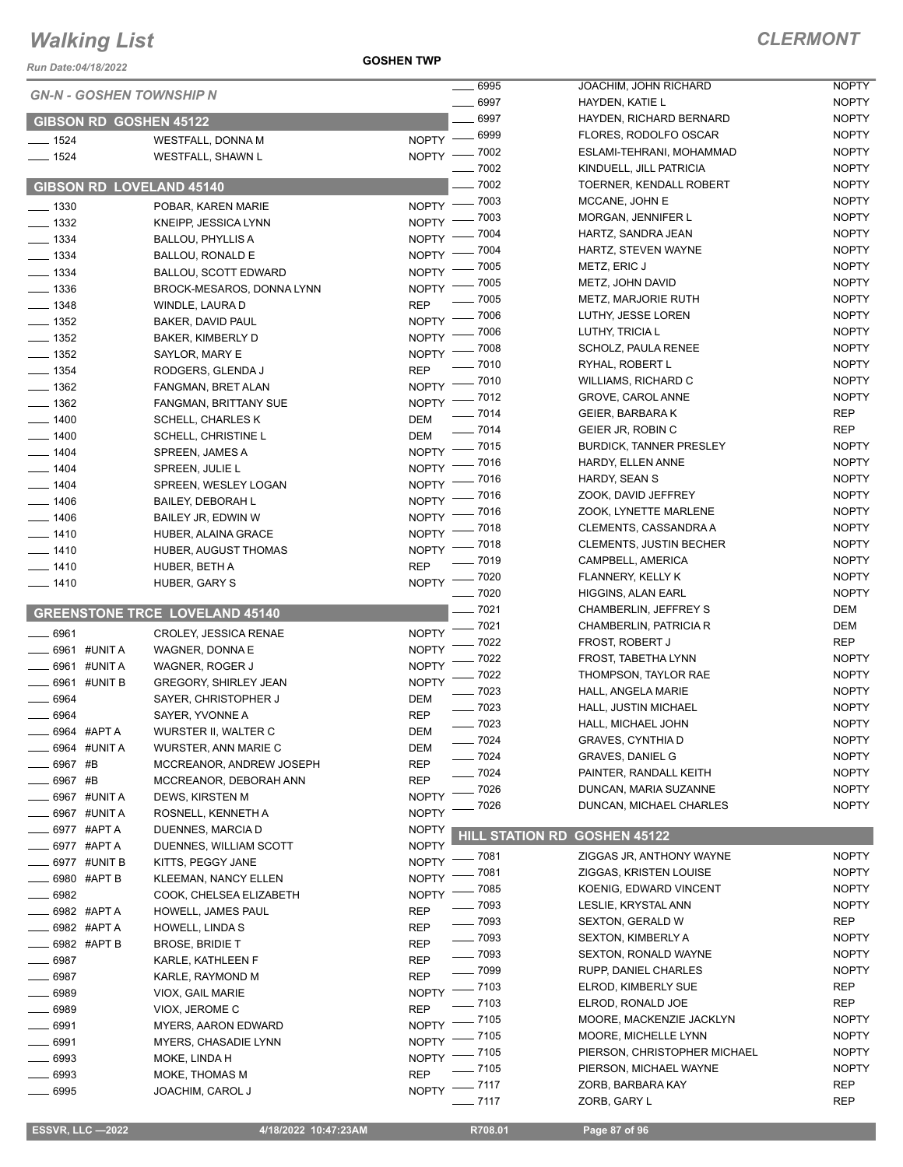*Run Date:04/18/2022*

| <b>GN-N - GOSHEN TOWNSHIP N</b> |                                       | 6995                                        | JOACHIM, JOHN RICHARD                         | <b>NOPTY</b>                 |
|---------------------------------|---------------------------------------|---------------------------------------------|-----------------------------------------------|------------------------------|
|                                 |                                       | $- 6997$                                    | HAYDEN, KATIE L                               | <b>NOPTY</b>                 |
| <b>GIBSON RD GOSHEN 45122</b>   |                                       | 6997                                        | HAYDEN, RICHARD BERNARD                       | <b>NOPTY</b>                 |
| $- 1524$                        | <b>WESTFALL, DONNA M</b>              | NOPTY - 6999                                | FLORES, RODOLFO OSCAR                         | <b>NOPTY</b>                 |
| $- 1524$                        | WESTFALL, SHAWN L                     | NOPTY - 7002                                | ESLAMI-TEHRANI, MOHAMMAD                      | <b>NOPTY</b>                 |
|                                 |                                       | $-7002$                                     | KINDUELL, JILL PATRICIA                       | <b>NOPTY</b>                 |
| <b>GIBSON RD LOVELAND 45140</b> |                                       | $-7002$                                     | TOERNER, KENDALL ROBERT                       | <b>NOPTY</b>                 |
| $-1330$                         | POBAR, KAREN MARIE                    | NOPTY - 7003                                | MCCANE, JOHN E                                | <b>NOPTY</b>                 |
| $-1332$                         | KNEIPP, JESSICA LYNN                  | 7003<br>NOPTY <sup>-</sup>                  | MORGAN, JENNIFER L                            | <b>NOPTY</b>                 |
| $- 1334$                        | <b>BALLOU, PHYLLIS A</b>              | $-7004$<br><b>NOPTY</b>                     | HARTZ, SANDRA JEAN                            | <b>NOPTY</b>                 |
| $- 1334$                        | <b>BALLOU, RONALD E</b>               | 7004<br><b>NOPTY</b>                        | HARTZ, STEVEN WAYNE                           | <b>NOPTY</b>                 |
| $\frac{1}{2}$ 1334              | <b>BALLOU, SCOTT EDWARD</b>           | $-7005$<br>NOPTY <sup>-</sup>               | METZ, ERIC J                                  | <b>NOPTY</b>                 |
| $\frac{1}{2}$ 1336              | BROCK-MESAROS, DONNA LYNN             | $-7005$<br>$NOPTY =$                        | METZ, JOHN DAVID                              | <b>NOPTY</b>                 |
| $- 1348$                        | WINDLE, LAURA D                       | $=7005$<br><b>REP</b>                       | <b>METZ, MARJORIE RUTH</b>                    | <b>NOPTY</b>                 |
| $\frac{1}{2}$ 1352              | BAKER, DAVID PAUL                     | NOPTY - 7006                                | LUTHY, JESSE LOREN                            | <b>NOPTY</b><br><b>NOPTY</b> |
| $- 1352$                        | BAKER, KIMBERLY D                     | $-7006$<br>$N$ OPTY $-$<br>$-7008$          | LUTHY, TRICIA L<br>SCHOLZ, PAULA RENEE        | <b>NOPTY</b>                 |
| $- 1352$                        | SAYLOR, MARY E                        | $NOPTY$ -<br>_ 7010                         | RYHAL, ROBERT L                               | <b>NOPTY</b>                 |
| $\frac{1}{2}$ 1354              | RODGERS, GLENDA J                     | <b>REP</b>                                  | <b>WILLIAMS, RICHARD C</b>                    | <b>NOPTY</b>                 |
| $\frac{1}{2}$ 1362              | FANGMAN, BRET ALAN                    | NOPTY - 7010                                | GROVE, CAROL ANNE                             | <b>NOPTY</b>                 |
| $\frac{1}{2}$ 1362              | FANGMAN, BRITTANY SUE                 | NOPTY - 7012<br>$- 7014$                    | <b>GEIER, BARBARAK</b>                        | <b>REP</b>                   |
| $- 1400$                        | <b>SCHELL, CHARLES K</b>              | DEM<br>$- 7014$                             | GEIER JR, ROBIN C                             | REP                          |
| $-1400$                         | SCHELL, CHRISTINE L                   | DEM                                         | <b>BURDICK, TANNER PRESLEY</b>                | <b>NOPTY</b>                 |
| $-1404$                         | SPREEN, JAMES A                       | NOPTY - 7015<br>$-7016$                     | HARDY, ELLEN ANNE                             | <b>NOPTY</b>                 |
| $- 1404$                        | SPREEN, JULIE L                       | NOPTY <sup>-</sup><br>7016                  | HARDY, SEAN S                                 | <b>NOPTY</b>                 |
| $- 1404$                        | SPREEN, WESLEY LOGAN                  | NOPTY <sup>-</sup><br>$-7016$<br>NOPTY $-$  | ZOOK, DAVID JEFFREY                           | <b>NOPTY</b>                 |
| $- 1406$                        | <b>BAILEY, DEBORAH L</b>              | _ 7016<br>$N$ OPTY $-$                      | ZOOK, LYNETTE MARLENE                         | <b>NOPTY</b>                 |
| $- 1406$                        | BAILEY JR, EDWIN W                    | NOPTY - 7018                                | CLEMENTS, CASSANDRA A                         | <b>NOPTY</b>                 |
| $- 1410$                        | HUBER, ALAINA GRACE                   | NOPTY - 7018                                | <b>CLEMENTS, JUSTIN BECHER</b>                | <b>NOPTY</b>                 |
| $- 1410$<br>$- 1410$            | HUBER, AUGUST THOMAS                  | $- 7019$<br><b>REP</b>                      | CAMPBELL, AMERICA                             | <b>NOPTY</b>                 |
| $- 1410$                        | HUBER, BETH A<br>HUBER, GARY S        | $-7020$<br>NOPTY -                          | FLANNERY, KELLY K                             | <b>NOPTY</b>                 |
|                                 |                                       | $-7020$                                     | HIGGINS, ALAN EARL                            | <b>NOPTY</b>                 |
|                                 | <b>GREENSTONE TRCE LOVELAND 45140</b> | $-7021$                                     | CHAMBERLIN, JEFFREY S                         | DEM                          |
| 6961                            | CROLEY, JESSICA RENAE                 | NOPTY - 7021                                | CHAMBERLIN, PATRICIA R                        | DEM                          |
| 6961 #UNIT A                    | WAGNER, DONNA E                       | $-7022$<br>NOPTY <sup>-</sup>               | FROST, ROBERT J                               | REP                          |
| 6961 #UNIT A                    | WAGNER, ROGER J                       | 7022<br><b>NOPTY</b>                        | FROST, TABETHA LYNN                           | <b>NOPTY</b>                 |
| 6961 #UNIT B                    | <b>GREGORY, SHIRLEY JEAN</b>          | $-7022$<br><b>NOPTY</b>                     | THOMPSON, TAYLOR RAE                          | <b>NOPTY</b>                 |
| 6964                            | SAYER, CHRISTOPHER J                  | $-7023$<br>DEM                              | HALL, ANGELA MARIE                            | <b>NOPTY</b>                 |
| $\frac{1}{2}$ 6964              | SAYER, YVONNE A                       | $- 7023$<br><b>REP</b>                      | HALL, JUSTIN MICHAEL                          | <b>NOPTY</b>                 |
| 6964 #APT A                     | WURSTER II, WALTER C                  | $- 7023$<br><b>DEM</b>                      | HALL, MICHAEL JOHN                            | <b>NOPTY</b>                 |
| 6964 #UNIT A                    | WURSTER, ANN MARIE C                  | $- 7024$<br>DEM                             | GRAVES, CYNTHIA D                             | <b>NOPTY</b>                 |
| 6967 #B                         | MCCREANOR, ANDREW JOSEPH              | $- 7024$<br><b>REP</b>                      | <b>GRAVES, DANIEL G</b>                       | <b>NOPTY</b>                 |
| 6967 #B                         | MCCREANOR, DEBORAH ANN                | $-7024$<br><b>REP</b>                       | PAINTER, RANDALL KEITH                        | <b>NOPTY</b>                 |
| - 6967 #UNIT A                  | DEWS, KIRSTEN M                       | 7026<br><b>NOPTY</b>                        | DUNCAN, MARIA SUZANNE                         | <b>NOPTY</b>                 |
| 6967 #UNIT A                    | ROSNELL, KENNETH A                    | 7026<br><b>NOPTY</b>                        | DUNCAN, MICHAEL CHARLES                       | <b>NOPTY</b>                 |
| 6977 #APT A                     | DUENNES, MARCIA D                     | <b>NOPTY</b>                                | <b>HILL STATION RD</b><br><b>GOSHEN 45122</b> |                              |
| 6977 #APT A                     | DUENNES, WILLIAM SCOTT                | <b>NOPTY</b>                                | ZIGGAS JR, ANTHONY WAYNE                      | <b>NOPTY</b>                 |
| 6977 #UNIT B                    | KITTS, PEGGY JANE                     | $=7081$<br>NOPTY <sup>-</sup><br>$\_$ 7081  | ZIGGAS, KRISTEN LOUISE                        | <b>NOPTY</b>                 |
| 6980 #APT B                     | <b>KLEEMAN, NANCY ELLEN</b>           | NOPTY -<br>_ 7085                           | KOENIG, EDWARD VINCENT                        | <b>NOPTY</b>                 |
| . 6982                          | COOK, CHELSEA ELIZABETH               | NOPTY -<br>$\frac{1}{2}$ 7093               | LESLIE, KRYSTAL ANN                           | <b>NOPTY</b>                 |
| _ 6982 #APT A                   | HOWELL, JAMES PAUL                    | <b>REP</b><br>$- 7093$                      | <b>SEXTON, GERALD W</b>                       | REP                          |
| _ 6982 #APTA                    | HOWELL, LINDA S                       | <b>REP</b><br>$\frac{1}{2}$ 7093            | <b>SEXTON, KIMBERLY A</b>                     | <b>NOPTY</b>                 |
| 6982 #APT B                     | <b>BROSE, BRIDIE T</b>                | <b>REP</b><br>$- 7093$                      | <b>SEXTON, RONALD WAYNE</b>                   | <b>NOPTY</b>                 |
| 6987                            | KARLE, KATHLEEN F                     | <b>REP</b><br>$- 7099$                      | RUPP, DANIEL CHARLES                          | <b>NOPTY</b>                 |
| 6987                            | KARLE, RAYMOND M                      | <b>REP</b><br>$\frac{1}{2}$ 7103            | ELROD, KIMBERLY SUE                           | REP                          |
| 6989                            | VIOX, GAIL MARIE                      | <b>NOPTY</b><br>$-7103$                     | ELROD, RONALD JOE                             | REP                          |
| 6989                            | VIOX, JEROME C                        | <b>REP</b><br>$=7105$<br>NOPTY <sup>-</sup> | MOORE, MACKENZIE JACKLYN                      | <b>NOPTY</b>                 |
| 6991                            | <b>MYERS, AARON EDWARD</b>            | $-7105$<br><b>NOPTY</b>                     | MOORE, MICHELLE LYNN                          | <b>NOPTY</b>                 |
| 6991                            | MYERS, CHASADIE LYNN                  | $-7105$<br>NOPTY <sup>-</sup>               | PIERSON, CHRISTOPHER MICHAEL                  | <b>NOPTY</b>                 |
| 6993<br>6993                    | MOKE, LINDA H<br>MOKE, THOMAS M       | $- 7105$<br><b>REP</b>                      | PIERSON, MICHAEL WAYNE                        | <b>NOPTY</b>                 |
| 6995                            | JOACHIM, CAROL J                      | NOPTY -7117                                 | ZORB, BARBARA KAY                             | <b>REP</b>                   |
|                                 |                                       | $-7117$                                     | ZORB, GARY L                                  | <b>REP</b>                   |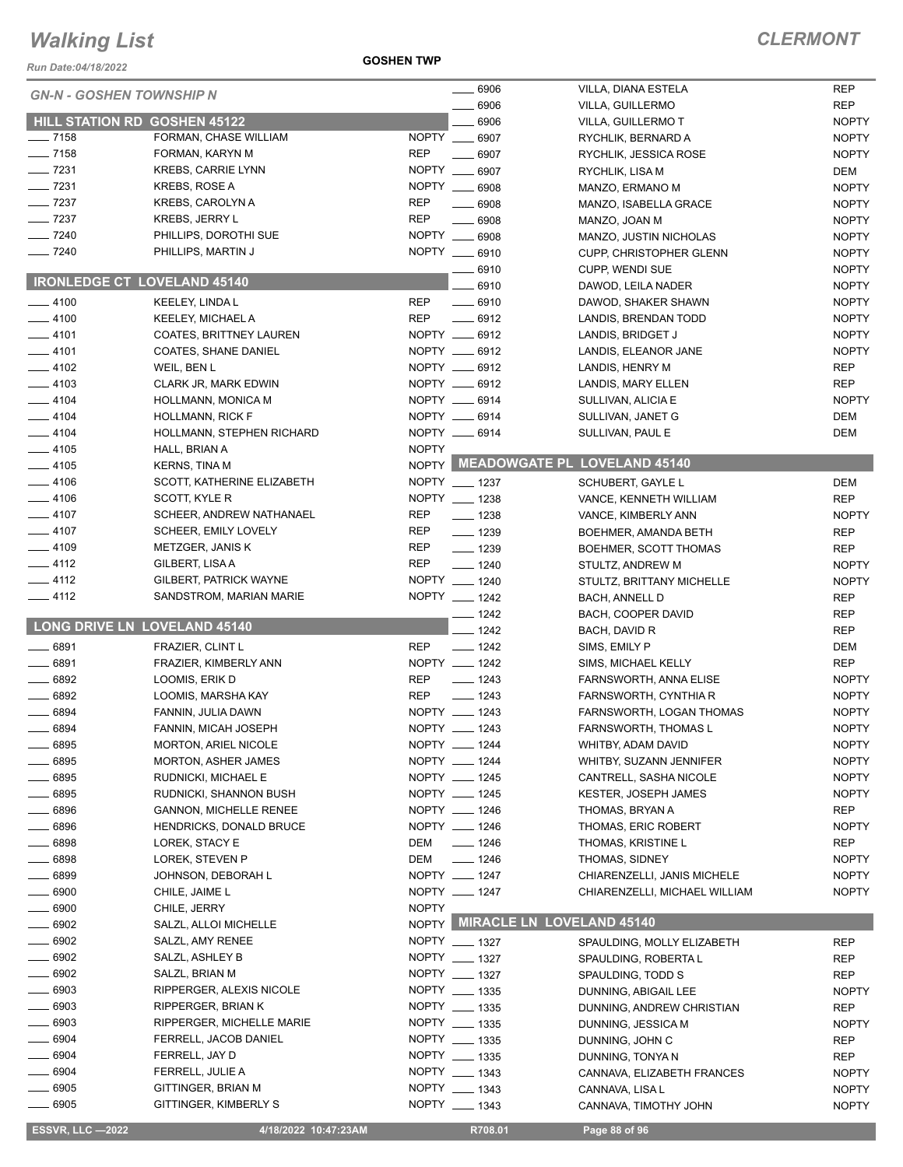#### *Run Date:04/18/2022*

#### **GOSHEN TWP**

|                                     |                                           |              | $- 6906$                          | VILLA, DIANA ESTELA                           | <b>REP</b>               |
|-------------------------------------|-------------------------------------------|--------------|-----------------------------------|-----------------------------------------------|--------------------------|
| <b>GN-N - GOSHEN TOWNSHIP N</b>     |                                           |              | 6906                              | VILLA, GUILLERMO                              | <b>REP</b>               |
| <b>HILL STATION RD GOSHEN 45122</b> |                                           |              | 6906                              | VILLA, GUILLERMO T                            | <b>NOPTY</b>             |
| $- 7158$                            | FORMAN, CHASE WILLIAM                     | <b>NOPTY</b> | 6907                              | RYCHLIK, BERNARD A                            | <b>NOPTY</b>             |
| $- 7158$                            | FORMAN, KARYN M                           | <b>REP</b>   | 6907                              | RYCHLIK, JESSICA ROSE                         | <b>NOPTY</b>             |
| $-7231$                             | <b>KREBS, CARRIE LYNN</b>                 | NOPTY __     | 6907                              | RYCHLIK, LISA M                               | <b>DEM</b>               |
| $-7231$                             | <b>KREBS, ROSE A</b>                      |              | NOPTY __ 6908                     | MANZO, ERMANO M                               | <b>NOPTY</b>             |
| $-7237$                             | KREBS, CAROLYN A                          | <b>REP</b>   | $- 6908$                          | MANZO, ISABELLA GRACE                         | <b>NOPTY</b>             |
| $\frac{1}{2}$ 7237                  | <b>KREBS, JERRY L</b>                     | <b>REP</b>   | $- 6908$                          | MANZO, JOAN M                                 | <b>NOPTY</b>             |
| $- 7240$                            | PHILLIPS, DOROTHI SUE                     |              | NOPTY __ 6908                     | MANZO, JUSTIN NICHOLAS                        | <b>NOPTY</b>             |
| $- 7240$                            | PHILLIPS, MARTIN J                        |              | NOPTY __ 6910                     | CUPP, CHRISTOPHER GLENN                       | <b>NOPTY</b>             |
|                                     |                                           |              | 6910                              | <b>CUPP, WENDI SUE</b>                        | <b>NOPTY</b>             |
| <b>IRONLEDGE CT LOVELAND 45140</b>  |                                           |              | 6910                              | DAWOD, LEILA NADER                            | <b>NOPTY</b>             |
| $-4100$                             | KEELEY, LINDA L                           | REP          | $- 6910$                          | DAWOD, SHAKER SHAWN                           | <b>NOPTY</b>             |
| $-4100$                             | <b>KEELEY, MICHAEL A</b>                  | <b>REP</b>   | $-6912$                           | LANDIS, BRENDAN TODD                          | <b>NOPTY</b>             |
| $-4101$                             | <b>COATES, BRITTNEY LAUREN</b>            |              | NOPTY __ 6912                     | LANDIS, BRIDGET J                             | <b>NOPTY</b>             |
| $-4101$                             | <b>COATES, SHANE DANIEL</b>               |              | NOPTY __ 6912                     | LANDIS, ELEANOR JANE                          | <b>NOPTY</b>             |
| $-4102$                             | WEIL, BEN L                               |              | NOPTY __ 6912                     | LANDIS, HENRY M                               | <b>REP</b>               |
| $-4103$                             | CLARK JR, MARK EDWIN                      |              | NOPTY __ 6912                     | LANDIS, MARY ELLEN                            | <b>REP</b>               |
| $-4104$                             | HOLLMANN, MONICA M                        |              | NOPTY __ 6914                     | SULLIVAN, ALICIA E                            | <b>NOPTY</b>             |
| $-4104$                             | <b>HOLLMANN, RICK F</b>                   |              | NOPTY __ 6914                     | SULLIVAN, JANET G                             | <b>DEM</b>               |
| $-4104$                             | HOLLMANN, STEPHEN RICHARD                 |              | NOPTY __ 6914                     | SULLIVAN, PAUL E                              | <b>DEM</b>               |
| $-4105$                             | HALL, BRIAN A                             | <b>NOPTY</b> |                                   |                                               |                          |
| $-4105$                             | <b>KERNS, TINA M</b>                      |              |                                   | NOPTY MEADOWGATE PL LOVELAND 45140            |                          |
| $-4106$                             | SCOTT, KATHERINE ELIZABETH                |              | NOPTY __ 1237                     | SCHUBERT, GAYLE L                             | <b>DEM</b>               |
| $-4106$                             | SCOTT, KYLE R                             |              | NOPTY __ 1238                     | VANCE, KENNETH WILLIAM                        | <b>REP</b>               |
| $-4107$                             | SCHEER, ANDREW NATHANAEL                  | <b>REP</b>   | $- 1238$                          | VANCE, KIMBERLY ANN                           | <b>NOPTY</b>             |
| $-4107$                             | SCHEER, EMILY LOVELY                      | REP          | $- 1239$                          | BOEHMER, AMANDA BETH                          | <b>REP</b>               |
| $-4109$                             | METZGER, JANIS K                          | <b>REP</b>   | $- 1239$                          | BOEHMER, SCOTT THOMAS                         | <b>REP</b>               |
| $-4112$                             | GILBERT, LISA A                           | <b>REP</b>   | $- 1240$                          | STULTZ, ANDREW M                              | <b>NOPTY</b>             |
| $-4112$                             | GILBERT, PATRICK WAYNE                    |              | NOPTY __ 1240                     | STULTZ, BRITTANY MICHELLE                     | <b>NOPTY</b>             |
| $-4112$                             | SANDSTROM, MARIAN MARIE                   |              | NOPTY __ 1242                     | <b>BACH, ANNELL D</b>                         | <b>REP</b>               |
| LONG DRIVE LN LOVELAND 45140        |                                           |              | $- 1242$                          | BACH, COOPER DAVID                            | <b>REP</b>               |
|                                     |                                           | <b>REP</b>   | $-1242$                           | BACH, DAVID R                                 | <b>REP</b>               |
| $- 6891$<br>$-6891$                 | FRAZIER, CLINT L<br>FRAZIER, KIMBERLY ANN |              | $\frac{1242}{2}$<br>NOPTY __ 1242 | SIMS, EMILY P                                 | <b>DEM</b><br><b>REP</b> |
| $\frac{1}{2}$ 6892                  | LOOMIS, ERIK D                            | <b>REP</b>   | $- 1243$                          | SIMS, MICHAEL KELLY<br>FARNSWORTH, ANNA ELISE | <b>NOPTY</b>             |
| .6892                               | LOOMIS, MARSHA KAY                        | <b>REP</b>   | $- 1243$                          | FARNSWORTH, CYNTHIA R                         | <b>NOPTY</b>             |
| 6894                                | FANNIN, JULIA DAWN                        |              | NOPTY __ 1243                     | FARNSWORTH, LOGAN THOMAS                      | <b>NOPTY</b>             |
| 6894                                | FANNIN, MICAH JOSEPH                      |              | NOPTY __ 1243                     | FARNSWORTH, THOMAS L                          | <b>NOPTY</b>             |
| . 6895                              | <b>MORTON, ARIEL NICOLE</b>               |              | NOPTY __ 1244                     | WHITBY, ADAM DAVID                            | <b>NOPTY</b>             |
| . 6895                              | <b>MORTON, ASHER JAMES</b>                |              | NOPTY __ 1244                     | WHITBY, SUZANN JENNIFER                       | <b>NOPTY</b>             |
| 6895                                | RUDNICKI, MICHAEL E                       |              | NOPTY __ 1245                     | CANTRELL, SASHA NICOLE                        | <b>NOPTY</b>             |
| - 6895                              | RUDNICKI, SHANNON BUSH                    |              | NOPTY __ 1245                     | <b>KESTER, JOSEPH JAMES</b>                   | <b>NOPTY</b>             |
| 6896                                | <b>GANNON, MICHELLE RENEE</b>             |              | NOPTY __ 1246                     | THOMAS, BRYAN A                               | <b>REP</b>               |
| 6896                                | <b>HENDRICKS, DONALD BRUCE</b>            |              | NOPTY __ 1246                     | THOMAS, ERIC ROBERT                           | <b>NOPTY</b>             |
| $-6898$                             | LOREK, STACY E                            | DEM          | $- 1246$                          | THOMAS, KRISTINE L                            | <b>REP</b>               |
| $-6898$                             | LOREK, STEVEN P                           | DEM          | $- 1246$                          | THOMAS, SIDNEY                                | <b>NOPTY</b>             |
| $-6899$                             | JOHNSON, DEBORAH L                        |              | NOPTY __ 1247                     | CHIARENZELLI, JANIS MICHELE                   | <b>NOPTY</b>             |
| $-6900$                             | CHILE, JAIME L                            |              | NOPTY __ 1247                     | CHIARENZELLI, MICHAEL WILLIAM                 | <b>NOPTY</b>             |
| __ 6900                             | CHILE, JERRY                              | <b>NOPTY</b> |                                   |                                               |                          |
| 6902                                | SALZL, ALLOI MICHELLE                     |              |                                   | NOPTY MIRACLE LN LOVELAND 45140               |                          |
| 6902                                | SALZL, AMY RENEE                          |              | NOPTY __ 1327                     | SPAULDING, MOLLY ELIZABETH                    | <b>REP</b>               |
| $-6902$                             | SALZL, ASHLEY B                           |              | NOPTY __ 1327                     | SPAULDING, ROBERTA L                          | <b>REP</b>               |
| .6902                               | SALZL, BRIAN M                            |              | NOPTY __ 1327                     | SPAULDING, TODD S                             | REP                      |
| - 6903                              | RIPPERGER, ALEXIS NICOLE                  |              | NOPTY __ 1335                     | DUNNING, ABIGAIL LEE                          | <b>NOPTY</b>             |
| 6903                                | RIPPERGER, BRIAN K                        |              | NOPTY __ 1335                     | DUNNING, ANDREW CHRISTIAN                     | <b>REP</b>               |
| 6903                                | RIPPERGER, MICHELLE MARIE                 |              | NOPTY __ 1335                     | DUNNING, JESSICA M                            | <b>NOPTY</b>             |
| 6904                                | FERRELL, JACOB DANIEL                     |              | NOPTY __ 1335                     | DUNNING, JOHN C                               | REP                      |
| $-6904$                             | FERRELL, JAY D                            |              | NOPTY __ 1335                     | DUNNING, TONYA N                              | <b>REP</b>               |
| _ 6904                              | FERRELL, JULIE A                          |              | NOPTY __ 1343                     | CANNAVA, ELIZABETH FRANCES                    | <b>NOPTY</b>             |
| $-6905$                             | GITTINGER, BRIAN M                        |              | NOPTY __ 1343                     | CANNAVA, LISA L                               | <b>NOPTY</b>             |
| $-6905$                             | GITTINGER, KIMBERLY S                     |              | NOPTY __ 1343                     | CANNAVA, TIMOTHY JOHN                         | <b>NOPTY</b>             |
|                                     |                                           |              |                                   | Page 88 of 96                                 |                          |
| <b>ESSVR, LLC -2022</b>             | 4/18/2022 10:47:23AM                      |              | R708.01                           |                                               |                          |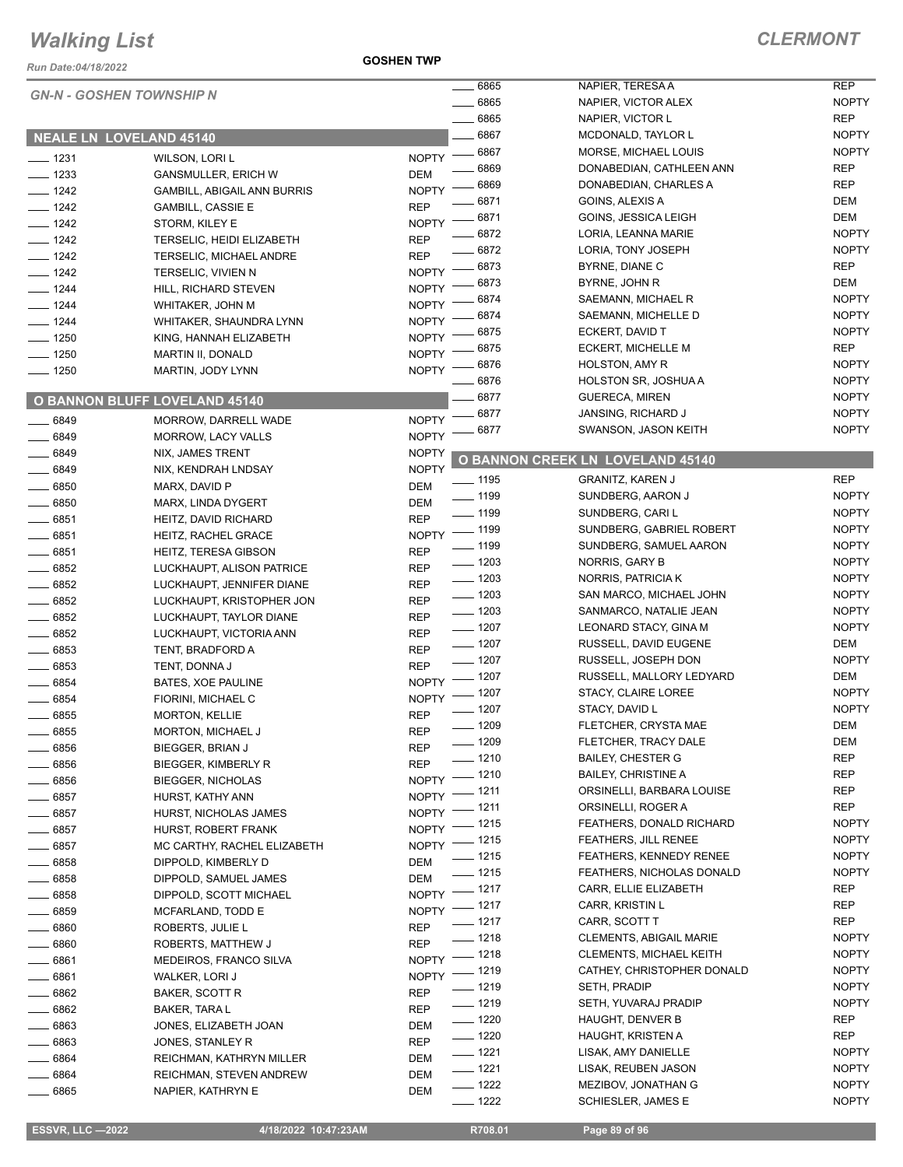*Run Date:04/18/2022*

|                    | <b>GN-N - GOSHEN TOWNSHIP N</b>      |                    | 6865               | NAPIER, TERESA A                        | <b>REP</b>   |
|--------------------|--------------------------------------|--------------------|--------------------|-----------------------------------------|--------------|
|                    |                                      |                    | 6865               | NAPIER, VICTOR ALEX                     | <b>NOPTY</b> |
|                    |                                      |                    | 6865               | NAPIER, VICTOR L                        | <b>REP</b>   |
|                    | <b>NEALE LN LOVELAND 45140</b>       |                    | 6867               | MCDONALD, TAYLOR L                      | <b>NOPTY</b> |
| $- 1231$           | <b>WILSON, LORI L</b>                | <b>NOPTY</b>       | $- 6867$           | MORSE, MICHAEL LOUIS                    | <b>NOPTY</b> |
| $- 1233$           | <b>GANSMULLER, ERICH W</b>           | <b>DEM</b>         | 6869               | DONABEDIAN, CATHLEEN ANN                | <b>REP</b>   |
| $- 1242$           | <b>GAMBILL, ABIGAIL ANN BURRIS</b>   | <b>NOPTY</b>       | 6869               | DONABEDIAN, CHARLES A                   | <b>REP</b>   |
| $- 1242$           | <b>GAMBILL, CASSIE E</b>             | <b>REP</b>         | 6871               | GOINS, ALEXIS A                         | <b>DEM</b>   |
| $- 1242$           | STORM, KILEY E                       | <b>NOPTY</b>       | 6871               | GOINS, JESSICA LEIGH                    | <b>DEM</b>   |
| $- 1242$           | TERSELIC, HEIDI ELIZABETH            | <b>REP</b>         | 6872               | LORIA, LEANNA MARIE                     | <b>NOPTY</b> |
| $- 1242$           | TERSELIC, MICHAEL ANDRE              | <b>REP</b>         | 6872               | LORIA, TONY JOSEPH                      | <b>NOPTY</b> |
| $- 1242$           | TERSELIC, VIVIEN N                   | <b>NOPTY</b>       | 6873               | BYRNE, DIANE C                          | <b>REP</b>   |
| $- 1244$           |                                      | <b>NOPTY</b>       | 6873               | BYRNE, JOHN R                           | DEM          |
|                    | HILL, RICHARD STEVEN                 | <b>NOPTY</b>       | 6874               | SAEMANN, MICHAEL R                      | <b>NOPTY</b> |
| $- 1244$           | WHITAKER, JOHN M                     | <b>NOPTY</b>       | 6874               | SAEMANN, MICHELLE D                     | <b>NOPTY</b> |
| $- 1244$           | WHITAKER, SHAUNDRA LYNN              |                    | 6875               | ECKERT, DAVID T                         | <b>NOPTY</b> |
| $- 1250$           | KING, HANNAH ELIZABETH               | <b>NOPTY</b>       | 6875               | ECKERT, MICHELLE M                      | <b>REP</b>   |
| $- 1250$           | MARTIN II, DONALD                    | <b>NOPTY</b>       | 6876               | HOLSTON, AMY R                          | <b>NOPTY</b> |
| $- 1250$           | MARTIN, JODY LYNN                    | <b>NOPTY</b>       | 6876               | <b>HOLSTON SR, JOSHUA A</b>             | <b>NOPTY</b> |
|                    |                                      |                    | 6877               | <b>GUERECA, MIREN</b>                   | <b>NOPTY</b> |
|                    | <b>O BANNON BLUFF LOVELAND 45140</b> |                    | 6877               | JANSING, RICHARD J                      | <b>NOPTY</b> |
| $- 6849$           | MORROW, DARRELL WADE                 | <b>NOPTY</b>       | 6877               | SWANSON, JASON KEITH                    | <b>NOPTY</b> |
| $- 6849$           | MORROW, LACY VALLS                   | <b>NOPTY</b>       |                    |                                         |              |
| $- 6849$           | NIX, JAMES TRENT                     | <b>NOPTY</b>       |                    | <b>O BANNON CREEK LN LOVELAND 45140</b> |              |
| $- 6849$           | NIX, KENDRAH LNDSAY                  | <b>NOPTY</b>       | $= 1195$           | <b>GRANITZ, KAREN J</b>                 | <b>REP</b>   |
| $\frac{1}{2}6850$  | MARX, DAVID P                        | DEM                | $-1199$            | SUNDBERG, AARON J                       | <b>NOPTY</b> |
| $- 6850$           | MARX, LINDA DYGERT                   | <b>DEM</b>         | $\frac{1}{2}$ 1199 | SUNDBERG, CARI L                        | <b>NOPTY</b> |
| $\frac{1}{2}6851$  | HEITZ, DAVID RICHARD                 | <b>REP</b>         |                    | SUNDBERG, GABRIEL ROBERT                | <b>NOPTY</b> |
| $- 6851$           | HEITZ, RACHEL GRACE                  | NOPTY - 1199       | $\frac{1}{2}$ 1199 | SUNDBERG, SAMUEL AARON                  | <b>NOPTY</b> |
| 6851               | HEITZ, TERESA GIBSON                 | <b>REP</b>         | $\frac{1}{2}$ 1203 |                                         |              |
| 6852               | LUCKHAUPT, ALISON PATRICE            | <b>REP</b>         |                    | NORRIS, GARY B                          | <b>NOPTY</b> |
| $- 6852$           | LUCKHAUPT, JENNIFER DIANE            | <b>REP</b>         | $\frac{1}{2}$ 1203 | NORRIS, PATRICIA K                      | <b>NOPTY</b> |
| $- 6852$           | LUCKHAUPT, KRISTOPHER JON            | <b>REP</b>         | $\frac{1}{2}$ 1203 | SAN MARCO, MICHAEL JOHN                 | <b>NOPTY</b> |
| $- 6852$           | LUCKHAUPT, TAYLOR DIANE              | <b>REP</b>         | $\frac{1}{2}$ 1203 | SANMARCO, NATALIE JEAN                  | <b>NOPTY</b> |
| 6852               | LUCKHAUPT, VICTORIA ANN              | <b>REP</b>         | $- 1207$           | LEONARD STACY, GINA M                   | <b>NOPTY</b> |
| 6853               | TENT, BRADFORD A                     | <b>REP</b>         | $- 1207$           | RUSSELL, DAVID EUGENE                   | DEM          |
| 6853               | TENT, DONNA J                        | <b>REP</b>         | $- 1207$           | RUSSELL, JOSEPH DON                     | <b>NOPTY</b> |
| 6854               | BATES, XOE PAULINE                   | NOPTY - 1207       |                    | RUSSELL, MALLORY LEDYARD                | DEM          |
| $-6854$            | FIORINI, MICHAEL C                   | NOPTY - 1207       |                    | STACY, CLAIRE LOREE                     | <b>NOPTY</b> |
| 6855               | <b>MORTON, KELLIE</b>                | <b>REP</b>         | _ 1207             | STACY, DAVID L                          | <b>NOPTY</b> |
| 6855               | MORTON, MICHAEL J                    | <b>REP</b>         | $-1209$            | FLETCHER, CRYSTA MAE                    | <b>DEM</b>   |
| $- 6856$           | <b>BIEGGER, BRIAN J</b>              | <b>REP</b>         | $- 1209$           | FLETCHER, TRACY DALE                    | DEM          |
| ____ 6856          | BIEGGER, KIMBERLY R                  | <b>REP</b>         | $- 1210$           | <b>BAILEY, CHESTER G</b>                | <b>REP</b>   |
| $\frac{1}{2}$ 6856 | <b>BIEGGER, NICHOLAS</b>             | NOPTY -            | $-1210$            | <b>BAILEY, CHRISTINE A</b>              | REP          |
| $- 6857$           | HURST, KATHY ANN                     | NOPTY - 1211       |                    | ORSINELLI, BARBARA LOUISE               | REP          |
| $\frac{1}{2}$ 6857 | HURST, NICHOLAS JAMES                | NOPTY -            | _ 1211             | ORSINELLI, ROGER A                      | <b>REP</b>   |
| $-6857$            | HURST, ROBERT FRANK                  | NOPTY <sup>-</sup> | _ 1215             | FEATHERS, DONALD RICHARD                | <b>NOPTY</b> |
| $\frac{1}{2}$ 6857 | MC CARTHY, RACHEL ELIZABETH          | NOPTY - 1215       |                    | <b>FEATHERS, JILL RENEE</b>             | <b>NOPTY</b> |
| $-6858$            | DIPPOLD, KIMBERLY D                  | DEM                | $- 1215$           | <b>FEATHERS, KENNEDY RENEE</b>          | <b>NOPTY</b> |
| $-6858$            | DIPPOLD, SAMUEL JAMES                | DEM                | $- 1215$           | FEATHERS, NICHOLAS DONALD               | <b>NOPTY</b> |
| $- 6858$           | DIPPOLD, SCOTT MICHAEL               | NOPTY - 1217       |                    | CARR, ELLIE ELIZABETH                   | REP          |
| $- 6859$           | MCFARLAND, TODD E                    | NOPTY - 1217       |                    | CARR, KRISTIN L                         | REP          |
| $\_\_6860$         | ROBERTS, JULIE L                     | <b>REP</b>         | $- 1217$           | CARR, SCOTT T                           | <b>REP</b>   |
| $- 6860$           | ROBERTS, MATTHEW J                   | <b>REP</b>         | $- 1218$           | <b>CLEMENTS, ABIGAIL MARIE</b>          | <b>NOPTY</b> |
| $- 6861$           | MEDEIROS, FRANCO SILVA               | NOPTY - 1218       |                    | CLEMENTS, MICHAEL KEITH                 | <b>NOPTY</b> |
| $-6861$            | WALKER, LORI J                       | NOPTY - 1219       |                    | CATHEY, CHRISTOPHER DONALD              | <b>NOPTY</b> |
| 6862               | BAKER, SCOTT R                       | REP                | $- 1219$           | SETH, PRADIP                            | <b>NOPTY</b> |
| $- 6862$           | BAKER, TARA L                        | REP                | $- 1219$           | SETH, YUVARAJ PRADIP                    | <b>NOPTY</b> |
| $- 6863$           | JONES, ELIZABETH JOAN                | DEM                | $- 1220$           | HAUGHT, DENVER B                        | <b>REP</b>   |
| $-6863$            | JONES, STANLEY R                     | <b>REP</b>         | $- 1220$           | HAUGHT, KRISTEN A                       | REP          |
| $- 6864$           | REICHMAN, KATHRYN MILLER             | DEM                | $- 1221$           | LISAK, AMY DANIELLE                     | <b>NOPTY</b> |
| $-6864$            | REICHMAN, STEVEN ANDREW              | DEM                | $- 1221$           | LISAK, REUBEN JASON                     | <b>NOPTY</b> |
| ____ 6865          | NAPIER, KATHRYN E                    | DEM                | $- 1222$           | MEZIBOV, JONATHAN G                     | <b>NOPTY</b> |
|                    |                                      |                    | $- 1222$           | SCHIESLER, JAMES E                      | <b>NOPTY</b> |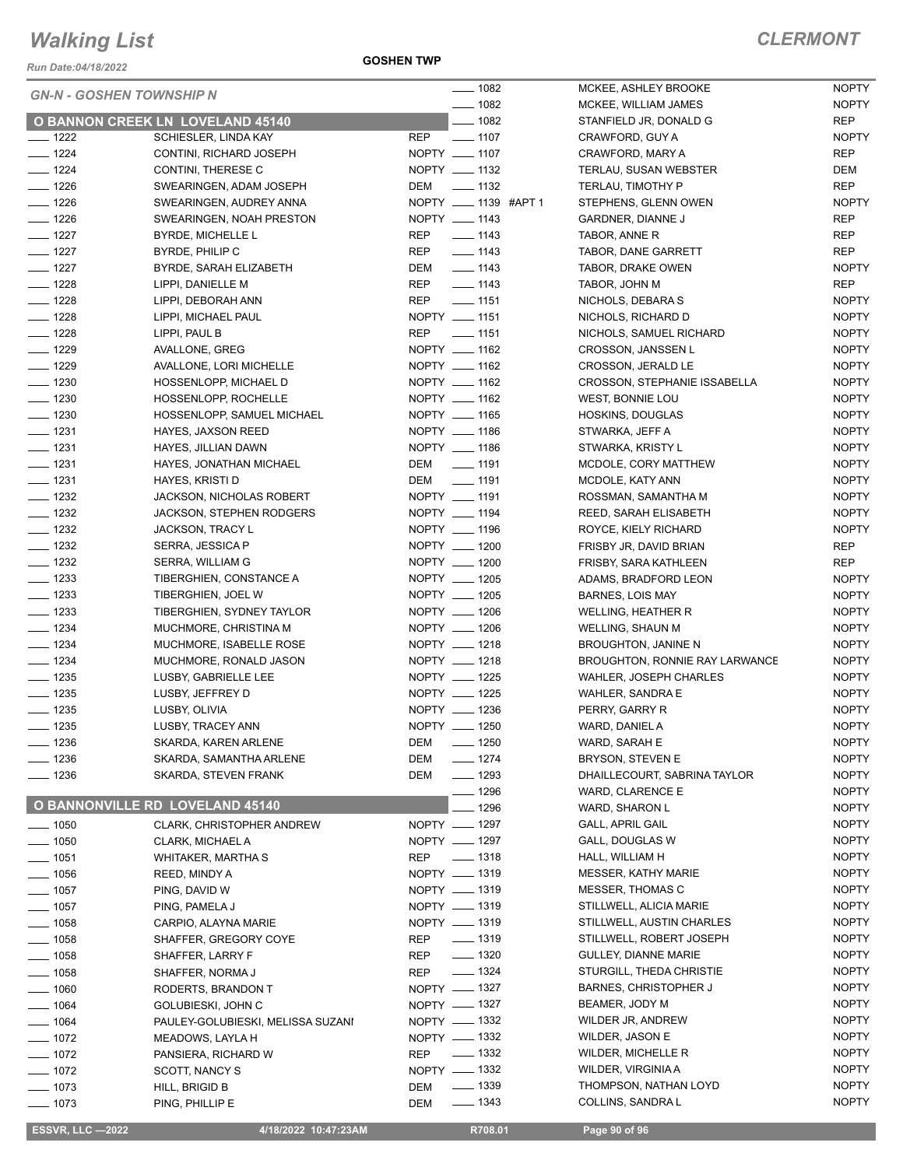*Run Date:04/18/2022*

|                    | <b>GN-N - GOSHEN TOWNSHIP N</b>         |            | __ 1082              | <b>MCKEE</b>  |
|--------------------|-----------------------------------------|------------|----------------------|---------------|
|                    |                                         |            | $- 1082$             | <b>MCKEE</b>  |
|                    | <b>O BANNON CREEK LN LOVELAND 45140</b> |            | $- 1082$             | <b>STANFI</b> |
| $\frac{1}{222}$    | SCHIESLER, LINDA KAY                    | <b>REP</b> | $- 1107$             | <b>CRAWF</b>  |
| $- 1224$           | CONTINI, RICHARD JOSEPH                 |            | NOPTY __ 1107        | <b>CRAWF</b>  |
| $- 1224$           | CONTINI, THERESE C                      |            | NOPTY __ 1132        | <b>TERLAI</b> |
| $- 1226$           | SWEARINGEN, ADAM JOSEPH                 | DEM        | $\frac{1}{2}$ 1132   | <b>TERLAI</b> |
| $-1226$            | SWEARINGEN, AUDREY ANNA                 |            | NOPTY __ 1139 #APT 1 | <b>STEPHI</b> |
| $- 1226$           | SWEARINGEN, NOAH PRESTON                |            | NOPTY __ 1143        | <b>GARDN</b>  |
| $- 1227$           | BYRDE, MICHELLE L                       | REP        | $- 1143$             | <b>TABOR</b>  |
| $- 1227$           | BYRDE, PHILIP C                         | REP        | $\frac{1}{2}$ 1143   | <b>TABOR</b>  |
| $- 1227$           | BYRDE, SARAH ELIZABETH                  | DEM        | $- 1143$             | <b>TABOR</b>  |
| ____ 1228          | LIPPI, DANIELLE M                       | REP        | $- 1143$             | <b>TABOR</b>  |
| ___ 1228           | LIPPI, DEBORAH ANN                      | REP        | $\frac{1}{2}$ 1151   | <b>NICHOI</b> |
| <u>—</u> 1228      | LIPPI, MICHAEL PAUL                     |            | NOPTY __ 1151        | <b>NICHOI</b> |
| $- 1228$           | LIPPI, PAUL B                           | <b>REP</b> | $- 1151$             | <b>NICHOI</b> |
| $- 1229$           | AVALLONE, GREG                          |            | NOPTY __ 1162        | <b>CROSS</b>  |
| $- 1229$           | AVALLONE, LORI MICHELLE                 |            | NOPTY __ 1162        | <b>CROSS</b>  |
| $\frac{1}{2}$ 1230 | HOSSENLOPP, MICHAEL D                   |            | NOPTY __ 1162        | <b>CROSS</b>  |
| $\frac{1}{2}$ 1230 | HOSSENLOPP, ROCHELLE                    |            | NOPTY __ 1162        | WEST,         |
| $- 1230$           | HOSSENLOPP, SAMUEL MICHAEL              |            | NOPTY __ 1165        | <b>HOSKIN</b> |
| $- 1231$           | HAYES, JAXSON REED                      |            | NOPTY __ 1186        | <b>STWAR</b>  |
| $- 1231$           | HAYES, JILLIAN DAWN                     |            | NOPTY __ 1186        | <b>STWAR</b>  |
| $- 1231$           | HAYES, JONATHAN MICHAEL                 |            | DEM __ 1191          | <b>MCDOL</b>  |
| $- 1231$           | HAYES, KRISTI D                         |            | DEM ______ 1191      | <b>MCDOL</b>  |
| $- 1232$           | JACKSON, NICHOLAS ROBERT                |            | NOPTY __ 1191        | <b>ROSSM</b>  |
| $- 1232$           | <b>JACKSON, STEPHEN RODGERS</b>         |            | NOPTY __ 1194        | REED,         |
| $-1232$            | <b>JACKSON, TRACY L</b>                 |            | NOPTY __ 1196        | <b>ROYCE</b>  |
| $- 1232$           | SERRA, JESSICA P                        |            | NOPTY __ 1200        | <b>FRISBY</b> |
| $- 1232$           | SERRA, WILLIAM G                        |            | NOPTY __ 1200        | <b>FRISBY</b> |
| $- 1233$           | TIBERGHIEN, CONSTANCE A                 |            | NOPTY __ 1205        | <b>ADAMS</b>  |
| $\frac{1}{2}$ 1233 | TIBERGHIEN, JOEL W                      |            | NOPTY __ 1205        | <b>BARNE</b>  |
| $- 1233$           | TIBERGHIEN, SYDNEY TAYLOR               |            | NOPTY __ 1206        | <b>WELLIN</b> |
| ___ 1234           | MUCHMORE, CHRISTINA M                   |            | NOPTY __ 1206        | <b>WELLIN</b> |
| $- 1234$           | MUCHMORE, ISABELLE ROSE                 |            | NOPTY __ 1218        | <b>BROUG</b>  |
| $- 1234$           | MUCHMORE, RONALD JASON                  |            | NOPTY __ 1218        | <b>BROUG</b>  |
| $\frac{1}{2}$ 1235 | LUSBY, GABRIELLE LEE                    |            | NOPTY __ 1225        | <b>WAHLE</b>  |
| $- 1235$           | LUSBY, JEFFREY D                        |            | NOPTY __ 1225        | WAHLE         |
| ____ 1235          | LUSBY, OLIVIA                           |            | NOPTY __ 1236        | PERRY,        |
| ____ 1235          | LUSBY, TRACEY ANN                       |            | NOPTY __ 1250        | WARD,         |
| $-1236$            | SKARDA, KAREN ARLENE                    | DEM _      | $-1250$              | WARD,         |
| $- 1236$           | SKARDA, SAMANTHA ARLENE                 | DEM        | $- 1274$             | <b>BRYSO</b>  |
| - 1236             | SKARDA, STEVEN FRANK                    | DEM        | $- 1293$             | <b>DHAILL</b> |
|                    |                                         |            | $-1296$              | WARD,         |
|                    | <b>O BANNONVILLE RD LOVELAND 45140</b>  |            | ___ 1296             | WARD,         |
| $\frac{1}{2}$ 1050 | CLARK, CHRISTOPHER ANDREW               |            | NOPTY - 1297         | GALL, A       |
| $- 1050$           | CLARK, MICHAEL A                        |            | NOPTY __ 1297        | GALL, I       |
| —— 1051            | WHITAKER, MARTHA S                      | <b>REP</b> | $\frac{1}{2}$ 1318   | HALL, V       |
| $- 1056$           | REED, MINDY A                           |            | NOPTY __ 1319        | <b>MESSE</b>  |
| $- 1057$           | PING, DAVID W                           |            | NOPTY - 1319         | <b>MESSE</b>  |
| $- 1057$           | PING, PAMELA J                          |            | NOPTY - 1319         | <b>STILLW</b> |
| $- 1058$           | CARPIO, ALAYNA MARIE                    |            | NOPTY __ 1319        | <b>STILLW</b> |
| —— 1058            | SHAFFER, GREGORY COYE                   | REP        | $- 1319$             | <b>STILLW</b> |
| ____ 1058          | SHAFFER, LARRY F                        | REP        | $\frac{1}{2}$ 1320   | <b>GULLE</b>  |
| $=$ 1058           | SHAFFER, NORMA J                        | REP        | $- 1324$             | <b>STURG</b>  |
| $- 1060$           | RODERTS, BRANDON T                      |            | NOPTY - 1327         | <b>BARNE</b>  |
| $- 1064$           | GOLUBIESKI, JOHN C                      |            | NOPTY __ 1327        | <b>BEAME</b>  |
| $- 1064$           | PAULEY-GOLUBIESKI, MELISSA SUZANI       |            | NOPTY - 1332         | <b>WILDER</b> |
| $- 1072$           | MEADOWS, LAYLA H                        |            | NOPTY __ 1332        | <b>WILDER</b> |
| $- 1072$           | PANSIERA, RICHARD W                     | <b>REP</b> | $\equiv$ 1332        | <b>WILDER</b> |
| $- 1072$           | SCOTT, NANCY S                          |            | NOPTY __ 1332        | <b>WILDER</b> |
| $- 1073$           | HILL, BRIGID B                          | DEM        | $\frac{1}{2}$ 1339   | <b>THOMP</b>  |
| - 1073             | PING, PHILLIP E                         | DEM        | $\frac{1}{2}$ 1343   | <b>COLLIN</b> |

| 1082 |             | MCKEE, ASHLEY BROOKE                  | <b>NOPTY</b> |
|------|-------------|---------------------------------------|--------------|
| 1082 |             | MCKEE, WILLIAM JAMES                  | <b>NOPTY</b> |
| 1082 |             | STANFIELD JR, DONALD G                | REP          |
| 1107 |             | CRAWFORD, GUY A                       | <b>NOPTY</b> |
| 1107 |             | CRAWFORD, MARY A                      | REP          |
| 1132 |             | <b>TERLAU, SUSAN WEBSTER</b>          | DEM          |
| 1132 |             | TERLAU, TIMOTHY P                     | <b>REP</b>   |
|      | 1139 #APT 1 | STEPHENS, GLENN OWEN                  | <b>NOPTY</b> |
| 1143 |             | GARDNER, DIANNE J                     | REP          |
| 1143 |             | TABOR, ANNE R                         | <b>REP</b>   |
| 1143 |             | TABOR, DANE GARRETT                   | REP          |
| 1143 |             | TABOR, DRAKE OWEN                     | <b>NOPTY</b> |
| 1143 |             | TABOR, JOHN M                         | REP          |
| 1151 |             | NICHOLS, DEBARA S                     | <b>NOPTY</b> |
| 1151 |             | NICHOLS, RICHARD D                    | <b>NOPTY</b> |
| 1151 |             | NICHOLS, SAMUEL RICHARD               | <b>NOPTY</b> |
| 1162 |             | <b>CROSSON, JANSSEN L</b>             | <b>NOPTY</b> |
| 1162 |             | <b>CROSSON, JERALD LE</b>             | <b>NOPTY</b> |
| 1162 |             | CROSSON, STEPHANIE ISSABELLA          | <b>NOPTY</b> |
| 1162 |             | WEST, BONNIE LOU                      | <b>NOPTY</b> |
| 1165 |             | <b>HOSKINS, DOUGLAS</b>               | <b>NOPTY</b> |
| 1186 |             | STWARKA, JEFF A                       | <b>NOPTY</b> |
| 1186 |             | STWARKA, KRISTY L                     | <b>NOPTY</b> |
| 1191 |             | MCDOLE, CORY MATTHEW                  | <b>NOPTY</b> |
| 1191 |             | MCDOLE, KATY ANN                      | <b>NOPTY</b> |
| 1191 |             | ROSSMAN, SAMANTHA M                   | <b>NOPTY</b> |
| 1194 |             | REED, SARAH ELISABETH                 | <b>NOPTY</b> |
| 1196 |             | ROYCE, KIELY RICHARD                  | <b>NOPTY</b> |
| 1200 |             | FRISBY JR, DAVID BRIAN                | REP          |
| 1200 |             | FRISBY, SARA KATHLEEN                 | <b>REP</b>   |
| 1205 |             | ADAMS, BRADFORD LEON                  | <b>NOPTY</b> |
| 1205 |             | <b>BARNES, LOIS MAY</b>               | <b>NOPTY</b> |
| 1206 |             | WELLING, HEATHER R                    | <b>NOPTY</b> |
| 1206 |             | <b>WELLING, SHAUN M</b>               | <b>NOPTY</b> |
| 1218 |             | <b>BROUGHTON, JANINE N</b>            | <b>NOPTY</b> |
| 1218 |             | <b>BROUGHTON, RONNIE RAY LARWANCE</b> | <b>NOPTY</b> |
| 1225 |             | <b>WAHLER, JOSEPH CHARLES</b>         | <b>NOPTY</b> |
| 1225 |             | <b>WAHLER, SANDRA E</b>               | <b>NOPTY</b> |
| 1236 |             | PERRY, GARRY R                        | <b>NOPTY</b> |
| 1250 |             | WARD, DANIEL A                        | <b>NOPTY</b> |
| 1250 |             | WARD, SARAH E                         | NOPTY        |
| 1274 |             | BRYSON, STEVEN E                      | NOPTY        |
| 1293 |             | DHAILLECOURT, SABRINA TAYLOR          | NOPTY        |
| 1296 |             | <b>WARD, CLARENCE E</b>               | NOPTY        |
| 1296 |             | WARD, SHARON L                        | <b>NOPTY</b> |
| 1297 |             | <b>GALL, APRIL GAIL</b>               | <b>NOPTY</b> |
| 1297 |             | GALL, DOUGLAS W                       | NOPTY        |
| 1318 |             | HALL, WILLIAM H                       | NOPTY        |
| 1319 |             | <b>MESSER, KATHY MARIE</b>            | NOPTY        |
| 1319 |             | MESSER, THOMAS C                      | NOPTY        |
| 1319 |             | STILLWELL, ALICIA MARIE               | NOPTY        |
| 1319 |             | STILLWELL, AUSTIN CHARLES             | <b>NOPTY</b> |
| 1319 |             | STILLWELL, ROBERT JOSEPH              | <b>NOPTY</b> |
| 1320 |             | GULLEY, DIANNE MARIE                  | NOPTY        |
| 1324 |             | STURGILL, THEDA CHRISTIE              | <b>NOPTY</b> |
| 1327 |             | <b>BARNES, CHRISTOPHER J</b>          | NOPTY        |
| 1327 |             | BEAMER, JODY M                        | NOPTY        |
| 1332 |             | WILDER JR, ANDREW                     | NOPTY        |
| 1332 |             | <b>WILDER, JASON E</b>                | <b>NOPTY</b> |
| 1332 |             | <b>WILDER, MICHELLE R</b>             | NOPTY        |
| 1332 |             | WILDER, VIRGINIA A                    | NOPTY        |
| 1339 |             | THOMPSON, NATHAN LOYD                 | NOPTY        |
| 1343 |             | COLLINS, SANDRA L                     | NOPTY        |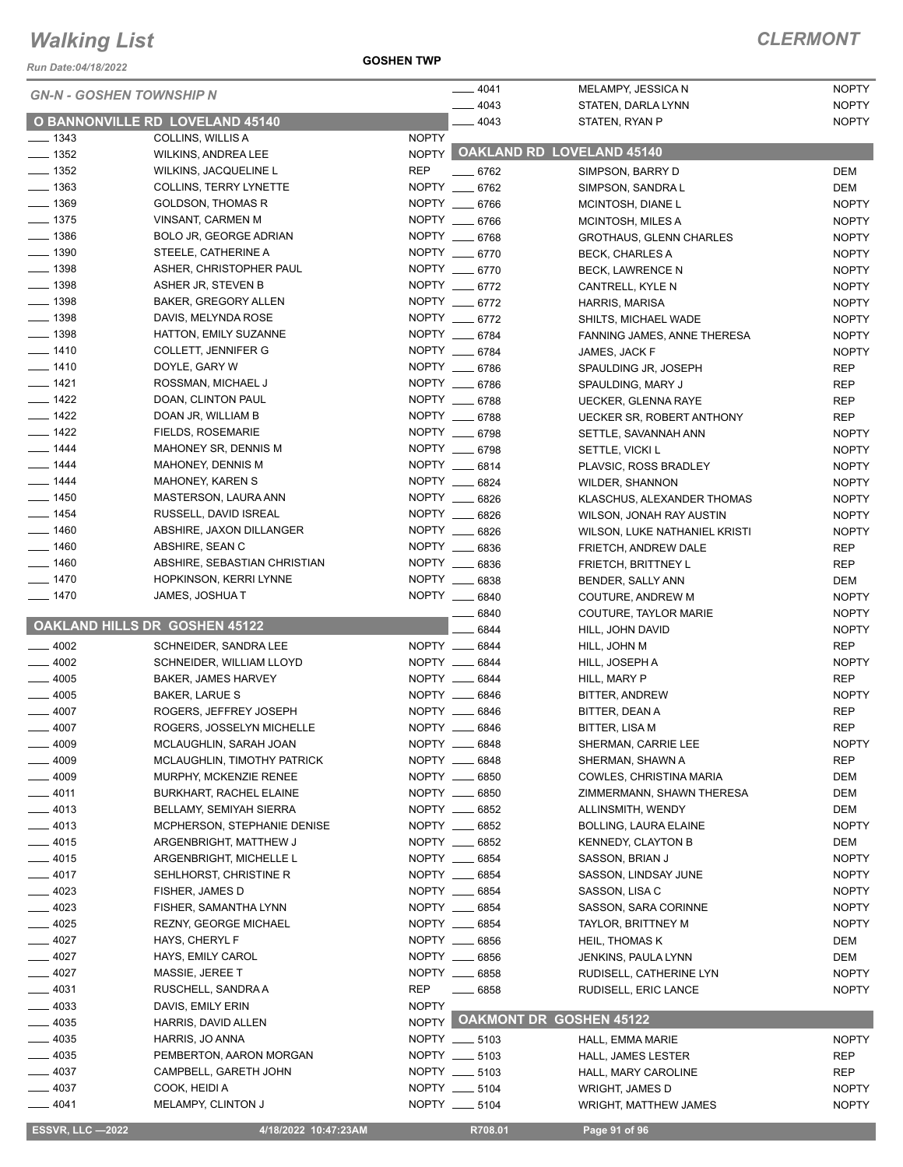*Run Date:04/18/2022*

**GOSHEN TWP**

|                                 |                                                          |              | $-4041$                        | MELAMPY, JESSICA N                                 | <b>NOPTY</b> |
|---------------------------------|----------------------------------------------------------|--------------|--------------------------------|----------------------------------------------------|--------------|
| <b>GN-N - GOSHEN TOWNSHIP N</b> |                                                          |              | $-4043$                        | STATEN, DARLA LYNN                                 | <b>NOPTY</b> |
|                                 | <b>O BANNONVILLE RD LOVELAND 45140</b>                   |              | $-4043$                        | STATEN, RYAN P                                     | <b>NOPTY</b> |
| $- 1343$                        | COLLINS, WILLIS A                                        | <b>NOPTY</b> |                                |                                                    |              |
| $\frac{1}{2}$ 1352              | WILKINS, ANDREA LEE                                      |              |                                | NOPTY OAKLAND RD LOVELAND 45140                    |              |
| $\frac{1}{2}$ 1352              | WILKINS, JACQUELINE L                                    | <b>REP</b>   | $-6762$                        | SIMPSON, BARRY D                                   | DEM          |
| $\frac{1}{2}$ 1363              | <b>COLLINS, TERRY LYNETTE</b>                            |              | NOPTY __ 6762                  | SIMPSON, SANDRAL                                   | DEM          |
| $- 1369$                        | <b>GOLDSON, THOMAS R</b>                                 |              | NOPTY __ 6766                  | MCINTOSH, DIANE L                                  | <b>NOPTY</b> |
| $- 1375$                        | VINSANT, CARMEN M                                        |              | NOPTY __ 6766                  | MCINTOSH, MILES A                                  | <b>NOPTY</b> |
| $\frac{1}{2}$ 1386              | BOLO JR, GEORGE ADRIAN                                   |              | NOPTY __ 6768                  | GROTHAUS, GLENN CHARLES                            | <b>NOPTY</b> |
| $\frac{1}{2}$ 1390              | STEELE, CATHERINE A                                      |              | NOPTY __ 6770                  | <b>BECK, CHARLES A</b>                             | <b>NOPTY</b> |
| $\frac{1}{2}$ 1398              | ASHER, CHRISTOPHER PAUL                                  |              | NOPTY __ 6770                  | <b>BECK, LAWRENCE N</b>                            | <b>NOPTY</b> |
| $- 1398$                        | ASHER JR, STEVEN B                                       |              | NOPTY __ 6772                  | CANTRELL, KYLE N                                   | <b>NOPTY</b> |
| $- 1398$                        | <b>BAKER, GREGORY ALLEN</b>                              |              | NOPTY __ 6772                  | HARRIS, MARISA                                     | <b>NOPTY</b> |
| $- 1398$                        | DAVIS, MELYNDA ROSE                                      |              | NOPTY __ 6772                  | SHILTS, MICHAEL WADE                               | <b>NOPTY</b> |
| $\frac{1}{2}$ 1398              | HATTON, EMILY SUZANNE                                    |              | NOPTY __ 6784                  | FANNING JAMES, ANNE THERESA                        | <b>NOPTY</b> |
| $- 1410$                        | COLLETT, JENNIFER G                                      |              | NOPTY __ 6784                  | JAMES, JACK F                                      | <b>NOPTY</b> |
| $- 1410$                        | DOYLE, GARY W                                            |              | NOPTY __ 6786                  | SPAULDING JR, JOSEPH                               | <b>REP</b>   |
| $- 1421$                        | ROSSMAN, MICHAEL J                                       |              | NOPTY __ 6786                  | SPAULDING, MARY J                                  | REP          |
| $\frac{1}{2}$ 1422              | DOAN, CLINTON PAUL                                       |              | NOPTY __ 6788                  | <b>UECKER, GLENNA RAYE</b>                         | <b>REP</b>   |
| $- 1422$                        | DOAN JR, WILLIAM B                                       |              | NOPTY __ 6788                  | <b>UECKER SR, ROBERT ANTHONY</b>                   | <b>REP</b>   |
| $-$ 1422                        | <b>FIELDS, ROSEMARIE</b>                                 |              | NOPTY __ 6798                  | SETTLE, SAVANNAH ANN                               | <b>NOPTY</b> |
| $- 1444$                        | MAHONEY SR, DENNIS M                                     |              | NOPTY __ 6798                  | SETTLE, VICKI L                                    | <b>NOPTY</b> |
| $- 1444$                        | MAHONEY, DENNIS M                                        |              | NOPTY __ 6814                  | PLAVSIC, ROSS BRADLEY                              | <b>NOPTY</b> |
| $- 1444$                        | <b>MAHONEY, KAREN S</b>                                  |              | NOPTY __ 6824                  | <b>WILDER, SHANNON</b>                             | <b>NOPTY</b> |
| $- 1450$                        | MASTERSON, LAURA ANN                                     |              | NOPTY __ 6826                  | KLASCHUS, ALEXANDER THOMAS                         | <b>NOPTY</b> |
| $- 1454$                        | RUSSELL, DAVID ISREAL                                    |              | NOPTY __ 6826                  | WILSON, JONAH RAY AUSTIN                           | <b>NOPTY</b> |
| $- 1460$                        | ABSHIRE, JAXON DILLANGER                                 |              | NOPTY __ 6826                  | WILSON, LUKE NATHANIEL KRISTI                      | <b>NOPTY</b> |
| $- 1460$                        | ABSHIRE, SEAN C                                          |              | NOPTY __ 6836                  | FRIETCH, ANDREW DALE                               | REP          |
| $- 1460$                        | ABSHIRE, SEBASTIAN CHRISTIAN                             |              | NOPTY __ 6836                  | FRIETCH, BRITTNEY L                                | <b>REP</b>   |
| $- 1470$                        | HOPKINSON, KERRI LYNNE                                   |              | NOPTY __ 6838                  | BENDER, SALLY ANN                                  | DEM          |
| $\frac{1}{2}$ 1470              | JAMES, JOSHUA T                                          |              | NOPTY __ 6840                  | COUTURE, ANDREW M                                  | <b>NOPTY</b> |
|                                 | OAKLAND HILLS DR GOSHEN 45122                            |              | 6840                           | COUTURE, TAYLOR MARIE                              | <b>NOPTY</b> |
|                                 |                                                          |              | 6844                           | HILL, JOHN DAVID                                   | <b>NOPTY</b> |
| $-4002$                         | SCHNEIDER, SANDRA LEE                                    |              | NOPTY __ 6844                  | HILL, JOHN M                                       | <b>REP</b>   |
| $-4002$                         | SCHNEIDER, WILLIAM LLOYD                                 |              | NOPTY __ 6844                  | HILL, JOSEPH A                                     | <b>NOPTY</b> |
| $-4005$                         | <b>BAKER, JAMES HARVEY</b>                               |              | NOPTY __ 6844                  | HILL, MARY P                                       | <b>REP</b>   |
| $-4005$                         | BAKER, LARUE S                                           |              | NOPTY __ 6846                  | BITTER, ANDREW                                     | <b>NOPTY</b> |
| $-4007$                         | ROGERS, JEFFREY JOSEPH                                   |              | NOPTY __ 6846                  | BITTER, DEAN A                                     | <b>REP</b>   |
| 4007                            | ROGERS, JOSSELYN MICHELLE                                |              | NOPTY __ 6846                  | BITTER, LISA M                                     | <b>REP</b>   |
| 4009                            | MCLAUGHLIN, SARAH JOAN                                   |              | NOPTY __ 6848                  | SHERMAN, CARRIE LEE                                | <b>NOPTY</b> |
| 4009<br>4009                    | MCLAUGHLIN, TIMOTHY PATRICK                              |              | NOPTY __ 6848<br>NOPTY __ 6850 | SHERMAN, SHAWN A<br><b>COWLES, CHRISTINA MARIA</b> | REP          |
| 4011                            | MURPHY, MCKENZIE RENEE<br><b>BURKHART, RACHEL ELAINE</b> |              | NOPTY __ 6850                  | ZIMMERMANN, SHAWN THERESA                          | DEM<br>DEM   |
| 4013                            | BELLAMY, SEMIYAH SIERRA                                  |              | NOPTY __ 6852                  | ALLINSMITH, WENDY                                  | DEM          |
| $-4013$                         | MCPHERSON, STEPHANIE DENISE                              |              | NOPTY __ 6852                  | BOLLING, LAURA ELAINE                              | <b>NOPTY</b> |
| $-4015$                         | ARGENBRIGHT, MATTHEW J                                   |              | NOPTY __ 6852                  | KENNEDY, CLAYTON B                                 | DEM          |
| $-4015$                         | ARGENBRIGHT, MICHELLE L                                  |              | NOPTY __ 6854                  | SASSON, BRIAN J                                    | <b>NOPTY</b> |
| $-4017$                         | SEHLHORST, CHRISTINE R                                   |              | NOPTY __ 6854                  | SASSON, LINDSAY JUNE                               | <b>NOPTY</b> |
| $-4023$                         | FISHER, JAMES D                                          |              | NOPTY __ 6854                  | SASSON, LISA C                                     | <b>NOPTY</b> |
| $-4023$                         | FISHER, SAMANTHA LYNN                                    |              | NOPTY __ 6854                  | SASSON, SARA CORINNE                               | <b>NOPTY</b> |
| $-4025$                         | <b>REZNY, GEORGE MICHAEL</b>                             |              | NOPTY __ 6854                  | TAYLOR, BRITTNEY M                                 | <b>NOPTY</b> |
| $-4027$                         | HAYS, CHERYL F                                           |              | NOPTY __ 6856                  | <b>HEIL, THOMAS K</b>                              | DEM          |
| 4027                            | HAYS, EMILY CAROL                                        |              | NOPTY __ 6856                  | JENKINS, PAULA LYNN                                | DEM          |
| 4027                            | MASSIE, JEREE T                                          |              | NOPTY __ 6858                  | RUDISELL, CATHERINE LYN                            | <b>NOPTY</b> |
| 4031                            | RUSCHELL, SANDRA A                                       | <b>REP</b>   | $- 6858$                       | RUDISELL, ERIC LANCE                               | <b>NOPTY</b> |
| $-4033$                         | DAVIS, EMILY ERIN                                        | <b>NOPTY</b> |                                |                                                    |              |
| 4035                            | HARRIS, DAVID ALLEN                                      |              |                                | NOPTY OAKMONT DR GOSHEN 45122                      |              |
| 4035                            | HARRIS, JO ANNA                                          |              | NOPTY __ 5103                  | HALL, EMMA MARIE                                   | <b>NOPTY</b> |
| 4035                            | PEMBERTON, AARON MORGAN                                  |              | NOPTY __ 5103                  | HALL, JAMES LESTER                                 | REP          |
| 4037                            | CAMPBELL, GARETH JOHN                                    |              | NOPTY __ 5103                  | HALL, MARY CAROLINE                                | REP          |
| $-4037$                         | COOK, HEIDI A                                            |              | NOPTY __ 5104                  | <b>WRIGHT, JAMES D</b>                             | <b>NOPTY</b> |
|                                 |                                                          |              |                                |                                                    |              |
| 4041                            | MELAMPY, CLINTON J                                       |              | NOPTY __ 5104                  | <b>WRIGHT, MATTHEW JAMES</b>                       | <b>NOPTY</b> |
| <b>ESSVR, LLC -2022</b>         | 4/18/2022 10:47:23AM                                     |              | R708.01                        | Page 91 of 96                                      |              |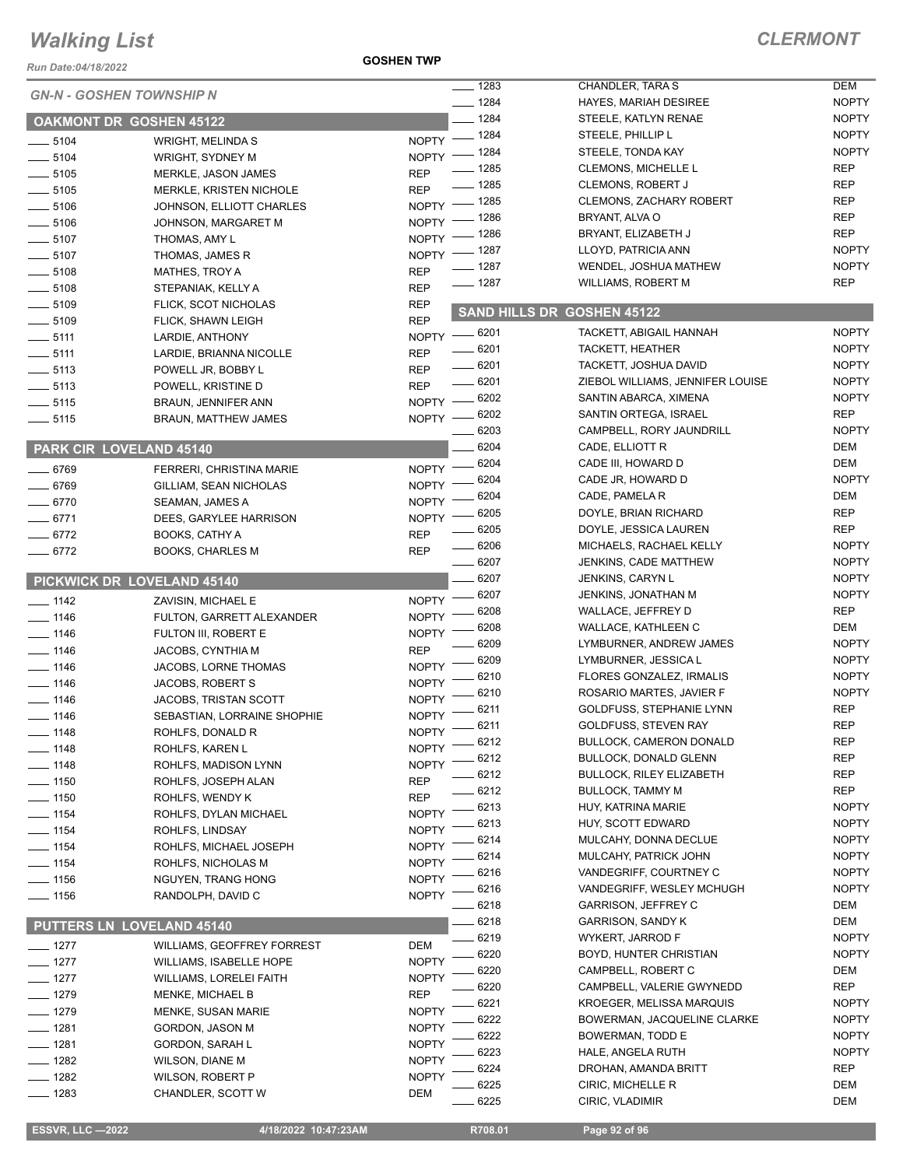*Run Date:04/18/2022*

#### **GOSHEN TWP**

## *CLERMONT*

|                    |                                  |                    | $- 1283$ | CHANDLER, TARA S                 | <b>DEM</b>   |
|--------------------|----------------------------------|--------------------|----------|----------------------------------|--------------|
|                    | <b>GN-N - GOSHEN TOWNSHIP N</b>  |                    | $- 1284$ | <b>HAYES, MARIAH DESIREE</b>     | <b>NOPTY</b> |
|                    | <b>OAKMONT DR GOSHEN 45122</b>   |                    | $-1284$  | STEELE, KATLYN RENAE             | <b>NOPTY</b> |
| $- 5104$           | <b>WRIGHT, MELINDA S</b>         | NOPTY - 1284       |          | STEELE, PHILLIP L                | <b>NOPTY</b> |
| $\frac{1}{2}$ 5104 | WRIGHT, SYDNEY M                 | $NOPTY =$          | $-1284$  | STEELE, TONDA KAY                | <b>NOPTY</b> |
| $\frac{1}{2}$ 5105 | MERKLE, JASON JAMES              | <b>REP</b>         | $-1285$  | <b>CLEMONS, MICHELLE L</b>       | <b>REP</b>   |
| $\frac{1}{2}$ 5105 | MERKLE, KRISTEN NICHOLE          | <b>REP</b>         | $- 1285$ | <b>CLEMONS, ROBERT J</b>         | <b>REP</b>   |
| $\frac{1}{2}$ 5106 | JOHNSON, ELLIOTT CHARLES         | <b>NOPTY</b>       | $-1285$  | <b>CLEMONS, ZACHARY ROBERT</b>   | <b>REP</b>   |
| $- 5106$           | JOHNSON, MARGARET M              | <b>NOPTY</b>       | _ 1286   | BRYANT, ALVA O                   | <b>REP</b>   |
| $\frac{1}{2}$ 5107 | THOMAS, AMY L                    | <b>NOPTY</b>       | _ 1286   | BRYANT, ELIZABETH J              | <b>REP</b>   |
| $\frac{1}{2}$ 5107 | THOMAS, JAMES R                  | $NOPTY =$          | $-1287$  | LLOYD, PATRICIA ANN              | <b>NOPTY</b> |
| $\frac{1}{2}$ 5108 | MATHES, TROY A                   | <b>REP</b>         | $- 1287$ | WENDEL, JOSHUA MATHEW            | <b>NOPTY</b> |
| $\frac{1}{2}$ 5108 | STEPANIAK, KELLY A               | <b>REP</b>         | $- 1287$ | WILLIAMS, ROBERT M               | <b>REP</b>   |
| $\frac{1}{2}$ 5109 | FLICK, SCOT NICHOLAS             | <b>REP</b>         |          |                                  |              |
| $\frac{1}{2}$ 5109 | <b>FLICK, SHAWN LEIGH</b>        | <b>REP</b>         |          | SAND HILLS DR GOSHEN 45122       |              |
| $\frac{1}{2}$ 5111 | LARDIE, ANTHONY                  | NOPTY -8201        |          | TACKETT, ABIGAIL HANNAH          | <b>NOPTY</b> |
| $\frac{1}{2}$ 5111 | LARDIE, BRIANNA NICOLLE          | <b>REP</b>         | $- 6201$ | TACKETT, HEATHER                 | <b>NOPTY</b> |
| $\frac{1}{2}$ 5113 | POWELL JR, BOBBY L               | <b>REP</b>         | $-6201$  | TACKETT, JOSHUA DAVID            | <b>NOPTY</b> |
| $\frac{1}{2}$ 5113 | POWELL, KRISTINE D               | <b>REP</b>         | $-6201$  | ZIEBOL WILLIAMS, JENNIFER LOUISE | <b>NOPTY</b> |
| $- 5115$           | <b>BRAUN, JENNIFER ANN</b>       | NOPTY -8202        |          | SANTIN ABARCA, XIMENA            | <b>NOPTY</b> |
| $\frac{1}{2}$ 5115 | <b>BRAUN, MATTHEW JAMES</b>      | NOPTY -8202        |          | SANTIN ORTEGA, ISRAEL            | <b>REP</b>   |
|                    |                                  |                    | 6203     | CAMPBELL, RORY JAUNDRILL         | <b>NOPTY</b> |
|                    | PARK CIR LOVELAND 45140          |                    | 6204     | CADE, ELLIOTT R                  | DEM          |
|                    |                                  | NOPTY - 6204       |          | CADE III, HOWARD D               | DEM          |
| $- 6769$           | <b>FERRERI, CHRISTINA MARIE</b>  | NOPTY -            | - 6204   | CADE JR, HOWARD D                | <b>NOPTY</b> |
| $- 6769$           | GILLIAM, SEAN NICHOLAS           |                    | 6204     | CADE, PAMELA R                   | DEM          |
| $-6770$            | SEAMAN, JAMES A                  | NOPTY -<br>NOPTY - | 6205     | DOYLE, BRIAN RICHARD             | <b>REP</b>   |
| $-6771$            | DEES, GARYLEE HARRISON           |                    | $- 6205$ | DOYLE, JESSICA LAUREN            | <b>REP</b>   |
| $- 6772$           | <b>BOOKS, CATHY A</b>            | <b>REP</b>         | $- 6206$ | MICHAELS, RACHAEL KELLY          | <b>NOPTY</b> |
| $- 6772$           | <b>BOOKS, CHARLES M</b>          | <b>REP</b>         | $- 6207$ | JENKINS, CADE MATTHEW            | <b>NOPTY</b> |
|                    | PICKWICK DR LOVELAND 45140       |                    | 6207     | <b>JENKINS, CARYN L</b>          | <b>NOPTY</b> |
|                    |                                  |                    | 6207     | JENKINS, JONATHAN M              | <b>NOPTY</b> |
| $- 1142$           | ZAVISIN, MICHAEL E               | NOPTY -            | 6208     | WALLACE, JEFFREY D               | <b>REP</b>   |
| $- 1146$           | FULTON, GARRETT ALEXANDER        | <b>NOPTY</b>       | 6208     | WALLACE, KATHLEEN C              | DEM          |
| $- 1146$           | FULTON III, ROBERT E             | <b>NOPTY</b>       | 6209     | LYMBURNER, ANDREW JAMES          | <b>NOPTY</b> |
| $-1146$            | JACOBS, CYNTHIA M                | <b>REP</b>         | 6209     | LYMBURNER, JESSICA L             | <b>NOPTY</b> |
| $- 1146$           | JACOBS, LORNE THOMAS             | <b>NOPTY</b>       | 6210     | FLORES GONZALEZ, IRMALIS         | <b>NOPTY</b> |
| $- 1146$           | JACOBS, ROBERT S                 | <b>NOPTY</b>       | 6210     | ROSARIO MARTES, JAVIER F         | <b>NOPTY</b> |
| $- 1146$           | <b>JACOBS, TRISTAN SCOTT</b>     | <b>NOPTY</b>       | 6211     | GOLDFUSS, STEPHANIE LYNN         | <b>REP</b>   |
| $- 1146$           | SEBASTIAN, LORRAINE SHOPHIE      | <b>NOPTY</b>       | 6211     | GOLDFUSS, STEVEN RAY             | <b>REP</b>   |
| $- 1148$           | ROHLFS, DONALD R                 | NOPTY <sup>-</sup> | 6212     | <b>BULLOCK, CAMERON DONALD</b>   | REP          |
| $-1148$            | ROHLFS, KAREN L                  | <b>NOPTY</b>       | 6212     | <b>BULLOCK, DONALD GLENN</b>     | <b>REP</b>   |
| 1148               | ROHLFS, MADISON LYNN             | <b>NOPTY</b>       | 6212     | <b>BULLOCK, RILEY ELIZABETH</b>  | <b>REP</b>   |
| $= 1150$           | ROHLFS, JOSEPH ALAN              | <b>REP</b>         | 6212     | <b>BULLOCK, TAMMY M</b>          | <b>REP</b>   |
| $-1150$            | ROHLFS, WENDY K                  | <b>REP</b>         | 6213     | HUY, KATRINA MARIE               | <b>NOPTY</b> |
| $- 1154$           | ROHLFS, DYLAN MICHAEL            | <b>NOPTY</b>       | 6213     | HUY, SCOTT EDWARD                | <b>NOPTY</b> |
| $- 1154$           | ROHLFS, LINDSAY                  | <b>NOPTY</b>       | 6214     | MULCAHY, DONNA DECLUE            | <b>NOPTY</b> |
| __ 1154            | ROHLFS, MICHAEL JOSEPH           | <b>NOPTY</b>       | 6214     | MULCAHY, PATRICK JOHN            | <b>NOPTY</b> |
| $- 1154$           | ROHLFS, NICHOLAS M               | <b>NOPTY</b>       | 6216     | VANDEGRIFF, COURTNEY C           | <b>NOPTY</b> |
| $- 1156$           | NGUYEN, TRANG HONG               | <b>NOPTY</b>       | 6216     | VANDEGRIFF, WESLEY MCHUGH        | <b>NOPTY</b> |
| $- 1156$           | RANDOLPH, DAVID C                | <b>NOPTY</b>       | 6218     | <b>GARRISON, JEFFREY C</b>       | DEM          |
|                    |                                  |                    | 6218     | GARRISON, SANDY K                | DEM          |
|                    | <b>PUTTERS LN LOVELAND 45140</b> |                    | 6219     | WYKERT, JARROD F                 | <b>NOPTY</b> |
| $- 1277$           | WILLIAMS, GEOFFREY FORREST       | <b>DEM</b>         | 6220     | BOYD, HUNTER CHRISTIAN           | <b>NOPTY</b> |
| $- 1277$           | WILLIAMS, ISABELLE HOPE          | <b>NOPTY</b>       | 6220     | CAMPBELL, ROBERT C               | DEM          |
| $-1277$            | WILLIAMS, LORELEI FAITH          | <b>NOPTY</b>       | 6220     | CAMPBELL, VALERIE GWYNEDD        | <b>REP</b>   |
| $-1279$            | <b>MENKE, MICHAEL B</b>          | <b>REP</b>         | 6221     | KROEGER, MELISSA MARQUIS         | <b>NOPTY</b> |
| $-1279$            | MENKE, SUSAN MARIE               | <b>NOPTY</b>       | 6222     | BOWERMAN, JACQUELINE CLARKE      | <b>NOPTY</b> |
| $-1281$            | GORDON, JASON M                  | <b>NOPTY</b>       | 6222     | BOWERMAN, TODD E                 | <b>NOPTY</b> |
| $-1281$            | <b>GORDON, SARAH L</b>           | <b>NOPTY</b>       | 6223     | HALE, ANGELA RUTH                | <b>NOPTY</b> |
| $- 1282$           | WILSON, DIANE M                  | <b>NOPTY</b>       | 6224     | DROHAN, AMANDA BRITT             | <b>REP</b>   |
| $-1282$            | <b>WILSON, ROBERT P</b>          | <b>NOPTY</b>       | 6225     | CIRIC, MICHELLE R                | DEM          |
| 1283               | CHANDLER, SCOTT W                | <b>DEM</b>         | 6225     | CIRIC, VLADIMIR                  | DEM          |
|                    |                                  |                    |          |                                  |              |

 **ESSVR, LLC —2022 4/18/2022 10:47:23AM R708.01 Page 92 of 96**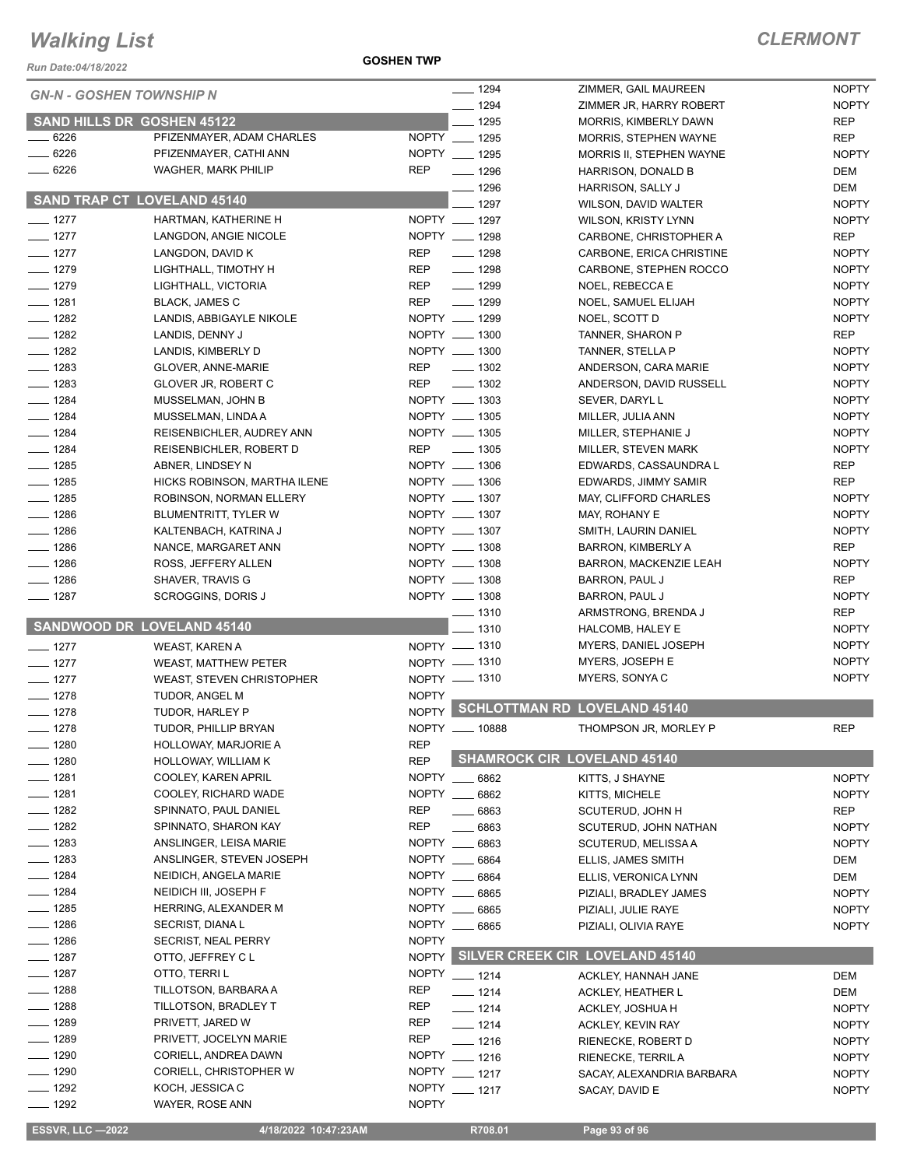*Run Date:04/18/2022*

**GOSHEN TWP**

| run Dale.04/10/∠022                |                                   |                                    |                                       |              |
|------------------------------------|-----------------------------------|------------------------------------|---------------------------------------|--------------|
| <b>GN-N - GOSHEN TOWNSHIP N</b>    |                                   |                                    | ZIMMER, GAIL MAUREEN                  | <b>NOPTY</b> |
|                                    |                                   |                                    | ZIMMER JR, HARRY ROBERT               | <b>NOPTY</b> |
|                                    | <b>SAND HILLS DR GOSHEN 45122</b> | $-1295$                            | <b>MORRIS, KIMBERLY DAWN</b>          | <b>REP</b>   |
| $- 6226$                           | PFIZENMAYER, ADAM CHARLES         | NOPTY __ 1295                      | MORRIS, STEPHEN WAYNE                 | <b>REP</b>   |
| $-6226$                            | PFIZENMAYER, CATHI ANN            | NOPTY __ 1295                      | MORRIS II, STEPHEN WAYNE              | <b>NOPTY</b> |
| $- 6226$                           | <b>WAGHER, MARK PHILIP</b>        | <b>REP</b><br>$- 1296$<br>$- 1296$ | HARRISON, DONALD B                    | <b>DEM</b>   |
| <b>SAND TRAP CT LOVELAND 45140</b> |                                   |                                    | HARRISON, SALLY J                     | DEM          |
|                                    |                                   | 1297                               | WILSON, DAVID WALTER                  | <b>NOPTY</b> |
| $- 1277$                           | HARTMAN, KATHERINE H              | NOPTY __ 1297                      | <b>WILSON, KRISTY LYNN</b>            | <b>NOPTY</b> |
| $- 1277$                           | LANGDON, ANGIE NICOLE             | NOPTY __ 1298                      | CARBONE, CHRISTOPHER A                | <b>REP</b>   |
| $- 1277$                           | LANGDON, DAVID K                  | $\frac{1}{2}$ 1298<br><b>REP</b>   | CARBONE, ERICA CHRISTINE              | <b>NOPTY</b> |
| $- 1279$                           | LIGHTHALL, TIMOTHY H              | <b>REP</b><br>$- 1298$             | CARBONE, STEPHEN ROCCO                | <b>NOPTY</b> |
| $- 1279$                           | LIGHTHALL, VICTORIA               | $- 1299$<br><b>REP</b>             | NOEL, REBECCA E                       | <b>NOPTY</b> |
| $- 1281$                           | <b>BLACK, JAMES C</b>             | <b>REP</b><br>$- 1299$             | NOEL, SAMUEL ELIJAH                   | <b>NOPTY</b> |
| $- 1282$                           | LANDIS, ABBIGAYLE NIKOLE          | NOPTY __ 1299                      | NOEL, SCOTT D                         | <b>NOPTY</b> |
| $- 1282$                           | LANDIS, DENNY J                   | NOPTY __ 1300                      | TANNER, SHARON P                      | <b>REP</b>   |
| $- 1282$                           | LANDIS, KIMBERLY D                | NOPTY __ 1300                      | TANNER, STELLA P                      | <b>NOPTY</b> |
| $\frac{1}{2}$ 1283                 | GLOVER, ANNE-MARIE                | $\frac{1}{2}$ 1302<br>REP          | ANDERSON, CARA MARIE                  | <b>NOPTY</b> |
| $- 1283$                           | GLOVER JR, ROBERT C               | $\frac{1}{2}$ 1302<br>REP          | ANDERSON, DAVID RUSSELL               | <b>NOPTY</b> |
| $- 1284$                           | MUSSELMAN, JOHN B                 | NOPTY __ 1303                      | SEVER, DARYL L                        | <b>NOPTY</b> |
| $- 1284$                           | MUSSELMAN, LINDA A                | NOPTY __ 1305                      | MILLER, JULIA ANN                     | <b>NOPTY</b> |
| $- 1284$                           | REISENBICHLER, AUDREY ANN         | NOPTY __ 1305                      | MILLER, STEPHANIE J                   | <b>NOPTY</b> |
| $- 1284$                           | REISENBICHLER, ROBERT D           | <b>REP</b><br>$\frac{1}{2}$ 1305   | MILLER, STEVEN MARK                   | <b>NOPTY</b> |
| $-1285$                            | ABNER, LINDSEY N                  | NOPTY __ 1306                      | EDWARDS, CASSAUNDRA L                 | <b>REP</b>   |
| $- 1285$                           | HICKS ROBINSON, MARTHA ILENE      | NOPTY __ 1306                      | EDWARDS, JIMMY SAMIR                  | <b>REP</b>   |
| $- 1285$                           | ROBINSON, NORMAN ELLERY           | NOPTY __ 1307                      | MAY, CLIFFORD CHARLES                 | <b>NOPTY</b> |
| $- 1286$                           | BLUMENTRITT, TYLER W              | NOPTY __ 1307                      | MAY, ROHANY E                         | <b>NOPTY</b> |
| $- 1286$                           | KALTENBACH, KATRINA J             | NOPTY __ 1307                      | SMITH, LAURIN DANIEL                  | <b>NOPTY</b> |
| $- 1286$                           | NANCE, MARGARET ANN               | NOPTY __ 1308                      | <b>BARRON, KIMBERLY A</b>             | <b>REP</b>   |
| $- 1286$                           | ROSS, JEFFERY ALLEN               | NOPTY __ 1308                      | <b>BARRON, MACKENZIE LEAH</b>         | <b>NOPTY</b> |
| $- 1286$                           | SHAVER, TRAVIS G                  | NOPTY __ 1308                      | BARRON, PAUL J                        | <b>REP</b>   |
| $- 1287$                           | SCROGGINS, DORIS J                | NOPTY __ 1308                      | BARRON, PAUL J                        | <b>NOPTY</b> |
|                                    |                                   | $- 1310$                           | ARMSTRONG, BRENDA J                   | <b>REP</b>   |
|                                    | <b>SANDWOOD DR LOVELAND 45140</b> | 1310                               | HALCOMB, HALEY E                      | <b>NOPTY</b> |
| $- 1277$                           | WEAST, KAREN A                    | NOPTY __ 1310                      | MYERS, DANIEL JOSEPH                  | <b>NOPTY</b> |
| $- 1277$                           | <b>WEAST, MATTHEW PETER</b>       | NOPTY - 1310                       | MYERS, JOSEPH E                       | <b>NOPTY</b> |
| $- 1277$                           | <b>WEAST, STEVEN CHRISTOPHER</b>  | NOPTY __ 1310                      | MYERS, SONYA C                        | <b>NOPTY</b> |
| $-1278$                            | TUDOR, ANGEL M                    | <b>NOPTY</b>                       |                                       |              |
| $- 1278$                           | TUDOR, HARLEY P                   | NOPTY                              | <b>SCHLOTTMAN RD LOVELAND 45140</b>   |              |
| $-1278$                            | TUDOR, PHILLIP BRYAN              | <b>NOPTY</b><br>. 10888            | THOMPSON JR, MORLEY P                 | <b>REP</b>   |
| $- 1280$                           | <b>HOLLOWAY, MARJORIE A</b>       | <b>REP</b>                         |                                       |              |
| $- 1280$                           | HOLLOWAY, WILLIAM K               | <b>REP</b>                         | <b>SHAMROCK CIR LOVELAND 45140</b>    |              |
| $- 1281$                           | COOLEY, KAREN APRIL               | NOPTY __ 6862                      | KITTS, J SHAYNE                       | <b>NOPTY</b> |
| $- 1281$                           | COOLEY, RICHARD WADE              | NOPTY __ 6862                      | KITTS, MICHELE                        | <b>NOPTY</b> |
| $-1282$                            | SPINNATO, PAUL DANIEL             | <b>REP</b><br>6863                 | SCUTERUD, JOHN H                      | REP          |
| $- 1282$                           | SPINNATO, SHARON KAY              | <b>REP</b><br>6863                 | SCUTERUD, JOHN NATHAN                 | <b>NOPTY</b> |
| $- 1283$                           | ANSLINGER, LEISA MARIE            | NOPTY __<br>6863                   | SCUTERUD, MELISSA A                   | <b>NOPTY</b> |
| $- 1283$                           | ANSLINGER, STEVEN JOSEPH          | NOPTY ___<br>6864                  | ELLIS, JAMES SMITH                    | DEM          |
| $- 1284$                           | NEIDICH, ANGELA MARIE             | NOPTY __ 6864                      | ELLIS, VERONICA LYNN                  | DEM          |
| $-1284$                            | NEIDICH III, JOSEPH F             | NOPTY ___<br>6865                  | PIZIALI, BRADLEY JAMES                | <b>NOPTY</b> |
| $- 1285$                           | HERRING, ALEXANDER M              | NOPTY __<br>6865                   | PIZIALI, JULIE RAYE                   | <b>NOPTY</b> |
| $- 1286$                           | SECRIST, DIANA L                  | NOPTY __ 6865                      | PIZIALI, OLIVIA RAYE                  | <b>NOPTY</b> |
| ___ 1286                           | SECRIST, NEAL PERRY               | <b>NOPTY</b>                       |                                       |              |
| $- 1287$                           | OTTO, JEFFREY C L                 |                                    | NOPTY SILVER CREEK CIR LOVELAND 45140 |              |
| $- 1287$                           | OTTO, TERRI L                     | NOPTY __ 1214                      | ACKLEY, HANNAH JANE                   | DEM          |
| $- 1288$                           | TILLOTSON, BARBARA A              | <b>REP</b><br>$- 1214$             | ACKLEY, HEATHER L                     | DEM          |
| $-1288$                            | TILLOTSON, BRADLEY T              | REP<br>$- 1214$                    | ACKLEY, JOSHUA H                      | <b>NOPTY</b> |
| $-1289$                            | PRIVETT, JARED W                  | <b>REP</b><br>$- 1214$             | ACKLEY, KEVIN RAY                     | <b>NOPTY</b> |
| $-1289$                            | PRIVETT, JOCELYN MARIE            | <b>REP</b><br>$- 1216$             | RIENECKE, ROBERT D                    | <b>NOPTY</b> |
| $-1290$                            | CORIELL, ANDREA DAWN              | <b>NOPTY</b><br>$- 1216$           | <b>RIENECKE, TERRIL A</b>             | <b>NOPTY</b> |
| $- 1290$                           | CORIELL, CHRISTOPHER W            | NOPTY __ 1217                      | SACAY, ALEXANDRIA BARBARA             | <b>NOPTY</b> |
| $- 1292$                           | KOCH, JESSICA C                   | <b>NOPTY</b><br>$-1217$            | SACAY, DAVID E                        | <b>NOPTY</b> |
| $- 1292$                           | WAYER, ROSE ANN                   | <b>NOPTY</b>                       |                                       |              |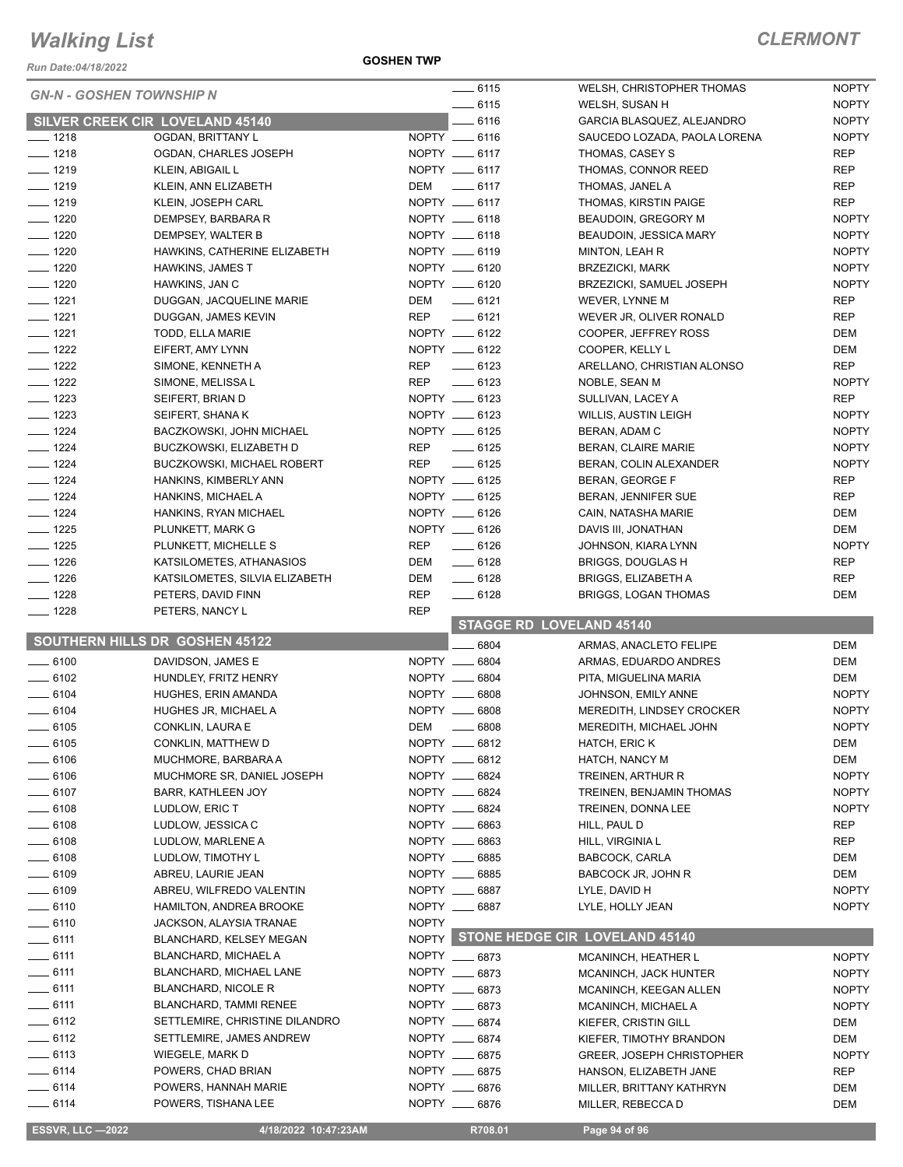*Run Date:04/18/2022*

#### **GOSHEN TWP**

## *CLERMONT*

| <b>GN-N - GOSHEN TOWNSHIP N</b> |                                                                 |              | $- 6115$                        | WELSH, CHRISTOPHER THOMAS                     | <b>NOPTY</b> |
|---------------------------------|-----------------------------------------------------------------|--------------|---------------------------------|-----------------------------------------------|--------------|
|                                 |                                                                 |              | $-6115$                         | WELSH, SUSAN H                                | <b>NOPTY</b> |
|                                 | <b>SILVER CREEK CIR LOVELAND 45140</b>                          |              | $-6116$                         | GARCIA BLASQUEZ, ALEJANDRO                    | <b>NOPTY</b> |
| $- 1218$                        | OGDAN, BRITTANY L                                               |              | NOPTY __ 6116                   | SAUCEDO LOZADA, PAOLA LORENA                  | <b>NOPTY</b> |
| $- 1218$                        | OGDAN, CHARLES JOSEPH                                           |              | NOPTY __ 6117                   | THOMAS, CASEY S                               | <b>REP</b>   |
| $- 1219$                        | KLEIN, ABIGAIL L                                                |              | NOPTY __ 6117                   | THOMAS, CONNOR REED                           | <b>REP</b>   |
| $- 1219$                        | KLEIN, ANN ELIZABETH                                            |              | DEM _______ 6117                | THOMAS, JANEL A                               | <b>REP</b>   |
| $- 1219$                        | KLEIN, JOSEPH CARL                                              |              | NOPTY __ 6117                   | THOMAS, KIRSTIN PAIGE                         | <b>REP</b>   |
| $- 1220$                        | DEMPSEY, BARBARA R                                              |              | NOPTY __ 6118                   | BEAUDOIN, GREGORY M                           | <b>NOPTY</b> |
| $- 1220$                        | DEMPSEY, WALTER B                                               |              | NOPTY __ 6118                   | <b>BEAUDOIN, JESSICA MARY</b>                 | <b>NOPTY</b> |
| $- 1220$                        | HAWKINS, CATHERINE ELIZABETH                                    |              | NOPTY __ 6119                   | MINTON, LEAH R                                | <b>NOPTY</b> |
| $- 1220$                        | <b>HAWKINS, JAMES T</b>                                         |              | NOPTY __ 6120                   | <b>BRZEZICKI, MARK</b>                        | <b>NOPTY</b> |
| $\frac{1}{2}$ 1220              | HAWKINS, JAN C                                                  |              | NOPTY __ 6120                   | BRZEZICKI, SAMUEL JOSEPH                      | <b>NOPTY</b> |
| $- 1221$                        | DUGGAN, JACQUELINE MARIE                                        | DEM          | $-6121$                         | WEVER, LYNNE M                                | <b>REP</b>   |
| $- 1221$                        | DUGGAN, JAMES KEVIN                                             | <b>REP</b>   | $\frac{1}{2}$ 6121              | WEVER JR, OLIVER RONALD                       | <b>REP</b>   |
| $- 1221$                        | TODD, ELLA MARIE                                                |              | NOPTY __ 6122                   | COOPER, JEFFREY ROSS                          | DEM          |
| $- 1222$                        | EIFERT, AMY LYNN                                                |              | NOPTY __ 6122                   | COOPER, KELLY L                               | DEM          |
| $- 1222$                        | SIMONE, KENNETH A                                               | REP          | $- 6123$                        | ARELLANO, CHRISTIAN ALONSO                    | <b>REP</b>   |
| $- 1222$                        | SIMONE, MELISSA L                                               | <b>REP</b>   | $\frac{1}{2}$ 6123              | NOBLE, SEAN M                                 | <b>NOPTY</b> |
| $- 1223$                        | SEIFERT, BRIAN D                                                |              | NOPTY __ 6123                   | SULLIVAN, LACEY A                             | <b>REP</b>   |
| $- 1223$                        | SEIFERT, SHANA K                                                |              | NOPTY __ 6123                   | <b>WILLIS, AUSTIN LEIGH</b>                   | <b>NOPTY</b> |
| $- 1224$                        | BACZKOWSKI, JOHN MICHAEL                                        |              | NOPTY __ 6125                   | BERAN, ADAM C                                 | <b>NOPTY</b> |
| $- 1224$                        | BUCZKOWSKI, ELIZABETH D                                         | <b>REP</b>   | $\frac{1}{2}$ 6125              | BERAN, CLAIRE MARIE                           | <b>NOPTY</b> |
| $- 1224$                        | <b>BUCZKOWSKI, MICHAEL ROBERT</b>                               | <b>REP</b>   | $-6125$                         | BERAN, COLIN ALEXANDER                        | <b>NOPTY</b> |
| $- 1224$                        | HANKINS, KIMBERLY ANN                                           |              | NOPTY __ 6125                   | BERAN, GEORGE F                               | <b>REP</b>   |
| $- 1224$                        | HANKINS, MICHAEL A                                              |              | NOPTY __ 6125                   | BERAN, JENNIFER SUE                           | <b>REP</b>   |
| $- 1224$                        | HANKINS, RYAN MICHAEL                                           |              | NOPTY __ 6126                   | CAIN, NATASHA MARIE                           | DEM          |
| $- 1225$                        | PLUNKETT, MARK G                                                |              | NOPTY __ 6126                   | DAVIS III, JONATHAN                           | DEM          |
| $- 1225$                        | PLUNKETT, MICHELLE S                                            | REP          | $- 6126$                        | JOHNSON, KIARA LYNN                           | <b>NOPTY</b> |
| $- 1226$                        | KATSILOMETES, ATHANASIOS                                        | DEM          | $-6128$                         | <b>BRIGGS, DOUGLAS H</b>                      | <b>REP</b>   |
| $- 1226$                        | KATSILOMETES, SILVIA ELIZABETH                                  | DEM          | $-6128$                         | <b>BRIGGS, ELIZABETH A</b>                    | <b>REP</b>   |
| $- 1228$                        | PETERS, DAVID FINN                                              | <b>REP</b>   | $-6128$                         | <b>BRIGGS, LOGAN THOMAS</b>                   | DEM          |
|                                 |                                                                 |              |                                 |                                               |              |
| $- 1228$                        | PETERS, NANCY L                                                 | <b>REP</b>   |                                 |                                               |              |
|                                 | SOUTHERN HILLS DR GOSHEN 45122                                  |              | <b>STAGGE RD LOVELAND 45140</b> |                                               |              |
|                                 |                                                                 |              | 6804                            | ARMAS, ANACLETO FELIPE                        | DEM          |
| $-6100$                         | DAVIDSON, JAMES E                                               |              | NOPTY __ 6804                   | ARMAS, EDUARDO ANDRES                         | DEM          |
| $-6102$                         | HUNDLEY, FRITZ HENRY                                            |              | NOPTY __ 6804                   | PITA, MIGUELINA MARIA                         | DEM          |
| $- 6104$                        | HUGHES, ERIN AMANDA                                             |              | NOPTY __ 6808                   | JOHNSON, EMILY ANNE                           | <b>NOPTY</b> |
| $- 6104$                        | HUGHES JR, MICHAEL A                                            |              | NOPTY __ 6808                   | MEREDITH, LINDSEY CROCKER                     | <b>NOPTY</b> |
| $- 6105$                        | CONKLIN, LAURA E                                                | DEM          | 6808                            | MEREDITH, MICHAEL JOHN                        | <b>NOPTY</b> |
| $- 6105$                        | CONKLIN, MATTHEW D                                              |              | NOPTY __ 6812                   | HATCH, ERIC K                                 | DEM          |
| $-6106$                         | MUCHMORE, BARBARA A                                             |              | NOPTY __ 6812                   | HATCH, NANCY M                                | DEM          |
| $-6106$                         | MUCHMORE SR, DANIEL JOSEPH                                      |              | NOPTY __ 6824                   | TREINEN, ARTHUR R                             | <b>NOPTY</b> |
| $- 6107$                        | <b>BARR, KATHLEEN JOY</b>                                       |              | NOPTY __ 6824                   | TREINEN, BENJAMIN THOMAS                      | <b>NOPTY</b> |
| $- 6108$                        | LUDLOW, ERIC T                                                  |              | NOPTY __ 6824                   | TREINEN, DONNA LEE                            | <b>NOPTY</b> |
| $- 6108$                        | LUDLOW, JESSICA C                                               |              | NOPTY __ 6863                   | HILL, PAUL D                                  | <b>REP</b>   |
| $-6108$                         | LUDLOW, MARLENE A                                               |              | NOPTY __ 6863                   | HILL, VIRGINIA L                              | REP          |
| $- 6108$                        | LUDLOW, TIMOTHY L                                               |              | NOPTY __ 6885                   | <b>BABCOCK, CARLA</b>                         | DEM          |
| $- 6109$                        | ABREU, LAURIE JEAN                                              |              | NOPTY __ 6885                   | BABCOCK JR, JOHN R                            | DEM          |
| $- 6109$                        | ABREU, WILFREDO VALENTIN                                        |              | NOPTY __ 6887                   | LYLE, DAVID H                                 | <b>NOPTY</b> |
| $-6110$                         | HAMILTON, ANDREA BROOKE                                         |              | NOPTY __ 6887                   | LYLE, HOLLY JEAN                              | <b>NOPTY</b> |
| $- 6110$                        | JACKSON, ALAYSIA TRANAE                                         | <b>NOPTY</b> |                                 |                                               |              |
| $- 6111$                        | BLANCHARD, KELSEY MEGAN                                         |              |                                 | NOPTY STONE HEDGE CIR LOVELAND 45140          |              |
| $\frac{1}{2}$ 6111<br>$-6111$   | BLANCHARD, MICHAEL A<br>BLANCHARD, MICHAEL LANE                 |              | NOPTY __ 6873                   | MCANINCH, HEATHER L                           | <b>NOPTY</b> |
|                                 |                                                                 |              | NOPTY __ 6873                   | MCANINCH, JACK HUNTER                         | <b>NOPTY</b> |
| $-6111$                         | <b>BLANCHARD, NICOLE R</b>                                      |              | NOPTY __ 6873                   | MCANINCH, KEEGAN ALLEN                        | <b>NOPTY</b> |
| $\frac{1}{2}$ 6111<br>$- 6112$  | <b>BLANCHARD, TAMMI RENEE</b><br>SETTLEMIRE, CHRISTINE DILANDRO |              | NOPTY __ 6873                   | MCANINCH, MICHAEL A                           | <b>NOPTY</b> |
|                                 |                                                                 |              | NOPTY __ 6874                   | KIEFER, CRISTIN GILL                          | DEM          |
| $-6112$<br>$\frac{1}{2}$ 6113   | SETTLEMIRE, JAMES ANDREW<br>WIEGELE, MARK D                     |              | NOPTY __ 6874                   | KIEFER, TIMOTHY BRANDON                       | DEM          |
|                                 | POWERS, CHAD BRIAN                                              |              | NOPTY __ 6875                   | GREER, JOSEPH CHRISTOPHER                     | <b>NOPTY</b> |
| $- 6114$<br>$-6114$             | POWERS, HANNAH MARIE                                            |              | NOPTY __ 6875<br>NOPTY __ 6876  | HANSON, ELIZABETH JANE                        | REP          |
| $- 6114$                        | POWERS, TISHANA LEE                                             |              | NOPTY __ 6876                   | MILLER, BRITTANY KATHRYN<br>MILLER, REBECCA D | DEM<br>DEM   |

**ESSVR, LLC -2022 4/18/2022 10:47:23AM** R708.01 **Page 94 of 96**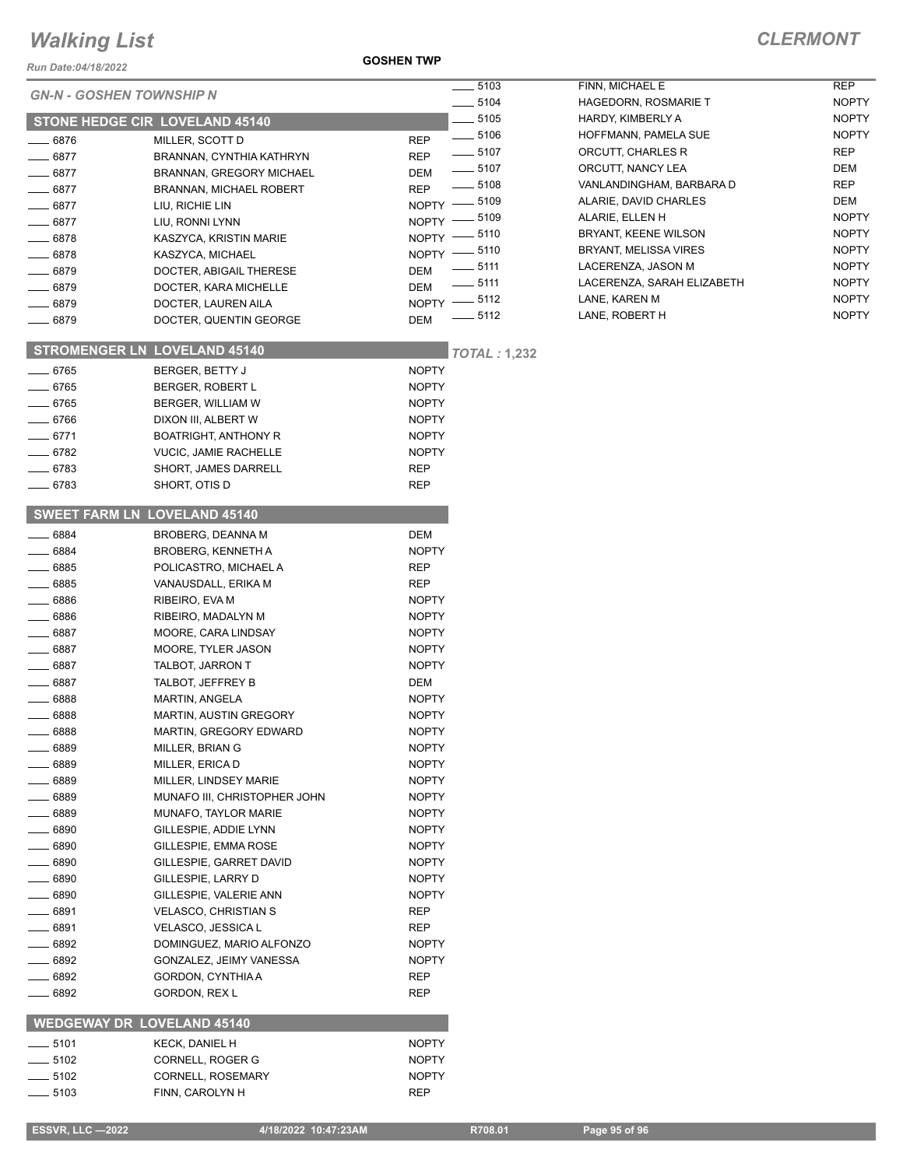*Run Date:04/18/2022*

#### **GOSHEN TWP**

|                           | <b>GN-N - GOSHEN TOWNSHIP N</b>     | 5103                             | FINN, MICHAEL E             | <b>REP</b>   |
|---------------------------|-------------------------------------|----------------------------------|-----------------------------|--------------|
|                           |                                     |                                  | <b>HAGEDORN, ROSMARIE T</b> | <b>NOPTY</b> |
|                           | STONE HEDGE CIR LOVELAND 45140      | 5105                             | HARDY, KIMBERLY A           | <b>NOPTY</b> |
| $-6876$                   | MILLER, SCOTT D                     | $\frac{1}{2}$ 5106<br><b>REP</b> | HOFFMANN, PAMELA SUE        | <b>NOPTY</b> |
| $-6877$                   | BRANNAN, CYNTHIA KATHRYN            | $-5107$<br><b>REP</b>            | ORCUTT, CHARLES R           | <b>REP</b>   |
| $- 6877$                  | BRANNAN, GREGORY MICHAEL            | $-5107$<br>DEM                   | ORCUTT, NANCY LEA           | <b>DEM</b>   |
| 6877                      | <b>BRANNAN, MICHAEL ROBERT</b>      | 5108<br><b>REP</b>               | VANLANDINGHAM, BARBARA D    | REP          |
| 6877                      | LIU, RICHIE LIN                     | NOPTY -8109                      | ALARIE, DAVID CHARLES       | DEM          |
| .6877                     | LIU, RONNI LYNN                     | 5109<br>$NOPTY$ ––               | ALARIE, ELLEN H             | <b>NOPTY</b> |
| .6878                     |                                     | NOPTY -8110                      | BRYANT, KEENE WILSON        | <b>NOPTY</b> |
|                           | KASZYCA, KRISTIN MARIE              | NOPTY -8110                      | BRYANT, MELISSA VIRES       | <b>NOPTY</b> |
| 6878                      | KASZYCA, MICHAEL                    | $=$ 5111                         | LACERENZA, JASON M          | <b>NOPTY</b> |
| 6879                      | DOCTER, ABIGAIL THERESE             | <b>DEM</b><br>$-5111$            | LACERENZA, SARAH ELIZABETH  | <b>NOPTY</b> |
| 6879                      | DOCTER, KARA MICHELLE               | <b>DEM</b><br>$-5112$            | LANE, KAREN M               | <b>NOPTY</b> |
| .6879                     | DOCTER, LAUREN AILA                 | NOPTY -                          |                             | <b>NOPTY</b> |
| 6879                      | DOCTER, QUENTIN GEORGE              | $=$ 5112<br>DEM                  | LANE, ROBERT H              |              |
|                           | <b>STROMENGER LN LOVELAND 45140</b> | <b>TOTAL: 1,232</b>              |                             |              |
| $-6765$                   | BERGER, BETTY J                     | <b>NOPTY</b>                     |                             |              |
| $-6765$                   | BERGER, ROBERT L                    | <b>NOPTY</b>                     |                             |              |
| $-6765$                   | BERGER, WILLIAM W                   | <b>NOPTY</b>                     |                             |              |
| _ 6766                    | DIXON III, ALBERT W                 | <b>NOPTY</b>                     |                             |              |
| . 6771                    | <b>BOATRIGHT, ANTHONY R</b>         | <b>NOPTY</b>                     |                             |              |
| 6782                      | <b>VUCIC, JAMIE RACHELLE</b>        | <b>NOPTY</b>                     |                             |              |
|                           | SHORT, JAMES DARRELL                |                                  |                             |              |
| $= 6783$                  |                                     | <b>REP</b>                       |                             |              |
| $-6783$                   | SHORT, OTIS D                       | <b>REP</b>                       |                             |              |
|                           | <b>SWEET FARM LN LOVELAND 45140</b> |                                  |                             |              |
| 6884                      | <b>BROBERG, DEANNA M</b>            | <b>DEM</b>                       |                             |              |
| 6884                      | <b>BROBERG, KENNETH A</b>           | <b>NOPTY</b>                     |                             |              |
| $-6885$                   | POLICASTRO, MICHAEL A               | <b>REP</b>                       |                             |              |
| $-6885$                   | VANAUSDALL, ERIKA M                 | <b>REP</b>                       |                             |              |
| _ 6886                    | RIBEIRO, EVA M                      | <b>NOPTY</b>                     |                             |              |
| 6886                      | RIBEIRO, MADALYN M                  | <b>NOPTY</b>                     |                             |              |
| 6887                      | MOORE, CARA LINDSAY                 | <b>NOPTY</b>                     |                             |              |
| 6887                      | MOORE, TYLER JASON                  | <b>NOPTY</b>                     |                             |              |
| 6887                      |                                     | <b>NOPTY</b>                     |                             |              |
|                           | TALBOT, JARRON T                    |                                  |                             |              |
| 6887                      | TALBOT, JEFFREY B                   | DEM                              |                             |              |
| 6888                      | <b>MARTIN, ANGELA</b>               | <b>NOPTY</b>                     |                             |              |
| 6888                      | <b>MARTIN, AUSTIN GREGORY</b>       | <b>NOPTY</b>                     |                             |              |
| 6888                      | MARTIN, GREGORY EDWARD              | <b>NOPTY</b>                     |                             |              |
| 6889                      | MILLER, BRIAN G                     | <b>NOPTY</b>                     |                             |              |
| 6889                      | MILLER, ERICA D                     | <b>NOPTY</b>                     |                             |              |
| 6889                      | MILLER, LINDSEY MARIE               | <b>NOPTY</b>                     |                             |              |
| 6889                      | MUNAFO III, CHRISTOPHER JOHN        | <b>NOPTY</b>                     |                             |              |
| 6889                      | MUNAFO, TAYLOR MARIE                | <b>NOPTY</b>                     |                             |              |
| 6890                      | GILLESPIE, ADDIE LYNN               | <b>NOPTY</b>                     |                             |              |
| 6890                      | GILLESPIE, EMMA ROSE                | <b>NOPTY</b>                     |                             |              |
| 6890                      | GILLESPIE, GARRET DAVID             | <b>NOPTY</b>                     |                             |              |
| 6890                      | GILLESPIE, LARRY D                  | <b>NOPTY</b>                     |                             |              |
| . 6890                    | GILLESPIE, VALERIE ANN              | <b>NOPTY</b>                     |                             |              |
| . 6891                    | <b>VELASCO, CHRISTIAN S</b>         | REP                              |                             |              |
| - 6891                    | VELASCO, JESSICA L                  | REP                              |                             |              |
| 6892                      | DOMINGUEZ, MARIO ALFONZO            | <b>NOPTY</b>                     |                             |              |
| 6892                      | GONZALEZ, JEIMY VANESSA             | <b>NOPTY</b>                     |                             |              |
| 6892                      | GORDON, CYNTHIA A                   | REP                              |                             |              |
| 6892                      | GORDON, REX L                       | <b>REP</b>                       |                             |              |
|                           |                                     |                                  |                             |              |
|                           | <b>WEDGEWAY DR LOVELAND 45140</b>   |                                  |                             |              |
| $\rule{1em}{0.15mm}$ 5101 | KECK, DANIEL H                      | <b>NOPTY</b>                     |                             |              |
| _ 5102                    | CORNELL, ROGER G                    | <b>NOPTY</b>                     |                             |              |
| _ 5102                    | CORNELL, ROSEMARY                   | <b>NOPTY</b>                     |                             |              |
| $-5103$                   | FINN, CAROLYN H                     | REP                              |                             |              |